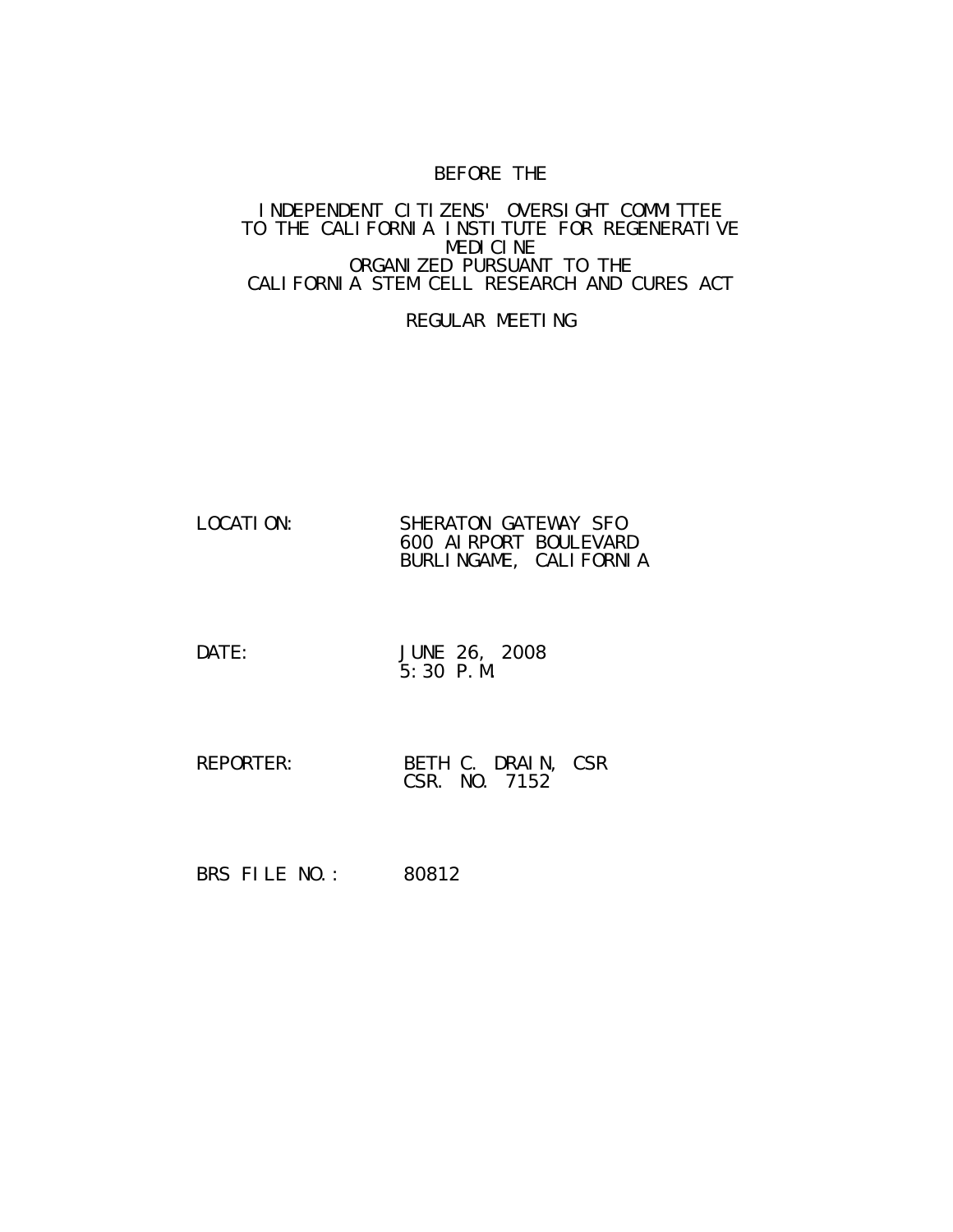# BEFORE THE

#### INDEPENDENT CITIZENS' OVERSIGHT COMMITTEE TO THE CALIFORNIA INSTITUTE FOR REGENERATIVE MEDICINE ORGANIZED PURSUANT TO THE CALIFORNIA STEM CELL RESEARCH AND CURES ACT

## REGULAR MEETING

| LOCATI ON: | SHERATON GATEWAY SFO   |
|------------|------------------------|
|            | 600 AI RPORT BOULEVARD |
|            | BURLINGAME, CALIFORNIA |

- DATE: JUNE 26, 2008 5:30 P.M.
- REPORTER: BETH C. DRAIN, CSR CSR. NO. 7152

BRS FILE NO.: 80812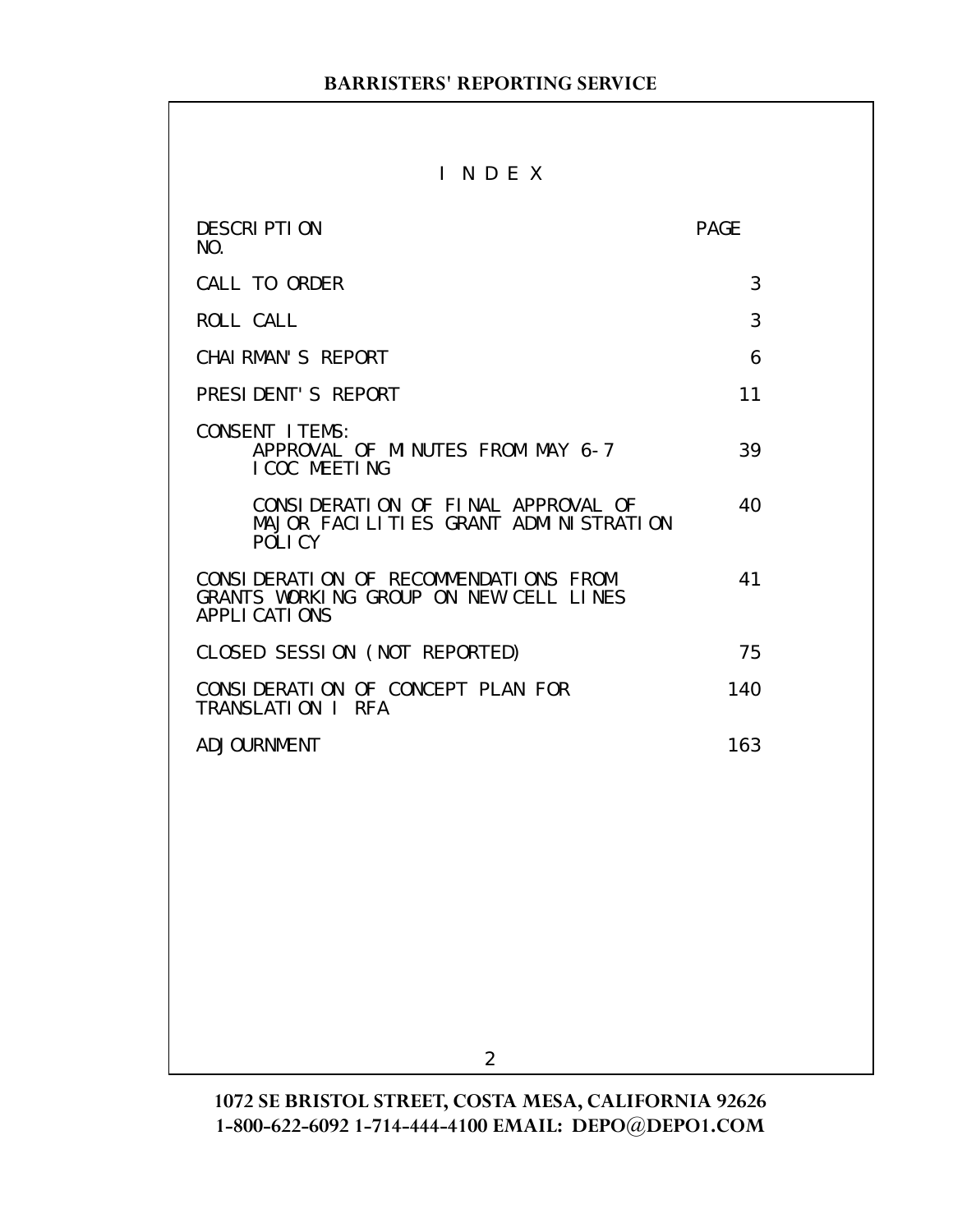# I N D E X

| <b>DESCRIPTION</b><br>NO.                                                                        | <b>PAGE</b> |
|--------------------------------------------------------------------------------------------------|-------------|
| CALL TO ORDER                                                                                    | 3           |
| <b>ROLL CALL</b>                                                                                 | 3           |
| CHAI RMAN'S REPORT                                                                               | 6           |
| PRESIDENT'S REPORT                                                                               | 11          |
| <b>CONSENT ITEMS:</b><br>APPROVAL OF MINUTES FROM MAY 6-7<br>I COC MEETING                       | 39          |
| CONSIDERATION OF FINAL APPROVAL OF<br>MAJOR FACILITIES GRANT ADMINISTRATION<br>POLICY            | 40          |
| CONSIDERATION OF RECOMMENDATIONS FROM<br>GRANTS WORKING GROUP ON NEW CELL LINES<br>APPLI CATIONS | 41          |
| CLOSED SESSION (NOT REPORTED)                                                                    | 75          |
| CONSIDERATION OF CONCEPT PLAN FOR<br>TRANSLATION I RFA                                           | 140         |
| <b>ADJOURNMENT</b>                                                                               | 163         |
|                                                                                                  |             |
|                                                                                                  |             |
|                                                                                                  |             |
|                                                                                                  |             |
|                                                                                                  |             |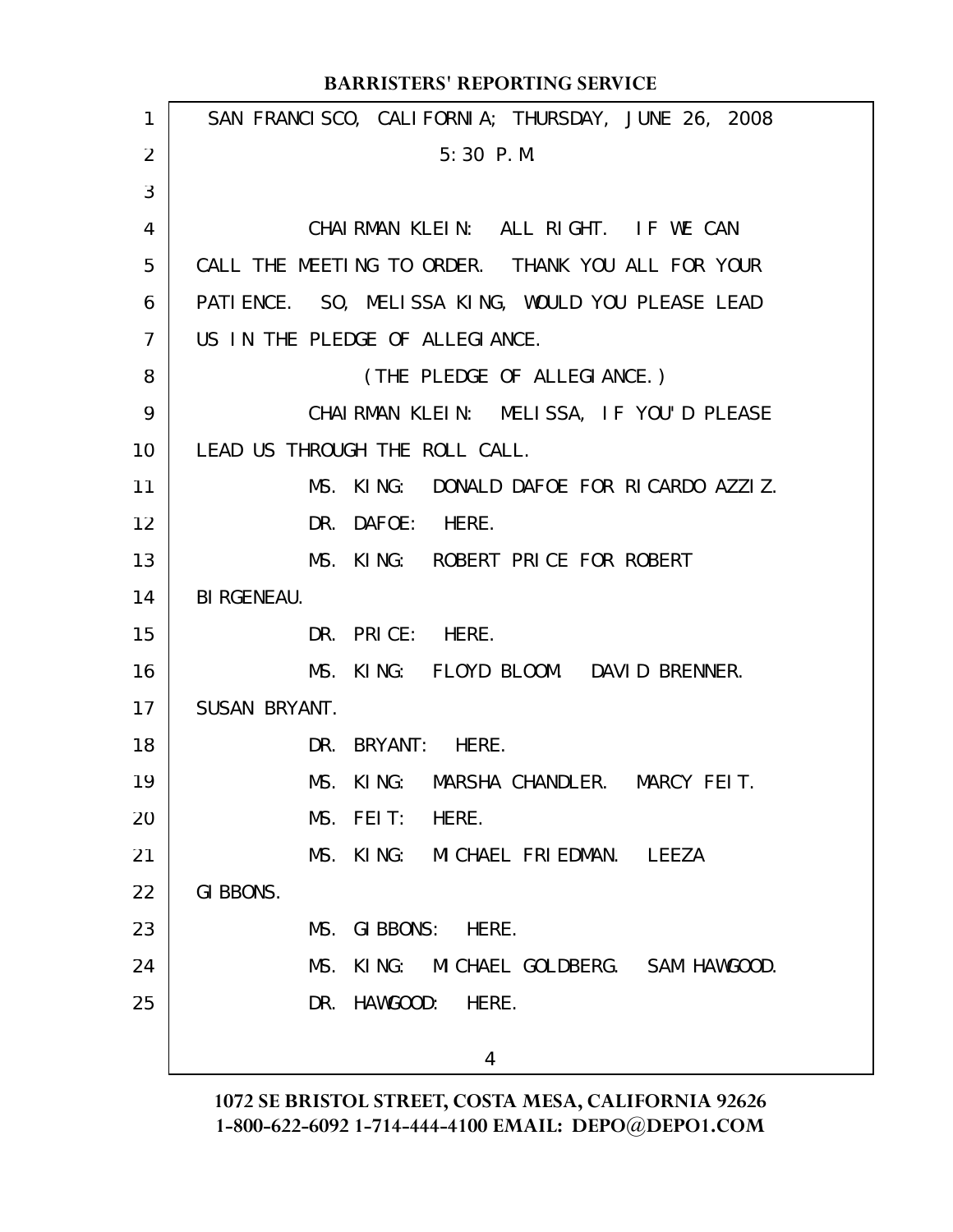|                 | <b>BARRISTERS' REPORTING SERVICE</b>               |
|-----------------|----------------------------------------------------|
| $\mathbf{1}$    | SAN FRANCISCO, CALIFORNIA; THURSDAY, JUNE 26, 2008 |
| 2               | 5:30 P.M.                                          |
| 3               |                                                    |
| 4               | CHAIRMAN KLEIN: ALL RIGHT. IF WE CAN               |
| 5               | CALL THE MEETING TO ORDER. THANK YOU ALL FOR YOUR  |
| 6               | PATIENCE. SO, MELISSA KING, WOULD YOU PLEASE LEAD  |
| $\overline{7}$  | US IN THE PLEDGE OF ALLEGIANCE.                    |
| 8               | (THE PLEDGE OF ALLEGIANCE.)                        |
| 9               | CHAIRMAN KLEIN: MELISSA, IF YOU'D PLEASE           |
| 10 <sup>°</sup> | LEAD US THROUGH THE ROLL CALL.                     |
| 11              | MS. KING: DONALD DAFOE FOR RICARDO AZZIZ.          |
| 12              | DR. DAFOE: HERE.                                   |
| 13              | MS. KING: ROBERT PRICE FOR ROBERT                  |
| 14              | <b>BI RGENEAU.</b>                                 |
| 15              | DR. PRICE: HERE.                                   |
| 16              | MS. KING: FLOYD BLOOM. DAVID BRENNER.              |
| 17              | SUSAN BRYANT.                                      |
| 18              | DR. BRYANT: HERE.                                  |
| 19              | MS.<br>KING:<br>MARSHA CHANDLER.<br>MARCY FEIT.    |
| 20              | MS. FEIT:<br>HERE.                                 |
| 21              | MS. KING: MICHAEL FRIEDMAN. LEEZA                  |
| 22              | GI BBONS.                                          |
| 23              | MS.<br>GIBBONS: HERE.                              |
| 24              | MS.<br>KING: MICHAEL GOLDBERG. SAM HAWGOOD.        |
| 25              | DR. HAWGOOD:<br>HERE.                              |
|                 | 4                                                  |
|                 |                                                    |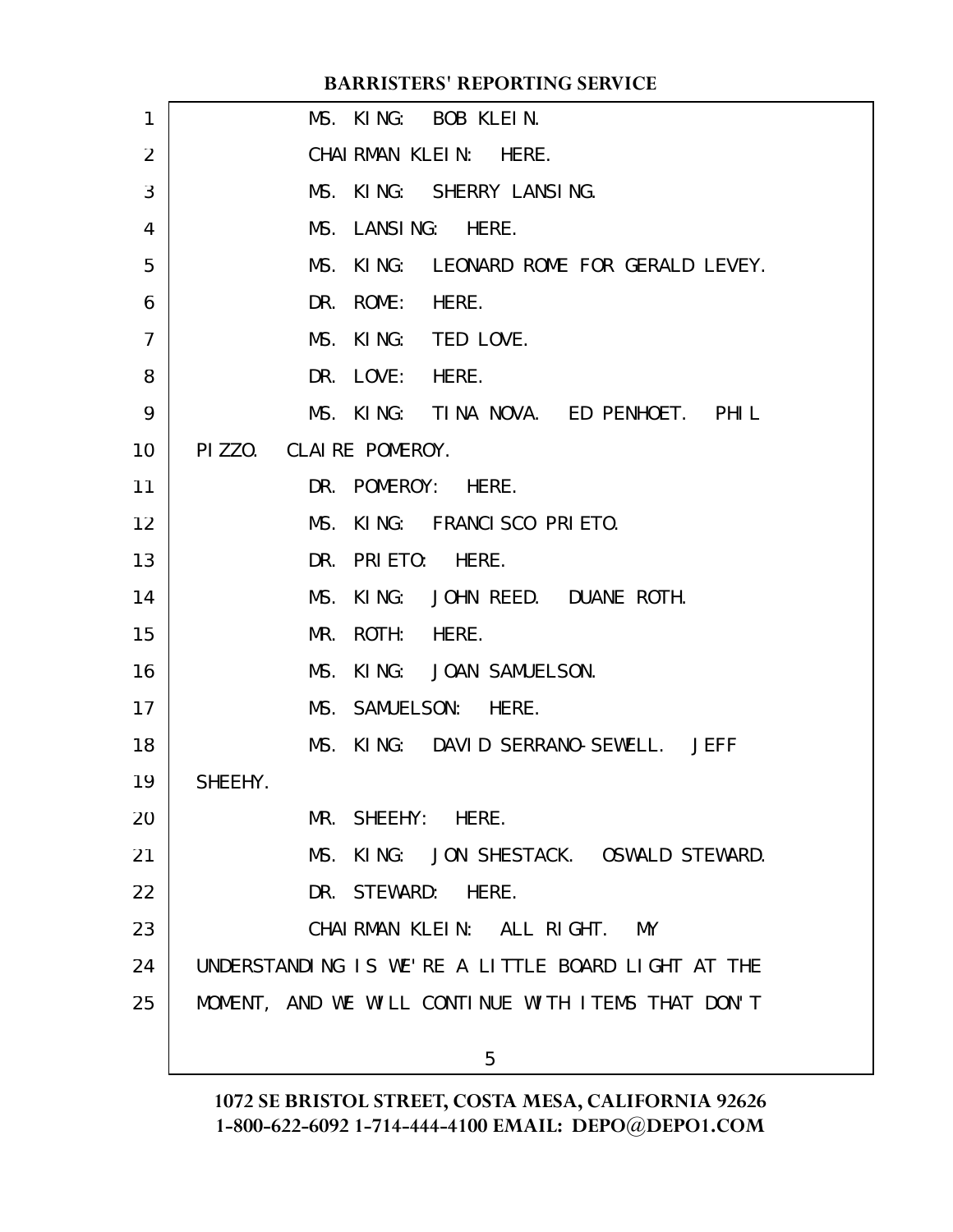|    | BAKKISTEKS' KEPOKTING SEKVICE                      |
|----|----------------------------------------------------|
| 1  | MS. KING: BOB KLEIN.                               |
| 2  | CHAIRMAN KLEIN: HERE.                              |
| 3  | MS. KING: SHERRY LANSING.                          |
| 4  | MS. LANSING: HERE.                                 |
| 5  | MS. KING: LEONARD ROME FOR GERALD LEVEY.           |
| 6  | DR. ROME: HERE.                                    |
| 7  | MS. KING: TED LOVE.                                |
| 8  | DR. LOVE: HERE.                                    |
| 9  | MS. KING: TINA NOVA. ED PENHOET. PHIL              |
| 10 | PIZZO. CLAIRE POMEROY.                             |
| 11 | DR. POMEROY: HERE.                                 |
| 12 | MS. KING: FRANCISCO PRIETO.                        |
| 13 | DR. PRIETO:<br>HERE.                               |
| 14 | MS.<br>KING: JOHN REED. DUANE ROTH.                |
| 15 | ROTH: HERE.<br>MR.                                 |
| 16 | MS.<br>KING: JOAN SAMUELSON.                       |
| 17 | MS. SAMUELSON: HERE.                               |
| 18 | MS. KING: DAVID SERRANO-SEWELL. JEFF               |
| 19 | SHEEHY.                                            |
| 20 | MR. SHEEHY: HERE.                                  |
| 21 | MS. KING: JON SHESTACK. OSWALD STEWARD.            |
| 22 | DR. STEWARD: HERE.                                 |
| 23 | CHAIRMAN KLEIN: ALL RIGHT.<br>MY                   |
| 24 | UNDERSTANDING IS WE'RE A LITTLE BOARD LIGHT AT THE |
| 25 | MOMENT, AND WE WILL CONTINUE WITH ITEMS THAT DON'T |
|    |                                                    |

**BARRIC CEDIT** 

5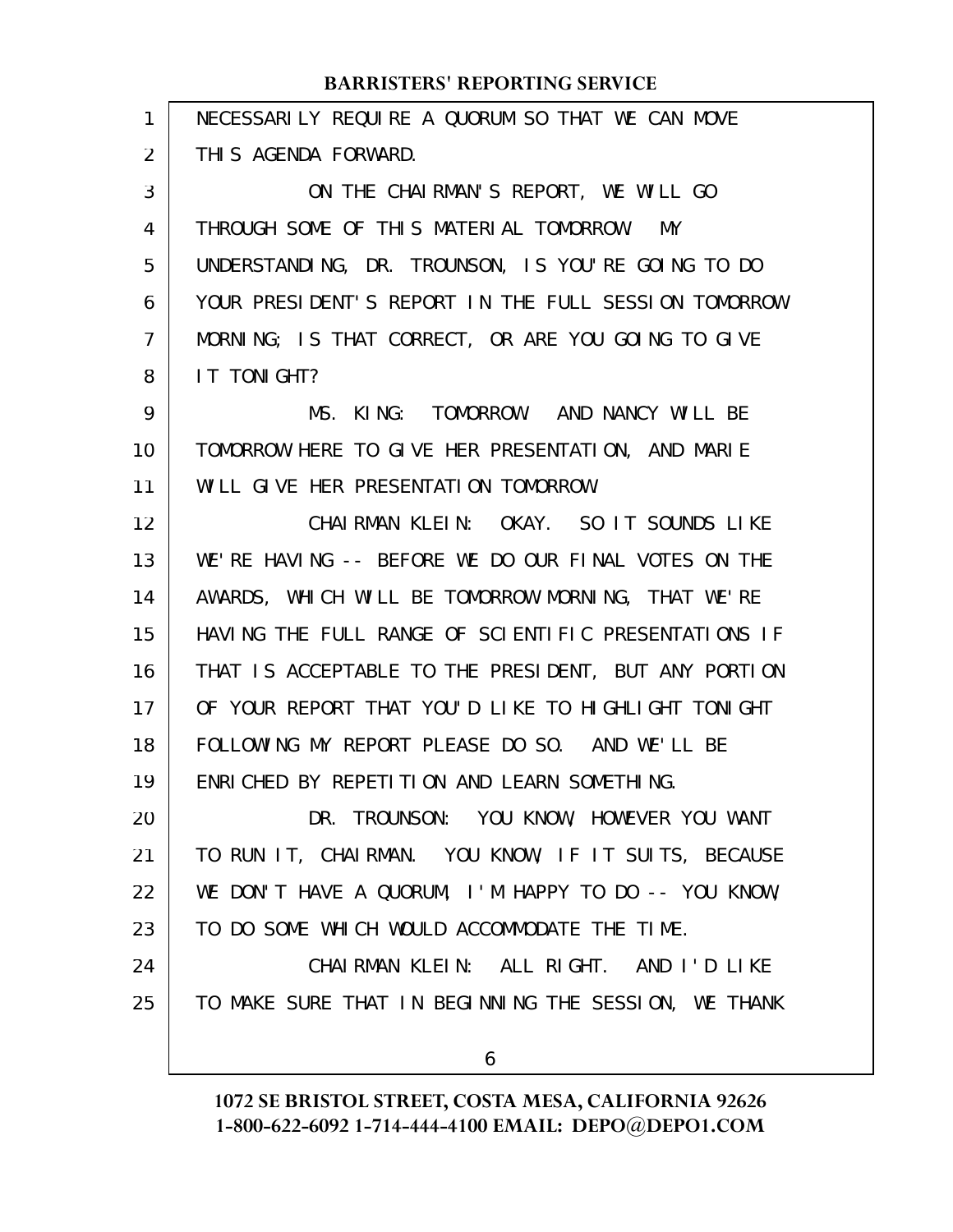| 1  | NECESSARILY REQUIRE A QUORUM SO THAT WE CAN MOVE     |
|----|------------------------------------------------------|
| 2  | THIS AGENDA FORWARD.                                 |
| 3  | ON THE CHAIRMAN'S REPORT, WE WILL GO                 |
| 4  | THROUGH SOME OF THIS MATERIAL TOMORROW. MY           |
| 5  | UNDERSTANDING, DR. TROUNSON, IS YOU'RE GOING TO DO   |
| 6  | YOUR PRESIDENT'S REPORT IN THE FULL SESSION TOMORROW |
| 7  | MORNING; IS THAT CORRECT, OR ARE YOU GOING TO GIVE   |
| 8  | IT TONIGHT?                                          |
| 9  | MS. KING: TOMORROW. AND NANCY WILL BE                |
| 10 | TOMORROW HERE TO GIVE HER PRESENTATION, AND MARIE    |
| 11 | WILL GIVE HER PRESENTATION TOMORROW.                 |
| 12 | CHAIRMAN KLEIN: OKAY. SO IT SOUNDS LIKE              |
| 13 | WE'RE HAVING -- BEFORE WE DO OUR FINAL VOTES ON THE  |
| 14 | AWARDS, WHICH WILL BE TOMORROW MORNING, THAT WE'RE   |
| 15 | HAVING THE FULL RANGE OF SCIENTIFIC PRESENTATIONS IF |
| 16 | THAT IS ACCEPTABLE TO THE PRESIDENT, BUT ANY PORTION |
| 17 | OF YOUR REPORT THAT YOU'D LIKE TO HIGHLIGHT TONIGHT  |
| 18 | FOLLOWING MY REPORT PLEASE DO SO. AND WE'LL BE       |
| 19 | ENRICHED BY REPETITION AND LEARN SOMETHING.          |
| 20 | DR. TROUNSON: YOU KNOW, HOWEVER YOU WANT             |
| 21 | TO RUN IT, CHAIRMAN. YOU KNOW, IF IT SUITS, BECAUSE  |
| 22 | WE DON'T HAVE A QUORUM, I'M HAPPY TO DO -- YOU KNOW, |
| 23 | TO DO SOME WHICH WOULD ACCOMMODATE THE TIME.         |
| 24 | CHAIRMAN KLEIN: ALL RIGHT. AND I'D LIKE              |
| 25 | TO MAKE SURE THAT IN BEGINNING THE SESSION, WE THANK |
|    |                                                      |
|    | 6                                                    |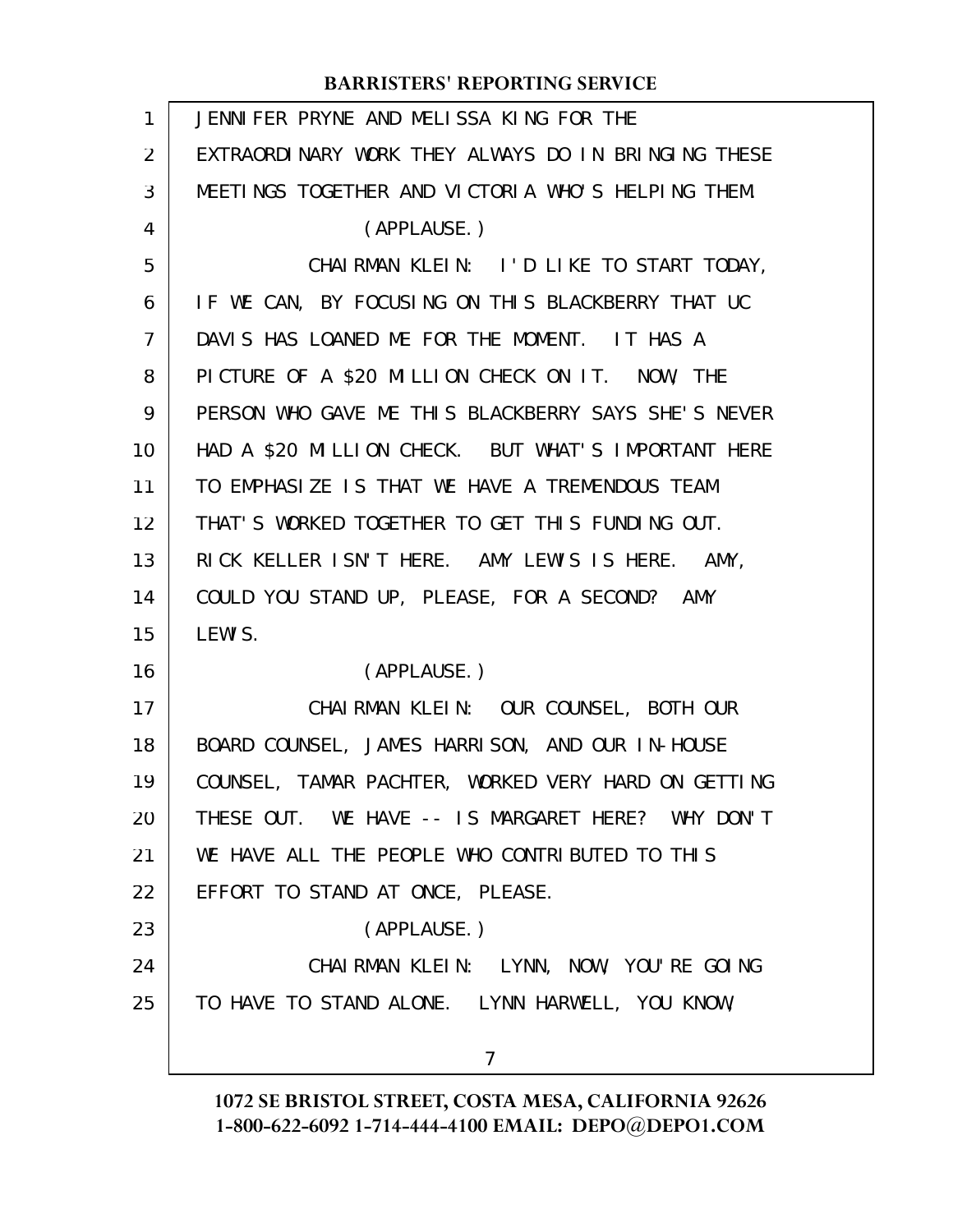| $\mathbf{1}$   | JENNIFER PRYNE AND MELISSA KING FOR THE             |
|----------------|-----------------------------------------------------|
| 2              | EXTRAORDINARY WORK THEY ALWAYS DO IN BRINGING THESE |
| 3              | MEETINGS TOGETHER AND VICTORIA WHO'S HELPING THEM.  |
| 4              | (APPLAUSE.)                                         |
| 5              | CHAIRMAN KLEIN: I'D LIKE TO START TODAY,            |
| 6              | IF WE CAN, BY FOCUSING ON THIS BLACKBERRY THAT UC   |
| $\overline{7}$ | DAVIS HAS LOANED ME FOR THE MOMENT. IT HAS A        |
| 8              | PICTURE OF A \$20 MILLION CHECK ON IT. NOW, THE     |
| 9              | PERSON WHO GAVE ME THIS BLACKBERRY SAYS SHE'S NEVER |
| 10             | HAD A \$20 MILLION CHECK. BUT WHAT'S IMPORTANT HERE |
| 11             | TO EMPHASIZE IS THAT WE HAVE A TREMENDOUS TEAM      |
| 12             | THAT'S WORKED TOGETHER TO GET THIS FUNDING OUT.     |
| 13             | RICK KELLER ISN'T HERE. AMY LEWIS IS HERE. AMY,     |
| 14             | COULD YOU STAND UP, PLEASE, FOR A SECOND? AMY       |
| 15             | LEWI S.                                             |
| 16             | (APPLAUSE.)                                         |
| 17             | CHAIRMAN KLEIN: OUR COUNSEL, BOTH OUR               |
| 18             | BOARD COUNSEL, JAMES HARRISON, AND OUR IN-HOUSE     |
| 19             | COUNSEL, TAMAR PACHTER, WORKED VERY HARD ON GETTING |
| 20             | THESE OUT. WE HAVE -- IS MARGARET HERE? WHY DON'T   |
| 21             | WE HAVE ALL THE PEOPLE WHO CONTRIBUTED TO THIS      |
| 22             | EFFORT TO STAND AT ONCE, PLEASE.                    |
| 23             | (APPLAUSE.)                                         |
| 24             | CHAIRMAN KLEIN: LYNN, NOW, YOU'RE GOING             |
| 25             | TO HAVE TO STAND ALONE. LYNN HARWELL, YOU KNOW,     |
|                |                                                     |
|                | $\overline{7}$                                      |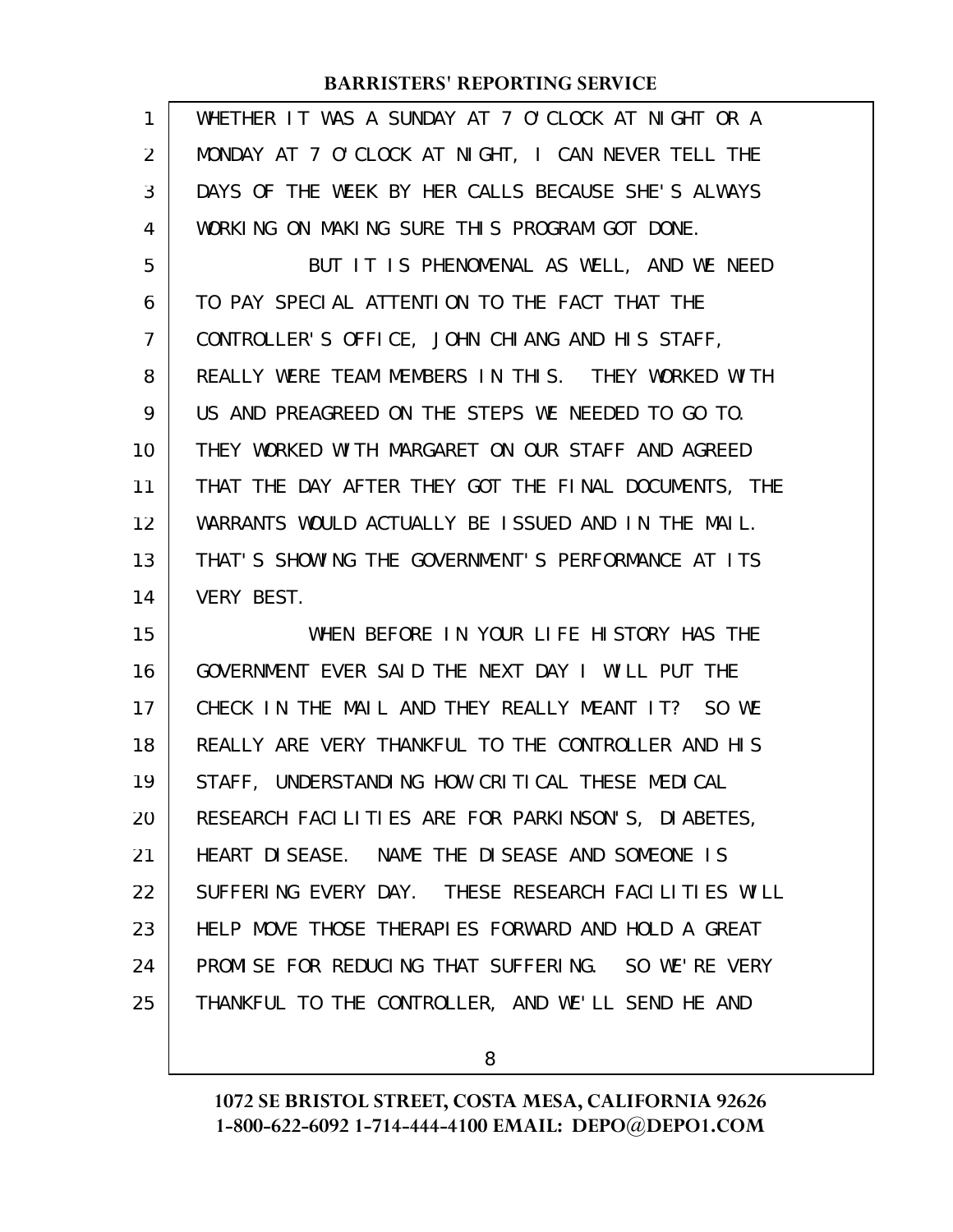| 1  | WHETHER IT WAS A SUNDAY AT 7 O'CLOCK AT NIGHT OR A   |
|----|------------------------------------------------------|
| 2  | MONDAY AT 7 O'CLOCK AT NIGHT, I CAN NEVER TELL THE   |
| 3  | DAYS OF THE WEEK BY HER CALLS BECAUSE SHE'S ALWAYS   |
| 4  | WORKING ON MAKING SURE THIS PROGRAM GOT DONE.        |
| 5  | BUT IT IS PHENOMENAL AS WELL, AND WE NEED            |
| 6  | TO PAY SPECIAL ATTENTION TO THE FACT THAT THE        |
| 7  | CONTROLLER'S OFFICE, JOHN CHIANG AND HIS STAFF,      |
| 8  | REALLY WERE TEAM MEMBERS IN THIS. THEY WORKED WITH   |
| 9  | US AND PREAGREED ON THE STEPS WE NEEDED TO GO TO.    |
| 10 | THEY WORKED WITH MARGARET ON OUR STAFF AND AGREED    |
| 11 | THAT THE DAY AFTER THEY GOT THE FINAL DOCUMENTS, THE |
| 12 | WARRANTS WOULD ACTUALLY BE ISSUED AND IN THE MAIL.   |
| 13 | THAT'S SHOWING THE GOVERNMENT'S PERFORMANCE AT ITS   |
| 14 | <b>VERY BEST.</b>                                    |
| 15 | WHEN BEFORE IN YOUR LIFE HISTORY HAS THE             |
| 16 | GOVERNMENT EVER SAID THE NEXT DAY I WILL PUT THE     |
| 17 | CHECK IN THE MAIL AND THEY REALLY MEANT IT? SO WE    |
| 18 | REALLY ARE VERY THANKFUL TO THE CONTROLLER AND HIS   |
| 19 | STAFF, UNDERSTANDING HOW CRITICAL THESE MEDICAL      |
| 20 | RESEARCH FACILITIES ARE FOR PARKINSON'S, DIABETES,   |
| 21 | HEART DISEASE. NAME THE DISEASE AND SOMEONE IS       |
| 22 | SUFFERING EVERY DAY. THESE RESEARCH FACILITIES WILL  |
| 23 | HELP MOVE THOSE THERAPIES FORWARD AND HOLD A GREAT   |
| 24 | PROMISE FOR REDUCING THAT SUFFERING. SO WE'RE VERY   |
| 25 | THANKFUL TO THE CONTROLLER, AND WE'LL SEND HE AND    |
|    |                                                      |

8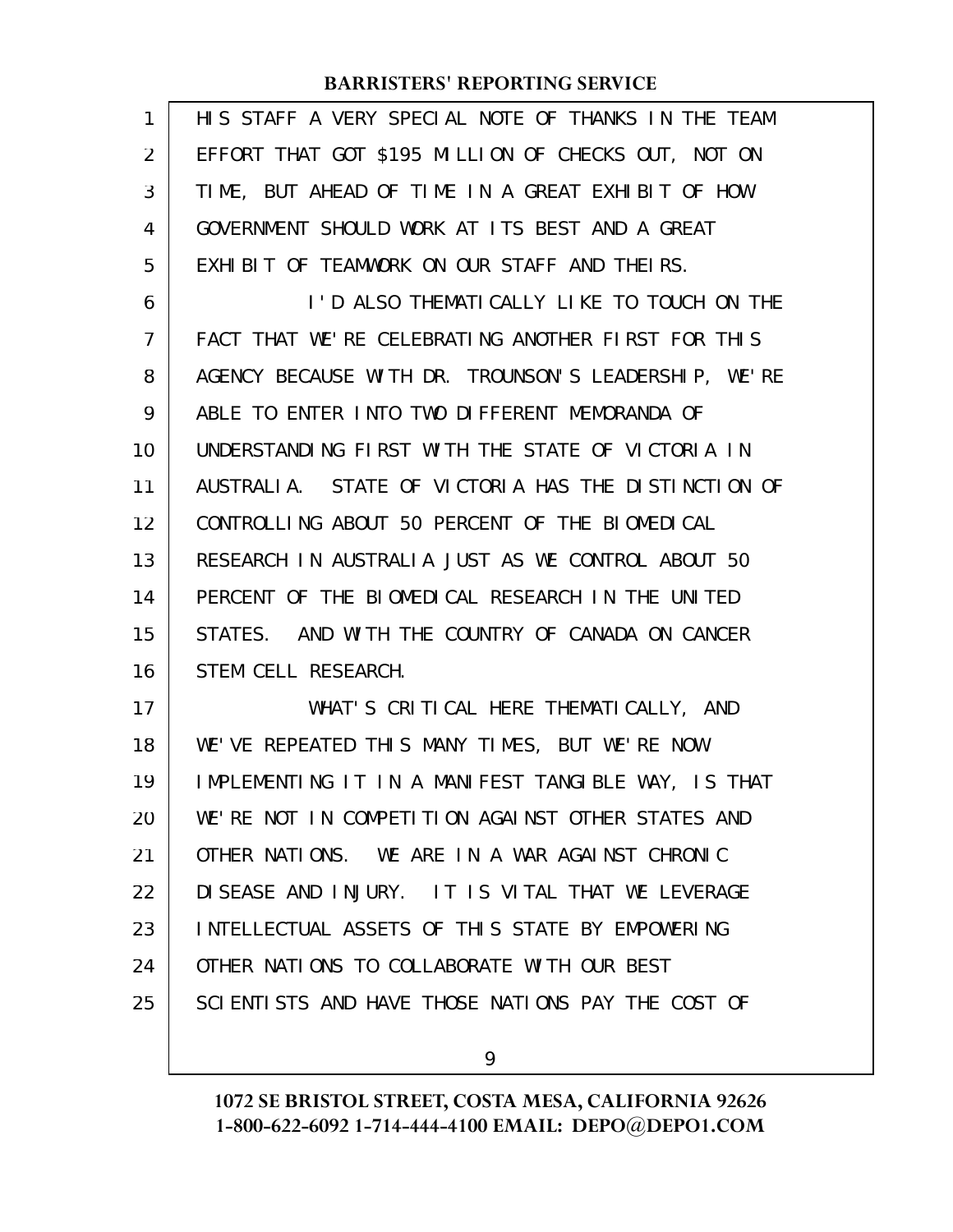| 1              | HIS STAFF A VERY SPECIAL NOTE OF THANKS IN THE TEAM  |
|----------------|------------------------------------------------------|
| 2              | EFFORT THAT GOT \$195 MILLION OF CHECKS OUT, NOT ON  |
| 3              | TIME, BUT AHEAD OF TIME IN A GREAT EXHIBIT OF HOW    |
| 4              | GOVERNMENT SHOULD WORK AT ITS BEST AND A GREAT       |
| 5              | EXHIBIT OF TEAMWORK ON OUR STAFF AND THEIRS.         |
| 6              | I'D ALSO THEMATICALLY LIKE TO TOUCH ON THE           |
| $\overline{7}$ | FACT THAT WE'RE CELEBRATING ANOTHER FIRST FOR THIS   |
| 8              | AGENCY BECAUSE WITH DR. TROUNSON'S LEADERSHIP, WE'RE |
| 9              | ABLE TO ENTER INTO TWO DIFFERENT MEMORANDA OF        |
| 10             | UNDERSTANDING FIRST WITH THE STATE OF VICTORIA IN    |
| 11             | AUSTRALIA. STATE OF VICTORIA HAS THE DISTINCTION OF  |
| 12             | CONTROLLING ABOUT 50 PERCENT OF THE BIOMEDICAL       |
| 13             | RESEARCH IN AUSTRALIA JUST AS WE CONTROL ABOUT 50    |
| 14             | PERCENT OF THE BIOMEDICAL RESEARCH IN THE UNITED     |
| 15             | STATES. AND WITH THE COUNTRY OF CANADA ON CANCER     |
| 16             | STEM CELL RESEARCH.                                  |
| 17             | WHAT'S CRITICAL HERE THEMATICALLY, AND               |
| 18             | WE'VE REPEATED THIS MANY TIMES, BUT WE'RE NOW        |
| 19             | IMPLEMENTING IT IN A MANIFEST TANGIBLE WAY, IS THAT  |
| 20             | WE'RE NOT IN COMPETITION AGAINST OTHER STATES AND    |
| 21             | OTHER NATIONS. WE ARE IN A WAR AGAINST CHRONIC       |
| 22             | DISEASE AND INJURY. IT IS VITAL THAT WE LEVERAGE     |
| 23             | INTELLECTUAL ASSETS OF THIS STATE BY EMPOWERING      |
| 24             | OTHER NATIONS TO COLLABORATE WITH OUR BEST           |
| 25             | SCIENTISTS AND HAVE THOSE NATIONS PAY THE COST OF    |
|                |                                                      |

9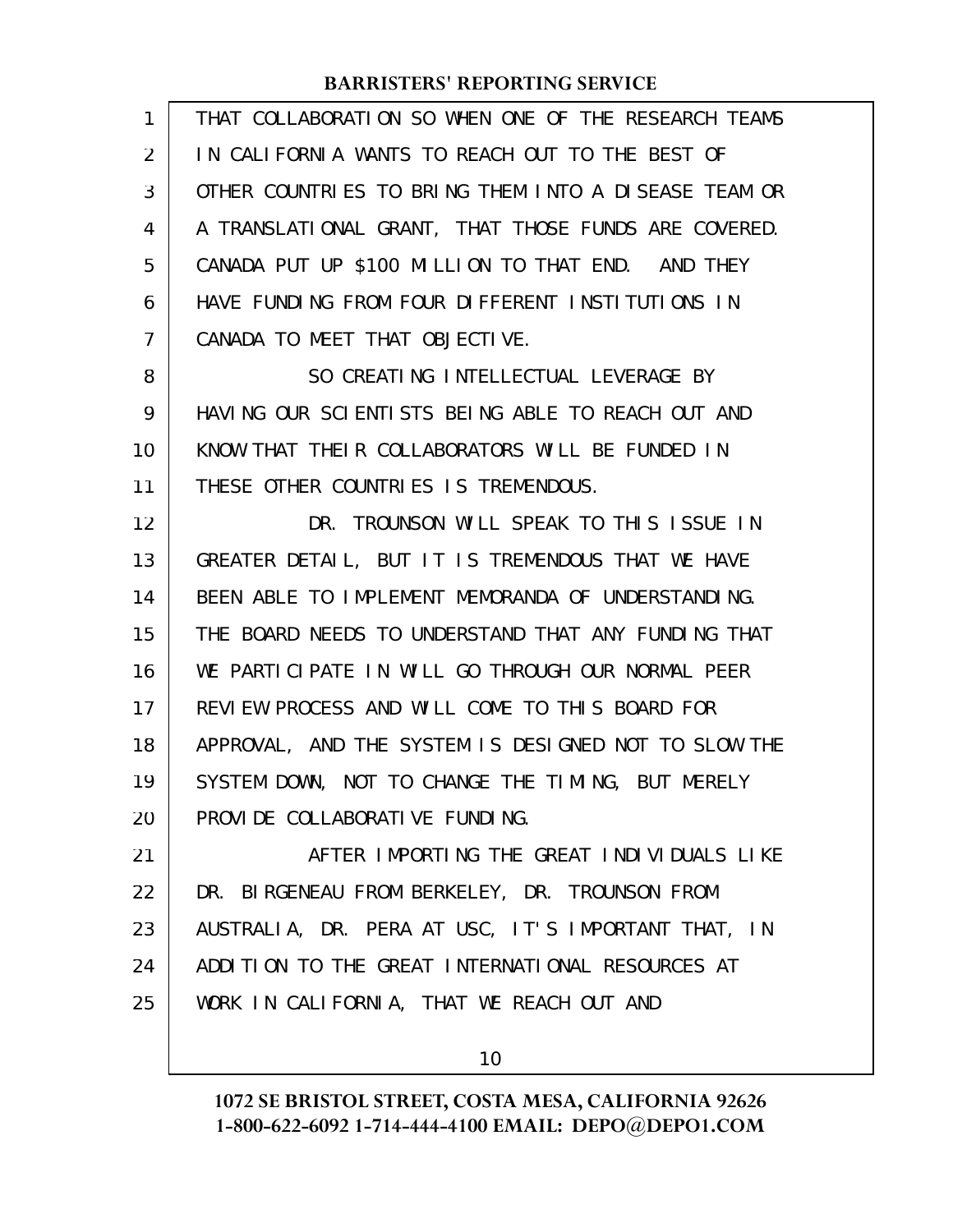| 1  | THAT COLLABORATION SO WHEN ONE OF THE RESEARCH TEAMS |
|----|------------------------------------------------------|
| 2  | IN CALIFORNIA WANTS TO REACH OUT TO THE BEST OF      |
| 3  | OTHER COUNTRIES TO BRING THEM INTO A DISEASE TEAM OR |
| 4  | A TRANSLATIONAL GRANT, THAT THOSE FUNDS ARE COVERED. |
| 5  | CANADA PUT UP \$100 MILLION TO THAT END. AND THEY    |
| 6  | HAVE FUNDING FROM FOUR DIFFERENT INSTITUTIONS IN     |
| 7  | CANADA TO MEET THAT OBJECTIVE.                       |
| 8  | SO CREATING INTELLECTUAL LEVERAGE BY                 |
| 9  | HAVING OUR SCIENTISTS BEING ABLE TO REACH OUT AND    |
| 10 | KNOW THAT THEIR COLLABORATORS WILL BE FUNDED IN      |
| 11 | THESE OTHER COUNTRIES IS TREMENDOUS.                 |
| 12 | DR. TROUNSON WILL SPEAK TO THIS ISSUE IN             |
| 13 | GREATER DETAIL, BUT IT IS TREMENDOUS THAT WE HAVE    |
| 14 | BEEN ABLE TO IMPLEMENT MEMORANDA OF UNDERSTANDING.   |
| 15 | THE BOARD NEEDS TO UNDERSTAND THAT ANY FUNDING THAT  |
| 16 | WE PARTICIPATE IN WILL GO THROUGH OUR NORMAL PEER    |
| 17 | REVIEW PROCESS AND WILL COME TO THIS BOARD FOR       |
| 18 | APPROVAL, AND THE SYSTEM IS DESIGNED NOT TO SLOW THE |
| 19 | SYSTEM DOWN, NOT TO CHANGE THE TIMING, BUT MERELY    |
| 20 | PROVIDE COLLABORATIVE FUNDING.                       |
| 21 | AFTER IMPORTING THE GREAT INDIVIDUALS LIKE           |
| 22 | DR. BIRGENEAU FROM BERKELEY, DR. TROUNSON FROM       |
| 23 | AUSTRALIA, DR. PERA AT USC, IT'S IMPORTANT THAT, IN  |
| 24 | ADDITION TO THE GREAT INTERNATIONAL RESOURCES AT     |
| 25 | WORK IN CALIFORNIA, THAT WE REACH OUT AND            |
|    |                                                      |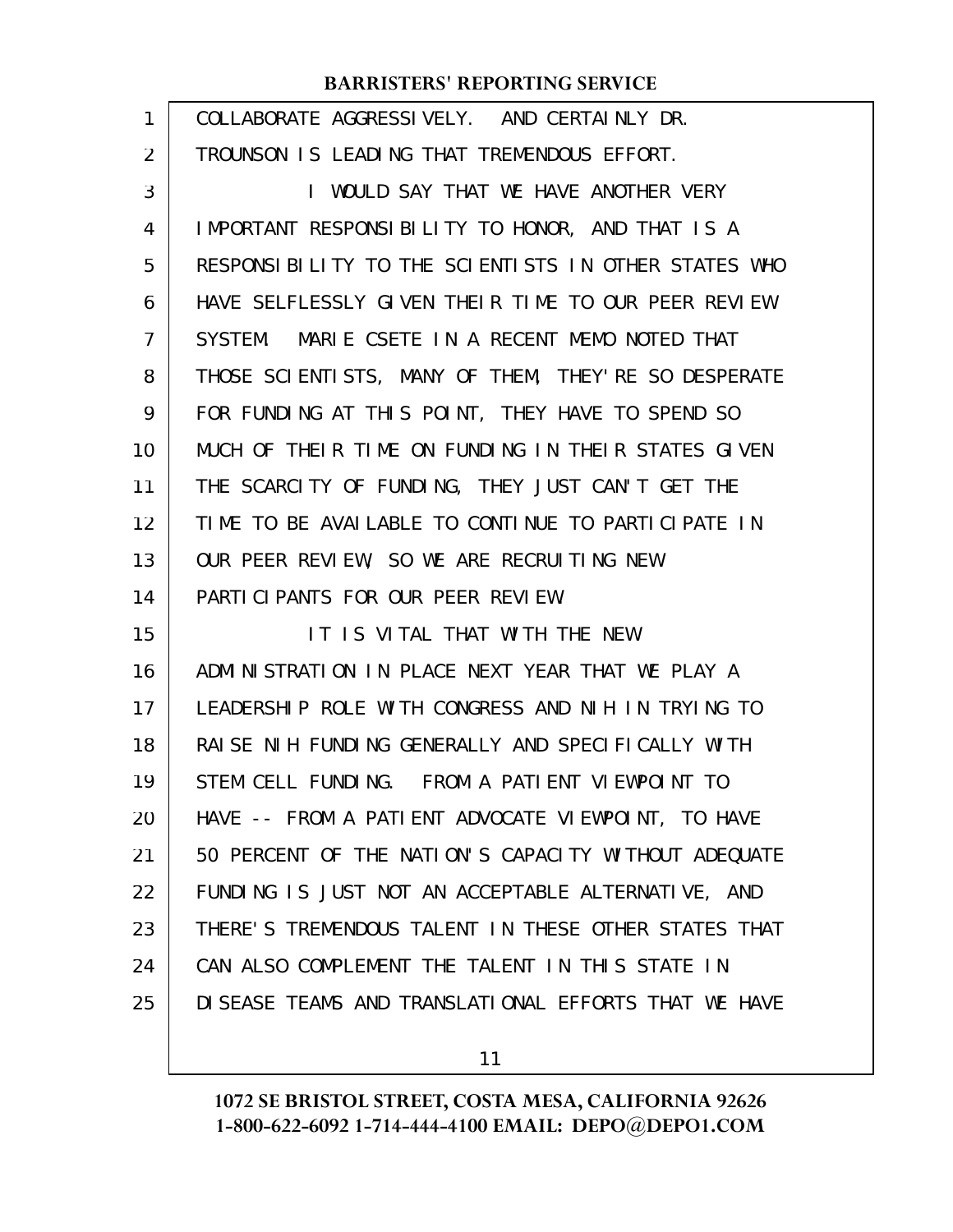| 1  | COLLABORATE AGGRESSIVELY. AND CERTAINLY DR.           |
|----|-------------------------------------------------------|
| 2  | TROUNSON IS LEADING THAT TREMENDOUS EFFORT.           |
| 3  | I WOULD SAY THAT WE HAVE ANOTHER VERY                 |
| 4  | IMPORTANT RESPONSIBILITY TO HONOR, AND THAT IS A      |
| 5  | RESPONSIBILITY TO THE SCIENTISTS IN OTHER STATES WHO  |
| 6  | HAVE SELFLESSLY GIVEN THEIR TIME TO OUR PEER REVIEW   |
| 7  | SYSTEM. MARIE CSETE IN A RECENT MEMO NOTED THAT       |
| 8  | THOSE SCIENTISTS, MANY OF THEM, THEY'RE SO DESPERATE  |
| 9  | FOR FUNDING AT THIS POINT, THEY HAVE TO SPEND SO      |
| 10 | MUCH OF THEIR TIME ON FUNDING IN THEIR STATES GIVEN   |
| 11 | THE SCARCITY OF FUNDING, THEY JUST CAN'T GET THE      |
| 12 | TIME TO BE AVAILABLE TO CONTINUE TO PARTICIPATE IN    |
| 13 | OUR PEER REVIEW, SO WE ARE RECRUITING NEW             |
| 14 | PARTICIPANTS FOR OUR PEER REVIEW.                     |
| 15 | IT IS VITAL THAT WITH THE NEW                         |
| 16 | ADMINISTRATION IN PLACE NEXT YEAR THAT WE PLAY A      |
| 17 | LEADERSHIP ROLE WITH CONGRESS AND NIH IN TRYING TO    |
| 18 | RAISE NIH FUNDING GENERALLY AND SPECIFICALLY WITH     |
| 19 | STEM CELL FUNDING. FROM A PATIENT VIEWPOINT TO        |
| 20 | HAVE -- FROM A PATIENT ADVOCATE VIEWPOINT, TO HAVE    |
| 21 | 50 PERCENT OF THE NATION'S CAPACITY WITHOUT ADEQUATE  |
| 22 | FUNDING IS JUST NOT AN ACCEPTABLE ALTERNATIVE, AND    |
| 23 | THERE'S TREMENDOUS TALENT IN THESE OTHER STATES THAT  |
| 24 | CAN ALSO COMPLEMENT THE TALENT IN THIS STATE IN       |
| 25 | DI SEASE TEAMS AND TRANSLATIONAL EFFORTS THAT WE HAVE |
|    |                                                       |

11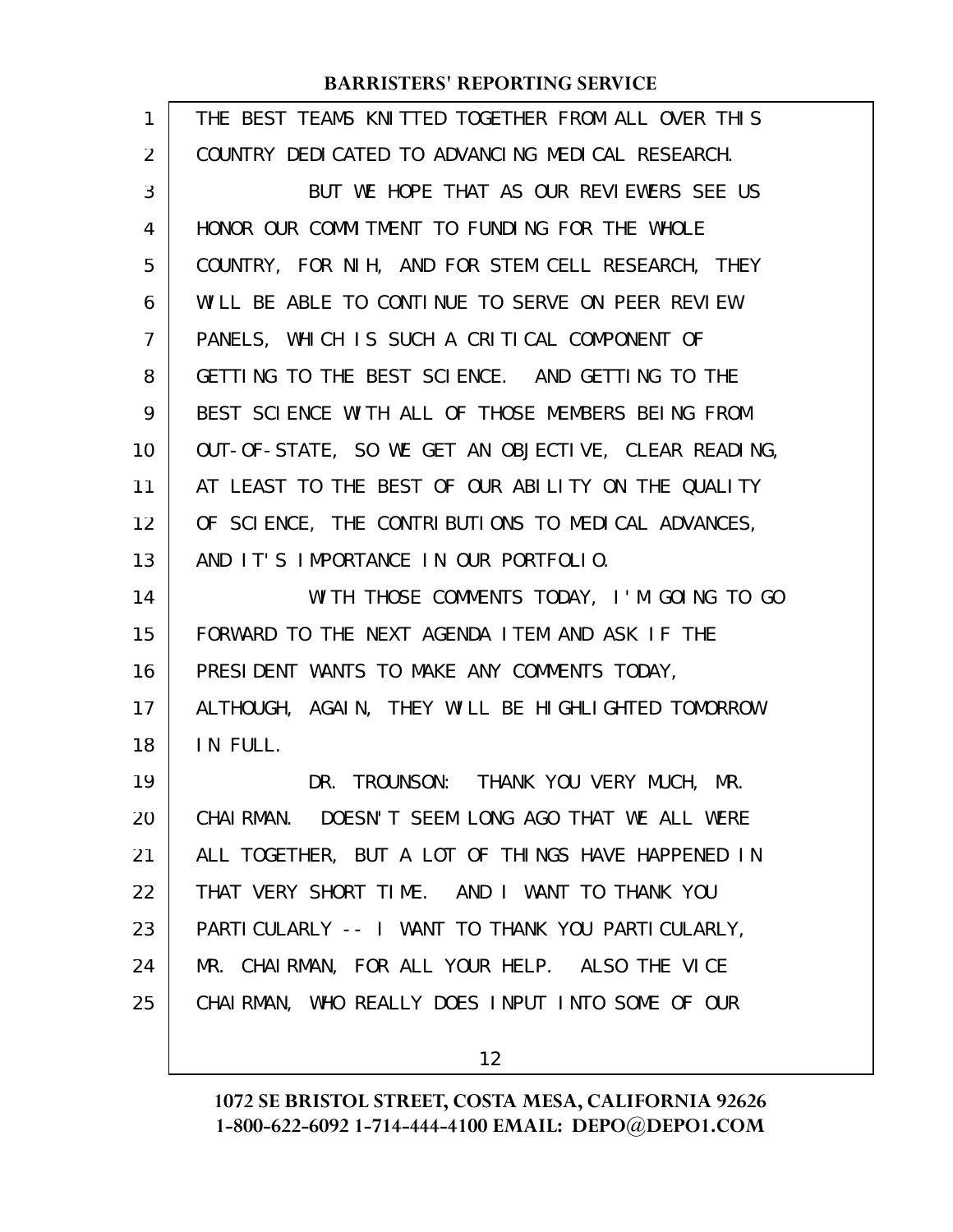| $\mathbf{1}$ | THE BEST TEAMS KNITTED TOGETHER FROM ALL OVER THIS   |
|--------------|------------------------------------------------------|
| 2            | COUNTRY DEDICATED TO ADVANCING MEDICAL RESEARCH.     |
| 3            | BUT WE HOPE THAT AS OUR REVIEWERS SEE US             |
| 4            | HONOR OUR COMMITMENT TO FUNDING FOR THE WHOLE        |
| 5            | COUNTRY, FOR NIH, AND FOR STEM CELL RESEARCH, THEY   |
| 6            | WILL BE ABLE TO CONTINUE TO SERVE ON PEER REVIEW     |
| 7            | PANELS, WHICH IS SUCH A CRITICAL COMPONENT OF        |
| 8            | GETTING TO THE BEST SCIENCE. AND GETTING TO THE      |
| 9            | BEST SCIENCE WITH ALL OF THOSE MEMBERS BEING FROM    |
| 10           | OUT-OF-STATE, SO WE GET AN OBJECTIVE, CLEAR READING, |
| 11           | AT LEAST TO THE BEST OF OUR ABILITY ON THE QUALITY   |
| 12           | OF SCIENCE, THE CONTRIBUTIONS TO MEDICAL ADVANCES,   |
| 13           | AND IT'S IMPORTANCE IN OUR PORTFOLIO.                |
|              |                                                      |
| 14           | WITH THOSE COMMENTS TODAY, I'M GOING TO GO           |
| 15           | FORWARD TO THE NEXT AGENDA ITEM AND ASK IF THE       |
| 16           | PRESIDENT WANTS TO MAKE ANY COMMENTS TODAY,          |
| 17           | ALTHOUGH, AGAIN, THEY WILL BE HIGHLIGHTED TOMORROW   |
| 18           | IN FULL.                                             |
| 19           | DR. TROUNSON: THANK YOU VERY MUCH, MR.               |
| 20           | CHAIRMAN. DOESN'T SEEM LONG AGO THAT WE ALL WERE     |
| 21           | ALL TOGETHER, BUT A LOT OF THINGS HAVE HAPPENED IN   |
| 22           | THAT VERY SHORT TIME. AND I WANT TO THANK YOU        |
| 23           | PARTI CULARLY -- I WANT TO THANK YOU PARTI CULARLY,  |
| 24           | MR. CHAIRMAN, FOR ALL YOUR HELP. ALSO THE VICE       |
| 25           | CHAIRMAN, WHO REALLY DOES INPUT INTO SOME OF OUR     |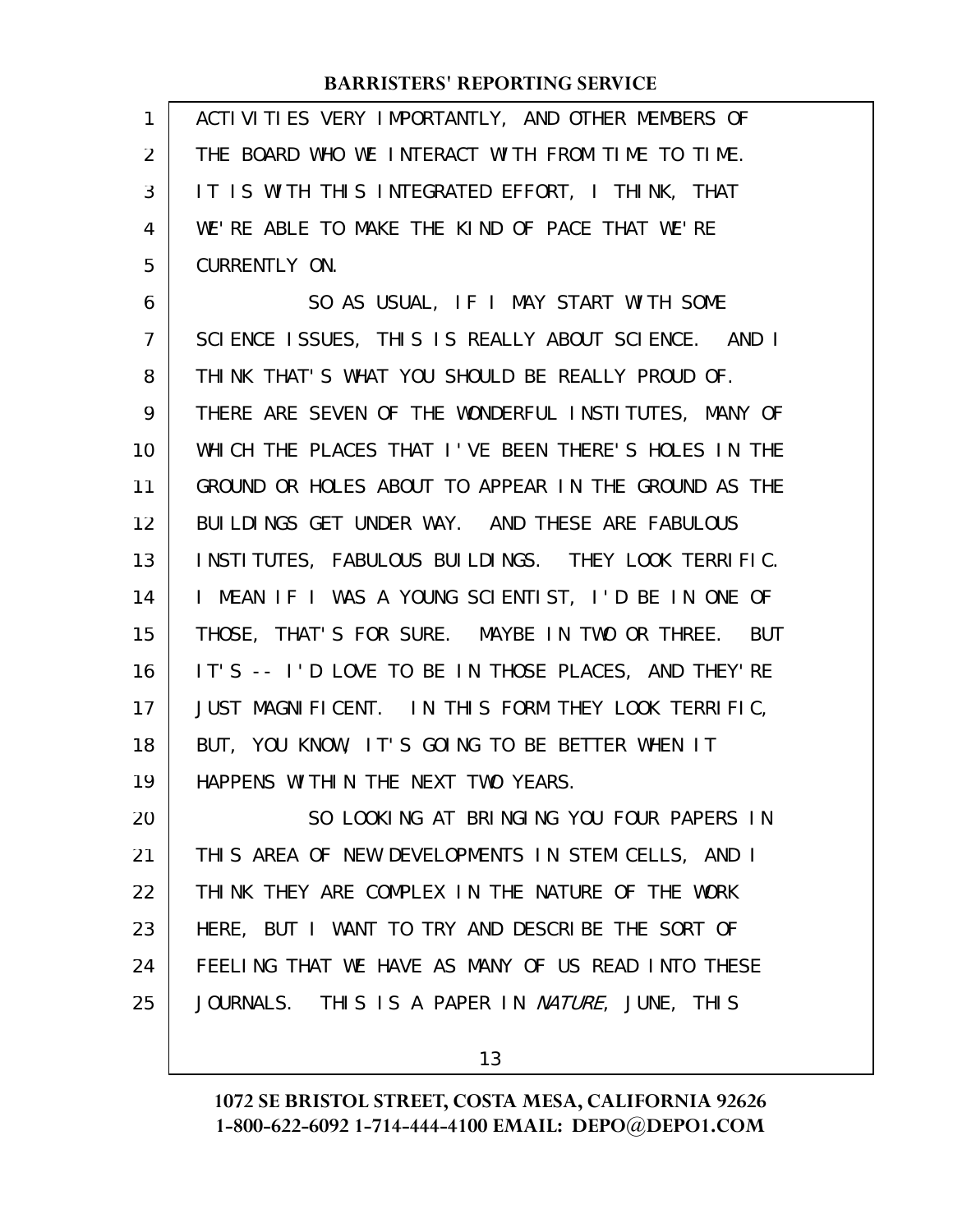| 1   ACTIVITIES VERY IMPORTANTLY, AND OTHER MEMBERS OF |
|-------------------------------------------------------|
| 2   THE BOARD WHO WE INTERACT WITH FROM TIME TO TIME. |
| 3   IT IS WITH THIS INTEGRATED EFFORT, I THINK, THAT  |
| 4   WE'RE ABLE TO MAKE THE KIND OF PACE THAT WE'RE    |
| 5   CURRENTLY ON.                                     |

SO AS USUAL, IF I MAY START WITH SOME SCIENCE ISSUES, THIS IS REALLY ABOUT SCIENCE. AND I THINK THAT'S WHAT YOU SHOULD BE REALLY PROUD OF. THERE ARE SEVEN OF THE WONDERFUL INSTITUTES, MANY OF WHICH THE PLACES THAT I'VE BEEN THERE'S HOLES IN THE GROUND OR HOLES ABOUT TO APPEAR IN THE GROUND AS THE BUILDINGS GET UNDER WAY. AND THESE ARE FABULOUS INSTITUTES, FABULOUS BUILDINGS. THEY LOOK TERRIFIC. I MEAN IF I WAS A YOUNG SCIENTIST, I'D BE IN ONE OF THOSE, THAT'S FOR SURE. MAYBE IN TWO OR THREE. BUT IT'S -- I'D LOVE TO BE IN THOSE PLACES, AND THEY'RE JUST MAGNIFICENT. IN THIS FORM THEY LOOK TERRIFIC, BUT, YOU KNOW, IT'S GOING TO BE BETTER WHEN IT HAPPENS WITHIN THE NEXT TWO YEARS. 6 7 8 9 10 11 12 13 14 15 16 17 18 19

SO LOOKING AT BRINGING YOU FOUR PAPERS IN THIS AREA OF NEW DEVELOPMENTS IN STEM CELLS, AND I THINK THEY ARE COMPLEX IN THE NATURE OF THE WORK HERE, BUT I WANT TO TRY AND DESCRIBE THE SORT OF FEELING THAT WE HAVE AS MANY OF US READ INTO THESE JOURNALS. THIS IS A PAPER IN *NATURE*, JUNE, THIS 20 21 22 23 24 25

13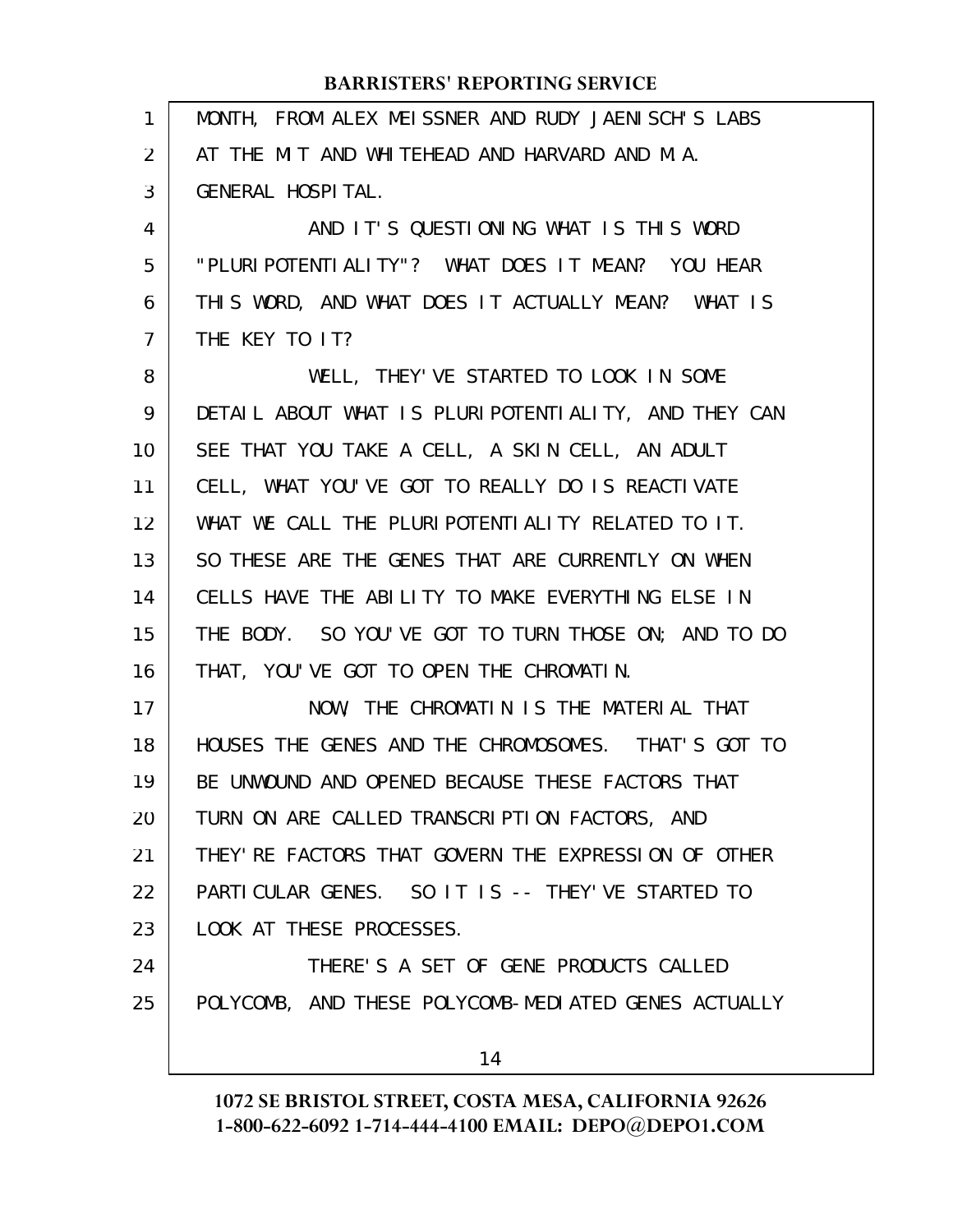| 1              | MONTH, FROM ALEX MEISSNER AND RUDY JAENISCH'S LABS   |
|----------------|------------------------------------------------------|
| $\overline{2}$ | AT THE MIT AND WHITEHEAD AND HARVARD AND M.A.        |
| 3              | GENERAL HOSPITAL.                                    |
| 4              | AND IT'S QUESTIONING WHAT IS THIS WORD               |
| 5              | "PLURI POTENTI ALI TY"? WHAT DOES IT MEAN? YOU HEAR  |
| 6              | THIS WORD, AND WHAT DOES IT ACTUALLY MEAN? WHAT IS   |
| 7              | THE KEY TO IT?                                       |
| 8              | WELL, THEY' VE STARTED TO LOOK IN SOME               |
| 9              | DETAIL ABOUT WHAT IS PLURIPOTENTIALITY, AND THEY CAN |
| 10             | SEE THAT YOU TAKE A CELL, A SKIN CELL, AN ADULT      |
| 11             | CELL, WHAT YOU'VE GOT TO REALLY DO IS REACTIVATE     |
| 12             | WHAT WE CALL THE PLURIPOTENTIALITY RELATED TO IT.    |
| 13             | SO THESE ARE THE GENES THAT ARE CURRENTLY ON WHEN    |
| 14             | CELLS HAVE THE ABILITY TO MAKE EVERYTHING ELSE IN    |
| 15             | THE BODY. SO YOU'VE GOT TO TURN THOSE ON; AND TO DO  |
| 16             | THAT, YOU'VE GOT TO OPEN THE CHROMATIN.              |
| 17             | NOW, THE CHROMATIN IS THE MATERIAL THAT              |
| 18             | HOUSES THE GENES AND THE CHROMOSOMES. THAT'S GOT TO  |
| 19             | BE UNWOUND AND OPENED BECAUSE THESE FACTORS THAT     |
| 20             | TURN ON ARE CALLED TRANSCRIPTION FACTORS, AND        |
| 21             | THEY' RE FACTORS THAT GOVERN THE EXPRESSION OF OTHER |
| 22             | PARTICULAR GENES. SO IT IS -- THEY'VE STARTED TO     |
| 23             | LOOK AT THESE PROCESSES.                             |
| 24             | THERE'S A SET OF GENE PRODUCTS CALLED                |
| 25             | POLYCOMB, AND THESE POLYCOMB-MEDIATED GENES ACTUALLY |
|                | 14                                                   |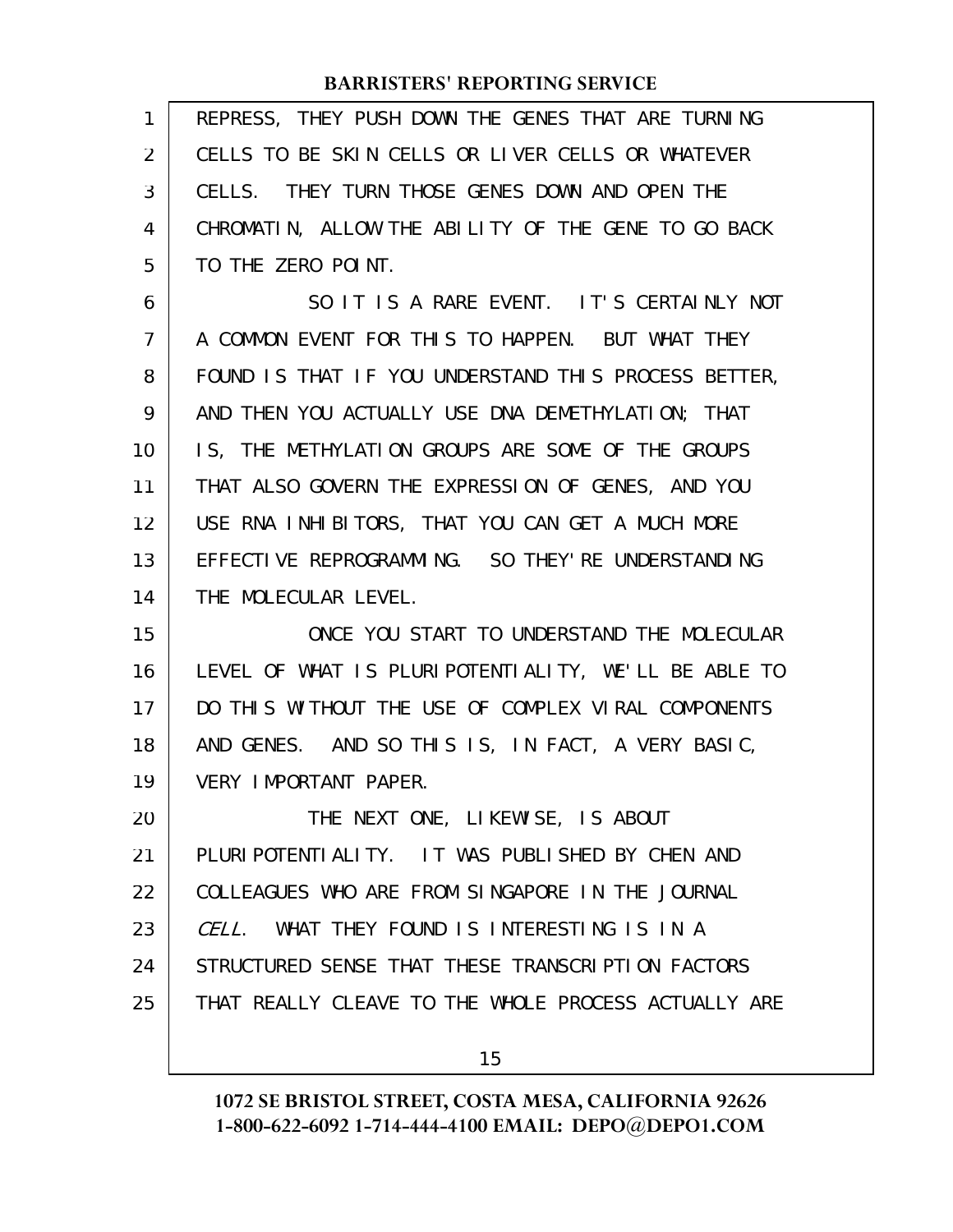| 1              | REPRESS, THEY PUSH DOWN THE GENES THAT ARE TURNING   |
|----------------|------------------------------------------------------|
| $\overline{2}$ | CELLS TO BE SKIN CELLS OR LIVER CELLS OR WHATEVER    |
| 3              | CELLS. THEY TURN THOSE GENES DOWN AND OPEN THE       |
| 4              | CHROMATIN, ALLOW THE ABILITY OF THE GENE TO GO BACK  |
| 5              | TO THE ZERO POINT.                                   |
| 6              | SO IT IS A RARE EVENT. IT'S CERTAINLY NOT            |
| $\overline{7}$ | A COMMON EVENT FOR THIS TO HAPPEN. BUT WHAT THEY     |
| 8              | FOUND IS THAT IF YOU UNDERSTAND THIS PROCESS BETTER, |
| 9              | AND THEN YOU ACTUALLY USE DNA DEMETHYLATION; THAT    |
| 10             | IS, THE METHYLATION GROUPS ARE SOME OF THE GROUPS    |
| 11             | THAT ALSO GOVERN THE EXPRESSION OF GENES, AND YOU    |
| 12             | USE RNA INHIBITORS, THAT YOU CAN GET A MUCH MORE     |
| 13             | EFFECTIVE REPROGRAMMING. SO THEY'RE UNDERSTANDING    |
| 14             | THE MOLECULAR LEVEL.                                 |
| 15             | ONCE YOU START TO UNDERSTAND THE MOLECULAR           |
|                |                                                      |
| 16             | LEVEL OF WHAT IS PLURIPOTENTIALITY, WE'LL BE ABLE TO |
| 17             | DO THIS WITHOUT THE USE OF COMPLEX VIRAL COMPONENTS  |
| 18             | AND GENES. AND SO THIS IS, IN FACT, A VERY BASIC,    |
| 19             | VERY IMPORTANT PAPER.                                |
| 20             | THE NEXT ONE, LIKEWISE, IS ABOUT                     |
| 21             | PLURI POTENTI ALI TY. IT WAS PUBLI SHED BY CHEN AND  |
| 22             | COLLEAGUES WHO ARE FROM SINGAPORE IN THE JOURNAL     |
| 23             | CELL. WHAT THEY FOUND IS INTERESTING IS IN A         |
| 24             | STRUCTURED SENSE THAT THESE TRANSCRIPTION FACTORS    |
| 25             | THAT REALLY CLEAVE TO THE WHOLE PROCESS ACTUALLY ARE |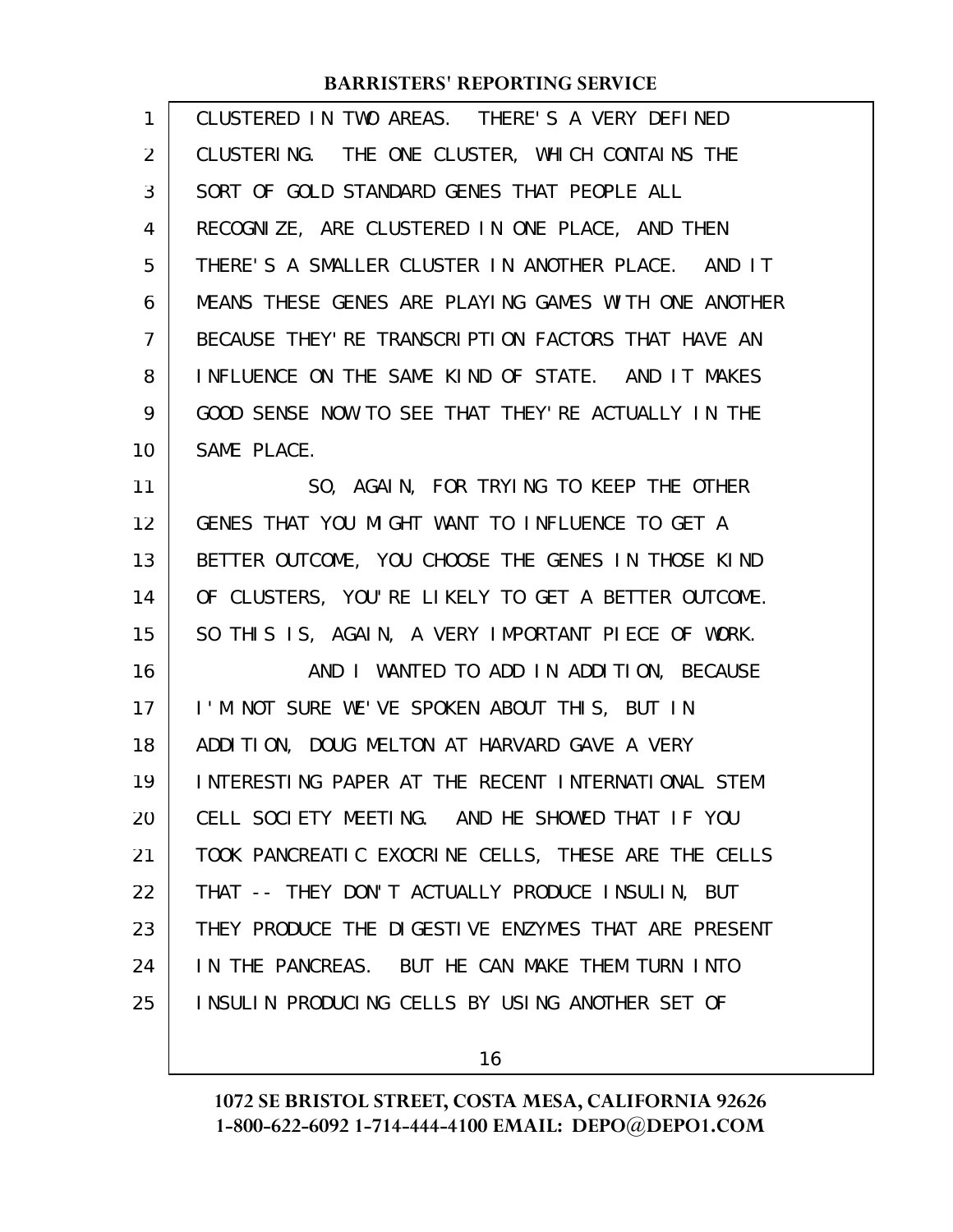| 1              | CLUSTERED IN TWO AREAS. THERE'S A VERY DEFINED       |
|----------------|------------------------------------------------------|
| 2              | CLUSTERING. THE ONE CLUSTER, WHICH CONTAINS THE      |
| 3              | SORT OF GOLD STANDARD GENES THAT PEOPLE ALL          |
| 4              | RECOGNIZE, ARE CLUSTERED IN ONE PLACE, AND THEN      |
| 5              | THERE'S A SMALLER CLUSTER IN ANOTHER PLACE. AND IT   |
| 6              | MEANS THESE GENES ARE PLAYING GAMES WITH ONE ANOTHER |
| $\overline{7}$ | BECAUSE THEY' RE TRANSCRIPTION FACTORS THAT HAVE AN  |
| 8              | INFLUENCE ON THE SAME KIND OF STATE. AND IT MAKES    |
| 9              | GOOD SENSE NOW TO SEE THAT THEY'RE ACTUALLY IN THE   |
| 10             | SAME PLACE.                                          |
| 11             | SO, AGAIN, FOR TRYING TO KEEP THE OTHER              |
| 12             | GENES THAT YOU MIGHT WANT TO INFLUENCE TO GET A      |
| 13             | BETTER OUTCOME, YOU CHOOSE THE GENES IN THOSE KIND   |
| 14             | OF CLUSTERS, YOU'RE LIKELY TO GET A BETTER OUTCOME.  |
| 15             | SO THIS IS, AGAIN, A VERY IMPORTANT PIECE OF WORK.   |
| 16             | AND I WANTED TO ADD IN ADDITION, BECAUSE             |
| 17             | I'M NOT SURE WE'VE SPOKEN ABOUT THIS, BUT IN         |
| 18             | ADDITION, DOUG MELTON AT HARVARD GAVE A VERY         |
| 19             | INTERESTING PAPER AT THE RECENT INTERNATIONAL STEM   |
| 20             | CELL SOCIETY MEETING. AND HE SHOWED THAT IF YOU      |
| 21             | TOOK PANCREATIC EXOCRINE CELLS, THESE ARE THE CELLS  |
| 22             | THAT -- THEY DON'T ACTUALLY PRODUCE INSULIN, BUT     |
| 23             | THEY PRODUCE THE DIGESTIVE ENZYMES THAT ARE PRESENT  |
| 24             | IN THE PANCREAS. BUT HE CAN MAKE THEM TURN INTO      |
| 25             | INSULIN PRODUCING CELLS BY USING ANOTHER SET OF      |
|                |                                                      |

16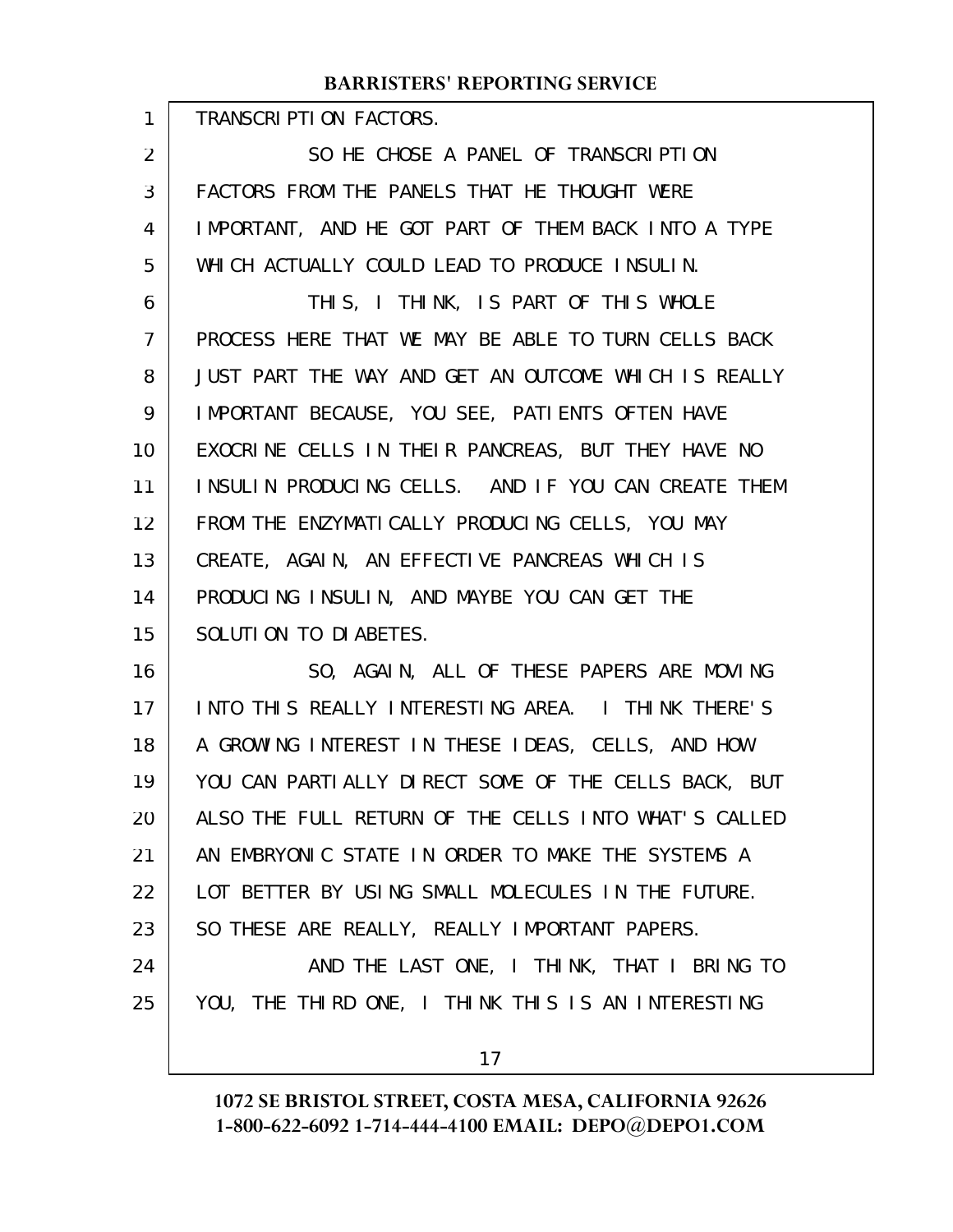TRANSCRIPTION FACTORS.

1

SO HE CHOSE A PANEL OF TRANSCRIPTION FACTORS FROM THE PANELS THAT HE THOUGHT WERE IMPORTANT, AND HE GOT PART OF THEM BACK INTO A TYPE WHICH ACTUALLY COULD LEAD TO PRODUCE INSULIN. 2 3 4 5

THIS, I THINK, IS PART OF THIS WHOLE PROCESS HERE THAT WE MAY BE ABLE TO TURN CELLS BACK JUST PART THE WAY AND GET AN OUTCOME WHICH IS REALLY IMPORTANT BECAUSE, YOU SEE, PATIENTS OFTEN HAVE EXOCRINE CELLS IN THEIR PANCREAS, BUT THEY HAVE NO INSULIN PRODUCING CELLS. AND IF YOU CAN CREATE THEM FROM THE ENZYMATICALLY PRODUCING CELLS, YOU MAY CREATE, AGAIN, AN EFFECTIVE PANCREAS WHICH IS PRODUCING INSULIN, AND MAYBE YOU CAN GET THE SOLUTION TO DIABETES. 6 7 8 9 10 11 12 13 14 15

SO, AGAIN, ALL OF THESE PAPERS ARE MOVING INTO THIS REALLY INTERESTING AREA. I THINK THERE'S A GROWING INTEREST IN THESE IDEAS, CELLS, AND HOW YOU CAN PARTIALLY DIRECT SOME OF THE CELLS BACK, BUT ALSO THE FULL RETURN OF THE CELLS INTO WHAT'S CALLED AN EMBRYONIC STATE IN ORDER TO MAKE THE SYSTEMS A LOT BETTER BY USING SMALL MOLECULES IN THE FUTURE. SO THESE ARE REALLY, REALLY IMPORTANT PAPERS. AND THE LAST ONE, I THINK, THAT I BRING TO YOU, THE THIRD ONE, I THINK THIS IS AN INTERESTING 16 17 18 19 20 21 22 23 24 25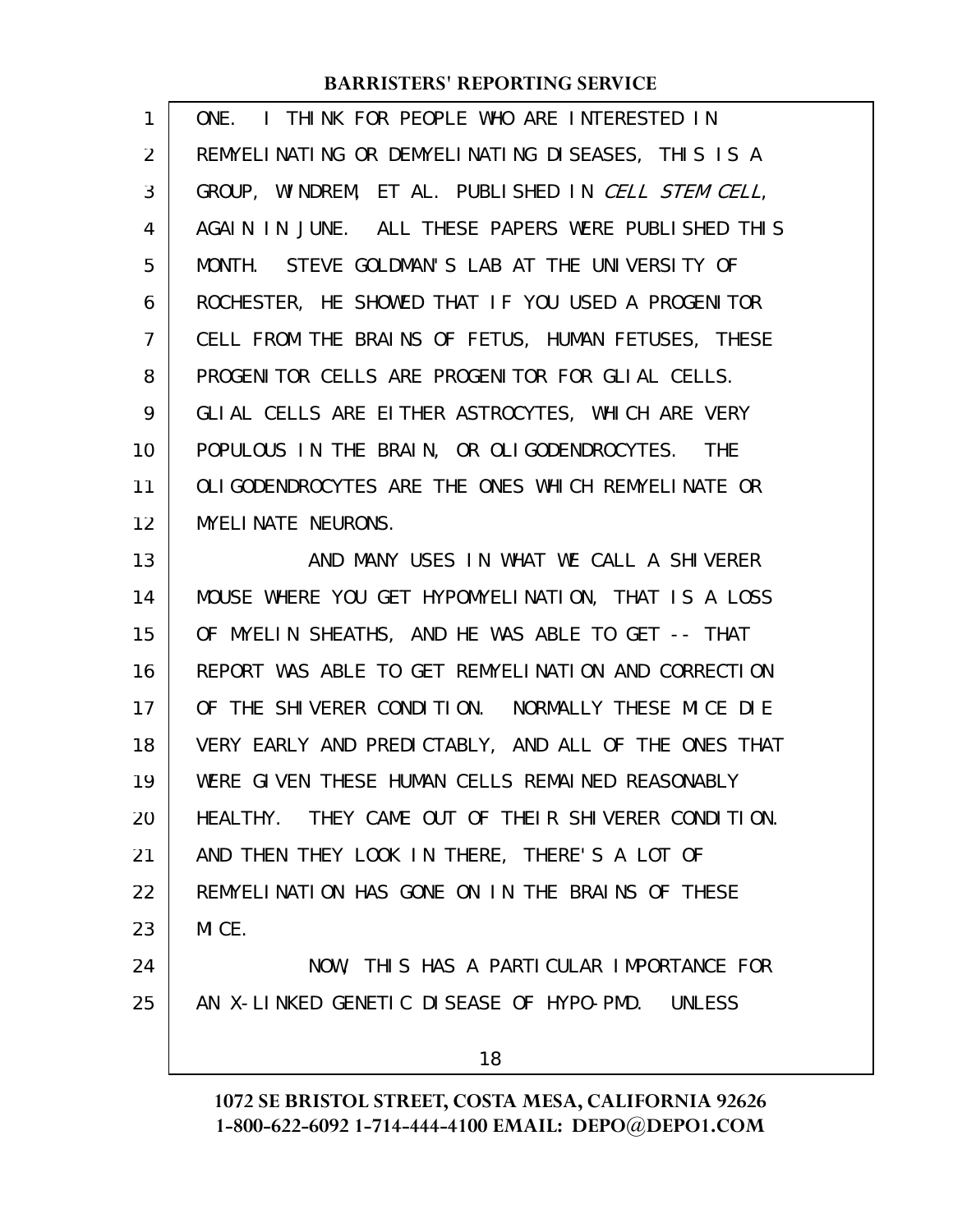| 1  | ONE. I THINK FOR PEOPLE WHO ARE INTERESTED IN        |
|----|------------------------------------------------------|
| 2  | REMYELINATING OR DEMYELINATING DISEASES, THIS IS A   |
| 3  | GROUP, WINDREM, ET AL. PUBLISHED IN CELL STEM CELL,  |
| 4  | AGAIN IN JUNE. ALL THESE PAPERS WERE PUBLISHED THIS  |
| 5  | MONTH. STEVE GOLDMAN'S LAB AT THE UNIVERSITY OF      |
| 6  | ROCHESTER, HE SHOWED THAT IF YOU USED A PROGENITOR   |
| 7  | CELL FROM THE BRAINS OF FETUS, HUMAN FETUSES, THESE  |
| 8  | PROGENITOR CELLS ARE PROGENITOR FOR GLIAL CELLS.     |
| 9  | GLIAL CELLS ARE EITHER ASTROCYTES, WHICH ARE VERY    |
| 10 | POPULOUS IN THE BRAIN, OR OLIGODENDROCYTES. THE      |
| 11 | OLI GODENDROCYTES ARE THE ONES WHICH REMYELINATE OR  |
| 12 | <b>MYELINATE NEURONS.</b>                            |
| 13 | AND MANY USES IN WHAT WE CALL A SHIVERER             |
| 14 | MOUSE WHERE YOU GET HYPOMYELINATION, THAT IS A LOSS  |
| 15 | OF MYELIN SHEATHS, AND HE WAS ABLE TO GET -- THAT    |
| 16 | REPORT WAS ABLE TO GET REMYELINATION AND CORRECTION  |
| 17 | OF THE SHIVERER CONDITION. NORMALLY THESE MICE DIE   |
| 18 | VERY EARLY AND PREDICTABLY, AND ALL OF THE ONES THAT |
| 19 | WERE GIVEN THESE HUMAN CELLS REMAINED REASONABLY     |
| 20 | HEALTHY. THEY CAME OUT OF THEIR SHIVERER CONDITION.  |
| 21 | AND THEN THEY LOOK IN THERE, THERE'S A LOT OF        |
| 22 | REMYELINATION HAS GONE ON IN THE BRAINS OF THESE     |
| 23 | MICE.                                                |
| 24 | NOW, THIS HAS A PARTICULAR IMPORTANCE FOR            |
| 25 | AN X-LINKED GENETIC DISEASE OF HYPO-PMD. UNLESS      |
|    | 18                                                   |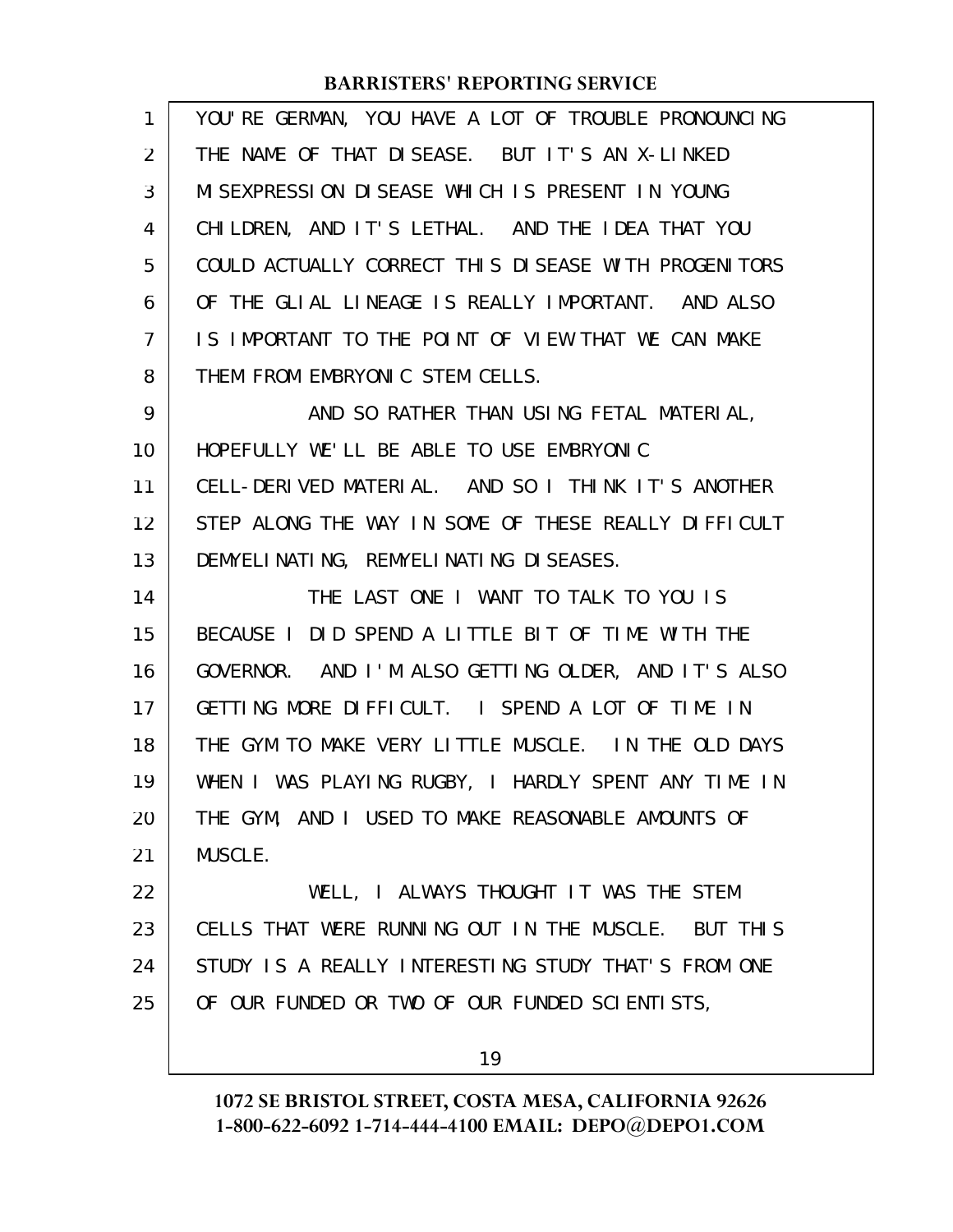| $\mathbf{1}$   | YOU'RE GERMAN, YOU HAVE A LOT OF TROUBLE PRONOUNCING |
|----------------|------------------------------------------------------|
| $\overline{2}$ | THE NAME OF THAT DISEASE. BUT IT'S AN X-LINKED       |
| 3              | MISEXPRESSION DISEASE WHICH IS PRESENT IN YOUNG      |
| 4              | CHILDREN, AND IT'S LETHAL. AND THE IDEA THAT YOU     |
| 5              | COULD ACTUALLY CORRECT THIS DISEASE WITH PROGENITORS |
| 6              | OF THE GLIAL LINEAGE IS REALLY IMPORTANT. AND ALSO   |
| 7              | IS IMPORTANT TO THE POINT OF VIEW THAT WE CAN MAKE   |
| 8              | THEM FROM EMBRYONIC STEM CELLS.                      |
| 9              | AND SO RATHER THAN USING FETAL MATERIAL,             |
| 10             | HOPEFULLY WE'LL BE ABLE TO USE EMBRYONIC             |
| 11             | CELL-DERIVED MATERIAL. AND SO I THINK IT'S ANOTHER   |
| 12             | STEP ALONG THE WAY IN SOME OF THESE REALLY DIFFICULT |
| 13             | DEMYELINATING, REMYELINATING DISEASES.               |
| 14             | THE LAST ONE I WANT TO TALK TO YOU IS                |
| 15             | BECAUSE I DID SPEND A LITTLE BIT OF TIME WITH THE    |
|                |                                                      |
| 16             | GOVERNOR. AND I'M ALSO GETTING OLDER, AND IT'S ALSO  |
| 17             | GETTING MORE DIFFICULT. I SPEND A LOT OF TIME IN     |
| 18             | THE GYM TO MAKE VERY LITTLE MUSCLE. IN THE OLD DAYS  |
| 19             | WHEN I WAS PLAYING RUGBY, I HARDLY SPENT ANY TIME IN |
| 20             | THE GYM, AND I USED TO MAKE REASONABLE AMOUNTS OF    |
| 21             | MUSCLE.                                              |
| 22             | WELL, I ALWAYS THOUGHT IT WAS THE STEM               |
| 23             | CELLS THAT WERE RUNNING OUT IN THE MUSCLE. BUT THIS  |
| 24             | STUDY IS A REALLY INTERESTING STUDY THAT'S FROM ONE  |
| 25             | OF OUR FUNDED OR TWO OF OUR FUNDED SCIENTISTS,       |

19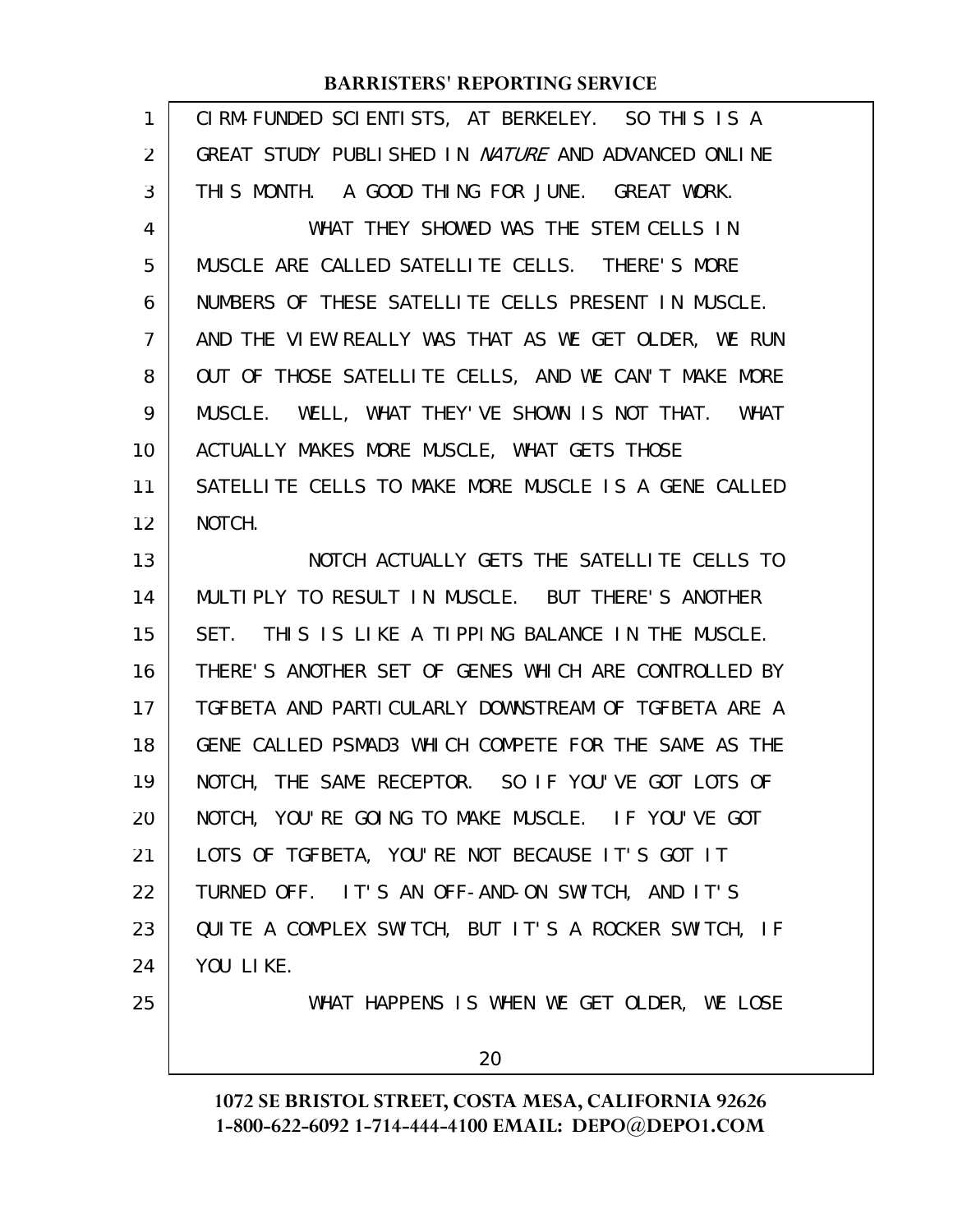| $\mathbf{1}$   | CIRM-FUNDED SCIENTISTS, AT BERKELEY. SO THIS IS A          |
|----------------|------------------------------------------------------------|
| $\overline{2}$ | GREAT STUDY PUBLISHED IN <i>NATURE</i> AND ADVANCED ONLINE |
| 3              | THIS MONTH. A GOOD THING FOR JUNE. GREAT WORK.             |
| 4              | WHAT THEY SHOWED WAS THE STEM CELLS IN                     |
| 5              | MUSCLE ARE CALLED SATELLITE CELLS. THERE'S MORE            |
| 6              | NUMBERS OF THESE SATELLITE CELLS PRESENT IN MUSCLE.        |
| $\overline{7}$ | AND THE VIEW REALLY WAS THAT AS WE GET OLDER, WE RUN       |
| 8              | OUT OF THOSE SATELLITE CELLS, AND WE CAN'T MAKE MORE       |
| 9              | MUSCLE. WELL, WHAT THEY'VE SHOWN IS NOT THAT. WHAT         |
| 10             | ACTUALLY MAKES MORE MUSCLE, WHAT GETS THOSE                |
| 11             | SATELLITE CELLS TO MAKE MORE MUSCLE IS A GENE CALLED       |
| 12             | NOTCH.                                                     |
| 13             | NOTCH ACTUALLY GETS THE SATELLITE CELLS TO                 |
| 14             | MULTIPLY TO RESULT IN MUSCLE. BUT THERE'S ANOTHER          |
| 15             | SET. THIS IS LIKE A TIPPING BALANCE IN THE MUSCLE.         |
| 16             | THERE'S ANOTHER SET OF GENES WHICH ARE CONTROLLED BY       |
| 17             | TGFBETA AND PARTICULARLY DOWNSTREAM OF TGFBETA ARE A       |
| 18             | GENE CALLED PSMAD3 WHICH COMPETE FOR THE SAME AS THE       |
| 19             | NOTCH, THE SAME RECEPTOR. SO IF YOU'VE GOT LOTS OF         |
| 20             | NOTCH, YOU'RE GOING TO MAKE MUSCLE. IF YOU'VE GOT          |
| 21             | LOTS OF TGFBETA, YOU'RE NOT BECAUSE IT'S GOT IT            |
| 22             | TURNED OFF. IT'S AN OFF-AND-ON SWITCH, AND IT'S            |
| 23             | QUITE A COMPLEX SWITCH, BUT IT'S A ROCKER SWITCH, IF       |
| 24             | YOU LIKE.                                                  |
| 25             | WHAT HAPPENS IS WHEN WE GET OLDER, WE LOSE                 |
|                | 20                                                         |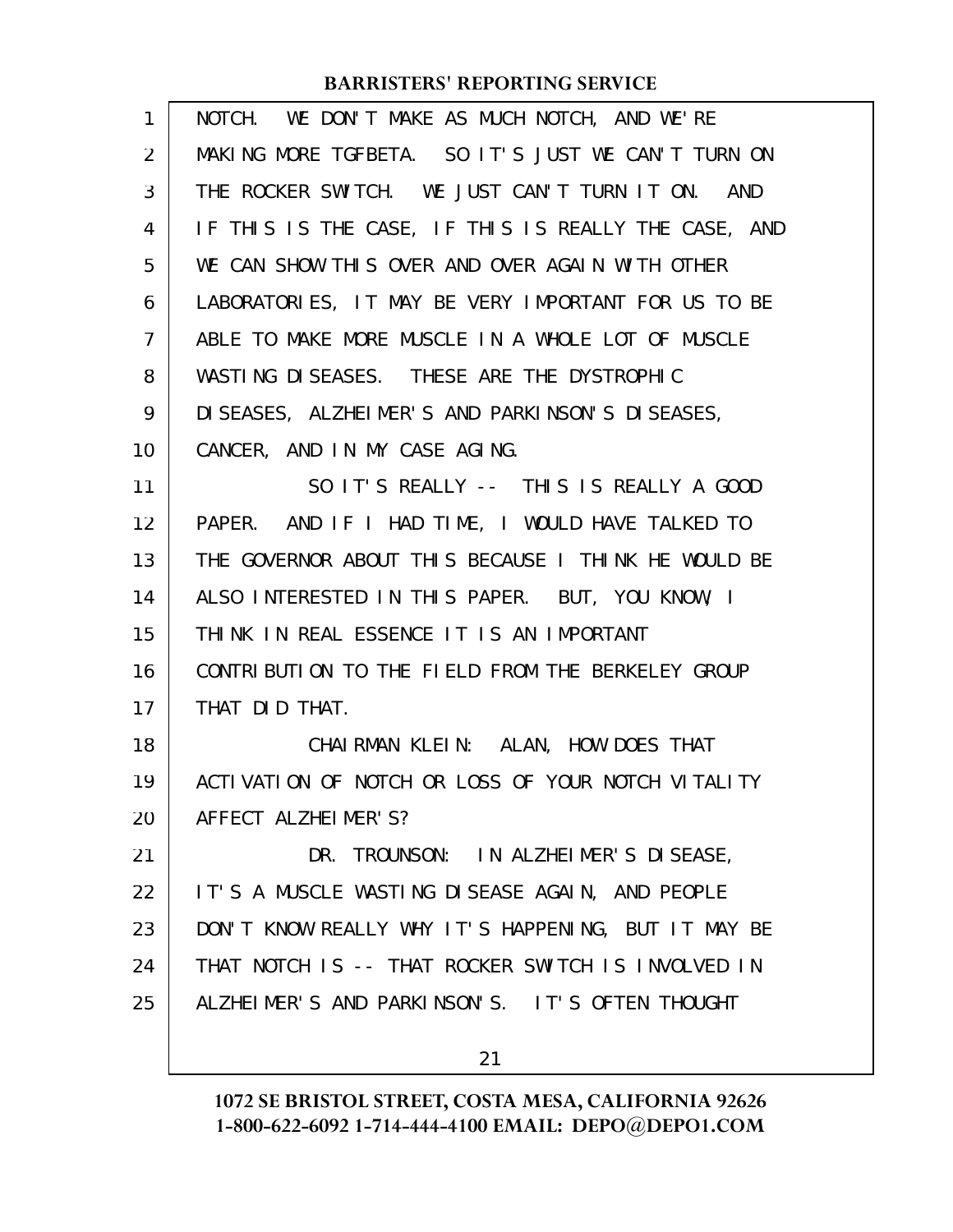| $\mathbf{1}$   | NOTCH. WE DON'T MAKE AS MUCH NOTCH, AND WE'RE        |
|----------------|------------------------------------------------------|
| $\overline{2}$ | MAKING MORE TGFBETA. SO IT'S JUST WE CAN'T TURN ON   |
| 3              | THE ROCKER SWITCH. WE JUST CAN'T TURN IT ON. AND     |
| 4              | IF THIS IS THE CASE, IF THIS IS REALLY THE CASE, AND |
| 5              | WE CAN SHOW THIS OVER AND OVER AGAIN WITH OTHER      |
| 6              | LABORATORIES, IT MAY BE VERY IMPORTANT FOR US TO BE  |
| $\overline{7}$ | ABLE TO MAKE MORE MUSCLE IN A WHOLE LOT OF MUSCLE    |
| 8              | WASTING DISEASES. THESE ARE THE DYSTROPHIC           |
| 9              | DI SEASES, ALZHEIMER'S AND PARKINSON'S DISEASES,     |
| 10             | CANCER, AND IN MY CASE AGING.                        |
| 11             | SO IT'S REALLY -- THIS IS REALLY A GOOD              |
| 12             | PAPER. AND IF I HAD TIME, I WOULD HAVE TALKED TO     |
| 13             | THE GOVERNOR ABOUT THIS BECAUSE I THINK HE WOULD BE  |
| 14             | ALSO INTERESTED IN THIS PAPER. BUT, YOU KNOW, I      |
| 15             | THINK IN REAL ESSENCE IT IS AN IMPORTANT             |
| 16             | CONTRIBUTION TO THE FIELD FROM THE BERKELEY GROUP    |
| 17             | THAT DID THAT.                                       |
| 18             | CHAIRMAN KLEIN: ALAN, HOW DOES THAT                  |
| 19             | ACTIVATION OF NOTCH OR LOSS OF YOUR NOTCH VITALITY   |
| 20             | AFFECT ALZHEIMER'S?                                  |
| 21             | DR. TROUNSON: IN ALZHEIMER'S DISEASE,                |
| 22             | IT'S A MUSCLE WASTING DISEASE AGAIN, AND PEOPLE      |
| 23             | DON'T KNOW REALLY WHY IT'S HAPPENING, BUT IT MAY BE  |
| 24             | THAT NOTCH IS -- THAT ROCKER SWITCH IS INVOLVED IN   |
| 25             | ALZHEIMER'S AND PARKINSON'S. IT'S OFTEN THOUGHT      |
|                | 21                                                   |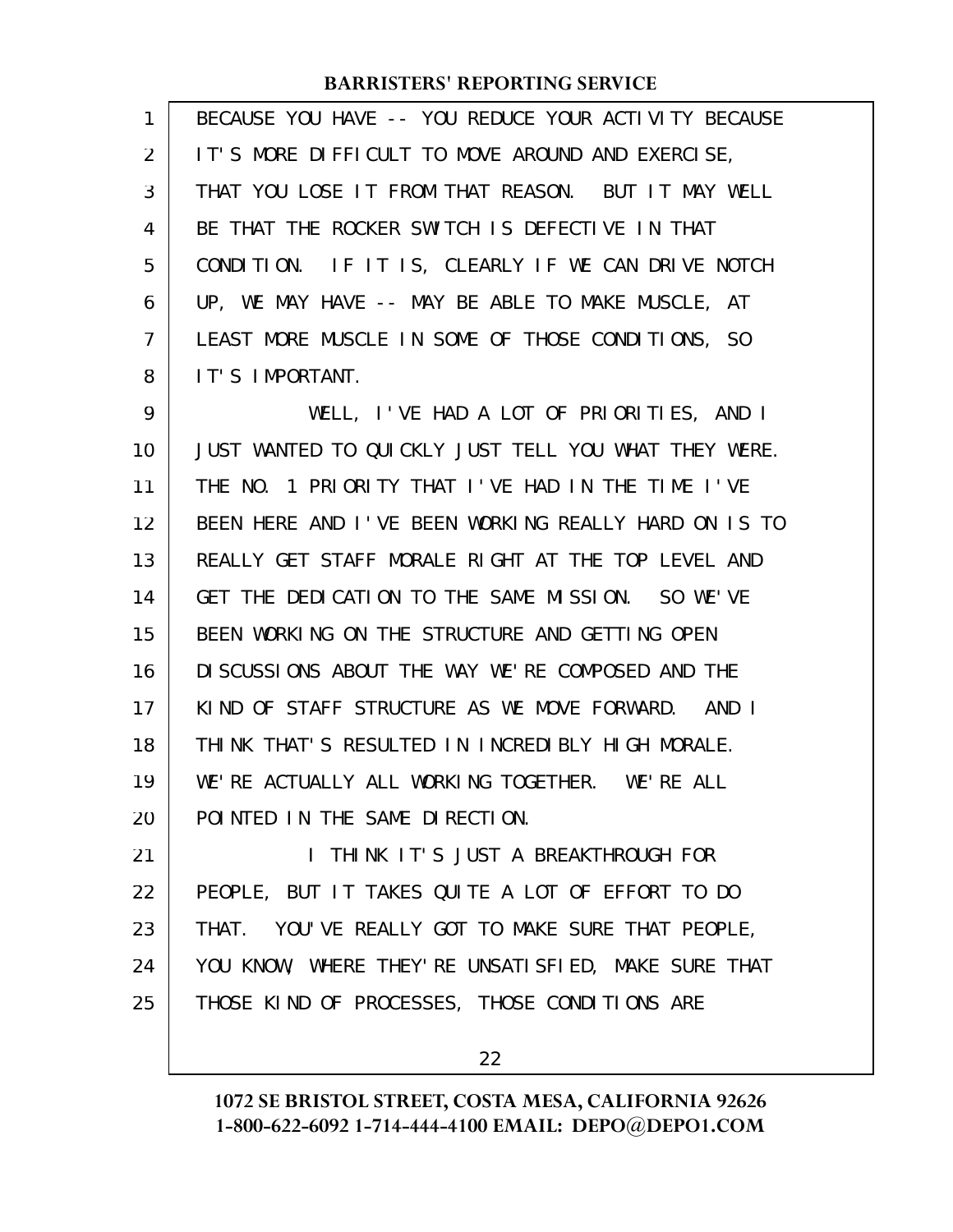| 1  | BECAUSE YOU HAVE -- YOU REDUCE YOUR ACTIVITY BECAUSE  |
|----|-------------------------------------------------------|
| 2  | IT'S MORE DIFFICULT TO MOVE AROUND AND EXERCISE,      |
| 3  | THAT YOU LOSE IT FROM THAT REASON. BUT IT MAY WELL    |
| 4  | BE THAT THE ROCKER SWITCH IS DEFECTIVE IN THAT        |
| 5  | CONDITION. IF IT IS, CLEARLY IF WE CAN DRIVE NOTCH    |
| 6  | UP, WE MAY HAVE -- MAY BE ABLE TO MAKE MUSCLE, AT     |
| 7  | LEAST MORE MUSCLE IN SOME OF THOSE CONDITIONS, SO     |
| 8  | IT'S IMPORTANT.                                       |
| 9  | WELL, I'VE HAD A LOT OF PRIORITIES, AND I             |
| 10 | JUST WANTED TO QUICKLY JUST TELL YOU WHAT THEY WERE.  |
| 11 | THE NO. 1 PRIORITY THAT I'VE HAD IN THE TIME I'VE     |
| 12 | BEEN HERE AND I'VE BEEN WORKING REALLY HARD ON IS TO  |
| 13 | REALLY GET STAFF MORALE RIGHT AT THE TOP LEVEL AND    |
| 14 | GET THE DEDICATION TO THE SAME MISSION. SO WE'VE      |
| 15 | BEEN WORKING ON THE STRUCTURE AND GETTING OPEN        |
| 16 | DI SCUSSIONS ABOUT THE WAY WE'RE COMPOSED AND THE     |
| 17 | KIND OF STAFF STRUCTURE AS WE MOVE FORWARD. AND I     |
| 18 | THINK THAT'S RESULTED IN INCREDIBLY HIGH MORALE.      |
| 19 | WE'RE ACTUALLY ALL WORKING TOGETHER. WE'RE ALL        |
| 20 | POINTED IN THE SAME DIRECTION.                        |
| 21 | I THINK IT'S JUST A BREAKTHROUGH FOR                  |
| 22 | PEOPLE, BUT IT TAKES QUITE A LOT OF EFFORT TO DO      |
| 23 | THAT. YOU'VE REALLY GOT TO MAKE SURE THAT PEOPLE,     |
| 24 | YOU KNOW, WHERE THEY' RE UNSATI SFIED, MAKE SURE THAT |
| 25 | THOSE KIND OF PROCESSES, THOSE CONDITIONS ARE         |

22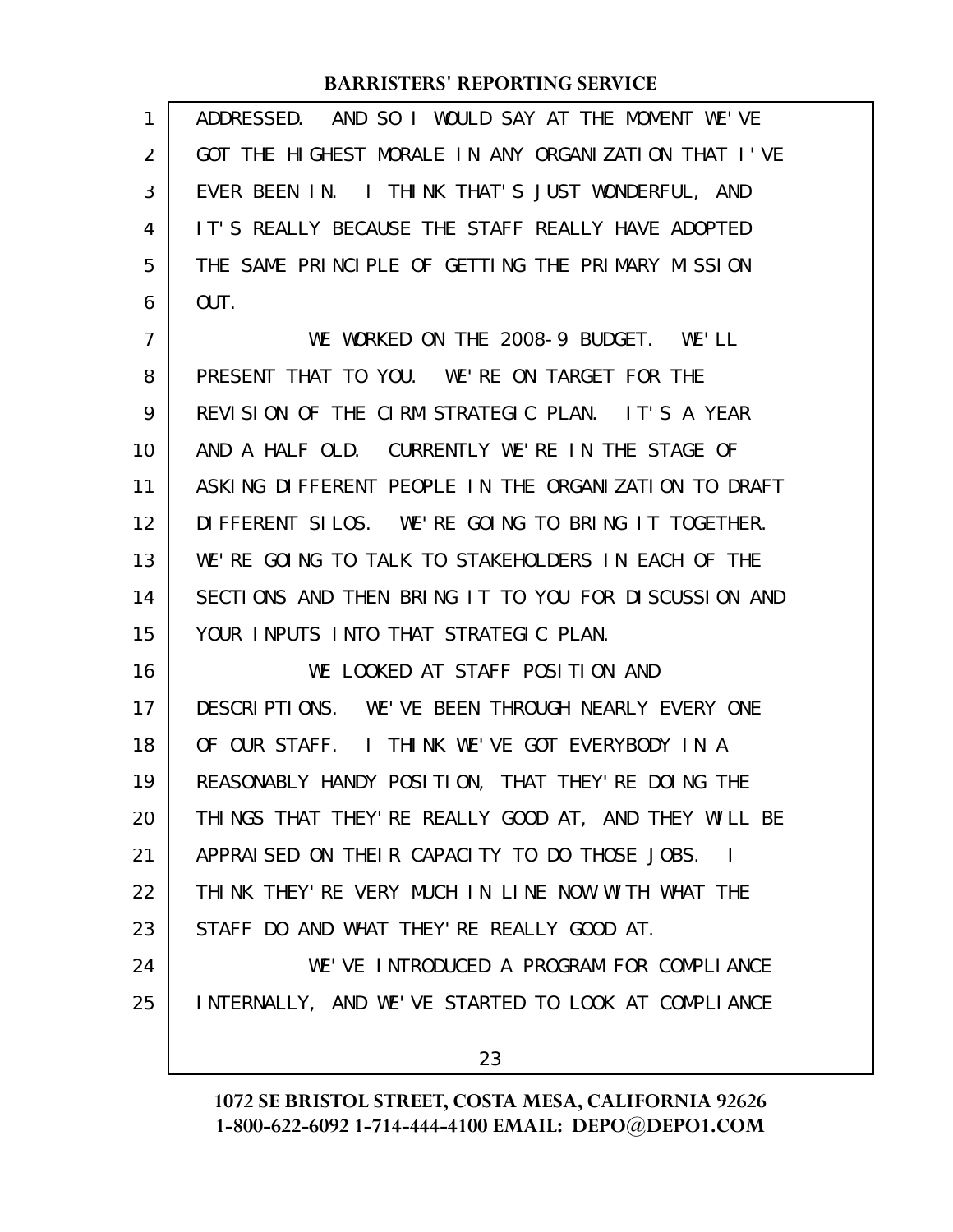| 1              | ADDRESSED. AND SO I WOULD SAY AT THE MOMENT WE'VE     |
|----------------|-------------------------------------------------------|
| 2              | GOT THE HIGHEST MORALE IN ANY ORGANIZATION THAT I'VE  |
| 3              | EVER BEEN IN. I THINK THAT'S JUST WONDERFUL, AND      |
| 4              | IT'S REALLY BECAUSE THE STAFF REALLY HAVE ADOPTED     |
| 5              | THE SAME PRINCIPLE OF GETTING THE PRIMARY MISSION     |
| 6              | OUT.                                                  |
| $\overline{7}$ | WE WORKED ON THE 2008-9 BUDGET. WE'LL                 |
| 8              | PRESENT THAT TO YOU. WE'RE ON TARGET FOR THE          |
| 9              | REVISION OF THE CIRM STRATEGIC PLAN. IT'S A YEAR      |
| 10             | AND A HALF OLD. CURRENTLY WE'RE IN THE STAGE OF       |
| 11             | ASKING DIFFERENT PEOPLE IN THE ORGANIZATION TO DRAFT  |
| 12             | DIFFERENT SILOS. WE'RE GOING TO BRING IT TOGETHER.    |
| 13             | WE'RE GOING TO TALK TO STAKEHOLDERS IN EACH OF THE    |
| 14             | SECTIONS AND THEN BRING IT TO YOU FOR DISCUSSION AND  |
| 15             | YOUR INPUTS INTO THAT STRATEGIC PLAN.                 |
| 16             | WE LOOKED AT STAFF POSITION AND                       |
| 17             | DESCRIPTIONS. WE'VE BEEN THROUGH NEARLY EVERY ONE     |
| 18             | OF OUR STAFF. I THINK WE'VE GOT EVERYBODY IN A        |
| 19             | REASONABLY HANDY POSITION, THAT THEY'RE DOING THE     |
| 20             | THINGS THAT THEY' RE REALLY GOOD AT, AND THEY WILL BE |
| 21             | APPRAISED ON THEIR CAPACITY TO DO THOSE JOBS. I       |
| 22             | THINK THEY'RE VERY MUCH IN LINE NOW WITH WHAT THE     |
| 23             | STAFF DO AND WHAT THEY' RE REALLY GOOD AT.            |
| 24             | WE'VE INTRODUCED A PROGRAM FOR COMPLIANCE             |
| 25             | INTERNALLY, AND WE'VE STARTED TO LOOK AT COMPLIANCE   |
|                | 23                                                    |
|                |                                                       |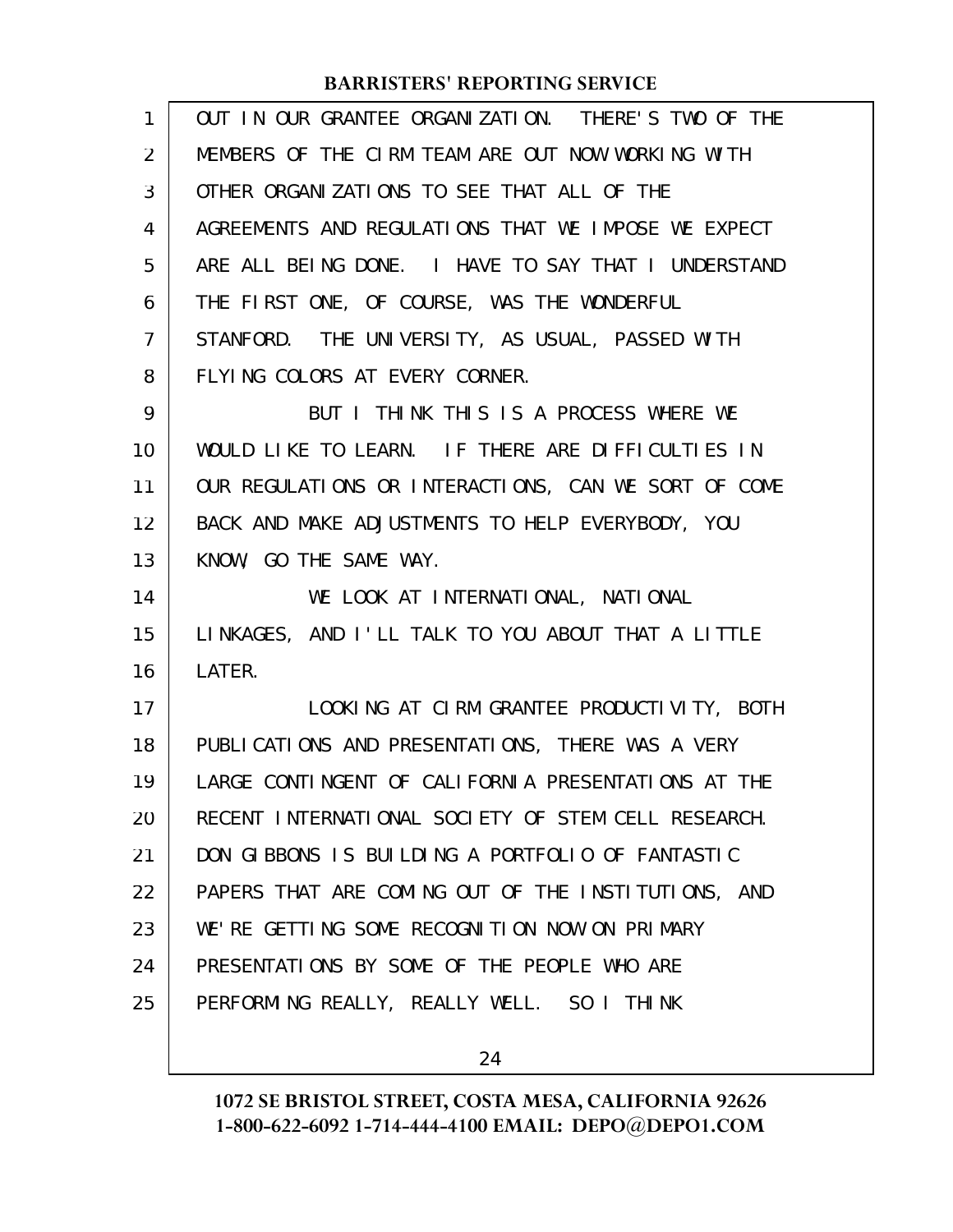| $\mathbf{1}$   | OUT IN OUR GRANTEE ORGANIZATION. THERE'S TWO OF THE  |
|----------------|------------------------------------------------------|
| $\overline{2}$ | MEMBERS OF THE CIRM TEAM ARE OUT NOW WORKING WITH    |
| 3              | OTHER ORGANIZATIONS TO SEE THAT ALL OF THE           |
| 4              | AGREEMENTS AND REGULATIONS THAT WE IMPOSE WE EXPECT  |
| 5              | ARE ALL BEING DONE. I HAVE TO SAY THAT I UNDERSTAND  |
| 6              | THE FIRST ONE, OF COURSE, WAS THE WONDERFUL          |
| $\overline{7}$ | STANFORD. THE UNIVERSITY, AS USUAL, PASSED WITH      |
| 8              | FLYING COLORS AT EVERY CORNER.                       |
| 9              | BUT I THINK THIS IS A PROCESS WHERE WE               |
| 10             | WOULD LIKE TO LEARN. IF THERE ARE DIFFICULTIES IN    |
| 11             | OUR REGULATIONS OR INTERACTIONS, CAN WE SORT OF COME |
| 12             | BACK AND MAKE ADJUSTMENTS TO HELP EVERYBODY, YOU     |
| 13             | KNOW, GO THE SAME WAY.                               |
| 14             | WE LOOK AT INTERNATIONAL, NATIONAL                   |
| 15             | LINKAGES, AND I'LL TALK TO YOU ABOUT THAT A LITTLE   |
| 16             | LATER.                                               |
| 17             | LOOKING AT CIRM GRANTEE PRODUCTIVITY, BOTH           |
| 18             | PUBLICATIONS AND PRESENTATIONS, THERE WAS A VERY     |
| 19             | LARGE CONTINGENT OF CALIFORNIA PRESENTATIONS AT THE  |
| 20             | RECENT INTERNATIONAL SOCIETY OF STEM CELL RESEARCH.  |
| 21             | DON GIBBONS IS BUILDING A PORTFOLIO OF FANTASTIC     |
| 22             | PAPERS THAT ARE COMING OUT OF THE INSTITUTIONS, AND  |
| 23             | WE'RE GETTING SOME RECOGNITION NOW ON PRIMARY        |
| 24             | PRESENTATIONS BY SOME OF THE PEOPLE WHO ARE          |
| 25             | PERFORMING REALLY, REALLY WELL. SO I THINK           |
|                |                                                      |

24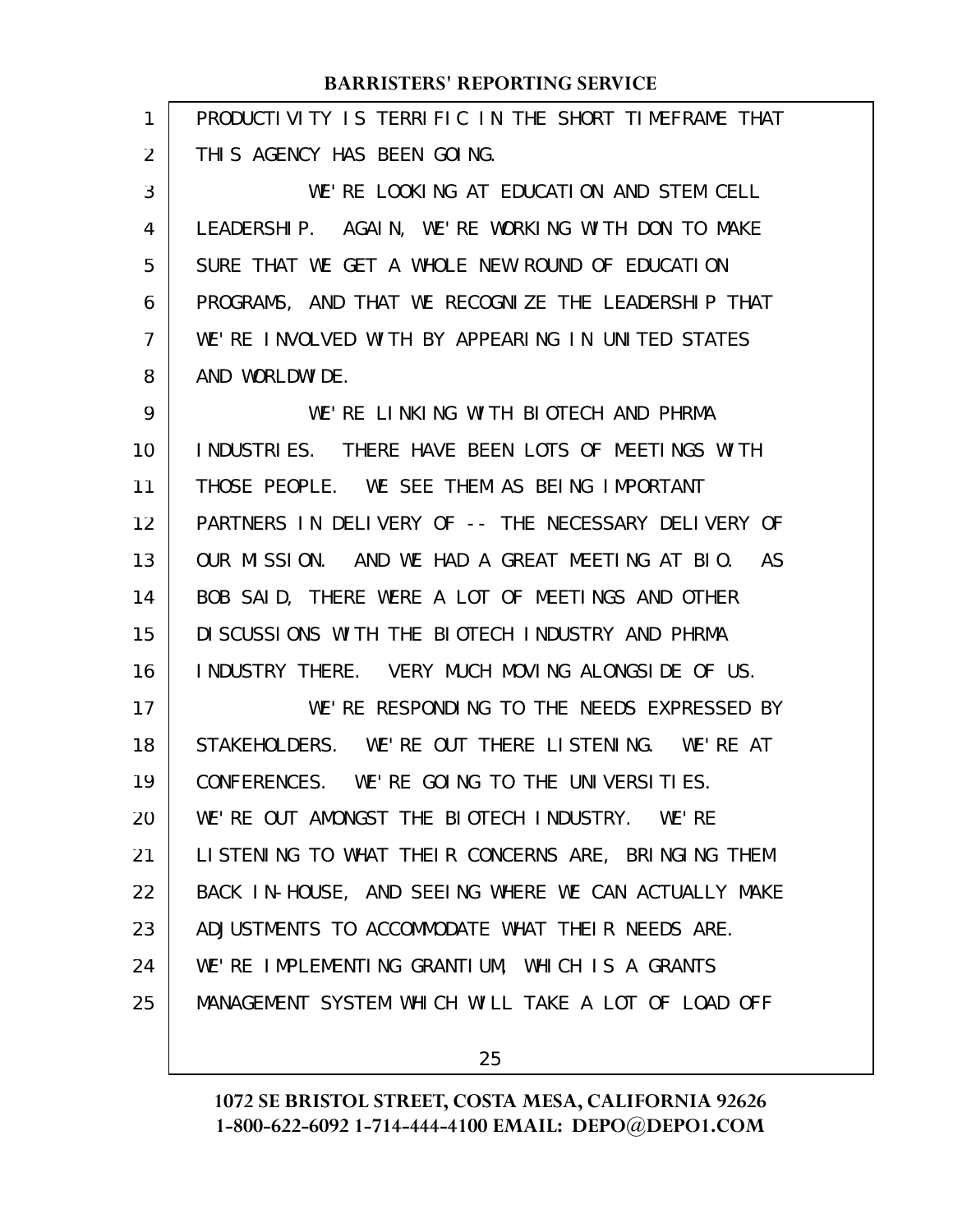| 1              | PRODUCTIVITY IS TERRIFIC IN THE SHORT TIMEFRAME THAT |
|----------------|------------------------------------------------------|
| 2              | THIS AGENCY HAS BEEN GOING.                          |
| 3              | WE'RE LOOKING AT EDUCATION AND STEM CELL             |
| 4              | LEADERSHIP. AGAIN, WE'RE WORKING WITH DON TO MAKE    |
| 5              | SURE THAT WE GET A WHOLE NEW ROUND OF EDUCATION      |
| 6              | PROGRAMS, AND THAT WE RECOGNIZE THE LEADERSHIP THAT  |
| $\overline{7}$ | WE'RE INVOLVED WITH BY APPEARING IN UNITED STATES    |
| 8              | AND WORLDWIDE.                                       |
| 9              | WE'RE LINKING WITH BIOTECH AND PHRMA                 |
| 10             | INDUSTRIES. THERE HAVE BEEN LOTS OF MEETINGS WITH    |
| 11             | THOSE PEOPLE. WE SEE THEM AS BEING IMPORTANT         |
| 12             | PARTNERS IN DELIVERY OF -- THE NECESSARY DELIVERY OF |
| 13             | OUR MISSION. AND WE HAD A GREAT MEETING AT BIO. AS   |
| 14             | BOB SAID, THERE WERE A LOT OF MEETINGS AND OTHER     |
| 15             | DI SCUSSIONS WITH THE BIOTECH INDUSTRY AND PHRMA     |
| 16             | INDUSTRY THERE. VERY MUCH MOVING ALONGSIDE OF US.    |
| 17             | WE'RE RESPONDING TO THE NEEDS EXPRESSED BY           |
| 18             | STAKEHOLDERS. WE'RE OUT THERE LISTENING. WE'RE AT    |
| 19             | CONFERENCES. WE'RE GOING TO THE UNIVERSITIES.        |
| 20             | WE'RE OUT AMONGST THE BIOTECH INDUSTRY. WE'RE        |
| 21             | LISTENING TO WHAT THEIR CONCERNS ARE, BRINGING THEM  |
| 22             | BACK IN-HOUSE, AND SEEING WHERE WE CAN ACTUALLY MAKE |
| 23             | ADJUSTMENTS TO ACCOMMODATE WHAT THEIR NEEDS ARE.     |
| 24             | WE'RE IMPLEMENTING GRANTIUM, WHICH IS A GRANTS       |
| 25             | MANAGEMENT SYSTEM WHICH WILL TAKE A LOT OF LOAD OFF  |
|                |                                                      |

25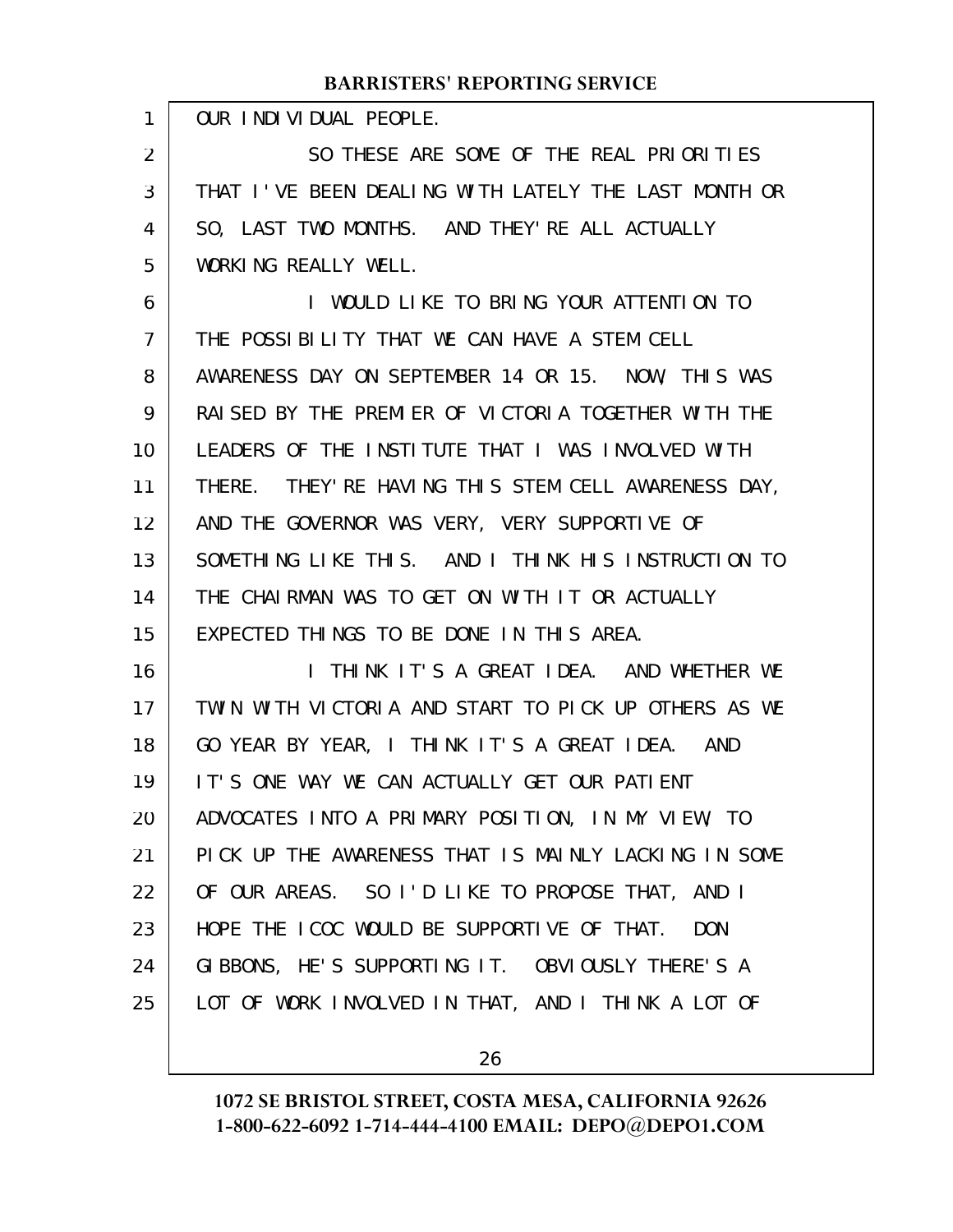| 1              | OUR INDIVIDUAL PEOPLE.                                   |
|----------------|----------------------------------------------------------|
| 2              | SO THESE ARE SOME OF THE REAL PRIORITIES                 |
| 3              | THAT I'VE BEEN DEALING WITH LATELY THE LAST MONTH OR     |
| 4              | SO, LAST TWO MONTHS. AND THEY' RE ALL ACTUALLY           |
| 5              | WORKING REALLY WELL.                                     |
| 6              | I WOULD LIKE TO BRING YOUR ATTENTION TO                  |
| $\overline{7}$ | THE POSSIBILITY THAT WE CAN HAVE A STEM CELL             |
| 8              | AWARENESS DAY ON SEPTEMBER 14 OR 15. NOW, THIS WAS       |
| 9              | RAI SED BY THE PREMIER OF VICTORIA TOGETHER WITH THE     |
| 10             | LEADERS OF THE INSTITUTE THAT I WAS INVOLVED WITH        |
| 11             | THERE. THEY' RE HAVING THIS STEM CELL AWARENESS DAY,     |
| 12             | AND THE GOVERNOR WAS VERY, VERY SUPPORTIVE OF            |
| 13             | SOMETHING LIKE THIS. AND I THINK HIS INSTRUCTION TO      |
| 14             | THE CHAIRMAN WAS TO GET ON WITH IT OR ACTUALLY           |
| 15             | EXPECTED THINGS TO BE DONE IN THIS AREA.                 |
| 16             | I THINK IT'S A GREAT IDEA. AND WHETHER WE                |
| 17             | TWIN WITH VICTORIA AND START TO PICK UP OTHERS AS WE     |
| 18             | GO YEAR BY YEAR, I THINK IT'S A GREAT IDEA. AND          |
| 19             | IT'S ONE WAY WE CAN ACTUALLY GET OUR PATIENT             |
| 20             | ADVOCATES INTO A PRIMARY POSITION, IN MY VIEW, TO        |
| 21             | PICK UP THE AWARENESS THAT IS MAINLY LACKING IN SOME     |
| 22             | OF OUR AREAS. SO I'D LIKE TO PROPOSE THAT, AND I         |
| 23             | HOPE THE ICOC WOULD BE SUPPORTIVE OF THAT.<br><b>DON</b> |
| 24             | GIBBONS, HE'S SUPPORTING IT. OBVIOUSLY THERE'S A         |
| 25             | LOT OF WORK INVOLVED IN THAT, AND I THINK A LOT OF       |
|                |                                                          |

26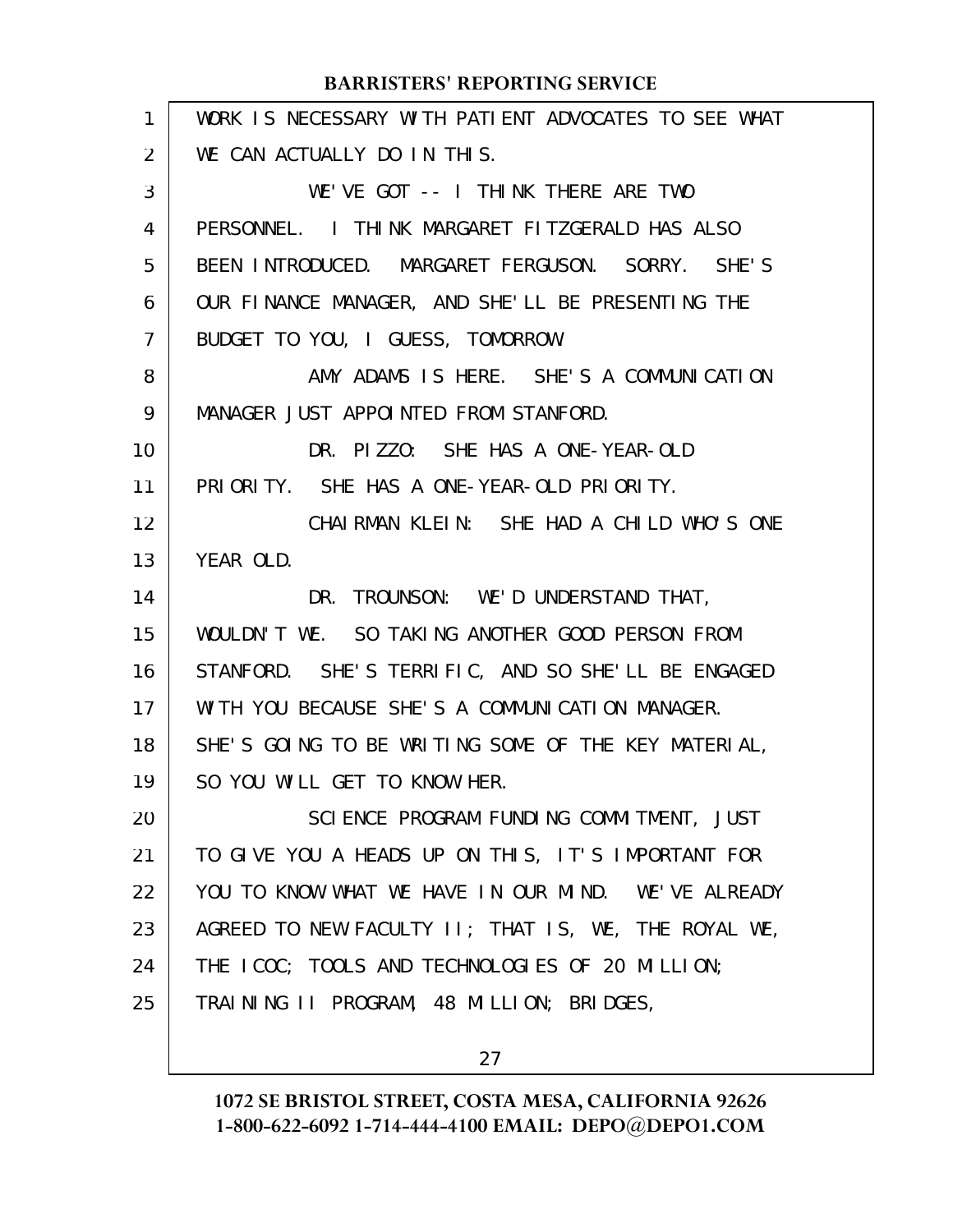| $\mathbf{1}$   | WORK IS NECESSARY WITH PATIENT ADVOCATES TO SEE WHAT |
|----------------|------------------------------------------------------|
| $\overline{2}$ | WE CAN ACTUALLY DO IN THIS.                          |
| 3              | WE'VE GOT -- I THINK THERE ARE TWO                   |
| 4              | PERSONNEL. I THINK MARGARET FITZGERALD HAS ALSO      |
| 5              | BEEN INTRODUCED. MARGARET FERGUSON. SORRY. SHE'S     |
| 6              | OUR FINANCE MANAGER, AND SHE'LL BE PRESENTING THE    |
| 7              | BUDGET TO YOU, I GUESS, TOMORROW.                    |
| 8              | AMY ADAMS IS HERE. SHE'S A COMMUNICATION             |
| 9              | MANAGER JUST APPOINTED FROM STANFORD.                |
| 10             | DR. PIZZO: SHE HAS A ONE-YEAR-OLD                    |
| 11             | PRIORITY. SHE HAS A ONE-YEAR-OLD PRIORITY.           |
| 12             | CHAIRMAN KLEIN: SHE HAD A CHILD WHO'S ONE            |
| 13             | YEAR OLD.                                            |
| 14             | DR. TROUNSON: WE'D UNDERSTAND THAT,                  |
| 15             | WOULDN'T WE. SO TAKING ANOTHER GOOD PERSON FROM      |
| 16             | STANFORD. SHE'S TERRIFIC, AND SO SHE'LL BE ENGAGED   |
| 17             | WITH YOU BECAUSE SHE'S A COMMUNICATION MANAGER.      |
| 18             | SHE'S GOING TO BE WRITING SOME OF THE KEY MATERIAL,  |
| 19             | SO YOU WILL GET TO KNOW HER.                         |
| 20             | SCIENCE PROGRAM FUNDING COMMITMENT, JUST             |
| 21             | TO GIVE YOU A HEADS UP ON THIS, IT'S IMPORTANT FOR   |
| 22             | YOU TO KNOW WHAT WE HAVE IN OUR MIND. WE'VE ALREADY  |
| 23             | AGREED TO NEW FACULTY II; THAT IS, WE, THE ROYAL WE, |
| 24             | THE ICOC; TOOLS AND TECHNOLOGIES OF 20 MILLION;      |
| 25             | TRAINING II PROGRAM, 48 MILLION; BRIDGES,            |
|                |                                                      |

27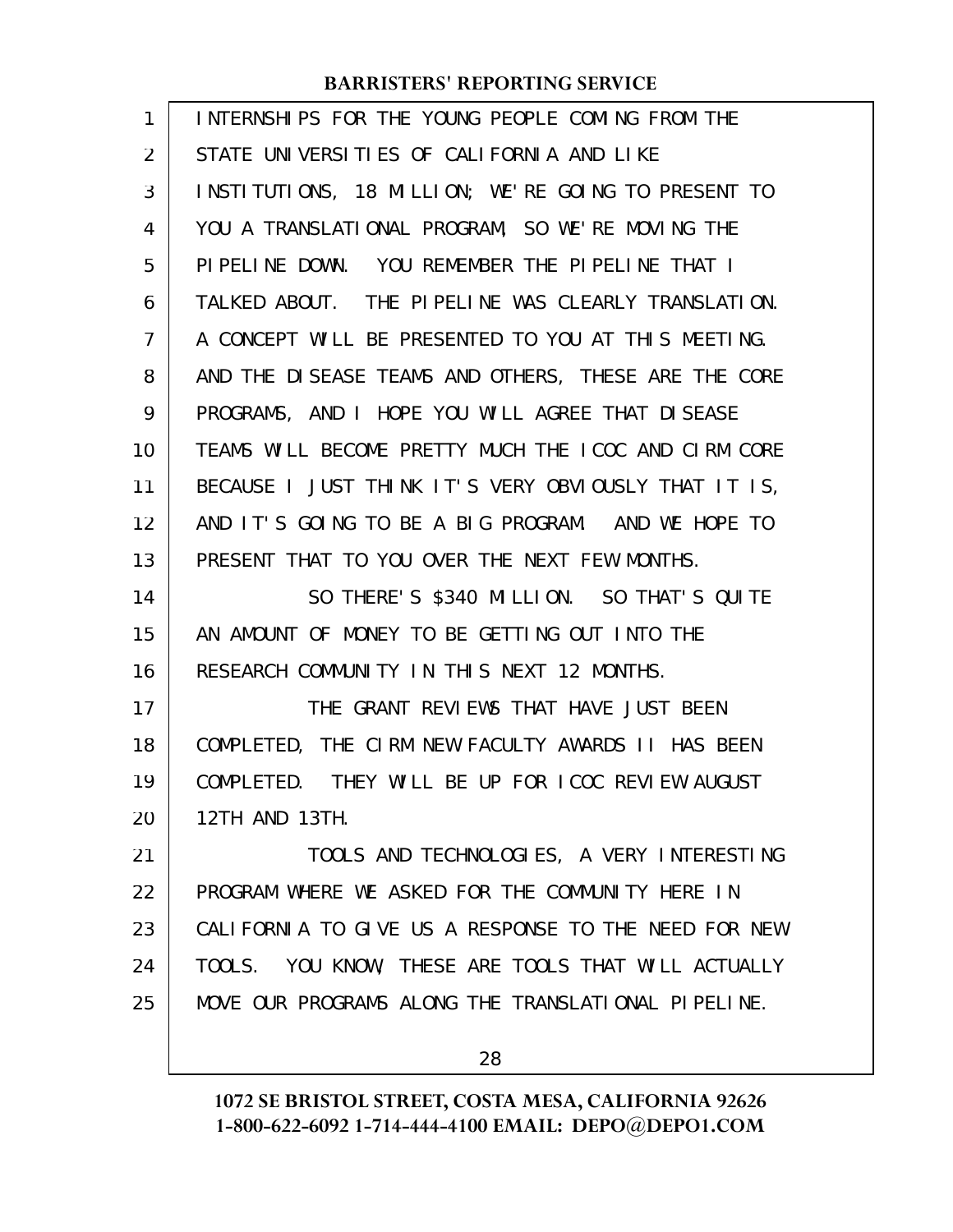| 1  | INTERNSHIPS FOR THE YOUNG PEOPLE COMING FROM THE     |
|----|------------------------------------------------------|
| 2  | STATE UNIVERSITIES OF CALIFORNIA AND LIKE            |
| 3  | INSTITUTIONS, 18 MILLION; WE'RE GOING TO PRESENT TO  |
| 4  | YOU A TRANSLATIONAL PROGRAM, SO WE'RE MOVING THE     |
| 5  | PIPELINE DOWN. YOU REMEMBER THE PIPELINE THAT I      |
| 6  | TALKED ABOUT. THE PIPELINE WAS CLEARLY TRANSLATION.  |
| 7  | A CONCEPT WILL BE PRESENTED TO YOU AT THIS MEETING.  |
| 8  | AND THE DISEASE TEAMS AND OTHERS, THESE ARE THE CORE |
| 9  | PROGRAMS, AND I HOPE YOU WILL AGREE THAT DISEASE     |
| 10 | TEAMS WILL BECOME PRETTY MUCH THE ICOC AND CIRM CORE |
| 11 | BECAUSE I JUST THINK IT'S VERY OBVIOUSLY THAT IT IS, |
| 12 | AND IT'S GOING TO BE A BIG PROGRAM. AND WE HOPE TO   |
| 13 | PRESENT THAT TO YOU OVER THE NEXT FEW MONTHS.        |
| 14 | SO THERE'S \$340 MILLION. SO THAT'S QUITE            |
| 15 | AN AMOUNT OF MONEY TO BE GETTING OUT INTO THE        |
| 16 | RESEARCH COMMUNITY IN THIS NEXT 12 MONTHS.           |
| 17 | THE GRANT REVIEWS THAT HAVE JUST BEEN                |
| 18 |                                                      |
|    | COMPLETED, THE CIRM NEW FACULTY AWARDS II HAS BEEN   |
| 19 | COMPLETED. THEY WILL BE UP FOR ICOC REVIEW AUGUST    |
| 20 | 12TH AND 13TH.                                       |
| 21 | TOOLS AND TECHNOLOGIES, A VERY INTERESTING           |
| 22 | PROGRAM WHERE WE ASKED FOR THE COMMUNITY HERE IN     |
| 23 | CALIFORNIA TO GIVE US A RESPONSE TO THE NEED FOR NEW |
| 24 | TOOLS. YOU KNOW, THESE ARE TOOLS THAT WILL ACTUALLY  |
| 25 | MOVE OUR PROGRAMS ALONG THE TRANSLATIONAL PIPELINE.  |

28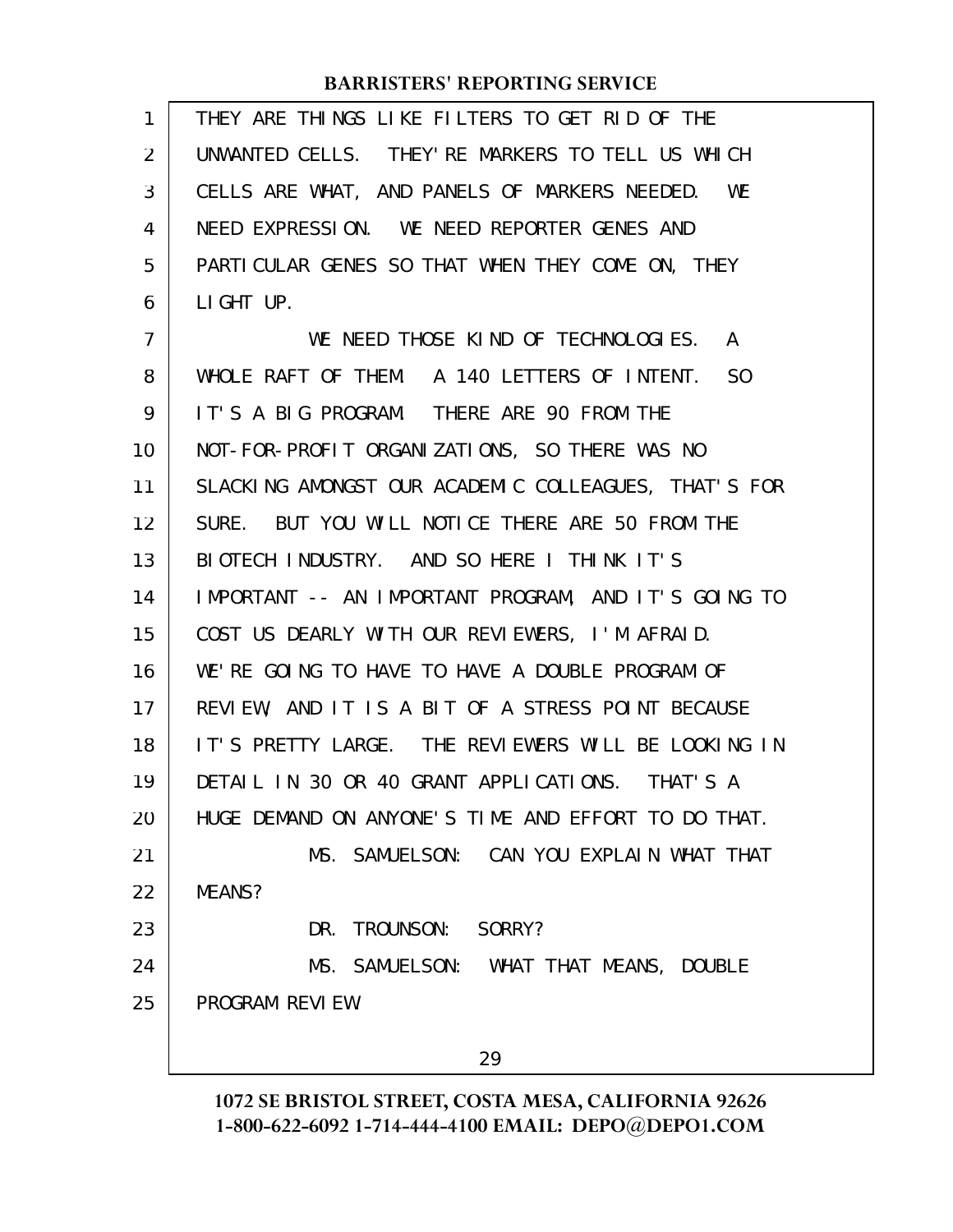| 1              | THEY ARE THINGS LIKE FILTERS TO GET RID OF THE       |
|----------------|------------------------------------------------------|
| $\overline{2}$ | UNWANTED CELLS. THEY'RE MARKERS TO TELL US WHICH     |
| 3              | CELLS ARE WHAT, AND PANELS OF MARKERS NEEDED. WE     |
| 4              | NEED EXPRESSION. WE NEED REPORTER GENES AND          |
| 5              | PARTICULAR GENES SO THAT WHEN THEY COME ON, THEY     |
| 6              | LIGHT UP.                                            |
| $\overline{7}$ | WE NEED THOSE KIND OF TECHNOLOGIES.<br>A             |
| 8              | WHOLE RAFT OF THEM. A 140 LETTERS OF INTENT. SO      |
| 9              | IT'S A BIG PROGRAM. THERE ARE 90 FROM THE            |
| 10             | NOT-FOR-PROFIT ORGANIZATIONS, SO THERE WAS NO        |
| 11             | SLACKING AMONGST OUR ACADEMIC COLLEAGUES, THAT'S FOR |
| 12             | SURE. BUT YOU WILL NOTICE THERE ARE 50 FROM THE      |
| 13             | BIOTECH INDUSTRY. AND SO HERE I THINK IT'S           |
| 14             | IMPORTANT -- AN IMPORTANT PROGRAM, AND IT'S GOING TO |
| 15             | COST US DEARLY WITH OUR REVIEWERS, I'M AFRAID.       |
| 16             | WE'RE GOING TO HAVE TO HAVE A DOUBLE PROGRAM OF      |
| 17             | REVIEW, AND IT IS A BIT OF A STRESS POINT BECAUSE    |
| 18             | IT'S PRETTY LARGE. THE REVIEWERS WILL BE LOOKING IN  |
| 19             | DETAIL IN 30 OR 40 GRANT APPLICATIONS. THAT'S A      |
| 20             | HUGE DEMAND ON ANYONE'S TIME AND EFFORT TO DO THAT.  |
| 21             | MS. SAMUELSON: CAN YOU EXPLAIN WHAT THAT             |
| 22             | MEANS?                                               |
| 23             | DR. TROUNSON: SORRY?                                 |
| 24             | MS. SAMUELSON: WHAT THAT MEANS, DOUBLE               |
| 25             | PROGRAM REVIEW.                                      |
|                | 29                                                   |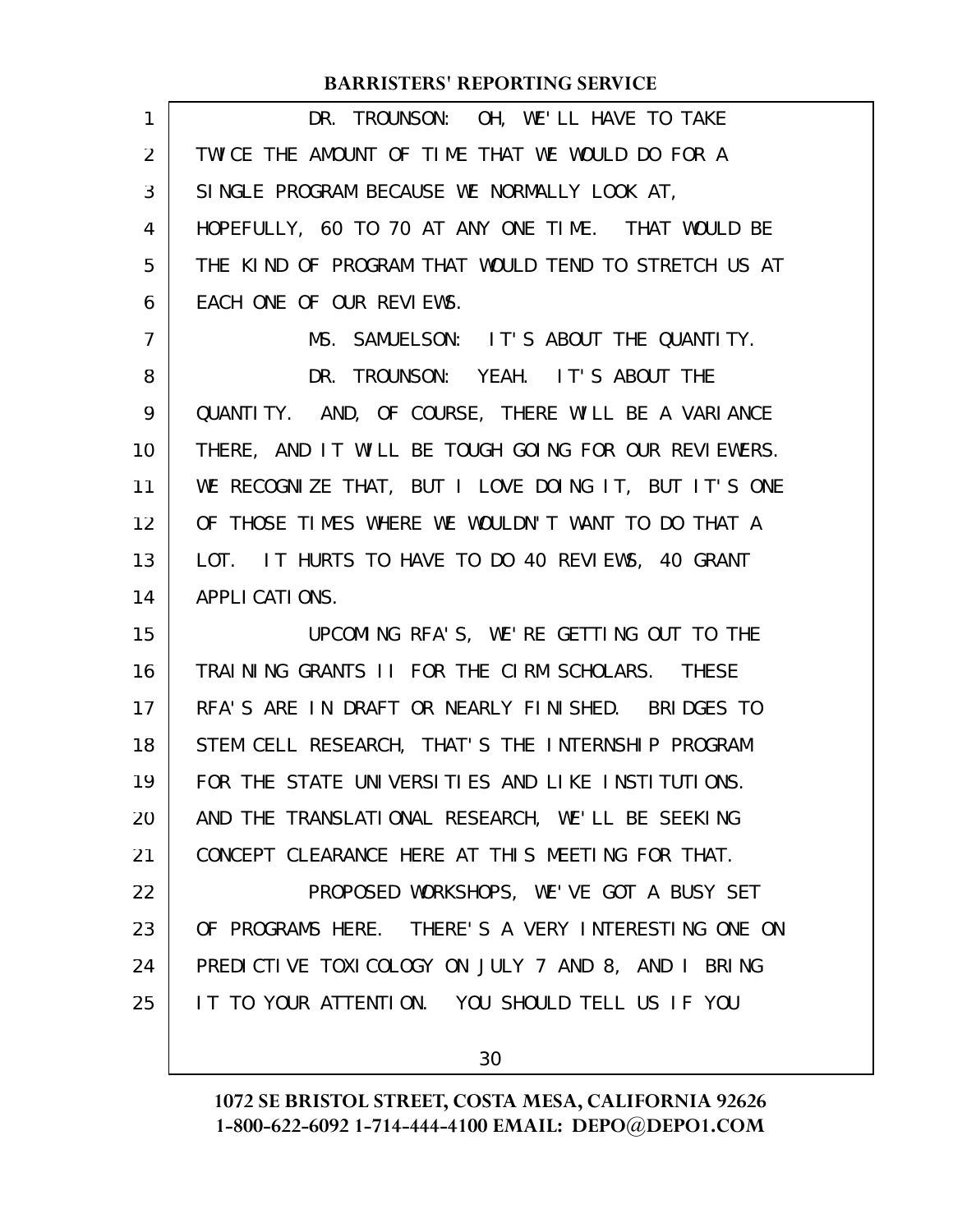| 1  | DR. TROUNSON: OH, WE'LL HAVE TO TAKE                 |
|----|------------------------------------------------------|
| 2  | TWICE THE AMOUNT OF TIME THAT WE WOULD DO FOR A      |
| 3  | SINGLE PROGRAM BECAUSE WE NORMALLY LOOK AT,          |
| 4  | HOPEFULLY, 60 TO 70 AT ANY ONE TIME. THAT WOULD BE   |
| 5  | THE KIND OF PROGRAM THAT WOULD TEND TO STRETCH US AT |
| 6  | EACH ONE OF OUR REVIEWS.                             |
| 7  | MS. SAMUELSON: IT'S ABOUT THE QUANTITY.              |
| 8  | DR. TROUNSON: YEAH. IT'S ABOUT THE                   |
| 9  | QUANTITY. AND, OF COURSE, THERE WILL BE A VARIANCE   |
| 10 | THERE, AND IT WILL BE TOUGH GOING FOR OUR REVIEWERS. |
| 11 | WE RECOGNIZE THAT, BUT I LOVE DOING IT, BUT IT'S ONE |
| 12 | OF THOSE TIMES WHERE WE WOULDN'T WANT TO DO THAT A   |
| 13 | LOT. IT HURTS TO HAVE TO DO 40 REVIEWS, 40 GRANT     |
| 14 | APPLI CATIONS.                                       |
| 15 | UPCOMING RFA'S, WE'RE GETTING OUT TO THE             |
| 16 | TRAINING GRANTS II FOR THE CIRM SCHOLARS. THESE      |
| 17 | RFA'S ARE IN DRAFT OR NEARLY FINISHED. BRIDGES TO    |
| 18 | STEM CELL RESEARCH, THAT'S THE INTERNSHIP PROGRAM    |
| 19 | FOR THE STATE UNIVERSITIES AND LIKE INSTITUTIONS.    |
| 20 | AND THE TRANSLATIONAL RESEARCH, WE'LL BE SEEKING     |
| 21 | CONCEPT CLEARANCE HERE AT THIS MEETING FOR THAT.     |
| 22 | PROPOSED WORKSHOPS, WE'VE GOT A BUSY SET             |
| 23 | OF PROGRAMS HERE. THERE'S A VERY INTERESTING ONE ON  |
| 24 | PREDICTIVE TOXICOLOGY ON JULY 7 AND 8, AND I BRING   |
| 25 | IT TO YOUR ATTENTION. YOU SHOULD TELL US IF YOU      |
|    |                                                      |

30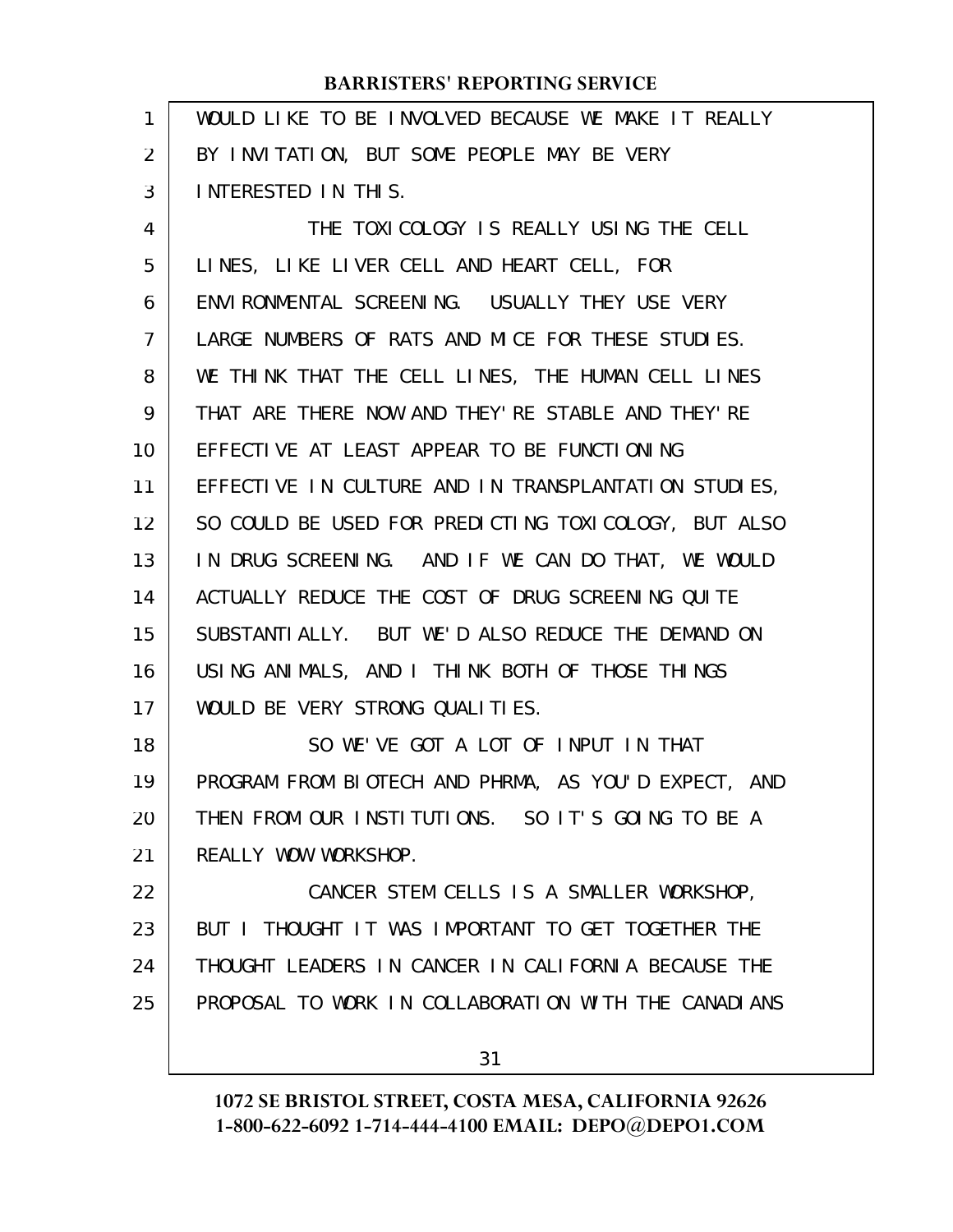| $\mathbf{1}$ | WOULD LIKE TO BE INVOLVED BECAUSE WE MAKE IT REALLY  |
|--------------|------------------------------------------------------|
| 2            | BY INVITATION, BUT SOME PEOPLE MAY BE VERY           |
| 3            | INTERESTED IN THIS.                                  |
| 4            | THE TOXICOLOGY IS REALLY USING THE CELL              |
| 5            | LINES, LIKE LIVER CELL AND HEART CELL, FOR           |
| 6            | ENVIRONMENTAL SCREENING. USUALLY THEY USE VERY       |
| 7            | LARGE NUMBERS OF RATS AND MICE FOR THESE STUDIES.    |
| 8            | WE THINK THAT THE CELL LINES, THE HUMAN CELL LINES   |
| 9            | THAT ARE THERE NOW AND THEY'RE STABLE AND THEY'RE    |
| 10           | EFFECTIVE AT LEAST APPEAR TO BE FUNCTIONING          |
| 11           | EFFECTIVE IN CULTURE AND IN TRANSPLANTATION STUDIES, |
| 12           | SO COULD BE USED FOR PREDICTING TOXICOLOGY, BUT ALSO |
| 13           | IN DRUG SCREENING. AND IF WE CAN DO THAT, WE WOULD   |
| 14           | ACTUALLY REDUCE THE COST OF DRUG SCREENING QUITE     |
| 15           | SUBSTANTIALLY. BUT WE'D ALSO REDUCE THE DEMAND ON    |
| 16           | USING ANIMALS, AND I THINK BOTH OF THOSE THINGS      |
| 17           | WOULD BE VERY STRONG QUALITIES.                      |
| 18           | SO WE'VE GOT A LOT OF INPUT IN THAT                  |
| 19           | PROGRAM FROM BIOTECH AND PHRMA, AS YOU'D EXPECT, AND |
| 20           | THEN FROM OUR INSTITUTIONS. SO IT'S GOING TO BE A    |
| 21           | REALLY WOW WORKSHOP.                                 |
| 22           | CANCER STEM CELLS IS A SMALLER WORKSHOP,             |
| 23           | BUT I THOUGHT IT WAS IMPORTANT TO GET TOGETHER THE   |
| 24           | THOUGHT LEADERS IN CANCER IN CALIFORNIA BECAUSE THE  |
| 25           | PROPOSAL TO WORK IN COLLABORATION WITH THE CANADIANS |
|              | 31                                                   |
|              |                                                      |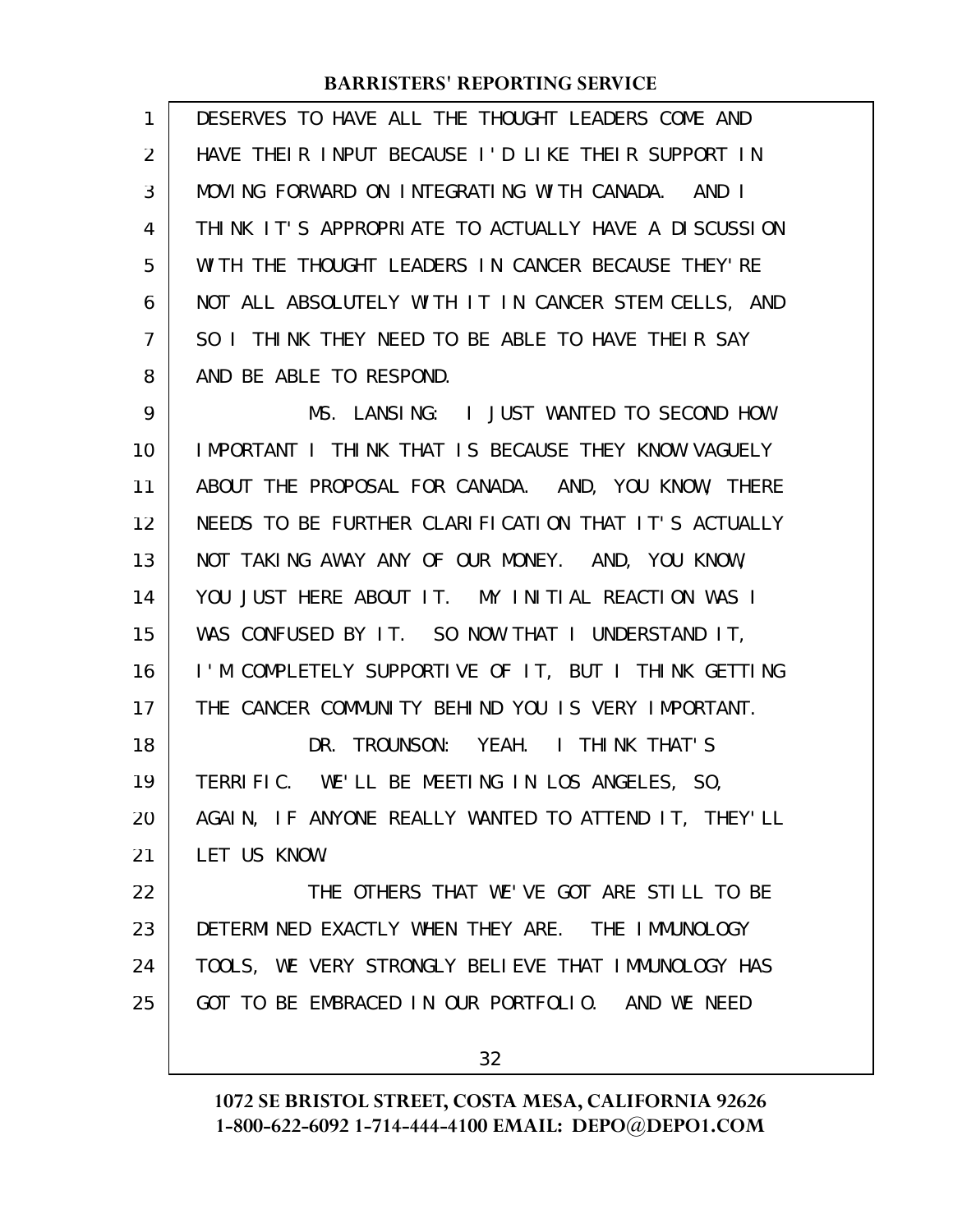| $\mathbf{1}$   | DESERVES TO HAVE ALL THE THOUGHT LEADERS COME AND                                                                                                                                                                                                                                                                                                                              |
|----------------|--------------------------------------------------------------------------------------------------------------------------------------------------------------------------------------------------------------------------------------------------------------------------------------------------------------------------------------------------------------------------------|
| 2              | HAVE THEIR INPUT BECAUSE I'D LIKE THEIR SUPPORT IN                                                                                                                                                                                                                                                                                                                             |
| 3              | MOVING FORWARD ON INTEGRATING WITH CANADA. AND I                                                                                                                                                                                                                                                                                                                               |
| $\overline{4}$ | THINK IT'S APPROPRIATE TO ACTUALLY HAVE A DISCUSSION                                                                                                                                                                                                                                                                                                                           |
| 5              | WITH THE THOUGHT LEADERS IN CANCER BECAUSE THEY'RE                                                                                                                                                                                                                                                                                                                             |
| 6              | NOT ALL ABSOLUTELY WITH IT IN CANCER STEM CELLS, AND                                                                                                                                                                                                                                                                                                                           |
| $\overline{7}$ | SO I THINK THEY NEED TO BE ABLE TO HAVE THEIR SAY                                                                                                                                                                                                                                                                                                                              |
| 8              | AND BE ABLE TO RESPOND.                                                                                                                                                                                                                                                                                                                                                        |
| $\sim$         | $\overline{1}$ ANGLES $\overline{1}$ $\overline{1}$ $\overline{1}$ $\overline{1}$ $\overline{1}$ $\overline{1}$ $\overline{1}$ $\overline{1}$ $\overline{1}$ $\overline{1}$ $\overline{1}$ $\overline{1}$ $\overline{1}$ $\overline{1}$ $\overline{1}$ $\overline{1}$ $\overline{1}$ $\overline{1}$ $\overline{1}$ $\overline{1}$ $\overline{1}$ $\overline{1}$ $\overline{1}$ |

MS. LANSING: I JUST WANTED TO SECOND HOW IMPORTANT I THINK THAT IS BECAUSE THEY KNOW VAGUELY ABOUT THE PROPOSAL FOR CANADA. AND, YOU KNOW, THERE NEEDS TO BE FURTHER CLARIFICATION THAT IT'S ACTUALLY NOT TAKING AWAY ANY OF OUR MONEY. AND, YOU KNOW, YOU JUST HERE ABOUT IT. MY INITIAL REACTION WAS I WAS CONFUSED BY IT. SO NOW THAT I UNDERSTAND IT, I'M COMPLETELY SUPPORTIVE OF IT, BUT I THINK GETTING THE CANCER COMMUNITY BEHIND YOU IS VERY IMPORTANT. DR. TROUNSON: YEAH. I THINK THAT'S TERRIFIC. WE'LL BE MEETING IN LOS ANGELES, SO, AGAIN, IF ANYONE REALLY WANTED TO ATTEND IT, THEY'LL LET US KNOW. THE OTHERS THAT WE'VE GOT ARE STILL TO BE 9 10 11 12 13 14 15 16 17 18 19 20 21 22

DETERMINED EXACTLY WHEN THEY ARE. THE IMMUNOLOGY TOOLS, WE VERY STRONGLY BELIEVE THAT IMMUNOLOGY HAS GOT TO BE EMBRACED IN OUR PORTFOLIO. AND WE NEED 23 24 25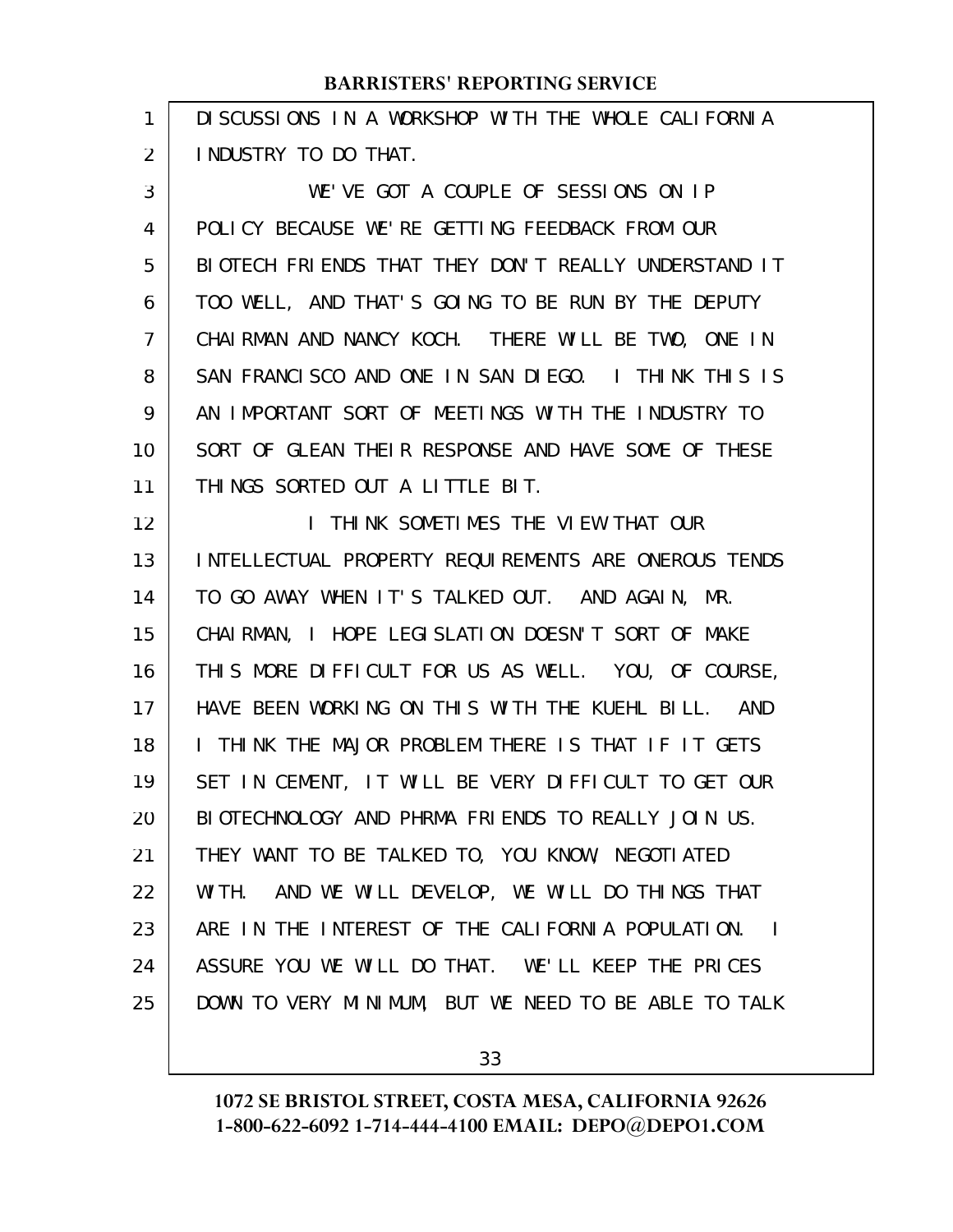| 1              | DI SCUSSIONS IN A WORKSHOP WITH THE WHOLE CALIFORNIA              |
|----------------|-------------------------------------------------------------------|
| $\overline{2}$ | I NDUSTRY TO DO THAT.                                             |
| 3              | WE'VE GOT A COUPLE OF SESSIONS ON IP                              |
| 4              | POLICY BECAUSE WE'RE GETTING FEEDBACK FROM OUR                    |
| 5              | BIOTECH FRIENDS THAT THEY DON'T REALLY UNDERSTAND IT              |
| 6              | TOO WELL, AND THAT'S GOING TO BE RUN BY THE DEPUTY                |
| 7              | CHAIRMAN AND NANCY KOCH. THERE WILL BE TWO, ONE IN                |
| 8              | SAN FRANCISCO AND ONE IN SAN DIEGO. I THINK THIS IS               |
| 9              | AN IMPORTANT SORT OF MEETINGS WITH THE INDUSTRY TO                |
| 10             | SORT OF GLEAN THEIR RESPONSE AND HAVE SOME OF THESE               |
| 11             | THINGS SORTED OUT A LITTLE BIT.                                   |
| 12             | THINK SOMETIMES THE VIEW THAT OUR<br>$\mathbf{L}$                 |
| 13             | INTELLECTUAL PROPERTY REQUIREMENTS ARE ONEROUS TENDS              |
| 14             | TO GO AWAY WHEN IT'S TALKED OUT. AND AGAIN, MR.                   |
| 15             | CHAI RMAN, I HOPE LEGI SLATI ON DOESN'T SORT OF MAKE              |
| 16             | THIS MORE DIFFICULT FOR US AS WELL. YOU, OF COURSE,               |
| 17             | HAVE BEEN WORKING ON THIS WITH THE KUEHL BILL. AND                |
| 18             | I THINK THE MAJOR PROBLEM THERE IS THAT IF IT GETS                |
| 19             | SET IN CEMENT, IT WILL BE VERY DIFFICULT TO GET OUR               |
| 20             | BIOTECHNOLOGY AND PHRMA FRIENDS TO REALLY JOIN US.                |
| 21             | THEY WANT TO BE TALKED TO, YOU KNOW, NEGOTIATED                   |
| 22             | AND WE WILL DEVELOP, WE WILL DO THINGS THAT<br>WI TH.             |
| 23             | ARE IN THE INTEREST OF THE CALIFORNIA POPULATION.<br>$\mathbf{I}$ |
| 24             | ASSURE YOU WE WILL DO THAT. WE'LL KEEP THE PRICES                 |
| 25             | DOWN TO VERY MINIMUM, BUT WE NEED TO BE ABLE TO TALK              |
|                |                                                                   |

33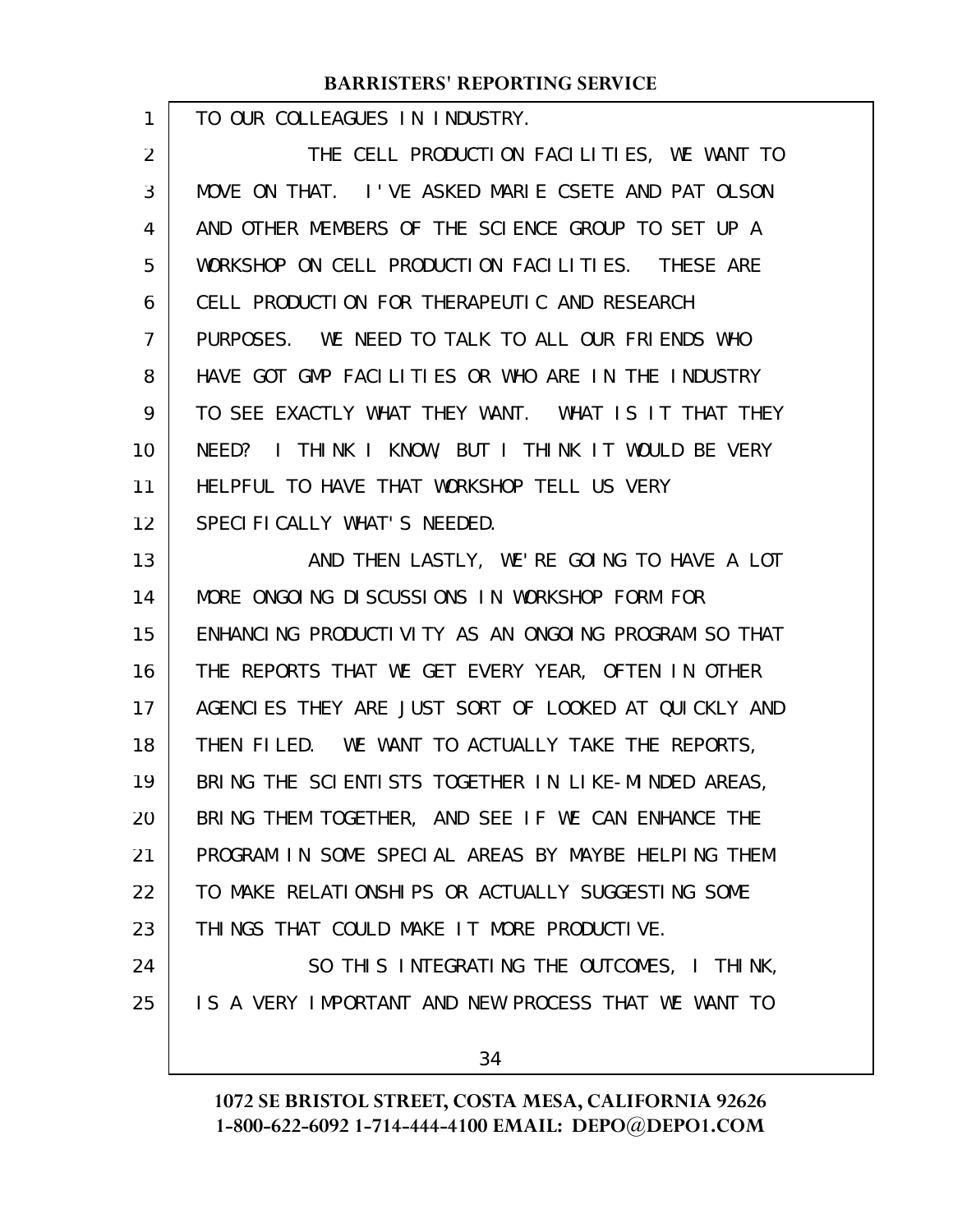TO OUR COLLEAGUES IN INDUSTRY.

1

THE CELL PRODUCTION FACILITIES, WE WANT TO MOVE ON THAT. I'VE ASKED MARIE CSETE AND PAT OLSON AND OTHER MEMBERS OF THE SCIENCE GROUP TO SET UP A WORKSHOP ON CELL PRODUCTION FACILITIES. THESE ARE CELL PRODUCTION FOR THERAPEUTIC AND RESEARCH PURPOSES. WE NEED TO TALK TO ALL OUR FRIENDS WHO HAVE GOT GMP FACILITIES OR WHO ARE IN THE INDUSTRY TO SEE EXACTLY WHAT THEY WANT. WHAT IS IT THAT THEY NEED? I THINK I KNOW, BUT I THINK IT WOULD BE VERY HELPFUL TO HAVE THAT WORKSHOP TELL US VERY SPECIFICALLY WHAT'S NEEDED. 2 3 4 5 6 7 8 9 10 11 12

AND THEN LASTLY, WE'RE GOING TO HAVE A LOT MORE ONGOING DISCUSSIONS IN WORKSHOP FORM FOR ENHANCING PRODUCTIVITY AS AN ONGOING PROGRAM SO THAT THE REPORTS THAT WE GET EVERY YEAR, OFTEN IN OTHER AGENCIES THEY ARE JUST SORT OF LOOKED AT QUICKLY AND THEN FILED. WE WANT TO ACTUALLY TAKE THE REPORTS, BRING THE SCIENTISTS TOGETHER IN LIKE-MINDED AREAS, BRING THEM TOGETHER, AND SEE IF WE CAN ENHANCE THE PROGRAM IN SOME SPECIAL AREAS BY MAYBE HELPING THEM TO MAKE RELATIONSHIPS OR ACTUALLY SUGGESTING SOME THINGS THAT COULD MAKE IT MORE PRODUCTIVE. SO THIS INTEGRATING THE OUTCOMES, I THINK, IS A VERY IMPORTANT AND NEW PROCESS THAT WE WANT TO 13 14 15 16 17 18 19 20 21 22 23 24 25

34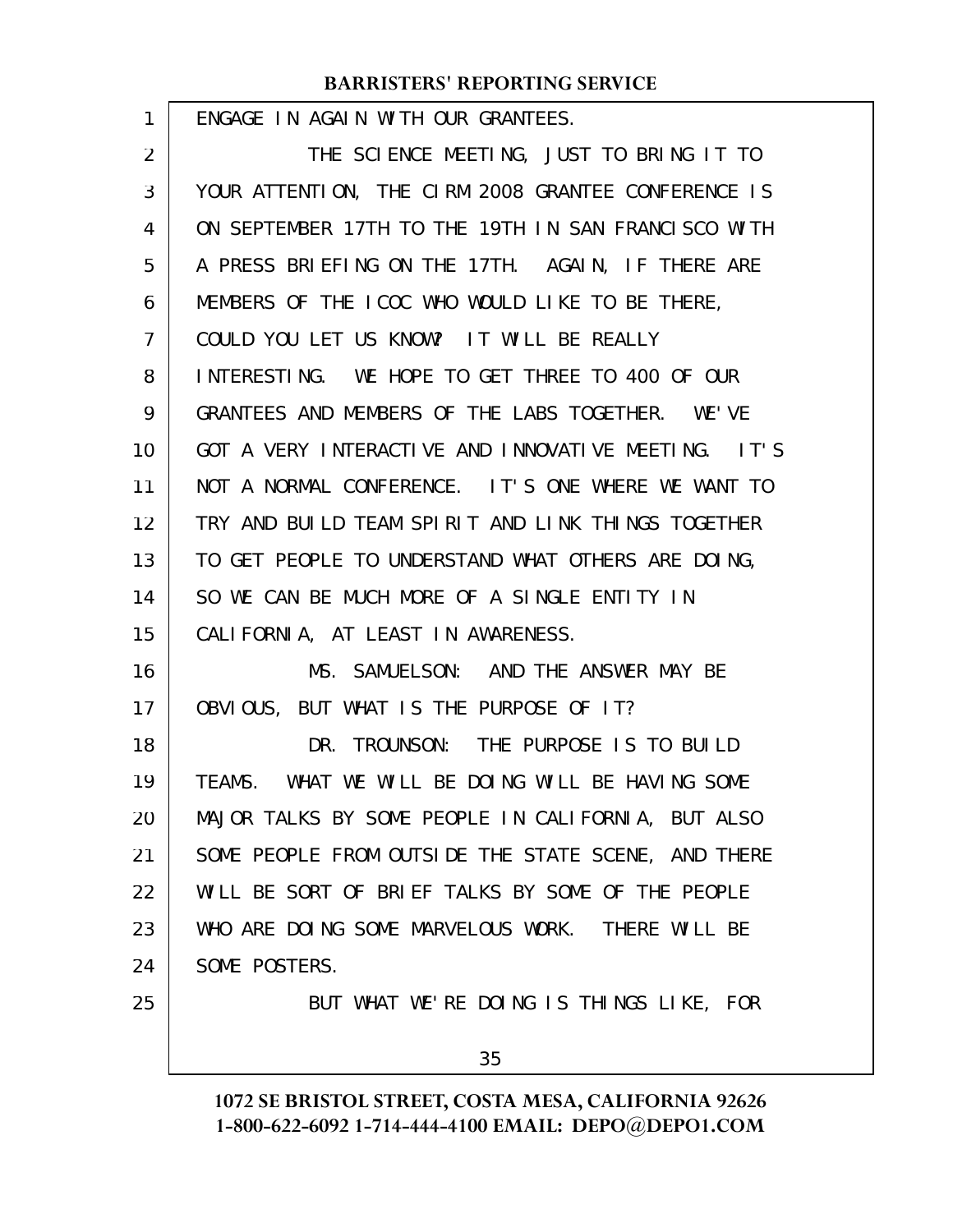| 1  | ENGAGE IN AGAIN WITH OUR GRANTEES.                  |
|----|-----------------------------------------------------|
| 2  | THE SCIENCE MEETING, JUST TO BRING IT TO            |
| 3  | YOUR ATTENTION, THE CIRM 2008 GRANTEE CONFERENCE IS |
| 4  | ON SEPTEMBER 17TH TO THE 19TH IN SAN FRANCISCO WITH |
| 5  | A PRESS BRIEFING ON THE 17TH. AGAIN, IF THERE ARE   |
| 6  | MEMBERS OF THE ICOC WHO WOULD LIKE TO BE THERE,     |
| 7  | COULD YOU LET US KNOW? IT WILL BE REALLY            |
| 8  | INTERESTING. WE HOPE TO GET THREE TO 400 OF OUR     |
| 9  | GRANTEES AND MEMBERS OF THE LABS TOGETHER. WE'VE    |
| 10 | GOT A VERY INTERACTIVE AND INNOVATIVE MEETING. IT'S |
| 11 | NOT A NORMAL CONFERENCE. IT'S ONE WHERE WE WANT TO  |
| 12 | TRY AND BUILD TEAM SPIRIT AND LINK THINGS TOGETHER  |
| 13 | TO GET PEOPLE TO UNDERSTAND WHAT OTHERS ARE DOING,  |
| 14 | SO WE CAN BE MUCH MORE OF A SINGLE ENTITY IN        |
| 15 | CALIFORNIA, AT LEAST IN AWARENESS.                  |
| 16 | MS. SAMUELSON: AND THE ANSWER MAY BE                |
| 17 | OBVIOUS, BUT WHAT IS THE PURPOSE OF IT?             |
| 18 | DR. TROUNSON: THE PURPOSE IS TO BUILD               |
| 19 | TEAMS. WHAT WE WILL BE DOING WILL BE HAVING SOME    |
| 20 | MAJOR TALKS BY SOME PEOPLE IN CALIFORNIA, BUT ALSO  |
| 21 | SOME PEOPLE FROM OUTSIDE THE STATE SCENE, AND THERE |
| 22 | WILL BE SORT OF BRIEF TALKS BY SOME OF THE PEOPLE   |
| 23 | WHO ARE DOING SOME MARVELOUS WORK. THERE WILL BE    |
| 24 | SOME POSTERS.                                       |
| 25 | BUT WHAT WE'RE DOING IS THINGS LIKE, FOR            |
|    | 35                                                  |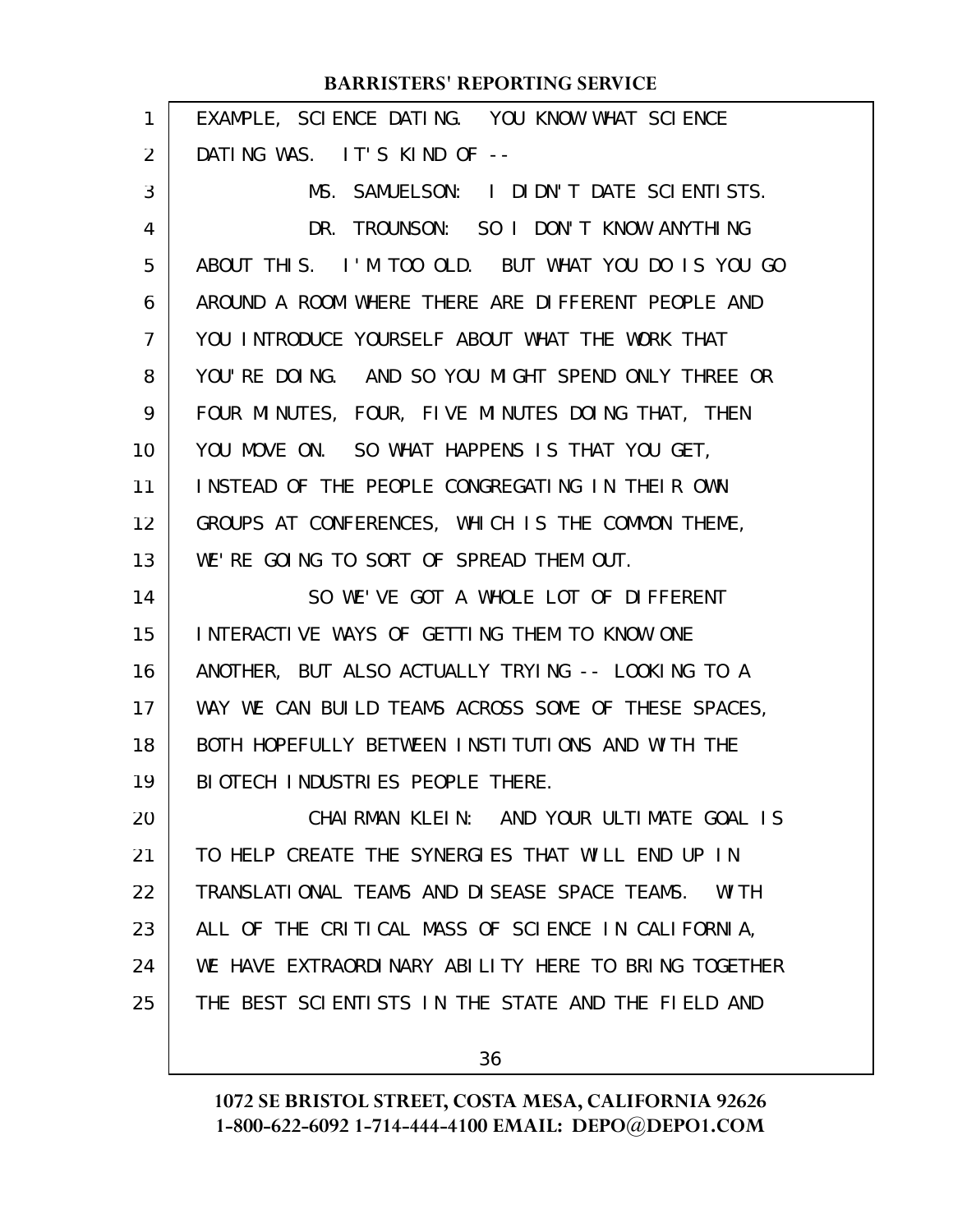| 1              | EXAMPLE, SCIENCE DATING. YOU KNOW WHAT SCIENCE        |
|----------------|-------------------------------------------------------|
| $\overline{2}$ | DATING WAS. IT'S KIND OF --                           |
| 3              | MS. SAMUELSON: I DIDN'T DATE SCIENTISTS.              |
| 4              | DR. TROUNSON: SO I DON'T KNOW ANYTHING                |
| 5              | ABOUT THIS. I'M TOO OLD. BUT WHAT YOU DO IS YOU GO    |
| 6              | AROUND A ROOM WHERE THERE ARE DIFFERENT PEOPLE AND    |
| 7              | YOU INTRODUCE YOURSELF ABOUT WHAT THE WORK THAT       |
| 8              | YOU'RE DOING. AND SO YOU MIGHT SPEND ONLY THREE OR    |
| 9              | FOUR MINUTES, FOUR, FIVE MINUTES DOING THAT, THEN     |
| 10             | YOU MOVE ON. SO WHAT HAPPENS IS THAT YOU GET,         |
| 11             | INSTEAD OF THE PEOPLE CONGREGATING IN THEIR OWN       |
| 12             | GROUPS AT CONFERENCES, WHICH IS THE COMMON THEME,     |
| 13             | WE'RE GOING TO SORT OF SPREAD THEM OUT.               |
| 14             | SO WE'VE GOT A WHOLE LOT OF DIFFERENT                 |
| 15             | INTERACTIVE WAYS OF GETTING THEM TO KNOW ONE          |
| 16             | ANOTHER, BUT ALSO ACTUALLY TRYING -- LOOKING TO A     |
| 17             | WAY WE CAN BUILD TEAMS ACROSS SOME OF THESE SPACES,   |
| 18             | BOTH HOPEFULLY BETWEEN INSTITUTIONS AND WITH THE      |
| 19             | BIOTECH INDUSTRIES PEOPLE THERE.                      |
| 20             | CHAIRMAN KLEIN: AND YOUR ULTIMATE GOAL IS             |
| 21             | TO HELP CREATE THE SYNERGIES THAT WILL END UP IN      |
| 22             | TRANSLATIONAL TEAMS AND DISEASE SPACE TEAMS.<br>WI TH |
| 23             | ALL OF THE CRITICAL MASS OF SCIENCE IN CALIFORNIA,    |
| 24             | WE HAVE EXTRAORDINARY ABILITY HERE TO BRING TOGETHER  |
| 25             | THE BEST SCIENTISTS IN THE STATE AND THE FIELD AND    |
|                |                                                       |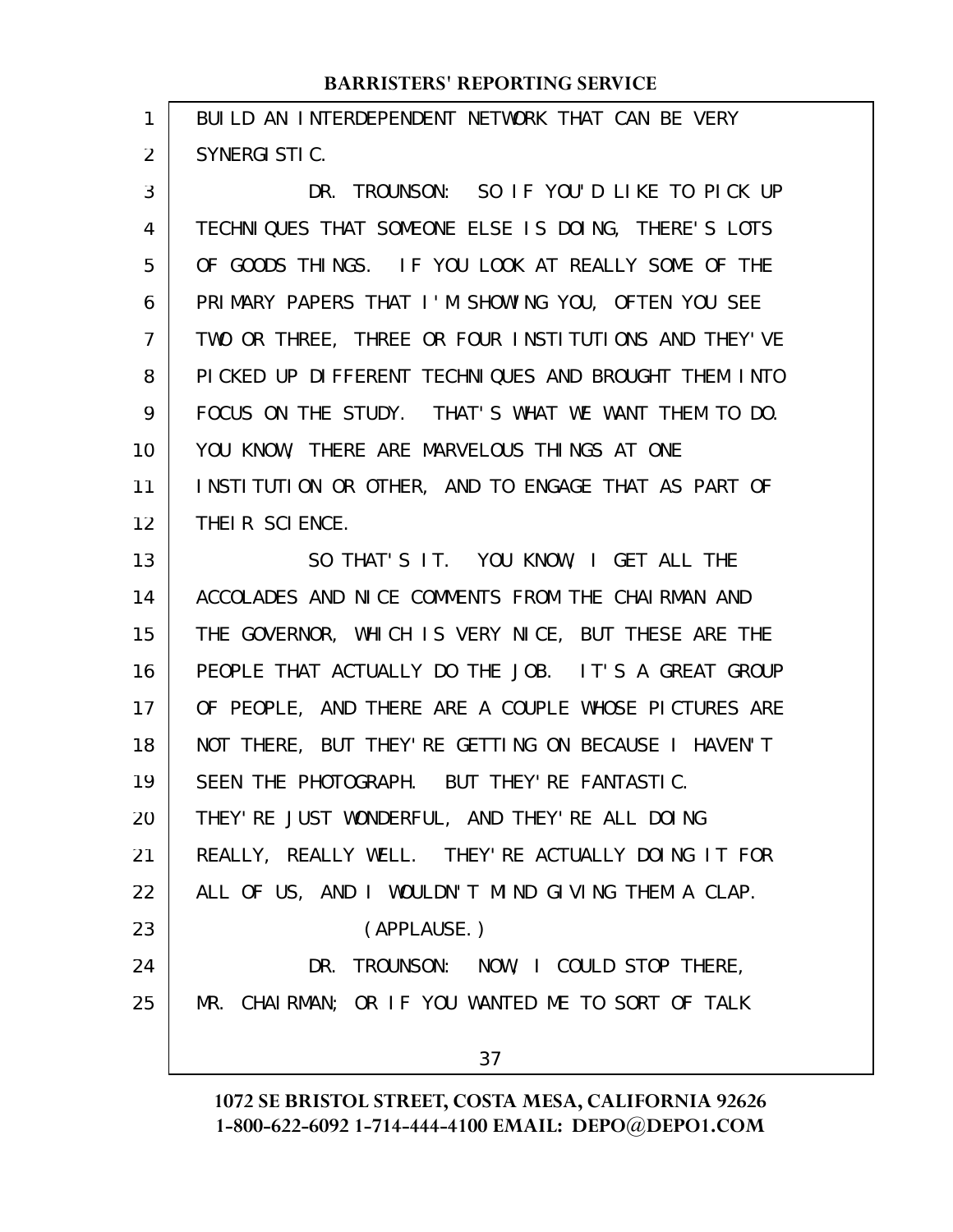BUILD AN INTERDEPENDENT NETWORK THAT CAN BE VERY SYNERGISTIC. 1 2

DR. TROUNSON: SO IF YOU'D LIKE TO PICK UP TECHNIQUES THAT SOMEONE ELSE IS DOING, THERE'S LOTS OF GOODS THINGS. IF YOU LOOK AT REALLY SOME OF THE PRIMARY PAPERS THAT I'M SHOWING YOU, OFTEN YOU SEE TWO OR THREE, THREE OR FOUR INSTITUTIONS AND THEY'VE PICKED UP DIFFERENT TECHNIQUES AND BROUGHT THEM INTO FOCUS ON THE STUDY. THAT'S WHAT WE WANT THEM TO DO. YOU KNOW, THERE ARE MARVELOUS THINGS AT ONE INSTITUTION OR OTHER, AND TO ENGAGE THAT AS PART OF THEIR SCIENCE. 3 4 5 6 7 8 9 10 11 12

SO THAT'S IT. YOU KNOW, I GET ALL THE ACCOLADES AND NICE COMMENTS FROM THE CHAIRMAN AND THE GOVERNOR, WHICH IS VERY NICE, BUT THESE ARE THE PEOPLE THAT ACTUALLY DO THE JOB. IT'S A GREAT GROUP OF PEOPLE, AND THERE ARE A COUPLE WHOSE PICTURES ARE NOT THERE, BUT THEY'RE GETTING ON BECAUSE I HAVEN'T SEEN THE PHOTOGRAPH. BUT THEY'RE FANTASTIC. THEY'RE JUST WONDERFUL, AND THEY'RE ALL DOING REALLY, REALLY WELL. THEY'RE ACTUALLY DOING IT FOR ALL OF US, AND I WOULDN'T MIND GIVING THEM A CLAP. (APPLAUSE.) DR. TROUNSON: NOW, I COULD STOP THERE, MR. CHAIRMAN; OR IF YOU WANTED ME TO SORT OF TALK 13 14 15 16 17 18 19 20 21 22 23 24 25

37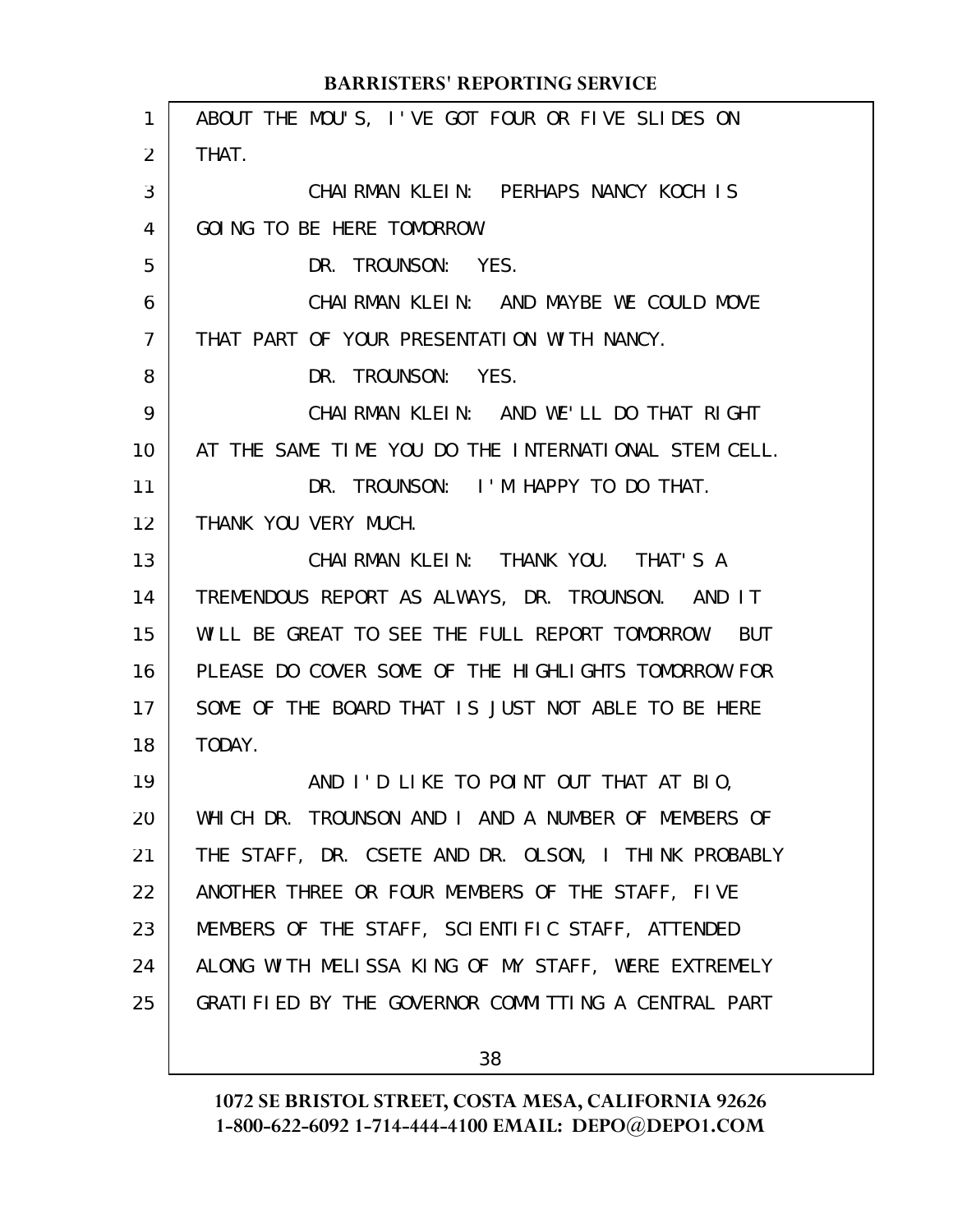| 1               | ABOUT THE MOU'S, I'VE GOT FOUR OR FIVE SLIDES ON     |
|-----------------|------------------------------------------------------|
| $\overline{2}$  | THAT.                                                |
| 3               | CHAIRMAN KLEIN: PERHAPS NANCY KOCH IS                |
| 4               | GOING TO BE HERE TOMORROW.                           |
| 5               | DR. TROUNSON: YES.                                   |
| 6               | CHAIRMAN KLEIN: AND MAYBE WE COULD MOVE              |
| $\overline{7}$  | THAT PART OF YOUR PRESENTATION WITH NANCY.           |
| 8               | DR. TROUNSON: YES.                                   |
| 9               | CHAIRMAN KLEIN: AND WE'LL DO THAT RIGHT              |
| 10 <sup>°</sup> | AT THE SAME TIME YOU DO THE INTERNATIONAL STEM CELL. |
| 11              | DR. TROUNSON: I'M HAPPY TO DO THAT.                  |
| 12 <sup>2</sup> | THANK YOU VERY MUCH.                                 |
| 13              | CHAIRMAN KLEIN: THANK YOU. THAT'S A                  |
| 14              | TREMENDOUS REPORT AS ALWAYS, DR. TROUNSON. AND IT    |
| 15              | WILL BE GREAT TO SEE THE FULL REPORT TOMORROW. BUT   |
| 16              | PLEASE DO COVER SOME OF THE HIGHLIGHTS TOMORROW FOR  |
| 17              | SOME OF THE BOARD THAT IS JUST NOT ABLE TO BE HERE   |
| 18              | TODAY.                                               |
| 19              | AND I'D LIKE TO POINT OUT THAT AT BIO,               |
| 20              | WHICH DR. TROUNSON AND I AND A NUMBER OF MEMBERS OF  |
| 21              | THE STAFF, DR. CSETE AND DR. OLSON, I THINK PROBABLY |
| 22              | ANOTHER THREE OR FOUR MEMBERS OF THE STAFF, FIVE     |
| 23              | MEMBERS OF THE STAFF, SCIENTIFIC STAFF, ATTENDED     |
| 24              | ALONG WITH MELISSA KING OF MY STAFF, WERE EXTREMELY  |
| 25              | GRATIFIED BY THE GOVERNOR COMMITTING A CENTRAL PART  |
|                 |                                                      |

38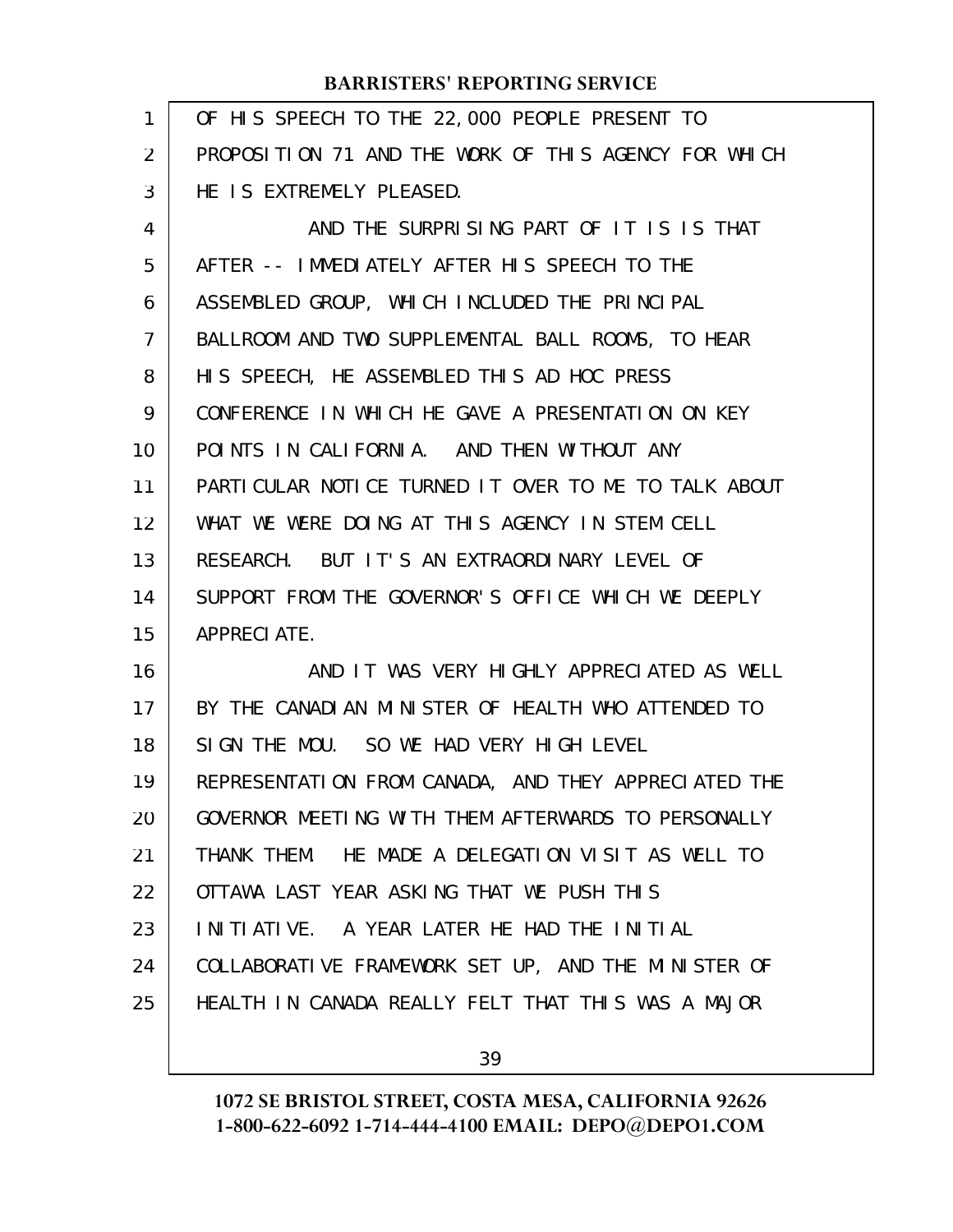| 1              | OF HIS SPEECH TO THE 22,000 PEOPLE PRESENT TO        |
|----------------|------------------------------------------------------|
| $\overline{2}$ | PROPOSITION 71 AND THE WORK OF THIS AGENCY FOR WHICH |
| 3              | HE IS EXTREMELY PLEASED.                             |
| 4              | AND THE SURPRISING PART OF IT IS IS THAT             |
| 5              | AFTER -- IMMEDIATELY AFTER HIS SPEECH TO THE         |
| 6              | ASSEMBLED GROUP, WHICH INCLUDED THE PRINCIPAL        |
| 7              | BALLROOM AND TWO SUPPLEMENTAL BALL ROOMS, TO HEAR    |
| 8              | HIS SPEECH, HE ASSEMBLED THIS AD HOC PRESS           |
| 9              | CONFERENCE IN WHICH HE GAVE A PRESENTATION ON KEY    |
| 10             | POINTS IN CALIFORNIA. AND THEN WITHOUT ANY           |
| 11             | PARTICULAR NOTICE TURNED IT OVER TO ME TO TALK ABOUT |
| 12             | WHAT WE WERE DOING AT THIS AGENCY IN STEM CELL       |
| 13             | RESEARCH. BUT IT'S AN EXTRAORDINARY LEVEL OF         |
| 14             | SUPPORT FROM THE GOVERNOR'S OFFICE WHICH WE DEEPLY   |
| 15             | <b>APPRECIATE.</b>                                   |
| 16             | AND IT WAS VERY HIGHLY APPRECIATED AS WELL           |
| 17             | BY THE CANADIAN MINISTER OF HEALTH WHO ATTENDED TO   |
| 18             | SIGN THE MOU. SO WE HAD VERY HIGH LEVEL              |
| 19             | REPRESENTATION FROM CANADA, AND THEY APPRECIATED THE |
| 20             | GOVERNOR MEETING WITH THEM AFTERWARDS TO PERSONALLY  |
| 21             | THANK THEM. HE MADE A DELEGATION VISIT AS WELL TO    |
| 22             | OTTAWA LAST YEAR ASKING THAT WE PUSH THIS            |
| 23             | INITIATIVE. A YEAR LATER HE HAD THE INITIAL          |
| 24             | COLLABORATIVE FRAMEWORK SET UP, AND THE MINISTER OF  |
| 25             | HEALTH IN CANADA REALLY FELT THAT THIS WAS A MAJOR   |
|                |                                                      |

39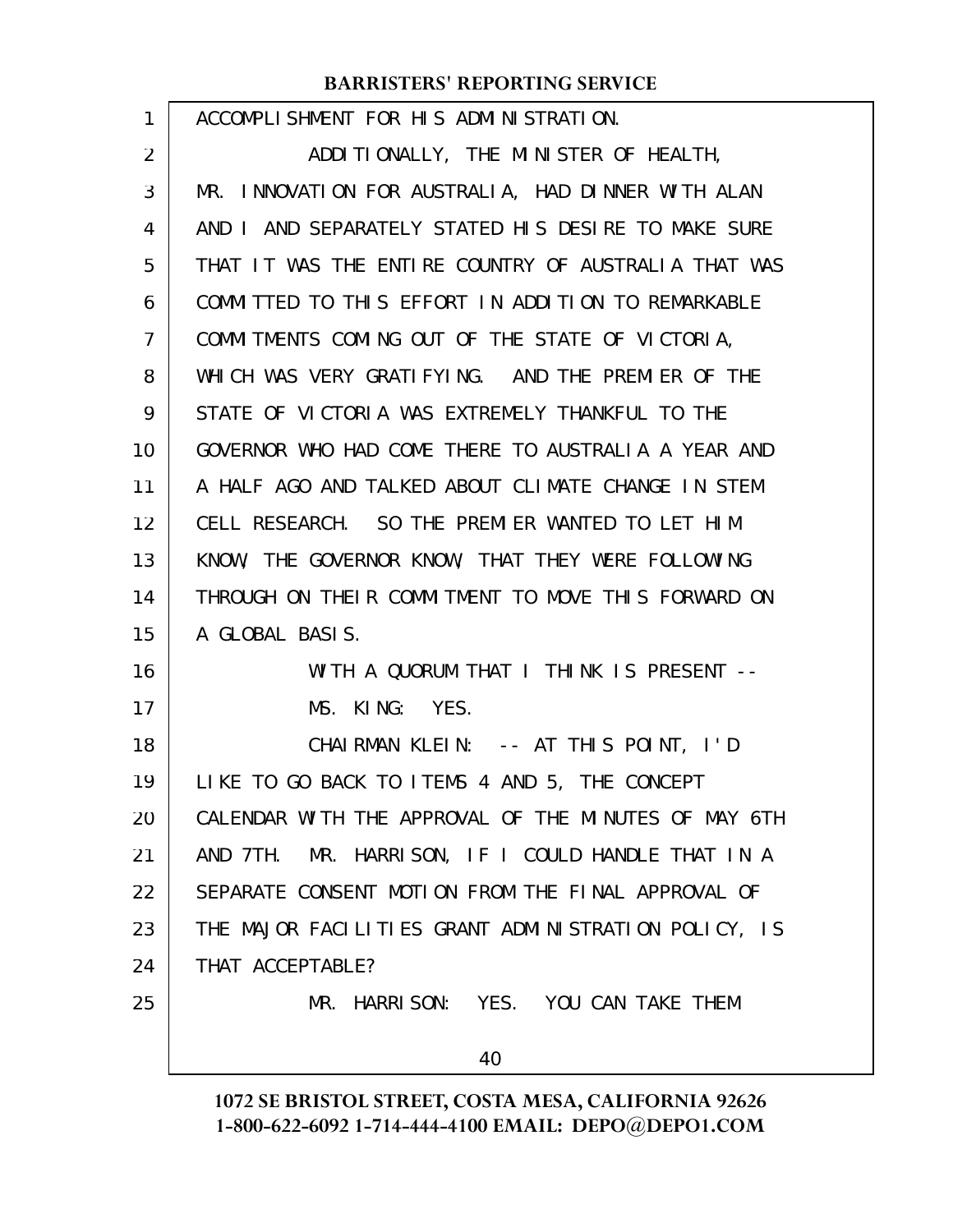| 1  | ACCOMPLISHMENT FOR HIS ADMINISTRATION.                |
|----|-------------------------------------------------------|
| 2  | ADDITIONALLY, THE MINISTER OF HEALTH,                 |
| 3  | MR. INNOVATION FOR AUSTRALIA, HAD DINNER WITH ALAN    |
| 4  | AND I AND SEPARATELY STATED HIS DESIRE TO MAKE SURE   |
| 5  | THAT IT WAS THE ENTIRE COUNTRY OF AUSTRALIA THAT WAS  |
| 6  | COMMITTED TO THIS EFFORT IN ADDITION TO REMARKABLE    |
| 7  | COMMITMENTS COMING OUT OF THE STATE OF VICTORIA,      |
| 8  | WHICH WAS VERY GRATIFYING. AND THE PREMIER OF THE     |
| 9  | STATE OF VICTORIA WAS EXTREMELY THANKFUL TO THE       |
| 10 | GOVERNOR WHO HAD COME THERE TO AUSTRALIA A YEAR AND   |
| 11 | A HALF AGO AND TALKED ABOUT CLIMATE CHANGE IN STEM    |
| 12 | CELL RESEARCH. SO THE PREMIER WANTED TO LET HIM       |
| 13 | KNOW, THE GOVERNOR KNOW, THAT THEY WERE FOLLOWING     |
| 14 | THROUGH ON THEIR COMMITMENT TO MOVE THIS FORWARD ON   |
| 15 | A GLOBAL BASIS.                                       |
| 16 | WITH A QUORUM THAT I THINK IS PRESENT --              |
| 17 | MS. KING: YES.                                        |
| 18 | CHAIRMAN KLEIN: -- AT THIS POINT, I'D                 |
| 19 | LIKE TO GO BACK TO ITEMS 4 AND 5, THE CONCEPT         |
| 20 | CALENDAR WITH THE APPROVAL OF THE MINUTES OF MAY 6TH  |
| 21 | MR. HARRISON, IF I COULD HANDLE THAT IN A<br>AND 7TH. |
| 22 | SEPARATE CONSENT MOTION FROM THE FINAL APPROVAL OF    |
| 23 | THE MAJOR FACILITIES GRANT ADMINISTRATION POLICY, IS  |
| 24 | THAT ACCEPTABLE?                                      |
| 25 | MR. HARRISON: YES. YOU CAN TAKE THEM                  |
|    | 40                                                    |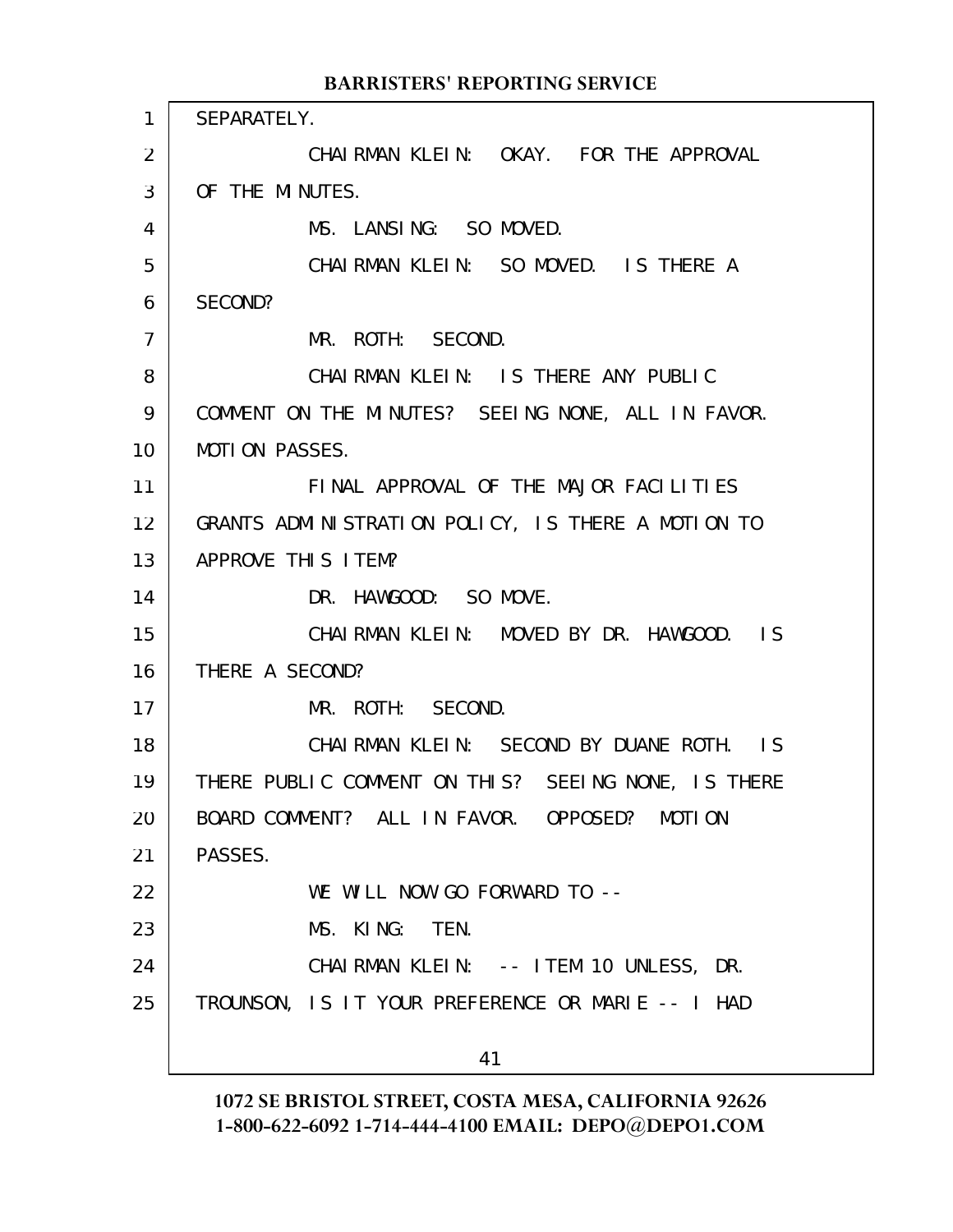SEPARATELY. CHAIRMAN KLEIN: OKAY. FOR THE APPROVAL OF THE MINUTES. MS. LANSING: SO MOVED. CHAIRMAN KLEIN: SO MOVED. IS THERE A SECOND? MR. ROTH: SECOND. CHAIRMAN KLEIN: IS THERE ANY PUBLIC COMMENT ON THE MINUTES? SEEING NONE, ALL IN FAVOR. MOTION PASSES. FINAL APPROVAL OF THE MAJOR FACILITIES GRANTS ADMINISTRATION POLICY, IS THERE A MOTION TO APPROVE THIS ITEM? DR. HAWGOOD: SO MOVE. CHAIRMAN KLEIN: MOVED BY DR. HAWGOOD. IS THERE A SECOND? MR. ROTH: SECOND. CHAIRMAN KLEIN: SECOND BY DUANE ROTH. IS THERE PUBLIC COMMENT ON THIS? SEEING NONE, IS THERE BOARD COMMENT? ALL IN FAVOR. OPPOSED? MOTION PASSES. WE WILL NOW GO FORWARD TO --MS. KING: TEN. CHAIRMAN KLEIN: -- ITEM 10 UNLESS, DR. TROUNSON, IS IT YOUR PREFERENCE OR MARIE -- I HAD 41 **BARRISTERS' REPORTING SERVICE** 1 2 3 4 5 6 7 8 9 10 11 12 13 14 15 16 17 18 19 20 21 22 23 24 25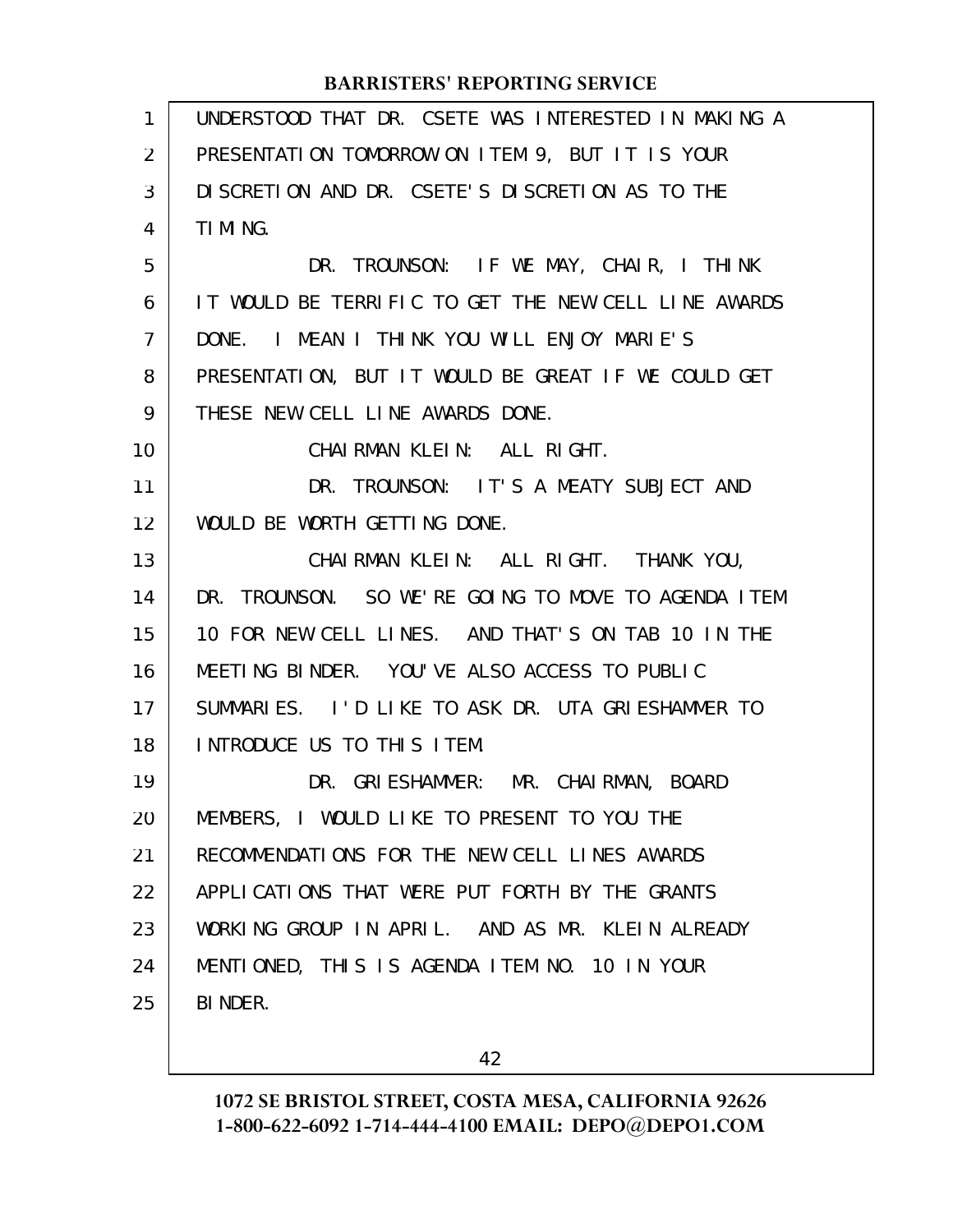| $\mathbf{1}$   | UNDERSTOOD THAT DR. CSETE WAS INTERESTED IN MAKING A |
|----------------|------------------------------------------------------|
| 2              | PRESENTATION TOMORROW ON ITEM 9, BUT IT IS YOUR      |
| 3              | DI SCRETION AND DR. CSETE'S DI SCRETION AS TO THE    |
| 4              | TI MI NG.                                            |
| 5              | DR. TROUNSON: IF WE MAY, CHAIR, I THINK              |
| 6              | IT WOULD BE TERRIFIC TO GET THE NEW CELL LINE AWARDS |
| $\overline{7}$ | DONE. I MEAN I THINK YOU WILL ENJOY MARIE'S          |
| 8              | PRESENTATION, BUT IT WOULD BE GREAT IF WE COULD GET  |
| 9              | THESE NEW CELL LINE AWARDS DONE.                     |
| 10             | CHAIRMAN KLEIN: ALL RIGHT.                           |
| 11             | DR. TROUNSON: IT'S A MEATY SUBJECT AND               |
| 12             | WOULD BE WORTH GETTING DONE.                         |
| 13             | CHAIRMAN KLEIN: ALL RIGHT. THANK YOU,                |
| 14             | DR. TROUNSON. SO WE'RE GOING TO MOVE TO AGENDA ITEM  |
| 15             | 10 FOR NEW CELL LINES. AND THAT'S ON TAB 10 IN THE   |
| 16             | MEETING BINDER. YOU'VE ALSO ACCESS TO PUBLIC         |
| 17             | SUMMARIES. I'D LIKE TO ASK DR. UTA GRIESHAMMER TO    |
| 18             | INTRODUCE US TO THIS ITEM.                           |
| 19             | DR. GRIESHAMMER: MR. CHAIRMAN, BOARD                 |
| 20             | MEMBERS, I WOULD LIKE TO PRESENT TO YOU THE          |
| 21             | RECOMMENDATIONS FOR THE NEW CELL LINES AWARDS        |
| 22             | APPLICATIONS THAT WERE PUT FORTH BY THE GRANTS       |
| 23             | WORKING GROUP IN APRIL. AND AS MR. KLEIN ALREADY     |
| 24             | MENTIONED, THIS IS AGENDA ITEM NO. 10 IN YOUR        |
| 25             | BI NDER.                                             |
|                |                                                      |

42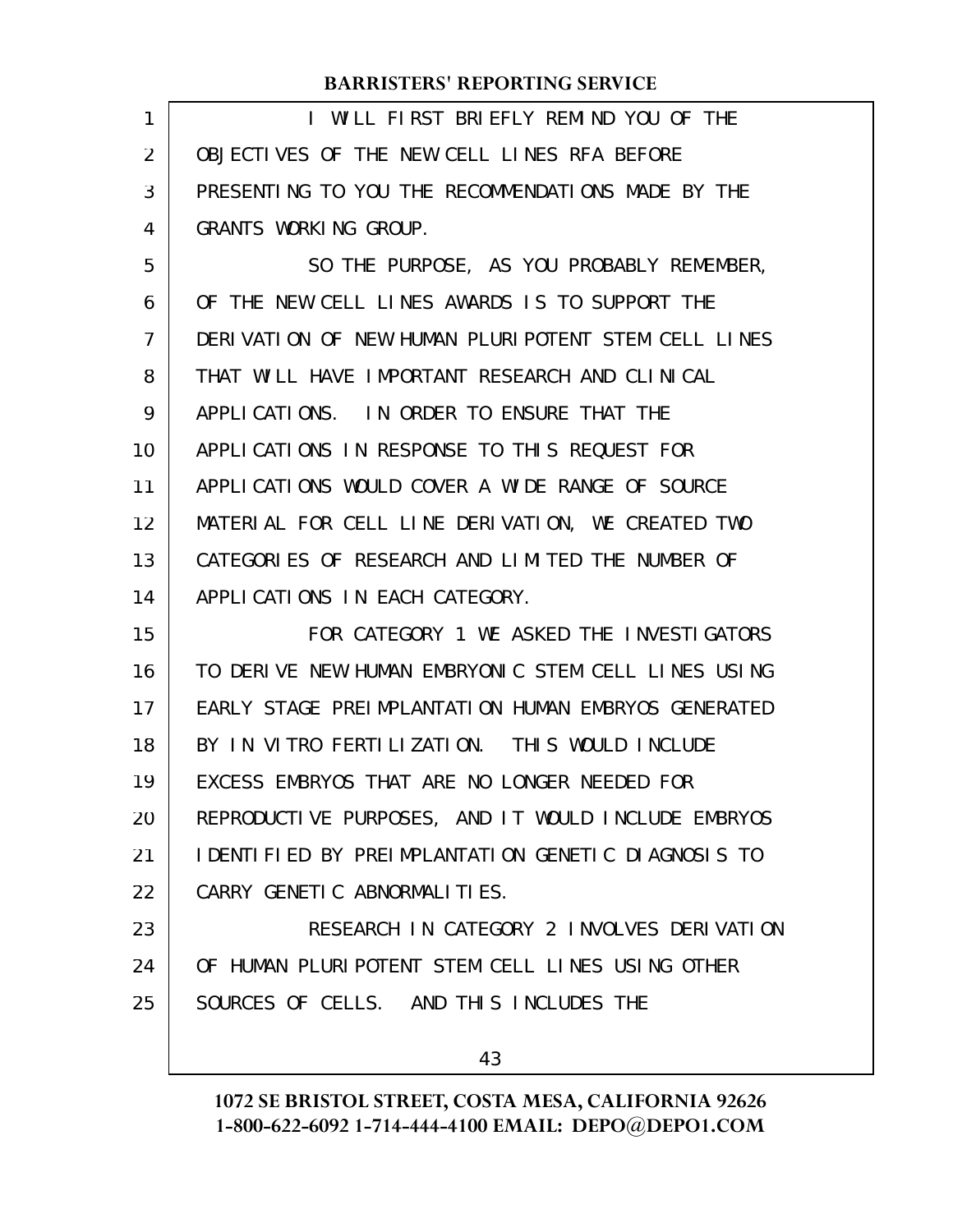| <b>BARRISTERS' REPORTING SERVICE</b>                |
|-----------------------------------------------------|
| I WILL FIRST BRIEFLY REMIND YOU OF THE              |
| OBJECTIVES OF THE NEW CELL LINES RFA BEFORE         |
| PRESENTING TO YOU THE RECOMMENDATIONS MADE BY THE   |
| GRANTS WORKING GROUP.                               |
| SO THE PURPOSE, AS YOU PROBABLY REMEMBER,           |
| OF THE NEW CELL LINES AWARDS IS TO SUPPORT THE      |
| DERIVATION OF NEW HUMAN PLURIPOTENT STEM CELL LINES |
| THAT WILL HAVE IMPORTANT RESEARCH AND CLINICAL      |
| APPLICATIONS. IN ORDER TO ENSURE THAT THE           |
| APPLICATIONS IN RESPONSE TO THIS REQUEST FOR        |
| APPLICATIONS WOULD COVER A WIDE RANGE OF SOURCE     |
| MATERIAL FOR CELL LINE DERIVATION, WE CREATED TWO   |
| CATEGORIES OF RESEARCH AND LIMITED THE NUMBER OF    |
| APPLICATIONS IN EACH CATEGORY.                      |
| FOR CATEGORY 1 WE ASKED THE INVESTIGATORS           |
| TO DERIVE NEW HUMAN EMBRYONIC STEM CELL LINES USING |
| EARLY STAGE PREIMPLANTATION HUMAN EMBRYOS GENERATED |
| BY IN VITRO FERTILIZATION. THIS WOULD INCLUDE       |
| EXCESS EMBRYOS THAT ARE NO LONGER NEEDED FOR        |
| REPRODUCTIVE PURPOSES, AND IT WOULD INCLUDE EMBRYOS |
| IDENTIFIED BY PREIMPLANTATION GENETIC DIAGNOSIS TO  |
| CARRY GENETIC ABNORMALITIES.                        |
| RESEARCH IN CATEGORY 2 INVOLVES DERIVATION          |
| OF HUMAN PLURIPOTENT STEM CELL LINES USING OTHER    |
| SOURCES OF CELLS. AND THIS INCLUDES THE             |
| 43                                                  |
|                                                     |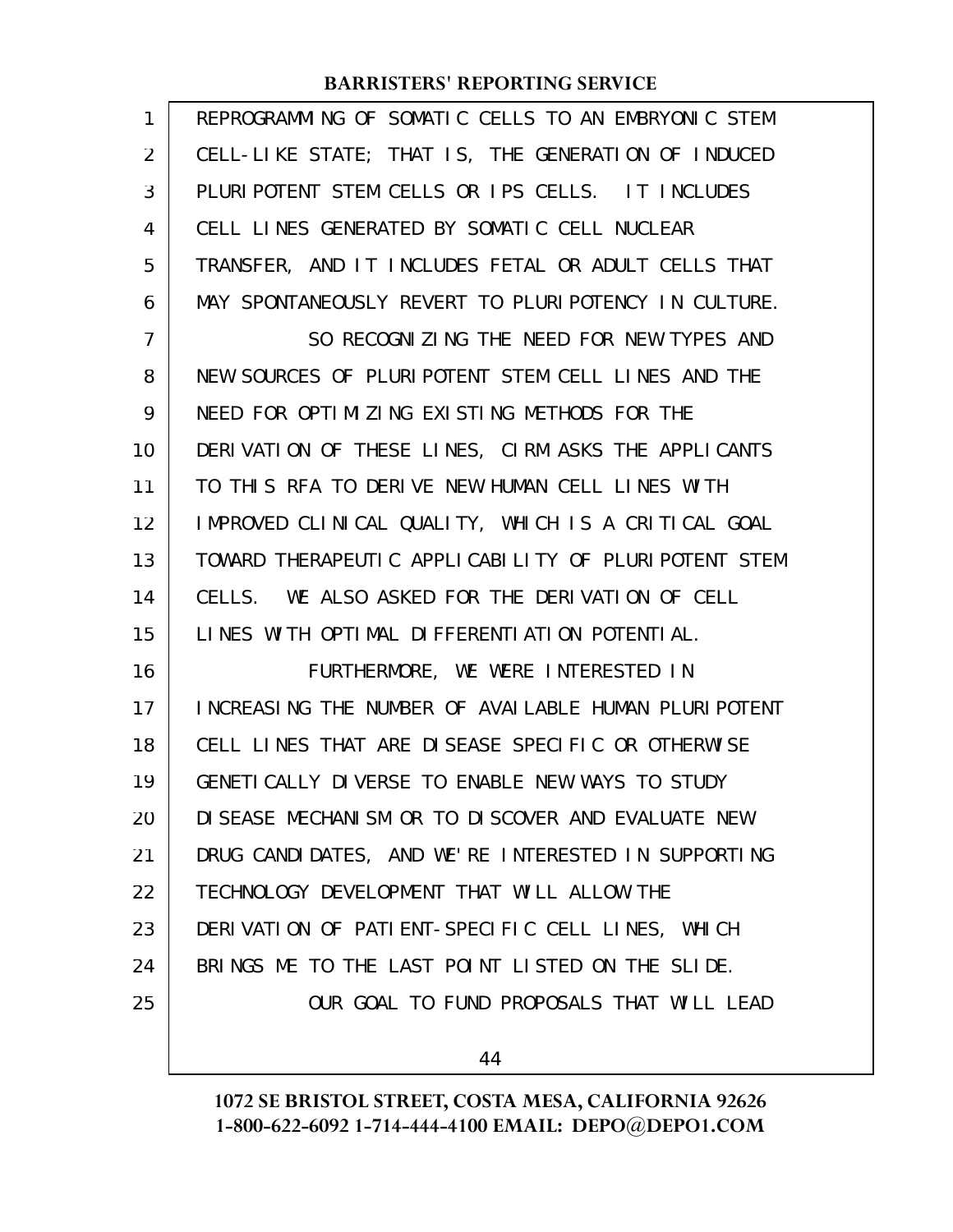| 1              | REPROGRAMMING OF SOMATIC CELLS TO AN EMBRYONIC STEM  |
|----------------|------------------------------------------------------|
| $\overline{2}$ | CELL-LIKE STATE; THAT IS, THE GENERATION OF INDUCED  |
| 3              | PLURIPOTENT STEM CELLS OR IPS CELLS. IT INCLUDES     |
| 4              | CELL LINES GENERATED BY SOMATIC CELL NUCLEAR         |
| 5              | TRANSFER, AND IT INCLUDES FETAL OR ADULT CELLS THAT  |
| 6              | MAY SPONTANEOUSLY REVERT TO PLURIPOTENCY IN CULTURE. |
| $\overline{7}$ | SO RECOGNIZING THE NEED FOR NEW TYPES AND            |
| 8              | NEW SOURCES OF PLURIPOTENT STEM CELL LINES AND THE   |
| 9              | NEED FOR OPTIMIZING EXISTING METHODS FOR THE         |
| 10             | DERIVATION OF THESE LINES, CIRM ASKS THE APPLICANTS  |
| 11             | TO THIS RFA TO DERIVE NEW HUMAN CELL LINES WITH      |
| 12             | IMPROVED CLINICAL QUALITY, WHICH IS A CRITICAL GOAL  |
| 13             | TOWARD THERAPEUTIC APPLICABILITY OF PLURIPOTENT STEM |
| 14             | CELLS. WE ALSO ASKED FOR THE DERIVATION OF CELL      |
| 15             | LINES WITH OPTIMAL DIFFERENTIATION POTENTIAL.        |
| 16             | FURTHERMORE, WE WERE INTERESTED IN                   |
| 17             | INCREASING THE NUMBER OF AVAILABLE HUMAN PLURIPOTENT |
| 18             | CELL LINES THAT ARE DISEASE SPECIFIC OR OTHERWISE    |
| 19             | GENETI CALLY DIVERSE TO ENABLE NEW WAYS TO STUDY     |
| 20             | DI SEASE MECHANI SM OR TO DI SCOVER AND EVALUATE NEW |
| 21             | DRUG CANDIDATES, AND WE'RE INTERESTED IN SUPPORTING  |
| 22             | TECHNOLOGY DEVELOPMENT THAT WILL ALLOW THE           |
| 23             | DERIVATION OF PATIENT-SPECIFIC CELL LINES, WHICH     |
| 24             | BRINGS ME TO THE LAST POINT LISTED ON THE SLIDE.     |
| 25             | OUR GOAL TO FUND PROPOSALS THAT WILL LEAD            |
|                |                                                      |

44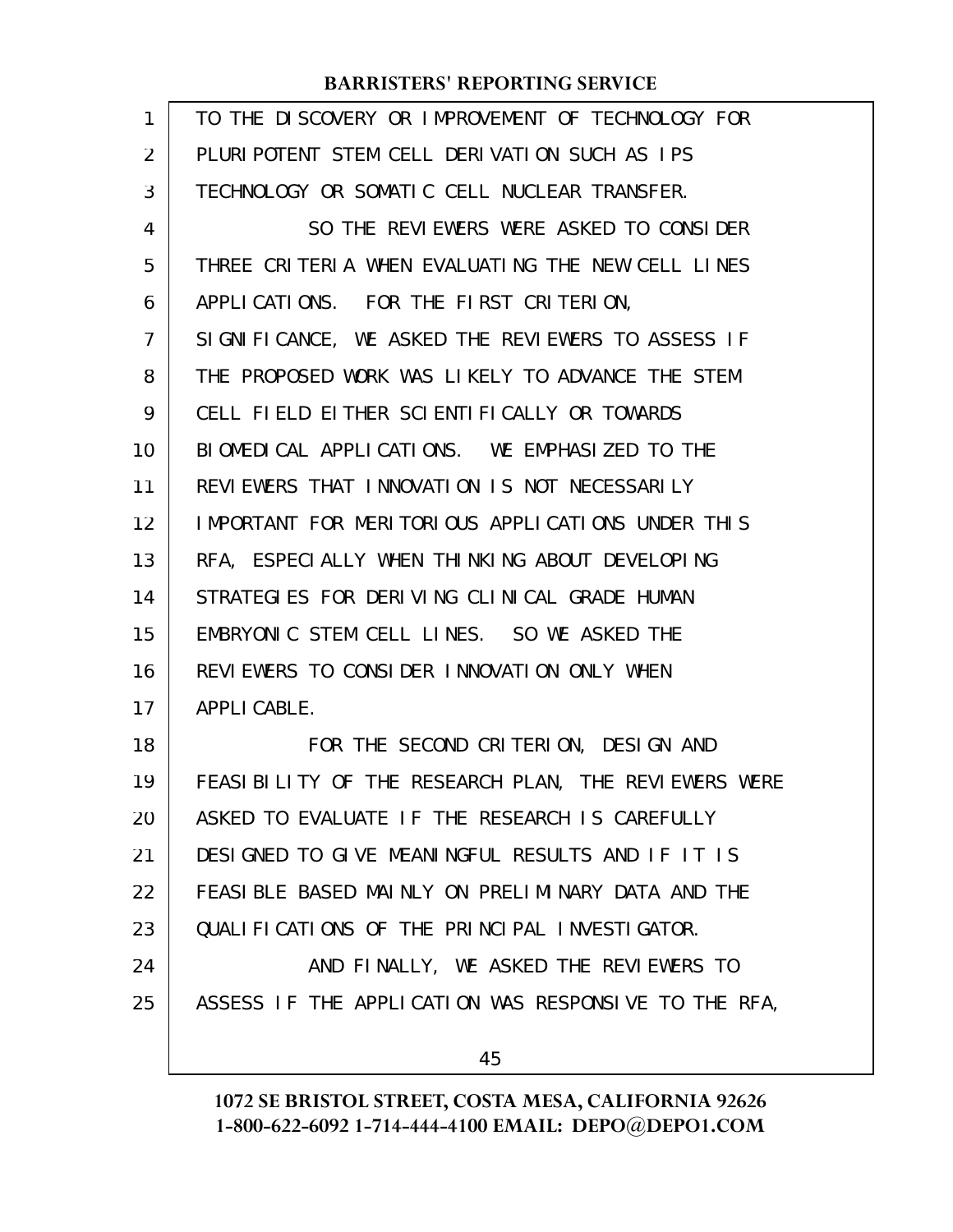| 1  | TO THE DISCOVERY OR IMPROVEMENT OF TECHNOLOGY FOR     |
|----|-------------------------------------------------------|
| 2  | PLURIPOTENT STEM CELL DERIVATION SUCH AS IPS          |
| 3  | TECHNOLOGY OR SOMATIC CELL NUCLEAR TRANSFER.          |
| 4  | SO THE REVIEWERS WERE ASKED TO CONSIDER               |
| 5  | THREE CRITERIA WHEN EVALUATING THE NEW CELL LINES     |
| 6  | APPLICATIONS. FOR THE FIRST CRITERION,                |
| 7  | SIGNIFICANCE, WE ASKED THE REVIEWERS TO ASSESS IF     |
| 8  | THE PROPOSED WORK WAS LIKELY TO ADVANCE THE STEM      |
| 9  | CELL FIELD EITHER SCIENTIFICALLY OR TOWARDS           |
| 10 | BIOMEDICAL APPLICATIONS. WE EMPHASIZED TO THE         |
| 11 | REVIEWERS THAT INNOVATION IS NOT NECESSARILY          |
| 12 | IMPORTANT FOR MERITORIOUS APPLICATIONS UNDER THIS     |
| 13 | RFA, ESPECIALLY WHEN THINKING ABOUT DEVELOPING        |
| 14 | STRATEGIES FOR DERIVING CLINICAL GRADE HUMAN          |
| 15 | EMBRYONIC STEM CELL LINES. SO WE ASKED THE            |
| 16 | REVIEWERS TO CONSIDER INNOVATION ONLY WHEN            |
| 17 | APPLI CABLE.                                          |
| 18 | FOR THE SECOND CRITERION, DESIGN AND                  |
| 19 | FEASI BILITY OF THE RESEARCH PLAN, THE REVIEWERS WERE |
| 20 | ASKED TO EVALUATE IF THE RESEARCH IS CAREFULLY        |
| 21 | DESIGNED TO GIVE MEANINGFUL RESULTS AND IF IT IS      |
| 22 | FEASIBLE BASED MAINLY ON PRELIMINARY DATA AND THE     |
| 23 | QUALIFICATIONS OF THE PRINCIPAL INVESTIGATOR.         |
| 24 | AND FINALLY, WE ASKED THE REVIEWERS TO                |
| 25 | ASSESS IF THE APPLICATION WAS RESPONSIVE TO THE RFA,  |
|    | 45                                                    |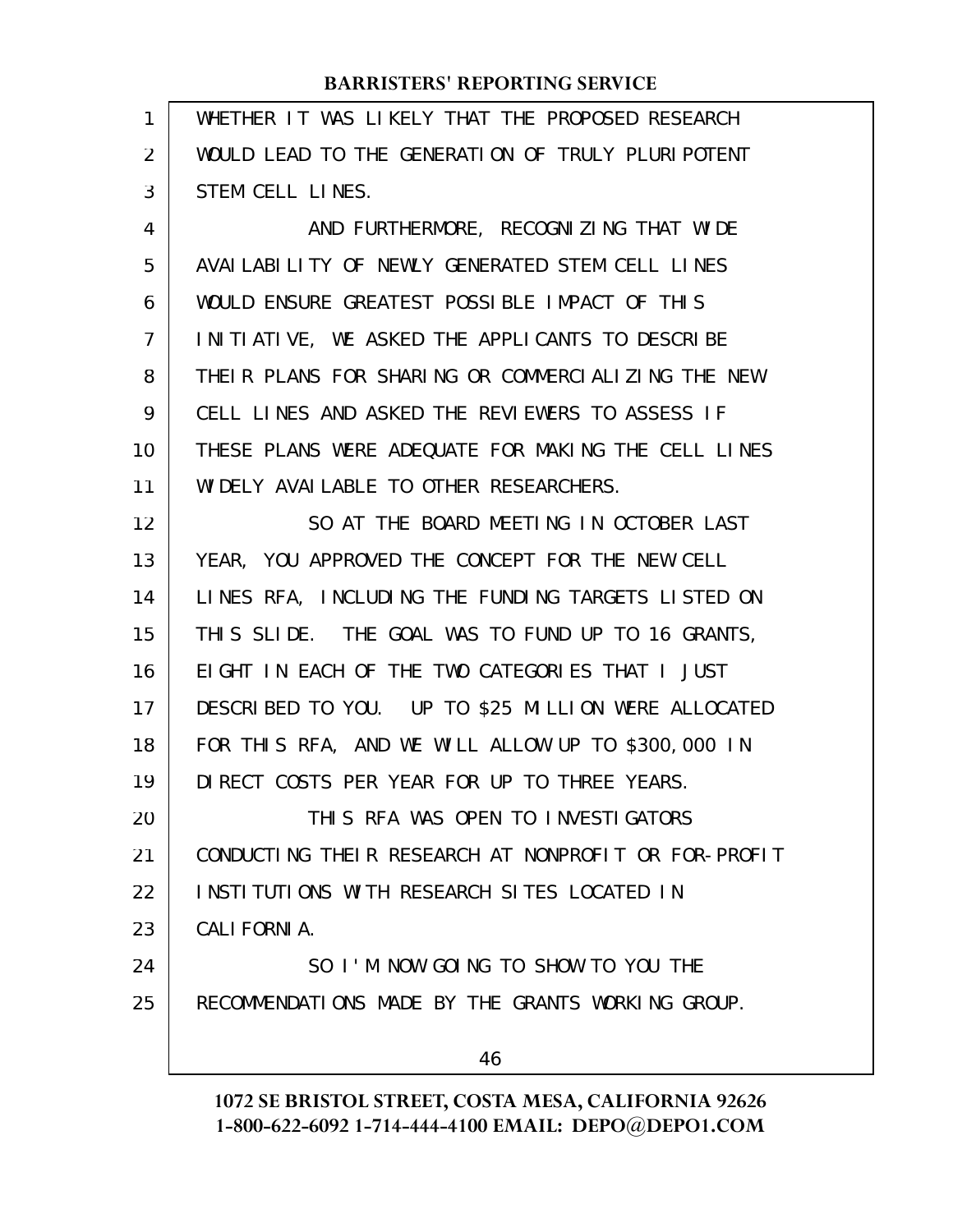| 1  | WHETHER IT WAS LIKELY THAT THE PROPOSED RESEARCH     |
|----|------------------------------------------------------|
| 2  | WOULD LEAD TO THE GENERATION OF TRULY PLURIPOTENT    |
| 3  | STEM CELL LINES.                                     |
| 4  | AND FURTHERMORE, RECOGNIZING THAT WIDE               |
| 5  | AVAILABILITY OF NEWLY GENERATED STEM CELL LINES      |
| 6  | WOULD ENSURE GREATEST POSSIBLE IMPACT OF THIS        |
| 7  | INITIATIVE, WE ASKED THE APPLICANTS TO DESCRIBE      |
| 8  | THEIR PLANS FOR SHARING OR COMMERCIALIZING THE NEW   |
| 9  | CELL LINES AND ASKED THE REVIEWERS TO ASSESS IF      |
| 10 | THESE PLANS WERE ADEQUATE FOR MAKING THE CELL LINES  |
| 11 | WIDELY AVAILABLE TO OTHER RESEARCHERS.               |
| 12 | SO AT THE BOARD MEETING IN OCTOBER LAST              |
| 13 | YEAR, YOU APPROVED THE CONCEPT FOR THE NEW CELL      |
| 14 | LINES RFA, INCLUDING THE FUNDING TARGETS LISTED ON   |
| 15 | THIS SLIDE. THE GOAL WAS TO FUND UP TO 16 GRANTS,    |
| 16 | EIGHT IN EACH OF THE TWO CATEGORIES THAT I JUST      |
| 17 | DESCRIBED TO YOU. UP TO \$25 MILLION WERE ALLOCATED  |
| 18 | FOR THIS RFA, AND WE WILL ALLOW UP TO \$300,000 IN   |
| 19 | DIRECT COSTS PER YEAR FOR UP TO THREE YEARS.         |
| 20 | THIS RFA WAS OPEN TO INVESTIGATORS                   |
| 21 | CONDUCTING THEIR RESEARCH AT NONPROFIT OR FOR-PROFIT |
| 22 | INSTITUTIONS WITH RESEARCH SITES LOCATED IN          |
| 23 | CALI FORNI A.                                        |
| 24 | SO I'M NOW GOING TO SHOW TO YOU THE                  |
| 25 | RECOMMENDATIONS MADE BY THE GRANTS WORKING GROUP.    |
|    | 46                                                   |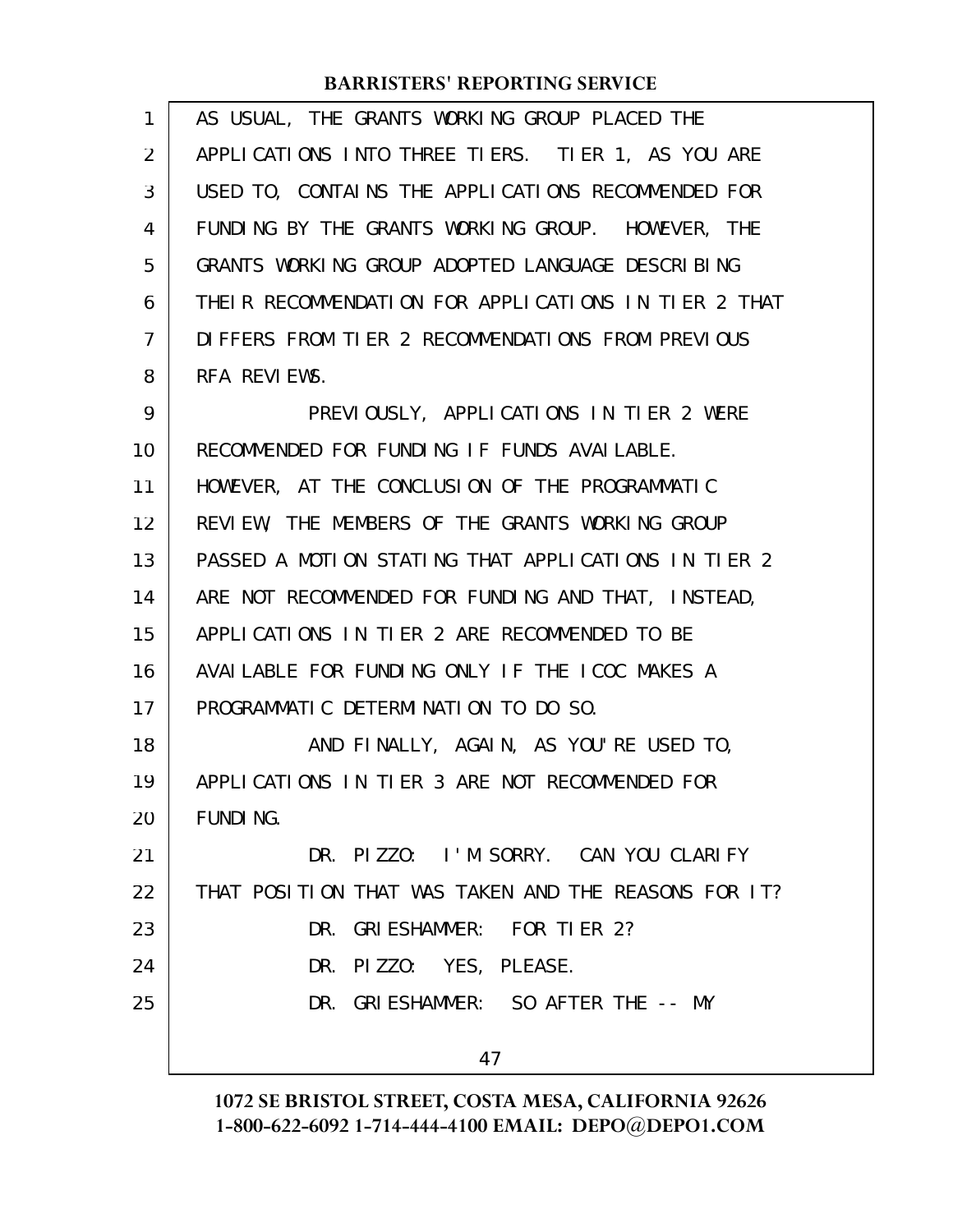| 1  | AS USUAL, THE GRANTS WORKING GROUP PLACED THE        |
|----|------------------------------------------------------|
| 2  | APPLICATIONS INTO THREE TIERS. TIER 1, AS YOU ARE    |
| 3  | USED TO, CONTAINS THE APPLICATIONS RECOMMENDED FOR   |
| 4  | FUNDING BY THE GRANTS WORKING GROUP. HOWEVER, THE    |
| 5  | GRANTS WORKING GROUP ADOPTED LANGUAGE DESCRIBING     |
| 6  | THEIR RECOMMENDATION FOR APPLICATIONS IN TIER 2 THAT |
| 7  | DIFFERS FROM TIER 2 RECOMMENDATIONS FROM PREVIOUS    |
| 8  | RFA REVIEWS.                                         |
| 9  | PREVIOUSLY, APPLICATIONS IN TIER 2 WERE              |
| 10 | RECOMMENDED FOR FUNDING IF FUNDS AVAILABLE.          |
| 11 | HOWEVER, AT THE CONCLUSION OF THE PROGRAMMATIC       |
| 12 | REVIEW, THE MEMBERS OF THE GRANTS WORKING GROUP      |
| 13 | PASSED A MOTION STATING THAT APPLICATIONS IN TIER 2  |
| 14 | ARE NOT RECOMMENDED FOR FUNDING AND THAT, INSTEAD,   |
| 15 | APPLICATIONS IN TIER 2 ARE RECOMMENDED TO BE         |
| 16 | AVAILABLE FOR FUNDING ONLY IF THE ICOC MAKES A       |
| 17 | PROGRAMMATIC DETERMINATION TO DO SO.                 |
| 18 | AND FINALLY, AGAIN, AS YOU'RE USED TO,               |
| 19 | APPLICATIONS IN TIER 3 ARE NOT RECOMMENDED FOR       |
| 20 | <b>FUNDING.</b>                                      |
| 21 | DR. PIZZO: I'M SORRY. CAN YOU CLARIFY                |
| 22 | THAT POSITION THAT WAS TAKEN AND THE REASONS FOR IT? |
| 23 | DR. GRIESHAMMER: FOR TIER 2?                         |
| 24 | DR. PIZZO: YES, PLEASE.                              |
| 25 | DR. GRIESHAMMER: SO AFTER THE -- MY                  |
|    |                                                      |
|    | 47                                                   |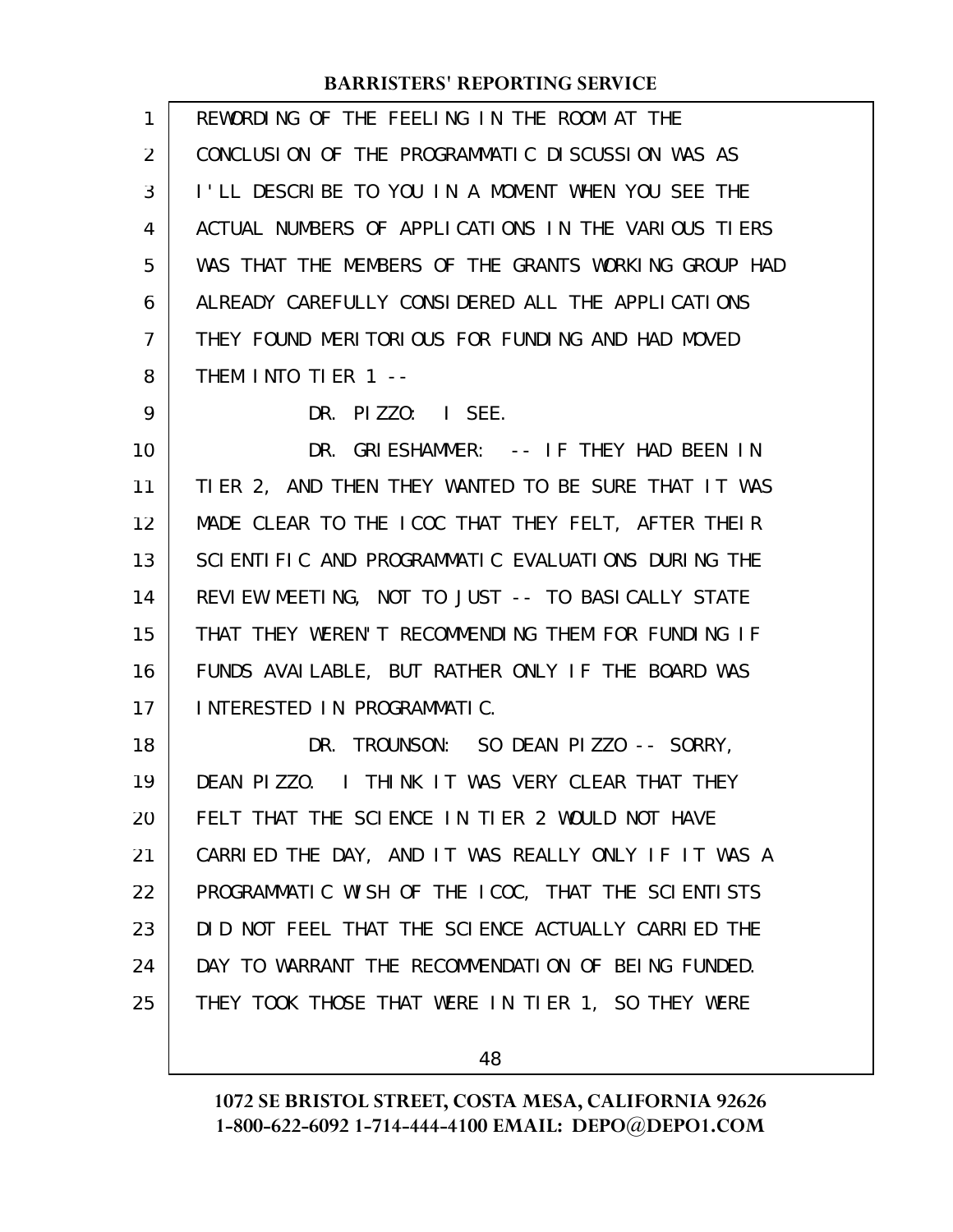| 1              | REWORDING OF THE FEELING IN THE ROOM AT THE          |
|----------------|------------------------------------------------------|
| 2              | CONCLUSION OF THE PROGRAMMATIC DISCUSSION WAS AS     |
| 3              | I'LL DESCRIBE TO YOU IN A MOMENT WHEN YOU SEE THE    |
| 4              | ACTUAL NUMBERS OF APPLICATIONS IN THE VARIOUS TIERS  |
| 5              | WAS THAT THE MEMBERS OF THE GRANTS WORKING GROUP HAD |
| 6              | ALREADY CAREFULLY CONSIDERED ALL THE APPLICATIONS    |
| $\overline{7}$ | THEY FOUND MERITORIOUS FOR FUNDING AND HAD MOVED     |
| 8              | THEM INTO TIER 1 --                                  |
| 9              | DR. PIZZO: I SEE.                                    |
| 10             | DR. GRIESHAMMER: -- IF THEY HAD BEEN IN              |
| 11             | TIER 2, AND THEN THEY WANTED TO BE SURE THAT IT WAS  |
| 12             | MADE CLEAR TO THE ICOC THAT THEY FELT, AFTER THEIR   |
| 13             | SCIENTIFIC AND PROGRAMMATIC EVALUATIONS DURING THE   |
| 14             | REVIEW MEETING, NOT TO JUST -- TO BASICALLY STATE    |
| 15             | THAT THEY WEREN'T RECOMMENDING THEM FOR FUNDING IF   |
| 16             | FUNDS AVAILABLE, BUT RATHER ONLY IF THE BOARD WAS    |
| 17             | INTERESTED IN PROGRAMMATIC.                          |
| 18             | DR. TROUNSON: SO DEAN PIZZO -- SORRY,                |
| 19             | DEAN PIZZO. I THINK IT WAS VERY CLEAR THAT THEY      |
| 20             | FELT THAT THE SCIENCE IN TIER 2 WOULD NOT HAVE       |
| 21             | CARRIED THE DAY, AND IT WAS REALLY ONLY IF IT WAS A  |
| 22             | PROGRAMMATIC WISH OF THE ICOC, THAT THE SCIENTISTS   |
| 23             | DID NOT FEEL THAT THE SCIENCE ACTUALLY CARRIED THE   |
| 24             | DAY TO WARRANT THE RECOMMENDATION OF BEING FUNDED.   |
| 25             | THEY TOOK THOSE THAT WERE IN TIER 1, SO THEY WERE    |
|                |                                                      |

48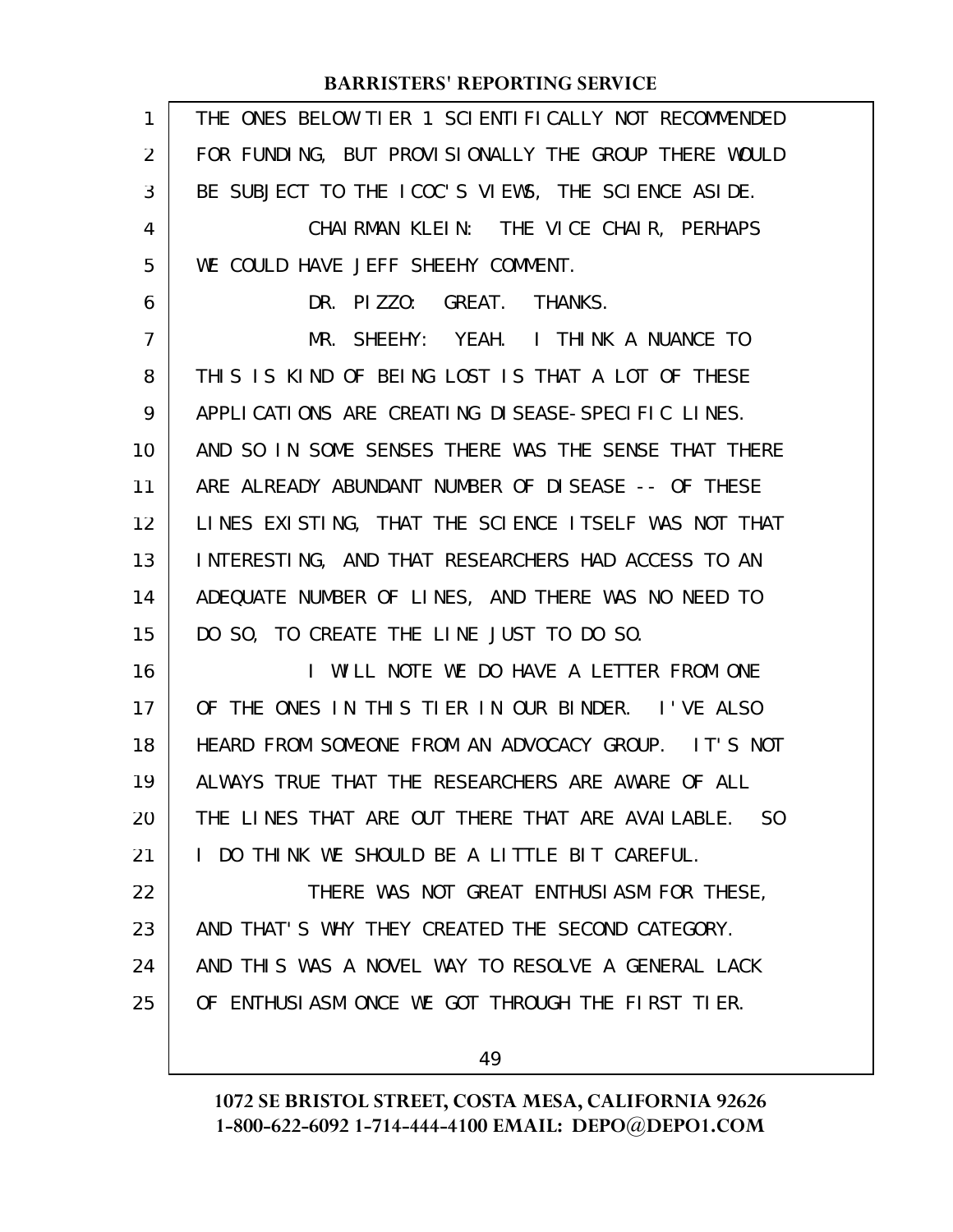| $\mathbf{1}$   | THE ONES BELOW TIER 1 SCIENTIFICALLY NOT RECOMMENDED |
|----------------|------------------------------------------------------|
| $\overline{2}$ | FOR FUNDING, BUT PROVISIONALLY THE GROUP THERE WOULD |
| 3              | BE SUBJECT TO THE ICOC'S VIEWS, THE SCIENCE ASIDE.   |
| 4              | CHAIRMAN KLEIN: THE VICE CHAIR, PERHAPS              |
| 5              | WE COULD HAVE JEFF SHEEHY COMMENT.                   |
| 6              | DR. PIZZO: GREAT. THANKS.                            |
| 7              | MR. SHEEHY: YEAH. I THINK A NUANCE TO                |
| 8              | THIS IS KIND OF BEING LOST IS THAT A LOT OF THESE    |
| 9              | APPLICATIONS ARE CREATING DISEASE-SPECIFIC LINES.    |
| 10             | AND SO IN SOME SENSES THERE WAS THE SENSE THAT THERE |
| 11             | ARE ALREADY ABUNDANT NUMBER OF DISEASE -- OF THESE   |
| 12             | LINES EXISTING, THAT THE SCIENCE ITSELF WAS NOT THAT |
| 13             | INTERESTING, AND THAT RESEARCHERS HAD ACCESS TO AN   |
| 14             | ADEQUATE NUMBER OF LINES, AND THERE WAS NO NEED TO   |
| 15             | DO SO, TO CREATE THE LINE JUST TO DO SO.             |
| 16             | I WILL NOTE WE DO HAVE A LETTER FROM ONE             |
| 17             | OF THE ONES IN THIS TIER IN OUR BINDER. I'VE ALSO    |
| 18             | HEARD FROM SOMEONE FROM AN ADVOCACY GROUP. IT'S NOT  |
| 19             | ALWAYS TRUE THAT THE RESEARCHERS ARE AWARE OF ALL    |
| 20             | THE LINES THAT ARE OUT THERE THAT ARE AVAILABLE. SO  |
| 21             | I DO THINK WE SHOULD BE A LITTLE BIT CAREFUL.        |
| 22             | THERE WAS NOT GREAT ENTHUSIASM FOR THESE,            |
| 23             | AND THAT'S WHY THEY CREATED THE SECOND CATEGORY.     |
| 24             | AND THIS WAS A NOVEL WAY TO RESOLVE A GENERAL LACK   |
| 25             | OF ENTHUSIASM ONCE WE GOT THROUGH THE FIRST TIER.    |
|                | 49                                                   |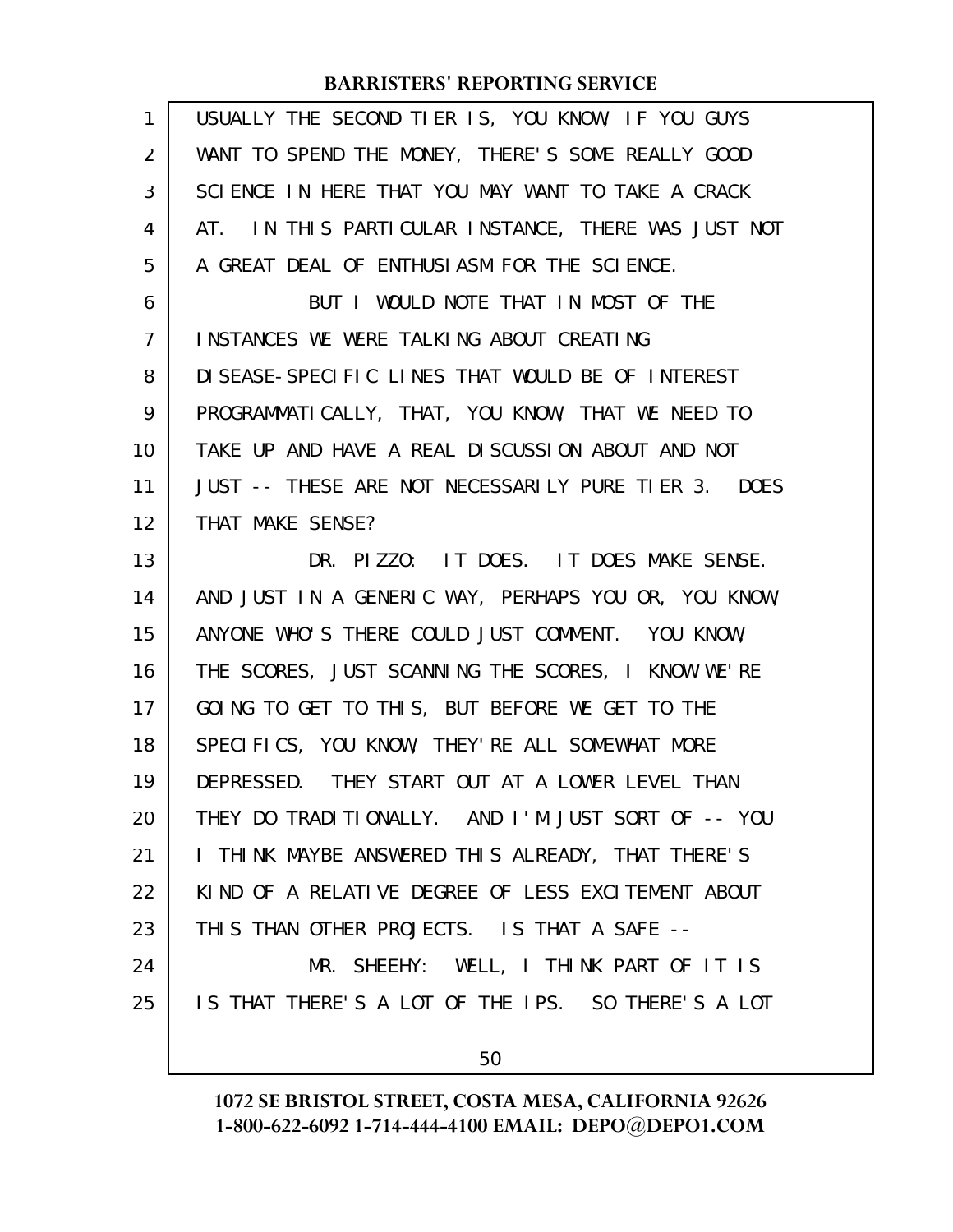| $\mathbf{1}$   | USUALLY THE SECOND TIER IS, YOU KNOW, IF YOU GUYS    |
|----------------|------------------------------------------------------|
| 2              | WANT TO SPEND THE MONEY, THERE'S SOME REALLY GOOD    |
| 3              | SCIENCE IN HERE THAT YOU MAY WANT TO TAKE A CRACK    |
| 4              | AT. IN THIS PARTICULAR INSTANCE, THERE WAS JUST NOT  |
| 5              | A GREAT DEAL OF ENTHUSIASM FOR THE SCIENCE.          |
| 6              | BUT I WOULD NOTE THAT IN MOST OF THE                 |
| $\overline{7}$ | INSTANCES WE WERE TALKING ABOUT CREATING             |
| 8              | DI SEASE-SPECIFIC LINES THAT WOULD BE OF INTEREST    |
| 9              | PROGRAMMATICALLY, THAT, YOU KNOW, THAT WE NEED TO    |
| 10             | TAKE UP AND HAVE A REAL DISCUSSION ABOUT AND NOT     |
| 11             | JUST -- THESE ARE NOT NECESSARILY PURE TIER 3. DOES  |
| 12             | THAT MAKE SENSE?                                     |
| 13             | DR. PIZZO: IT DOES. IT DOES MAKE SENSE.              |
| 14             | AND JUST IN A GENERIC WAY, PERHAPS YOU OR, YOU KNOW, |
| 15             | ANYONE WHO'S THERE COULD JUST COMMENT. YOU KNOW,     |
| 16             | THE SCORES, JUST SCANNING THE SCORES, I KNOW WE'RE   |
| 17             | GOING TO GET TO THIS, BUT BEFORE WE GET TO THE       |
| 18             | SPECIFICS, YOU KNOW, THEY'RE ALL SOMEWHAT MORE       |
| 19             | DEPRESSED. THEY START OUT AT A LOWER LEVEL THAN      |
| 20             | THEY DO TRADITIONALLY. AND I'M JUST SORT OF -- YOU   |
| 21             | I THINK MAYBE ANSWERED THIS ALREADY, THAT THERE'S    |
| 22             | KIND OF A RELATIVE DEGREE OF LESS EXCITEMENT ABOUT   |
| 23             | THIS THAN OTHER PROJECTS. IS THAT A SAFE --          |
| 24             | MR. SHEEHY: WELL, I THINK PART OF IT IS              |
| 25             | IS THAT THERE'S A LOT OF THE IPS. SO THERE'S A LOT   |
|                | 50                                                   |
|                |                                                      |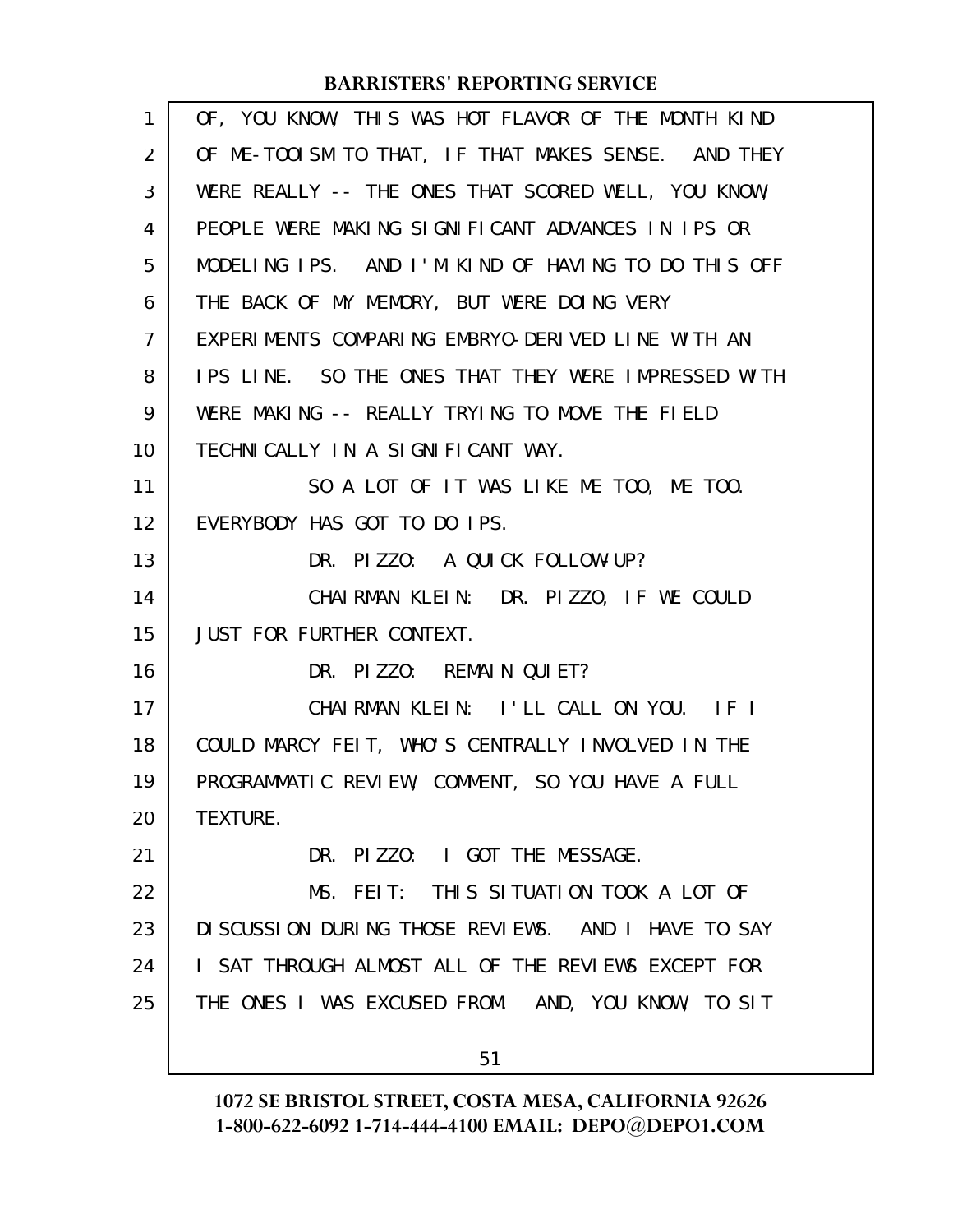| 1              | OF, YOU KNOW, THIS WAS HOT FLAVOR OF THE MONTH KIND |
|----------------|-----------------------------------------------------|
| $\overline{2}$ | OF ME-TOOISM TO THAT, IF THAT MAKES SENSE. AND THEY |
| 3              | WERE REALLY -- THE ONES THAT SCORED WELL, YOU KNOW, |
| 4              | PEOPLE WERE MAKING SIGNIFICANT ADVANCES IN IPS OR   |
| 5              | MODELING IPS. AND I'M KIND OF HAVING TO DO THIS OFF |
| 6              | THE BACK OF MY MEMORY, BUT WERE DOING VERY          |
| $\overline{7}$ | EXPERIMENTS COMPARING EMBRYO-DERIVED LINE WITH AN   |
| 8              | IPS LINE. SO THE ONES THAT THEY WERE IMPRESSED WITH |
| 9              | WERE MAKING -- REALLY TRYING TO MOVE THE FIELD      |
| 10             | TECHNICALLY IN A SIGNIFICANT WAY.                   |
| 11             | SO A LOT OF IT WAS LIKE ME TOO, ME TOO.             |
| 12             | EVERYBODY HAS GOT TO DO IPS.                        |
| 13             | DR. PIZZO: A QUICK FOLLOW-UP?                       |
| 14             | CHAIRMAN KLEIN: DR. PIZZO, IF WE COULD              |
| 15             | JUST FOR FURTHER CONTEXT.                           |
| 16             | DR. PIZZO: REMAIN QUIET?                            |
| 17             | CHAIRMAN KLEIN: I'LL CALL ON YOU. IF I              |
| 18             | COULD MARCY FEIT, WHO'S CENTRALLY INVOLVED IN THE   |
| 19             | PROGRAMMATIC REVIEW, COMMENT, SO YOU HAVE A FULL    |
| 20             | TEXTURE.                                            |
| 21             | DR. PIZZO: I GOT THE MESSAGE.                       |
| 22             | MS. FEIT: THIS SITUATION TOOK A LOT OF              |
| 23             | DISCUSSION DURING THOSE REVIEWS. AND I HAVE TO SAY  |
| 24             | I SAT THROUGH ALMOST ALL OF THE REVIEWS EXCEPT FOR  |
| 25             | THE ONES I WAS EXCUSED FROM. AND, YOU KNOW, TO SIT  |
|                | 51                                                  |
|                |                                                     |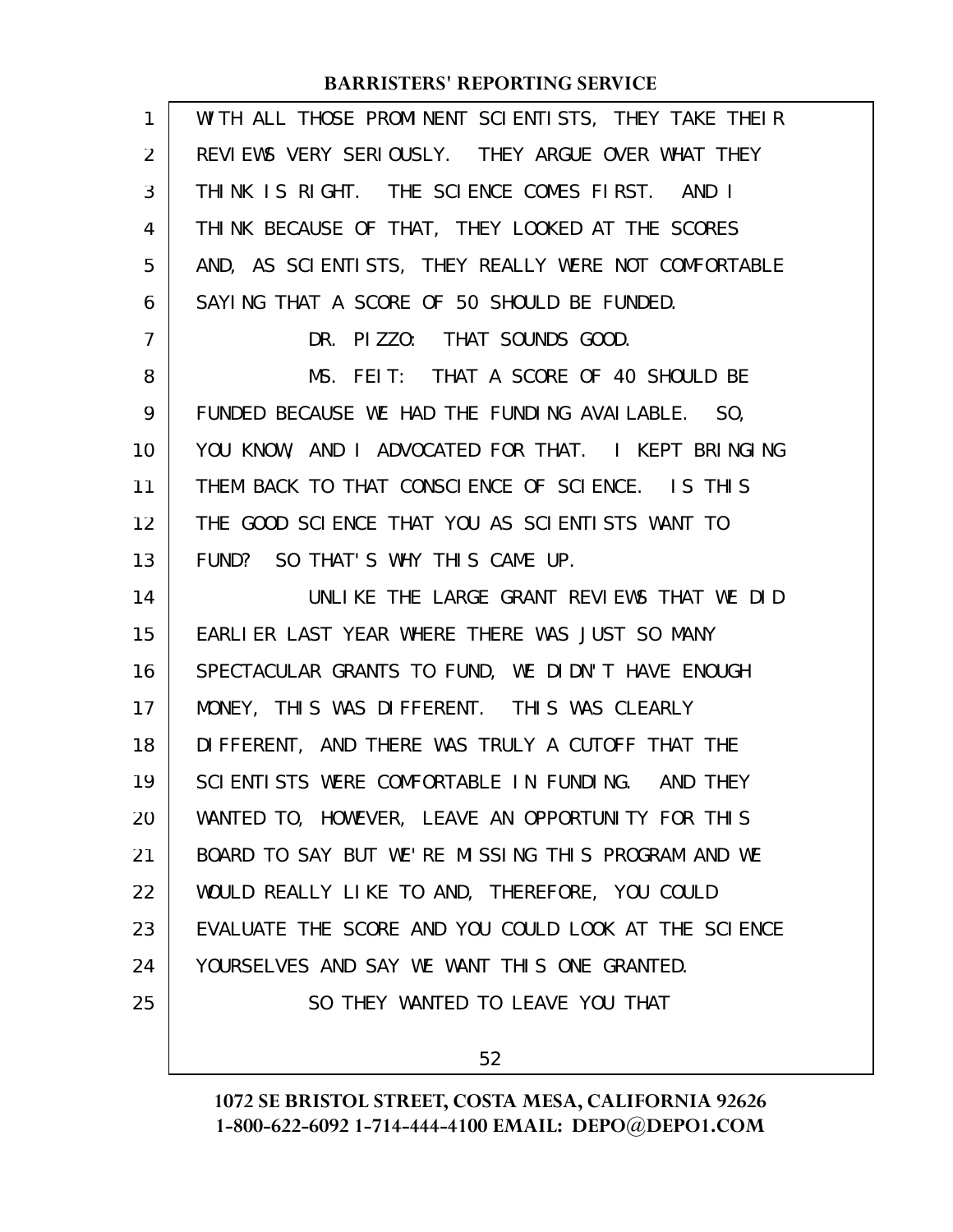| $\mathbf{1}$ | WITH ALL THOSE PROMINENT SCIENTISTS, THEY TAKE THEIR |
|--------------|------------------------------------------------------|
| 2            | REVIEWS VERY SERIOUSLY. THEY ARGUE OVER WHAT THEY    |
| 3            | THINK IS RIGHT. THE SCIENCE COMES FIRST. AND I       |
| 4            | THINK BECAUSE OF THAT, THEY LOOKED AT THE SCORES     |
| 5            | AND, AS SCIENTISTS, THEY REALLY WERE NOT COMFORTABLE |
| 6            | SAYING THAT A SCORE OF 50 SHOULD BE FUNDED.          |
| 7            | DR. PIZZO: THAT SOUNDS GOOD.                         |
| 8            | MS. FEIT: THAT A SCORE OF 40 SHOULD BE               |
| 9            | FUNDED BECAUSE WE HAD THE FUNDING AVAILABLE. SO,     |
| 10           | YOU KNOW, AND I ADVOCATED FOR THAT. I KEPT BRINGING  |
| 11           | THEM BACK TO THAT CONSCIENCE OF SCIENCE. IS THIS     |
| 12           | THE GOOD SCIENCE THAT YOU AS SCIENTISTS WANT TO      |
| 13           | FUND? SO THAT'S WHY THIS CAME UP.                    |
| 14           | UNLIKE THE LARGE GRANT REVIEWS THAT WE DID           |
| 15           | EARLIER LAST YEAR WHERE THERE WAS JUST SO MANY       |
| 16           | SPECTACULAR GRANTS TO FUND, WE DIDN'T HAVE ENOUGH    |
| 17           | MONEY, THIS WAS DIFFERENT. THIS WAS CLEARLY          |
| 18           | DIFFERENT, AND THERE WAS TRULY A CUTOFF THAT THE     |
| 19           | SCIENTISTS WERE COMFORTABLE IN FUNDING. AND THEY     |
| 20           | WANTED TO, HOWEVER, LEAVE AN OPPORTUNITY FOR THIS    |
| 21           | BOARD TO SAY BUT WE'RE MISSING THIS PROGRAM AND WE   |
| 22           | WOULD REALLY LIKE TO AND, THEREFORE, YOU COULD       |
| 23           | EVALUATE THE SCORE AND YOU COULD LOOK AT THE SCIENCE |
| 24           | YOURSELVES AND SAY WE WANT THIS ONE GRANTED.         |
| 25           | SO THEY WANTED TO LEAVE YOU THAT                     |
|              | 52                                                   |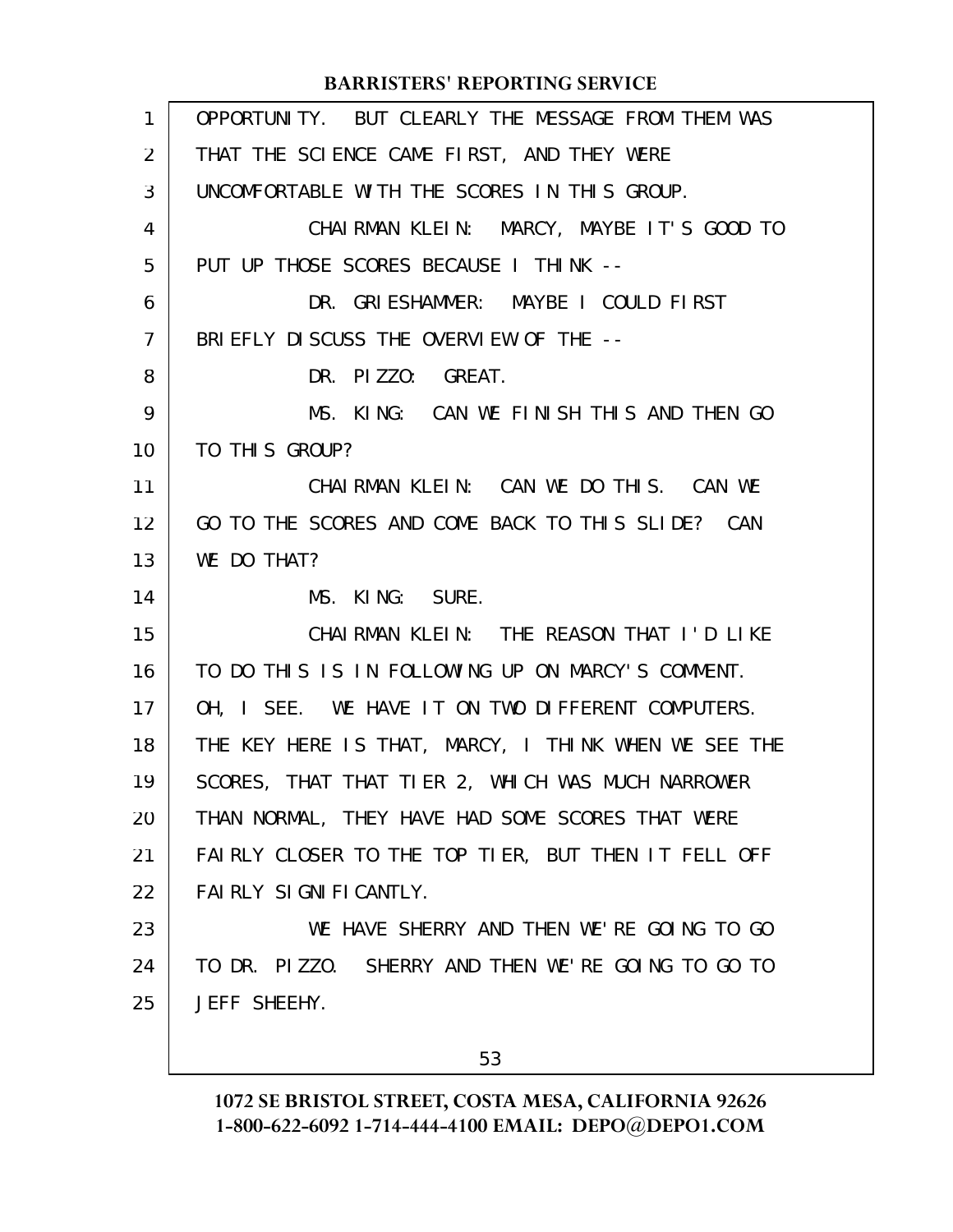| 1              | OPPORTUNITY. BUT CLEARLY THE MESSAGE FROM THEM WAS   |
|----------------|------------------------------------------------------|
| 2              | THAT THE SCIENCE CAME FIRST, AND THEY WERE           |
| 3              | UNCOMFORTABLE WITH THE SCORES IN THIS GROUP.         |
| 4              | CHAIRMAN KLEIN: MARCY, MAYBE IT'S GOOD TO            |
| 5              | PUT UP THOSE SCORES BECAUSE I THINK --               |
| 6              | DR. GRIESHAMMER: MAYBE I COULD FIRST                 |
| $\overline{7}$ | BRIEFLY DISCUSS THE OVERVIEW OF THE --               |
| 8              | DR. PIZZO: GREAT.                                    |
| 9              | MS. KING: CAN WE FINISH THIS AND THEN GO             |
| 10             | TO THIS GROUP?                                       |
| 11             | CHAIRMAN KLEIN: CAN WE DO THIS. CAN WE               |
| 12             | GO TO THE SCORES AND COME BACK TO THIS SLIDE? CAN    |
| 13             | WE DO THAT?                                          |
|                |                                                      |
| 14             | MS. KING: SURE.                                      |
| 15             | CHAIRMAN KLEIN: THE REASON THAT I'D LIKE             |
| 16             | TO DO THIS IS IN FOLLOWING UP ON MARCY'S COMMENT.    |
| 17             | OH, I SEE. WE HAVE IT ON TWO DIFFERENT COMPUTERS.    |
| 18             | THE KEY HERE IS THAT, MARCY, I THINK WHEN WE SEE THE |
| 19             | SCORES, THAT THAT TIER 2, WHICH WAS MUCH NARROWER    |
| 20             | THAN NORMAL, THEY HAVE HAD SOME SCORES THAT WERE     |
| 21             | FAIRLY CLOSER TO THE TOP TIER, BUT THEN IT FELL OFF  |
| 22             | FAIRLY SIGNIFICANTLY.                                |
| 23             | WE HAVE SHERRY AND THEN WE'RE GOING TO GO            |
| 24             | TO DR. PIZZO. SHERRY AND THEN WE'RE GOING TO GO TO   |
| 25             | JEFF SHEEHY.                                         |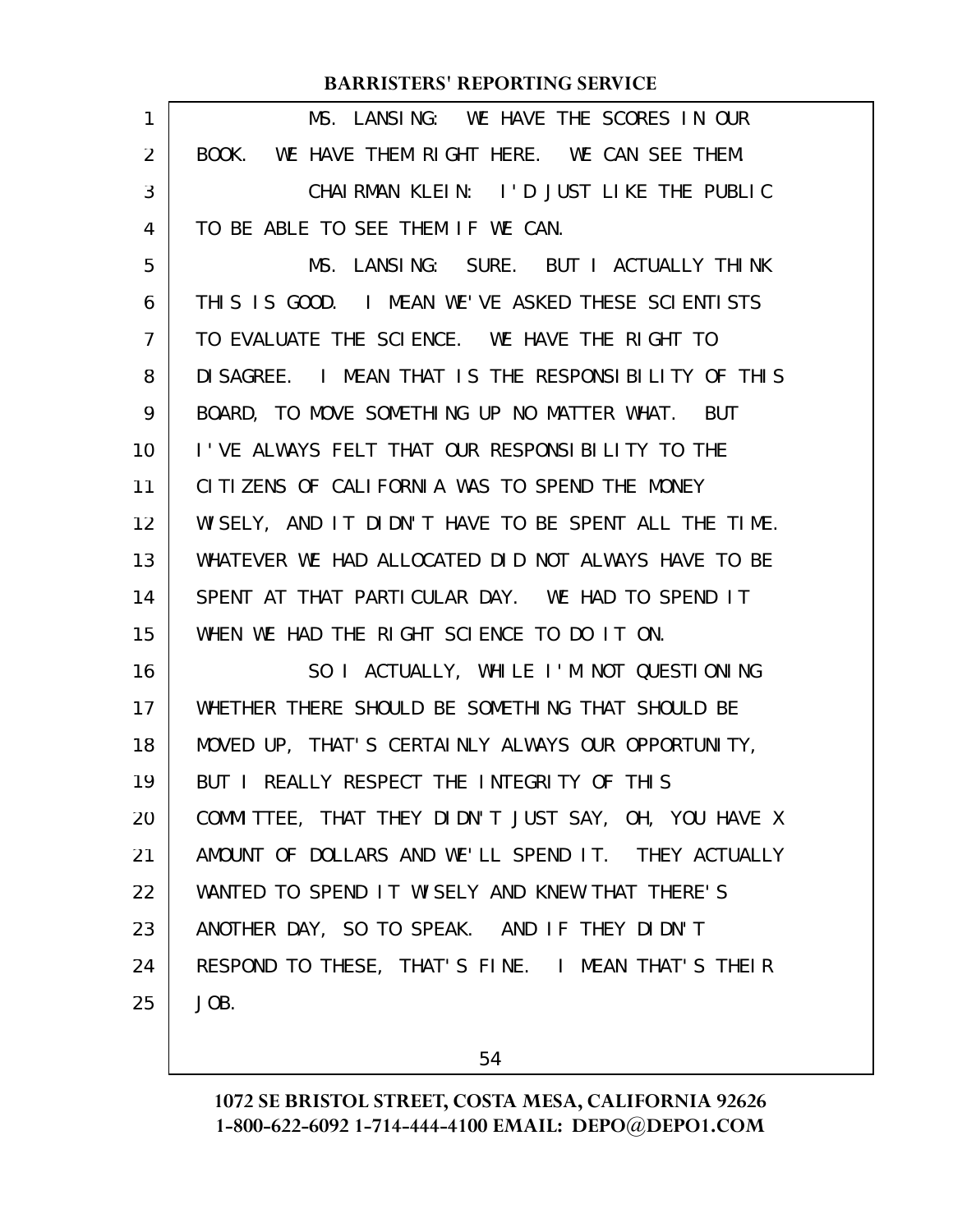| 1              | MS. LANSING: WE HAVE THE SCORES IN OUR               |
|----------------|------------------------------------------------------|
| $\overline{2}$ | BOOK. WE HAVE THEM RIGHT HERE. WE CAN SEE THEM.      |
| 3              | CHAIRMAN KLEIN: I'D JUST LIKE THE PUBLIC             |
| 4              | TO BE ABLE TO SEE THEM IF WE CAN.                    |
| 5              | MS. LANSING: SURE. BUT I ACTUALLY THINK              |
| 6              | THIS IS GOOD. I MEAN WE'VE ASKED THESE SCIENTISTS    |
| $\mathcal{I}$  | TO EVALUATE THE SCIENCE. WE HAVE THE RIGHT TO        |
| 8              | DI SAGREE. I MEAN THAT IS THE RESPONSIBILITY OF THIS |
| 9              | BOARD, TO MOVE SOMETHING UP NO MATTER WHAT. BUT      |
| 10             | I'VE ALWAYS FELT THAT OUR RESPONSIBILITY TO THE      |
| 11             | CITIZENS OF CALIFORNIA WAS TO SPEND THE MONEY        |
| 12             | WISELY, AND IT DIDN'T HAVE TO BE SPENT ALL THE TIME. |
| 13             | WHATEVER WE HAD ALLOCATED DID NOT ALWAYS HAVE TO BE  |
| 14             | SPENT AT THAT PARTICULAR DAY. WE HAD TO SPEND IT     |
| 15             | WHEN WE HAD THE RIGHT SCIENCE TO DO IT ON.           |
| 16             | SO I ACTUALLY, WHILE I'M NOT QUESTIONING             |
| 17             | WHETHER THERE SHOULD BE SOMETHING THAT SHOULD BE     |
| 18             | MOVED UP, THAT'S CERTAINLY ALWAYS OUR OPPORTUNITY,   |
| 19             | BUT I REALLY RESPECT THE INTEGRITY OF THIS           |
| 20             | COMMITTEE, THAT THEY DIDN'T JUST SAY, OH, YOU HAVE X |
| 21             | AMOUNT OF DOLLARS AND WE'LL SPEND IT. THEY ACTUALLY  |
| 22             | WANTED TO SPEND IT WISELY AND KNEW THAT THERE'S      |
| 23             | ANOTHER DAY, SO TO SPEAK. AND IF THEY DIDN'T         |
| 24             | RESPOND TO THESE, THAT'S FINE. I MEAN THAT'S THEIR   |
| 25             | JOB.                                                 |
|                |                                                      |

54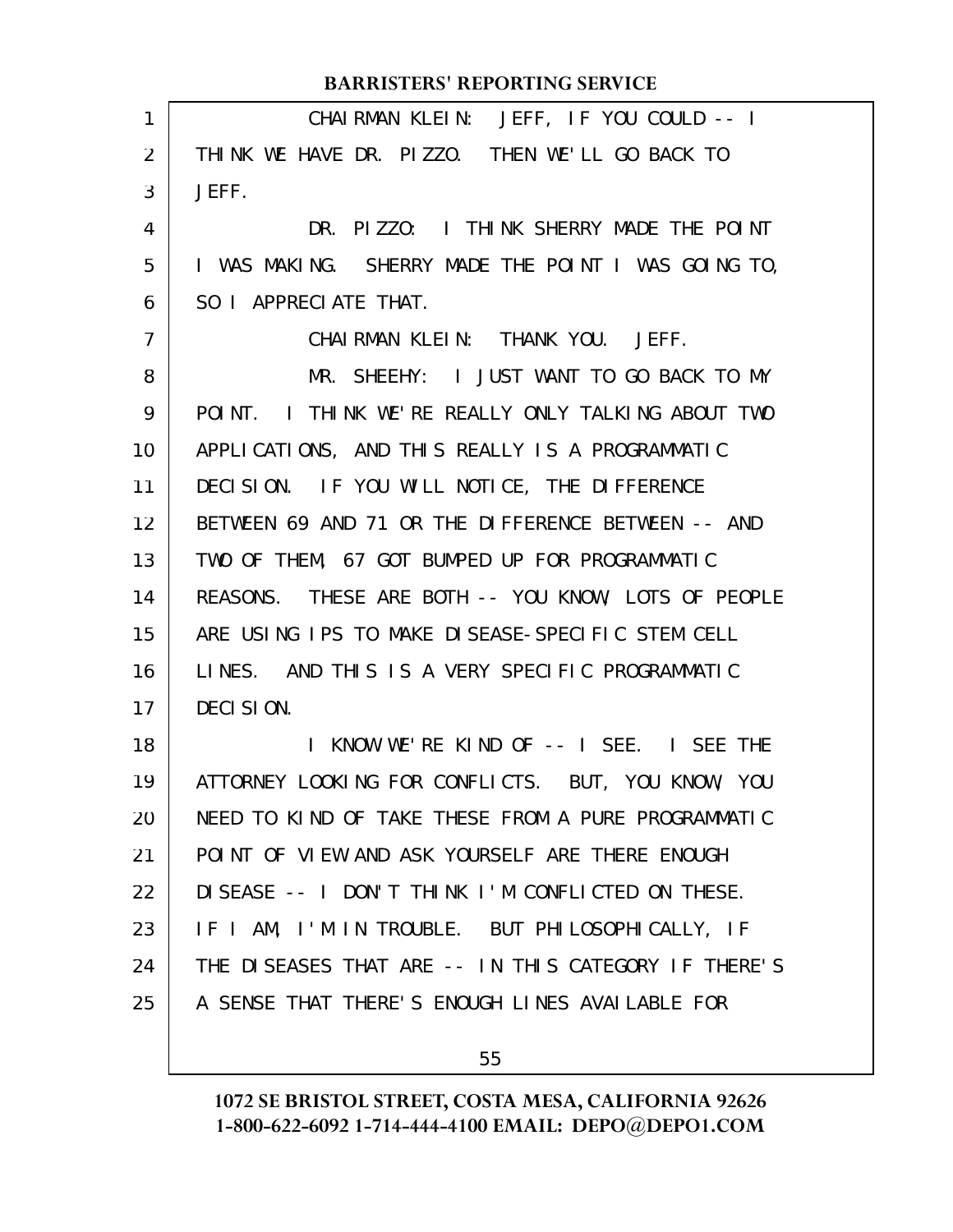|                | <b>BARRISTERS' REPORTING SERVICE</b>                 |
|----------------|------------------------------------------------------|
| 1              | CHAIRMAN KLEIN: JEFF, IF YOU COULD -- I              |
| 2              | THINK WE HAVE DR. PIZZO. THEN WE'LL GO BACK TO       |
| 3              | JEFF.                                                |
| 4              | DR. PIZZO: I THINK SHERRY MADE THE POINT             |
| 5              | I WAS MAKING. SHERRY MADE THE POINT I WAS GOING TO,  |
| 6              | SO I APPRECIATE THAT.                                |
| $\overline{7}$ | CHAIRMAN KLEIN: THANK YOU. JEFF.                     |
| 8              | MR. SHEEHY: I JUST WANT TO GO BACK TO MY             |
| 9              | POINT. I THINK WE'RE REALLY ONLY TALKING ABOUT TWO   |
| 10             | APPLICATIONS, AND THIS REALLY IS A PROGRAMMATIC      |
| 11             | DECISION. IF YOU WILL NOTICE, THE DIFFERENCE         |
| 12             | BETWEEN 69 AND 71 OR THE DIFFERENCE BETWEEN -- AND   |
| 13             | TWO OF THEM, 67 GOT BUMPED UP FOR PROGRAMMATIC       |
| 14             | REASONS. THESE ARE BOTH -- YOU KNOW, LOTS OF PEOPLE  |
| 15             | ARE USING IPS TO MAKE DISEASE-SPECIFIC STEM CELL     |
| 16             | LINES. AND THIS IS A VERY SPECIFIC PROGRAMMATIC      |
| 17             | DECISION.                                            |
| 18             | I KNOW WE'RE KIND OF -- I SEE. I SEE THE             |
| 19             | ATTORNEY LOOKING FOR CONFLICTS. BUT, YOU KNOW, YOU   |
| 20             | NEED TO KIND OF TAKE THESE FROM A PURE PROGRAMMATIC  |
| 21             | POINT OF VIEW AND ASK YOURSELF ARE THERE ENOUGH      |
| 22             | DISEASE -- I DON'T THINK I'M CONFLICTED ON THESE.    |
| 23             | IF I AM, I'M IN TROUBLE. BUT PHILOSOPHICALLY, IF     |
| 24             | THE DISEASES THAT ARE -- IN THIS CATEGORY IF THERE'S |
| 25             | A SENSE THAT THERE'S ENOUGH LINES AVAILABLE FOR      |
|                |                                                      |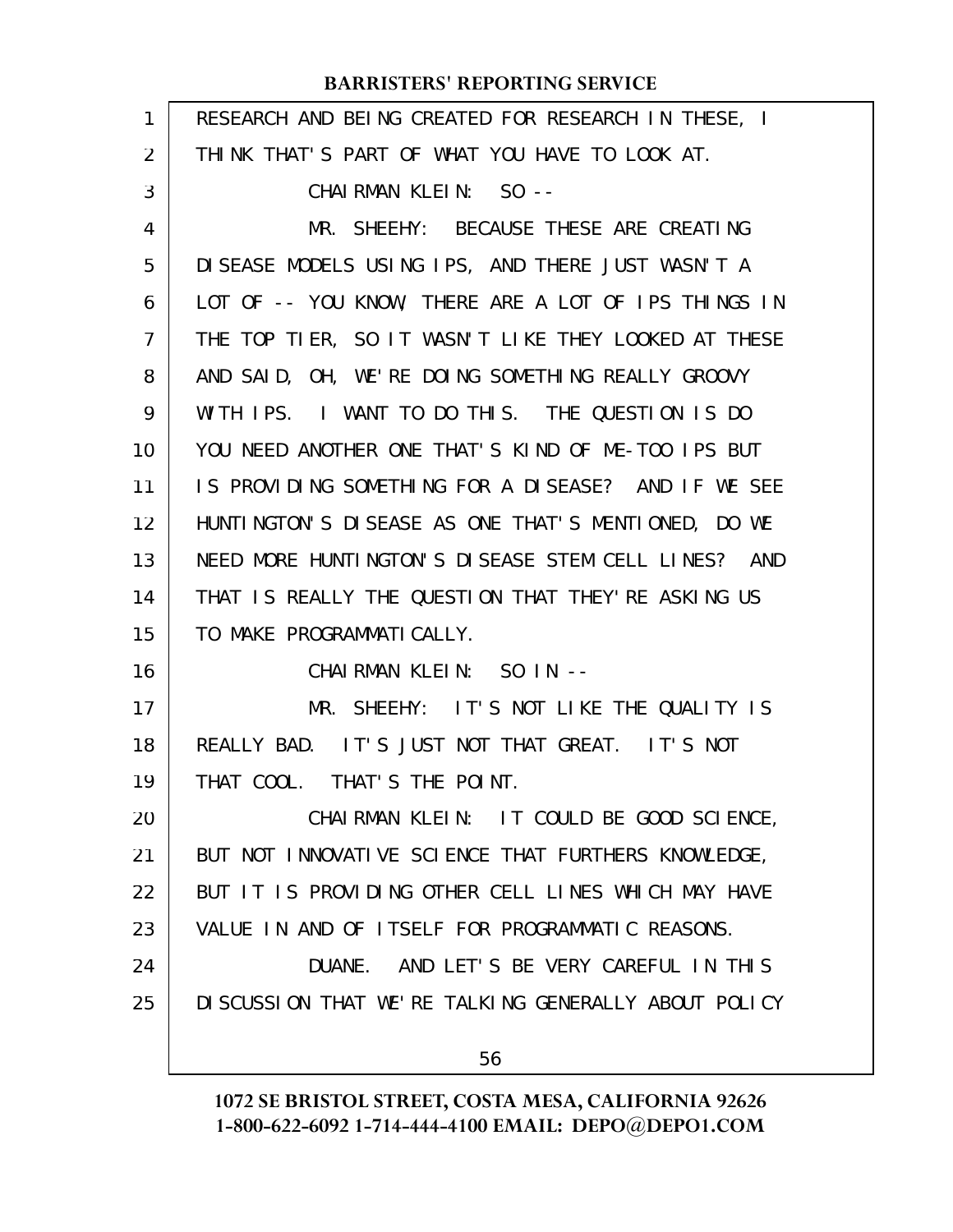| 1              | RESEARCH AND BEING CREATED FOR RESEARCH IN THESE, I   |
|----------------|-------------------------------------------------------|
| $\overline{2}$ | THINK THAT'S PART OF WHAT YOU HAVE TO LOOK AT.        |
| 3              | CHAIRMAN KLEIN: SO --                                 |
| 4              | MR. SHEEHY: BECAUSE THESE ARE CREATING                |
| 5              | DISEASE MODELS USING IPS, AND THERE JUST WASN'T A     |
| 6              | LOT OF -- YOU KNOW, THERE ARE A LOT OF IPS THINGS IN  |
| 7              | THE TOP TIER, SO IT WASN'T LIKE THEY LOOKED AT THESE  |
| 8              | AND SAID, OH, WE'RE DOING SOMETHING REALLY GROOVY     |
| 9              | WITH IPS. I WANT TO DO THIS. THE QUESTION IS DO       |
| 10             | YOU NEED ANOTHER ONE THAT'S KIND OF ME-TOO IPS BUT    |
| 11             | IS PROVIDING SOMETHING FOR A DISEASE? AND IF WE SEE   |
| 12             | HUNTINGTON'S DISEASE AS ONE THAT'S MENTIONED, DO WE   |
| 13             | NEED MORE HUNTINGTON'S DISEASE STEM CELL LINES? AND   |
| 14             | THAT IS REALLY THE QUESTION THAT THEY'RE ASKING US    |
| 15             | TO MAKE PROGRAMMATICALLY.                             |
| 16             | CHAIRMAN KLEIN: SO IN --                              |
| 17             | MR. SHEEHY: IT'S NOT LIKE THE QUALITY IS              |
| 18             | REALLY BAD. IT'S JUST NOT THAT GREAT. IT'S NOT        |
| 19             | THAT COOL. THAT'S THE POINT.                          |
| 20             | CHAIRMAN KLEIN: IT COULD BE GOOD SCIENCE,             |
| 21             | BUT NOT INNOVATIVE SCIENCE THAT FURTHERS KNOWLEDGE,   |
| 22             | BUT IT IS PROVIDING OTHER CELL LINES WHICH MAY HAVE   |
| 23             | VALUE IN AND OF ITSELF FOR PROGRAMMATIC REASONS.      |
| 24             | DUANE. AND LET'S BE VERY CAREFUL IN THIS              |
| 25             | DI SCUSSION THAT WE'RE TALKING GENERALLY ABOUT POLICY |
|                | 56                                                    |
|                |                                                       |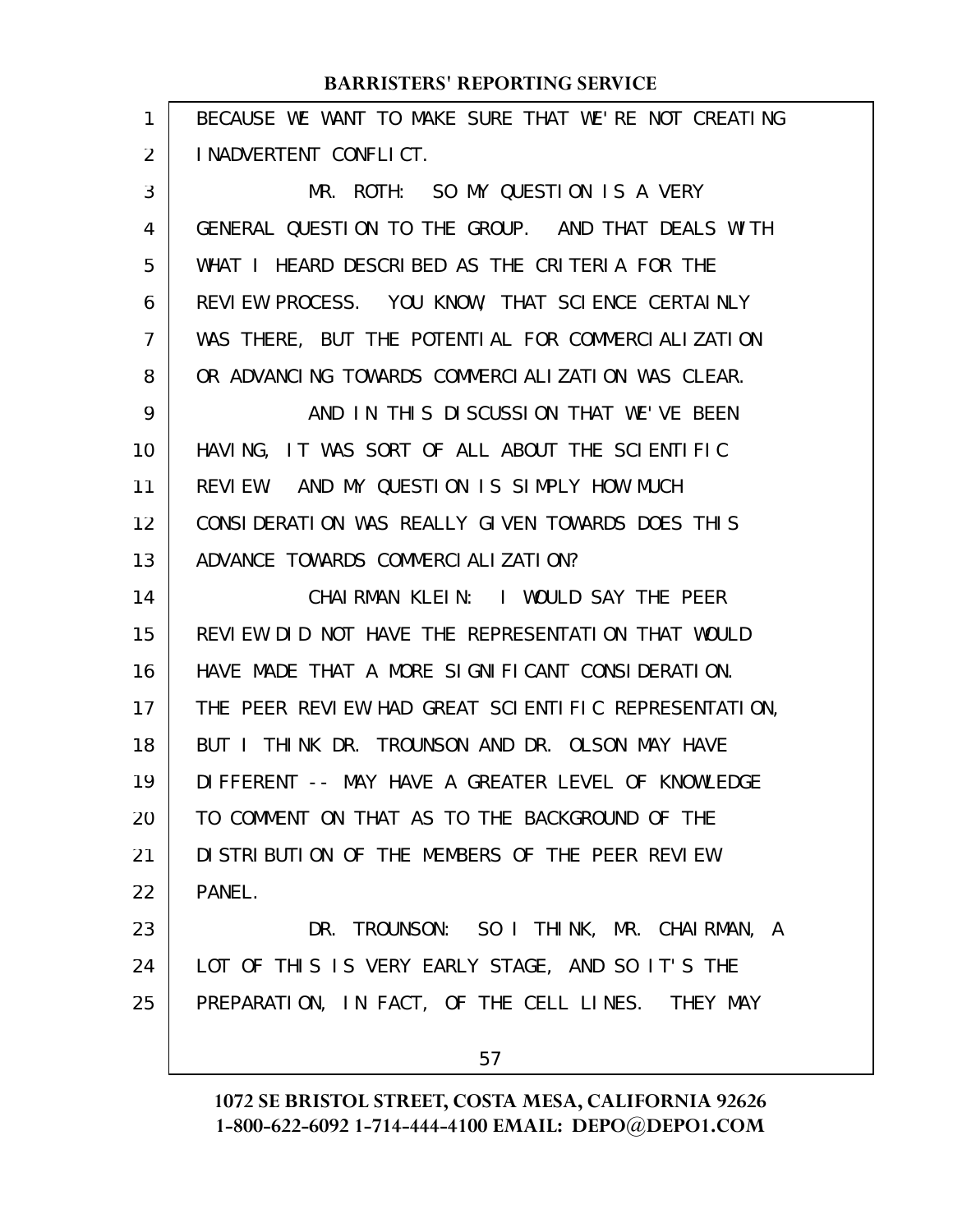| 1  | BECAUSE WE WANT TO MAKE SURE THAT WE'RE NOT CREATING |
|----|------------------------------------------------------|
| 2  | I NADVERTENT CONFLICT.                               |
| 3  | MR. ROTH: SO MY QUESTION IS A VERY                   |
| 4  | GENERAL QUESTION TO THE GROUP. AND THAT DEALS WITH   |
| 5  | WHAT I HEARD DESCRIBED AS THE CRITERIA FOR THE       |
| 6  | REVIEW PROCESS. YOU KNOW, THAT SCIENCE CERTAINLY     |
| 7  | WAS THERE, BUT THE POTENTIAL FOR COMMERCIALIZATION   |
| 8  | OR ADVANCING TOWARDS COMMERCIALIZATION WAS CLEAR.    |
| 9  | AND IN THIS DISCUSSION THAT WE'VE BEEN               |
| 10 | HAVING, IT WAS SORT OF ALL ABOUT THE SCIENTIFIC      |
| 11 | REVIEW. AND MY QUESTION IS SIMPLY HOW MUCH           |
| 12 | CONSIDERATION WAS REALLY GIVEN TOWARDS DOES THIS     |
| 13 | ADVANCE TOWARDS COMMERCIALIZATION?                   |
| 14 | CHAIRMAN KLEIN: I WOULD SAY THE PEER                 |
| 15 | REVIEW DID NOT HAVE THE REPRESENTATION THAT WOULD    |
| 16 | HAVE MADE THAT A MORE SIGNIFICANT CONSIDERATION.     |
| 17 | THE PEER REVIEW HAD GREAT SCIENTIFIC REPRESENTATION, |
| 18 | BUT I THINK DR. TROUNSON AND DR. OLSON MAY HAVE      |
| 19 | DIFFERENT -- MAY HAVE A GREATER LEVEL OF KNOWLEDGE   |
| 20 | TO COMMENT ON THAT AS TO THE BACKGROUND OF THE       |
| 21 | DI STRI BUTI ON OF THE MEMBERS OF THE PEER REVIEW    |
| 22 | PANEL.                                               |
| 23 | DR. TROUNSON: SO I THINK, MR. CHAIRMAN, A            |
| 24 | LOT OF THIS IS VERY EARLY STAGE, AND SO IT'S THE     |
| 25 | PREPARATION, IN FACT, OF THE CELL LINES. THEY MAY    |
|    | 57                                                   |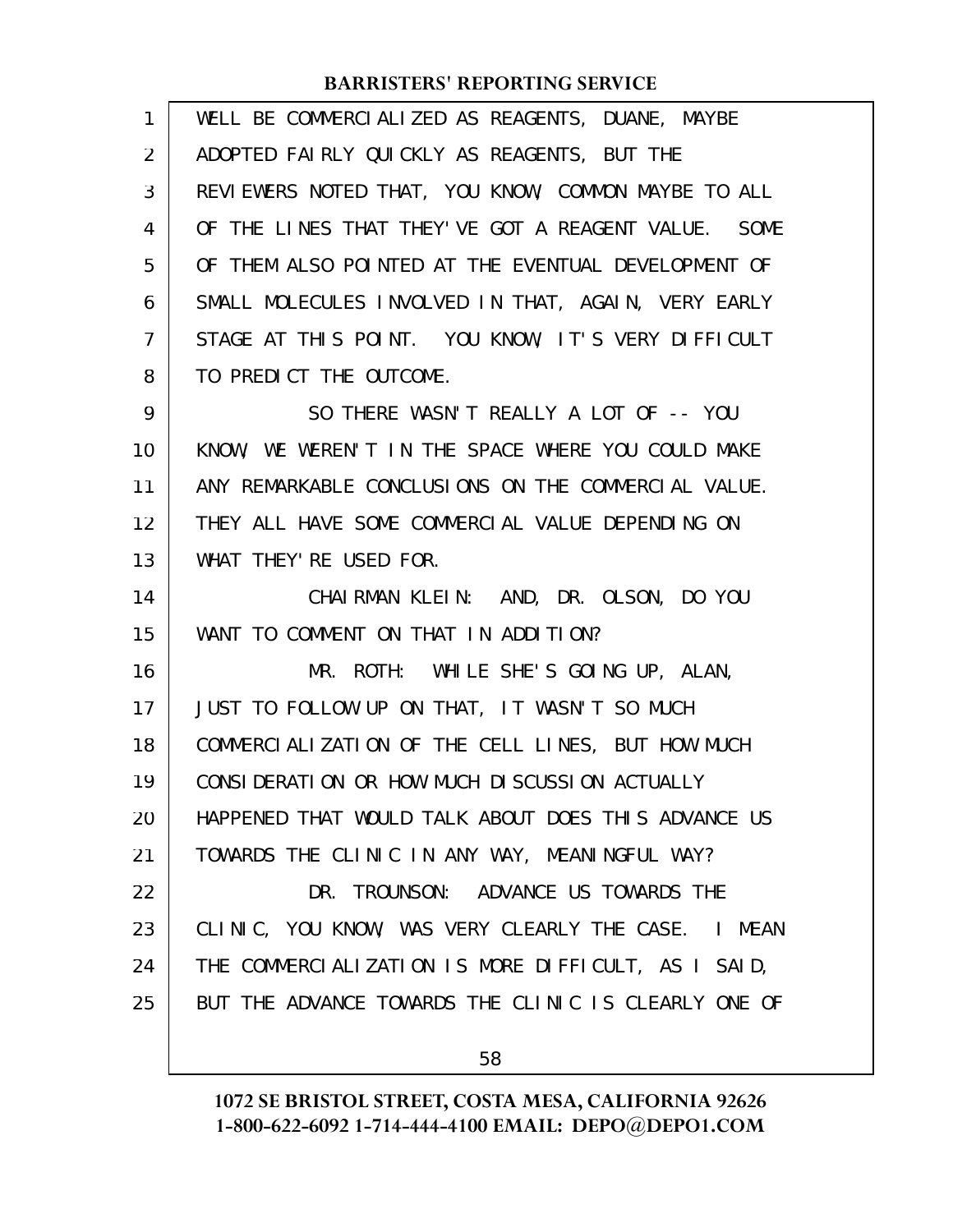| $\mathbf{1}$ | WELL BE COMMERCIALIZED AS REAGENTS, DUANE, MAYBE     |
|--------------|------------------------------------------------------|
| 2            | ADOPTED FAIRLY QUICKLY AS REAGENTS, BUT THE          |
| 3            | REVIEWERS NOTED THAT, YOU KNOW, COMMON MAYBE TO ALL  |
| 4            | OF THE LINES THAT THEY'VE GOT A REAGENT VALUE. SOME  |
| 5            | OF THEM ALSO POINTED AT THE EVENTUAL DEVELOPMENT OF  |
| 6            | SMALL MOLECULES INVOLVED IN THAT, AGAIN, VERY EARLY  |
| 7            | STAGE AT THIS POINT. YOU KNOW, IT'S VERY DIFFICULT   |
| 8            | TO PREDICT THE OUTCOME.                              |
| 9            | SO THERE WASN'T REALLY A LOT OF -- YOU               |
| 10           | KNOW, WE WEREN'T IN THE SPACE WHERE YOU COULD MAKE   |
| 11           | ANY REMARKABLE CONCLUSIONS ON THE COMMERCIAL VALUE.  |
| 12           | THEY ALL HAVE SOME COMMERCIAL VALUE DEPENDING ON     |
| 13           | WHAT THEY' RE USED FOR.                              |
| 14           | CHAIRMAN KLEIN: AND, DR. OLSON, DO YOU               |
| 15           | WANT TO COMMENT ON THAT IN ADDITION?                 |
| 16           | MR. ROTH: WHILE SHE'S GOING UP, ALAN,                |
| 17           | JUST TO FOLLOW UP ON THAT, IT WASN'T SO MUCH         |
| 18           | COMMERCIALIZATION OF THE CELL LINES, BUT HOW MUCH    |
| 19           | CONSIDERATION OR HOW MUCH DISCUSSION ACTUALLY        |
| 20           | HAPPENED THAT WOULD TALK ABOUT DOES THIS ADVANCE US  |
| 21           | TOWARDS THE CLINIC IN ANY WAY, MEANINGFUL WAY?       |
| 22           | DR. TROUNSON: ADVANCE US TOWARDS THE                 |
| 23           | CLINIC, YOU KNOW, WAS VERY CLEARLY THE CASE. I MEAN  |
| 24           | THE COMMERCIALIZATION IS MORE DIFFICULT, AS I SAID,  |
| 25           | BUT THE ADVANCE TOWARDS THE CLINIC IS CLEARLY ONE OF |
|              |                                                      |

58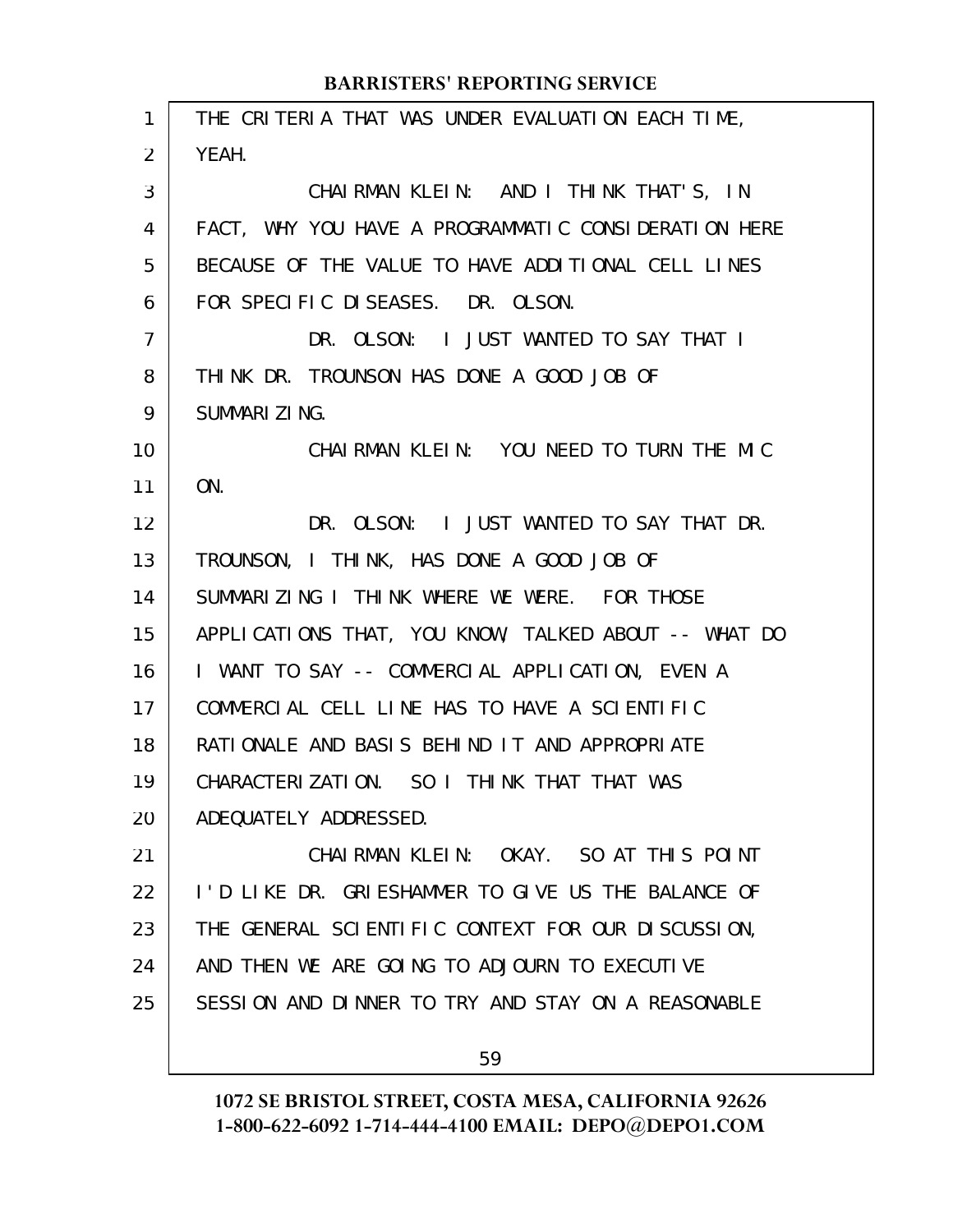THE CRITERIA THAT WAS UNDER EVALUATION EACH TIME, YEAH. CHAIRMAN KLEIN: AND I THINK THAT'S, IN FACT, WHY YOU HAVE A PROGRAMMATIC CONSIDERATION HERE BECAUSE OF THE VALUE TO HAVE ADDITIONAL CELL LINES FOR SPECIFIC DISEASES. DR. OLSON. DR. OLSON: I JUST WANTED TO SAY THAT I THINK DR. TROUNSON HAS DONE A GOOD JOB OF SUMMARIZING. CHAIRMAN KLEIN: YOU NEED TO TURN THE MIC ON. DR. OLSON: I JUST WANTED TO SAY THAT DR. TROUNSON, I THINK, HAS DONE A GOOD JOB OF SUMMARIZING I THINK WHERE WE WERE. FOR THOSE APPLICATIONS THAT, YOU KNOW, TALKED ABOUT -- WHAT DO I WANT TO SAY -- COMMERCIAL APPLICATION, EVEN A COMMERCIAL CELL LINE HAS TO HAVE A SCIENTIFIC RATIONALE AND BASIS BEHIND IT AND APPROPRIATE CHARACTERIZATION. SO I THINK THAT THAT WAS ADEQUATELY ADDRESSED. CHAIRMAN KLEIN: OKAY. SO AT THIS POINT I'D LIKE DR. GRIESHAMMER TO GIVE US THE BALANCE OF THE GENERAL SCIENTIFIC CONTEXT FOR OUR DISCUSSION, AND THEN WE ARE GOING TO ADJOURN TO EXECUTIVE SESSION AND DINNER TO TRY AND STAY ON A REASONABLE 1 2 3 4 5 6 7 8 9 10 11 12 13 14 15 16 17 18 19 20 21 22 23 24 25

59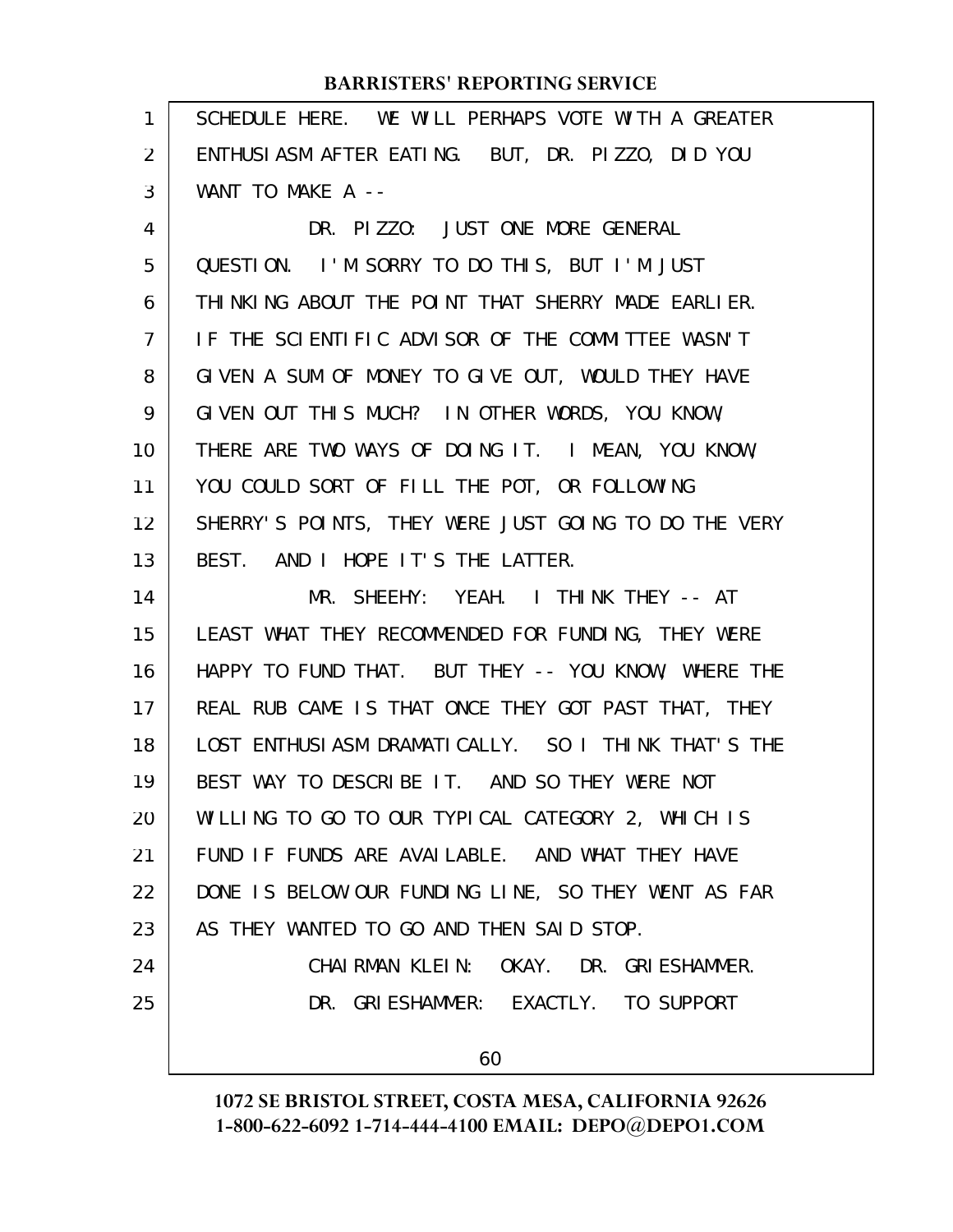| 1              | SCHEDULE HERE. WE WILL PERHAPS VOTE WITH A GREATER   |
|----------------|------------------------------------------------------|
| $\overline{2}$ | ENTHUSIASM AFTER EATING. BUT, DR. PIZZO, DID YOU     |
| 3              | WANT TO MAKE A --                                    |
| 4              | DR. PIZZO: JUST ONE MORE GENERAL                     |
| 5              | QUESTION. I'M SORRY TO DO THIS, BUT I'M JUST         |
| 6              | THINKING ABOUT THE POINT THAT SHERRY MADE EARLIER.   |
| $\overline{7}$ | IF THE SCIENTIFIC ADVISOR OF THE COMMITTEE WASN'T    |
| 8              | GIVEN A SUM OF MONEY TO GIVE OUT, WOULD THEY HAVE    |
| 9              | GIVEN OUT THIS MUCH? IN OTHER WORDS, YOU KNOW,       |
| 10             | THERE ARE TWO WAYS OF DOING IT. I MEAN, YOU KNOW,    |
| 11             | YOU COULD SORT OF FILL THE POT, OR FOLLOWING         |
| 12             | SHERRY'S POINTS, THEY WERE JUST GOING TO DO THE VERY |
| 13             | BEST. AND I HOPE IT'S THE LATTER.                    |
| 14             | MR. SHEEHY: YEAH. I THINK THEY -- AT                 |
| 15             | LEAST WHAT THEY RECOMMENDED FOR FUNDING, THEY WERE   |
| 16             | HAPPY TO FUND THAT. BUT THEY -- YOU KNOW, WHERE THE  |
| 17             | REAL RUB CAME IS THAT ONCE THEY GOT PAST THAT, THEY  |
| 18             | LOST ENTHUSIASM DRAMATICALLY. SO I THINK THAT'S THE  |
| 19             | BEST WAY TO DESCRIBE IT. AND SO THEY WERE NOT        |
| 20             | WILLING TO GO TO OUR TYPICAL CATEGORY 2, WHICH IS    |
| 21             | FUND IF FUNDS ARE AVAILABLE. AND WHAT THEY HAVE      |
| 22             | DONE IS BELOW OUR FUNDING LINE, SO THEY WENT AS FAR  |
| 23             | AS THEY WANTED TO GO AND THEN SAID STOP.             |
| 24             | CHAIRMAN KLEIN: OKAY. DR. GRIESHAMMER.               |
| 25             | DR. GRIESHAMMER: EXACTLY. TO SUPPORT                 |
|                |                                                      |
|                | 60                                                   |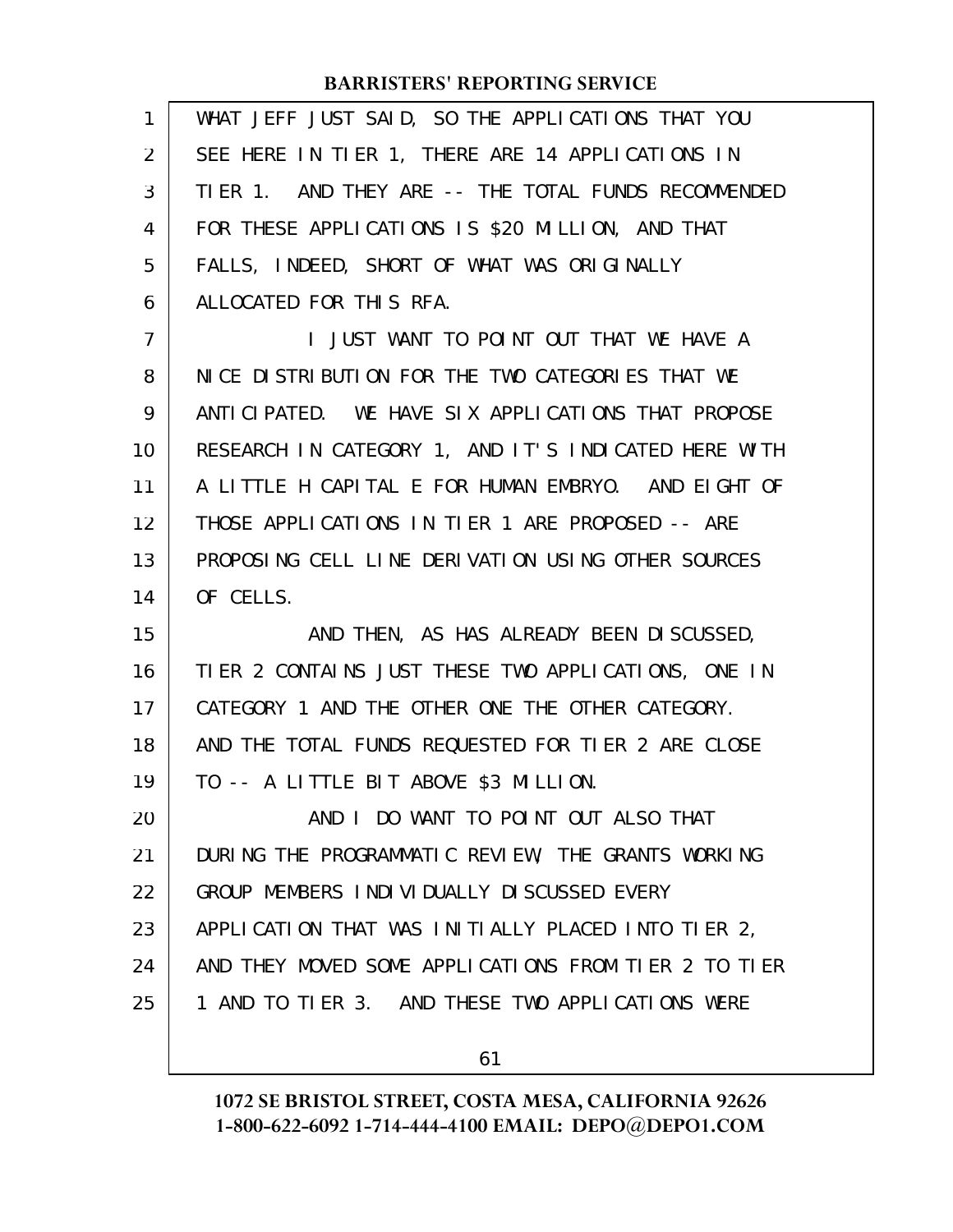| 1              | WHAT JEFF JUST SAID, SO THE APPLICATIONS THAT YOU    |
|----------------|------------------------------------------------------|
| $\overline{2}$ | SEE HERE IN TIER 1, THERE ARE 14 APPLICATIONS IN     |
| 3              | TIER 1. AND THEY ARE -- THE TOTAL FUNDS RECOMMENDED  |
| 4              | FOR THESE APPLICATIONS IS \$20 MILLION, AND THAT     |
| 5              | FALLS, INDEED, SHORT OF WHAT WAS ORIGINALLY          |
| 6              | ALLOCATED FOR THIS RFA.                              |
| $\overline{7}$ | I JUST WANT TO POINT OUT THAT WE HAVE A              |
| 8              | NICE DISTRIBUTION FOR THE TWO CATEGORIES THAT WE     |
| 9              | ANTICIPATED. WE HAVE SIX APPLICATIONS THAT PROPOSE   |
| 10             | RESEARCH IN CATEGORY 1, AND IT'S INDICATED HERE WITH |
| 11             | A LITTLE H CAPITAL E FOR HUMAN EMBRYO. AND EIGHT OF  |
| 12             | THOSE APPLICATIONS IN TIER 1 ARE PROPOSED -- ARE     |
| 13             | PROPOSING CELL LINE DERIVATION USING OTHER SOURCES   |
| 14             | OF CELLS.                                            |
|                |                                                      |
| 15             | AND THEN, AS HAS ALREADY BEEN DISCUSSED,             |
| 16             | TIER 2 CONTAINS JUST THESE TWO APPLICATIONS, ONE IN  |
| 17             | CATEGORY 1 AND THE OTHER ONE THE OTHER CATEGORY.     |
| 18             | AND THE TOTAL FUNDS REQUESTED FOR TIER 2 ARE CLOSE   |
| 19             | TO -- A LITTLE BIT ABOVE \$3 MILLION.                |
| 20             | AND I DO WANT TO POINT OUT ALSO THAT                 |
| 21             | DURING THE PROGRAMMATIC REVIEW, THE GRANTS WORKING   |
| 22             | GROUP MEMBERS INDIVIDUALLY DISCUSSED EVERY           |
| 23             | APPLICATION THAT WAS INITIALLY PLACED INTO TIER 2,   |
| 24             | AND THEY MOVED SOME APPLICATIONS FROM TIER 2 TO TIER |
| 25             | 1 AND TO TIER 3. AND THESE TWO APPLICATIONS WERE     |

61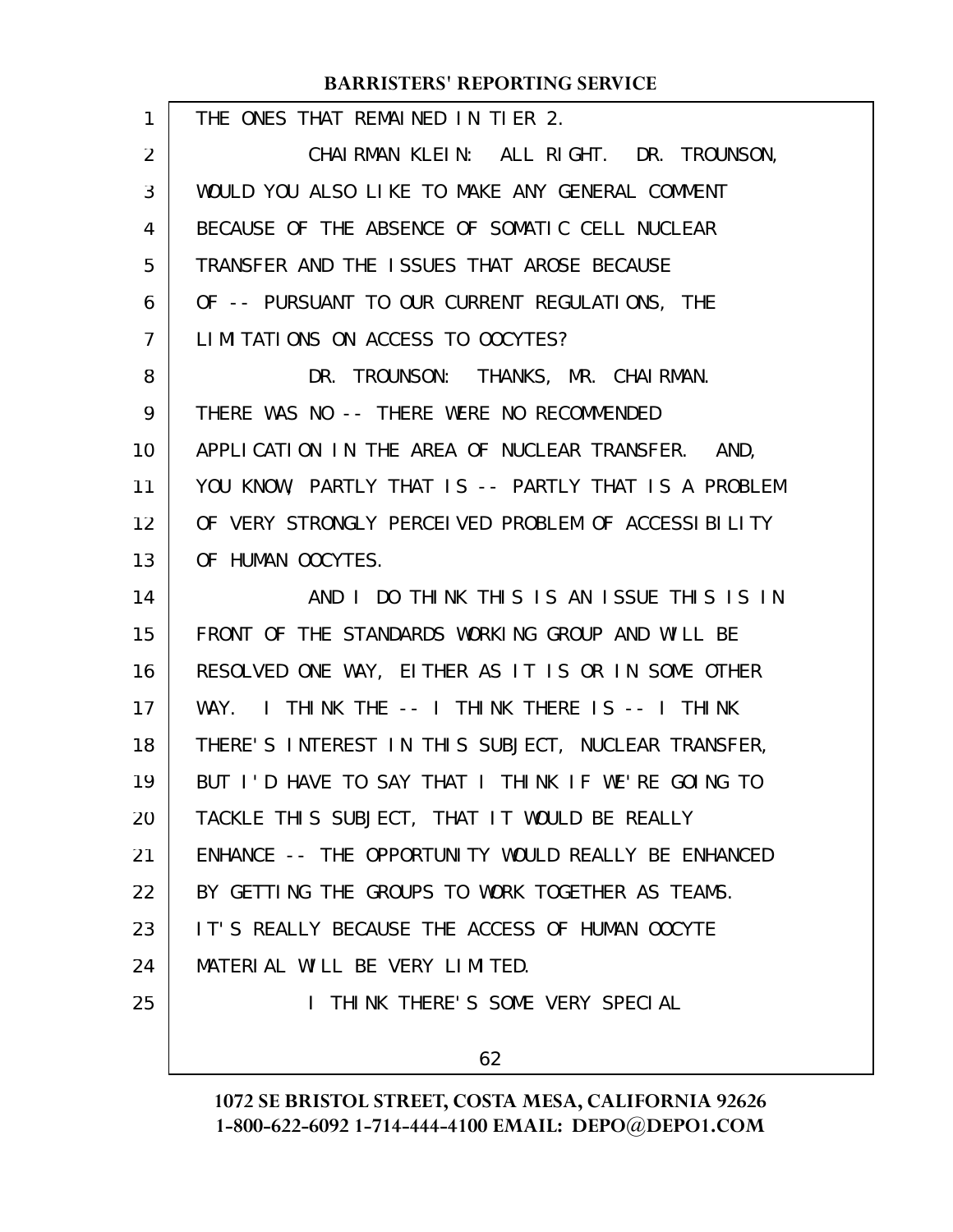| $\mathbf{1}$ | THE ONES THAT REMAINED IN TIER 2.                    |
|--------------|------------------------------------------------------|
| 2            | CHAIRMAN KLEIN: ALL RIGHT. DR. TROUNSON,             |
| 3            | WOULD YOU ALSO LIKE TO MAKE ANY GENERAL COMMENT      |
| 4            | BECAUSE OF THE ABSENCE OF SOMATIC CELL NUCLEAR       |
| 5            | TRANSFER AND THE ISSUES THAT AROSE BECAUSE           |
| 6            | OF -- PURSUANT TO OUR CURRENT REGULATIONS, THE       |
| 7            | LIMITATIONS ON ACCESS TO OOCYTES?                    |
| 8            | DR. TROUNSON: THANKS, MR. CHAIRMAN.                  |
| 9            | THERE WAS NO -- THERE WERE NO RECOMMENDED            |
| 10           | APPLICATION IN THE AREA OF NUCLEAR TRANSFER. AND,    |
| 11           | YOU KNOW, PARTLY THAT IS -- PARTLY THAT IS A PROBLEM |
| 12           | OF VERY STRONGLY PERCELVED PROBLEM OF ACCESSIBLITY   |
| 13           | OF HUMAN OOCYTES.                                    |
| 14           | AND I DO THINK THIS IS AN ISSUE THIS IS IN           |
| 15           | FRONT OF THE STANDARDS WORKING GROUP AND WILL BE     |
| 16           | RESOLVED ONE WAY, EITHER AS IT IS OR IN SOME OTHER   |
| 17           | I THINK THE -- I THINK THERE IS -- I THINK<br>WAY.   |
| 18           | THERE'S INTEREST IN THIS SUBJECT, NUCLEAR TRANSFER,  |
| 19           | BUT I'D HAVE TO SAY THAT I THINK IF WE'RE GOING TO   |
| 20           | TACKLE THIS SUBJECT, THAT IT WOULD BE REALLY         |
| 21           | ENHANCE -- THE OPPORTUNITY WOULD REALLY BE ENHANCED  |
| 22           | BY GETTING THE GROUPS TO WORK TOGETHER AS TEAMS.     |
| 23           | IT'S REALLY BECAUSE THE ACCESS OF HUMAN OOCYTE       |
| 24           | MATERIAL WILL BE VERY LIMITED.                       |
| 25           | I THINK THERE'S SOME VERY SPECIAL                    |
|              | 62                                                   |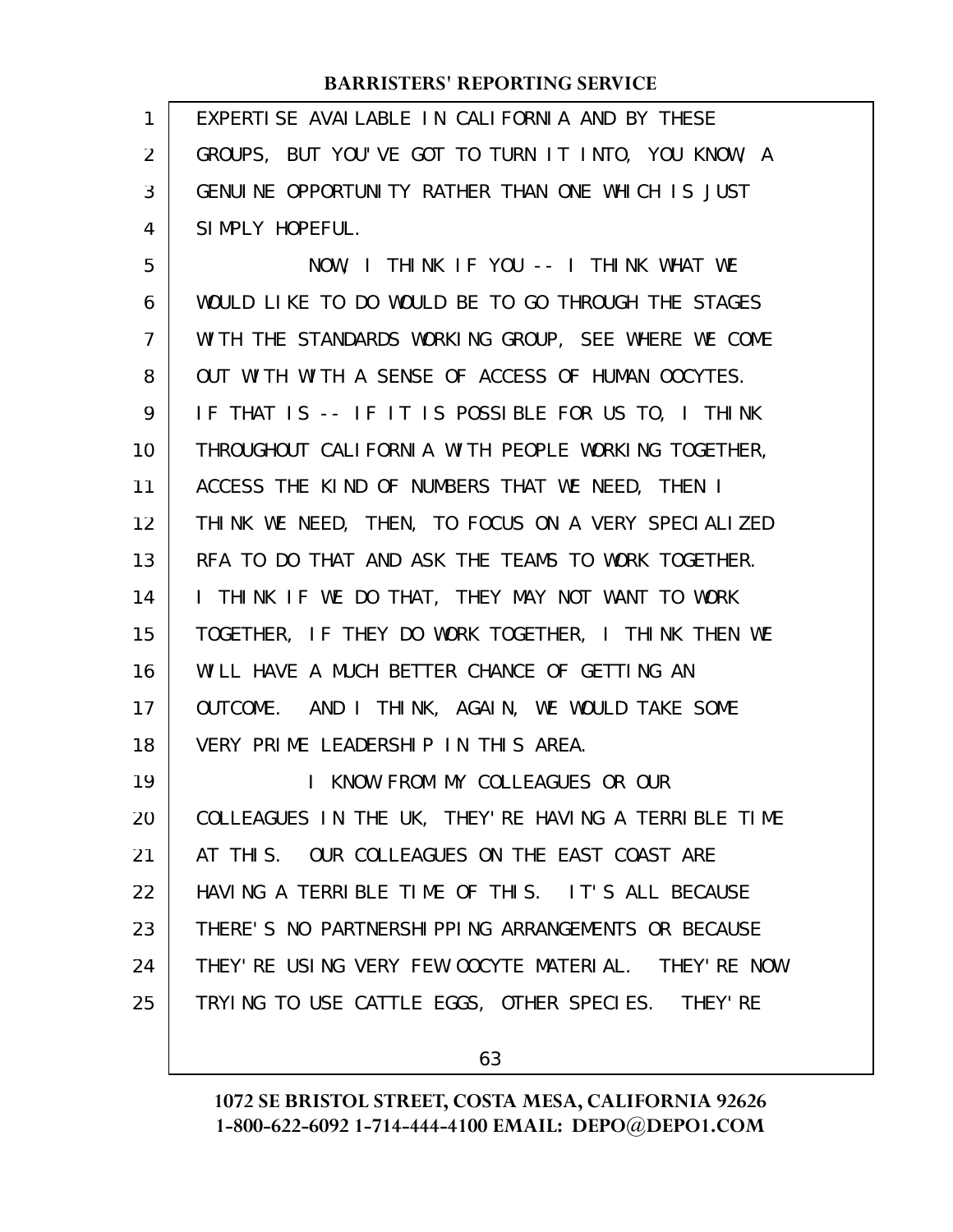EXPERTISE AVAILABLE IN CALIFORNIA AND BY THESE GROUPS, BUT YOU'VE GOT TO TURN IT INTO, YOU KNOW, A GENUINE OPPORTUNITY RATHER THAN ONE WHICH IS JUST SIMPLY HOPEFUL. 1 2 3 4

NOW, I THINK IF YOU -- I THINK WHAT WE WOULD LIKE TO DO WOULD BE TO GO THROUGH THE STAGES WITH THE STANDARDS WORKING GROUP, SEE WHERE WE COME OUT WITH WITH A SENSE OF ACCESS OF HUMAN OOCYTES. IF THAT IS -- IF IT IS POSSIBLE FOR US TO, I THINK THROUGHOUT CALIFORNIA WITH PEOPLE WORKING TOGETHER, ACCESS THE KIND OF NUMBERS THAT WE NEED, THEN I THINK WE NEED, THEN, TO FOCUS ON A VERY SPECIALIZED RFA TO DO THAT AND ASK THE TEAMS TO WORK TOGETHER. I THINK IF WE DO THAT, THEY MAY NOT WANT TO WORK TOGETHER, IF THEY DO WORK TOGETHER, I THINK THEN WE WILL HAVE A MUCH BETTER CHANCE OF GETTING AN OUTCOME. AND I THINK, AGAIN, WE WOULD TAKE SOME VERY PRIME LEADERSHIP IN THIS AREA. I KNOW FROM MY COLLEAGUES OR OUR COLLEAGUES IN THE UK, THEY'RE HAVING A TERRIBLE TIME AT THIS. OUR COLLEAGUES ON THE EAST COAST ARE 5 6 7 8 9 10 11 12 13 14 15 16 17 18 19 20 21

HAVING A TERRIBLE TIME OF THIS. IT'S ALL BECAUSE THERE'S NO PARTNERSHIPPING ARRANGEMENTS OR BECAUSE THEY'RE USING VERY FEW OOCYTE MATERIAL. THEY'RE NOW TRYING TO USE CATTLE EGGS, OTHER SPECIES. THEY'RE 22 23 24 25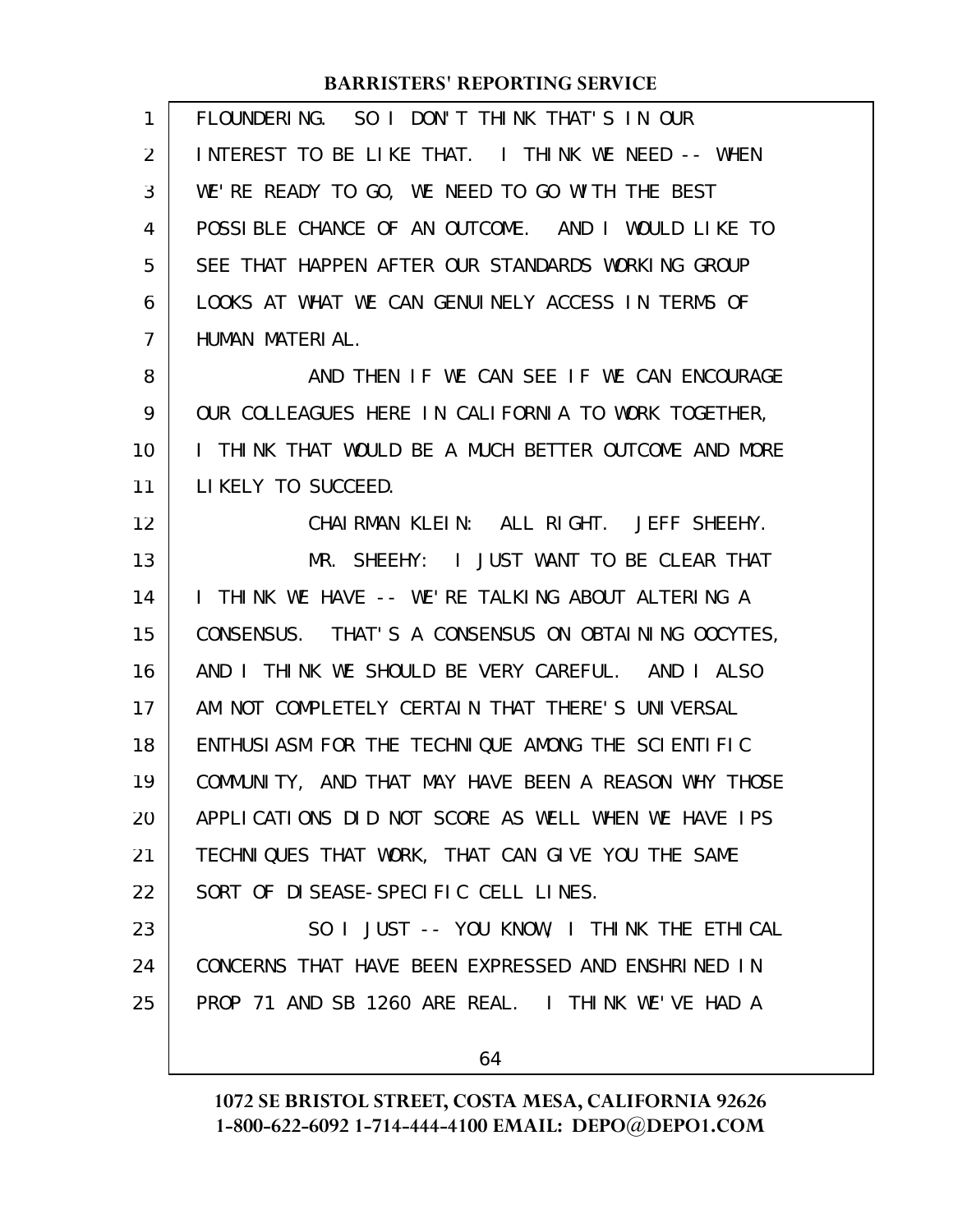| $\mathbf{1}$ | FLOUNDERING. SO I DON'T THINK THAT'S IN OUR          |
|--------------|------------------------------------------------------|
| 2            | INTEREST TO BE LIKE THAT. I THINK WE NEED -- WHEN    |
| 3            | WE'RE READY TO GO, WE NEED TO GO WITH THE BEST       |
| 4            | POSSIBLE CHANCE OF AN OUTCOME. AND I WOULD LIKE TO   |
| 5            | SEE THAT HAPPEN AFTER OUR STANDARDS WORKING GROUP    |
| 6            | LOOKS AT WHAT WE CAN GENUINELY ACCESS IN TERMS OF    |
| 7            | HUMAN MATERIAL.                                      |
| 8            | AND THEN IF WE CAN SEE IF WE CAN ENCOURAGE           |
| 9            | OUR COLLEAGUES HERE IN CALIFORNIA TO WORK TOGETHER,  |
| 10           | I THINK THAT WOULD BE A MUCH BETTER OUTCOME AND MORE |
| 11           | LIKELY TO SUCCEED.                                   |
| 12           | CHAIRMAN KLEIN: ALL RIGHT. JEFF SHEEHY.              |
| 13           | MR. SHEEHY: I JUST WANT TO BE CLEAR THAT             |
| 14           | I THINK WE HAVE -- WE'RE TALKING ABOUT ALTERING A    |
| 15           | CONSENSUS. THAT'S A CONSENSUS ON OBTAINING OOCYTES,  |
| 16           | AND I THINK WE SHOULD BE VERY CAREFUL. AND I ALSO    |
| 17           | AM NOT COMPLETELY CERTAIN THAT THERE'S UNIVERSAL     |
| 18           | ENTHUSIASM FOR THE TECHNIQUE AMONG THE SCIENTIFIC    |
| 19           | COMMUNITY, AND THAT MAY HAVE BEEN A REASON WHY THOSE |
| 20           | APPLICATIONS DID NOT SCORE AS WELL WHEN WE HAVE IPS  |
| 21           | TECHNIQUES THAT WORK, THAT CAN GIVE YOU THE SAME     |
| 22           | SORT OF DISEASE-SPECIFIC CELL LINES.                 |
| 23           | SO I JUST -- YOU KNOW, I THINK THE ETHICAL           |
| 24           | CONCERNS THAT HAVE BEEN EXPRESSED AND ENSHRINED IN   |
| 25           | PROP 71 AND SB 1260 ARE REAL. I THINK WE'VE HAD A    |
|              | 64                                                   |
|              |                                                      |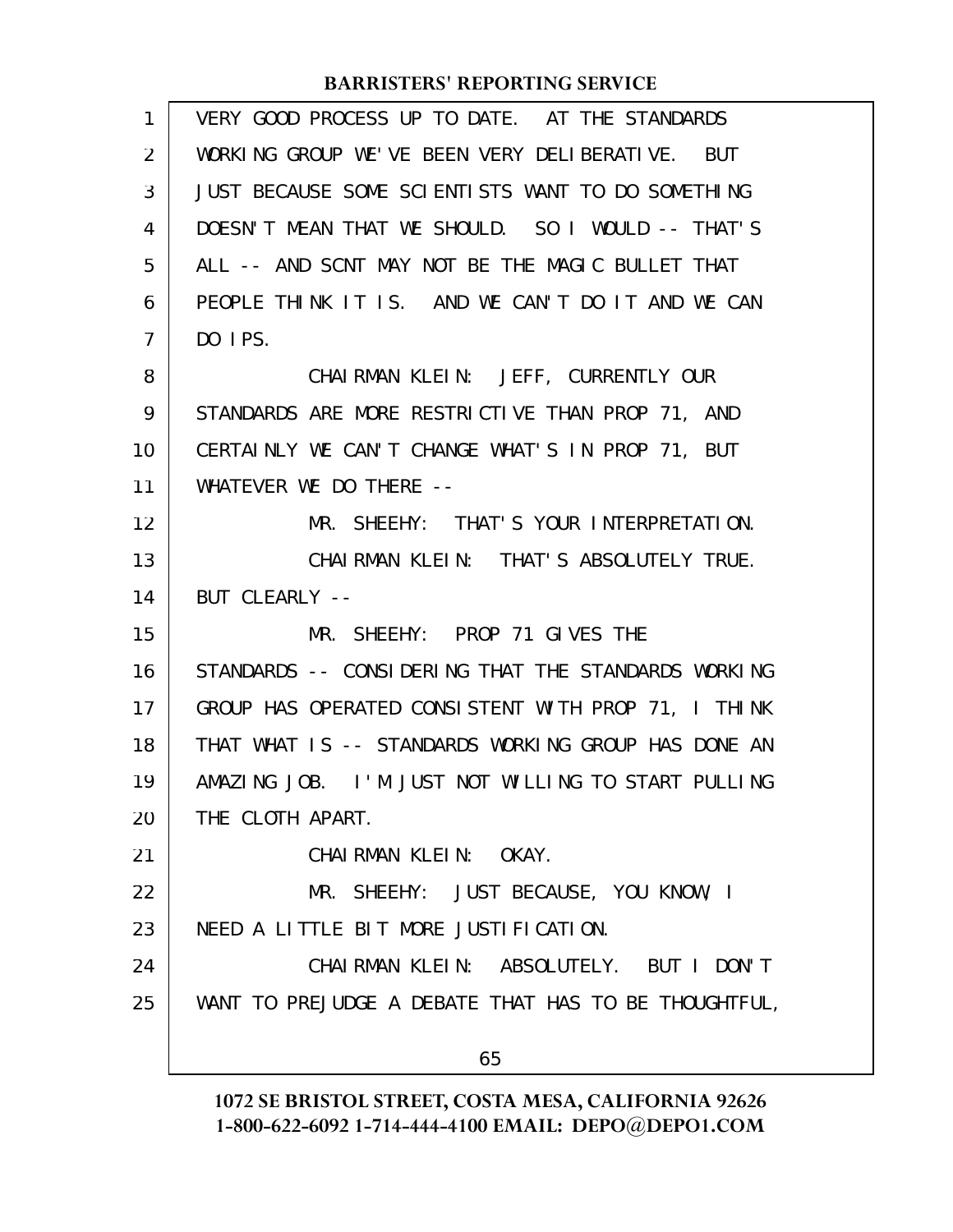| 1  | VERY GOOD PROCESS UP TO DATE. AT THE STANDARDS       |
|----|------------------------------------------------------|
| 2  | WORKING GROUP WE'VE BEEN VERY DELIBERATIVE. BUT      |
| 3  | JUST BECAUSE SOME SCIENTISTS WANT TO DO SOMETHING    |
| 4  | DOESN'T MEAN THAT WE SHOULD. SO I WOULD -- THAT'S    |
| 5  | ALL -- AND SCNT MAY NOT BE THE MAGIC BULLET THAT     |
| 6  | PEOPLE THINK IT IS. AND WE CAN'T DO IT AND WE CAN    |
| 7  | DO IPS.                                              |
| 8  | CHAIRMAN KLEIN: JEFF, CURRENTLY OUR                  |
| 9  | STANDARDS ARE MORE RESTRICTIVE THAN PROP 71, AND     |
| 10 | CERTAINLY WE CAN'T CHANGE WHAT'S IN PROP 71, BUT     |
| 11 | WHATEVER WE DO THERE --                              |
| 12 | MR. SHEEHY: THAT'S YOUR INTERPRETATION.              |
| 13 | CHAIRMAN KLEIN: THAT'S ABSOLUTELY TRUE.              |
| 14 | BUT CLEARLY --                                       |
| 15 | MR. SHEEHY: PROP 71 GIVES THE                        |
| 16 | STANDARDS -- CONSIDERING THAT THE STANDARDS WORKING  |
| 17 | GROUP HAS OPERATED CONSISTENT WITH PROP 71, I THINK  |
| 18 | THAT WHAT IS -- STANDARDS WORKING GROUP HAS DONE AN  |
| 19 | AMAZING JOB. I'M JUST NOT WILLING TO START PULLING   |
| 20 | THE CLOTH APART.                                     |
| 21 | CHAIRMAN KLEIN: OKAY.                                |
| 22 | MR. SHEEHY: JUST BECAUSE, YOU KNOW, I                |
| 23 | NEED A LITTLE BIT MORE JUSTIFICATION.                |
| 24 | CHAIRMAN KLEIN: ABSOLUTELY. BUT I DON'T              |
| 25 | WANT TO PREJUDGE A DEBATE THAT HAS TO BE THOUGHTFUL, |
|    | 65                                                   |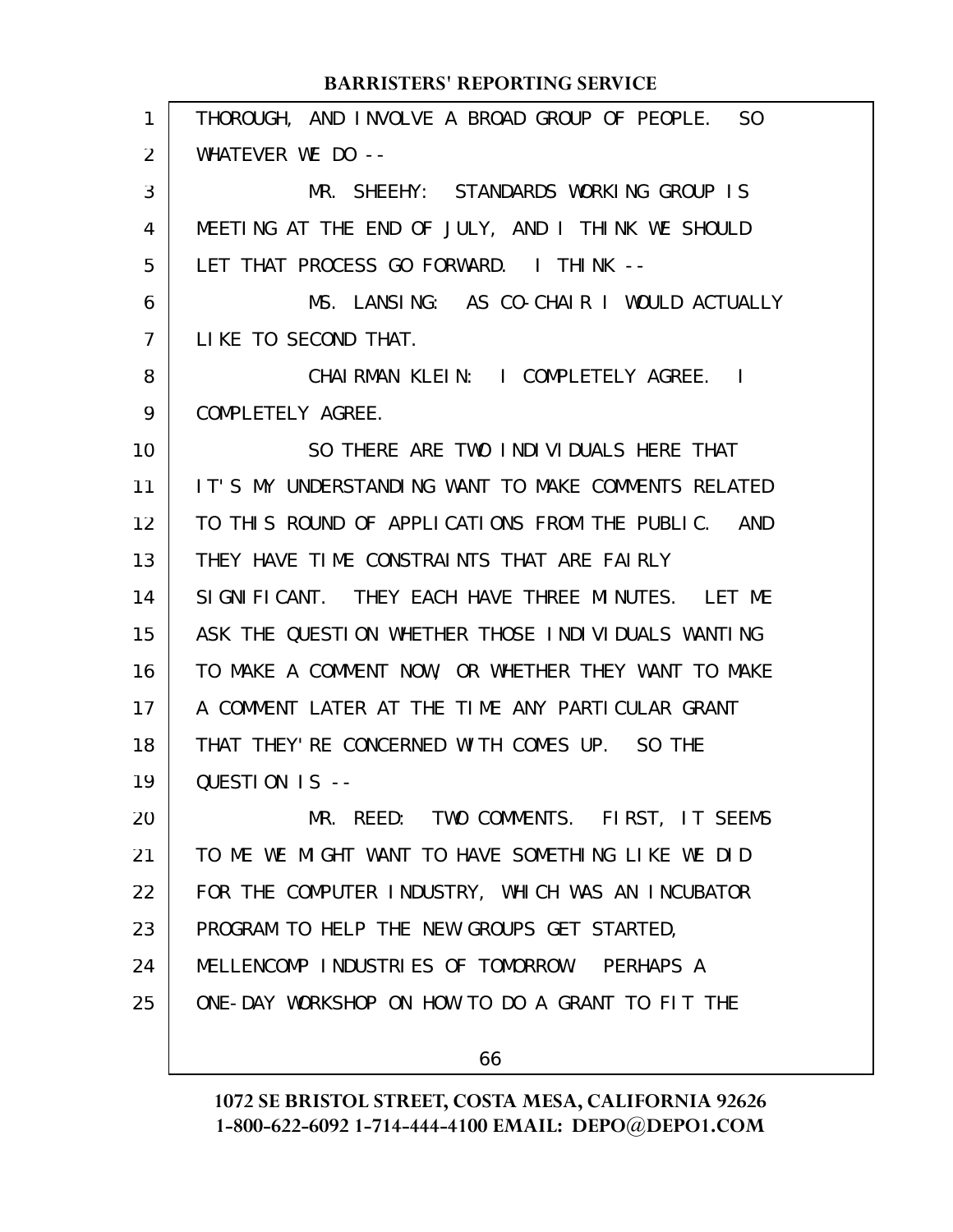| 1  | THOROUGH, AND INVOLVE A BROAD GROUP OF PEOPLE. SO   |
|----|-----------------------------------------------------|
| 2  | WHATEVER WE DO --                                   |
| 3  | MR. SHEEHY: STANDARDS WORKING GROUP IS              |
| 4  | MEETING AT THE END OF JULY, AND I THINK WE SHOULD   |
| 5  | LET THAT PROCESS GO FORWARD. I THINK --             |
| 6  | MS. LANSING: AS CO-CHAIR I WOULD ACTUALLY           |
| 7  | LIKE TO SECOND THAT.                                |
| 8  | CHAIRMAN KLEIN: I COMPLETELY AGREE. I               |
| 9  | COMPLETELY AGREE.                                   |
| 10 | SO THERE ARE TWO INDIVIDUALS HERE THAT              |
| 11 | IT'S MY UNDERSTANDING WANT TO MAKE COMMENTS RELATED |
| 12 | TO THIS ROUND OF APPLICATIONS FROM THE PUBLIC. AND  |
| 13 | THEY HAVE TIME CONSTRAINTS THAT ARE FAIRLY          |
| 14 | SIGNIFICANT. THEY EACH HAVE THREE MINUTES. LET ME   |
| 15 | ASK THE QUESTION WHETHER THOSE INDIVIDUALS WANTING  |
| 16 | TO MAKE A COMMENT NOW, OR WHETHER THEY WANT TO MAKE |
| 17 | A COMMENT LATER AT THE TIME ANY PARTICULAR GRANT    |
| 18 | THAT THEY' RE CONCERNED WITH COMES UP. SO THE       |
| 19 | QUESTION IS --                                      |
| 20 | MR. REED: TWO COMMENTS. FIRST, IT SEEMS             |
| 21 | TO ME WE MIGHT WANT TO HAVE SOMETHING LIKE WE DID   |
| 22 | FOR THE COMPUTER INDUSTRY, WHICH WAS AN INCUBATOR   |
| 23 | PROGRAM TO HELP THE NEW GROUPS GET STARTED,         |
| 24 | MELLENCOMP INDUSTRIES OF TOMORROW. PERHAPS A        |
| 25 | ONE-DAY WORKSHOP ON HOW TO DO A GRANT TO FIT THE    |
|    |                                                     |

66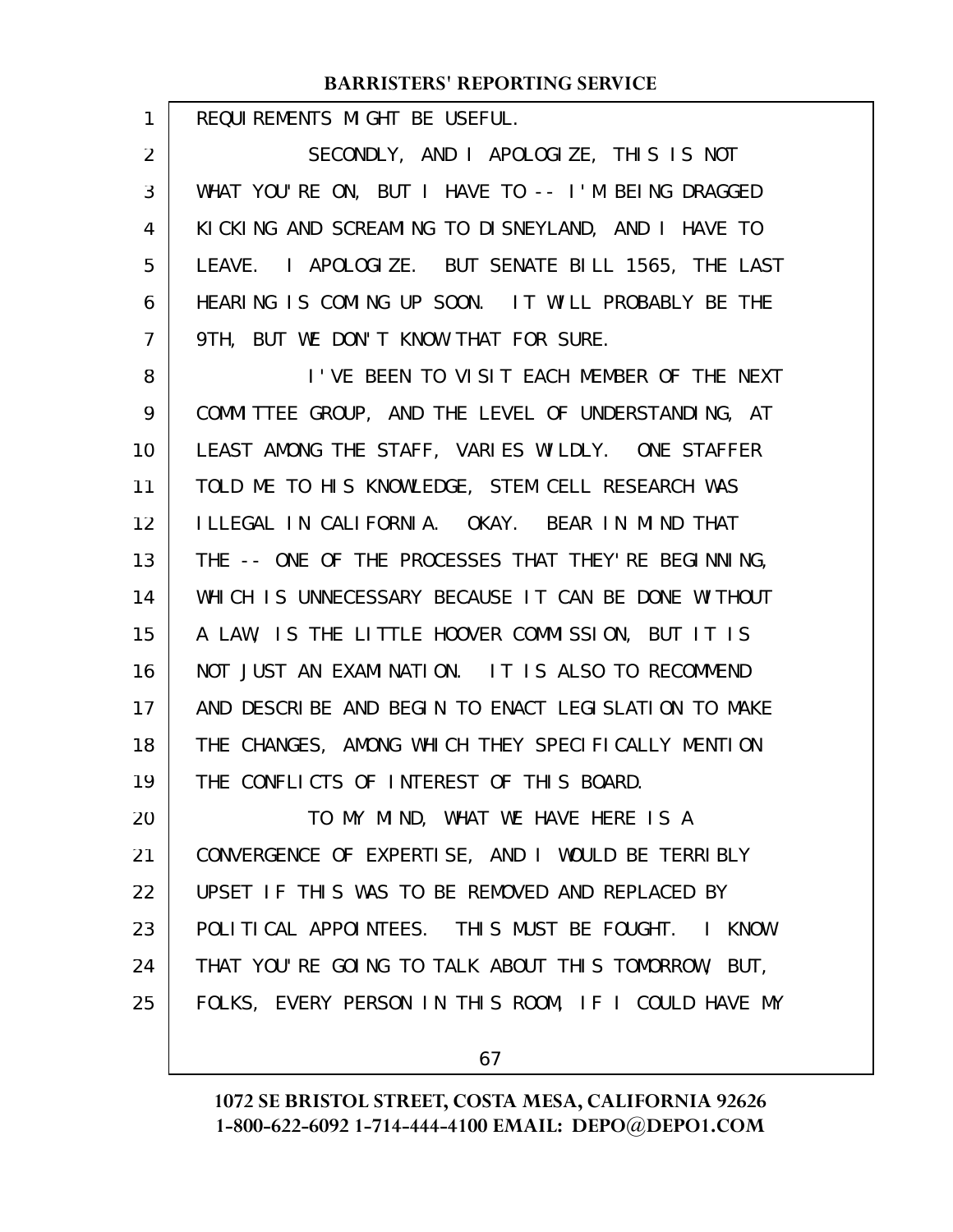REQUIREMENTS MIGHT BE USEFUL.

1

SECONDLY, AND I APOLOGIZE, THIS IS NOT WHAT YOU'RE ON, BUT I HAVE TO -- I'M BEING DRAGGED KICKING AND SCREAMING TO DISNEYLAND, AND I HAVE TO LEAVE. I APOLOGIZE. BUT SENATE BILL 1565, THE LAST HEARING IS COMING UP SOON. IT WILL PROBABLY BE THE 9TH, BUT WE DON'T KNOW THAT FOR SURE. 2 3 4 5 6 7

I'VE BEEN TO VISIT EACH MEMBER OF THE NEXT COMMITTEE GROUP, AND THE LEVEL OF UNDERSTANDING, AT LEAST AMONG THE STAFF, VARIES WILDLY. ONE STAFFER TOLD ME TO HIS KNOWLEDGE, STEM CELL RESEARCH WAS ILLEGAL IN CALIFORNIA. OKAY. BEAR IN MIND THAT THE -- ONE OF THE PROCESSES THAT THEY'RE BEGINNING, WHICH IS UNNECESSARY BECAUSE IT CAN BE DONE WITHOUT A LAW, IS THE LITTLE HOOVER COMMISSION, BUT IT IS NOT JUST AN EXAMINATION. IT IS ALSO TO RECOMMEND AND DESCRIBE AND BEGIN TO ENACT LEGISLATION TO MAKE THE CHANGES, AMONG WHICH THEY SPECIFICALLY MENTION THE CONFLICTS OF INTEREST OF THIS BOARD. TO MY MIND, WHAT WE HAVE HERE IS A 8 9 10 11 12 13 14 15 16 17 18 19 20

CONVERGENCE OF EXPERTISE, AND I WOULD BE TERRIBLY UPSET IF THIS WAS TO BE REMOVED AND REPLACED BY POLITICAL APPOINTEES. THIS MUST BE FOUGHT. I KNOW THAT YOU'RE GOING TO TALK ABOUT THIS TOMORROW, BUT, FOLKS, EVERY PERSON IN THIS ROOM, IF I COULD HAVE MY 21 22 23 24 25

67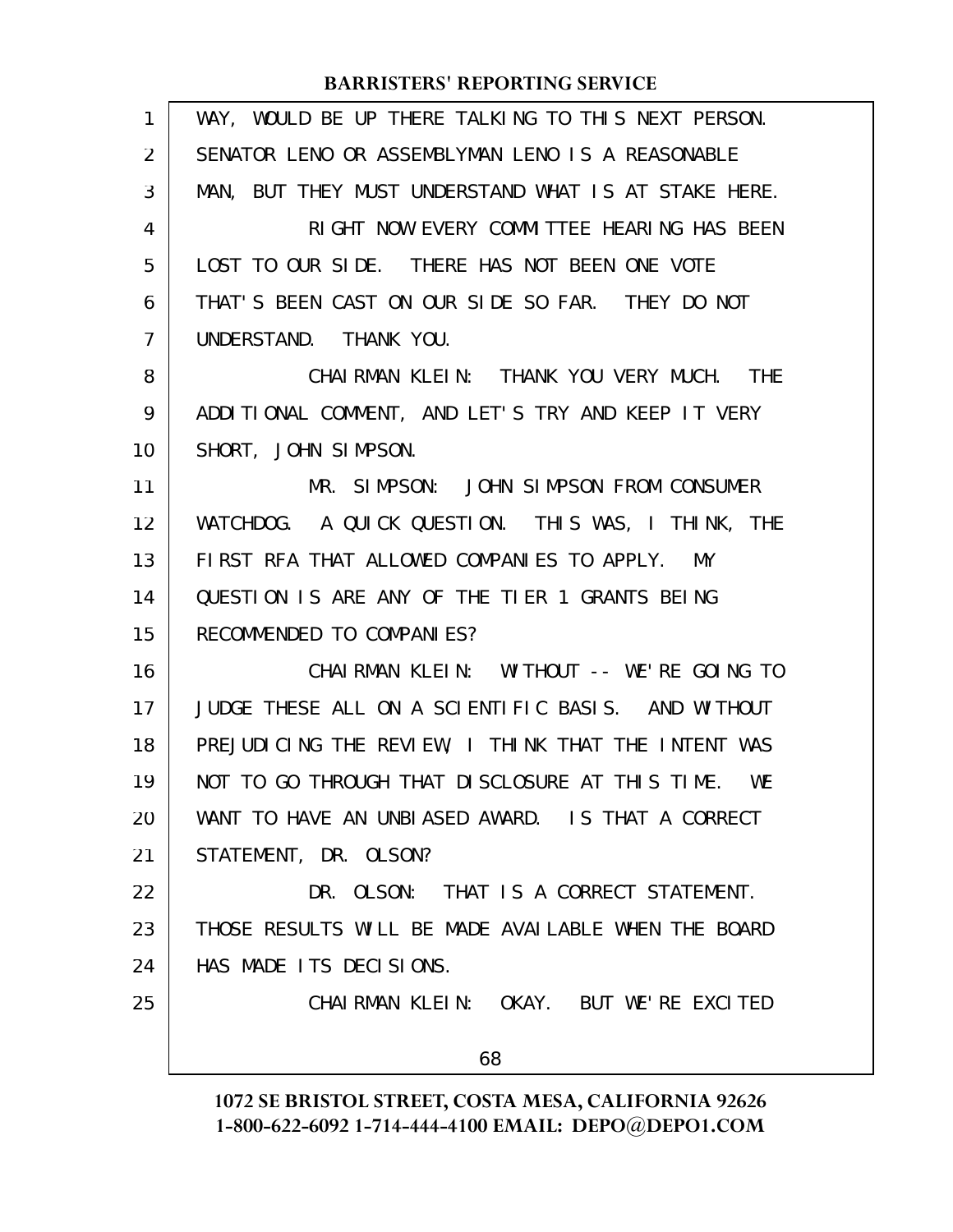| 1              | WAY, WOULD BE UP THERE TALKING TO THIS NEXT PERSON.  |
|----------------|------------------------------------------------------|
| 2              | SENATOR LENO OR ASSEMBLYMAN LENO IS A REASONABLE     |
| 3              | MAN, BUT THEY MUST UNDERSTAND WHAT IS AT STAKE HERE. |
| 4              | RIGHT NOW EVERY COMMITTEE HEARING HAS BEEN           |
| 5              | LOST TO OUR SIDE. THERE HAS NOT BEEN ONE VOTE        |
| 6              | THAT'S BEEN CAST ON OUR SIDE SO FAR. THEY DO NOT     |
| $\overline{7}$ | UNDERSTAND. THANK YOU.                               |
| 8              | CHAIRMAN KLEIN: THANK YOU VERY MUCH. THE             |
| 9              | ADDITIONAL COMMENT, AND LET'S TRY AND KEEP IT VERY   |
| 10             | SHORT, JOHN SIMPSON.                                 |
| 11             | MR. SIMPSON: JOHN SIMPSON FROM CONSUMER              |
| 12             | WATCHDOG. A QUICK QUESTION. THIS WAS, I THINK, THE   |
| 13             | FIRST RFA THAT ALLOWED COMPANIES TO APPLY. MY        |
| 14             | QUESTION IS ARE ANY OF THE TIER 1 GRANTS BEING       |
| 15             | RECOMMENDED TO COMPANIES?                            |
| 16             | CHAI RMAN KLEIN: WITHOUT -- WE'RE GOING TO           |
| 17             | JUDGE THESE ALL ON A SCIENTIFIC BASIS. AND WITHOUT   |
| 18             | PREJUDICING THE REVIEW, I THINK THAT THE INTENT WAS  |
| 19             | NOT TO GO THROUGH THAT DISCLOSURE AT THIS TIME. WE   |
| 20             | WANT TO HAVE AN UNBIASED AWARD. IS THAT A CORRECT    |
| 21             | STATEMENT, DR. OLSON?                                |
| 22             | DR. OLSON: THAT IS A CORRECT STATEMENT.              |
| 23             | THOSE RESULTS WILL BE MADE AVAILABLE WHEN THE BOARD  |
| 24             | HAS MADE ITS DECISIONS.                              |
| 25             | CHAIRMAN KLEIN: OKAY. BUT WE'RE EXCITED              |
|                | 68                                                   |
|                |                                                      |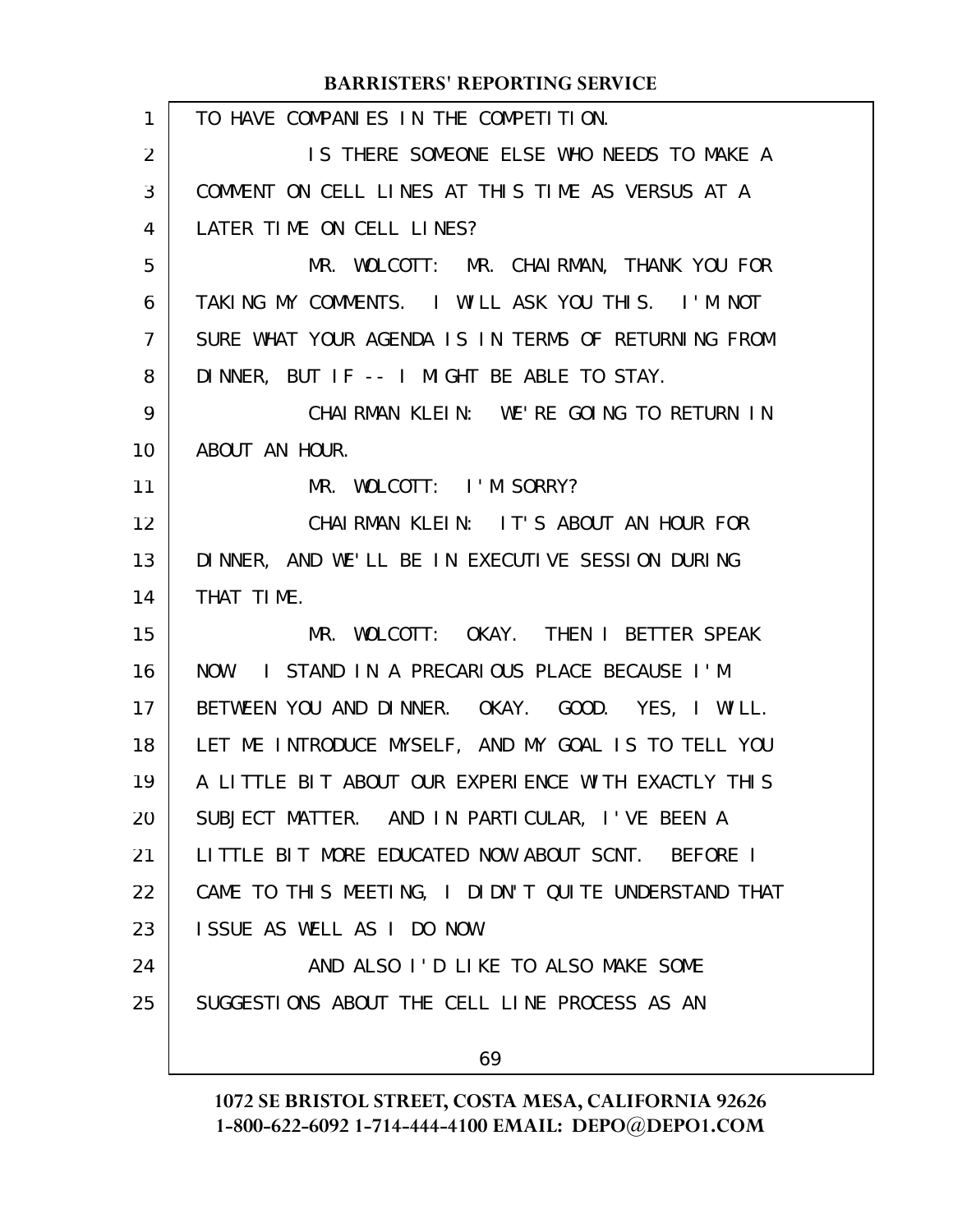| 1  | TO HAVE COMPANIES IN THE COMPETITION.                |
|----|------------------------------------------------------|
| 2  | IS THERE SOMEONE ELSE WHO NEEDS TO MAKE A            |
| 3  | COMMENT ON CELL LINES AT THIS TIME AS VERSUS AT A    |
| 4  | LATER TIME ON CELL LINES?                            |
| 5  | MR. WOLCOTT: MR. CHAIRMAN, THANK YOU FOR             |
| 6  | TAKING MY COMMENTS. I WILL ASK YOU THIS. I'M NOT     |
| 7  | SURE WHAT YOUR AGENDA IS IN TERMS OF RETURNING FROM  |
| 8  | DINNER, BUT IF -- I MIGHT BE ABLE TO STAY.           |
| 9  | CHAIRMAN KLEIN: WE'RE GOING TO RETURN IN             |
| 10 | ABOUT AN HOUR.                                       |
| 11 | MR. WOLCOTT: I'M SORRY?                              |
| 12 | CHAIRMAN KLEIN: IT'S ABOUT AN HOUR FOR               |
| 13 | DINNER, AND WE'LL BE IN EXECUTIVE SESSION DURING     |
| 14 | THAT TIME.                                           |
| 15 | MR. WOLCOTT: OKAY. THEN I BETTER SPEAK               |
| 16 | NOW. I STAND IN A PRECARIOUS PLACE BECAUSE I'M       |
| 17 | BETWEEN YOU AND DINNER. OKAY. GOOD. YES, I WILL.     |
| 18 | LET ME INTRODUCE MYSELF, AND MY GOAL IS TO TELL YOU  |
| 19 | A LITTLE BIT ABOUT OUR EXPERIENCE WITH EXACTLY THIS  |
| 20 | SUBJECT MATTER. AND IN PARTICULAR, I'VE BEEN A       |
| 21 | LITTLE BIT MORE EDUCATED NOW ABOUT SCNT. BEFORE I    |
| 22 | CAME TO THIS MEETING, I DIDN'T QUITE UNDERSTAND THAT |
| 23 | ISSUE AS WELL AS I DO NOW.                           |
| 24 | AND ALSO I'D LIKE TO ALSO MAKE SOME                  |
| 25 | SUGGESTIONS ABOUT THE CELL LINE PROCESS AS AN        |
|    | 69                                                   |
|    |                                                      |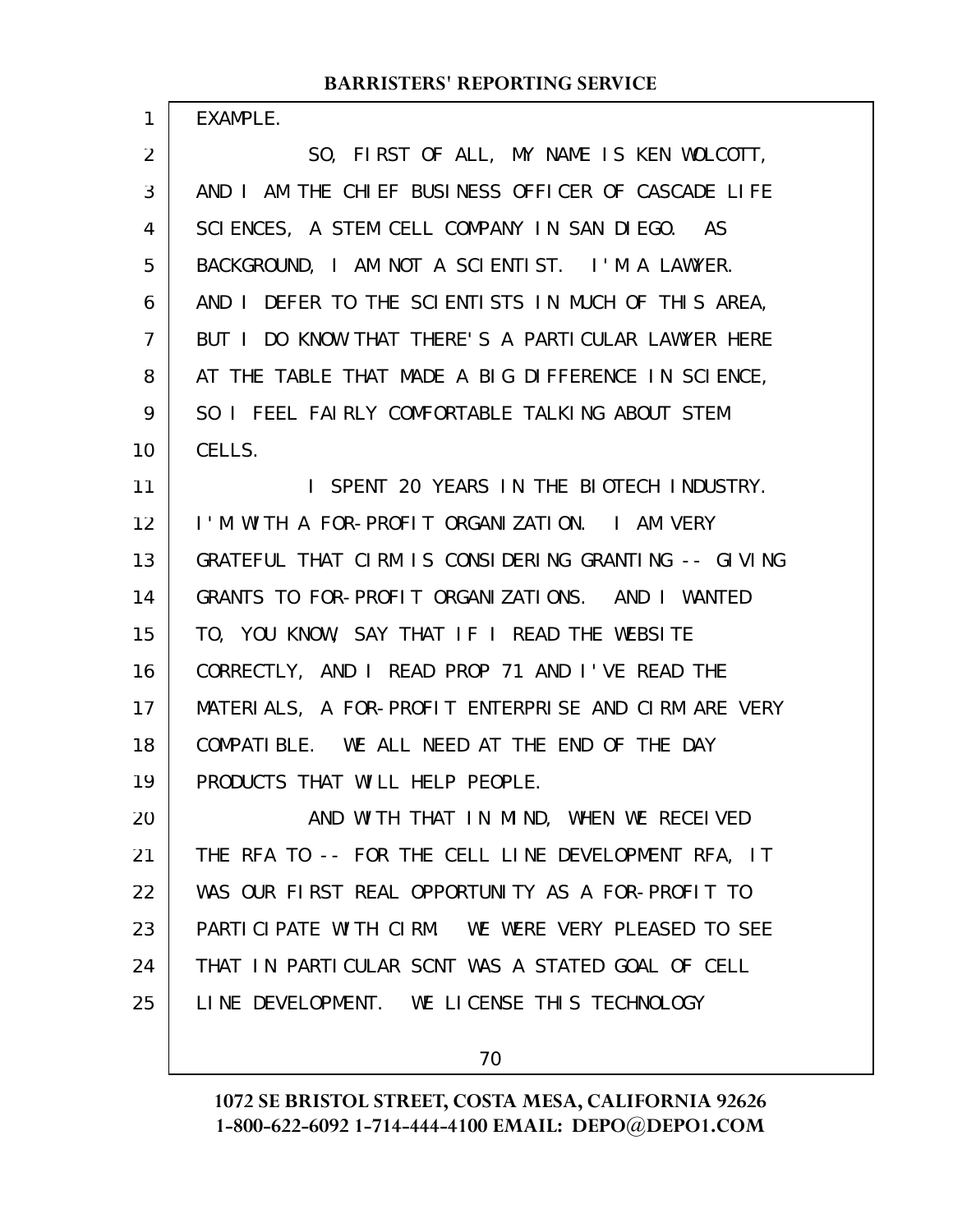EXAMPLE.

1

SO, FIRST OF ALL, MY NAME IS KEN WOLCOTT, AND I AM THE CHIEF BUSINESS OFFICER OF CASCADE LIFE SCIENCES, A STEM CELL COMPANY IN SAN DIEGO. AS BACKGROUND, I AM NOT A SCIENTIST. I'M A LAWYER. AND I DEFER TO THE SCIENTISTS IN MUCH OF THIS AREA, BUT I DO KNOW THAT THERE'S A PARTICULAR LAWYER HERE AT THE TABLE THAT MADE A BIG DIFFERENCE IN SCIENCE, SO I FEEL FAIRLY COMFORTABLE TALKING ABOUT STEM CELLS. I SPENT 20 YEARS IN THE BIOTECH INDUSTRY. I'M WITH A FOR-PROFIT ORGANIZATION. I AM VERY GRATEFUL THAT CIRM IS CONSIDERING GRANTING -- GIVING GRANTS TO FOR-PROFIT ORGANIZATIONS. AND I WANTED TO, YOU KNOW, SAY THAT IF I READ THE WEBSITE CORRECTLY, AND I READ PROP 71 AND I'VE READ THE MATERIALS, A FOR-PROFIT ENTERPRISE AND CIRM ARE VERY COMPATIBLE. WE ALL NEED AT THE END OF THE DAY PRODUCTS THAT WILL HELP PEOPLE. AND WITH THAT IN MIND, WHEN WE RECEIVED THE RFA TO -- FOR THE CELL LINE DEVELOPMENT RFA, IT WAS OUR FIRST REAL OPPORTUNITY AS A FOR-PROFIT TO PARTICIPATE WITH CIRM. WE WERE VERY PLEASED TO SEE THAT IN PARTICULAR SCNT WAS A STATED GOAL OF CELL LINE DEVELOPMENT. WE LICENSE THIS TECHNOLOGY 2 3 4 5 6 7 8 9 10 11 12 13 14 15 16 17 18 19 20 21 22 23 24 25

70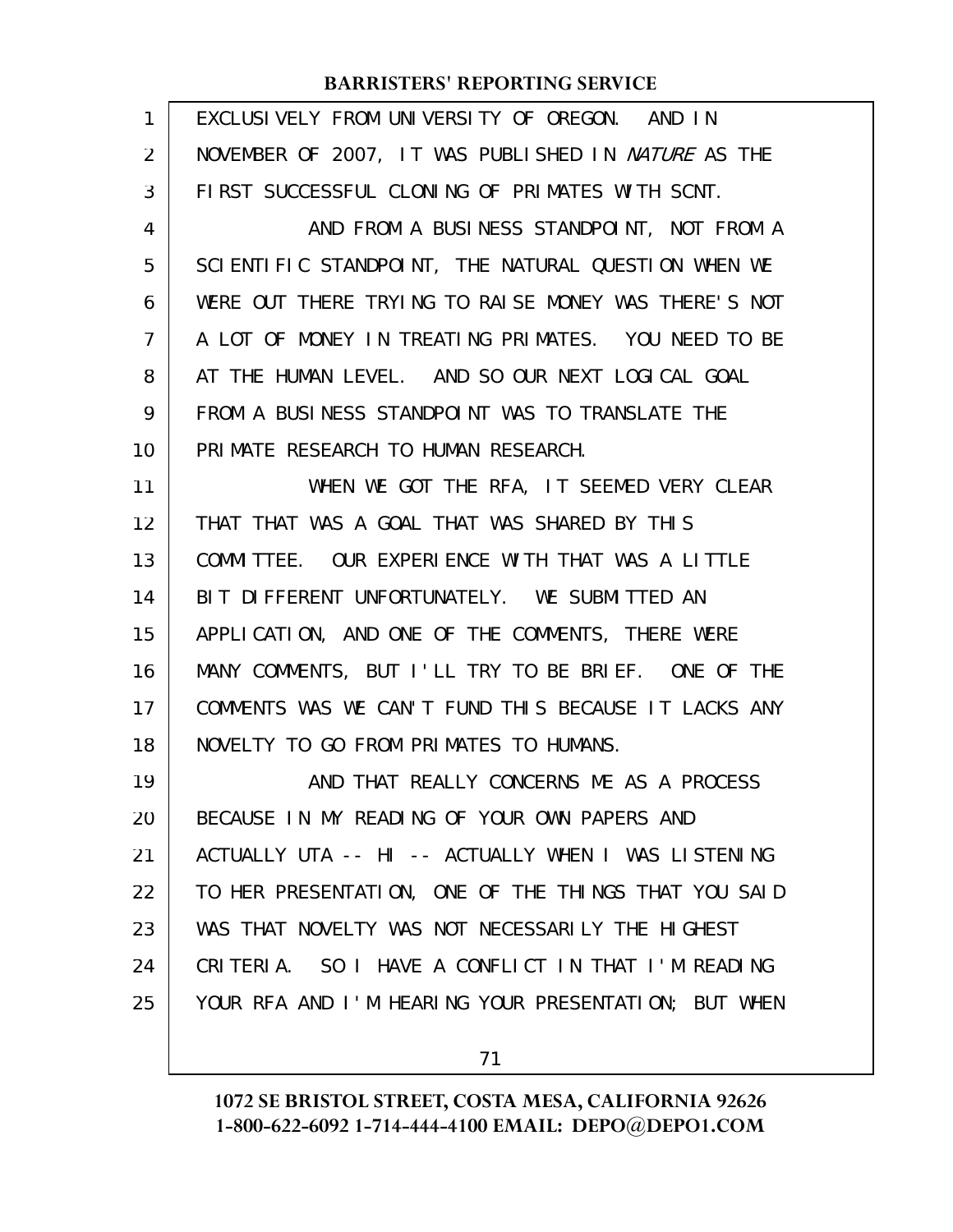| 1              | EXCLUSIVELY FROM UNIVERSITY OF OREGON. AND IN        |
|----------------|------------------------------------------------------|
| 2              | NOVEMBER OF 2007, IT WAS PUBLISHED IN NATURE AS THE  |
| 3              | FIRST SUCCESSFUL CLONING OF PRIMATES WITH SCNT.      |
| 4              | AND FROM A BUSINESS STANDPOINT, NOT FROM A           |
| 5              | SCIENTIFIC STANDPOINT, THE NATURAL QUESTION WHEN WE  |
| 6              | WERE OUT THERE TRYING TO RAISE MONEY WAS THERE'S NOT |
| $\overline{7}$ | A LOT OF MONEY IN TREATING PRIMATES. YOU NEED TO BE  |
| 8              | AT THE HUMAN LEVEL. AND SO OUR NEXT LOGICAL GOAL     |
| 9              | FROM A BUSINESS STANDPOINT WAS TO TRANSLATE THE      |
| 10             | PRIMATE RESEARCH TO HUMAN RESEARCH.                  |
| 11             | WHEN WE GOT THE RFA, IT SEEMED VERY CLEAR            |
| 12             | THAT THAT WAS A GOAL THAT WAS SHARED BY THIS         |
| 13             | COMMITTEE. OUR EXPERIENCE WITH THAT WAS A LITTLE     |
| 14             | BIT DIFFERENT UNFORTUNATELY. WE SUBMITTED AN         |
| 15             | APPLICATION, AND ONE OF THE COMMENTS, THERE WERE     |
| 16             | MANY COMMENTS, BUT I'LL TRY TO BE BRIEF. ONE OF THE  |
| 17             | COMMENTS WAS WE CAN'T FUND THIS BECAUSE IT LACKS ANY |
| 18             | NOVELTY TO GO FROM PRIMATES TO HUMANS.               |
| 19             | AND THAT REALLY CONCERNS ME AS A PROCESS             |
| 20             | BECAUSE IN MY READING OF YOUR OWN PAPERS AND         |
| 21             | ACTUALLY UTA -- HI -- ACTUALLY WHEN I WAS LISTENING  |
| 22             | TO HER PRESENTATION, ONE OF THE THINGS THAT YOU SAID |
| 23             | WAS THAT NOVELTY WAS NOT NECESSARILY THE HIGHEST     |
| 24             | CRITERIA. SO I HAVE A CONFLICT IN THAT I'M READING   |
| 25             | YOUR RFA AND I'M HEARING YOUR PRESENTATION; BUT WHEN |
|                |                                                      |

71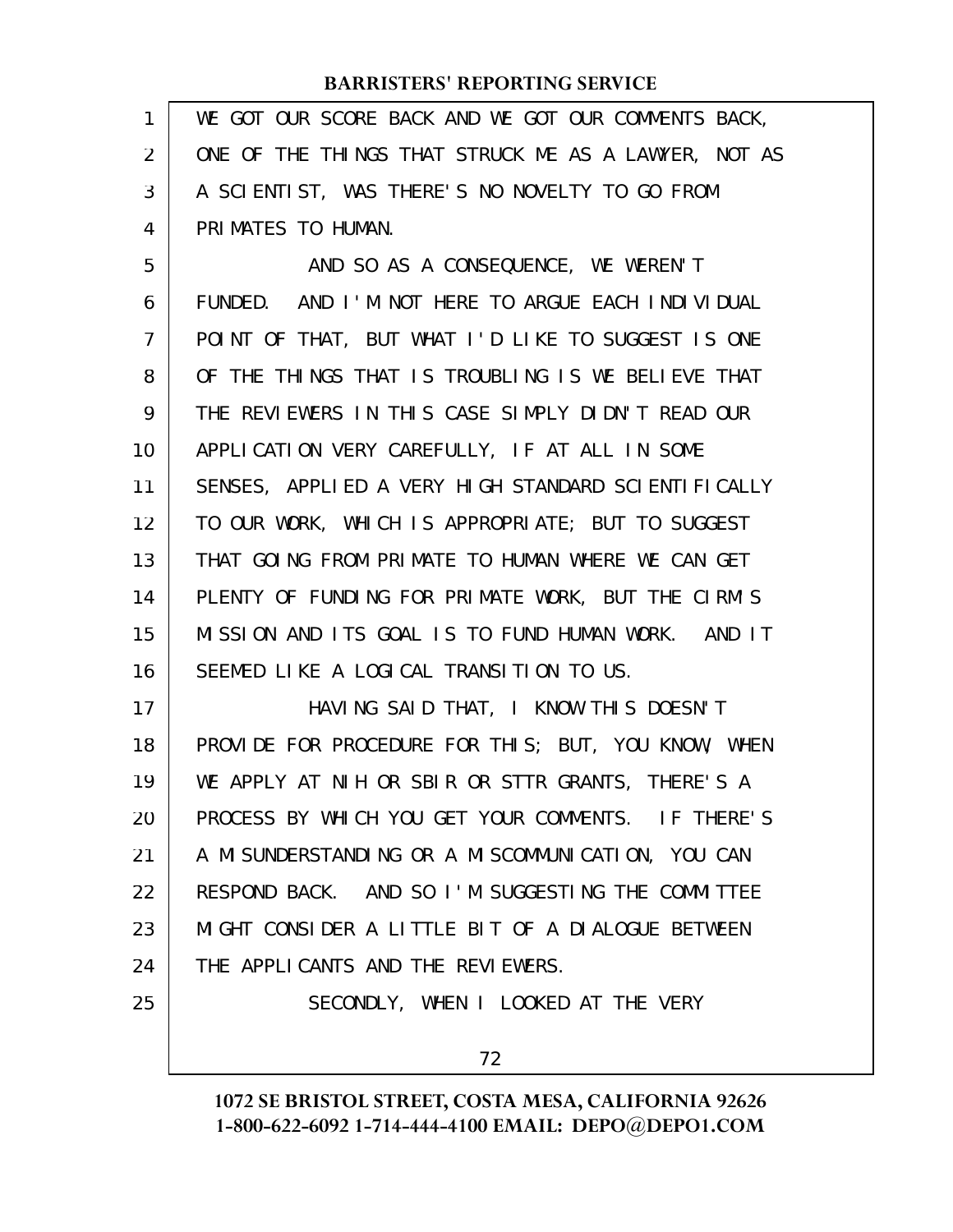| 1              | WE GOT OUR SCORE BACK AND WE GOT OUR COMMENTS BACK,  |
|----------------|------------------------------------------------------|
| $\overline{2}$ | ONE OF THE THINGS THAT STRUCK ME AS A LAWYER, NOT AS |
| 3              | A SCIENTIST, WAS THERE'S NO NOVELTY TO GO FROM       |
| 4              | PRIMATES TO HUMAN.                                   |
| 5              | AND SO AS A CONSEQUENCE, WE WEREN'T                  |
| 6              | FUNDED. AND I'M NOT HERE TO ARGUE EACH INDIVIDUAL    |
| $\overline{7}$ | POINT OF THAT, BUT WHAT I'D LIKE TO SUGGEST IS ONE   |
| 8              | OF THE THINGS THAT IS TROUBLING IS WE BELIEVE THAT   |
| 9              | THE REVIEWERS IN THIS CASE SIMPLY DIDN'T READ OUR    |
| 10             | APPLICATION VERY CAREFULLY, IF AT ALL IN SOME        |
| 11             | SENSES, APPLIED A VERY HIGH STANDARD SCIENTIFICALLY  |
| 12             | TO OUR WORK, WHICH IS APPROPRIATE; BUT TO SUGGEST    |
| 13             | THAT GOING FROM PRIMATE TO HUMAN WHERE WE CAN GET    |
| 14             | PLENTY OF FUNDING FOR PRIMATE WORK, BUT THE CIRM'S   |
| 15             | MISSION AND ITS GOAL IS TO FUND HUMAN WORK. AND IT   |
| 16             | SEEMED LIKE A LOGICAL TRANSITION TO US.              |
| 17             | HAVING SAID THAT, I KNOW THIS DOESN'T                |
| 18             | PROVIDE FOR PROCEDURE FOR THIS; BUT, YOU KNOW, WHEN  |
| 19             | WE APPLY AT NIH OR SBIR OR STTR GRANTS, THERE'S A    |
| 20             | PROCESS BY WHICH YOU GET YOUR COMMENTS. IF THERE'S   |
| 21             | A MI SUNDERSTANDING OR A MISCOMMUNICATION, YOU CAN   |
| 22             | RESPOND BACK. AND SO I'M SUGGESTING THE COMMITTEE    |
| 23             | MIGHT CONSIDER A LITTLE BIT OF A DIALOGUE BETWEEN    |
| 24             | THE APPLICANTS AND THE REVIEWERS.                    |
| 25             | SECONDLY, WHEN I LOOKED AT THE VERY                  |
|                | 72                                                   |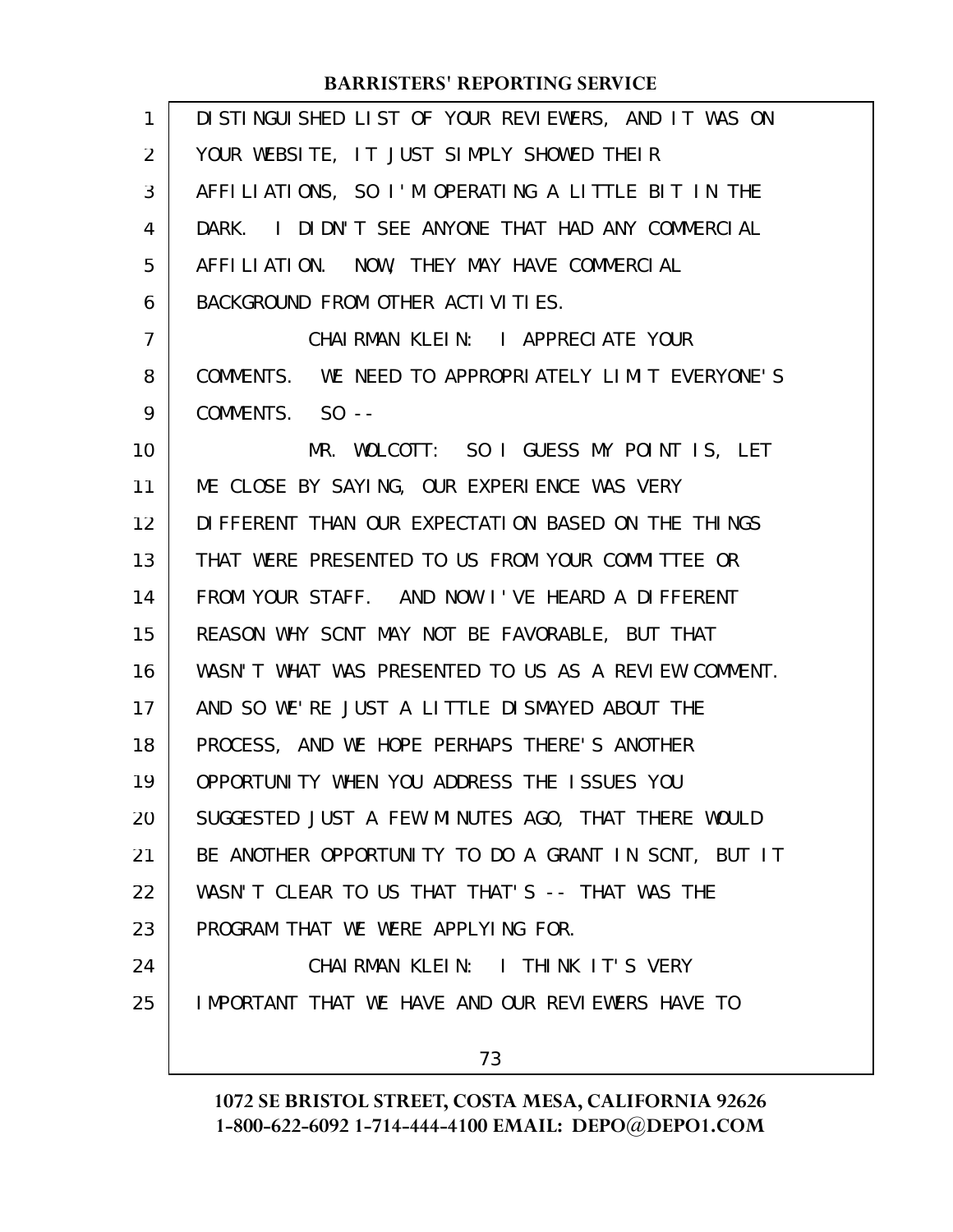| 1              | DISTINGUISHED LIST OF YOUR REVIEWERS, AND IT WAS ON  |
|----------------|------------------------------------------------------|
| 2              | YOUR WEBSITE, IT JUST SIMPLY SHOWED THEIR            |
| 3              | AFFILIATIONS, SO I'M OPERATING A LITTLE BIT IN THE   |
| 4              | DARK. I DIDN'T SEE ANYONE THAT HAD ANY COMMERCIAL    |
| 5              | AFFILIATION. NOW, THEY MAY HAVE COMMERCIAL           |
| 6              | BACKGROUND FROM OTHER ACTIVITIES.                    |
| $\overline{7}$ | CHAIRMAN KLEIN: I APPRECIATE YOUR                    |
| 8              | COMMENTS. WE NEED TO APPROPRIATELY LIMIT EVERYONE'S  |
| 9              | COMMENTS. SO --                                      |
| 10             | MR. WOLCOTT: SO I GUESS MY POINT IS, LET             |
| 11             | ME CLOSE BY SAYING, OUR EXPERIENCE WAS VERY          |
| 12             | DIFFERENT THAN OUR EXPECTATION BASED ON THE THINGS   |
| 13             | THAT WERE PRESENTED TO US FROM YOUR COMMITTEE OR     |
| 14             | FROM YOUR STAFF. AND NOW I'VE HEARD A DIFFERENT      |
| 15             | REASON WHY SCNT MAY NOT BE FAVORABLE, BUT THAT       |
| 16             | WASN'T WHAT WAS PRESENTED TO US AS A REVIEW COMMENT. |
| 17             | AND SO WE'RE JUST A LITTLE DISMAYED ABOUT THE        |
| 18             | PROCESS, AND WE HOPE PERHAPS THERE'S ANOTHER         |
| 19             | OPPORTUNITY WHEN YOU ADDRESS THE ISSUES YOU          |
| 20             | SUGGESTED JUST A FEW MINUTES AGO, THAT THERE WOULD   |
| 21             | BE ANOTHER OPPORTUNITY TO DO A GRANT IN SCNT, BUT IT |
| 22             | WASN'T CLEAR TO US THAT THAT'S -- THAT WAS THE       |
| 23             | PROGRAM THAT WE WERE APPLYING FOR.                   |
| 24             | CHAIRMAN KLEIN: I THINK IT'S VERY                    |
| 25             | IMPORTANT THAT WE HAVE AND OUR REVIEWERS HAVE TO     |
|                | 73                                                   |
|                |                                                      |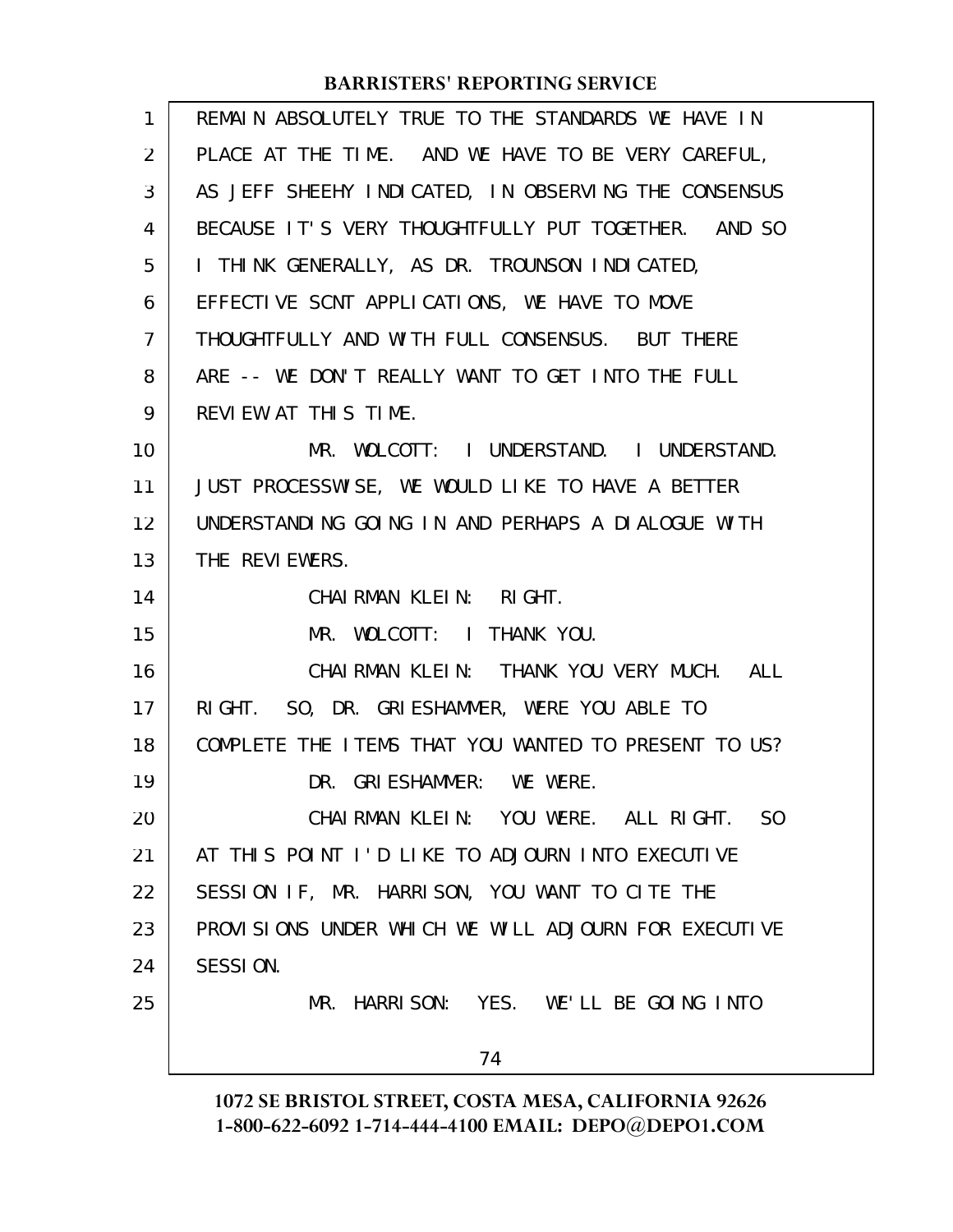| 1              | REMAIN ABSOLUTELY TRUE TO THE STANDARDS WE HAVE IN   |
|----------------|------------------------------------------------------|
| 2              | PLACE AT THE TIME. AND WE HAVE TO BE VERY CAREFUL,   |
| 3              | AS JEFF SHEEHY INDICATED, IN OBSERVING THE CONSENSUS |
| 4              | BECAUSE IT'S VERY THOUGHTFULLY PUT TOGETHER. AND SO  |
| 5              | I THINK GENERALLY, AS DR. TROUNSON INDICATED,        |
| 6              | EFFECTIVE SCNT APPLICATIONS, WE HAVE TO MOVE         |
| $\overline{7}$ | THOUGHTFULLY AND WITH FULL CONSENSUS. BUT THERE      |
| 8              | ARE -- WE DON'T REALLY WANT TO GET INTO THE FULL     |
| 9              | REVIEW AT THIS TIME.                                 |
| 10             | MR. WOLCOTT: I UNDERSTAND. I UNDERSTAND.             |
| 11             | JUST PROCESSWISE, WE WOULD LIKE TO HAVE A BETTER     |
| 12             | UNDERSTANDING GOING IN AND PERHAPS A DIALOGUE WITH   |
| 13             | THE REVIEWERS.                                       |
| 14             | CHAIRMAN KLEIN: RIGHT.                               |
| 15             | MR. WOLCOTT: I THANK YOU.                            |
| 16             | CHAIRMAN KLEIN: THANK YOU VERY MUCH. ALL             |
| 17             | RIGHT. SO, DR. GRIESHAMMER, WERE YOU ABLE TO         |
| 18             | COMPLETE THE ITEMS THAT YOU WANTED TO PRESENT TO US? |
| 19             | DR. GRIESHAMMER: WE WERE.                            |
| 20             | CHAIRMAN KLEIN: YOU WERE. ALL RIGHT. SO              |
| 21             | AT THIS POINT I'D LIKE TO ADJOURN INTO EXECUTIVE     |
| 22             | SESSION IF, MR. HARRISON, YOU WANT TO CITE THE       |
| 23             | PROVISIONS UNDER WHICH WE WILL ADJOURN FOR EXECUTIVE |
| 24             | SESSION.                                             |
| 25             | MR. HARRISON: YES. WE'LL BE GOING INTO               |
|                | 74                                                   |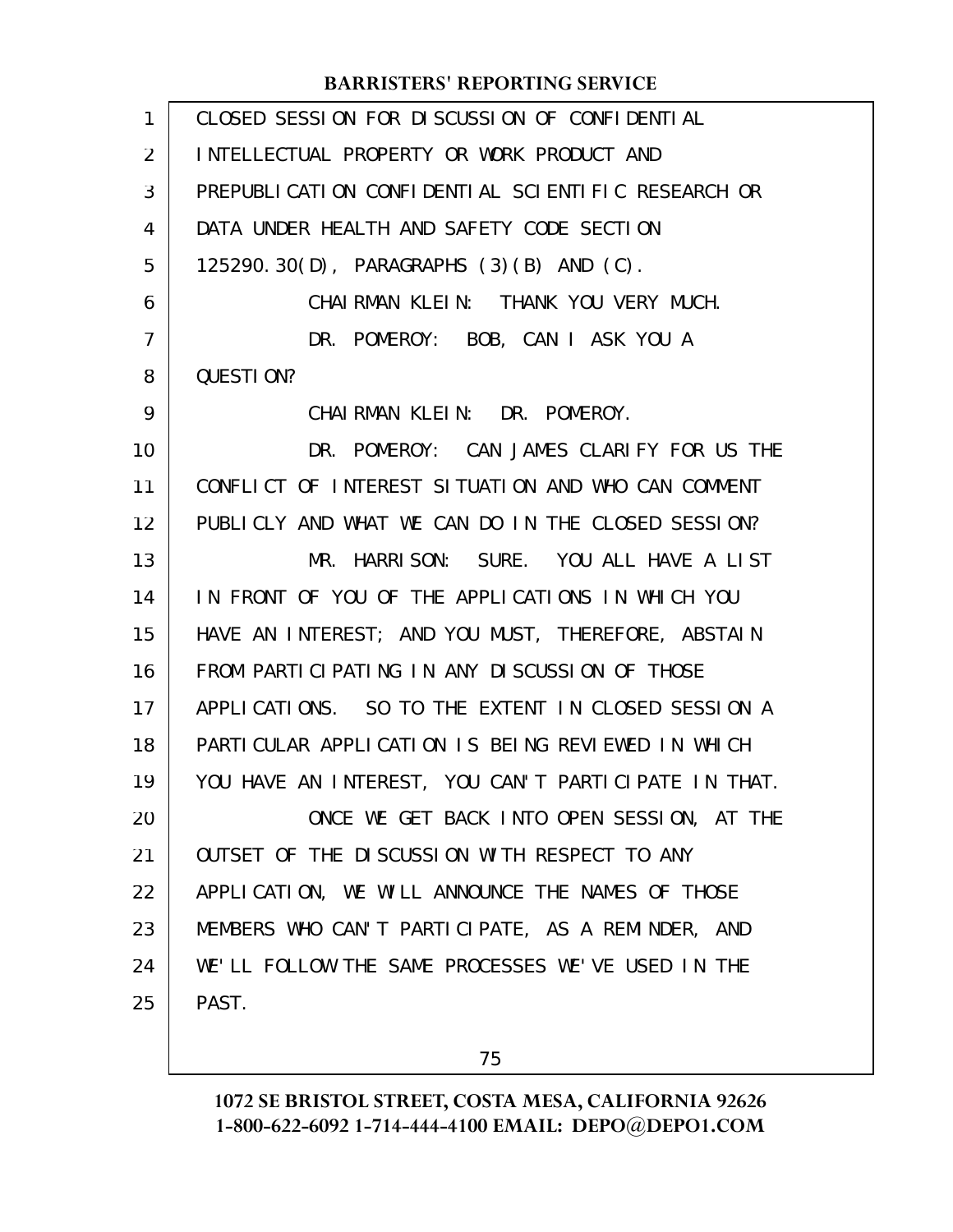| $\mathbf{1}$   | CLOSED SESSION FOR DISCUSSION OF CONFIDENTIAL        |
|----------------|------------------------------------------------------|
| 2              | INTELLECTUAL PROPERTY OR WORK PRODUCT AND            |
| 3              | PREPUBLICATION CONFIDENTIAL SCIENTIFIC RESEARCH OR   |
| 4              | DATA UNDER HEALTH AND SAFETY CODE SECTION            |
| 5              | 125290.30(D), PARAGRAPHS (3)(B) AND (C).             |
| 6              | CHAIRMAN KLEIN: THANK YOU VERY MUCH.                 |
| $\overline{7}$ | DR. POMEROY: BOB, CAN I ASK YOU A                    |
| 8              | QUESTION?                                            |
| 9              | CHAIRMAN KLEIN: DR. POMEROY.                         |
| 10             | DR. POMEROY: CAN JAMES CLARIFY FOR US THE            |
| 11             | CONFLICT OF INTEREST SITUATION AND WHO CAN COMMENT   |
| 12             | PUBLICLY AND WHAT WE CAN DO IN THE CLOSED SESSION?   |
| 13             | MR. HARRISON: SURE. YOU ALL HAVE A LIST              |
| 14             | IN FRONT OF YOU OF THE APPLICATIONS IN WHICH YOU     |
| 15             | HAVE AN INTEREST; AND YOU MUST, THEREFORE, ABSTAIN   |
| 16             | FROM PARTICLE PATING IN ANY DISCUSSION OF THOSE      |
| 17             | APPLICATIONS. SO TO THE EXTENT IN CLOSED SESSION A   |
| 18             | PARTICULAR APPLICATION IS BEING REVIEWED IN WHICH    |
| 19             | YOU HAVE AN INTEREST, YOU CAN'T PARTICIPATE IN THAT. |
| 20             | ONCE WE GET BACK INTO OPEN SESSION, AT THE           |
| 21             | OUTSET OF THE DISCUSSION WITH RESPECT TO ANY         |
| 22             | APPLICATION, WE WILL ANNOUNCE THE NAMES OF THOSE     |
| 23             | MEMBERS WHO CAN'T PARTICIPATE, AS A REMINDER, AND    |
| 24             | WE'LL FOLLOW THE SAME PROCESSES WE'VE USED IN THE    |
| 25             | PAST.                                                |

75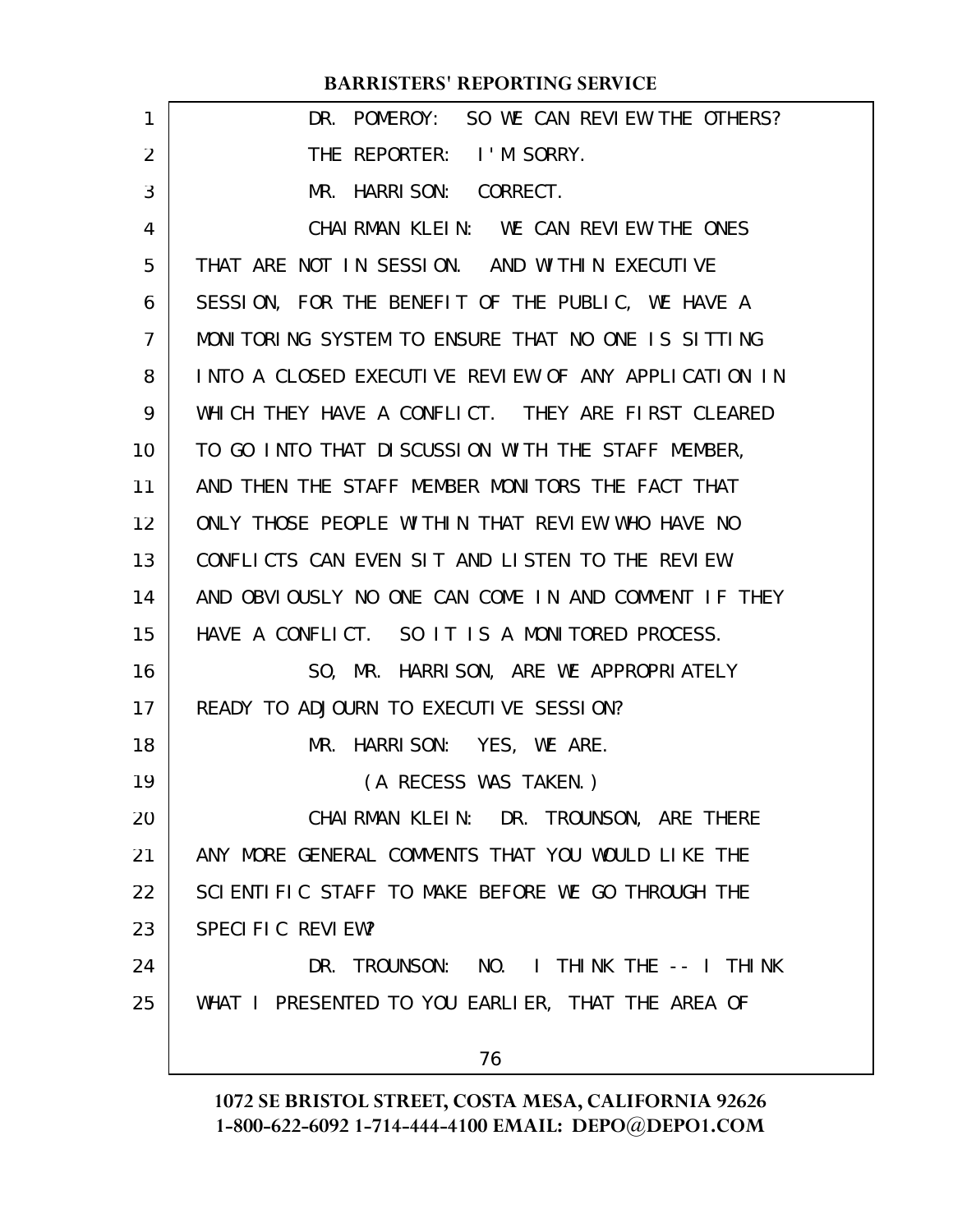| 1  | DR. POMEROY: SO WE CAN REVIEW THE OTHERS?            |
|----|------------------------------------------------------|
| 2  | THE REPORTER: I'M SORRY.                             |
| 3  | MR. HARRISON: CORRECT.                               |
| 4  | CHAIRMAN KLEIN: WE CAN REVIEW THE ONES               |
| 5  | THAT ARE NOT IN SESSION. AND WITHIN EXECUTIVE        |
| 6  | SESSION, FOR THE BENEFIT OF THE PUBLIC, WE HAVE A    |
| 7  | MONITORING SYSTEM TO ENSURE THAT NO ONE IS SITTING   |
| 8  | INTO A CLOSED EXECUTIVE REVIEW OF ANY APPLICATION IN |
| 9  | WHICH THEY HAVE A CONFLICT. THEY ARE FIRST CLEARED   |
| 10 | TO GO INTO THAT DISCUSSION WITH THE STAFF MEMBER,    |
| 11 | AND THEN THE STAFF MEMBER MONITORS THE FACT THAT     |
| 12 | ONLY THOSE PEOPLE WITHIN THAT REVIEW WHO HAVE NO     |
| 13 | CONFLICTS CAN EVEN SIT AND LISTEN TO THE REVIEW.     |
| 14 | AND OBVIOUSLY NO ONE CAN COME IN AND COMMENT IF THEY |
| 15 | HAVE A CONFLICT. SO IT IS A MONITORED PROCESS.       |
| 16 | SO, MR. HARRISON, ARE WE APPROPRIATELY               |
| 17 | READY TO ADJOURN TO EXECUTIVE SESSION?               |
| 18 | MR. HARRISON: YES, WE ARE.                           |
| 19 | (A RECESS WAS TAKEN.)                                |
| 20 | CHAIRMAN KLEIN: DR. TROUNSON, ARE THERE              |
| 21 | ANY MORE GENERAL COMMENTS THAT YOU WOULD LIKE THE    |
| 22 | SCIENTIFIC STAFF TO MAKE BEFORE WE GO THROUGH THE    |
| 23 | SPECIFIC REVIEW?                                     |
| 24 | DR. TROUNSON: NO. I THINK THE -- I THINK             |
| 25 | WHAT I PRESENTED TO YOU EARLIER, THAT THE AREA OF    |
|    | 76                                                   |
|    |                                                      |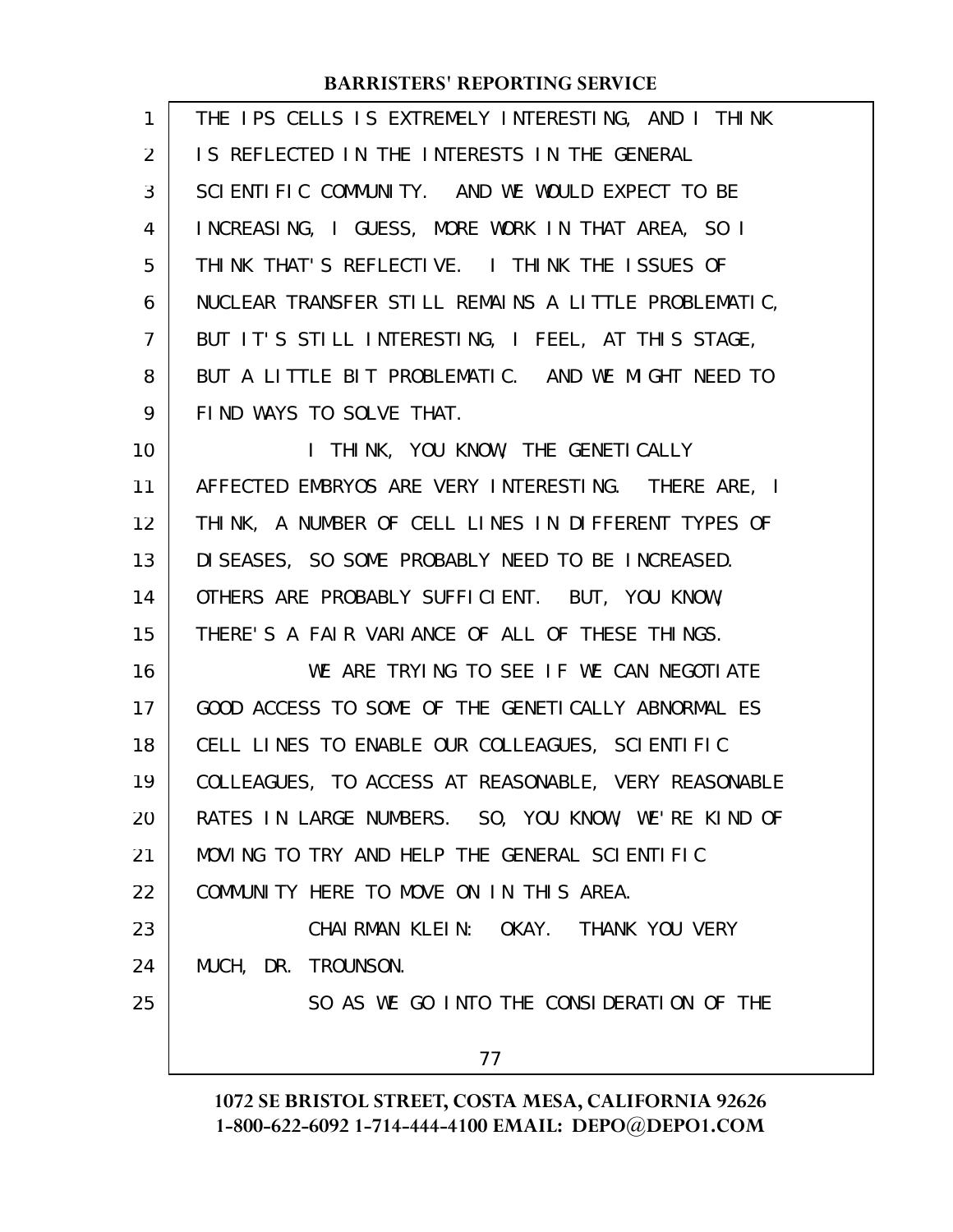| 1              | THE IPS CELLS IS EXTREMELY INTERESTING, AND I THINK  |
|----------------|------------------------------------------------------|
| 2              | IS REFLECTED IN THE INTERESTS IN THE GENERAL         |
| 3              | SCIENTIFIC COMMUNITY. AND WE WOULD EXPECT TO BE      |
| 4              | INCREASING, I GUESS, MORE WORK IN THAT AREA, SO I    |
| 5              | THINK THAT'S REFLECTIVE. I THINK THE ISSUES OF       |
| 6              | NUCLEAR TRANSFER STILL REMAINS A LITTLE PROBLEMATIC, |
| $\overline{7}$ | BUT IT'S STILL INTERESTING, I FEEL, AT THIS STAGE,   |
| 8              | BUT A LITTLE BIT PROBLEMATIC. AND WE MIGHT NEED TO   |
| 9              | FIND WAYS TO SOLVE THAT.                             |
| 10             | I THINK, YOU KNOW, THE GENETICALLY                   |
| 11             | AFFECTED EMBRYOS ARE VERY INTERESTING. THERE ARE, I  |
| 12             | THINK, A NUMBER OF CELL LINES IN DIFFERENT TYPES OF  |
| 13             | DISEASES, SO SOME PROBABLY NEED TO BE INCREASED.     |
| 14             | OTHERS ARE PROBABLY SUFFICIENT. BUT, YOU KNOW,       |
| 15             | THERE'S A FAIR VARIANCE OF ALL OF THESE THINGS.      |
| 16             | WE ARE TRYING TO SEE IF WE CAN NEGOTIATE             |
| 17             | GOOD ACCESS TO SOME OF THE GENETICALLY ABNORMAL ES   |
| 18             | CELL LINES TO ENABLE OUR COLLEAGUES, SCIENTIFIC      |
| 19             | COLLEAGUES, TO ACCESS AT REASONABLE, VERY REASONABLE |
| 20             | RATES IN LARGE NUMBERS. SO, YOU KNOW, WE'RE KIND OF  |
| 21             | MOVING TO TRY AND HELP THE GENERAL SCIENTIFIC        |
| 22             | COMMUNITY HERE TO MOVE ON IN THIS AREA.              |
| 23             | CHAIRMAN KLEIN: OKAY. THANK YOU VERY                 |
| 24             | MUCH, DR. TROUNSON.                                  |
| 25             | SO AS WE GO INTO THE CONSIDERATION OF THE            |
|                | 77                                                   |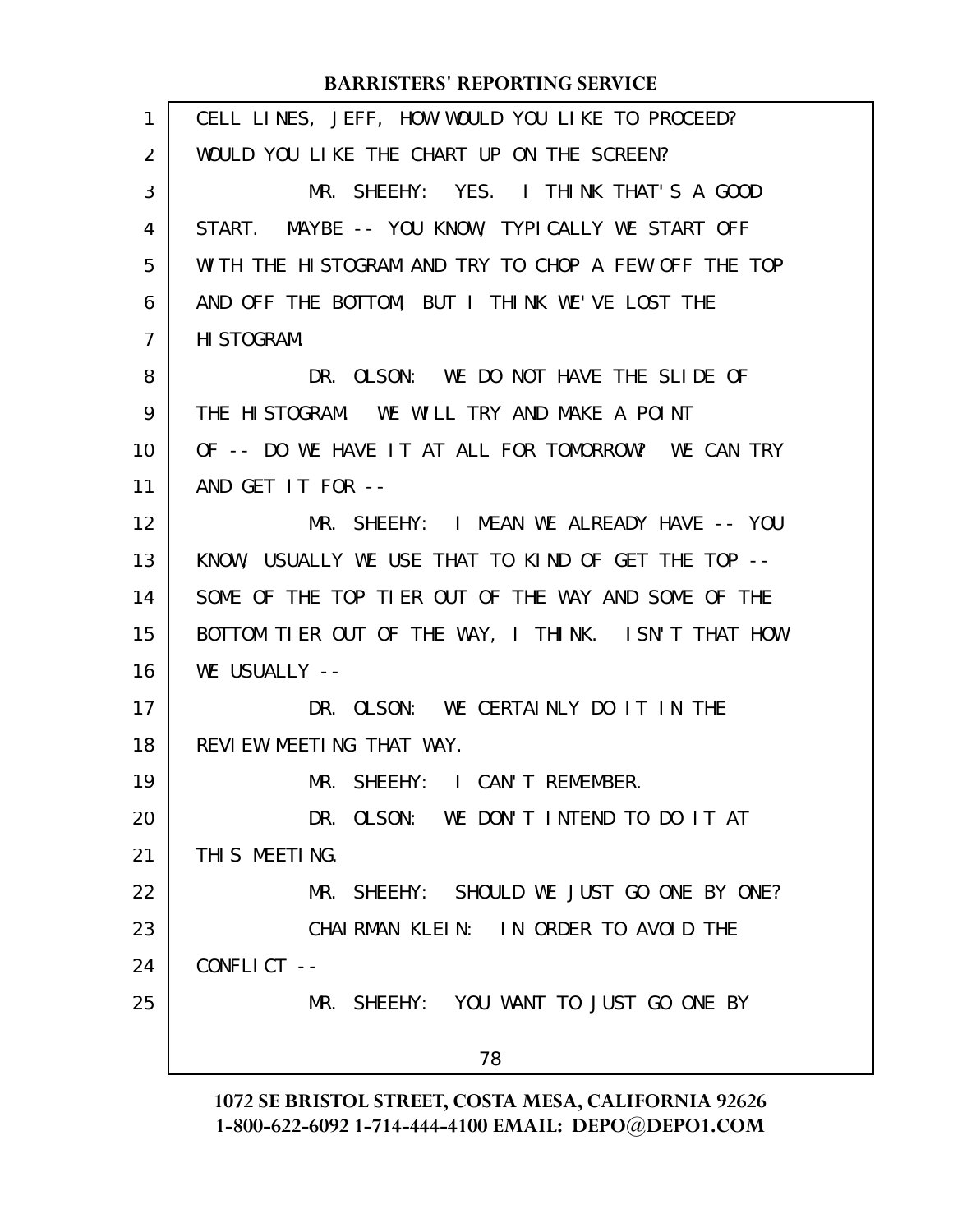| 1              | CELL LINES, JEFF, HOW WOULD YOU LIKE TO PROCEED?     |
|----------------|------------------------------------------------------|
| 2              | WOULD YOU LIKE THE CHART UP ON THE SCREEN?           |
| 3              | MR. SHEEHY: YES. I THINK THAT'S A GOOD               |
| 4              | START. MAYBE -- YOU KNOW, TYPICALLY WE START OFF     |
| 5              | WITH THE HISTOGRAM AND TRY TO CHOP A FEW OFF THE TOP |
| 6              | AND OFF THE BOTTOM, BUT I THINK WE'VE LOST THE       |
| $\overline{7}$ | HI STOGRAM.                                          |
| 8              | DR. OLSON: WE DO NOT HAVE THE SLIDE OF               |
| 9              | THE HISTOGRAM. WE WILL TRY AND MAKE A POINT          |
| 10             | OF -- DO WE HAVE IT AT ALL FOR TOMORROW? WE CAN TRY  |
| 11             | AND GET IT FOR --                                    |
| 12             | MR. SHEEHY: I MEAN WE ALREADY HAVE -- YOU            |
| 13             | KNOW, USUALLY WE USE THAT TO KIND OF GET THE TOP --  |
| 14             | SOME OF THE TOP TIER OUT OF THE WAY AND SOME OF THE  |
| 15             | BOTTOM TIER OUT OF THE WAY, I THINK. ISN'T THAT HOW  |
| 16             | WE USUALLY --                                        |
| 17             | DR. OLSON: WE CERTAINLY DO IT IN THE                 |
| 18             | REVIEW MEETING THAT WAY.                             |
| 19             | MR. SHEEHY: I CAN'T REMEMBER.                        |
| 20             | DR. OLSON: WE DON'T INTEND TO DO IT AT               |
| 21             | THIS MEETING.                                        |
| 22             | MR. SHEEHY: SHOULD WE JUST GO ONE BY ONE?            |
| 23             | CHAIRMAN KLEIN: IN ORDER TO AVOID THE                |
| 24             | CONFLICT --                                          |
| 25             | MR. SHEEHY: YOU WANT TO JUST GO ONE BY               |
|                | 78                                                   |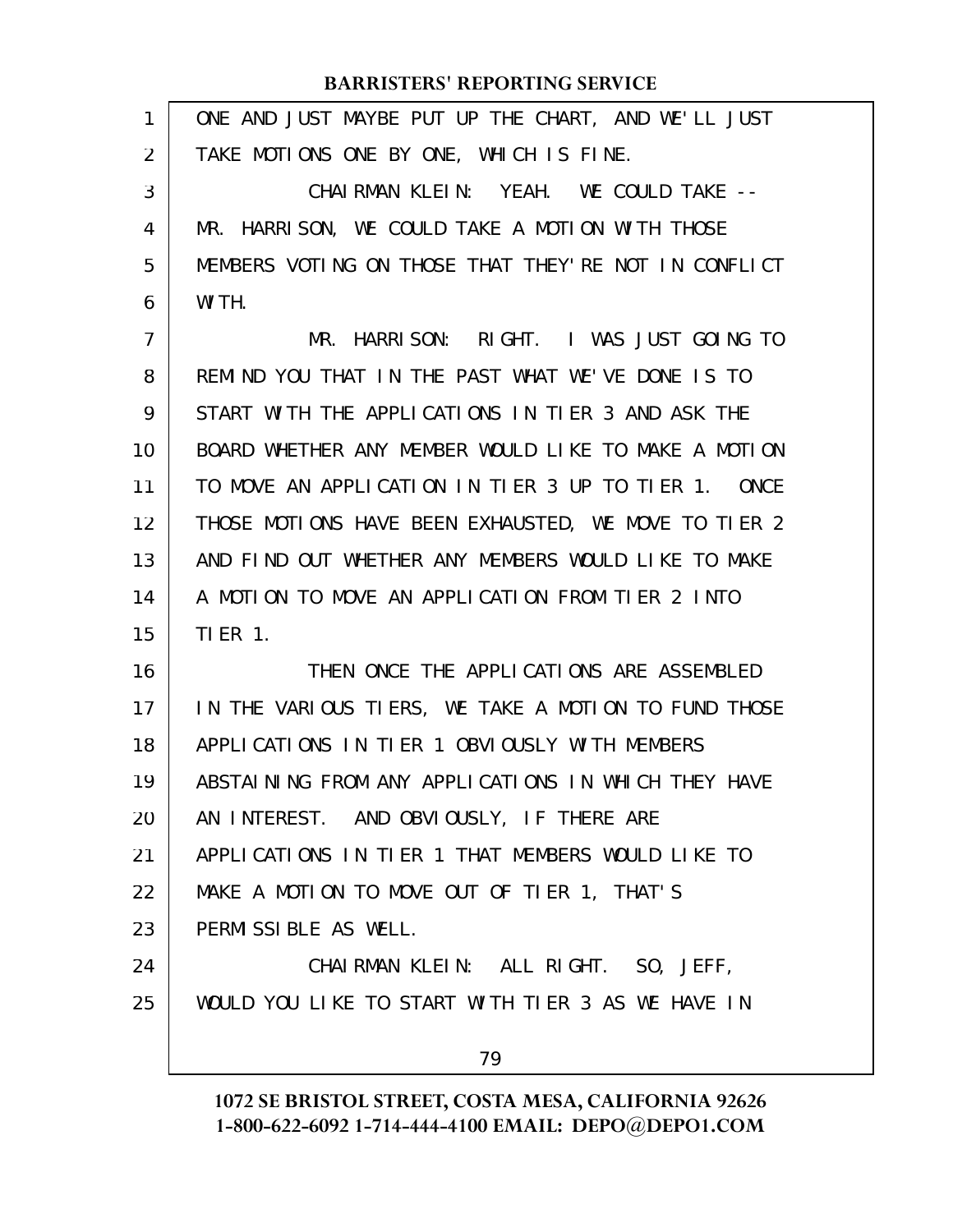| $\mathbf{1}$ | ONE AND JUST MAYBE PUT UP THE CHART, AND WE'LL JUST           |
|--------------|---------------------------------------------------------------|
| 2            | TAKE MOTIONS ONE BY ONE, WHICH IS FINE.                       |
| 3            | CHAIRMAN KLEIN: YEAH. WE COULD TAKE --                        |
| 4            | MR. HARRISON, WE COULD TAKE A MOTION WITH THOSE               |
| 5            | MEMBERS VOTING ON THOSE THAT THEY'RE NOT IN CONFLICT          |
| 6            | WITH.                                                         |
| 7            | MR. HARRISON: RIGHT. I WAS JUST GOING TO                      |
| 8            | REMIND YOU THAT IN THE PAST WHAT WE'VE DONE IS TO             |
| 9            | START WITH THE APPLICATIONS IN TIER 3 AND ASK THE             |
| 10           | BOARD WHETHER ANY MEMBER WOULD LIKE TO MAKE A MOTION          |
| 11           | TO MOVE AN APPLICATION IN TIER 3 UP TO TIER 1.<br><b>ONCE</b> |
| 12           | THOSE MOTIONS HAVE BEEN EXHAUSTED, WE MOVE TO TIER 2          |
| 13           | AND FIND OUT WHETHER ANY MEMBERS WOULD LIKE TO MAKE           |
| 14           | A MOTION TO MOVE AN APPLICATION FROM TIER 2 INTO              |
| 15           | <b>TIER 1.</b>                                                |
| 16           | THEN ONCE THE APPLICATIONS ARE ASSEMBLED                      |
| 17           | IN THE VARIOUS TIERS, WE TAKE A MOTION TO FUND THOSE          |
| 18           | APPLICATIONS IN TIER 1 OBVIOUSLY WITH MEMBERS                 |
| 19           | ABSTAINING FROM ANY APPLICATIONS IN WHICH THEY HAVE           |
| 20           | AN INTEREST. AND OBVIOUSLY, IF THERE ARE                      |
| 21           | APPLICATIONS IN TIER 1 THAT MEMBERS WOULD LIKE TO             |
| 22           | MAKE A MOTION TO MOVE OUT OF TIER 1, THAT'S                   |
| 23           | PERMISSIBLE AS WELL.                                          |
| 24           | CHAIRMAN KLEIN: ALL RIGHT. SO, JEFF,                          |
| 25           | WOULD YOU LIKE TO START WITH TIER 3 AS WE HAVE IN             |
|              | 79                                                            |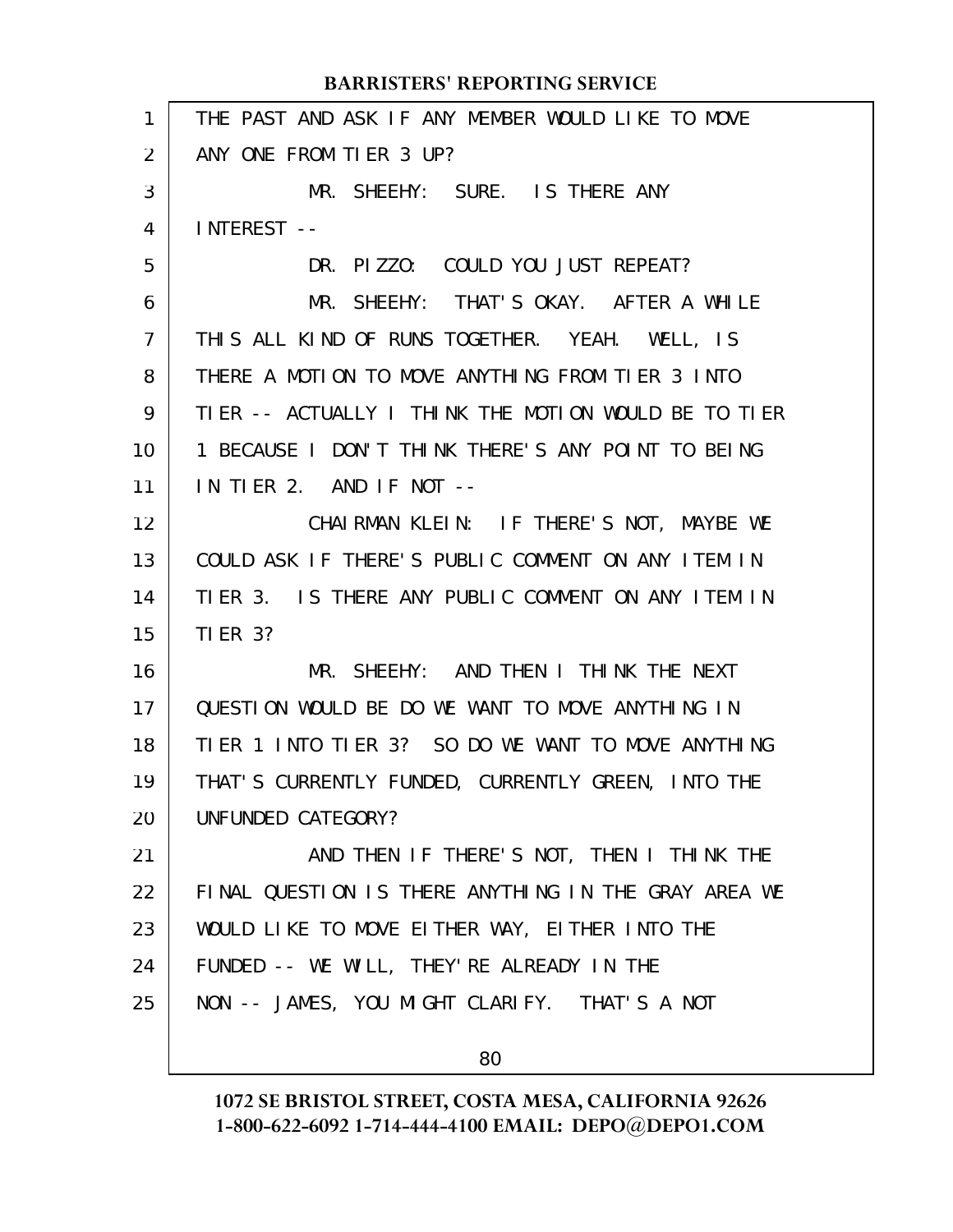|                   | <b>BARRISTERS' REPORTING SERVICE</b>                 |
|-------------------|------------------------------------------------------|
| $\mathbf{1}$      | THE PAST AND ASK IF ANY MEMBER WOULD LIKE TO MOVE    |
| $\overline{2}$    | ANY ONE FROM TIER 3 UP?                              |
| 3                 | MR. SHEEHY: SURE. IS THERE ANY                       |
| 4                 | INTEREST --                                          |
| 5                 | DR. PIZZO: COULD YOU JUST REPEAT?                    |
| 6                 | MR. SHEEHY: THAT'S OKAY. AFTER A WHILE               |
| $\overline{7}$    | THIS ALL KIND OF RUNS TOGETHER. YEAH. WELL, IS       |
| 8                 | THERE A MOTION TO MOVE ANYTHING FROM TIER 3 INTO     |
| 9                 | TIER -- ACTUALLY I THINK THE MOTION WOULD BE TO TIER |
| 10                | 1 BECAUSE I DON'T THINK THERE'S ANY POINT TO BEING   |
| 11                | IN TIER 2. AND IF NOT $-$                            |
| $12 \overline{ }$ | CHAIRMAN KLEIN: IF THERE'S NOT, MAYBE WE             |
| 13                | COULD ASK IF THERE'S PUBLIC COMMENT ON ANY ITEM IN   |
| 14                | TIER 3. IS THERE ANY PUBLIC COMMENT ON ANY ITEM IN   |
| 15                | <b>TIER 3?</b>                                       |
| 16                | MR. SHEEHY: AND THEN I THINK THE NEXT                |
| 17                | QUESTION WOULD BE DO WE WANT TO MOVE ANYTHING IN     |
| 18                | TIER 1 INTO TIER 3? SO DO WE WANT TO MOVE ANYTHING   |
| 19                | THAT'S CURRENTLY FUNDED, CURRENTLY GREEN, INTO THE   |
| 20                | UNFUNDED CATEGORY?                                   |
| 21                | AND THEN IF THERE'S NOT, THEN I THINK THE            |
| 22                | FINAL QUESTION IS THERE ANYTHING IN THE GRAY AREA WE |
| 23                | WOULD LIKE TO MOVE EITHER WAY, EITHER INTO THE       |
| 24                | FUNDED -- WE WILL, THEY' RE ALREADY IN THE           |
| 25                | NON -- JAMES, YOU MIGHT CLARIFY. THAT'S A NOT        |
|                   |                                                      |

**1072 SE BRISTOL STREET, COSTA MESA, CALIFORNIA 92626 1-800-622-6092 1-714-444-4100 EMAIL: DEPO@DEPO1.COM**

80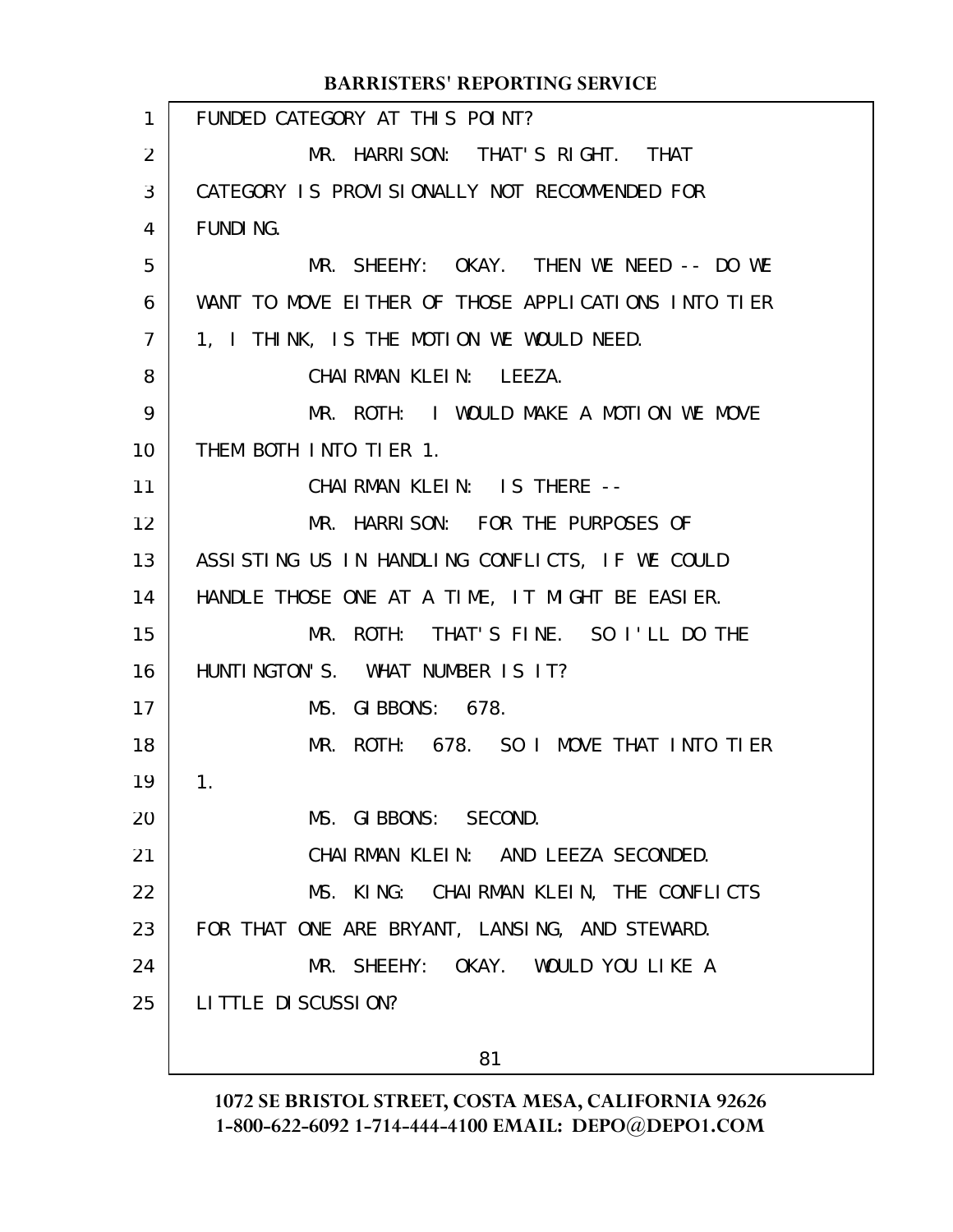|                | <b>BARRISTERS' REPORTING SERVICE</b>                |
|----------------|-----------------------------------------------------|
| $\mathbf{1}$   | FUNDED CATEGORY AT THIS POINT?                      |
| 2              | MR. HARRISON: THAT'S RIGHT. THAT                    |
| 3              | CATEGORY IS PROVISIONALLY NOT RECOMMENDED FOR       |
| 4              | <b>FUNDING.</b>                                     |
| 5              | MR. SHEEHY: OKAY. THEN WE NEED -- DO WE             |
| 6              | WANT TO MOVE EITHER OF THOSE APPLICATIONS INTO TIER |
| $\overline{7}$ | 1, I THINK, IS THE MOTION WE WOULD NEED.            |
| 8              | CHAIRMAN KLEIN: LEEZA.                              |
| 9              | MR. ROTH: I WOULD MAKE A MOTION WE MOVE             |
| 10             | THEM BOTH INTO TIER 1.                              |
| 11             | CHAIRMAN KLEIN: IS THERE --                         |
| 12             | MR. HARRISON: FOR THE PURPOSES OF                   |
| 13             | ASSISTING US IN HANDLING CONFLICTS, IF WE COULD     |
| 14             | HANDLE THOSE ONE AT A TIME, IT MIGHT BE EASIER.     |
| 15             | MR. ROTH: THAT'S FINE. SO I'LL DO THE               |
| 16             | HUNTINGTON'S. WHAT NUMBER IS IT?                    |
| 17             | MS. GIBBONS: 678.                                   |
| 18             | MR. ROTH: 678. SO I MOVE THAT INTO TIER             |
| 19             | 1.                                                  |
| 20             | MS. GIBBONS: SECOND.                                |
| 21             | CHAIRMAN KLEIN: AND LEEZA SECONDED.                 |
| 22             | MS. KING: CHAIRMAN KLEIN, THE CONFLICTS             |
| 23             | FOR THAT ONE ARE BRYANT, LANSING, AND STEWARD.      |
| 24             | MR. SHEEHY: OKAY. WOULD YOU LIKE A                  |
| 25             | LITTLE DI SCUSSION?                                 |
|                |                                                     |

81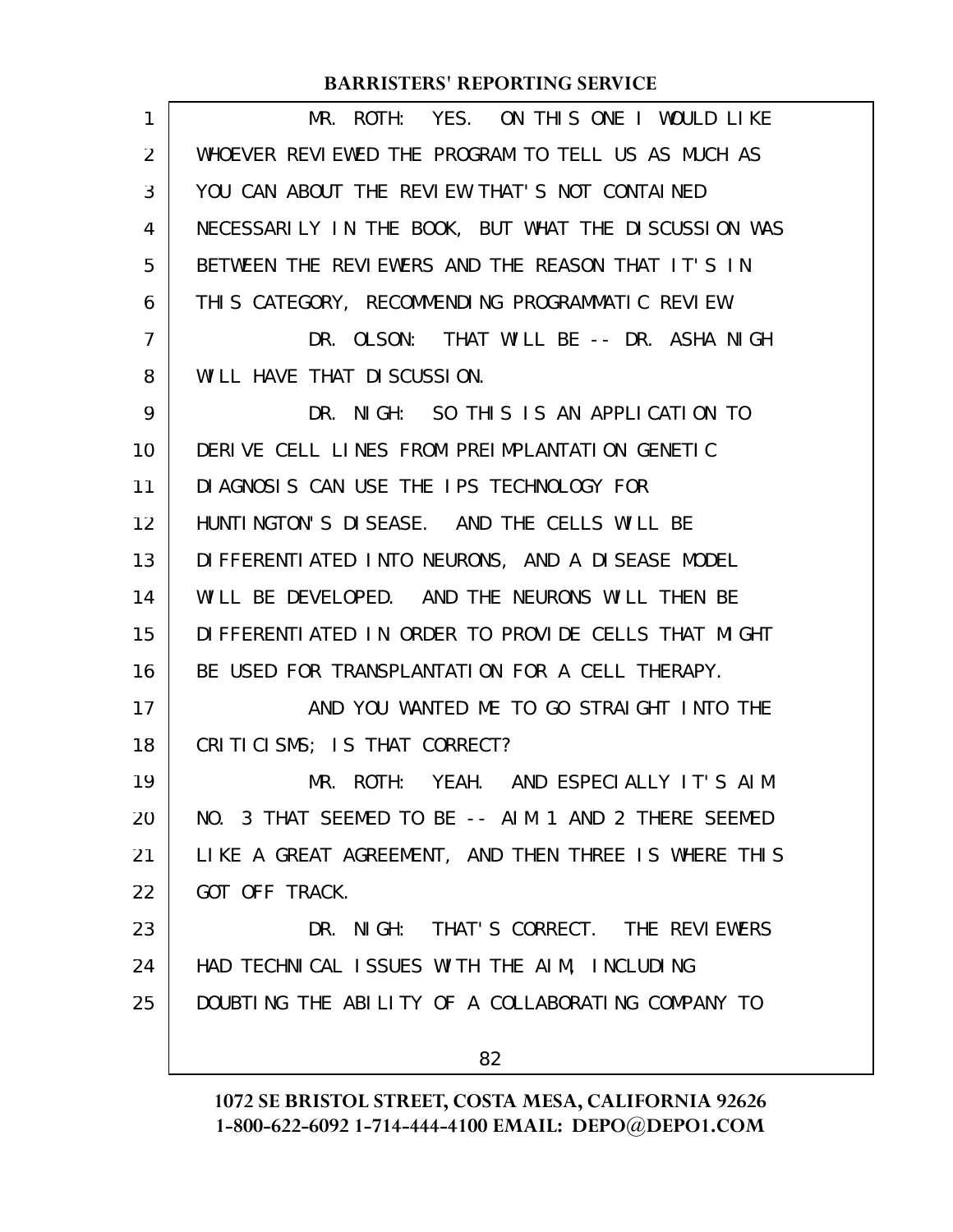| 1  | MR. ROTH: YES. ON THIS ONE I WOULD LIKE               |
|----|-------------------------------------------------------|
| 2  | WHOEVER REVIEWED THE PROGRAM TO TELL US AS MUCH AS    |
| 3  | YOU CAN ABOUT THE REVIEW THAT'S NOT CONTAINED         |
| 4  | NECESSARILY IN THE BOOK, BUT WHAT THE DISCUSSION WAS  |
| 5  | BETWEEN THE REVIEWERS AND THE REASON THAT IT'S IN     |
| 6  | THIS CATEGORY, RECOMMENDING PROGRAMMATIC REVIEW.      |
| 7  | DR. OLSON: THAT WILL BE -- DR. ASHA NIGH              |
| 8  | WILL HAVE THAT DISCUSSION.                            |
| 9  | DR. NIGH: SO THIS IS AN APPLICATION TO                |
| 10 | DERIVE CELL LINES FROM PREIMPLANTATION GENETIC        |
| 11 | DIAGNOSIS CAN USE THE IPS TECHNOLOGY FOR              |
| 12 | HUNTINGTON'S DISEASE. AND THE CELLS WILL BE           |
| 13 | DI FFERENTI ATED INTO NEURONS, AND A DI SEASE MODEL   |
| 14 | WILL BE DEVELOPED. AND THE NEURONS WILL THEN BE       |
| 15 | DI FFERENTI ATED IN ORDER TO PROVIDE CELLS THAT MIGHT |
| 16 | BE USED FOR TRANSPLANTATION FOR A CELL THERAPY.       |
| 17 | AND YOU WANTED ME TO GO STRAIGHT INTO THE             |
| 18 | CRITICISMS; IS THAT CORRECT?                          |
| 19 | MR. ROTH: YEAH. AND ESPECIALLY IT'S AIM               |
| 20 | NO. 3 THAT SEEMED TO BE -- AIM 1 AND 2 THERE SEEMED   |
| 21 | LIKE A GREAT AGREEMENT, AND THEN THREE IS WHERE THIS  |
| 22 | GOT OFF TRACK.                                        |
| 23 | DR. NIGH: THAT'S CORRECT. THE REVIEWERS               |
| 24 | HAD TECHNICAL ISSUES WITH THE AIM, INCLUDING          |
| 25 | DOUBTING THE ABILITY OF A COLLABORATING COMPANY TO    |
|    | 82                                                    |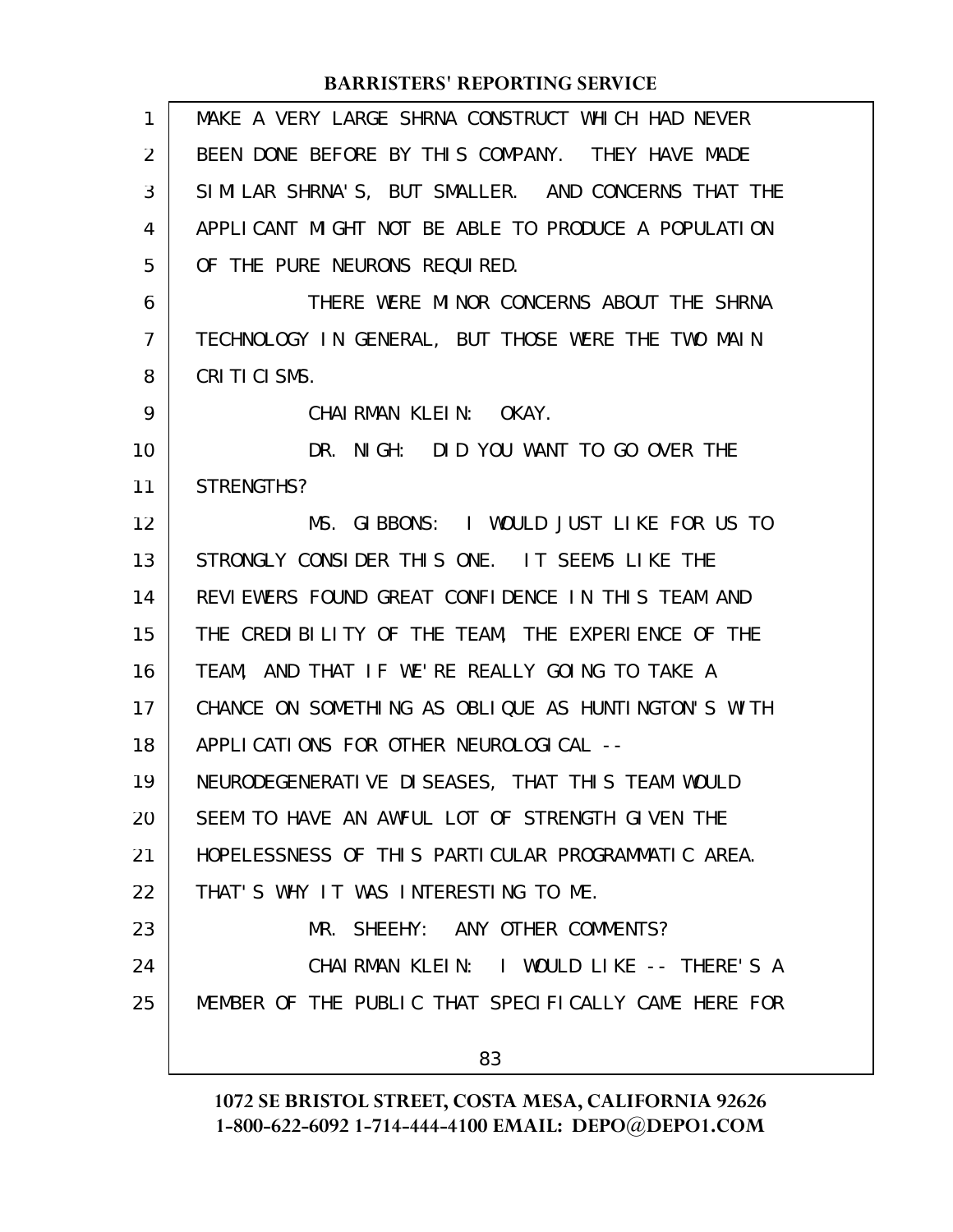| 1              | MAKE A VERY LARGE SHRNA CONSTRUCT WHICH HAD NEVER    |
|----------------|------------------------------------------------------|
| 2              | BEEN DONE BEFORE BY THIS COMPANY. THEY HAVE MADE     |
| 3              | SIMILAR SHRNA'S, BUT SMALLER. AND CONCERNS THAT THE  |
| 4              | APPLICANT MIGHT NOT BE ABLE TO PRODUCE A POPULATION  |
| 5              | OF THE PURE NEURONS REQUIRED.                        |
| 6              | THERE WERE MINOR CONCERNS ABOUT THE SHRNA            |
| $\overline{7}$ | TECHNOLOGY IN GENERAL, BUT THOSE WERE THE TWO MAIN   |
| 8              | CRITICISMS.                                          |
| 9              | CHAIRMAN KLEIN: OKAY.                                |
| 10             | DR. NIGH: DID YOU WANT TO GO OVER THE                |
| 11             | STRENGTHS?                                           |
| 12             | MS. GIBBONS: I WOULD JUST LIKE FOR US TO             |
| 13             | STRONGLY CONSIDER THIS ONE. IT SEEMS LIKE THE        |
| 14             | REVIEWERS FOUND GREAT CONFIDENCE IN THIS TEAM AND    |
| 15             | THE CREDIBILITY OF THE TEAM, THE EXPERIENCE OF THE   |
| 16             | TEAM, AND THAT IF WE'RE REALLY GOING TO TAKE A       |
| 17             | CHANCE ON SOMETHING AS OBLIQUE AS HUNTINGTON'S WITH  |
| 18             | APPLI CATIONS FOR OTHER NEUROLOGICAL --              |
| 19             | NEURODEGENERATIVE DISEASES, THAT THIS TEAM WOULD     |
| 20             | SEEM TO HAVE AN AWFUL LOT OF STRENGTH GIVEN THE      |
| 21             | HOPELESSNESS OF THIS PARTICULAR PROGRAMMATIC AREA.   |
| 22             | THAT'S WHY IT WAS INTERESTING TO ME.                 |
| 23             | MR. SHEEHY: ANY OTHER COMMENTS?                      |
| 24             | CHAIRMAN KLEIN: I WOULD LIKE -- THERE'S A            |
| 25             | MEMBER OF THE PUBLIC THAT SPECIFICALLY CAME HERE FOR |
|                | 83                                                   |
|                |                                                      |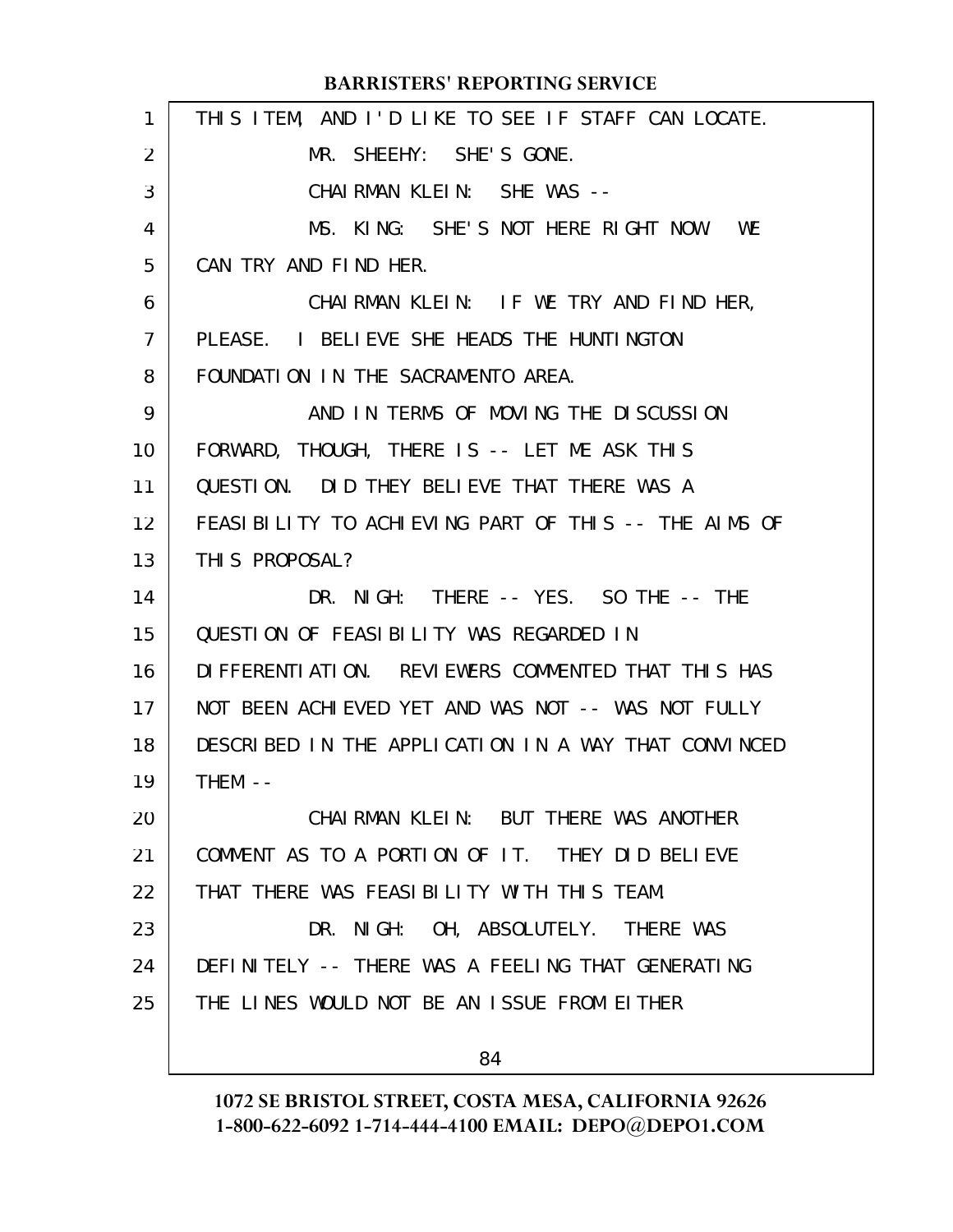| 1  | THIS ITEM, AND I'D LIKE TO SEE IF STAFF CAN LOCATE.  |
|----|------------------------------------------------------|
| 2  | MR. SHEEHY: SHE'S GONE.                              |
| 3  | CHAIRMAN KLEIN: SHE WAS --                           |
| 4  | MS. KING: SHE'S NOT HERE RIGHT NOW. WE               |
| 5  | CAN TRY AND FIND HER.                                |
| 6  | CHAIRMAN KLEIN: IF WE TRY AND FIND HER,              |
| 7  | PLEASE. I BELIEVE SHE HEADS THE HUNTINGTON           |
| 8  | FOUNDATION IN THE SACRAMENTO AREA.                   |
| 9  | AND IN TERMS OF MOVING THE DISCUSSION                |
| 10 | FORWARD, THOUGH, THERE IS -- LET ME ASK THIS         |
| 11 | QUESTION. DID THEY BELIEVE THAT THERE WAS A          |
| 12 | FEASIBILITY TO ACHIEVING PART OF THIS -- THE AIMS OF |
| 13 | THIS PROPOSAL?                                       |
| 14 | DR. NIGH: THERE -- YES. SO THE -- THE                |
| 15 | QUESTION OF FEASIBILITY WAS REGARDED IN              |
| 16 | DIFFERENTIATION. REVIEWERS COMMENTED THAT THIS HAS   |
| 17 | NOT BEEN ACHIEVED YET AND WAS NOT -- WAS NOT FULLY   |
| 18 | DESCRIBED IN THE APPLICATION IN A WAY THAT CONVINCED |
| 19 | $THEM - -$                                           |
| 20 | CHAIRMAN KLEIN: BUT THERE WAS ANOTHER                |
| 21 | COMMENT AS TO A PORTION OF IT. THEY DID BELIEVE      |
| 22 | THAT THERE WAS FEASIBILITY WITH THIS TEAM.           |
| 23 | DR. NIGH: OH, ABSOLUTELY. THERE WAS                  |
| 24 | DEFINITELY -- THERE WAS A FEELING THAT GENERATING    |
| 25 | THE LINES WOULD NOT BE AN ISSUE FROM EITHER          |
|    | 84                                                   |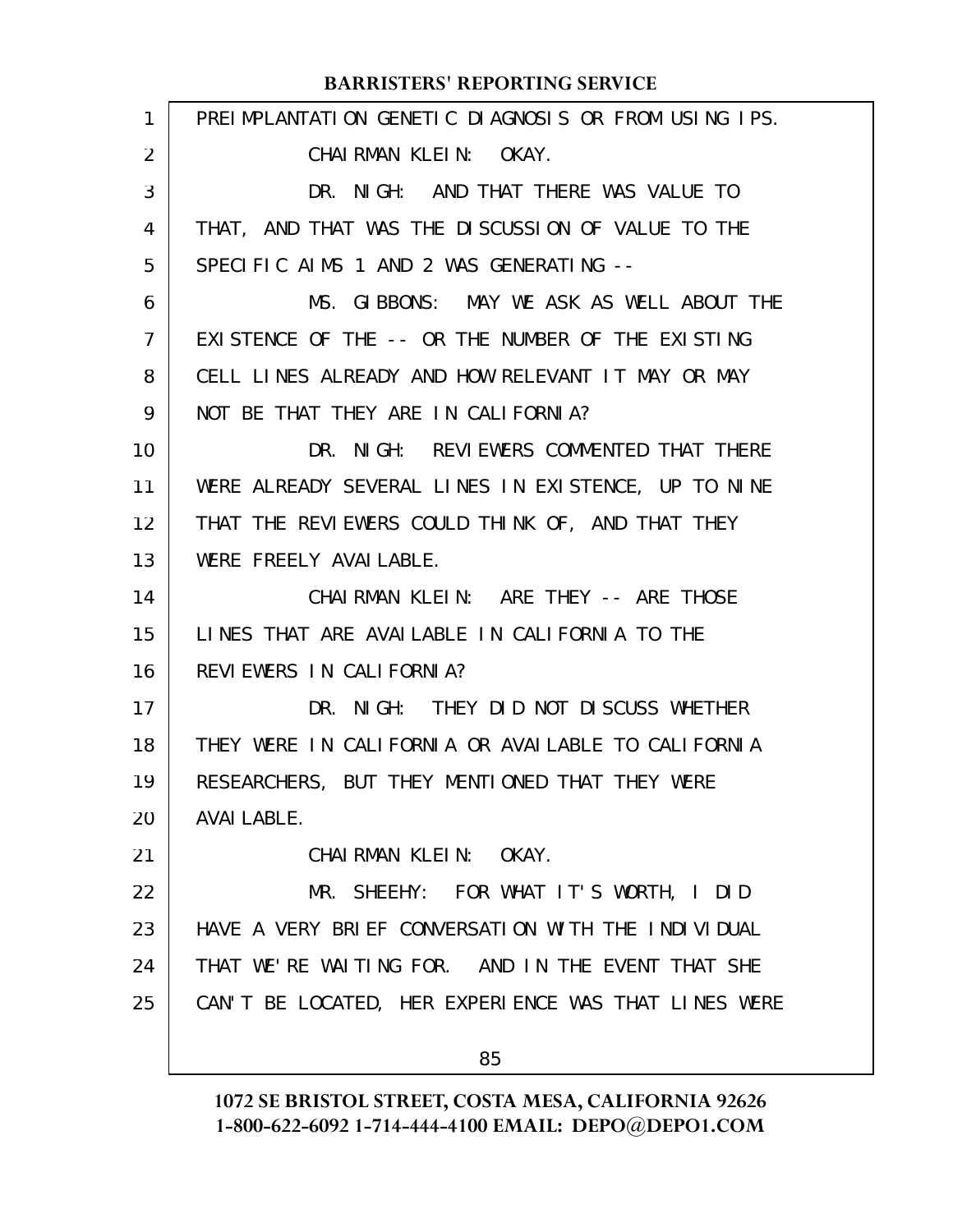| $\mathbf{1}$   | PREIMPLANTATION GENETIC DIAGNOSIS OR FROM USING IPS. |
|----------------|------------------------------------------------------|
| $\overline{2}$ | CHAIRMAN KLEIN: OKAY.                                |
| 3              | DR. NIGH: AND THAT THERE WAS VALUE TO                |
| 4              | THAT, AND THAT WAS THE DISCUSSION OF VALUE TO THE    |
| 5              | SPECIFIC AIMS 1 AND 2 WAS GENERATING --              |
| 6              | MS. GIBBONS: MAY WE ASK AS WELL ABOUT THE            |
| $\mathcal{I}$  | EXISTENCE OF THE -- OR THE NUMBER OF THE EXISTING    |
| 8              | CELL LINES ALREADY AND HOW RELEVANT IT MAY OR MAY    |
| 9              | NOT BE THAT THEY ARE IN CALIFORNIA?                  |
| 10             | DR. NIGH: REVIEWERS COMMENTED THAT THERE             |
| 11             | WERE ALREADY SEVERAL LINES IN EXISTENCE, UP TO NINE  |
| 12             | THAT THE REVIEWERS COULD THINK OF, AND THAT THEY     |
| 13             | WERE FREELY AVAILABLE.                               |
| 14             | CHAIRMAN KLEIN: ARE THEY -- ARE THOSE                |
| 15             | LINES THAT ARE AVAILABLE IN CALIFORNIA TO THE        |
| 16             | REVIEWERS IN CALIFORNIA?                             |
| 17             | DR. NIGH: THEY DID NOT DISCUSS WHETHER               |
| 18             | THEY WERE IN CALIFORNIA OR AVAILABLE TO CALIFORNIA   |
| 19             | RESEARCHERS, BUT THEY MENTIONED THAT THEY WERE       |
| 20             | AVAI LABLE.                                          |
| 21             | CHAIRMAN KLEIN: OKAY.                                |
| 22             | MR. SHEEHY: FOR WHAT IT'S WORTH, I DID               |
| 23             | HAVE A VERY BRIEF CONVERSATION WITH THE INDIVIDUAL   |
| 24             | THAT WE'RE WAITING FOR. AND IN THE EVENT THAT SHE    |
| 25             | CAN'T BE LOCATED, HER EXPERIENCE WAS THAT LINES WERE |
|                | 85                                                   |
|                |                                                      |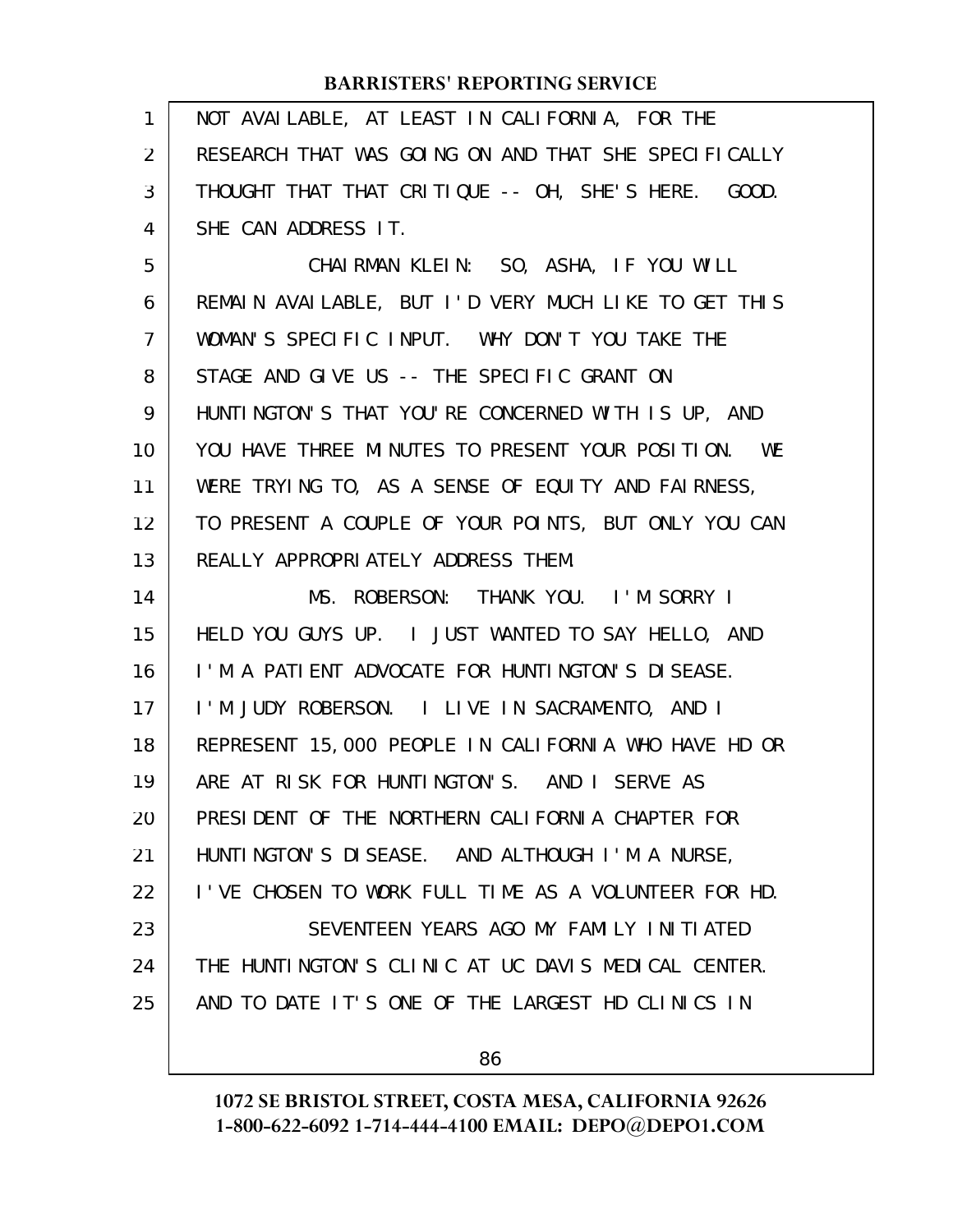| 1              | NOT AVAILABLE, AT LEAST IN CALIFORNIA, FOR THE       |
|----------------|------------------------------------------------------|
| 2              | RESEARCH THAT WAS GOING ON AND THAT SHE SPECIFICALLY |
| 3              | THOUGHT THAT THAT CRITIQUE -- OH, SHE'S HERE. GOOD.  |
| 4              | SHE CAN ADDRESS IT.                                  |
| 5              | CHAIRMAN KLEIN: SO, ASHA, IF YOU WILL                |
| 6              | REMAIN AVAILABLE, BUT I'D VERY MUCH LIKE TO GET THIS |
| $\overline{7}$ | WOMAN'S SPECIFIC INPUT. WHY DON'T YOU TAKE THE       |
| 8              | STAGE AND GIVE US -- THE SPECIFIC GRANT ON           |
| 9              | HUNTINGTON'S THAT YOU'RE CONCERNED WITH IS UP, AND   |
| 10             | YOU HAVE THREE MINUTES TO PRESENT YOUR POSITION. WE  |
| 11             | WERE TRYING TO, AS A SENSE OF EQUITY AND FAIRNESS,   |
| 12             | TO PRESENT A COUPLE OF YOUR POINTS, BUT ONLY YOU CAN |
| 13             | REALLY APPROPRIATELY ADDRESS THEM.                   |
| 14             | MS. ROBERSON: THANK YOU. I'M SORRY I                 |
| 15             | HELD YOU GUYS UP. I JUST WANTED TO SAY HELLO, AND    |
| 16             | I'M A PATIENT ADVOCATE FOR HUNTINGTON'S DISEASE.     |
| 17             | I'M JUDY ROBERSON. I LIVE IN SACRAMENTO, AND I       |
| 18             | REPRESENT 15,000 PEOPLE IN CALIFORNIA WHO HAVE HD OR |
| 19             | ARE AT RISK FOR HUNTINGTON'S. AND I SERVE AS         |
| 20             | PRESIDENT OF THE NORTHERN CALIFORNIA CHAPTER FOR     |
| 21             | HUNTINGTON'S DISEASE. AND ALTHOUGH I'M A NURSE,      |
| 22             | I'VE CHOSEN TO WORK FULL TIME AS A VOLUNTEER FOR HD. |
| 23             | SEVENTEEN YEARS AGO MY FAMILY INITIATED              |
| 24             | THE HUNTINGTON'S CLINIC AT UC DAVIS MEDICAL CENTER.  |
| 25             | AND TO DATE IT'S ONE OF THE LARGEST HD CLINICS IN    |
|                | 86                                                   |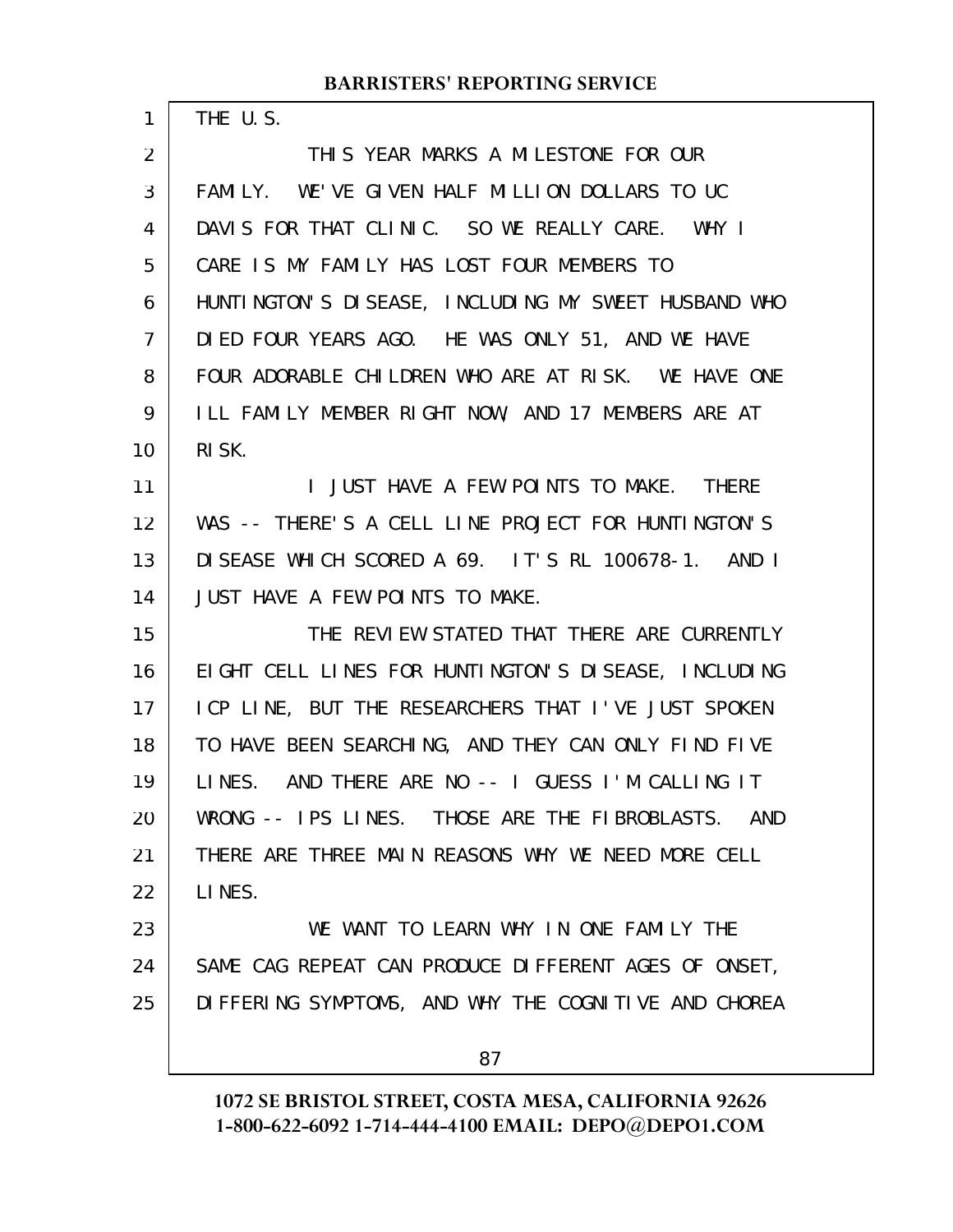THE U.S.

1

THIS YEAR MARKS A MILESTONE FOR OUR FAMILY. WE'VE GIVEN HALF MILLION DOLLARS TO UC DAVIS FOR THAT CLINIC. SO WE REALLY CARE. WHY I CARE IS MY FAMILY HAS LOST FOUR MEMBERS TO HUNTINGTON'S DISEASE, INCLUDING MY SWEET HUSBAND WHO DIED FOUR YEARS AGO. HE WAS ONLY 51, AND WE HAVE FOUR ADORABLE CHILDREN WHO ARE AT RISK. WE HAVE ONE ILL FAMILY MEMBER RIGHT NOW, AND 17 MEMBERS ARE AT RISK. I JUST HAVE A FEW POINTS TO MAKE. THERE WAS -- THERE'S A CELL LINE PROJECT FOR HUNTINGTON'S DISEASE WHICH SCORED A 69. IT'S RL 100678-1. AND I JUST HAVE A FEW POINTS TO MAKE. THE REVIEW STATED THAT THERE ARE CURRENTLY EIGHT CELL LINES FOR HUNTINGTON'S DISEASE, INCLUDING ICP LINE, BUT THE RESEARCHERS THAT I'VE JUST SPOKEN TO HAVE BEEN SEARCHING, AND THEY CAN ONLY FIND FIVE LINES. AND THERE ARE NO -- I GUESS I'M CALLING IT WRONG -- IPS LINES. THOSE ARE THE FIBROBLASTS. AND THERE ARE THREE MAIN REASONS WHY WE NEED MORE CELL LINES. WE WANT TO LEARN WHY IN ONE FAMILY THE SAME CAG REPEAT CAN PRODUCE DIFFERENT AGES OF ONSET, DIFFERING SYMPTOMS, AND WHY THE COGNITIVE AND CHOREA 87 2 3 4 5 6 7 8 9 10 11 12 13 14 15 16 17 18 19 20 21 22 23 24 25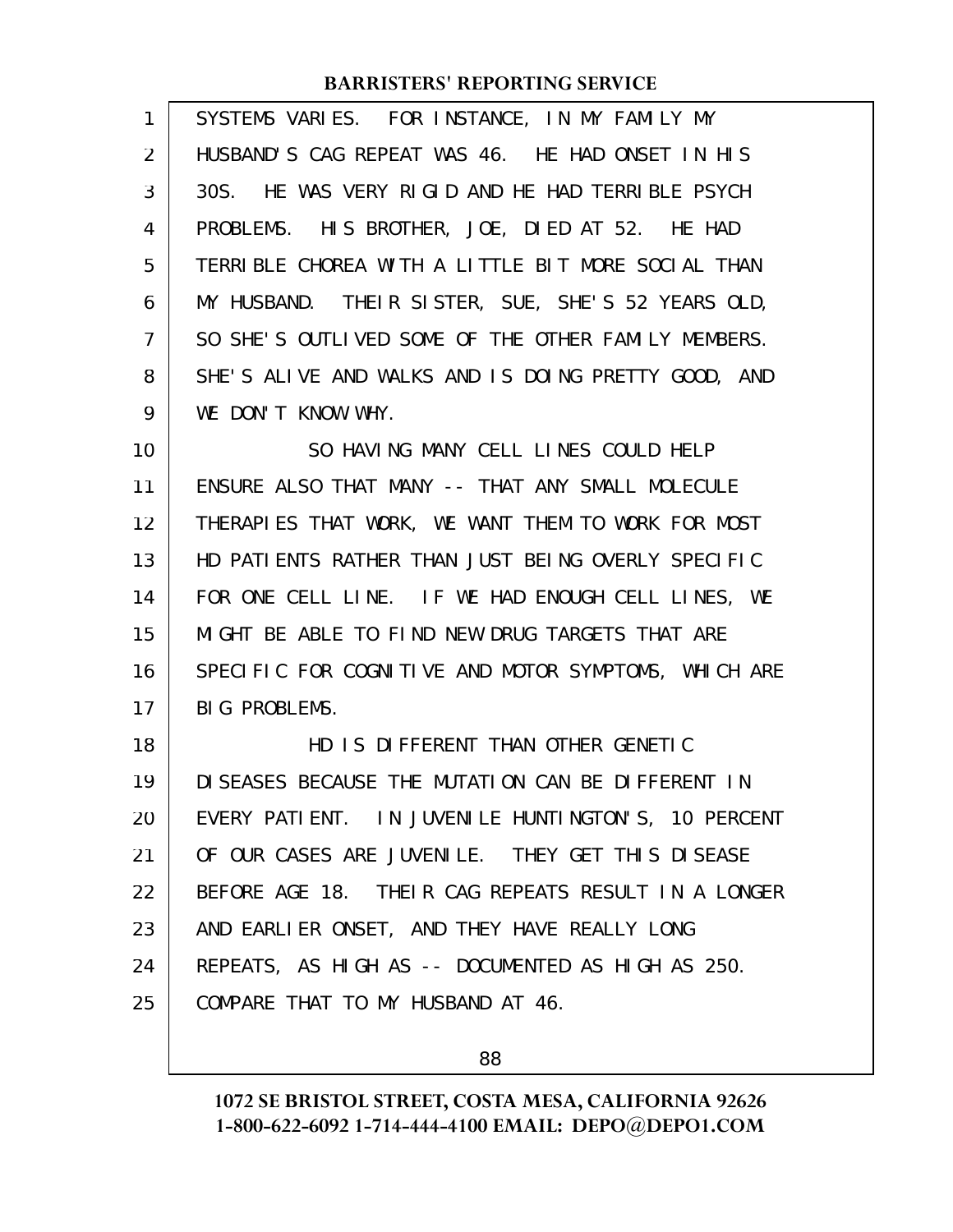| $\mathbf{1}$   | SYSTEMS VARIES. FOR INSTANCE, IN MY FAMILY MY        |
|----------------|------------------------------------------------------|
| 2              | HUSBAND'S CAG REPEAT WAS 46. HE HAD ONSET IN HIS     |
| 3              | 30S. HE WAS VERY RIGID AND HE HAD TERRIBLE PSYCH     |
| 4              | PROBLEMS. HIS BROTHER, JOE, DIED AT 52. HE HAD       |
| 5              | TERRIBLE CHOREA WITH A LITTLE BIT MORE SOCIAL THAN   |
| 6              | MY HUSBAND. THEIR SISTER, SUE, SHE'S 52 YEARS OLD,   |
| $\overline{7}$ | SO SHE'S OUTLIVED SOME OF THE OTHER FAMILY MEMBERS.  |
| 8              | SHE'S ALIVE AND WALKS AND IS DOING PRETTY GOOD, AND  |
| 9              | WE DON'T KNOW WHY.                                   |
| 10             | SO HAVING MANY CELL LINES COULD HELP                 |
| 11             | ENSURE ALSO THAT MANY -- THAT ANY SMALL MOLECULE     |
| 12             | THERAPIES THAT WORK, WE WANT THEM TO WORK FOR MOST   |
| 13             | HD PATIENTS RATHER THAN JUST BEING OVERLY SPECIFIC   |
| 14             | FOR ONE CELL LINE. IF WE HAD ENOUGH CELL LINES, WE   |
| 15             | MIGHT BE ABLE TO FIND NEW DRUG TARGETS THAT ARE      |
| 16             | SPECIFIC FOR COGNITIVE AND MOTOR SYMPTOMS, WHICH ARE |
| 17             | BIG PROBLEMS.                                        |
| 18             | HD IS DIFFERENT THAN OTHER GENETIC                   |
| 19             | DI SEASES BECAUSE THE MUTATION CAN BE DIFFERENT IN   |
| 20             | EVERY PATIENT. IN JUVENILE HUNTINGTON'S, 10 PERCENT  |
| 21             | OF OUR CASES ARE JUVENILE. THEY GET THIS DISEASE     |
| 22             | BEFORE AGE 18. THEIR CAG REPEATS RESULT IN A LONGER  |
| 23             | AND EARLIER ONSET, AND THEY HAVE REALLY LONG         |
| 24             | REPEATS, AS HIGH AS -- DOCUMENTED AS HIGH AS 250.    |
| 25             | COMPARE THAT TO MY HUSBAND AT 46.                    |

88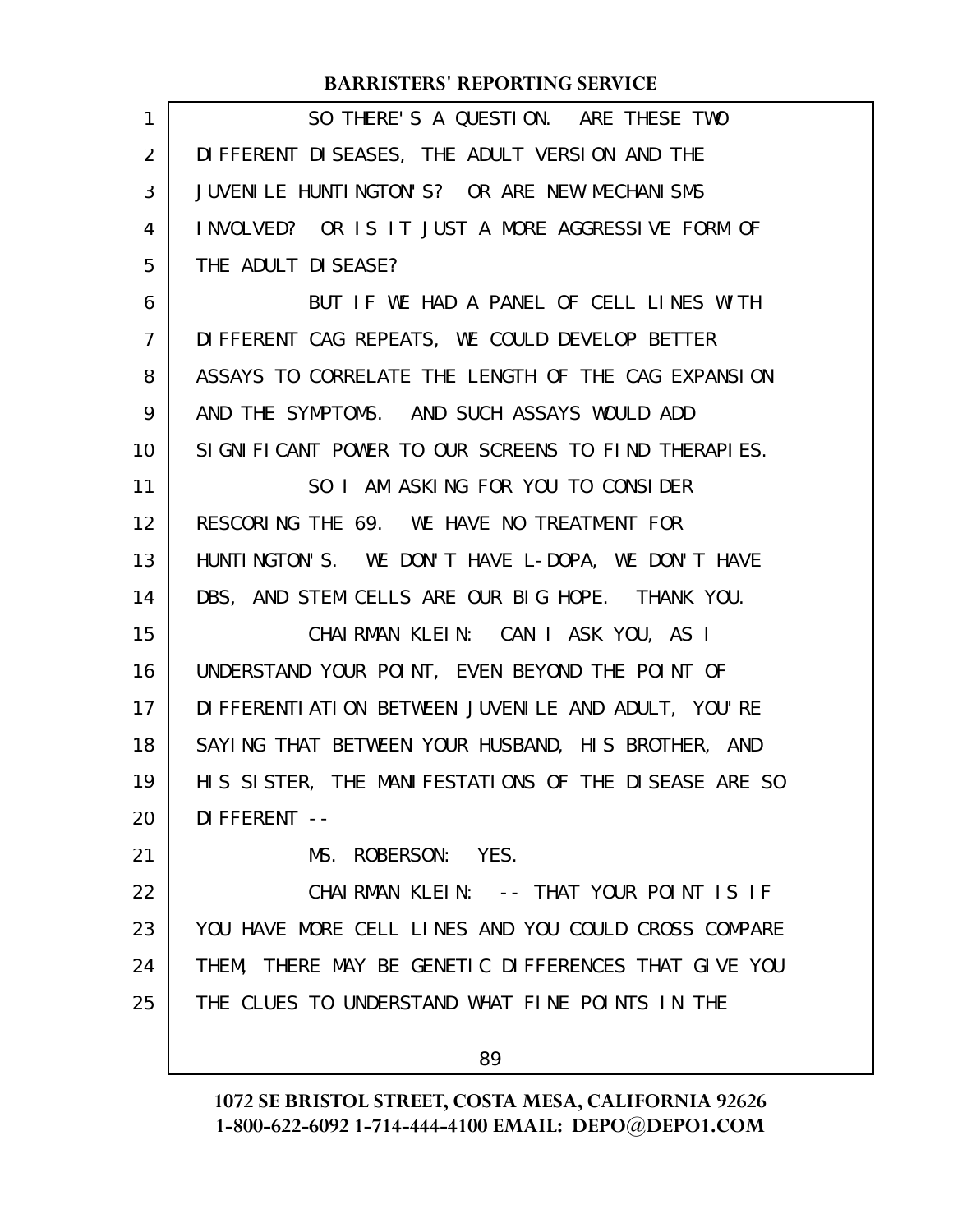| 1              | SO THERE'S A QUESTION. ARE THESE TWO                   |
|----------------|--------------------------------------------------------|
| $\overline{2}$ | DI FFERENT DI SEASES, THE ADULT VERSION AND THE        |
| 3              | JUVENILE HUNTINGTON'S? OR ARE NEW MECHANISMS           |
| 4              | INVOLVED? OR IS IT JUST A MORE AGGRESSIVE FORM OF      |
| 5              | THE ADULT DI SEASE?                                    |
| 6              | BUT IF WE HAD A PANEL OF CELL LINES WITH               |
| $\overline{7}$ | DIFFERENT CAG REPEATS, WE COULD DEVELOP BETTER         |
| 8              | ASSAYS TO CORRELATE THE LENGTH OF THE CAG EXPANSION    |
| 9              | AND THE SYMPTOMS. AND SUCH ASSAYS WOULD ADD            |
| 10             | SIGNIFICANT POWER TO OUR SCREENS TO FIND THERAPIES.    |
| 11             | SO I AM ASKING FOR YOU TO CONSIDER                     |
| 12             | RESCORING THE 69. WE HAVE NO TREATMENT FOR             |
| 13             | HUNTINGTON'S. WE DON'T HAVE L-DOPA, WE DON'T HAVE      |
| 14             | DBS, AND STEM CELLS ARE OUR BIG HOPE. THANK YOU.       |
| 15             | CHAIRMAN KLEIN: CAN I ASK YOU, AS I                    |
| 16             | UNDERSTAND YOUR POINT, EVEN BEYOND THE POINT OF        |
| 17             | DI FFERENTI ATI ON BETWEEN JUVENI LE AND ADULT, YOU'RE |
| 18             | SAYING THAT BETWEEN YOUR HUSBAND, HIS BROTHER, AND     |
| 19             | HIS SISTER, THE MANIFESTATIONS OF THE DISEASE ARE SO   |
| 20             | DI FFERENT --                                          |
| 21             | MS. ROBERSON: YES.                                     |
| 22             | CHAIRMAN KLEIN: -- THAT YOUR POINT IS IF               |
| 23             | YOU HAVE MORE CELL LINES AND YOU COULD CROSS COMPARE   |
| 24             | THEM, THERE MAY BE GENETIC DIFFERENCES THAT GIVE YOU   |
| 25             | THE CLUES TO UNDERSTAND WHAT FINE POINTS IN THE        |
|                | 89                                                     |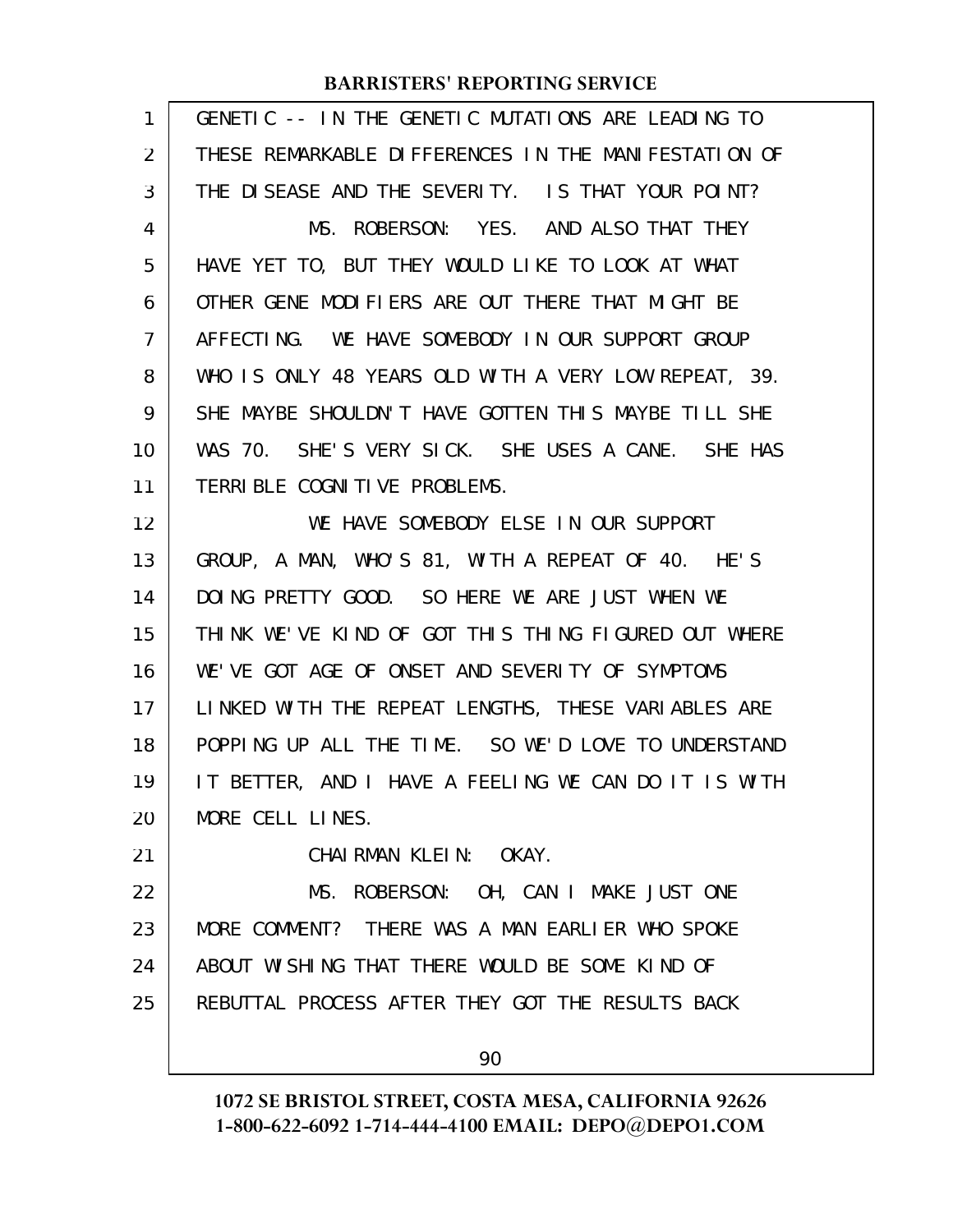| 1              | GENETIC -- IN THE GENETIC MUTATIONS ARE LEADING TO   |
|----------------|------------------------------------------------------|
| $\overline{2}$ | THESE REMARKABLE DIFFERENCES IN THE MANIFESTATION OF |
| 3              | THE DISEASE AND THE SEVERITY. IS THAT YOUR POINT?    |
| 4              | MS. ROBERSON: YES. AND ALSO THAT THEY                |
| 5              | HAVE YET TO, BUT THEY WOULD LIKE TO LOOK AT WHAT     |
| 6              | OTHER GENE MODIFIERS ARE OUT THERE THAT MIGHT BE     |
| $\overline{7}$ | AFFECTING. WE HAVE SOMEBODY IN OUR SUPPORT GROUP     |
| 8              | WHO IS ONLY 48 YEARS OLD WITH A VERY LOW REPEAT, 39. |
| 9              | SHE MAYBE SHOULDN'T HAVE GOTTEN THIS MAYBE TILL SHE  |
| 10             | WAS 70. SHE'S VERY SICK. SHE USES A CANE. SHE HAS    |
| 11             | TERRIBLE COGNITIVE PROBLEMS.                         |
| 12             | WE HAVE SOMEBODY ELSE IN OUR SUPPORT                 |
| 13             | GROUP, A MAN, WHO'S 81, WITH A REPEAT OF 40. HE'S    |
| 14             | DOING PRETTY GOOD. SO HERE WE ARE JUST WHEN WE       |
| 15             | THINK WE'VE KIND OF GOT THIS THING FIGURED OUT WHERE |
| 16             | WE'VE GOT AGE OF ONSET AND SEVERITY OF SYMPTOMS      |
| 17             | LINKED WITH THE REPEAT LENGTHS, THESE VARIABLES ARE  |
| 18             | POPPING UP ALL THE TIME. SO WE'D LOVE TO UNDERSTAND  |
| 19             | IT BETTER, AND I HAVE A FEELING WE CAN DO IT IS WITH |
| 20             | MORE CELL LINES.                                     |
| 21             | CHAIRMAN KLEIN: OKAY.                                |
| 22             | MS. ROBERSON: OH, CAN I MAKE JUST ONE                |
| 23             | MORE COMMENT? THERE WAS A MAN EARLIER WHO SPOKE      |
| 24             | ABOUT WISHING THAT THERE WOULD BE SOME KIND OF       |
| 25             | REBUTTAL PROCESS AFTER THEY GOT THE RESULTS BACK     |
|                | 90                                                   |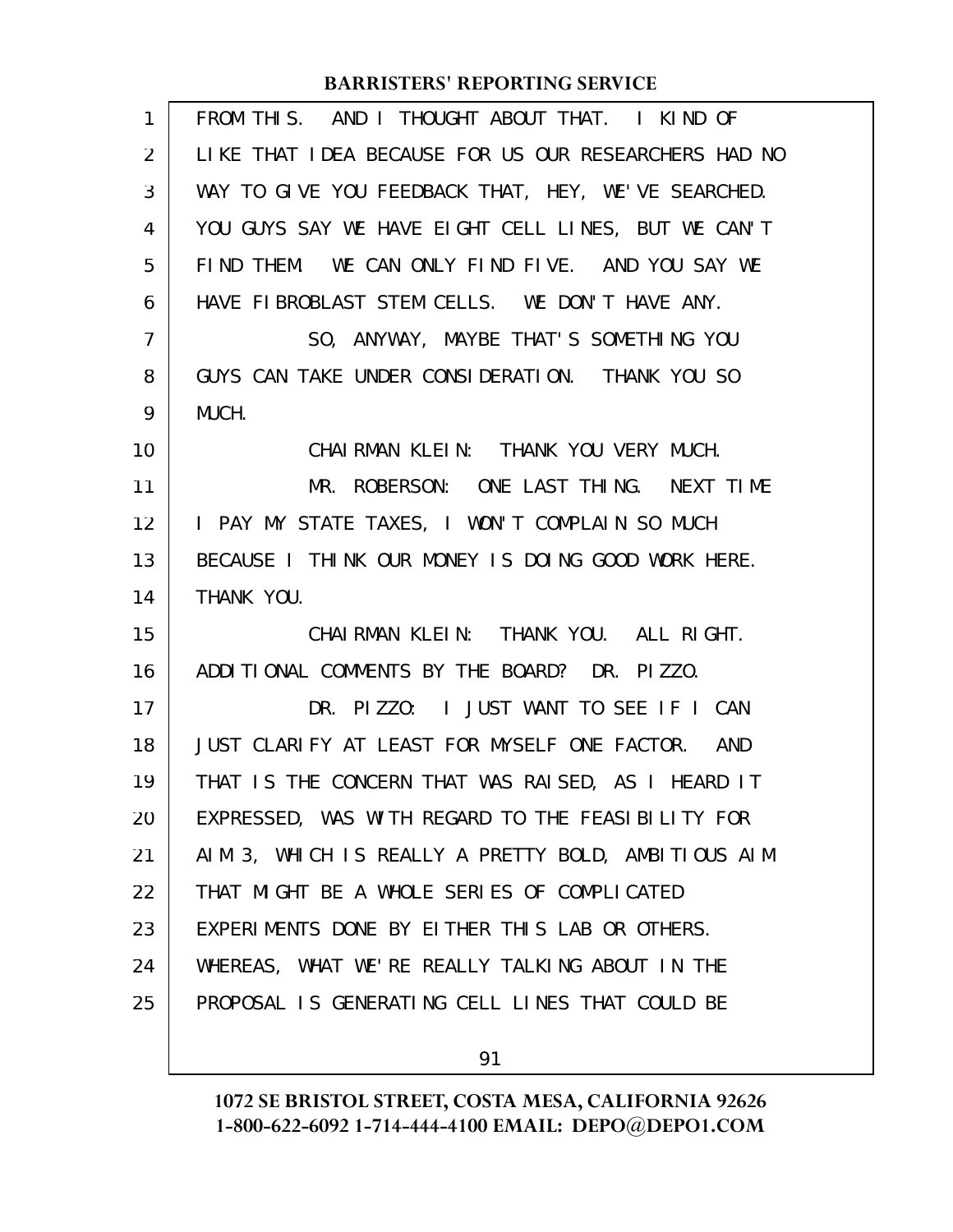| $\mathbf{1}$   | FROM THIS. AND I THOUGHT ABOUT THAT. I KIND OF        |
|----------------|-------------------------------------------------------|
| $\overline{2}$ | LIKE THAT I DEA BECAUSE FOR US OUR RESEARCHERS HAD NO |
| 3              | WAY TO GIVE YOU FEEDBACK THAT, HEY, WE'VE SEARCHED.   |
| 4              | YOU GUYS SAY WE HAVE EIGHT CELL LINES, BUT WE CAN'T   |
| 5              | FIND THEM. WE CAN ONLY FIND FIVE. AND YOU SAY WE      |
| 6              | HAVE FIBROBLAST STEM CELLS. WE DON'T HAVE ANY.        |
| 7              | SO, ANYWAY, MAYBE THAT'S SOMETHING YOU                |
| 8              | GUYS CAN TAKE UNDER CONSIDERATION. THANK YOU SO       |
| 9              | MUCH.                                                 |
| 10             | CHAIRMAN KLEIN: THANK YOU VERY MUCH.                  |
| 11             | MR. ROBERSON: ONE LAST THING. NEXT TIME               |
| 12             | I PAY MY STATE TAXES, I WON'T COMPLAIN SO MUCH        |
| 13             | BECAUSE I THINK OUR MONEY IS DOING GOOD WORK HERE.    |
| 14             | THANK YOU.                                            |
| 15             | CHAIRMAN KLEIN: THANK YOU. ALL RIGHT.                 |
| 16             | ADDITIONAL COMMENTS BY THE BOARD? DR. PIZZO.          |
| 17             | DR. PIZZO: I JUST WANT TO SEE IF I CAN                |
| 18             | JUST CLARIFY AT LEAST FOR MYSELF ONE FACTOR. AND      |
| 19             | THAT IS THE CONCERN THAT WAS RAISED, AS I HEARD IT    |
| 20             | EXPRESSED, WAS WITH REGARD TO THE FEASIBILITY FOR     |
| 21             | AIM 3, WHICH IS REALLY A PRETTY BOLD, AMBITIOUS AIM   |
| 22             | THAT MIGHT BE A WHOLE SERIES OF COMPLICATED           |
| 23             | EXPERIMENTS DONE BY EITHER THIS LAB OR OTHERS.        |
| 24             | WHEREAS, WHAT WE'RE REALLY TALKING ABOUT IN THE       |
| 25             | PROPOSAL IS GENERATING CELL LINES THAT COULD BE       |
|                |                                                       |

91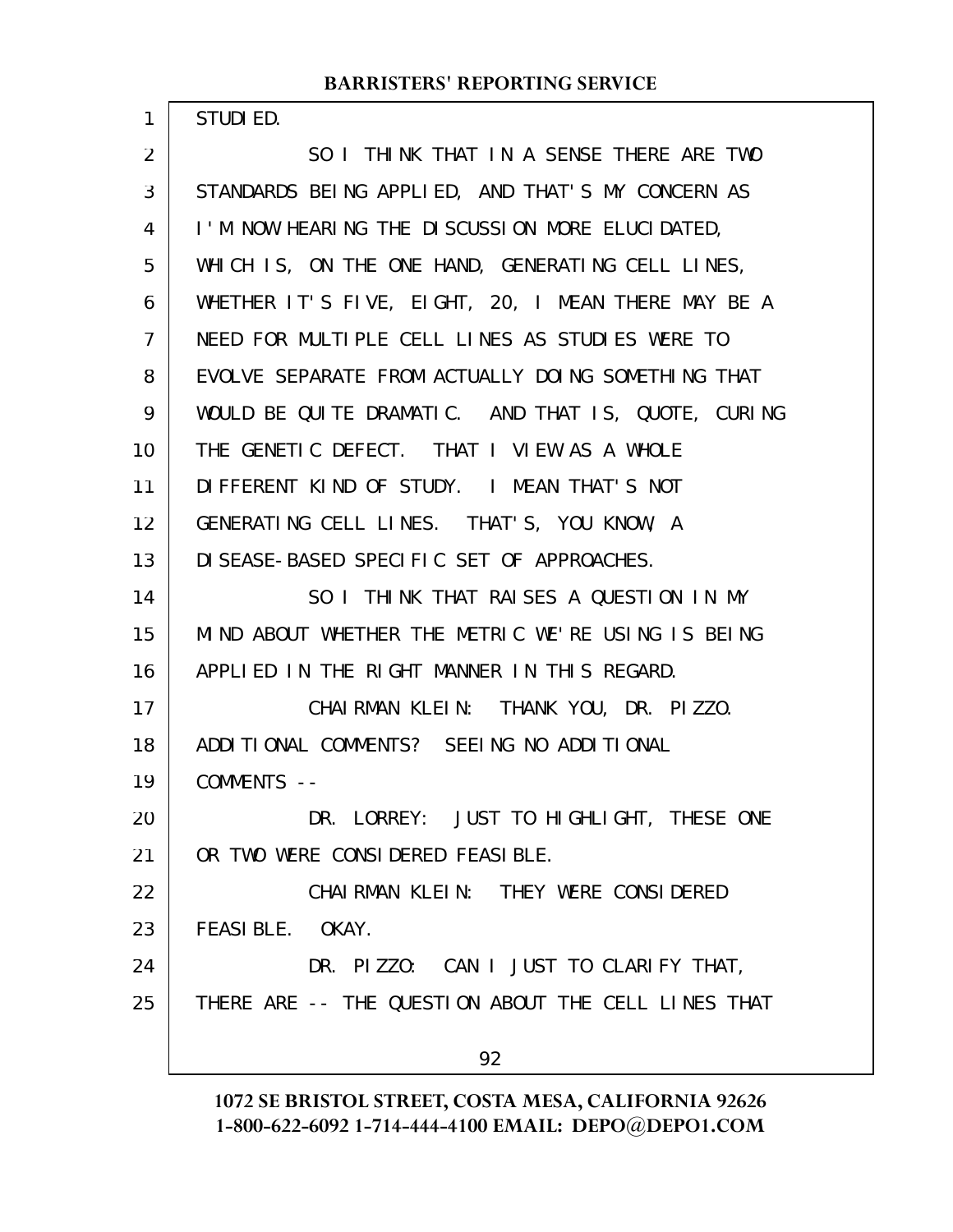STUDIED.

1

SO I THINK THAT IN A SENSE THERE ARE TWO STANDARDS BEING APPLIED, AND THAT'S MY CONCERN AS I'M NOW HEARING THE DISCUSSION MORE ELUCIDATED, WHICH IS, ON THE ONE HAND, GENERATING CELL LINES, WHETHER IT'S FIVE, EIGHT, 20, I MEAN THERE MAY BE A NEED FOR MULTIPLE CELL LINES AS STUDIES WERE TO EVOLVE SEPARATE FROM ACTUALLY DOING SOMETHING THAT WOULD BE QUITE DRAMATIC. AND THAT IS, QUOTE, CURING THE GENETIC DEFECT. THAT I VIEW AS A WHOLE DIFFERENT KIND OF STUDY. I MEAN THAT'S NOT GENERATING CELL LINES. THAT'S, YOU KNOW, A DISEASE-BASED SPECIFIC SET OF APPROACHES. SO I THINK THAT RAISES A QUESTION IN MY MIND ABOUT WHETHER THE METRIC WE'RE USING IS BEING APPLIED IN THE RIGHT MANNER IN THIS REGARD. CHAIRMAN KLEIN: THANK YOU, DR. PIZZO. ADDITIONAL COMMENTS? SEEING NO ADDITIONAL COMMENTS -- DR. LORREY: JUST TO HIGHLIGHT, THESE ONE OR TWO WERE CONSIDERED FEASIBLE. CHAIRMAN KLEIN: THEY WERE CONSIDERED FEASIBLE. OKAY. DR. PIZZO: CAN I JUST TO CLARIFY THAT, THERE ARE -- THE QUESTION ABOUT THE CELL LINES THAT 92 2 3 4 5 6 7 8 9 10 11 12 13 14 15 16 17 18 19 20 21 22 23 24 25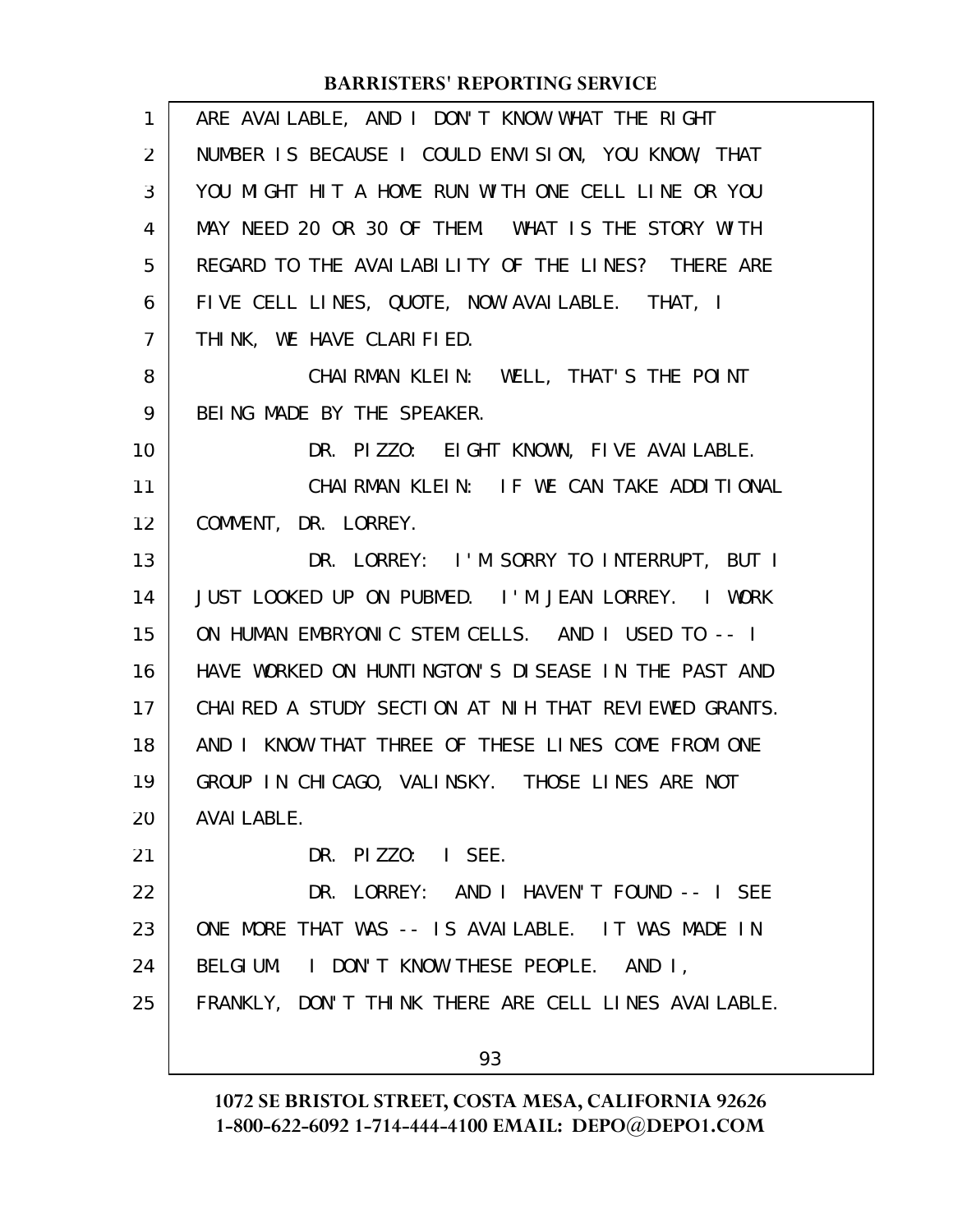| $\mathbf{1}$   | ARE AVAILABLE, AND I DON'T KNOW WHAT THE RIGHT       |
|----------------|------------------------------------------------------|
| $\overline{2}$ | NUMBER IS BECAUSE I COULD ENVISION, YOU KNOW, THAT   |
| 3              | YOU MIGHT HIT A HOME RUN WITH ONE CELL LINE OR YOU   |
| 4              | MAY NEED 20 OR 30 OF THEM. WHAT IS THE STORY WITH    |
| 5              | REGARD TO THE AVAILABILITY OF THE LINES? THERE ARE   |
| 6              | FIVE CELL LINES, QUOTE, NOW AVAILABLE. THAT, I       |
| $\overline{7}$ | THINK, WE HAVE CLARIFIED.                            |
| 8              | CHAIRMAN KLEIN: WELL, THAT'S THE POINT               |
| 9              | BEING MADE BY THE SPEAKER.                           |
| 10             | DR. PIZZO: EIGHT KNOWN, FIVE AVAILABLE.              |
| 11             | CHAIRMAN KLEIN: IF WE CAN TAKE ADDITIONAL            |
| 12             | COMMENT, DR. LORREY.                                 |
| 13             | DR. LORREY: I'M SORRY TO INTERRUPT, BUT I            |
| 14             | JUST LOOKED UP ON PUBMED. I'M JEAN LORREY. I WORK    |
| 15             | ON HUMAN EMBRYONIC STEM CELLS. AND I USED TO -- I    |
| 16             | HAVE WORKED ON HUNTINGTON'S DISEASE IN THE PAST AND  |
| 17             | CHAIRED A STUDY SECTION AT NIH THAT REVIEWED GRANTS. |
| 18             | AND I KNOW THAT THREE OF THESE LINES COME FROM ONE   |
| 19             | GROUP IN CHICAGO, VALINSKY. THOSE LINES ARE NOT      |
| 20             | <b>AVAI LABLE.</b>                                   |
| 21             | DR. PIZZO: I SEE.                                    |
| 22             | DR. LORREY: AND I HAVEN'T FOUND -- I SEE             |
| 23             | ONE MORE THAT WAS -- IS AVAILABLE. IT WAS MADE IN    |
| 24             | BELGIUM. I DON'T KNOW THESE PEOPLE. AND I,           |
| 25             | FRANKLY, DON'T THINK THERE ARE CELL LINES AVAILABLE. |
|                | 93                                                   |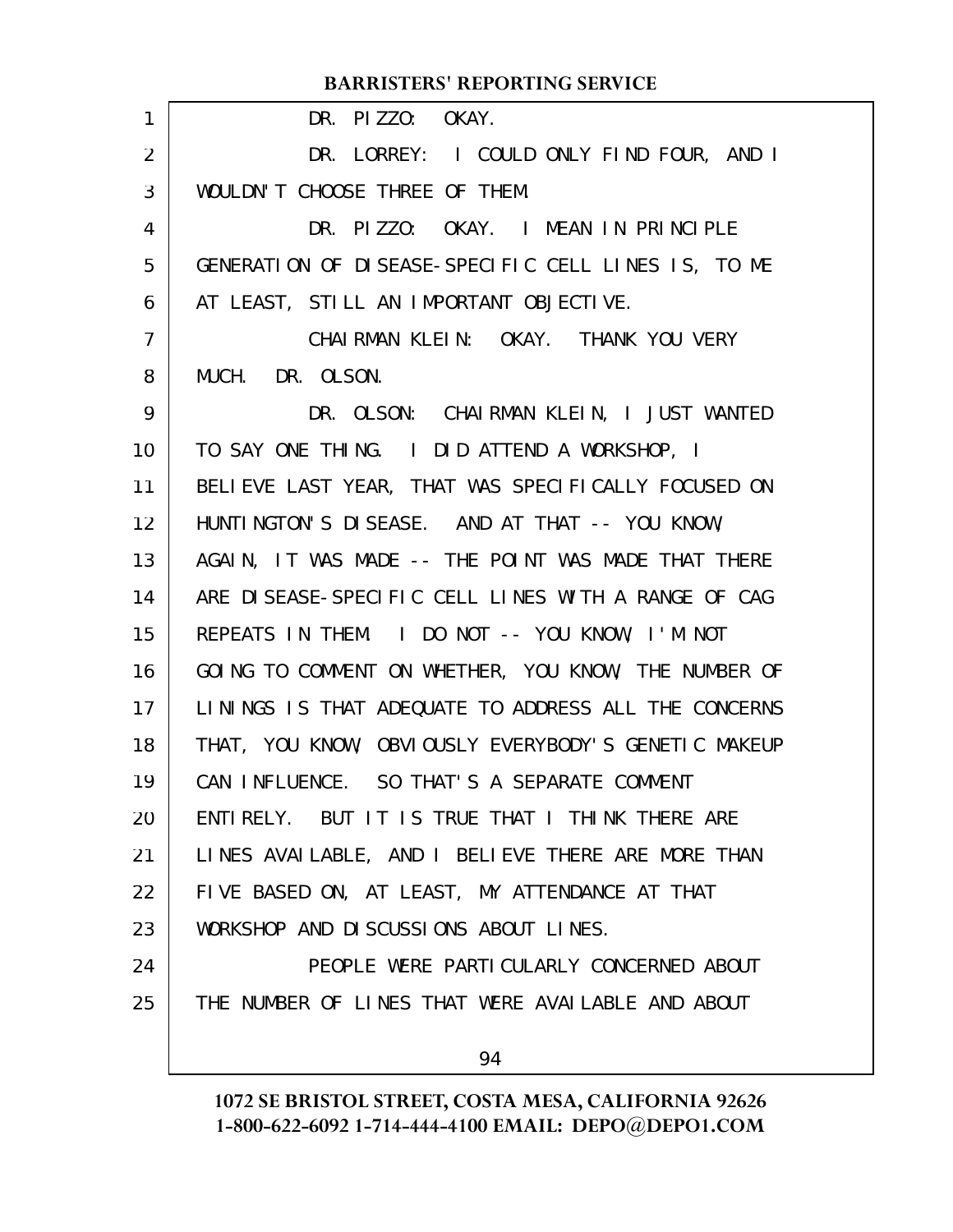|                | <b>BARRISTERS' REPORTING SERVICE</b>                 |
|----------------|------------------------------------------------------|
| 1              | DR. PIZZO: OKAY.                                     |
| 2              | DR. LORREY: I COULD ONLY FIND FOUR, AND I            |
| 3              | WOULDN'T CHOOSE THREE OF THEM.                       |
| 4              | DR. PIZZO: OKAY. I MEAN IN PRINCIPLE                 |
| 5              | GENERATION OF DISEASE-SPECIFIC CELL LINES IS, TO ME  |
| 6              | AT LEAST, STILL AN IMPORTANT OBJECTIVE.              |
| $\overline{7}$ | CHAIRMAN KLEIN: OKAY. THANK YOU VERY                 |
| 8              | MUCH. DR. OLSON.                                     |
| 9              | DR. OLSON: CHAIRMAN KLEIN, I JUST WANTED             |
| 10             | TO SAY ONE THING. I DID ATTEND A WORKSHOP, I         |
| 11             | BELIEVE LAST YEAR, THAT WAS SPECIFICALLY FOCUSED ON  |
| 12             | HUNTINGTON'S DISEASE. AND AT THAT -- YOU KNOW,       |
| 13             | AGAIN, IT WAS MADE -- THE POINT WAS MADE THAT THERE  |
| 14             | ARE DISEASE-SPECIFIC CELL LINES WITH A RANGE OF CAG  |
| 15             | REPEATS IN THEM. I DO NOT -- YOU KNOW, I'M NOT       |
| 16             | GOING TO COMMENT ON WHETHER, YOU KNOW, THE NUMBER OF |
| 17             | LININGS IS THAT ADEQUATE TO ADDRESS ALL THE CONCERNS |
| 18             | THAT, YOU KNOW, OBVIOUSLY EVERYBODY'S GENETIC MAKEUP |
| 19             | CAN INFLUENCE. SO THAT'S A SEPARATE COMMENT          |
| 20             | ENTIRELY. BUT IT IS TRUE THAT I THINK THERE ARE      |
| 21             | LINES AVAILABLE, AND I BELIEVE THERE ARE MORE THAN   |
| 22             | FIVE BASED ON, AT LEAST, MY ATTENDANCE AT THAT       |
| 23             | WORKSHOP AND DISCUSSIONS ABOUT LINES.                |
| 24             | PEOPLE WERE PARTICULARLY CONCERNED ABOUT             |
| 25             | THE NUMBER OF LINES THAT WERE AVAILABLE AND ABOUT    |
|                | 94                                                   |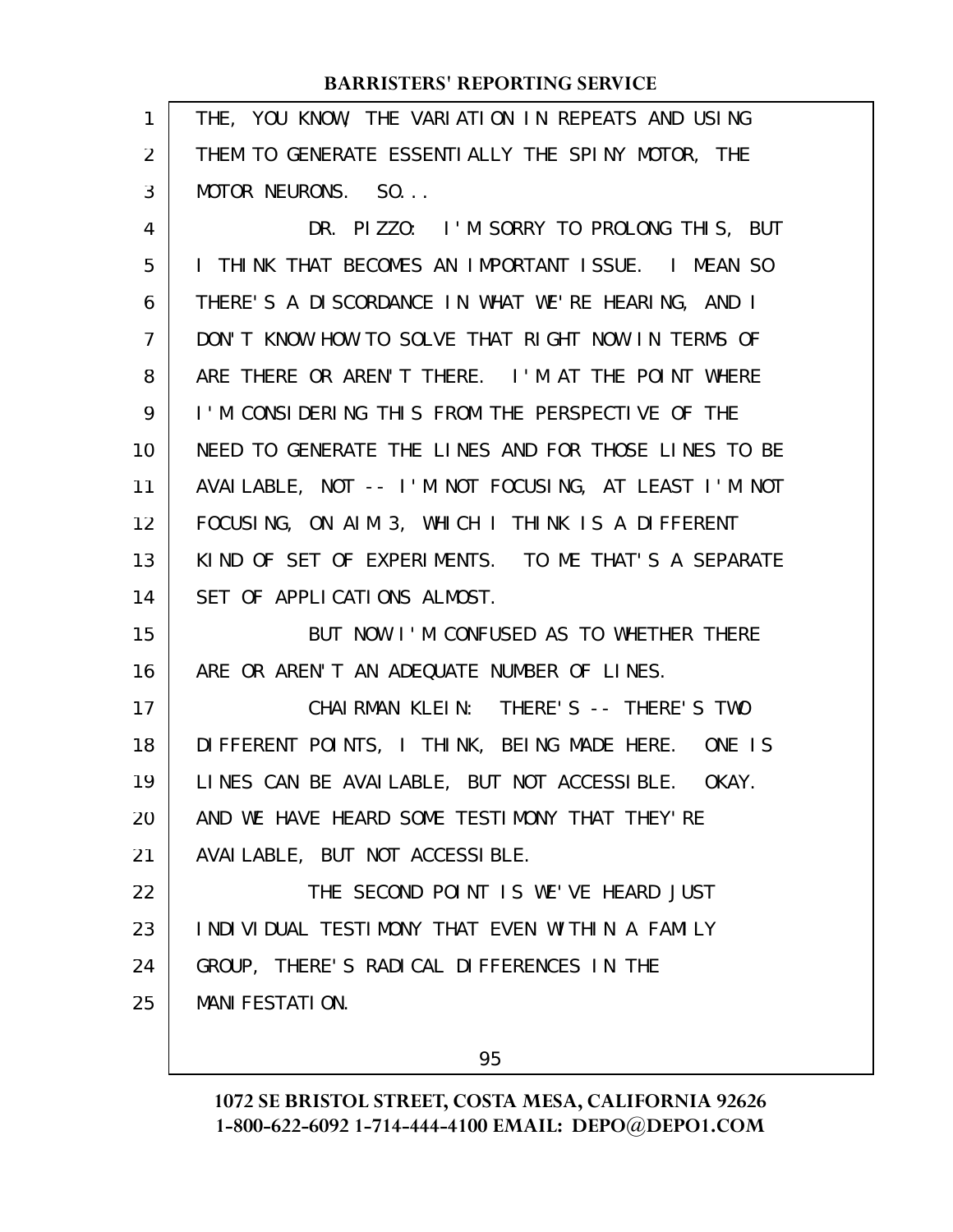| 1              | THE, YOU KNOW, THE VARIATION IN REPEATS AND USING    |
|----------------|------------------------------------------------------|
| $\overline{2}$ | THEM TO GENERATE ESSENTIALLY THE SPINY MOTOR, THE    |
| 3              | MOTOR NEURONS. SO                                    |
| 4              | DR. PIZZO: I'M SORRY TO PROLONG THIS, BUT            |
| 5              | I THINK THAT BECOMES AN IMPORTANT ISSUE. I MEAN SO   |
| 6              | THERE'S A DISCORDANCE IN WHAT WE'RE HEARING, AND I   |
| $\overline{7}$ | DON'T KNOW HOW TO SOLVE THAT RIGHT NOW IN TERMS OF   |
| 8              | ARE THERE OR AREN'T THERE. I'M AT THE POINT WHERE    |
| 9              | I'M CONSIDERING THIS FROM THE PERSPECTIVE OF THE     |
| 10             | NEED TO GENERATE THE LINES AND FOR THOSE LINES TO BE |
| 11             | AVAILABLE, NOT -- I'M NOT FOCUSING, AT LEAST I'M NOT |
| 12             | FOCUSING, ON AIM 3, WHICH I THINK IS A DIFFERENT     |
| 13             | KIND OF SET OF EXPERIMENTS. TO ME THAT'S A SEPARATE  |
| 14             | SET OF APPLICATIONS ALMOST.                          |
| 15             | BUT NOW I'M CONFUSED AS TO WHETHER THERE             |
| 16             | ARE OR AREN'T AN ADEQUATE NUMBER OF LINES.           |
| 17             | CHAIRMAN KLEIN: THERE'S -- THERE'S TWO               |
| 18             | DIFFERENT POINTS, I THINK, BEING MADE HERE. ONE IS   |
| 19             | LINES CAN BE AVAILABLE, BUT NOT ACCESSIBLE. OKAY.    |
| 20             | AND WE HAVE HEARD SOME TESTIMONY THAT THEY'RE        |
| 21             | AVAI LABLE, BUT NOT ACCESSIBLE.                      |
| 22             | THE SECOND POINT IS WE'VE HEARD JUST                 |
| 23             | INDIVIDUAL TESTIMONY THAT EVEN WITHIN A FAMILY       |
| 24             | GROUP, THERE'S RADICAL DIFFERENCES IN THE            |
| 25             |                                                      |
|                | <b>MANI FESTATI ON.</b>                              |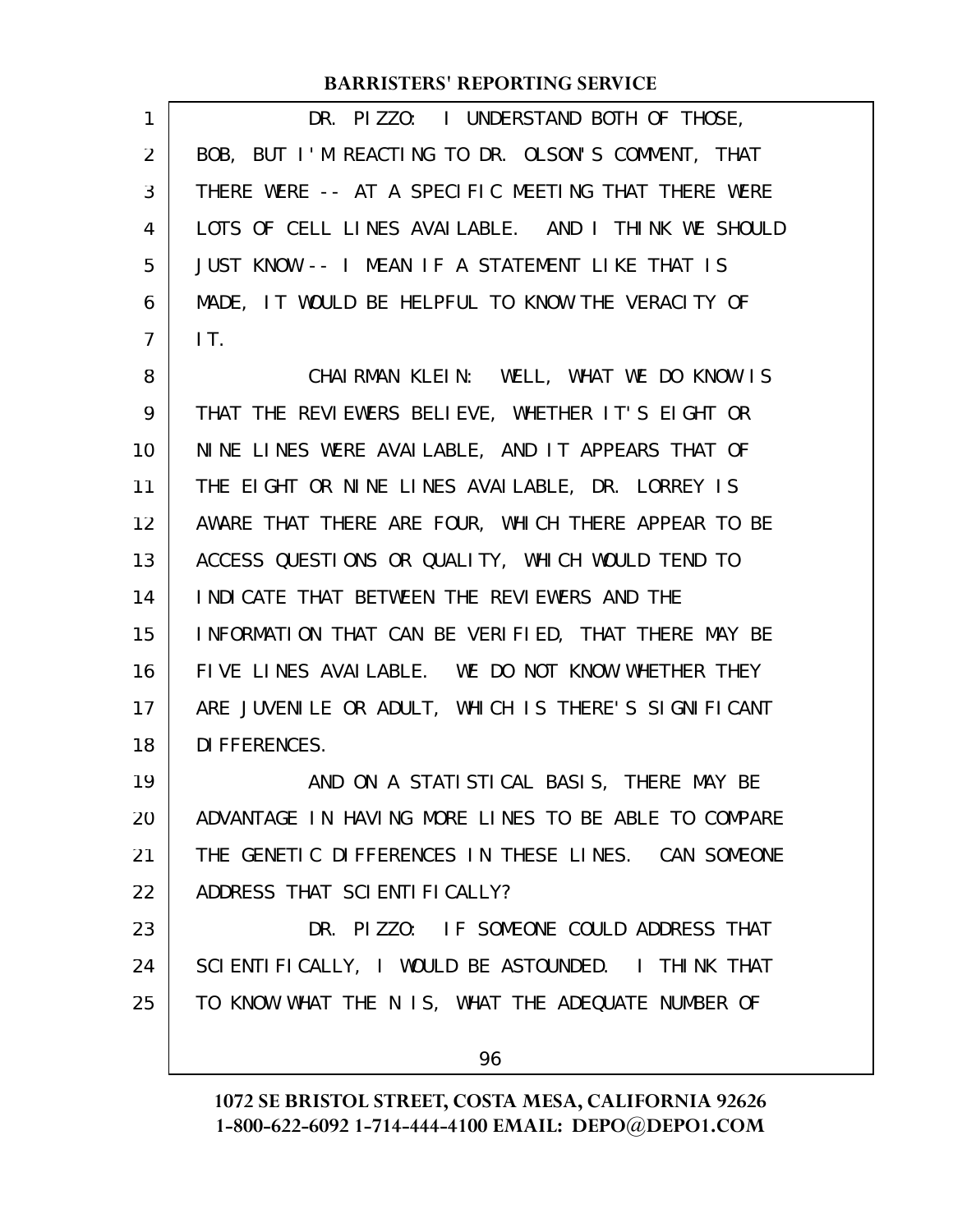| $\mathbf{1}$   | DR. PIZZO: I UNDERSTAND BOTH OF THOSE,               |
|----------------|------------------------------------------------------|
| 2              | BOB, BUT I'M REACTING TO DR. OLSON'S COMMENT, THAT   |
| 3              | THERE WERE -- AT A SPECIFIC MEETING THAT THERE WERE  |
| 4              | LOTS OF CELL LINES AVAILABLE. AND I THINK WE SHOULD  |
| 5              | JUST KNOW -- I MEAN IF A STATEMENT LIKE THAT IS      |
| 6              | MADE, IT WOULD BE HELPFUL TO KNOW THE VERACITY OF    |
| $\overline{7}$ | IT.                                                  |
| 8              | CHAIRMAN KLEIN: WELL, WHAT WE DO KNOW IS             |
| 9              | THAT THE REVIEWERS BELIEVE, WHETHER IT'S EIGHT OR    |
| 10             | NINE LINES WERE AVAILABLE, AND IT APPEARS THAT OF    |
| 11             | THE EIGHT OR NINE LINES AVAILABLE, DR. LORREY IS     |
| 12             | AWARE THAT THERE ARE FOUR, WHICH THERE APPEAR TO BE  |
| 13             | ACCESS QUESTIONS OR QUALITY, WHICH WOULD TEND TO     |
| 14             | I NDI CATE THAT BETWEEN THE REVIEWERS AND THE        |
| 15             | INFORMATION THAT CAN BE VERIFIED, THAT THERE MAY BE  |
| 16             | FIVE LINES AVAILABLE. WE DO NOT KNOW WHETHER THEY    |
| 17             | ARE JUVENILE OR ADULT, WHICH IS THERE'S SIGNIFICANT  |
| 18             | DI FFERENCES.                                        |
| 19             | AND ON A STATISTICAL BASIS, THERE MAY BE             |
| 20             | ADVANTAGE IN HAVING MORE LINES TO BE ABLE TO COMPARE |
| 21             | THE GENETIC DIFFERENCES IN THESE LINES. CAN SOMEONE  |
| 22             | ADDRESS THAT SCIENTIFICALLY?                         |
| 23             | DR. PIZZO: IF SOMEONE COULD ADDRESS THAT             |
| 24             | SCIENTIFICALLY, I WOULD BE ASTOUNDED. I THINK THAT   |
| 25             | TO KNOW WHAT THE N IS, WHAT THE ADEQUATE NUMBER OF   |
|                | 96                                                   |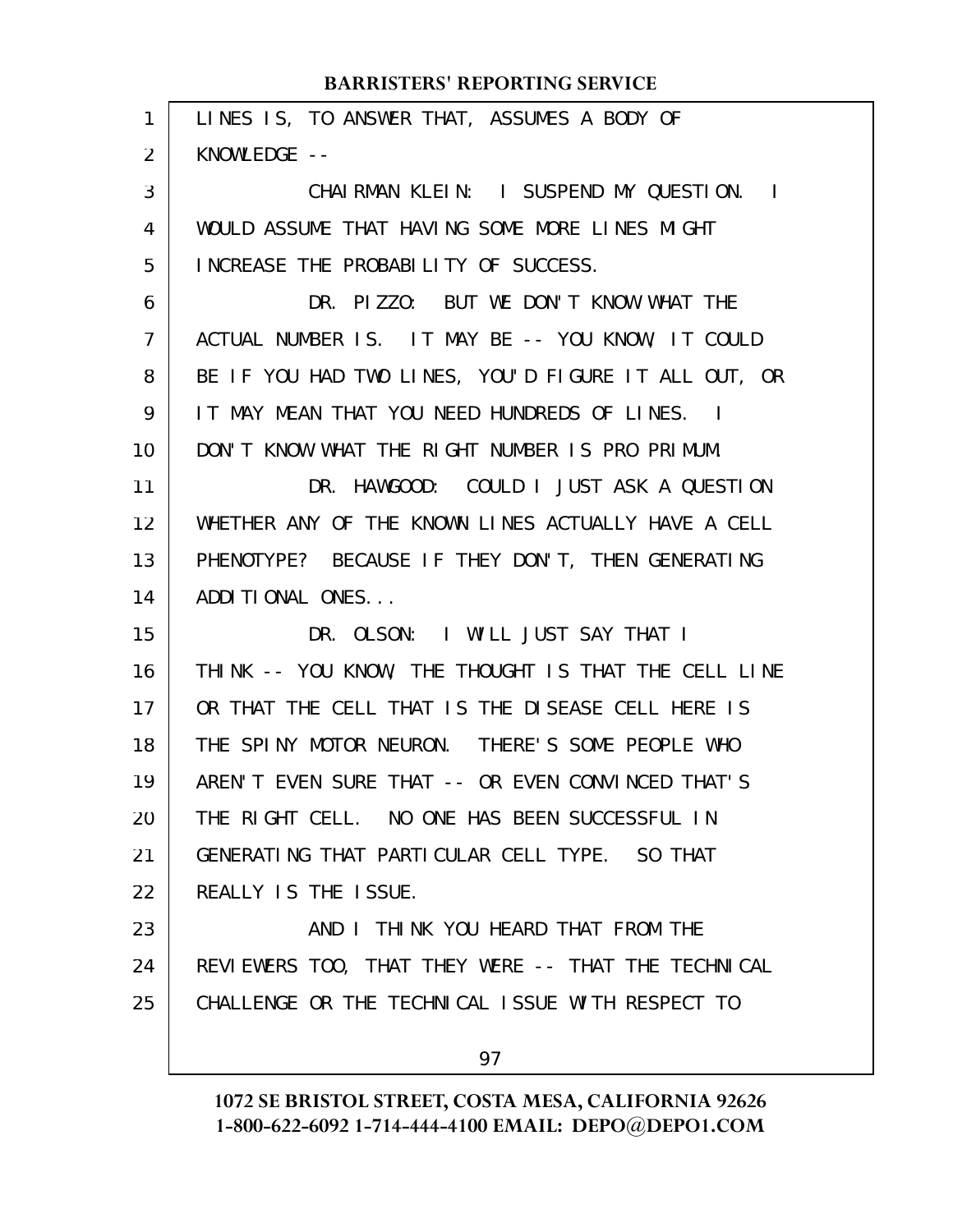| $\mathbf{1}$   | LINES IS, TO ANSWER THAT, ASSUMES A BODY OF          |
|----------------|------------------------------------------------------|
| 2              | KNOWLEDGE --                                         |
| 3              | CHAIRMAN KLEIN: I SUSPEND MY QUESTION. I             |
| 4              | WOULD ASSUME THAT HAVING SOME MORE LINES MIGHT       |
| 5              | INCREASE THE PROBABILITY OF SUCCESS.                 |
| 6              | DR. PIZZO: BUT WE DON'T KNOW WHAT THE                |
| $\overline{7}$ | ACTUAL NUMBER IS. IT MAY BE -- YOU KNOW, IT COULD    |
| 8              | BE IF YOU HAD TWO LINES, YOU'D FIGURE IT ALL OUT, OR |
| 9              | IT MAY MEAN THAT YOU NEED HUNDREDS OF LINES. I       |
| 10             | DON'T KNOW WHAT THE RIGHT NUMBER IS PRO PRIMUM.      |
| 11             | DR. HAWGOOD: COULD I JUST ASK A QUESTION             |
| 12             | WHETHER ANY OF THE KNOWN LINES ACTUALLY HAVE A CELL  |
| 13             | PHENOTYPE? BECAUSE IF THEY DON'T, THEN GENERATING    |
| 14             | ADDITIONAL ONES                                      |
| 15             | DR. OLSON: I WILL JUST SAY THAT I                    |
| 16             | THINK -- YOU KNOW, THE THOUGHT IS THAT THE CELL LINE |
| 17             | OR THAT THE CELL THAT IS THE DISEASE CELL HERE IS    |
| 18             | THE SPINY MOTOR NEURON. THERE'S SOME PEOPLE WHO      |
| 19             | AREN'T EVEN SURE THAT -- OR EVEN CONVINCED THAT'S    |
| 20             | THE RIGHT CELL. NO ONE HAS BEEN SUCCESSFUL IN        |
| 21             | GENERATING THAT PARTICULAR CELL TYPE. SO THAT        |
| 22             | REALLY IS THE ISSUE.                                 |
| 23             | AND I THINK YOU HEARD THAT FROM THE                  |
| 24             | REVIEWERS TOO, THAT THEY WERE -- THAT THE TECHNICAL  |
| 25             | CHALLENGE OR THE TECHNICAL ISSUE WITH RESPECT TO     |
|                | 97                                                   |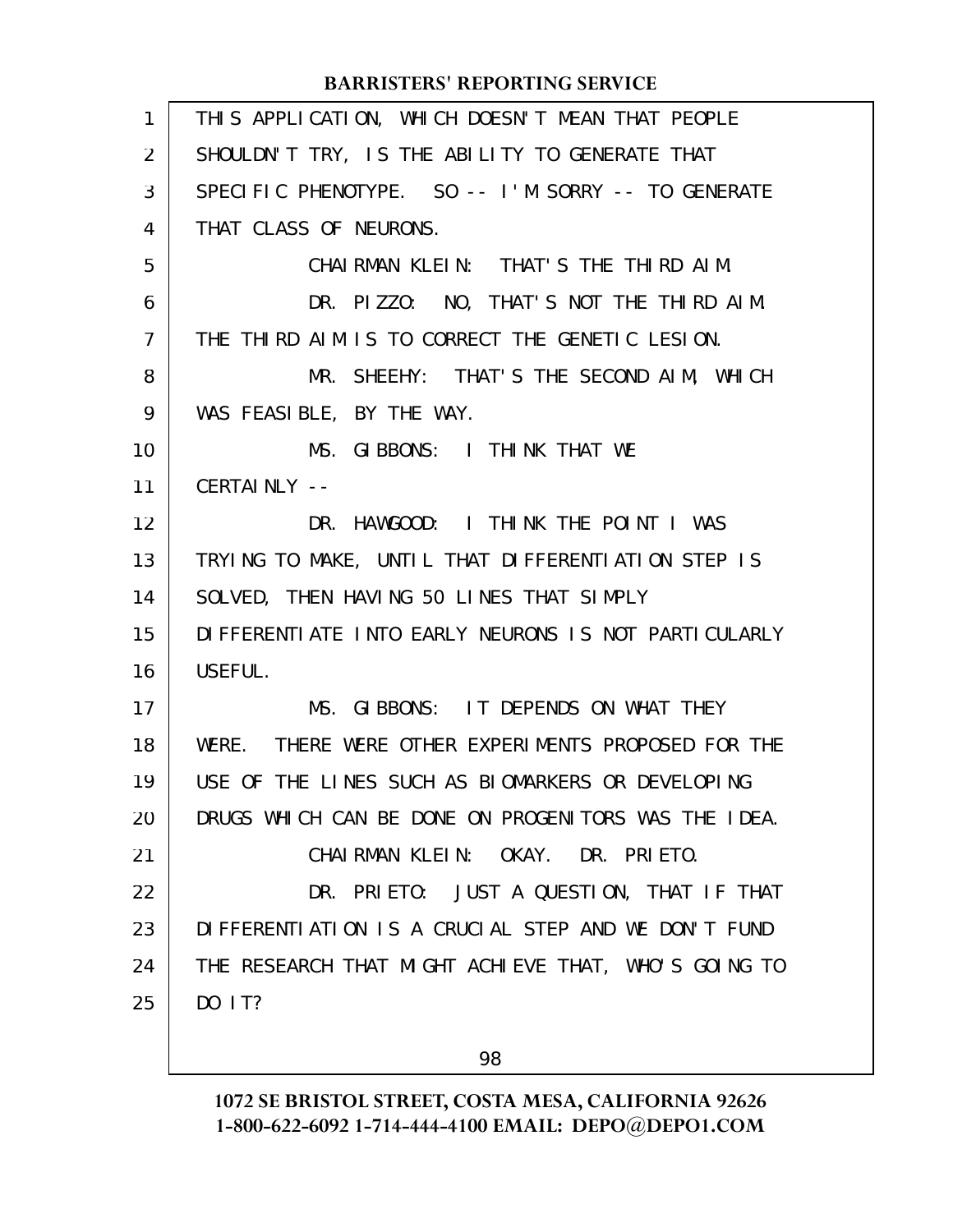| $\mathbf{1}$   | THIS APPLICATION, WHICH DOESN'T MEAN THAT PEOPLE       |
|----------------|--------------------------------------------------------|
| 2              | SHOULDN'T TRY, IS THE ABILITY TO GENERATE THAT         |
| 3              | SPECIFIC PHENOTYPE. SO -- I'M SORRY -- TO GENERATE     |
| 4              | THAT CLASS OF NEURONS.                                 |
| 5              | CHAIRMAN KLEIN: THAT'S THE THIRD AIM.                  |
| 6              | DR. PIZZO: NO, THAT'S NOT THE THIRD AIM.               |
| $\overline{7}$ | THE THIRD AIM IS TO CORRECT THE GENETIC LESION.        |
| 8              | MR. SHEEHY: THAT'S THE SECOND AIM, WHICH               |
| 9              | WAS FEASIBLE, BY THE WAY.                              |
| 10             | MS. GIBBONS: I THINK THAT WE                           |
| 11             | CERTAINLY --                                           |
| 12             | DR. HAWGOOD: I THINK THE POINT I WAS                   |
| 13             | TRYING TO MAKE, UNTIL THAT DIFFERENTIATION STEP IS     |
| 14             | SOLVED, THEN HAVING 50 LINES THAT SIMPLY               |
| 15             | DI FFERENTI ATE INTO EARLY NEURONS IS NOT PARTICULARLY |
| 16             | USEFUL.                                                |
| 17             | MS. GIBBONS: IT DEPENDS ON WHAT THEY                   |
| 18             | THERE WERE OTHER EXPERIMENTS PROPOSED FOR THE<br>WERE. |
| 19             | USE OF THE LINES SUCH AS BIOMARKERS OR DEVELOPING      |
| 20             | DRUGS WHICH CAN BE DONE ON PROGENITORS WAS THE IDEA.   |
| 21             | CHAIRMAN KLEIN: OKAY. DR. PRIETO.                      |
| 22             | DR. PRIETO: JUST A QUESTION, THAT IF THAT              |
| 23             | DIFFERENTIATION IS A CRUCIAL STEP AND WE DON'T FUND    |
| 24             | THE RESEARCH THAT MIGHT ACHIEVE THAT, WHO'S GOING TO   |
| 25             | DO 1T?                                                 |
|                |                                                        |

98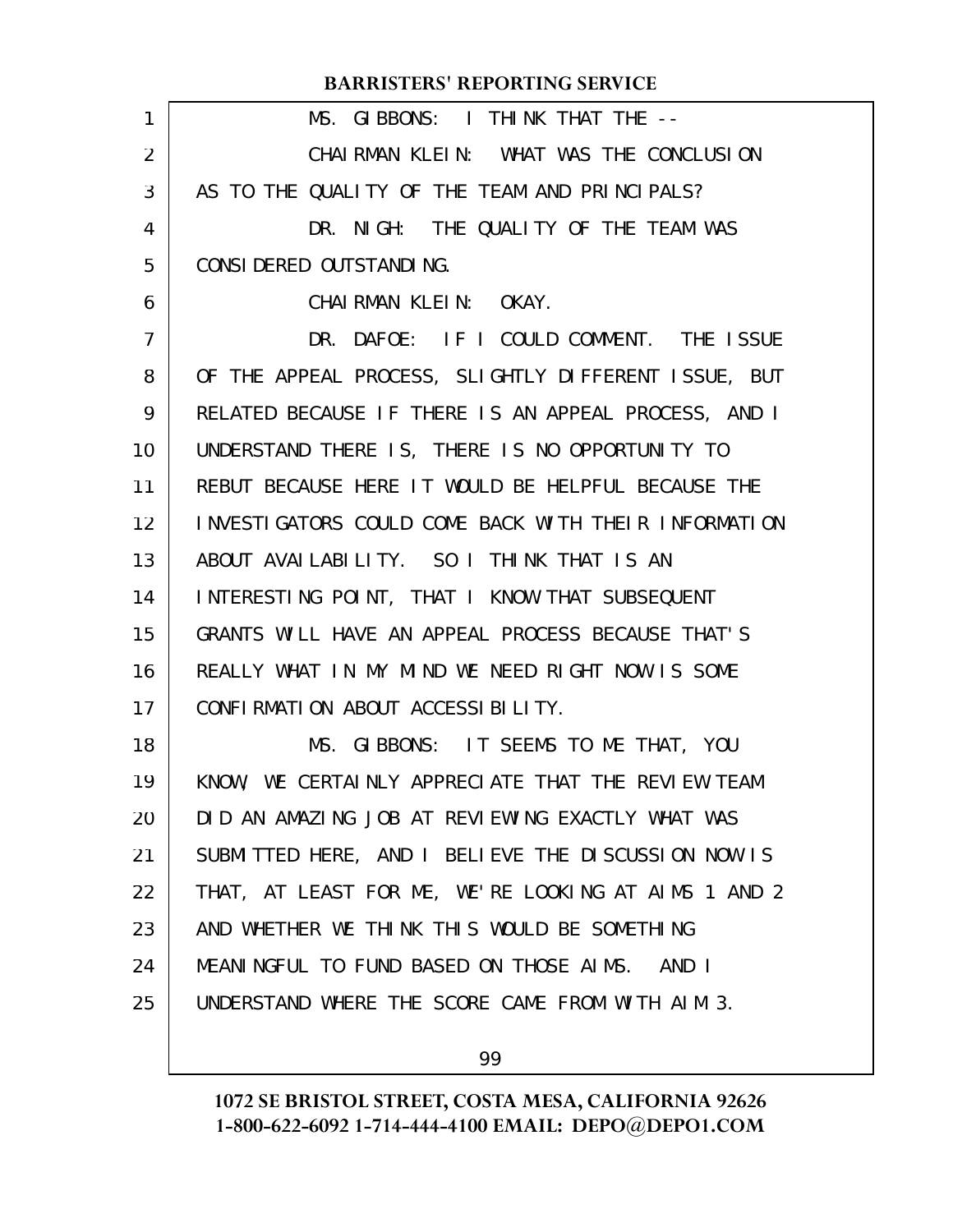| 1              | MS. GIBBONS: I THINK THAT THE --                     |
|----------------|------------------------------------------------------|
|                |                                                      |
| 2              | CHAIRMAN KLEIN: WHAT WAS THE CONCLUSION              |
| 3              | AS TO THE QUALITY OF THE TEAM AND PRINCIPALS?        |
| 4              | DR. NIGH: THE QUALITY OF THE TEAM WAS                |
| 5              | CONSI DERED OUTSTANDING.                             |
| 6              | CHAIRMAN KLEIN: OKAY.                                |
| $\overline{7}$ | DR. DAFOE: IF I COULD COMMENT. THE ISSUE             |
| 8              | OF THE APPEAL PROCESS, SLIGHTLY DIFFERENT ISSUE, BUT |
| 9              | RELATED BECAUSE IF THERE IS AN APPEAL PROCESS, AND I |
| 10             | UNDERSTAND THERE IS, THERE IS NO OPPORTUNITY TO      |
| 11             | REBUT BECAUSE HERE IT WOULD BE HELPFUL BECAUSE THE   |
| 12             | INVESTIGATORS COULD COME BACK WITH THEIR INFORMATION |
| 13             | ABOUT AVAILABILITY. SO I THINK THAT IS AN            |
| 14             | INTERESTING POINT, THAT I KNOW THAT SUBSEQUENT       |
| 15             | GRANTS WILL HAVE AN APPEAL PROCESS BECAUSE THAT'S    |
| 16             | REALLY WHAT IN MY MIND WE NEED RIGHT NOW IS SOME     |
| 17             | CONFIRMATION ABOUT ACCESSIBILITY.                    |
| 18             | MS. GIBBONS: IT SEEMS TO ME THAT, YOU                |
| 19             | KNOW, WE CERTAINLY APPRECIATE THAT THE REVIEW TEAM   |
| 20             | DID AN AMAZING JOB AT REVIEWING EXACTLY WHAT WAS     |
| 21             | SUBMITTED HERE, AND I BELIEVE THE DISCUSSION NOW IS  |
| 22             | THAT, AT LEAST FOR ME, WE'RE LOOKING AT AIMS 1 AND 2 |
| 23             | AND WHETHER WE THINK THIS WOULD BE SOMETHING         |
| 24             | MEANINGFUL TO FUND BASED ON THOSE AIMS. AND I        |
| 25             | UNDERSTAND WHERE THE SCORE CAME FROM WITH AIM 3.     |
|                |                                                      |

99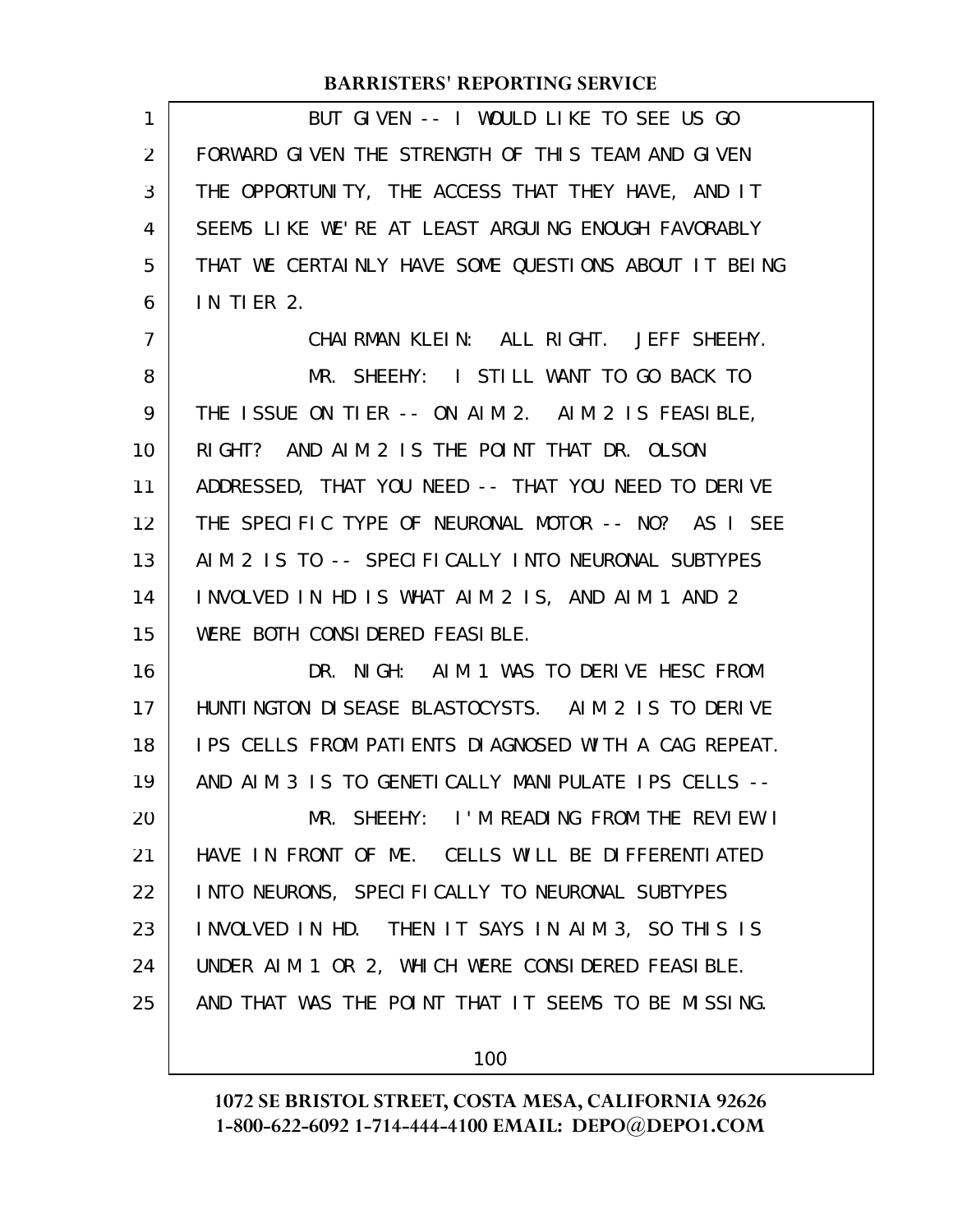| 1  | BUT GIVEN -- I WOULD LIKE TO SEE US GO               |
|----|------------------------------------------------------|
| 2  | FORWARD GIVEN THE STRENGTH OF THIS TEAM AND GIVEN    |
| 3  | THE OPPORTUNITY, THE ACCESS THAT THEY HAVE, AND IT   |
| 4  | SEEMS LIKE WE'RE AT LEAST ARGUING ENOUGH FAVORABLY   |
| 5  | THAT WE CERTAINLY HAVE SOME QUESTIONS ABOUT IT BEING |
| 6  | <b>IN TIER 2.</b>                                    |
| 7  | CHAIRMAN KLEIN: ALL RIGHT. JEFF SHEEHY.              |
| 8  | MR. SHEEHY: I STILL WANT TO GO BACK TO               |
| 9  | THE ISSUE ON TIER -- ON AIM 2. AIM 2 IS FEASIBLE,    |
| 10 | RIGHT? AND AIM 2 IS THE POINT THAT DR. OLSON         |
| 11 | ADDRESSED, THAT YOU NEED -- THAT YOU NEED TO DERIVE  |
| 12 | THE SPECIFIC TYPE OF NEURONAL MOTOR -- NO? AS I SEE  |
| 13 | AIM 2 IS TO -- SPECIFICALLY INTO NEURONAL SUBTYPES   |
| 14 | INVOLVED IN HD IS WHAT AIM 2 IS, AND AIM 1 AND 2     |
| 15 | WERE BOTH CONSIDERED FEASIBLE.                       |
| 16 | DR. NIGH: AIM 1 WAS TO DERIVE HESC FROM              |
| 17 | HUNTINGTON DISEASE BLASTOCYSTS. AIM 2 IS TO DERIVE   |
| 18 | IPS CELLS FROM PATIENTS DIAGNOSED WITH A CAG REPEAT. |
| 19 | AND AIM 3 IS TO GENETICALLY MANIPULATE IPS CELLS --  |
| 20 | MR. SHEEHY: I'M READING FROM THE REVIEW I            |
| 21 | HAVE IN FRONT OF ME. CELLS WILL BE DIFFERENTIATED    |
| 22 | INTO NEURONS, SPECIFICALLY TO NEURONAL SUBTYPES      |
| 23 | INVOLVED IN HD. THEN IT SAYS IN AIM 3, SO THIS IS    |
| 24 | UNDER AIM 1 OR 2, WHICH WERE CONSIDERED FEASIBLE.    |
| 25 | AND THAT WAS THE POINT THAT IT SEEMS TO BE MISSING.  |
|    |                                                      |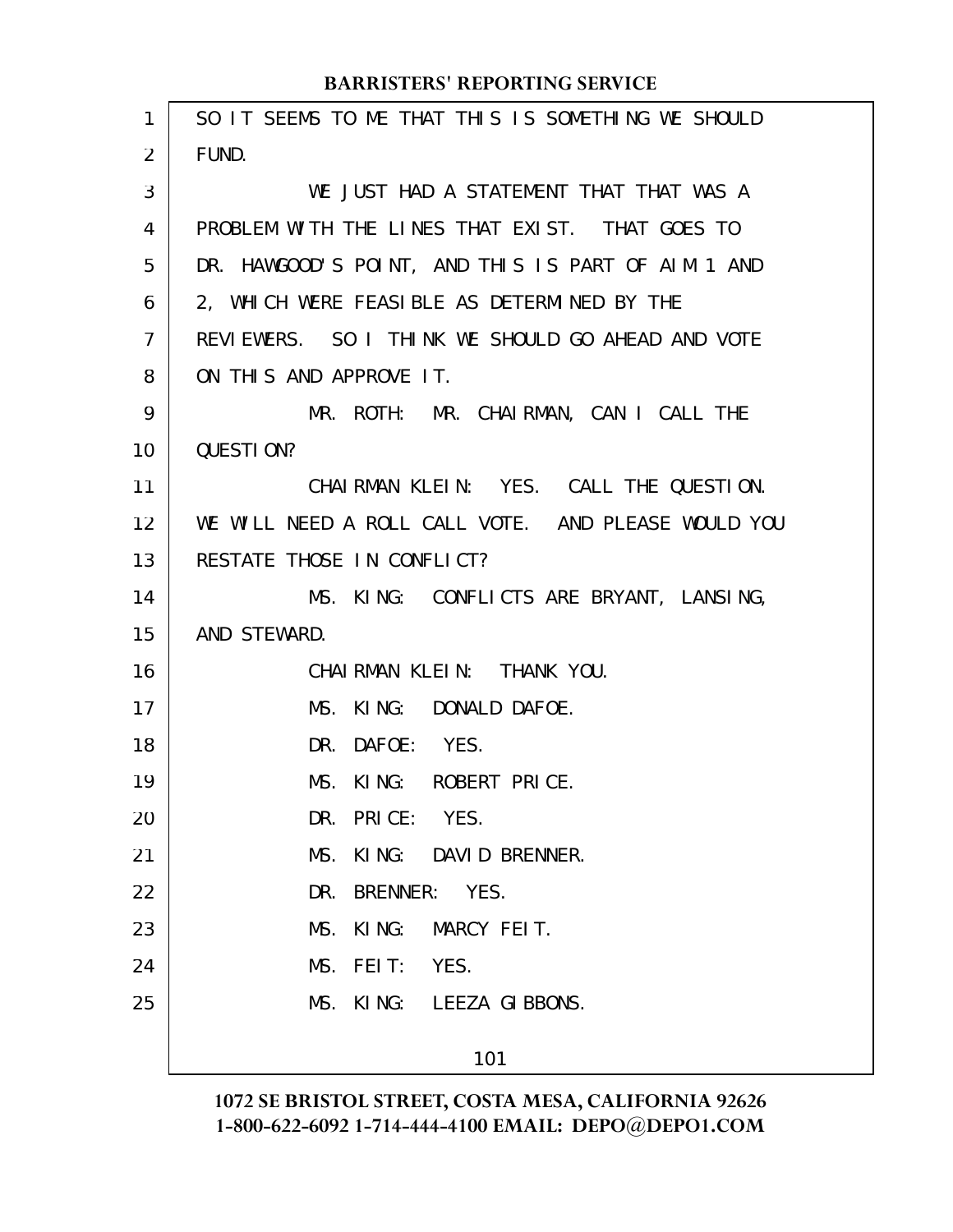| 1              | SO IT SEEMS TO ME THAT THIS IS SOMETHING WE SHOULD  |
|----------------|-----------------------------------------------------|
| 2              | FUND.                                               |
| 3              | WE JUST HAD A STATEMENT THAT THAT WAS A             |
| 4              | PROBLEM WITH THE LINES THAT EXIST. THAT GOES TO     |
| 5              | DR. HAWGOOD'S POINT, AND THIS IS PART OF AIM 1 AND  |
| 6              | 2, WHICH WERE FEASIBLE AS DETERMINED BY THE         |
| $\overline{7}$ | REVIEWERS. SO I THINK WE SHOULD GO AHEAD AND VOTE   |
| 8              | ON THIS AND APPROVE IT.                             |
| 9              | MR. ROTH: MR. CHAIRMAN, CAN I CALL THE              |
| 10             | QUESTION?                                           |
| 11             | CHAIRMAN KLEIN: YES. CALL THE QUESTION.             |
| 12             | WE WILL NEED A ROLL CALL VOTE. AND PLEASE WOULD YOU |
| 13             | RESTATE THOSE IN CONFLICT?                          |
| 14             | MS. KING: CONFLICTS ARE BRYANT, LANSING,            |
| 15             | AND STEWARD.                                        |
| 16             | CHAIRMAN KLEIN: THANK YOU.                          |
| 17             | MS. KING: DONALD DAFOE.                             |
| 18             | DR. DAFOE: YES.                                     |
| 19             | MS. KING: ROBERT PRICE.                             |
| 20             | DR. PRICE: YES.                                     |
| 21             | MS.<br>KING: DAVID BRENNER.                         |
| 22             | DR. BRENNER: YES.                                   |
| 23             | KING: MARCY FEIT.<br>MS.                            |
| 24             | FEIT: YES.<br>MS.                                   |
| 25             | MS. KING: LEEZA GIBBONS.                            |
|                | 101                                                 |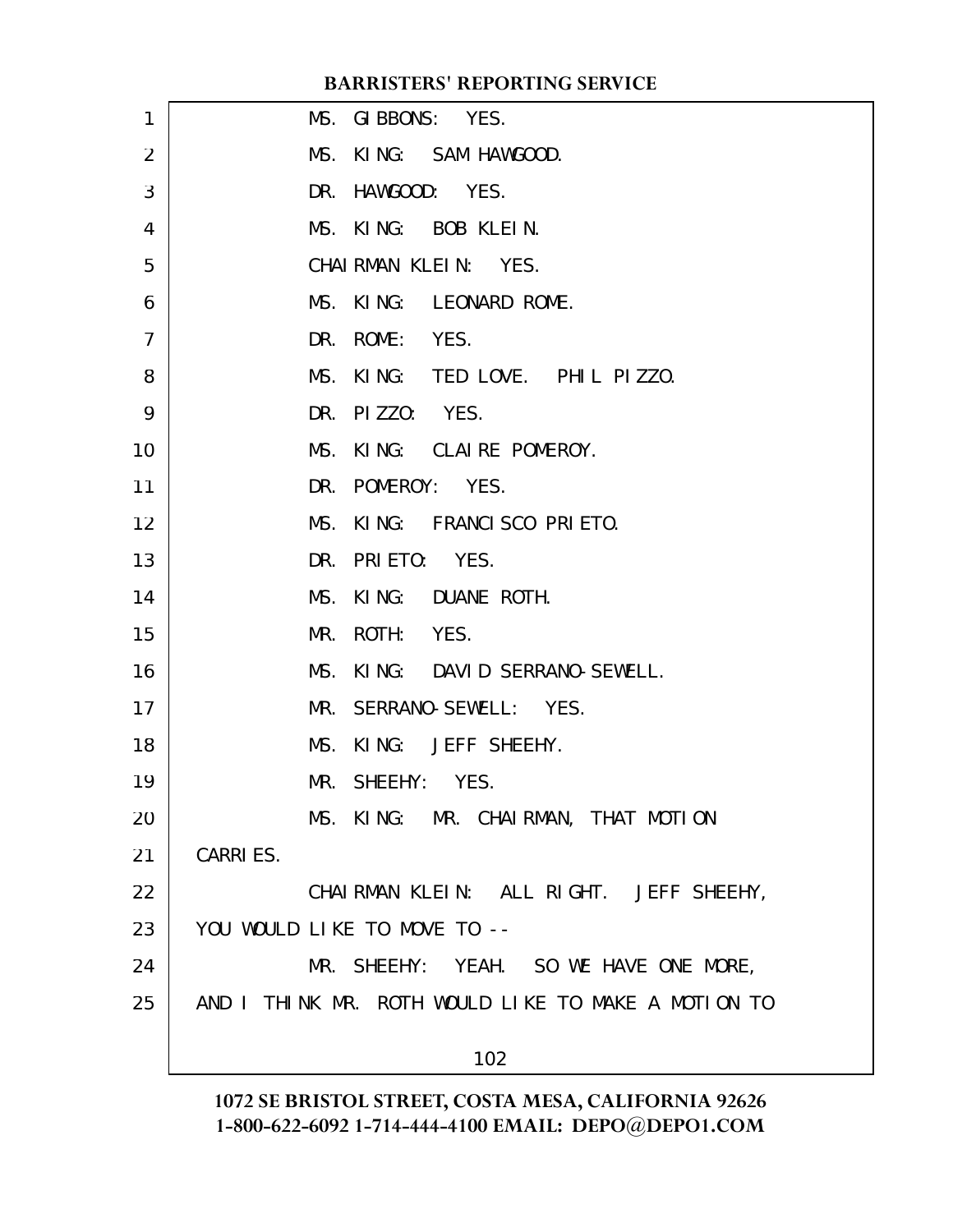| 1              | MS. GIBBONS: YES.                                   |
|----------------|-----------------------------------------------------|
| $\overline{2}$ | MS. KING: SAM HAWGOOD.                              |
| 3              | DR. HAWGOOD: YES.                                   |
| 4              | MS. KING: BOB KLEIN.                                |
| 5              | CHAIRMAN KLEIN: YES.                                |
| 6              | MS. KING: LEONARD ROME.                             |
| 7              | DR. ROME: YES.                                      |
| 8              | MS. KING: TED LOVE. PHIL PIZZO.                     |
| 9              | DR. PIZZO: YES.                                     |
| 10             | MS. KING: CLAIRE POMEROY.                           |
| 11             | DR. POMEROY: YES.                                   |
| 12             | MS. KING: FRANCISCO PRIETO.                         |
| 13             | DR. PRIETO: YES.                                    |
| 14             | MS. KING: DUANE ROTH.                               |
| 15             | MR. ROTH: YES.                                      |
| 16             | MS. KING: DAVID SERRANO-SEWELL.                     |
| 17             | MR. SERRANO-SEWELL: YES.                            |
| 18             | MS. KING: JEFF SHEEHY.                              |
| 19             | MR. SHEEHY: YES.                                    |
| 20             | MS. KING: MR. CHAIRMAN, THAT MOTION                 |
| 21             | <b>CARRIES.</b>                                     |
| 22             | CHAIRMAN KLEIN: ALL RIGHT. JEFF SHEEHY,             |
| 23             | YOU WOULD LIKE TO MOVE TO --                        |
| 24             | MR. SHEEHY: YEAH. SO WE HAVE ONE MORE,              |
| 25             | AND I THINK MR. ROTH WOULD LIKE TO MAKE A MOTION TO |
|                | 102                                                 |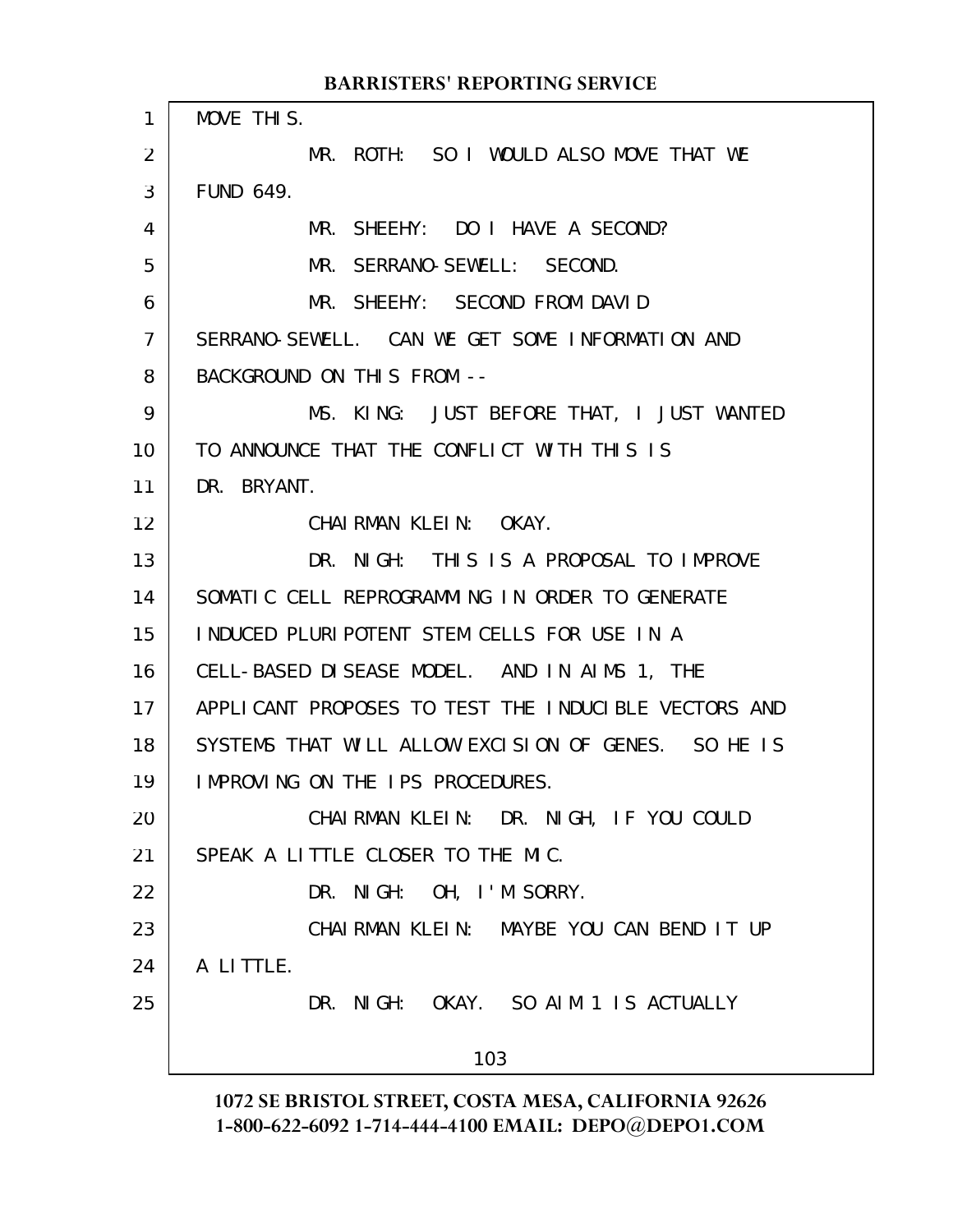MOVE THIS. MR. ROTH: SO I WOULD ALSO MOVE THAT WE FUND 649. MR. SHEEHY: DO I HAVE A SECOND? MR. SERRANO-SEWELL: SECOND. MR. SHEEHY: SECOND FROM DAVID SERRANO-SEWELL. CAN WE GET SOME INFORMATION AND BACKGROUND ON THIS FROM -- MS. KING: JUST BEFORE THAT, I JUST WANTED TO ANNOUNCE THAT THE CONFLICT WITH THIS IS DR. BRYANT. CHAIRMAN KLEIN: OKAY. DR. NIGH: THIS IS A PROPOSAL TO IMPROVE SOMATIC CELL REPROGRAMMING IN ORDER TO GENERATE INDUCED PLURIPOTENT STEM CELLS FOR USE IN A CELL-BASED DISEASE MODEL. AND IN AIMS 1, THE APPLICANT PROPOSES TO TEST THE INDUCIBLE VECTORS AND SYSTEMS THAT WILL ALLOW EXCISION OF GENES. SO HE IS IMPROVING ON THE IPS PROCEDURES. CHAIRMAN KLEIN: DR. NIGH, IF YOU COULD SPEAK A LITTLE CLOSER TO THE MIC. DR. NIGH: OH, I'M SORRY. CHAIRMAN KLEIN: MAYBE YOU CAN BEND IT UP A LITTLE. DR. NIGH: OKAY. SO AIM 1 IS ACTUALLY 103 1 2 3 4 5 6 7 8 9 10 11 12 13 14 15 16 17 18 19 20 21 22 23 24 25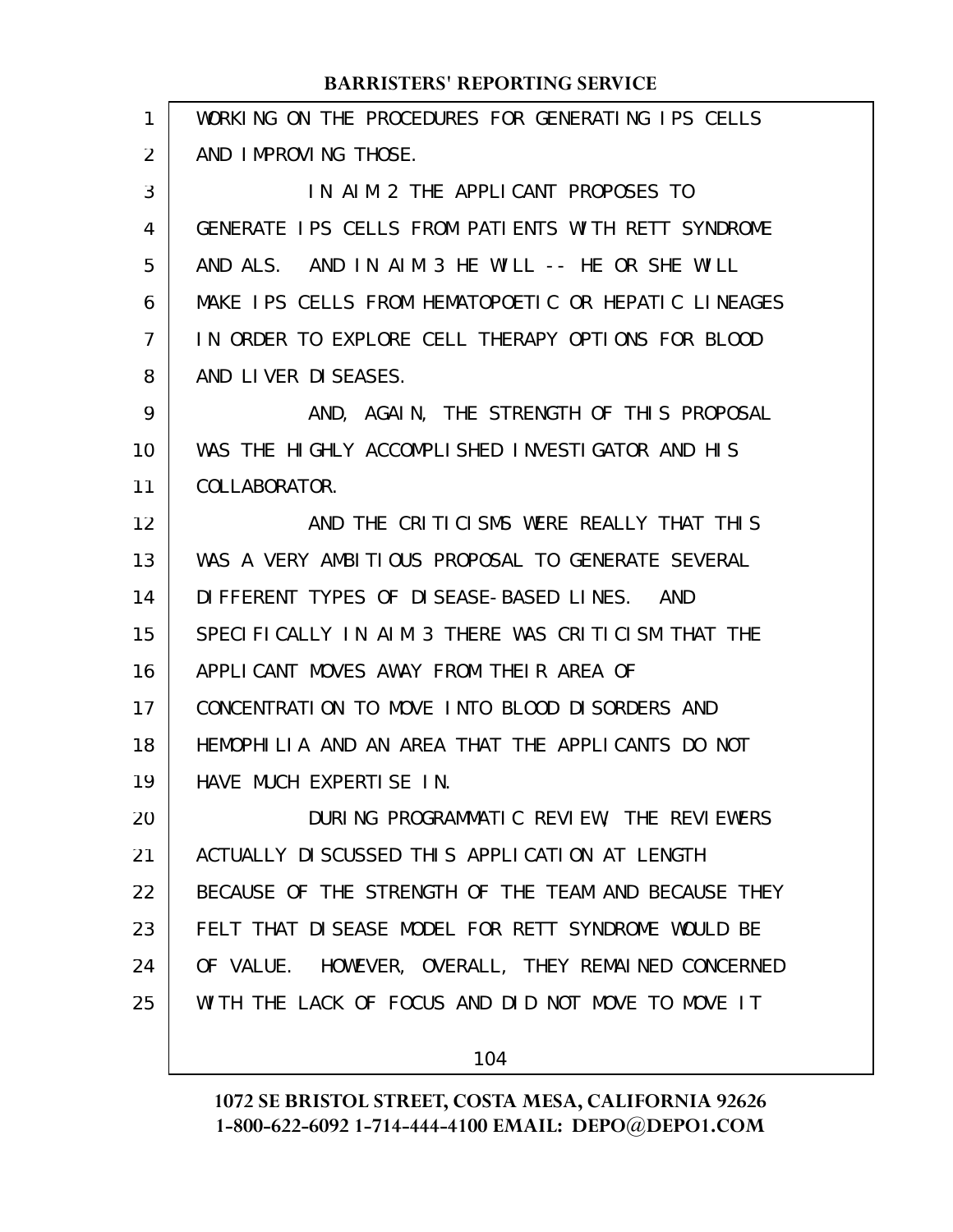| 1  | WORKING ON THE PROCEDURES FOR GENERATING IPS CELLS   |
|----|------------------------------------------------------|
| 2  | AND IMPROVING THOSE.                                 |
| 3  | IN AIM 2 THE APPLICANT PROPOSES TO                   |
| 4  | GENERATE IPS CELLS FROM PATIENTS WITH RETT SYNDROME  |
| 5  | AND ALS. AND IN AIM 3 HE WILL $-$ - HE OR SHE WILL   |
| 6  | MAKE IPS CELLS FROM HEMATOPOETIC OR HEPATIC LINEAGES |
| 7  | IN ORDER TO EXPLORE CELL THERAPY OPTIONS FOR BLOOD   |
| 8  | AND LIVER DISEASES.                                  |
| 9  | AND, AGAIN, THE STRENGTH OF THIS PROPOSAL            |
| 10 | WAS THE HIGHLY ACCOMPLISHED INVESTIGATOR AND HIS     |
| 11 | COLLABORATOR.                                        |
| 12 | AND THE CRITICISMS WERE REALLY THAT THIS             |
| 13 | WAS A VERY AMBITIOUS PROPOSAL TO GENERATE SEVERAL    |
| 14 | DIFFERENT TYPES OF DISEASE-BASED LINES. AND          |
| 15 | SPECIFICALLY IN AIM 3 THERE WAS CRITICISM THAT THE   |
| 16 | APPLICANT MOVES AWAY FROM THEIR AREA OF              |
| 17 | CONCENTRATION TO MOVE INTO BLOOD DISORDERS AND       |
| 18 | HEMOPHILIA AND AN AREA THAT THE APPLICANTS DO NOT    |
| 19 | HAVE MUCH EXPERTISE IN.                              |
| 20 | DURING PROGRAMMATIC REVIEW, THE REVIEWERS            |
| 21 | ACTUALLY DISCUSSED THIS APPLICATION AT LENGTH        |
| 22 | BECAUSE OF THE STRENGTH OF THE TEAM AND BECAUSE THEY |
| 23 | FELT THAT DISEASE MODEL FOR RETT SYNDROME WOULD BE   |
| 24 | OF VALUE. HOWEVER, OVERALL, THEY REMAINED CONCERNED  |
| 25 | WITH THE LACK OF FOCUS AND DID NOT MOVE TO MOVE IT   |
|    |                                                      |

104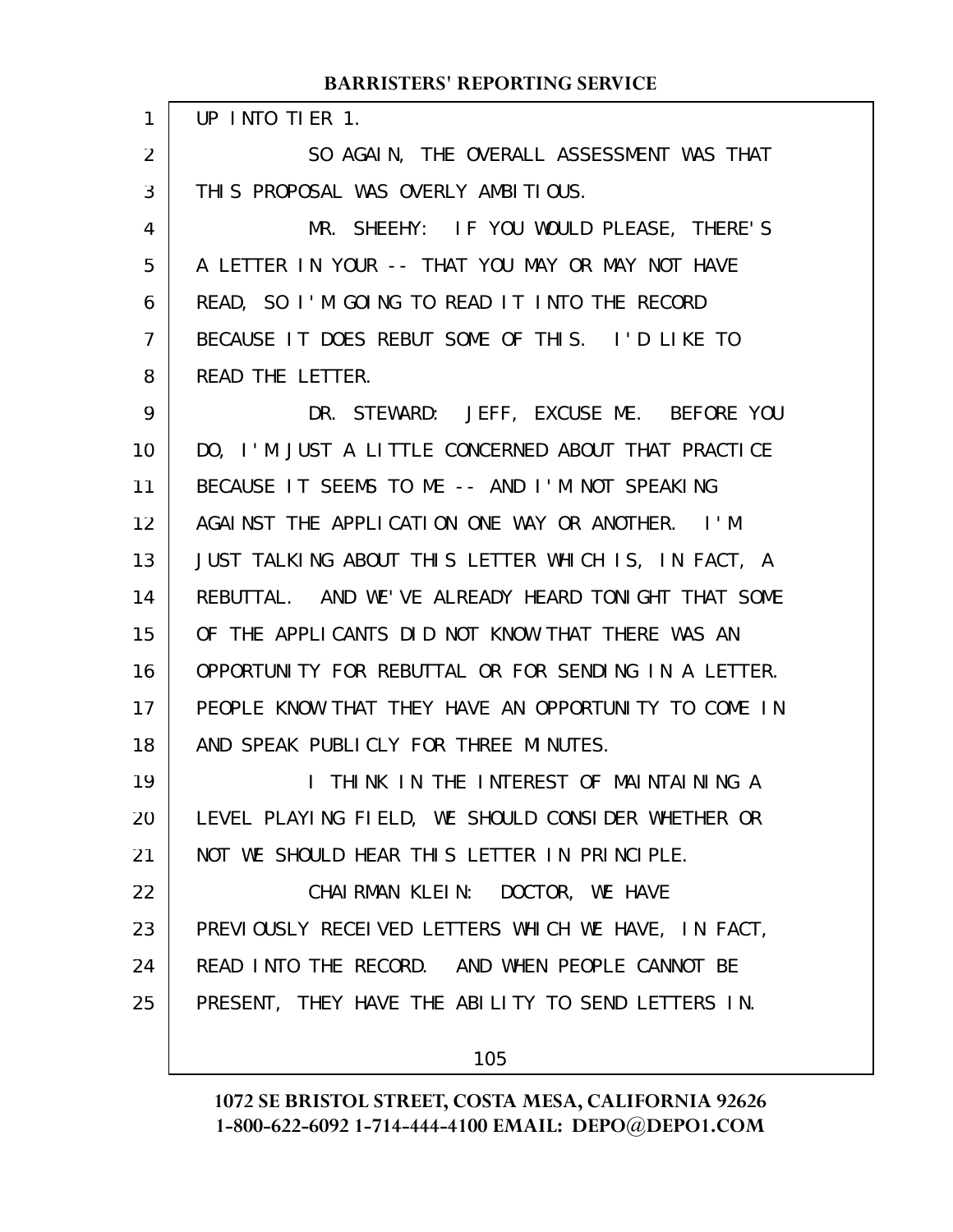UP INTO TIER 1. SO AGAIN, THE OVERALL ASSESSMENT WAS THAT THIS PROPOSAL WAS OVERLY AMBITIOUS. MR. SHEEHY: IF YOU WOULD PLEASE, THERE'S A LETTER IN YOUR -- THAT YOU MAY OR MAY NOT HAVE READ, SO I'M GOING TO READ IT INTO THE RECORD BECAUSE IT DOES REBUT SOME OF THIS. I'D LIKE TO READ THE LETTER. DR. STEWARD: JEFF, EXCUSE ME. BEFORE YOU DO, I'M JUST A LITTLE CONCERNED ABOUT THAT PRACTICE BECAUSE IT SEEMS TO ME -- AND I'M NOT SPEAKING AGAINST THE APPLICATION ONE WAY OR ANOTHER. I'M JUST TALKING ABOUT THIS LETTER WHICH IS, IN FACT, A REBUTTAL. AND WE'VE ALREADY HEARD TONIGHT THAT SOME OF THE APPLICANTS DID NOT KNOW THAT THERE WAS AN OPPORTUNITY FOR REBUTTAL OR FOR SENDING IN A LETTER. PEOPLE KNOW THAT THEY HAVE AN OPPORTUNITY TO COME IN AND SPEAK PUBLICLY FOR THREE MINUTES. I THINK IN THE INTEREST OF MAINTAINING A LEVEL PLAYING FIELD, WE SHOULD CONSIDER WHETHER OR NOT WE SHOULD HEAR THIS LETTER IN PRINCIPLE. CHAIRMAN KLEIN: DOCTOR, WE HAVE PREVIOUSLY RECEIVED LETTERS WHICH WE HAVE, IN FACT, READ INTO THE RECORD. AND WHEN PEOPLE CANNOT BE PRESENT, THEY HAVE THE ABILITY TO SEND LETTERS IN. 1 2 3 4 5 6 7 8 9 10 11 12 13 14 15 16 17 18 19 20 21 22 23 24 25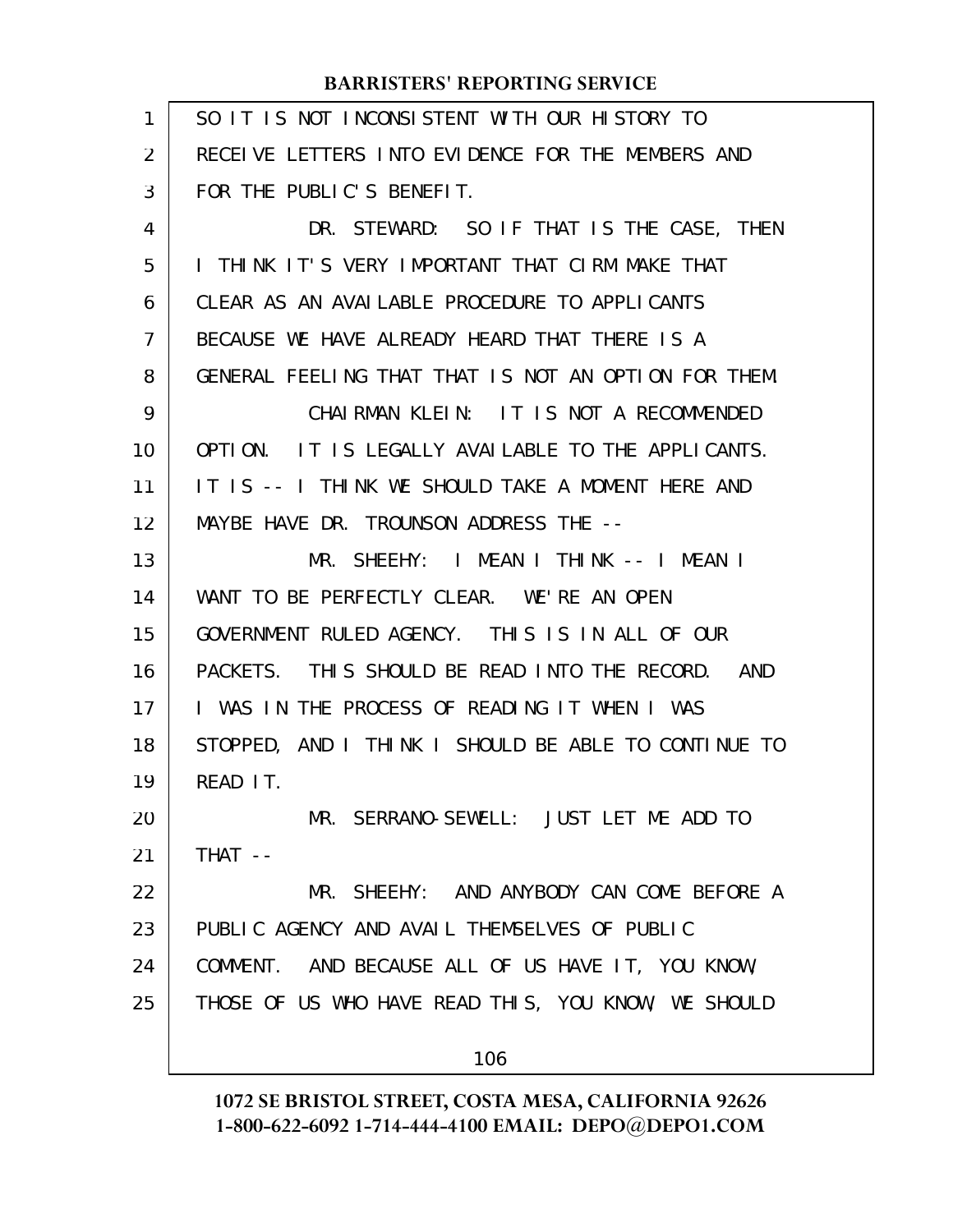| 1  | SO IT IS NOT INCONSISTENT WITH OUR HISTORY TO        |
|----|------------------------------------------------------|
| 2  | RECEIVE LETTERS INTO EVIDENCE FOR THE MEMBERS AND    |
| 3  | FOR THE PUBLIC'S BENEFIT.                            |
| 4  | DR. STEWARD: SO IF THAT IS THE CASE, THEN            |
| 5  | I THINK IT'S VERY IMPORTANT THAT CIRM MAKE THAT      |
| 6  | CLEAR AS AN AVAILABLE PROCEDURE TO APPLICANTS        |
| 7  | BECAUSE WE HAVE ALREADY HEARD THAT THERE IS A        |
| 8  | GENERAL FEELING THAT THAT IS NOT AN OPTION FOR THEM. |
| 9  | CHAIRMAN KLEIN: IT IS NOT A RECOMMENDED              |
| 10 | OPTION. IT IS LEGALLY AVAILABLE TO THE APPLICANTS.   |
| 11 | IT IS -- I THINK WE SHOULD TAKE A MOMENT HERE AND    |
| 12 | MAYBE HAVE DR. TROUNSON ADDRESS THE --               |
| 13 | MR. SHEEHY: I MEAN I THINK -- I MEAN I               |
| 14 | WANT TO BE PERFECTLY CLEAR. WE'RE AN OPEN            |
| 15 | GOVERNMENT RULED AGENCY. THIS IS IN ALL OF OUR       |
| 16 | PACKETS. THIS SHOULD BE READ INTO THE RECORD. AND    |
| 17 | I WAS IN THE PROCESS OF READING IT WHEN I WAS        |
| 18 | STOPPED, AND I THINK I SHOULD BE ABLE TO CONTINUE TO |
| 19 | READ IT.                                             |
| 20 | MR. SERRANO-SEWELL: JUST LET ME ADD TO               |
| 21 | $THAT$ --                                            |
| 22 | MR. SHEEHY: AND ANYBODY CAN COME BEFORE A            |
| 23 | PUBLIC AGENCY AND AVAIL THEMSELVES OF PUBLIC         |
| 24 | COMMENT. AND BECAUSE ALL OF US HAVE IT, YOU KNOW,    |
| 25 | THOSE OF US WHO HAVE READ THIS, YOU KNOW, WE SHOULD  |
|    | 106                                                  |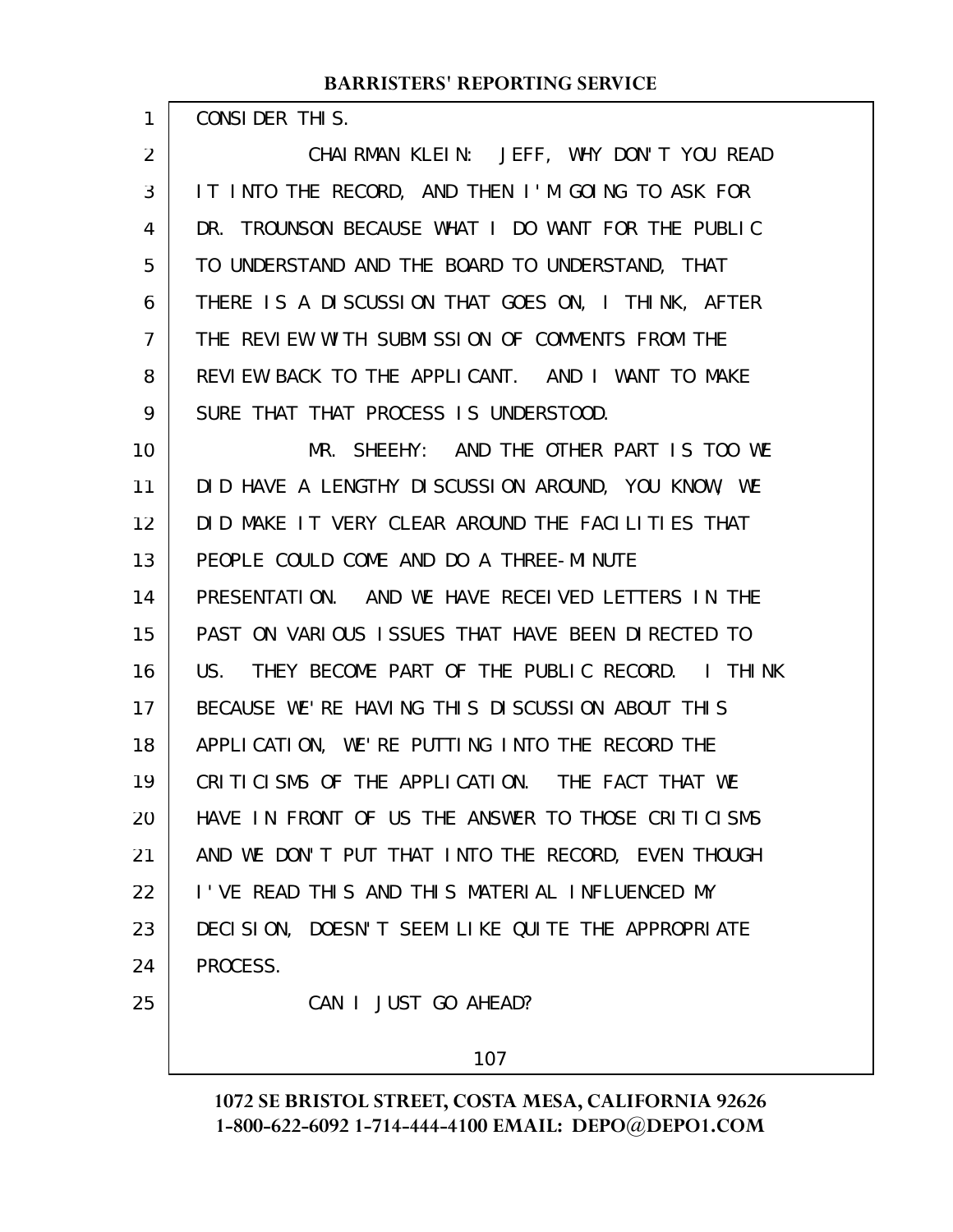| CONSIDER THIS. |  |
|----------------|--|
|----------------|--|

1

CHAIRMAN KLEIN: JEFF, WHY DON'T YOU READ IT INTO THE RECORD, AND THEN I'M GOING TO ASK FOR DR. TROUNSON BECAUSE WHAT I DO WANT FOR THE PUBLIC TO UNDERSTAND AND THE BOARD TO UNDERSTAND, THAT THERE IS A DISCUSSION THAT GOES ON, I THINK, AFTER THE REVIEW WITH SUBMISSION OF COMMENTS FROM THE REVIEW BACK TO THE APPLICANT. AND I WANT TO MAKE SURE THAT THAT PROCESS IS UNDERSTOOD. 2 3 4 5 6 7 8 9

MR. SHEEHY: AND THE OTHER PART IS TOO WE DID HAVE A LENGTHY DISCUSSION AROUND, YOU KNOW, WE DID MAKE IT VERY CLEAR AROUND THE FACILITIES THAT PEOPLE COULD COME AND DO A THREE-MINUTE PRESENTATION. AND WE HAVE RECEIVED LETTERS IN THE PAST ON VARIOUS ISSUES THAT HAVE BEEN DIRECTED TO US. THEY BECOME PART OF THE PUBLIC RECORD. I THINK BECAUSE WE'RE HAVING THIS DISCUSSION ABOUT THIS APPLICATION, WE'RE PUTTING INTO THE RECORD THE CRITICISMS OF THE APPLICATION. THE FACT THAT WE HAVE IN FRONT OF US THE ANSWER TO THOSE CRITICISMS AND WE DON'T PUT THAT INTO THE RECORD, EVEN THOUGH I'VE READ THIS AND THIS MATERIAL INFLUENCED MY DECISION, DOESN'T SEEM LIKE QUITE THE APPROPRIATE PROCESS. CAN I JUST GO AHEAD? 10 11 12 13 14 15 16 17 18 19 20 21 22 23 24 25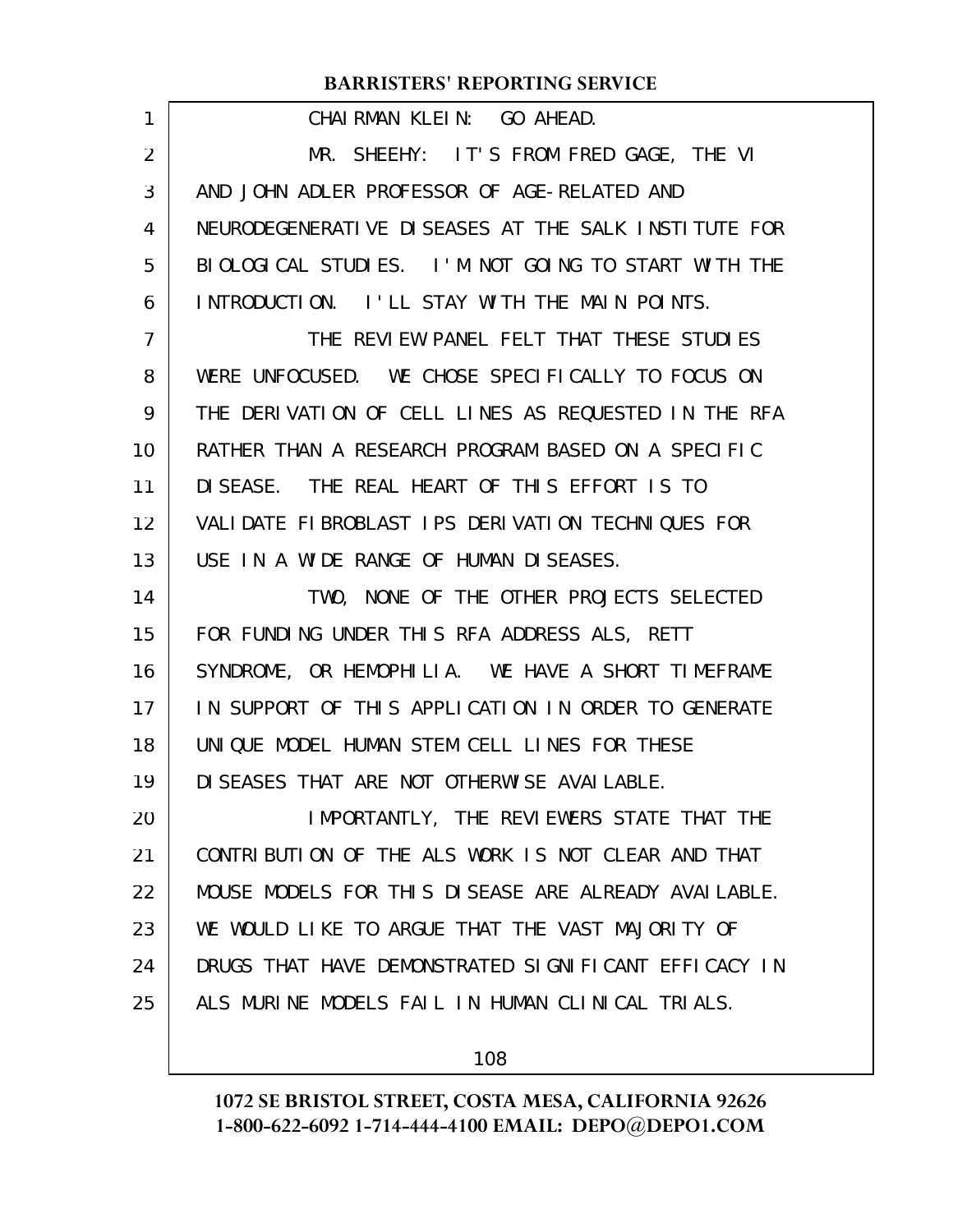| 1  | CHAIRMAN KLEIN: GO AHEAD.                            |
|----|------------------------------------------------------|
| 2  | MR. SHEEHY: IT'S FROM FRED GAGE, THE VI              |
| 3  | AND JOHN ADLER PROFESSOR OF AGE-RELATED AND          |
| 4  | NEURODEGENERATIVE DISEASES AT THE SALK INSTITUTE FOR |
| 5  | BIOLOGICAL STUDIES. I'M NOT GOING TO START WITH THE  |
| 6  | INTRODUCTION. I'LL STAY WITH THE MAIN POINTS.        |
| 7  | THE REVIEW PANEL FELT THAT THESE STUDIES             |
| 8  | WERE UNFOCUSED. WE CHOSE SPECIFICALLY TO FOCUS ON    |
| 9  | THE DERIVATION OF CELL LINES AS REQUESTED IN THE RFA |
| 10 | RATHER THAN A RESEARCH PROGRAM BASED ON A SPECIFIC   |
| 11 | DISEASE. THE REAL HEART OF THIS EFFORT IS TO         |
| 12 | VALIDATE FIBROBLAST IPS DERIVATION TECHNIQUES FOR    |
| 13 | USE IN A WIDE RANGE OF HUMAN DISEASES.               |
| 14 | TWO, NONE OF THE OTHER PROJECTS SELECTED             |
| 15 | FOR FUNDING UNDER THIS RFA ADDRESS ALS, RETT         |
| 16 | SYNDROME, OR HEMOPHILIA. WE HAVE A SHORT TIMEFRAME   |
| 17 | IN SUPPORT OF THIS APPLICATION IN ORDER TO GENERATE  |
| 18 | UNIQUE MODEL HUMAN STEM CELL LINES FOR THESE         |
| 19 | DI SEASES THAT ARE NOT OTHERWISE AVAILABLE.          |
| 20 | IMPORTANTLY, THE REVIEWERS STATE THAT THE            |
| 21 | CONTRIBUTION OF THE ALS WORK IS NOT CLEAR AND THAT   |
| 22 | MOUSE MODELS FOR THIS DISEASE ARE ALREADY AVAILABLE. |
| 23 | WE WOULD LIKE TO ARGUE THAT THE VAST MAJORITY OF     |
| 24 | DRUGS THAT HAVE DEMONSTRATED SIGNIFICANT EFFICACY IN |
| 25 | ALS MURINE MODELS FAIL IN HUMAN CLINICAL TRIALS.     |
|    |                                                      |

108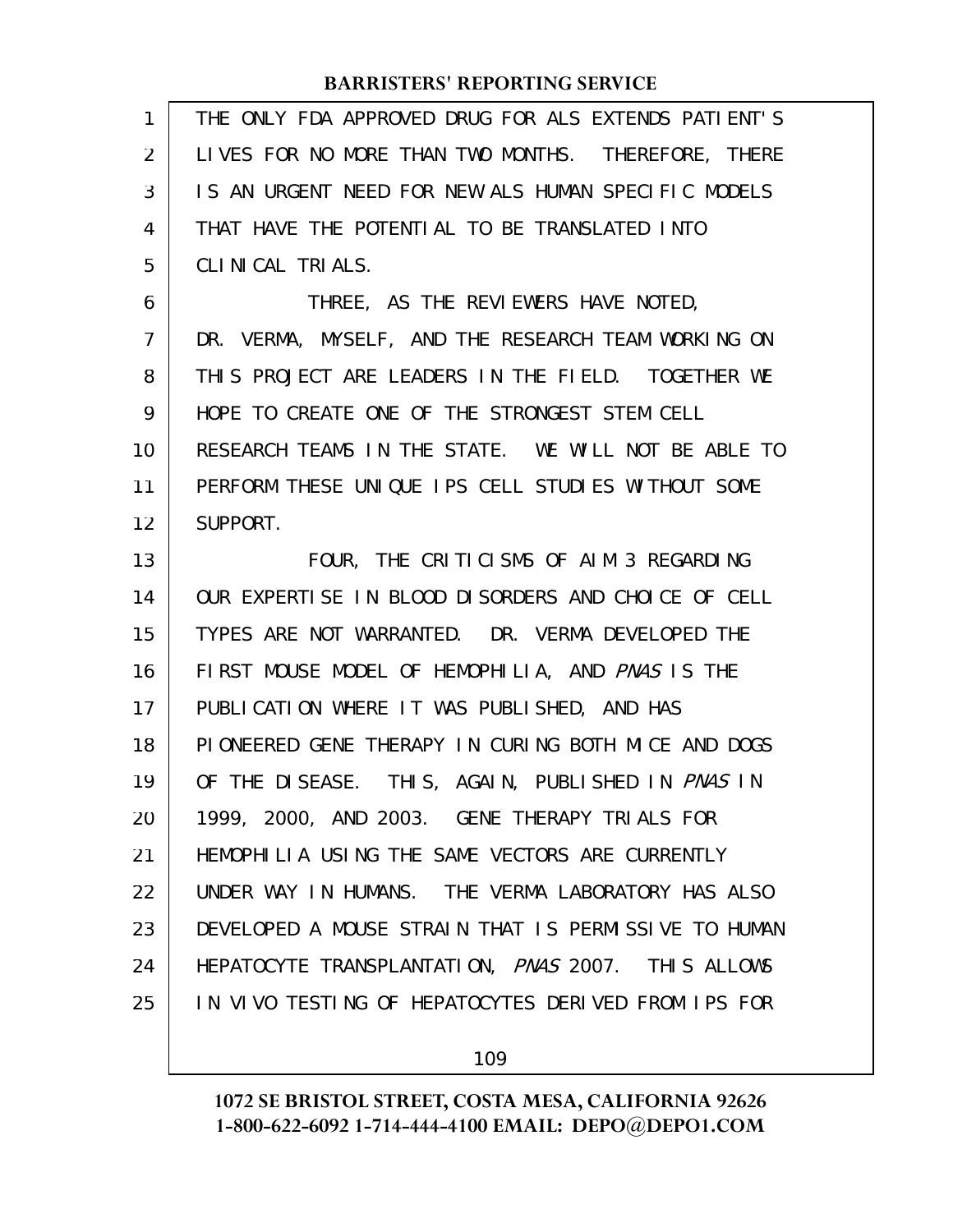| 1              | THE ONLY FDA APPROVED DRUG FOR ALS EXTENDS PATIENT'S |
|----------------|------------------------------------------------------|
| $\overline{2}$ | LIVES FOR NO MORE THAN TWO MONTHS. THEREFORE, THERE  |
| 3              | IS AN URGENT NEED FOR NEW ALS HUMAN SPECIFIC MODELS  |
| 4              | THAT HAVE THE POTENTIAL TO BE TRANSLATED INTO        |
| 5              | CLINICAL TRIALS.                                     |
| 6              | THREE, AS THE REVIEWERS HAVE NOTED,                  |
| 7              | DR. VERMA, MYSELF, AND THE RESEARCH TEAM WORKING ON  |
| 8              | THIS PROJECT ARE LEADERS IN THE FIELD. TOGETHER WE   |
| 9              | HOPE TO CREATE ONE OF THE STRONGEST STEM CELL        |
| 10             | RESEARCH TEAMS IN THE STATE. WE WILL NOT BE ABLE TO  |
| 11             | PERFORM THESE UNIQUE IPS CELL STUDIES WITHOUT SOME   |
| 12             | SUPPORT.                                             |
| 13             | FOUR, THE CRITICISMS OF AIM 3 REGARDING              |
| 14             | OUR EXPERTISE IN BLOOD DISORDERS AND CHOICE OF CELL  |
| 15             | TYPES ARE NOT WARRANTED. DR. VERMA DEVELOPED THE     |
| 16             | FIRST MOUSE MODEL OF HEMOPHILIA, AND PNAS IS THE     |
| 17             | PUBLICATION WHERE IT WAS PUBLISHED, AND HAS          |
| 18             |                                                      |
|                | PIONEERED GENE THERAPY IN CURING BOTH MICE AND DOGS  |
| 19             | OF THE DISEASE. THIS, AGAIN, PUBLISHED IN PNAS IN    |
| 20             | 1999, 2000, AND 2003. GENE THERAPY TRIALS FOR        |
| 21             | HEMOPHILIA USING THE SAME VECTORS ARE CURRENTLY      |
| 22             | UNDER WAY IN HUMANS. THE VERMA LABORATORY HAS ALSO   |
| 23             | DEVELOPED A MOUSE STRAIN THAT IS PERMISSIVE TO HUMAN |
| 24             | HEPATOCYTE TRANSPLANTATION, PNAS 2007. THIS ALLOWS   |
| 25             | IN VIVO TESTING OF HEPATOCYTES DERIVED FROM IPS FOR  |

109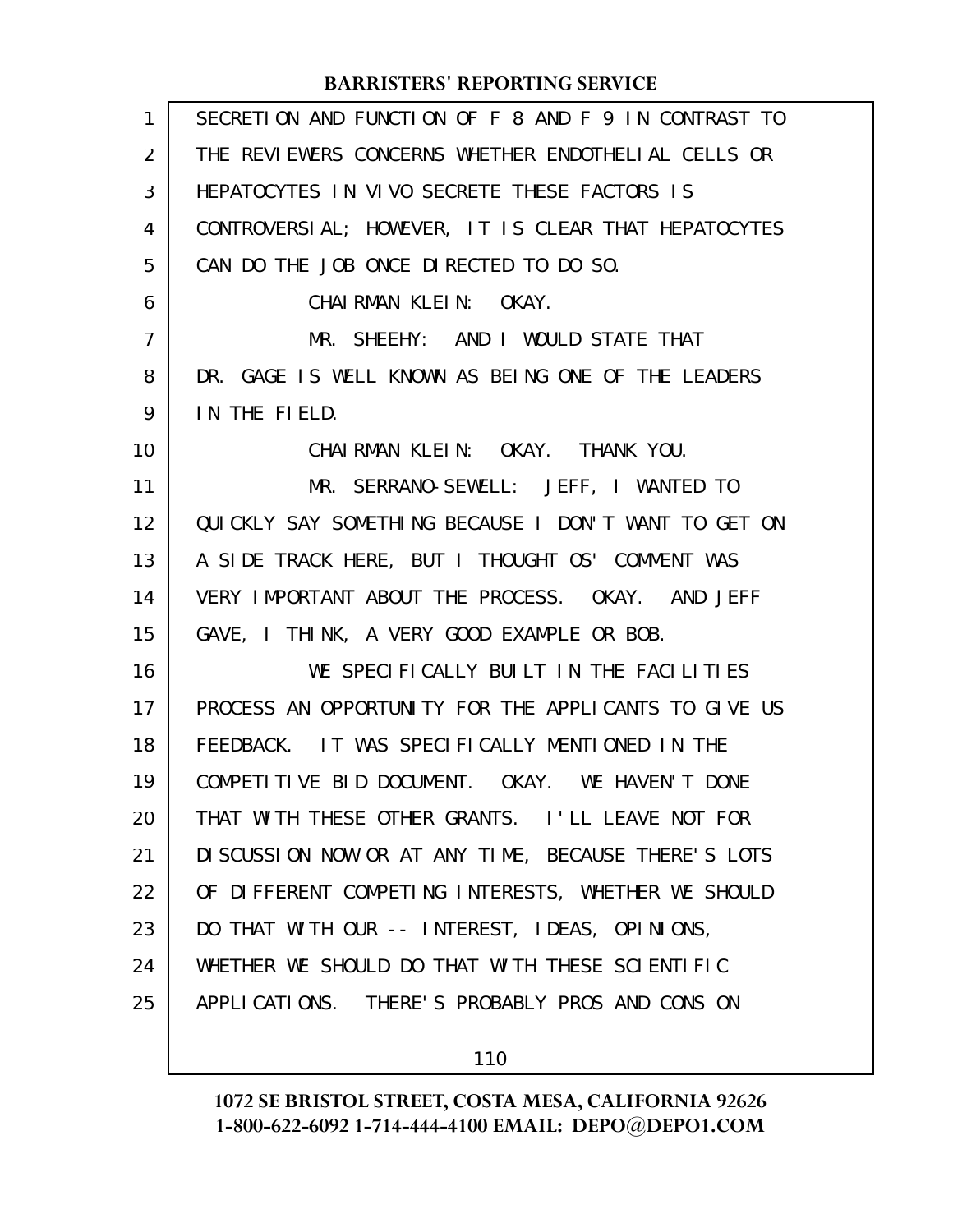| 1              | SECRETION AND FUNCTION OF F 8 AND F 9 IN CONTRAST TO |
|----------------|------------------------------------------------------|
| 2              | THE REVIEWERS CONCERNS WHETHER ENDOTHELIAL CELLS OR  |
| 3              | HEPATOCYTES IN VIVO SECRETE THESE FACTORS IS         |
| 4              | CONTROVERSIAL; HOWEVER, IT IS CLEAR THAT HEPATOCYTES |
| 5              | CAN DO THE JOB ONCE DIRECTED TO DO SO.               |
| 6              | CHAIRMAN KLEIN: OKAY.                                |
| $\overline{7}$ | MR. SHEEHY: AND I WOULD STATE THAT                   |
| 8              | DR. GAGE IS WELL KNOWN AS BEING ONE OF THE LEADERS   |
| 9              | IN THE FIELD.                                        |
| 10             | CHAI RMAN KLEIN: OKAY. THANK YOU.                    |
| 11             | MR. SERRANO-SEWELL: JEFF, I WANTED TO                |
| 12             | QUICKLY SAY SOMETHING BECAUSE I DON'T WANT TO GET ON |
| 13             | A SIDE TRACK HERE, BUT I THOUGHT OS' COMMENT WAS     |
| 14             | VERY IMPORTANT ABOUT THE PROCESS. OKAY. AND JEFF     |
| 15             | GAVE, I THINK, A VERY GOOD EXAMPLE OR BOB.           |
| 16             | WE SPECIFICALLY BUILT IN THE FACILITIES              |
| 17             | PROCESS AN OPPORTUNITY FOR THE APPLICANTS TO GIVE US |
| 18             | FEEDBACK. IT WAS SPECIFICALLY MENTIONED IN THE       |
| 19             | COMPETITIVE BID DOCUMENT. OKAY. WE HAVEN'T DONE      |
| 20             | THAT WITH THESE OTHER GRANTS. I'LL LEAVE NOT FOR     |
| 21             | DI SCUSSION NOW OR AT ANY TIME, BECAUSE THERE'S LOTS |
| 22             | OF DIFFERENT COMPETING INTERESTS, WHETHER WE SHOULD  |
| 23             | DO THAT WITH OUR -- INTEREST, IDEAS, OPINIONS,       |
| 24             | WHETHER WE SHOULD DO THAT WITH THESE SCIENTIFIC      |
| 25             | APPLICATIONS. THERE'S PROBABLY PROS AND CONS ON      |
|                |                                                      |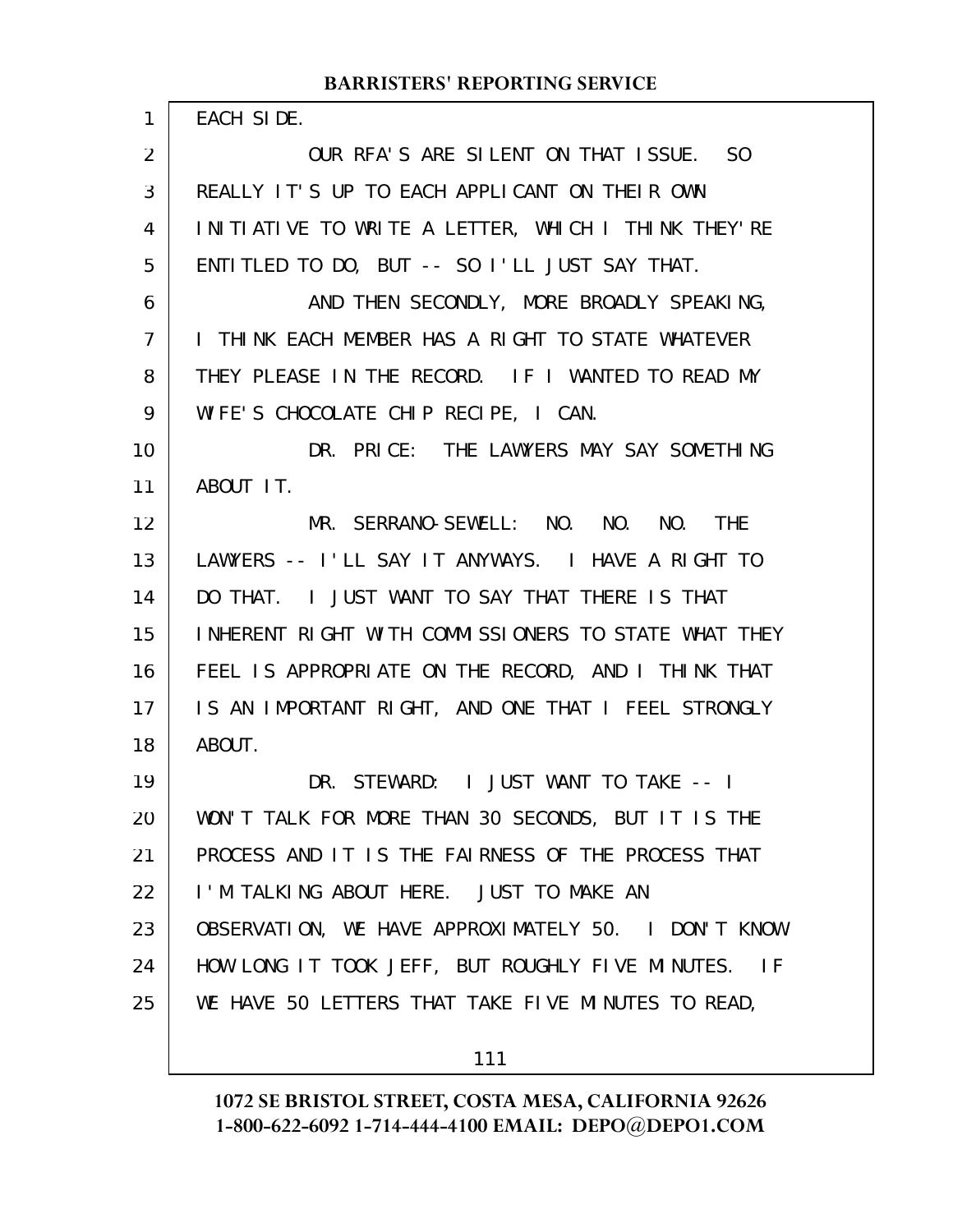| 1  | EACH SIDE.                                           |
|----|------------------------------------------------------|
| 2  | OUR RFA'S ARE SILENT ON THAT ISSUE. SO               |
| 3  | REALLY IT'S UP TO EACH APPLICANT ON THEIR OWN        |
| 4  | INITIATIVE TO WRITE A LETTER, WHICH I THINK THEY'RE  |
| 5  | ENTITLED TO DO, BUT -- SO I'LL JUST SAY THAT.        |
| 6  | AND THEN SECONDLY, MORE BROADLY SPEAKING,            |
| 7  | I THINK EACH MEMBER HAS A RIGHT TO STATE WHATEVER    |
| 8  | THEY PLEASE IN THE RECORD. IF I WANTED TO READ MY    |
| 9  | WIFE'S CHOCOLATE CHIP RECIPE, I CAN.                 |
| 10 | DR. PRICE: THE LAWYERS MAY SAY SOMETHING             |
| 11 | ABOUT IT.                                            |
| 12 | MR. SERRANO-SEWELL: NO. NO. NO. THE                  |
| 13 | LAWYERS -- I'LL SAY IT ANYWAYS. I HAVE A RIGHT TO    |
| 14 | DO THAT. I JUST WANT TO SAY THAT THERE IS THAT       |
| 15 | INHERENT RIGHT WITH COMMISSIONERS TO STATE WHAT THEY |
| 16 | FEEL IS APPROPRIATE ON THE RECORD, AND I THINK THAT  |
| 17 | IS AN IMPORTANT RIGHT, AND ONE THAT I FEEL STRONGLY  |
| 18 | ABOUT.                                               |
| 19 | DR. STEWARD: I JUST WANT TO TAKE -- I                |
| 20 | WON'T TALK FOR MORE THAN 30 SECONDS, BUT IT IS THE   |
| 21 | PROCESS AND IT IS THE FAIRNESS OF THE PROCESS THAT   |
| 22 | I'M TALKING ABOUT HERE. JUST TO MAKE AN              |
| 23 | OBSERVATION, WE HAVE APPROXIMATELY 50. I DON'T KNOW  |
| 24 | HOW LONG IT TOOK JEFF, BUT ROUGHLY FIVE MINUTES. IF  |
| 25 | WE HAVE 50 LETTERS THAT TAKE FIVE MINUTES TO READ,   |
|    |                                                      |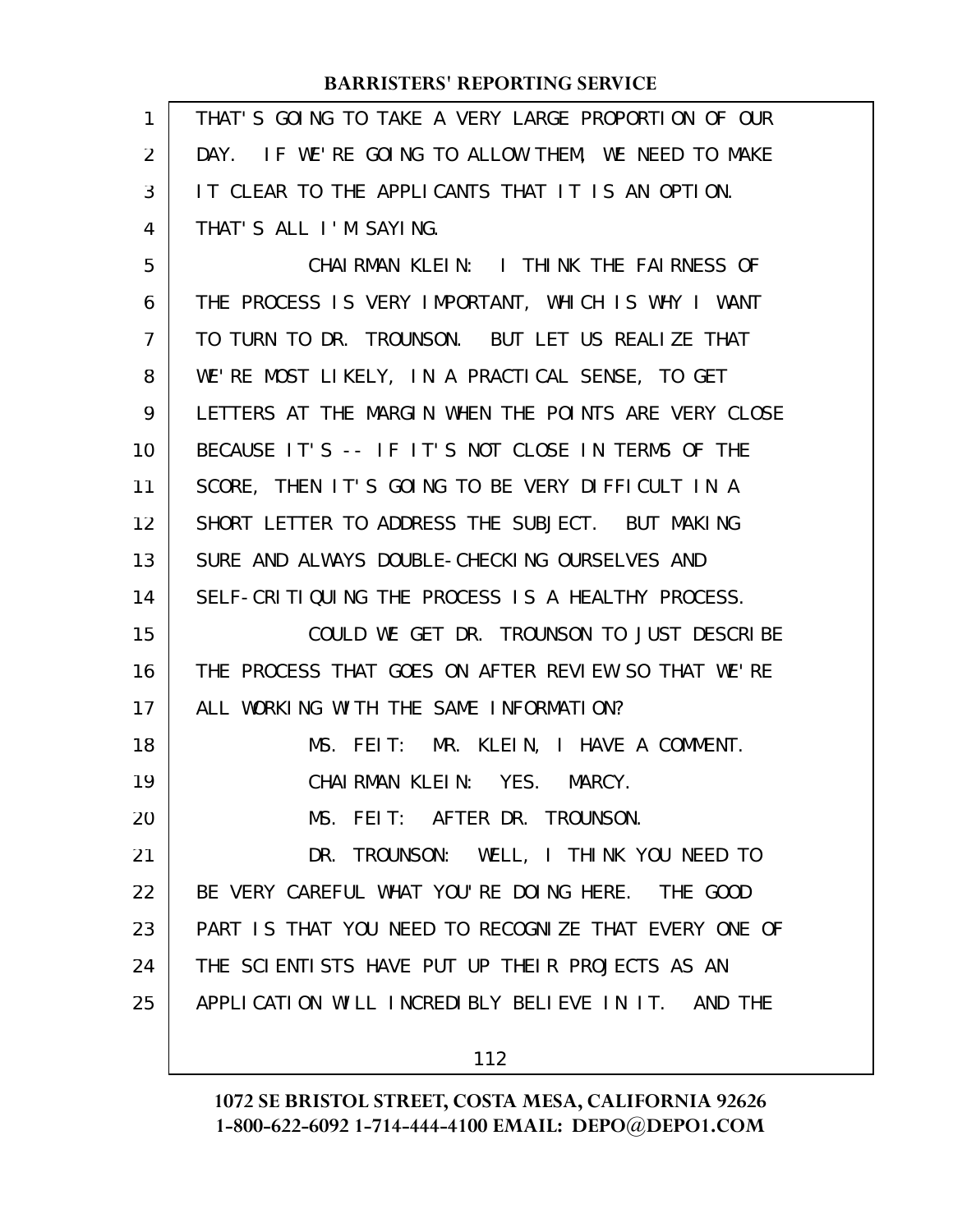| $\mathbf{1}$   | THAT'S GOING TO TAKE A VERY LARGE PROPORTION OF OUR  |
|----------------|------------------------------------------------------|
| $\overline{2}$ | DAY. IF WE'RE GOING TO ALLOW THEM, WE NEED TO MAKE   |
| 3              | IT CLEAR TO THE APPLICANTS THAT IT IS AN OPTION.     |
| 4              | THAT'S ALL I'M SAYING.                               |
| 5              | CHAIRMAN KLEIN: I THINK THE FAIRNESS OF              |
| 6              | THE PROCESS IS VERY IMPORTANT, WHICH IS WHY I WANT   |
| 7              | TO TURN TO DR. TROUNSON. BUT LET US REALIZE THAT     |
| 8              | WE'RE MOST LIKELY, IN A PRACTICAL SENSE, TO GET      |
| 9              | LETTERS AT THE MARGIN WHEN THE POINTS ARE VERY CLOSE |
| 10             | BECAUSE IT'S -- IF IT'S NOT CLOSE IN TERMS OF THE    |
| 11             | SCORE, THEN IT'S GOING TO BE VERY DIFFICULT IN A     |
| 12             | SHORT LETTER TO ADDRESS THE SUBJECT. BUT MAKING      |
| 13             | SURE AND ALWAYS DOUBLE-CHECKING OURSELVES AND        |
| 14             | SELF-CRITIQUING THE PROCESS IS A HEALTHY PROCESS.    |
| 15             | COULD WE GET DR. TROUNSON TO JUST DESCRIBE           |
| 16             | THE PROCESS THAT GOES ON AFTER REVIEW SO THAT WE'RE  |
| 17             | ALL WORKING WITH THE SAME INFORMATION?               |
| 18             | MS. FEIT: MR. KLEIN, I HAVE A COMMENT.               |
| 19             | CHAIRMAN KLEIN: YES. MARCY.                          |
| 20             | MS. FEIT: AFTER DR. TROUNSON.                        |
| 21             | DR. TROUNSON: WELL, I THINK YOU NEED TO              |
| 22             | BE VERY CAREFUL WHAT YOU'RE DOING HERE. THE GOOD     |
| 23             | PART IS THAT YOU NEED TO RECOGNIZE THAT EVERY ONE OF |
| 24             | THE SCIENTISTS HAVE PUT UP THEIR PROJECTS AS AN      |
| 25             | APPLICATION WILL INCREDIBLY BELIEVE IN IT. AND THE   |
|                | 112                                                  |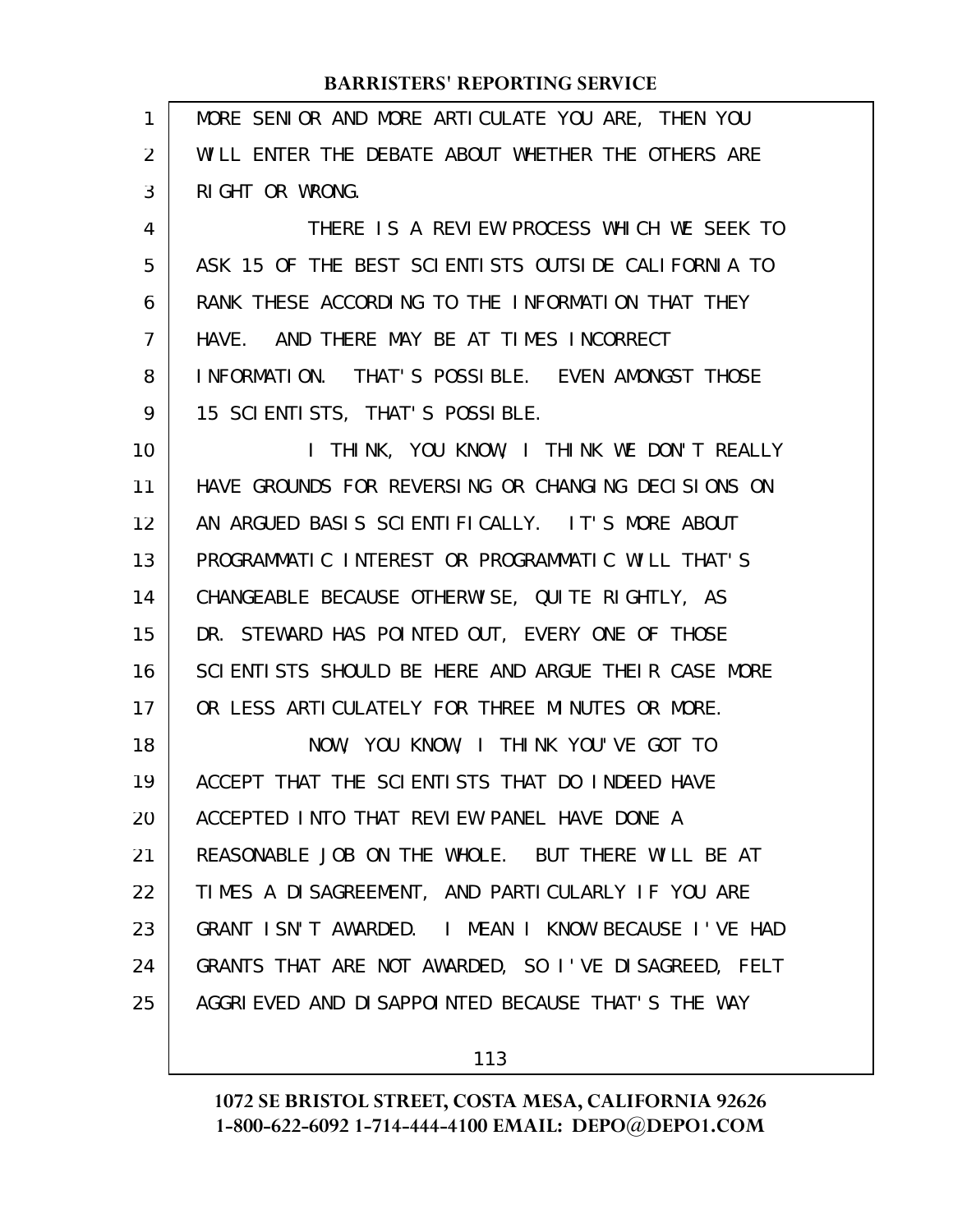| 1  | MORE SENIOR AND MORE ARTICULATE YOU ARE, THEN YOU    |
|----|------------------------------------------------------|
| 2  | WILL ENTER THE DEBATE ABOUT WHETHER THE OTHERS ARE   |
| 3  | RIGHT OR WRONG.                                      |
| 4  | THERE IS A REVIEW PROCESS WHICH WE SEEK TO           |
| 5  | ASK 15 OF THE BEST SCIENTISTS OUTSIDE CALIFORNIA TO  |
| 6  | RANK THESE ACCORDING TO THE INFORMATION THAT THEY    |
| 7  | HAVE. AND THERE MAY BE AT TIMES INCORRECT            |
| 8  | INFORMATION. THAT'S POSSIBLE. EVEN AMONGST THOSE     |
| 9  | 15 SCI ENTI STS, THAT'S POSSI BLE.                   |
| 10 | I THINK, YOU KNOW, I THINK WE DON'T REALLY           |
| 11 | HAVE GROUNDS FOR REVERSING OR CHANGING DECISIONS ON  |
| 12 | AN ARGUED BASIS SCIENTIFICALLY. IT'S MORE ABOUT      |
| 13 | PROGRAMMATIC INTEREST OR PROGRAMMATIC WILL THAT'S    |
| 14 | CHANGEABLE BECAUSE OTHERWISE, QUITE RIGHTLY, AS      |
| 15 | DR. STEWARD HAS POINTED OUT, EVERY ONE OF THOSE      |
| 16 | SCIENTISTS SHOULD BE HERE AND ARGUE THEIR CASE MORE  |
| 17 | OR LESS ARTICULATELY FOR THREE MINUTES OR MORE.      |
| 18 | NOW, YOU KNOW, I THINK YOU'VE GOT TO                 |
| 19 | ACCEPT THAT THE SCIENTISTS THAT DO INDEED HAVE       |
| 20 | ACCEPTED INTO THAT REVIEW PANEL HAVE DONE A          |
| 21 | REASONABLE JOB ON THE WHOLE. BUT THERE WILL BE AT    |
| 22 | TIMES A DISAGREEMENT, AND PARTICULARLY IF YOU ARE    |
| 23 | GRANT ISN'T AWARDED. I MEAN I KNOW BECAUSE I'VE HAD  |
| 24 | GRANTS THAT ARE NOT AWARDED, SO I'VE DISAGREED, FELT |
| 25 | AGGRIEVED AND DISAPPOINTED BECAUSE THAT'S THE WAY    |
|    |                                                      |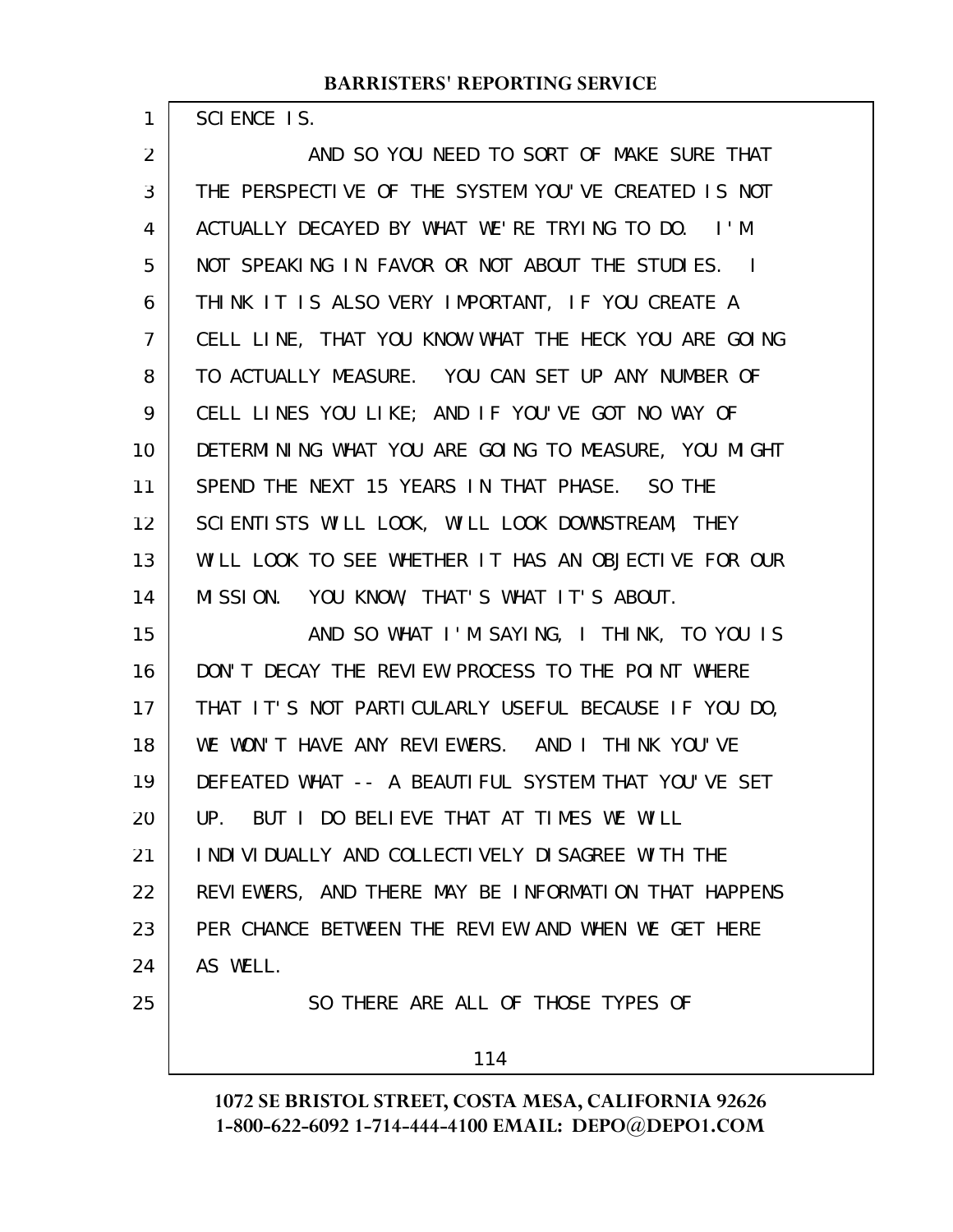SCIENCE IS.

1

AND SO YOU NEED TO SORT OF MAKE SURE THAT THE PERSPECTIVE OF THE SYSTEM YOU'VE CREATED IS NOT ACTUALLY DECAYED BY WHAT WE'RE TRYING TO DO. I'M NOT SPEAKING IN FAVOR OR NOT ABOUT THE STUDIES. I THINK IT IS ALSO VERY IMPORTANT, IF YOU CREATE A CELL LINE, THAT YOU KNOW WHAT THE HECK YOU ARE GOING TO ACTUALLY MEASURE. YOU CAN SET UP ANY NUMBER OF CELL LINES YOU LIKE; AND IF YOU'VE GOT NO WAY OF DETERMINING WHAT YOU ARE GOING TO MEASURE, YOU MIGHT SPEND THE NEXT 15 YEARS IN THAT PHASE. SO THE SCIENTISTS WILL LOOK, WILL LOOK DOWNSTREAM, THEY WILL LOOK TO SEE WHETHER IT HAS AN OBJECTIVE FOR OUR MISSION. YOU KNOW, THAT'S WHAT IT'S ABOUT. AND SO WHAT I'M SAYING, I THINK, TO YOU IS DON'T DECAY THE REVIEW PROCESS TO THE POINT WHERE THAT IT'S NOT PARTICULARLY USEFUL BECAUSE IF YOU DO, WE WON'T HAVE ANY REVIEWERS. AND I THINK YOU'VE DEFEATED WHAT -- A BEAUTIFUL SYSTEM THAT YOU'VE SET UP. BUT I DO BELIEVE THAT AT TIMES WE WILL INDIVIDUALLY AND COLLECTIVELY DISAGREE WITH THE REVIEWERS, AND THERE MAY BE INFORMATION THAT HAPPENS PER CHANCE BETWEEN THE REVIEW AND WHEN WE GET HERE AS WELL. SO THERE ARE ALL OF THOSE TYPES OF 2 3 4 5 6 7 8 9 10 11 12 13 14 15 16 17 18 19 20 21 22 23 24 25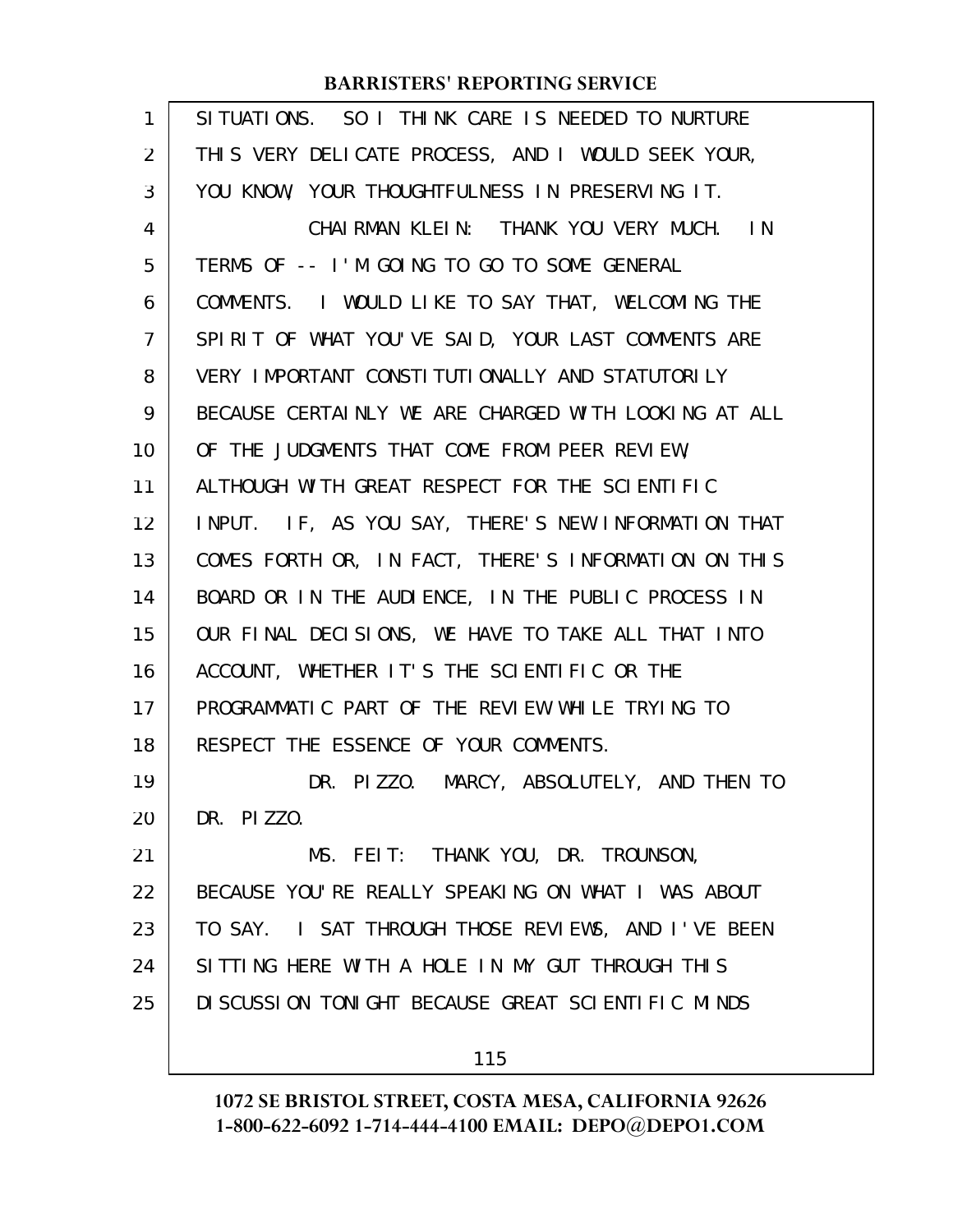| 1  | SITUATIONS. SO I THINK CARE IS NEEDED TO NURTURE     |
|----|------------------------------------------------------|
| 2  | THIS VERY DELICATE PROCESS, AND I WOULD SEEK YOUR,   |
| 3  | YOU KNOW, YOUR THOUGHTFULNESS IN PRESERVING IT.      |
| 4  | CHAIRMAN KLEIN: THANK YOU VERY MUCH. IN              |
| 5  | TERMS OF -- I'M GOING TO GO TO SOME GENERAL          |
| 6  | COMMENTS. I WOULD LIKE TO SAY THAT, WELCOMING THE    |
| 7  | SPIRIT OF WHAT YOU'VE SAID, YOUR LAST COMMENTS ARE   |
| 8  | VERY IMPORTANT CONSTITUTIONALLY AND STATUTORILY      |
| 9  | BECAUSE CERTAINLY WE ARE CHARGED WITH LOOKING AT ALL |
| 10 | OF THE JUDGMENTS THAT COME FROM PEER REVIEW,         |
| 11 | ALTHOUGH WITH GREAT RESPECT FOR THE SCIENTIFIC       |
| 12 | INPUT. IF, AS YOU SAY, THERE'S NEW INFORMATION THAT  |
| 13 | COMES FORTH OR, IN FACT, THERE'S INFORMATION ON THIS |
| 14 | BOARD OR IN THE AUDIENCE, IN THE PUBLIC PROCESS IN   |
| 15 | OUR FINAL DECISIONS, WE HAVE TO TAKE ALL THAT INTO   |
| 16 | ACCOUNT, WHETHER IT'S THE SCIENTIFIC OR THE          |
| 17 | PROGRAMMATIC PART OF THE REVIEW WHILE TRYING TO      |
| 18 | RESPECT THE ESSENCE OF YOUR COMMENTS.                |
| 19 | DR. PIZZO. MARCY, ABSOLUTELY, AND THEN TO            |
| 20 | DR. PIZZO.                                           |
| 21 | MS. FEIT: THANK YOU, DR. TROUNSON,                   |
| 22 | BECAUSE YOU'RE REALLY SPEAKING ON WHAT I WAS ABOUT   |
| 23 | TO SAY. I SAT THROUGH THOSE REVIEWS, AND I'VE BEEN   |
| 24 | SITTING HERE WITH A HOLE IN MY GUT THROUGH THIS      |
| 25 | DI SCUSSION TONIGHT BECAUSE GREAT SCIENTIFIC MINDS   |
|    | 115                                                  |
|    |                                                      |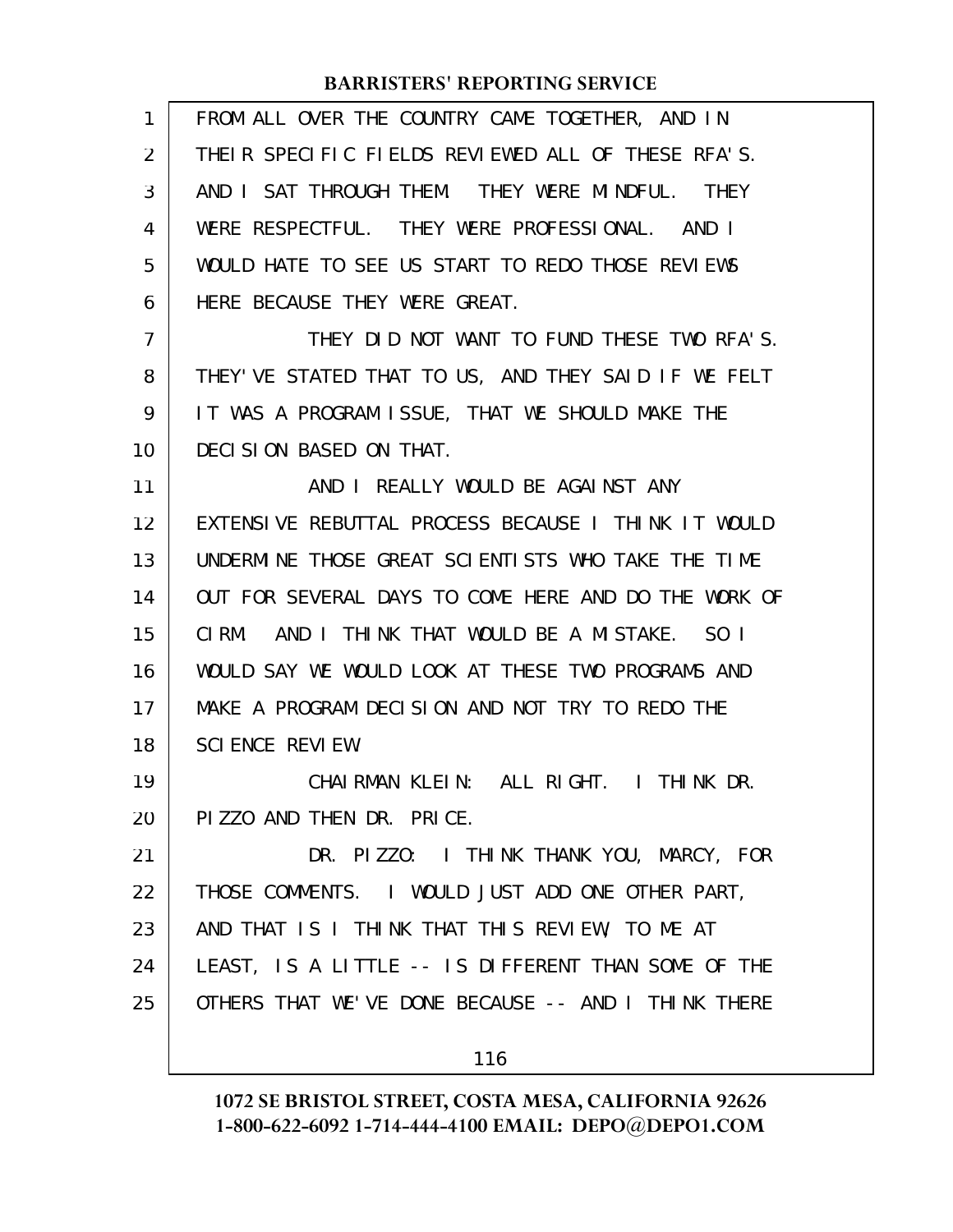| 1              | FROM ALL OVER THE COUNTRY CAME TOGETHER, AND IN      |
|----------------|------------------------------------------------------|
| 2              | THEIR SPECIFIC FIELDS REVIEWED ALL OF THESE RFA'S.   |
| 3              | AND I SAT THROUGH THEM. THEY WERE MINDFUL. THEY      |
| 4              | WERE RESPECTFUL. THEY WERE PROFESSIONAL. AND I       |
| 5              | WOULD HATE TO SEE US START TO REDO THOSE REVIEWS     |
| 6              | HERE BECAUSE THEY WERE GREAT.                        |
| $\overline{7}$ | THEY DID NOT WANT TO FUND THESE TWO RFA'S.           |
| 8              | THEY'VE STATED THAT TO US, AND THEY SAID IF WE FELT  |
| 9              | IT WAS A PROGRAM ISSUE, THAT WE SHOULD MAKE THE      |
| 10             | DECISION BASED ON THAT.                              |
| 11             | AND I REALLY WOULD BE AGAINST ANY                    |
| 12             | EXTENSIVE REBUTTAL PROCESS BECAUSE I THINK IT WOULD  |
| 13             | UNDERMINE THOSE GREAT SCIENTISTS WHO TAKE THE TIME   |
| 14             | OUT FOR SEVERAL DAYS TO COME HERE AND DO THE WORK OF |
| 15             | CI RM.<br>AND I THINK THAT WOULD BE A MISTAKE. SO I  |
| 16             | WOULD SAY WE WOULD LOOK AT THESE TWO PROGRAMS AND    |
| 17             | MAKE A PROGRAM DECISION AND NOT TRY TO REDO THE      |
| 18             | SCIENCE REVIEW.                                      |
| 19             | CHAIRMAN KLEIN: ALL RIGHT. I THINK DR.               |
| 20             | PIZZO AND THEN DR. PRICE.                            |
| 21             | DR. PIZZO: I THINK THANK YOU, MARCY, FOR             |
| 22             | THOSE COMMENTS. I WOULD JUST ADD ONE OTHER PART,     |
| 23             | AND THAT IS I THINK THAT THIS REVIEW, TO ME AT       |
| 24             | LEAST, IS A LITTLE -- IS DIFFERENT THAN SOME OF THE  |
| 25             | OTHERS THAT WE'VE DONE BECAUSE -- AND I THINK THERE  |
|                | 116                                                  |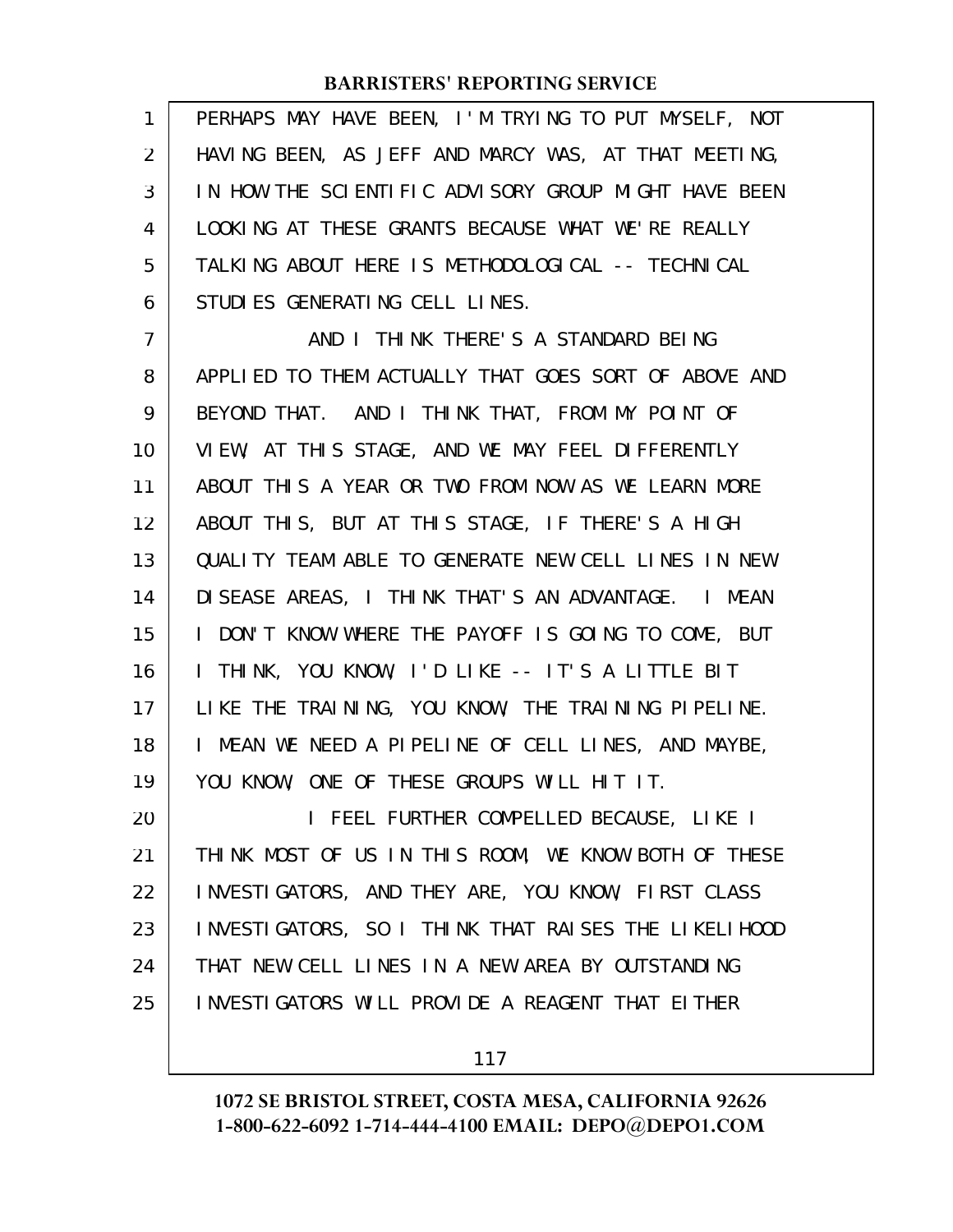PERHAPS MAY HAVE BEEN, I'M TRYING TO PUT MYSELF, NOT HAVING BEEN, AS JEFF AND MARCY WAS, AT THAT MEETING, IN HOW THE SCIENTIFIC ADVISORY GROUP MIGHT HAVE BEEN LOOKING AT THESE GRANTS BECAUSE WHAT WE'RE REALLY TALKING ABOUT HERE IS METHODOLOGICAL -- TECHNICAL STUDIES GENERATING CELL LINES. 1 2 3 4 5 6

AND I THINK THERE'S A STANDARD BEING APPLIED TO THEM ACTUALLY THAT GOES SORT OF ABOVE AND BEYOND THAT. AND I THINK THAT, FROM MY POINT OF VIEW, AT THIS STAGE, AND WE MAY FEEL DIFFERENTLY ABOUT THIS A YEAR OR TWO FROM NOW AS WE LEARN MORE ABOUT THIS, BUT AT THIS STAGE, IF THERE'S A HIGH QUALITY TEAM ABLE TO GENERATE NEW CELL LINES IN NEW DISEASE AREAS, I THINK THAT'S AN ADVANTAGE. I MEAN I DON'T KNOW WHERE THE PAYOFF IS GOING TO COME, BUT I THINK, YOU KNOW, I'D LIKE -- IT'S A LITTLE BIT LIKE THE TRAINING, YOU KNOW, THE TRAINING PIPELINE. I MEAN WE NEED A PIPELINE OF CELL LINES, AND MAYBE, YOU KNOW, ONE OF THESE GROUPS WILL HIT IT. 7 8 9 10 11 12 13 14 15 16 17 18 19

I FEEL FURTHER COMPELLED BECAUSE, LIKE I THINK MOST OF US IN THIS ROOM, WE KNOW BOTH OF THESE INVESTIGATORS, AND THEY ARE, YOU KNOW, FIRST CLASS INVESTIGATORS, SO I THINK THAT RAISES THE LIKELIHOOD THAT NEW CELL LINES IN A NEW AREA BY OUTSTANDING INVESTIGATORS WILL PROVIDE A REAGENT THAT EITHER 20 21 22 23 24 25

117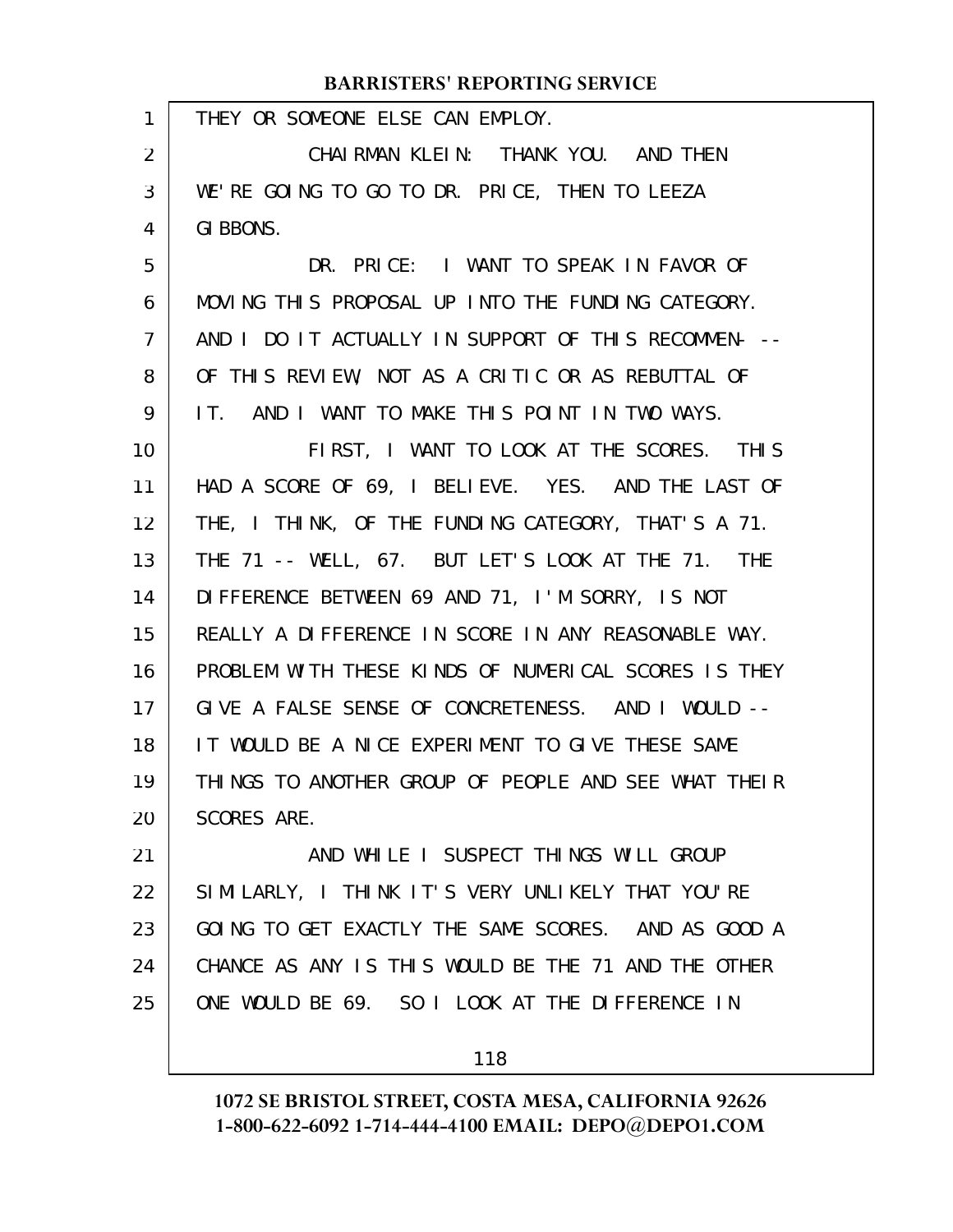#### THEY OR SOMEONE ELSE CAN EMPLOY. CHAIRMAN KLEIN: THANK YOU. AND THEN WE'RE GOING TO GO TO DR. PRICE, THEN TO LEEZA GI BBONS. DR. PRICE: I WANT TO SPEAK IN FAVOR OF MOVING THIS PROPOSAL UP INTO THE FUNDING CATEGORY. AND I DO IT ACTUALLY IN SUPPORT OF THIS RECOMMEN- -- OF THIS REVIEW, NOT AS A CRITIC OR AS REBUTTAL OF IT. AND I WANT TO MAKE THIS POINT IN TWO WAYS. FIRST, I WANT TO LOOK AT THE SCORES. THIS HAD A SCORE OF 69, I BELIEVE. YES. AND THE LAST OF THE, I THINK, OF THE FUNDING CATEGORY, THAT'S A 71. THE 71 -- WELL, 67. BUT LET'S LOOK AT THE 71. THE DIFFERENCE BETWEEN 69 AND 71, I'M SORRY, IS NOT REALLY A DIFFERENCE IN SCORE IN ANY REASONABLE WAY. PROBLEM WITH THESE KINDS OF NUMERICAL SCORES IS THEY GIVE A FALSE SENSE OF CONCRETENESS. AND I WOULD -- IT WOULD BE A NICE EXPERIMENT TO GIVE THESE SAME THINGS TO ANOTHER GROUP OF PEOPLE AND SEE WHAT THEIR SCORES ARE. AND WHILE I SUSPECT THINGS WILL GROUP SIMILARLY, I THINK IT'S VERY UNLIKELY THAT YOU'RE GOING TO GET EXACTLY THE SAME SCORES. AND AS GOOD A CHANCE AS ANY IS THIS WOULD BE THE 71 AND THE OTHER ONE WOULD BE 69. SO I LOOK AT THE DIFFERENCE IN **BARRISTERS' REPORTING SERVICE** 1 2 3 4 5 6 7 8 9 10 11 12 13 14 15 16 17 18 19 20 21 22 23 24 25

118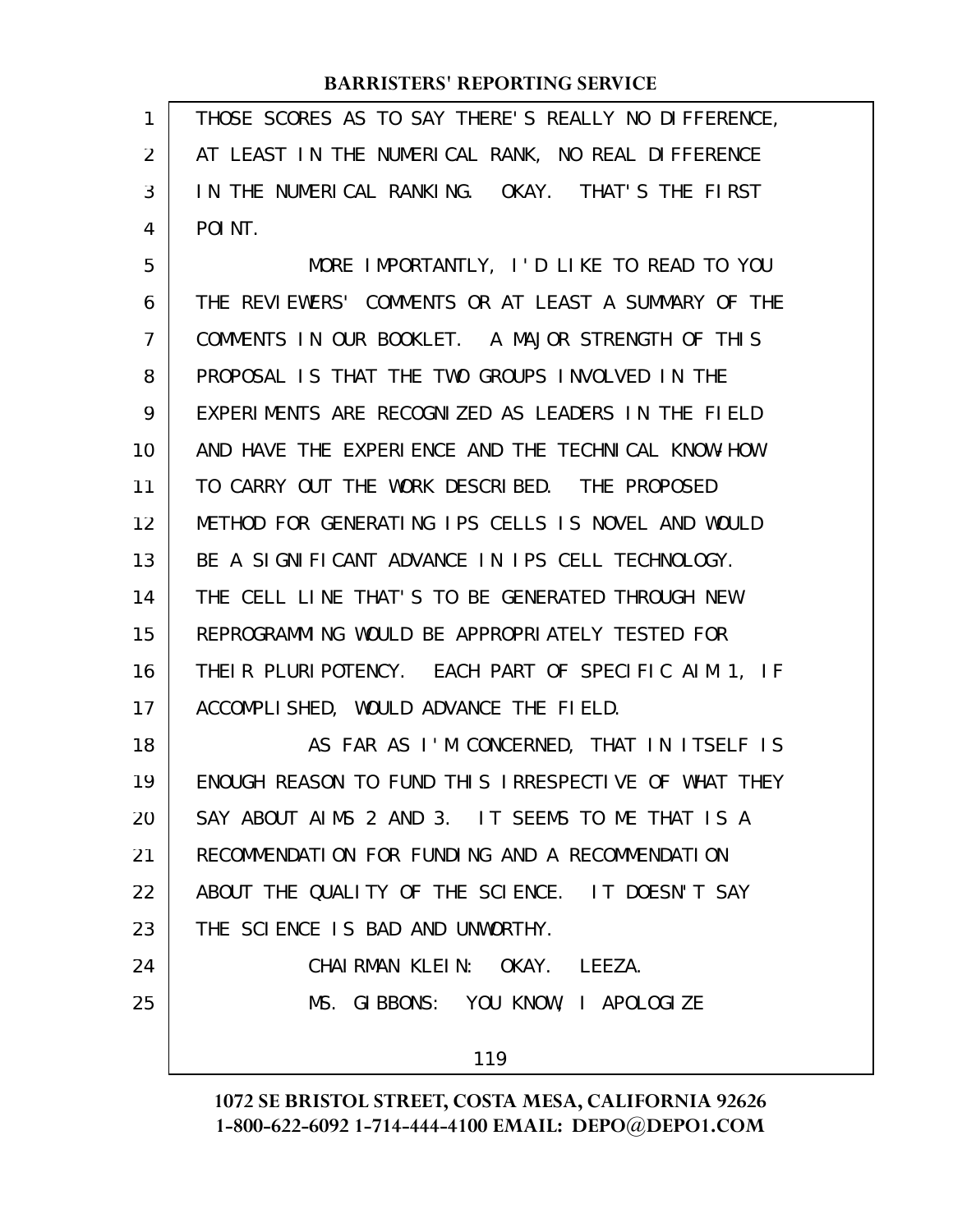THOSE SCORES AS TO SAY THERE'S REALLY NO DIFFERENCE, AT LEAST IN THE NUMERICAL RANK, NO REAL DIFFERENCE IN THE NUMERICAL RANKING. OKAY. THAT'S THE FIRST POINT. 1 2 3 4

MORE IMPORTANTLY, I'D LIKE TO READ TO YOU THE REVIEWERS' COMMENTS OR AT LEAST A SUMMARY OF THE COMMENTS IN OUR BOOKLET. A MAJOR STRENGTH OF THIS PROPOSAL IS THAT THE TWO GROUPS INVOLVED IN THE EXPERIMENTS ARE RECOGNIZED AS LEADERS IN THE FIELD AND HAVE THE EXPERIENCE AND THE TECHNICAL KNOW-HOW TO CARRY OUT THE WORK DESCRIBED. THE PROPOSED METHOD FOR GENERATING IPS CELLS IS NOVEL AND WOULD BE A SIGNIFICANT ADVANCE IN IPS CELL TECHNOLOGY. THE CELL LINE THAT'S TO BE GENERATED THROUGH NEW REPROGRAMMING WOULD BE APPROPRIATELY TESTED FOR THEIR PLURIPOTENCY. EACH PART OF SPECIFIC AIM 1, IF ACCOMPLISHED, WOULD ADVANCE THE FIELD. AS FAR AS I'M CONCERNED, THAT IN ITSELF IS ENOUGH REASON TO FUND THIS IRRESPECTIVE OF WHAT THEY 5 6 7 8 9 10 11 12 13 14 15 16 17 18 19

SAY ABOUT AIMS 2 AND 3. IT SEEMS TO ME THAT IS A RECOMMENDATION FOR FUNDING AND A RECOMMENDATION ABOUT THE QUALITY OF THE SCIENCE. IT DOESN'T SAY THE SCIENCE IS BAD AND UNWORTHY. 20 21 22 23

CHAIRMAN KLEIN: OKAY. LEEZA. MS. GIBBONS: YOU KNOW, I APOLOGIZE 24 25

119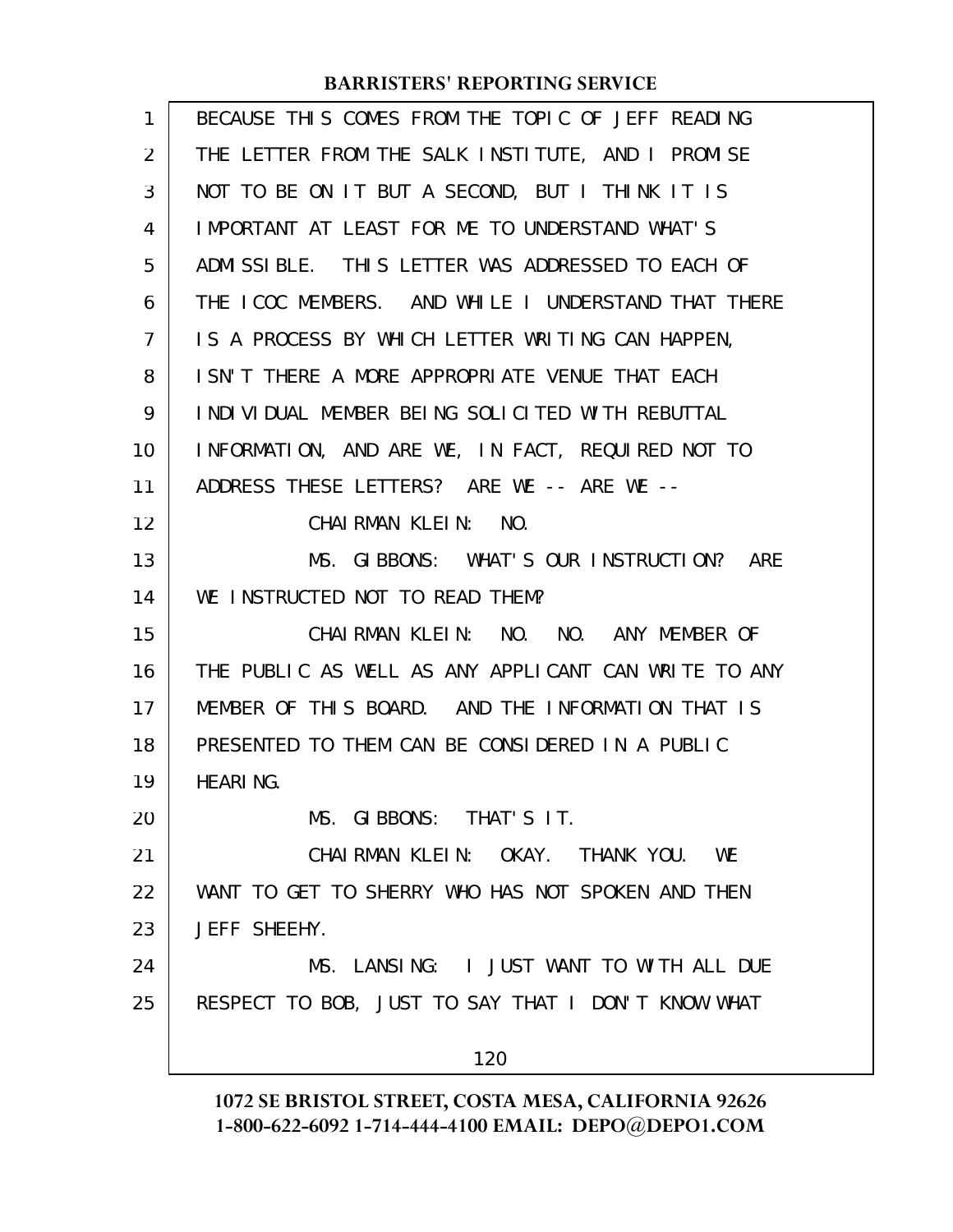| 1              | BECAUSE THIS COMES FROM THE TOPIC OF JEFF READING    |
|----------------|------------------------------------------------------|
| 2              | THE LETTER FROM THE SALK INSTITUTE, AND I PROMISE    |
| 3              | NOT TO BE ON IT BUT A SECOND, BUT I THINK IT IS      |
| 4              | IMPORTANT AT LEAST FOR ME TO UNDERSTAND WHAT'S       |
| 5              | ADMISSIBLE. THIS LETTER WAS ADDRESSED TO EACH OF     |
| 6              | THE ICOC MEMBERS. AND WHILE I UNDERSTAND THAT THERE  |
| $\overline{7}$ | IS A PROCESS BY WHICH LETTER WRITING CAN HAPPEN,     |
| 8              | I SN'T THERE A MORE APPROPRIATE VENUE THAT EACH      |
| 9              | INDIVIDUAL MEMBER BEING SOLICITED WITH REBUTTAL      |
| 10             | INFORMATION, AND ARE WE, IN FACT, REQUIRED NOT TO    |
| 11             | ADDRESS THESE LETTERS? ARE WE -- ARE WE --           |
| 12             | CHAI RMAN KLEIN:<br>NO.                              |
| 13             | MS. GIBBONS: WHAT'S OUR INSTRUCTION? ARE             |
| 14             | WE INSTRUCTED NOT TO READ THEM?                      |
| 15             | CHAIRMAN KLEIN: NO. NO. ANY MEMBER OF                |
| 16             | THE PUBLIC AS WELL AS ANY APPLICANT CAN WRITE TO ANY |
| 17             | MEMBER OF THIS BOARD. AND THE INFORMATION THAT IS    |
| 18             | PRESENTED TO THEM CAN BE CONSIDERED IN A PUBLIC      |
| 19             | <b>HEARING.</b>                                      |
| 20             | MS. GIBBONS: THAT'S IT.                              |
| 21             | CHAIRMAN KLEIN: OKAY. THANK YOU. WE                  |
| 22             | WANT TO GET TO SHERRY WHO HAS NOT SPOKEN AND THEN    |
| 23             | JEFF SHEEHY.                                         |
| 24             | MS. LANSING: I JUST WANT TO WITH ALL DUE             |
| 25             | RESPECT TO BOB, JUST TO SAY THAT I DON'T KNOW WHAT   |
|                | 120                                                  |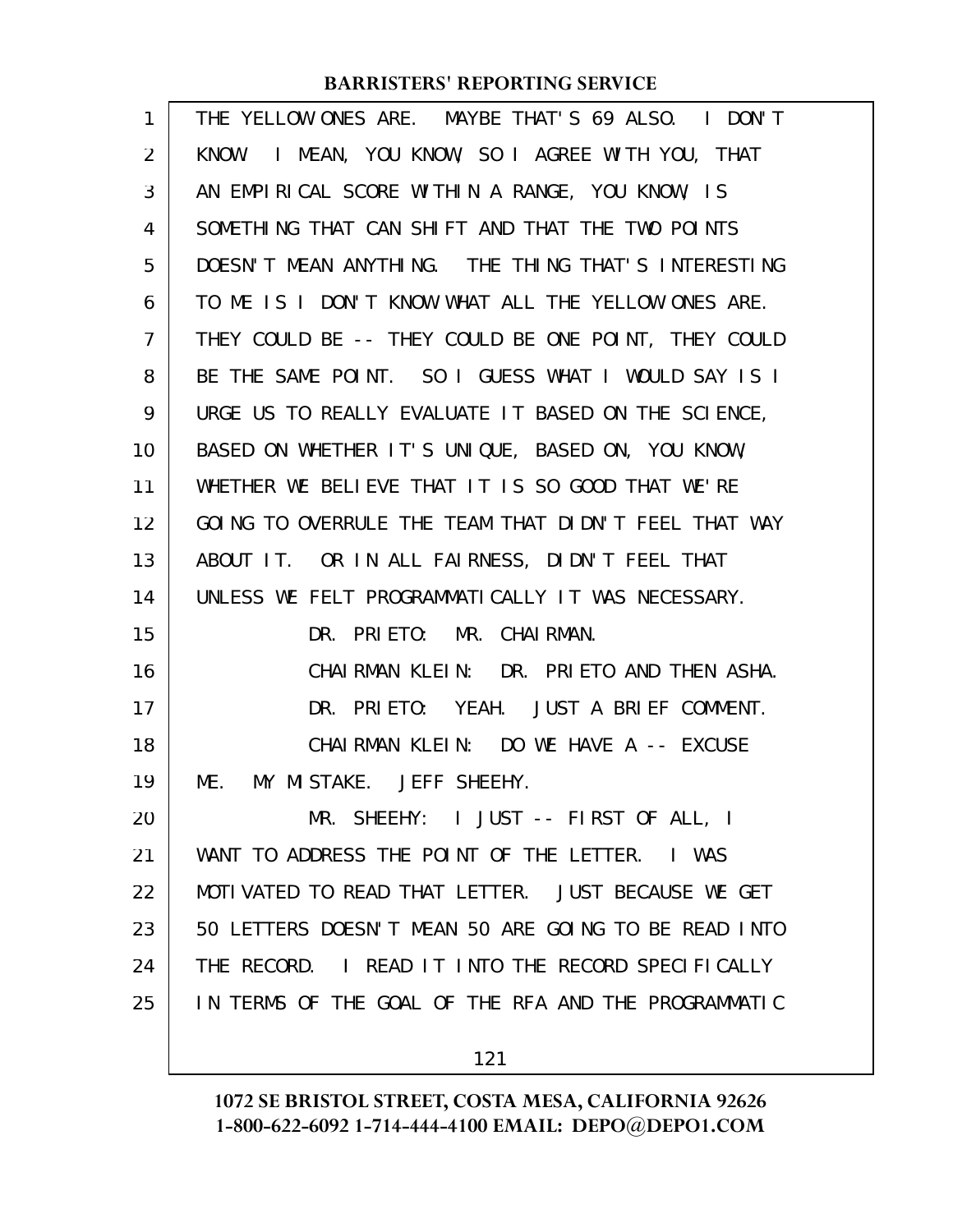| 1              | THE YELLOW ONES ARE. MAYBE THAT'S 69 ALSO. I DON'T   |
|----------------|------------------------------------------------------|
| $\overline{2}$ | I MEAN, YOU KNOW, SO I AGREE WITH YOU, THAT<br>KNOW. |
| 3              | AN EMPIRICAL SCORE WITHIN A RANGE, YOU KNOW, IS      |
| 4              | SOMETHING THAT CAN SHIFT AND THAT THE TWO POINTS     |
| 5              | DOESN'T MEAN ANYTHING. THE THING THAT'S INTERESTING  |
| 6              | TO ME IS I DON'T KNOW WHAT ALL THE YELLOW ONES ARE.  |
| 7              | THEY COULD BE -- THEY COULD BE ONE POINT, THEY COULD |
| 8              | BE THE SAME POINT. SO I GUESS WHAT I WOULD SAY IS I  |
| 9              | URGE US TO REALLY EVALUATE IT BASED ON THE SCIENCE,  |
| 10             | BASED ON WHETHER IT'S UNIQUE, BASED ON, YOU KNOW,    |
| 11             | WHETHER WE BELIEVE THAT IT IS SO GOOD THAT WE'RE     |
| 12             | GOING TO OVERRULE THE TEAM THAT DIDN'T FEEL THAT WAY |
| 13             | ABOUT IT. OR IN ALL FAIRNESS, DIDN'T FEEL THAT       |
| 14             | UNLESS WE FELT PROGRAMMATICALLY IT WAS NECESSARY.    |
| 15             | DR. PRIETO: MR. CHAIRMAN.                            |
| 16             | CHAIRMAN KLEIN: DR. PRIETO AND THEN ASHA.            |
| 17             | DR. PRIETO: YEAH. JUST A BRIEF COMMENT.              |
| 18             | CHAIRMAN KLEIN: DO WE HAVE A -- EXCUSE               |
| 19             | MY MISTAKE. JEFF SHEEHY.<br>ME.                      |
| 20             | MR. SHEEHY: I JUST -- FIRST OF ALL, I                |
| 21             | WANT TO ADDRESS THE POINT OF THE LETTER.<br>I WAS    |
| 22             | MOTIVATED TO READ THAT LETTER. JUST BECAUSE WE GET   |
| 23             | 50 LETTERS DOESN'T MEAN 50 ARE GOING TO BE READ INTO |
| 24             | THE RECORD. I READ IT INTO THE RECORD SPECIFICALLY   |
| 25             | IN TERMS OF THE GOAL OF THE RFA AND THE PROGRAMMATIC |
|                |                                                      |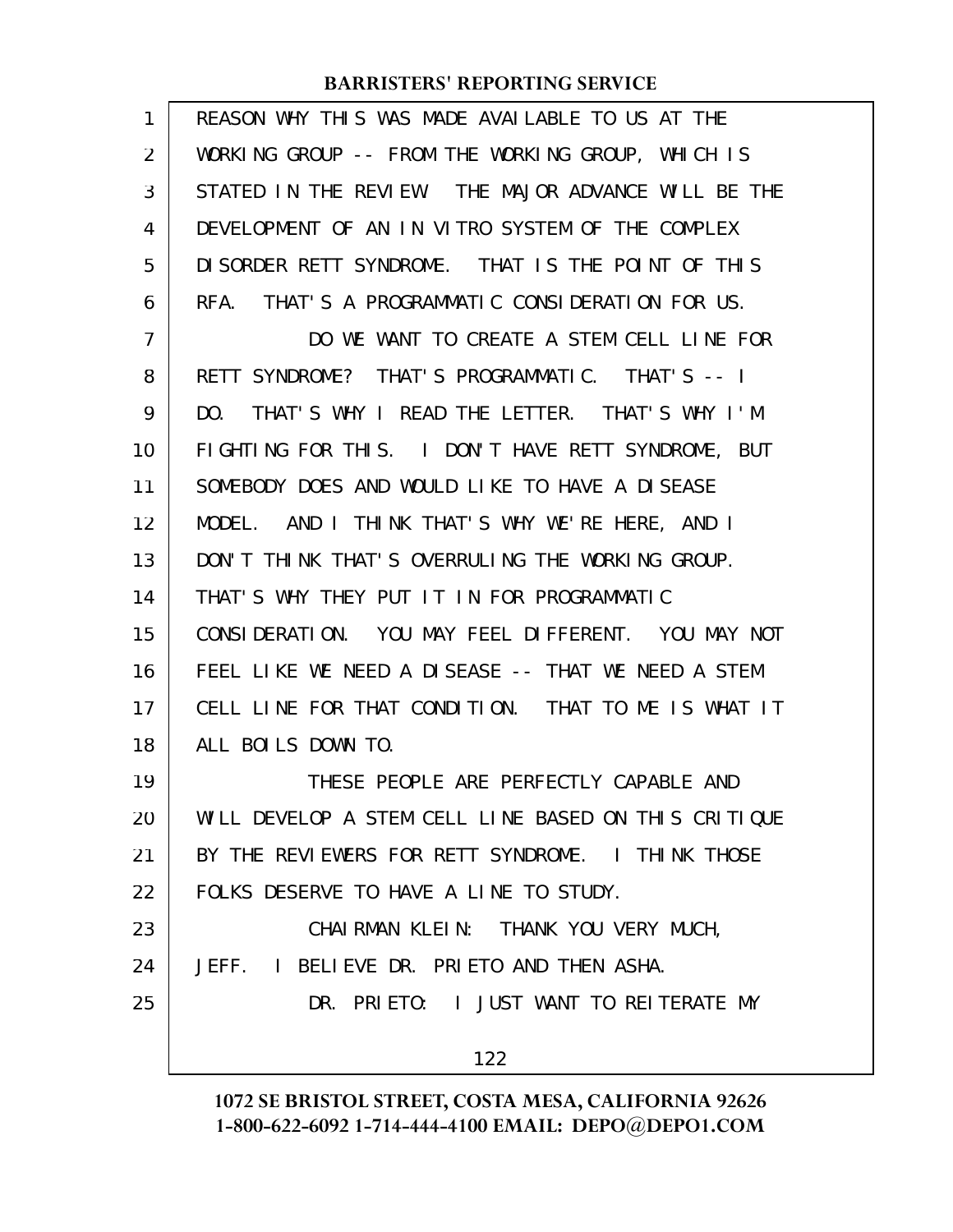| 1              | REASON WHY THIS WAS MADE AVAILABLE TO US AT THE      |
|----------------|------------------------------------------------------|
| 2              | WORKING GROUP -- FROM THE WORKING GROUP, WHICH IS    |
| 3              | STATED IN THE REVIEW. THE MAJOR ADVANCE WILL BE THE  |
| 4              | DEVELOPMENT OF AN IN VITRO SYSTEM OF THE COMPLEX     |
| 5              | DISORDER RETT SYNDROME. THAT IS THE POINT OF THIS    |
| 6              | RFA. THAT'S A PROGRAMMATIC CONSIDERATION FOR US.     |
| $\overline{7}$ | DO WE WANT TO CREATE A STEM CELL LINE FOR            |
| 8              | RETT SYNDROME? THAT'S PROGRAMMATIC. THAT'S -- I      |
| 9              | THAT'S WHY I READ THE LETTER. THAT'S WHY I'M<br>DO.  |
| 10             | FIGHTING FOR THIS. I DON'T HAVE RETT SYNDROME, BUT   |
| 11             | SOMEBODY DOES AND WOULD LIKE TO HAVE A DISEASE       |
| 12             | MODEL. AND I THINK THAT'S WHY WE'RE HERE, AND I      |
| 13             | DON'T THINK THAT'S OVERRULING THE WORKING GROUP.     |
| 14             | THAT'S WHY THEY PUT IT IN FOR PROGRAMMATIC           |
| 15             | CONSIDERATION. YOU MAY FEEL DIFFERENT. YOU MAY NOT   |
| 16             | FEEL LIKE WE NEED A DISEASE -- THAT WE NEED A STEM   |
| 17             | CELL LINE FOR THAT CONDITION. THAT TO ME IS WHAT IT  |
| 18             | ALL BOILS DOWN TO.                                   |
| 19             | THESE PEOPLE ARE PERFECTLY CAPABLE AND               |
| 20             | WILL DEVELOP A STEM CELL LINE BASED ON THIS CRITIQUE |
| 21             | BY THE REVIEWERS FOR RETT SYNDROME. I THINK THOSE    |
| 22             | FOLKS DESERVE TO HAVE A LINE TO STUDY.               |
| 23             | CHAIRMAN KLEIN: THANK YOU VERY MUCH,                 |
| 24             | JEFF. I BELIEVE DR. PRIETO AND THEN ASHA.            |
| 25             | DR. PRIETO: I JUST WANT TO REITERATE MY              |
|                | 122                                                  |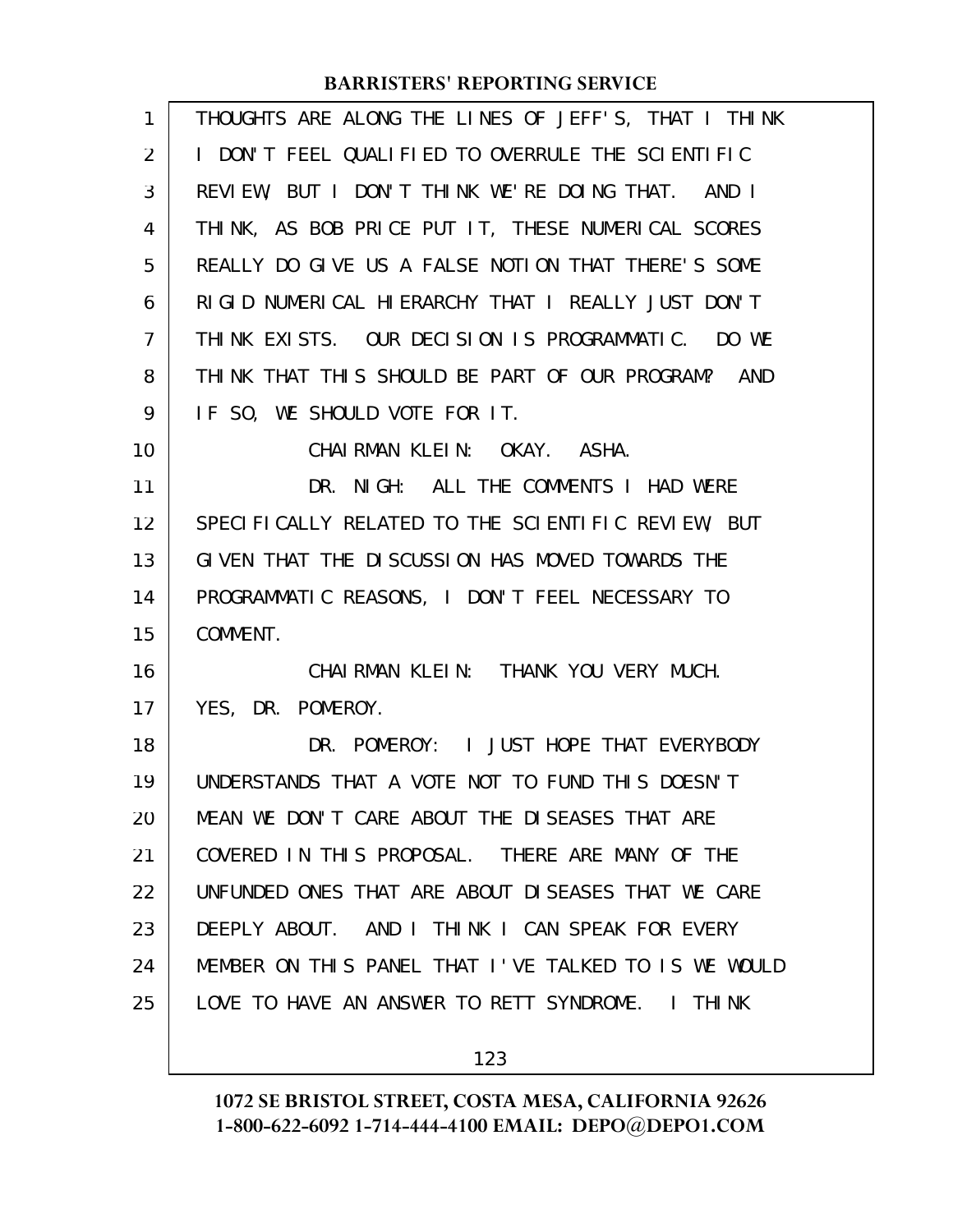| $\mathbf{1}$   | THOUGHTS ARE ALONG THE LINES OF JEFF'S, THAT I THINK |
|----------------|------------------------------------------------------|
| 2              | I DON'T FEEL QUALIFIED TO OVERRULE THE SCIENTIFIC    |
| 3              | REVIEW, BUT I DON'T THINK WE'RE DOING THAT. AND I    |
| 4              | THINK, AS BOB PRICE PUT IT, THESE NUMERICAL SCORES   |
| 5              | REALLY DO GIVE US A FALSE NOTION THAT THERE'S SOME   |
| 6              | RIGID NUMERICAL HIERARCHY THAT I REALLY JUST DON'T   |
| $\overline{7}$ | THINK EXISTS. OUR DECISION IS PROGRAMMATIC. DO WE    |
| 8              | THINK THAT THIS SHOULD BE PART OF OUR PROGRAM? AND   |
| 9              | IF SO, WE SHOULD VOTE FOR IT.                        |
| 10             | CHAIRMAN KLEIN: OKAY. ASHA.                          |
| 11             | DR. NIGH: ALL THE COMMENTS I HAD WERE                |
| 12             | SPECIFICALLY RELATED TO THE SCIENTIFIC REVIEW, BUT   |
| 13             | GIVEN THAT THE DISCUSSION HAS MOVED TOWARDS THE      |
| 14             | PROGRAMMATIC REASONS, I DON'T FEEL NECESSARY TO      |
| 15             | COMMENT.                                             |
| 16             | CHAIRMAN KLEIN: THANK YOU VERY MUCH.                 |
| 17             | YES, DR. POMEROY.                                    |
| 18             | DR. POMEROY: I JUST HOPE THAT EVERYBODY              |
| 19             | UNDERSTANDS THAT A VOTE NOT TO FUND THIS DOESN'T     |
| 20             | MEAN WE DON'T CARE ABOUT THE DISEASES THAT ARE       |
| 21             | COVERED IN THIS PROPOSAL. THERE ARE MANY OF THE      |
| 22             | UNFUNDED ONES THAT ARE ABOUT DISEASES THAT WE CARE   |
| 23             | DEEPLY ABOUT. AND I THINK I CAN SPEAK FOR EVERY      |
| 24             | MEMBER ON THIS PANEL THAT I'VE TALKED TO IS WE WOULD |
| 25             | LOVE TO HAVE AN ANSWER TO RETT SYNDROME. I THINK     |
|                |                                                      |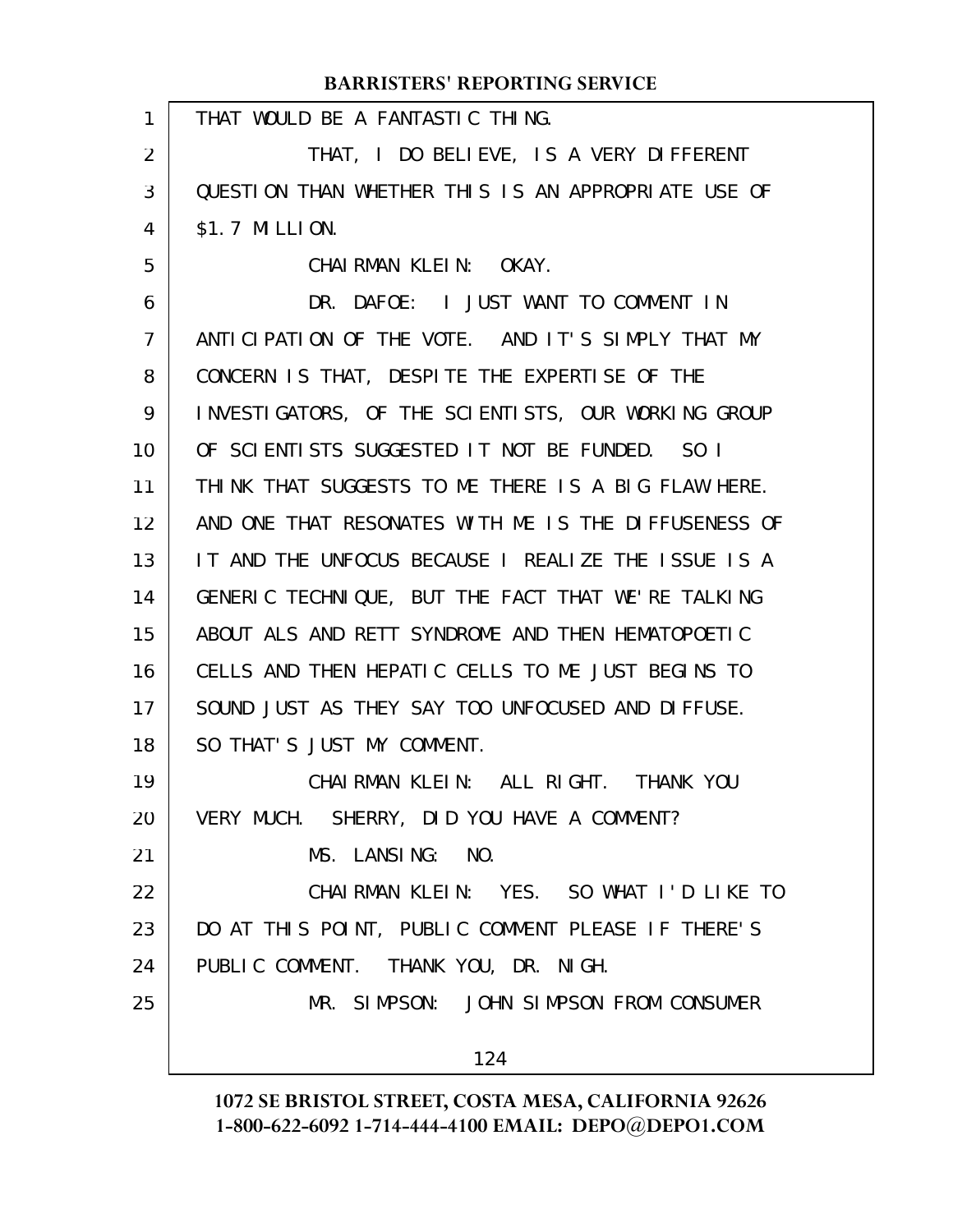|                | <b>BARRISTERS' REPORTING SERVICE</b>                 |
|----------------|------------------------------------------------------|
| $\mathbf{1}$   | THAT WOULD BE A FANTASTIC THING.                     |
| 2              | THAT, I DO BELIEVE, IS A VERY DIFFERENT              |
| 3              | QUESTION THAN WHETHER THIS IS AN APPROPRIATE USE OF  |
| 4              | \$1.7 MILLION.                                       |
| 5              | CHAIRMAN KLEIN: OKAY.                                |
| 6              | DR. DAFOE: I JUST WANT TO COMMENT IN                 |
| $\overline{7}$ | ANTICIPATION OF THE VOTE. AND IT'S SIMPLY THAT MY    |
| 8              | CONCERN IS THAT, DESPITE THE EXPERTISE OF THE        |
| 9              | INVESTIGATORS, OF THE SCIENTISTS, OUR WORKING GROUP  |
| 10             | OF SCIENTISTS SUGGESTED IT NOT BE FUNDED. SO I       |
| 11             | THINK THAT SUGGESTS TO ME THERE IS A BIG FLAW HERE.  |
| 12             | AND ONE THAT RESONATES WITH ME IS THE DIFFUSENESS OF |
| 13             | IT AND THE UNFOCUS BECAUSE I REALIZE THE ISSUE IS A  |
| 14             | GENERIC TECHNIQUE, BUT THE FACT THAT WE'RE TALKING   |
| 15             | ABOUT ALS AND RETT SYNDROME AND THEN HEMATOPOETIC    |
| 16             | CELLS AND THEN HEPATIC CELLS TO ME JUST BEGINS TO    |
| 17             | SOUND JUST AS THEY SAY TOO UNFOCUSED AND DIFFUSE.    |
| 18             | SO THAT'S JUST MY COMMENT.                           |
| 19             | CHAIRMAN KLEIN: ALL RIGHT. THANK YOU                 |
| 20             | VERY MUCH. SHERRY, DID YOU HAVE A COMMENT?           |
| 21             | MS. LANSING: NO.                                     |
| 22             | CHAIRMAN KLEIN: YES. SO WHAT I'D LIKE TO             |
| 23             | DO AT THIS POINT, PUBLIC COMMENT PLEASE IF THERE'S   |
| 24             | PUBLIC COMMENT. THANK YOU, DR. NIGH.                 |
| 25             | MR. SIMPSON: JOHN SIMPSON FROM CONSUMER              |
|                | 124                                                  |
|                |                                                      |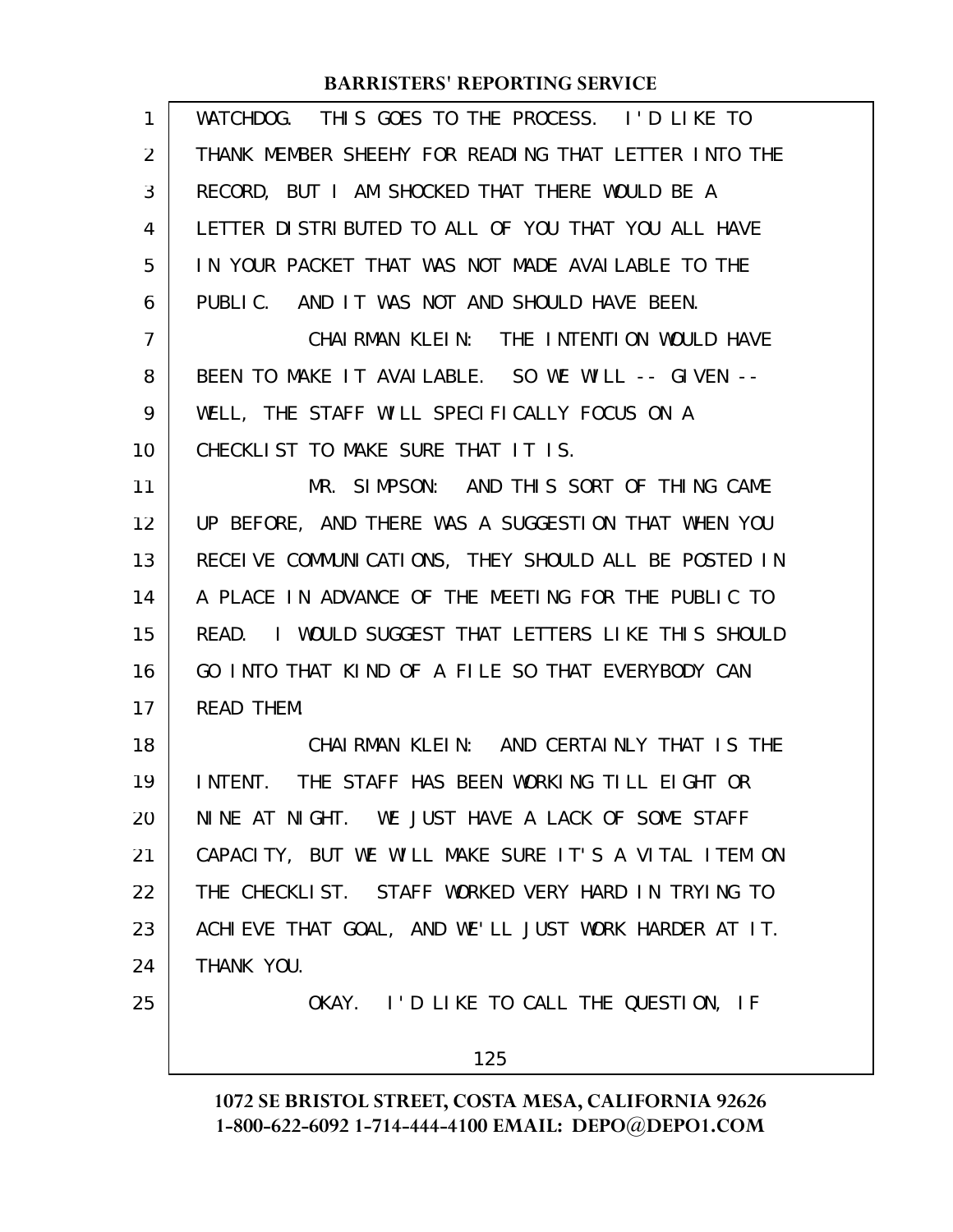| $\mathbf{1}$ | WATCHDOG. THIS GOES TO THE PROCESS. I'D LIKE TO        |
|--------------|--------------------------------------------------------|
| 2            | THANK MEMBER SHEEHY FOR READING THAT LETTER INTO THE   |
| 3            | RECORD, BUT I AM SHOCKED THAT THERE WOULD BE A         |
| 4            | LETTER DISTRIBUTED TO ALL OF YOU THAT YOU ALL HAVE     |
| 5            | IN YOUR PACKET THAT WAS NOT MADE AVAILABLE TO THE      |
| 6            | PUBLIC. AND IT WAS NOT AND SHOULD HAVE BEEN.           |
| 7            | CHAI RMAN KLEIN: THE INTENTION WOULD HAVE              |
| 8            | BEEN TO MAKE IT AVAILABLE. SO WE WILL -- GIVEN --      |
| 9            | WELL, THE STAFF WILL SPECIFICALLY FOCUS ON A           |
| 10           | CHECKLIST TO MAKE SURE THAT IT IS.                     |
| 11           | MR. SIMPSON: AND THIS SORT OF THING CAME               |
| 12           | UP BEFORE, AND THERE WAS A SUGGESTION THAT WHEN YOU    |
| 13           | RECEIVE COMMUNICATIONS, THEY SHOULD ALL BE POSTED IN   |
| 14           | A PLACE IN ADVANCE OF THE MEETING FOR THE PUBLIC TO    |
| 15           | I WOULD SUGGEST THAT LETTERS LIKE THIS SHOULD<br>READ. |
| 16           | GO INTO THAT KIND OF A FILE SO THAT EVERYBODY CAN      |
| 17           | <b>READ THEM.</b>                                      |
| 18           | CHAIRMAN KLEIN: AND CERTAINLY THAT IS THE              |
| 19           | INTENT. THE STAFF HAS BEEN WORKING TILL EIGHT OR       |
| 20           | NINE AT NIGHT. WE JUST HAVE A LACK OF SOME STAFF       |
| 21           | CAPACITY, BUT WE WILL MAKE SURE IT'S A VITAL ITEM ON   |
| 22           | THE CHECKLIST. STAFF WORKED VERY HARD IN TRYING TO     |
| 23           | ACHIEVE THAT GOAL, AND WE'LL JUST WORK HARDER AT IT.   |
| 24           | THANK YOU.                                             |
| 25           | OKAY. I'D LIKE TO CALL THE QUESTION, IF                |
|              | 125                                                    |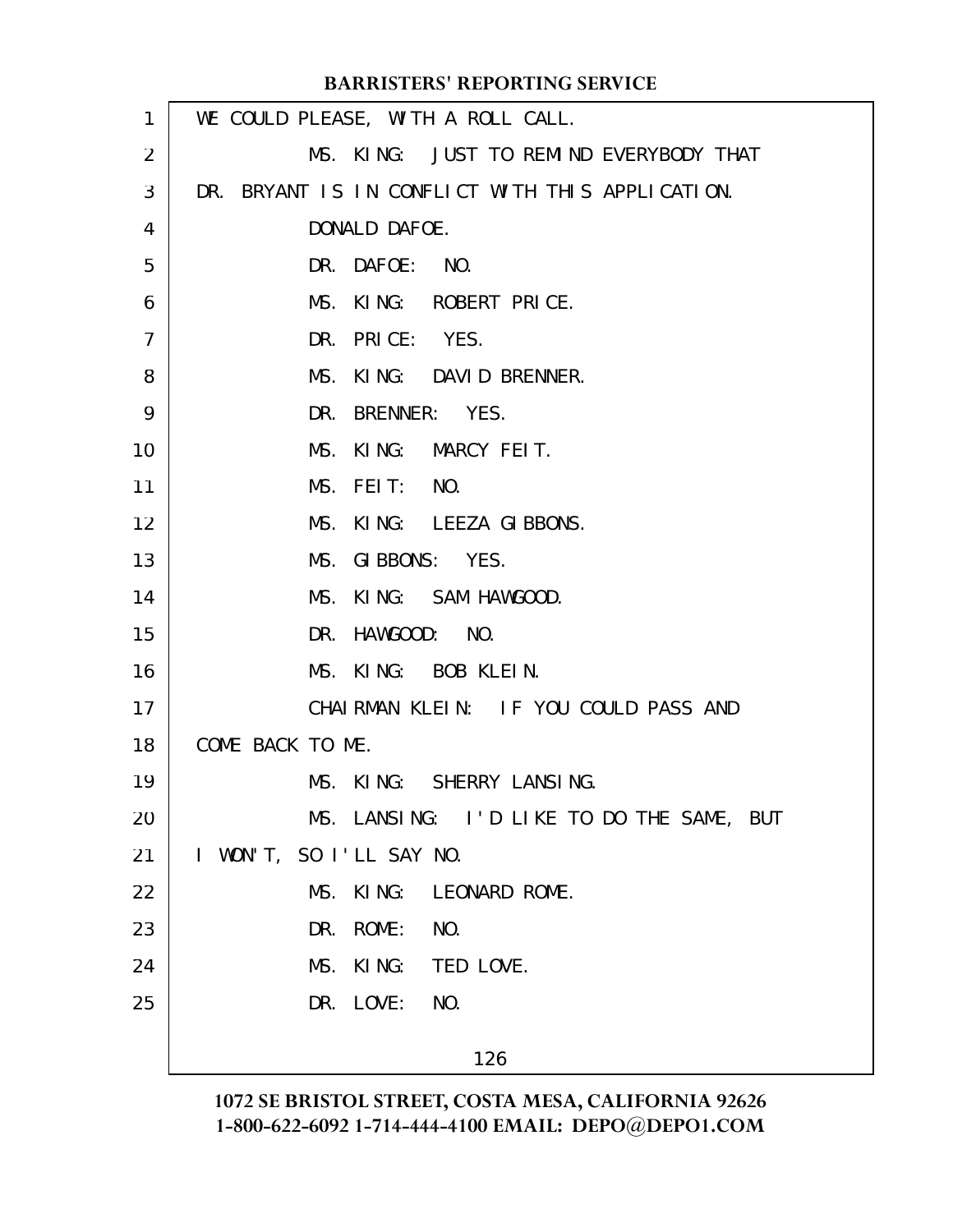| $\mathbf{1}$ | WE COULD PLEASE, WITH A ROLL CALL.               |
|--------------|--------------------------------------------------|
| 2            | MS. KING: JUST TO REMIND EVERYBODY THAT          |
| 3            | DR. BRYANT IS IN CONFLICT WITH THIS APPLICATION. |
| 4            | DONALD DAFOE.                                    |
| 5            | DR. DAFOE: NO.                                   |
| 6            | MS. KING: ROBERT PRICE.                          |
| 7            | DR. PRICE: YES.                                  |
| 8            | MS. KING: DAVID BRENNER.                         |
| 9            | DR. BRENNER: YES.                                |
| 10           | MS. KING: MARCY FEIT.                            |
| 11           | MS. FEIT: NO.                                    |
| 12           | MS. KING: LEEZA GIBBONS.                         |
| 13           | MS. GIBBONS: YES.                                |
| 14           | MS. KING: SAM HAWGOOD.                           |
| 15           | DR. HAWGOOD: NO.                                 |
| 16           | MS. KING: BOB KLEIN.                             |
| 17           | CHAIRMAN KLEIN: IF YOU COULD PASS AND            |
| 18           | COME BACK TO ME.                                 |
| 19           | MS. KING: SHERRY LANSING.                        |
| 20           | MS. LANSING: I'D LIKE TO DO THE SAME, BUT        |
| 21           | I WON'T, SO I'LL SAY NO.                         |
| 22           | MS. KING: LEONARD ROME.                          |
| 23           | DR. ROME: NO.                                    |
| 24           | MS. KING: TED LOVE.                              |
| 25           | DR. LOVE: NO.                                    |
|              | 126                                              |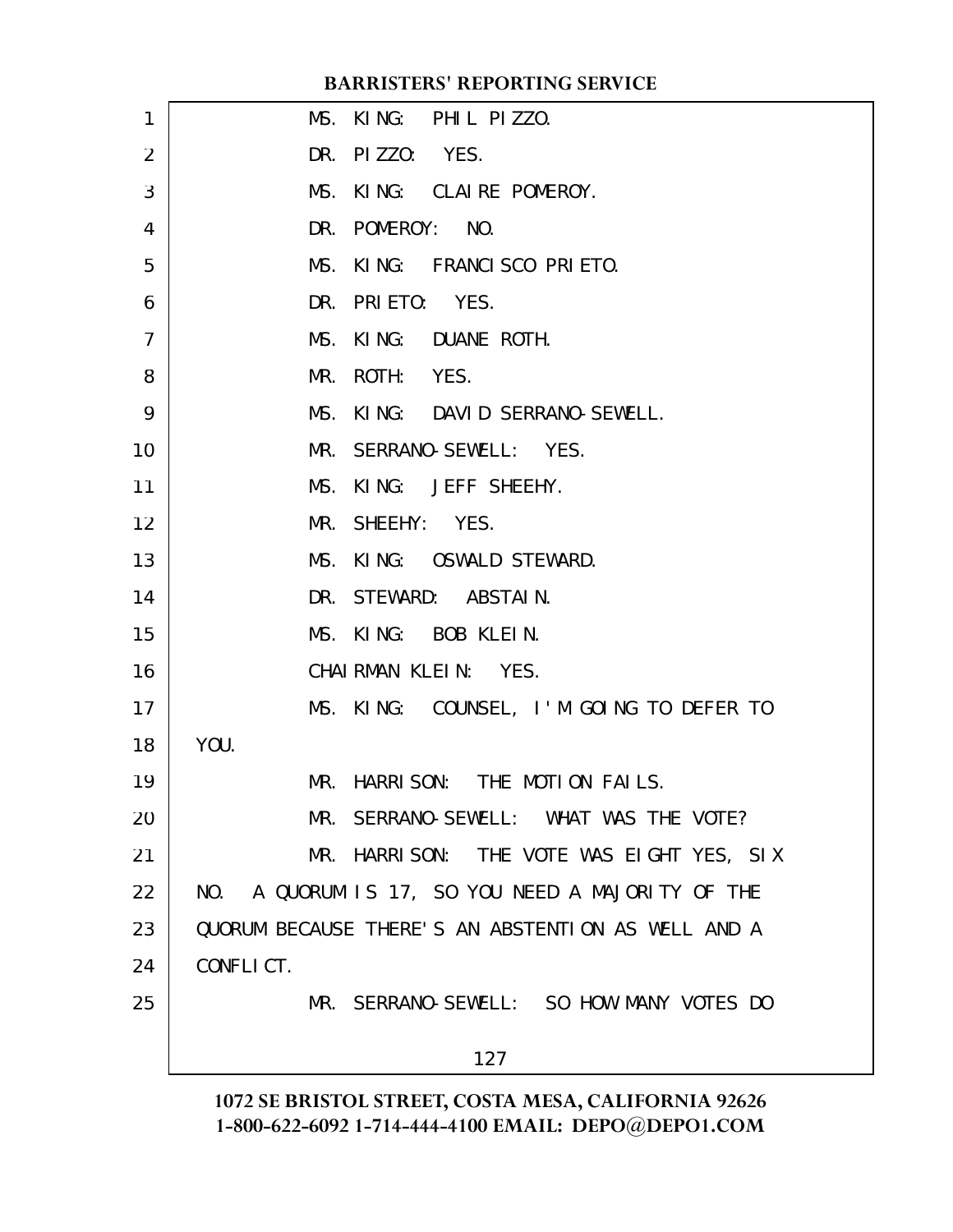| 1              | MS. KING: PHIL PIZZO.                              |
|----------------|----------------------------------------------------|
| $\overline{2}$ | DR. PIZZO: YES.                                    |
|                |                                                    |
| 3              | MS. KING: CLAIRE POMEROY.                          |
| 4              | DR. POMEROY: NO.                                   |
| 5              | MS. KING: FRANCISCO PRIETO.                        |
| 6              | DR. PRIETO: YES.                                   |
| 7              | MS. KING: DUANE ROTH.                              |
| 8              | MR. ROTH: YES.                                     |
| 9              | MS. KING: DAVID SERRANO-SEWELL.                    |
| 10             | MR. SERRANO-SEWELL: YES.                           |
| 11             | MS. KING: JEFF SHEEHY.                             |
| 12             | MR. SHEEHY: YES.                                   |
| 13             | MS. KING: OSWALD STEWARD.                          |
| 14             | DR. STEWARD: ABSTAIN.                              |
| 15             | MS. KING: BOB KLEIN.                               |
| 16             | CHAIRMAN KLEIN: YES.                               |
| 17             | MS. KING: COUNSEL, I'M GOING TO DEFER TO           |
| 18             | YOU.                                               |
| 19             | MR. HARRISON: THE MOTION FAILS.                    |
| 20             | MR. SERRANO-SEWELL: WHAT WAS THE VOTE?             |
| 21             | MR. HARRISON: THE VOTE WAS EIGHT YES, SIX          |
| 22             | NO. A QUORUM IS 17, SO YOU NEED A MAJORITY OF THE  |
| 23             | QUORUM BECAUSE THERE'S AN ABSTENTION AS WELL AND A |
| 24             | CONFLICT.                                          |
| 25             | MR. SERRANO-SEWELL: SO HOW MANY VOTES DO           |
|                |                                                    |
|                | 127                                                |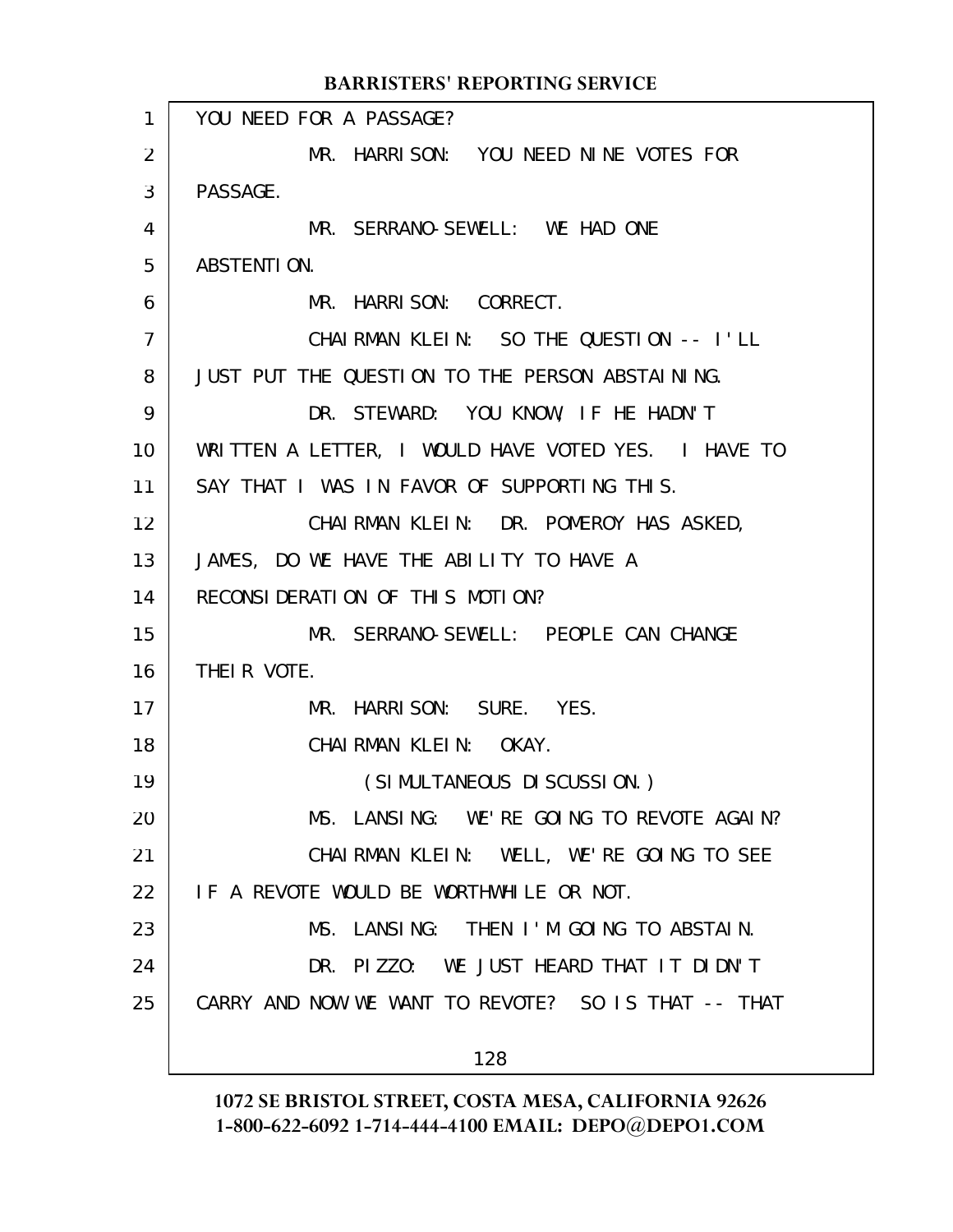|                | <b>BARRISTERS' REPORTING SERVICE</b>                |
|----------------|-----------------------------------------------------|
| $\mathbf{1}$   | YOU NEED FOR A PASSAGE?                             |
| 2              | MR. HARRISON: YOU NEED NINE VOTES FOR               |
| 3              | PASSAGE.                                            |
| 4              | MR. SERRANO-SEWELL: WE HAD ONE                      |
| 5              | ABSTENTION.                                         |
| 6              | MR. HARRISON: CORRECT.                              |
| $\overline{7}$ | CHAIRMAN KLEIN: SO THE QUESTION -- I'LL             |
| 8              | JUST PUT THE QUESTION TO THE PERSON ABSTAINING.     |
| 9              | DR. STEWARD: YOU KNOW, IF HE HADN'T                 |
| 10             | WRITTEN A LETTER, I WOULD HAVE VOTED YES. I HAVE TO |
| 11             | SAY THAT I WAS IN FAVOR OF SUPPORTING THIS.         |
| 12             | CHAIRMAN KLEIN: DR. POMEROY HAS ASKED,              |
| 13             | JAMES, DO WE HAVE THE ABILITY TO HAVE A             |
| 14             | RECONSIDERATION OF THIS MOTION?                     |
| 15             | MR. SERRANO-SEWELL: PEOPLE CAN CHANGE               |
| 16             | THEIR VOTE.                                         |
| 17             | MR. HARRISON: SURE. YES.                            |
| 18             | CHAIRMAN KLEIN: OKAY.                               |
| 19             | (SIMULTANEOUS DI SCUSSION.)                         |
| 20             | MS. LANSING: WE'RE GOING TO REVOTE AGAIN?           |
| 21             | CHAIRMAN KLEIN: WELL, WE'RE GOING TO SEE            |
| 22             | IF A REVOTE WOULD BE WORTHWHILE OR NOT.             |
| 23             | MS. LANSING: THEN I'M GOING TO ABSTAIN.             |
| 24             | DR. PIZZO: WE JUST HEARD THAT IT DIDN'T             |
| 25             | CARRY AND NOW WE WANT TO REVOTE? SO IS THAT -- THAT |
|                | 128                                                 |
|                |                                                     |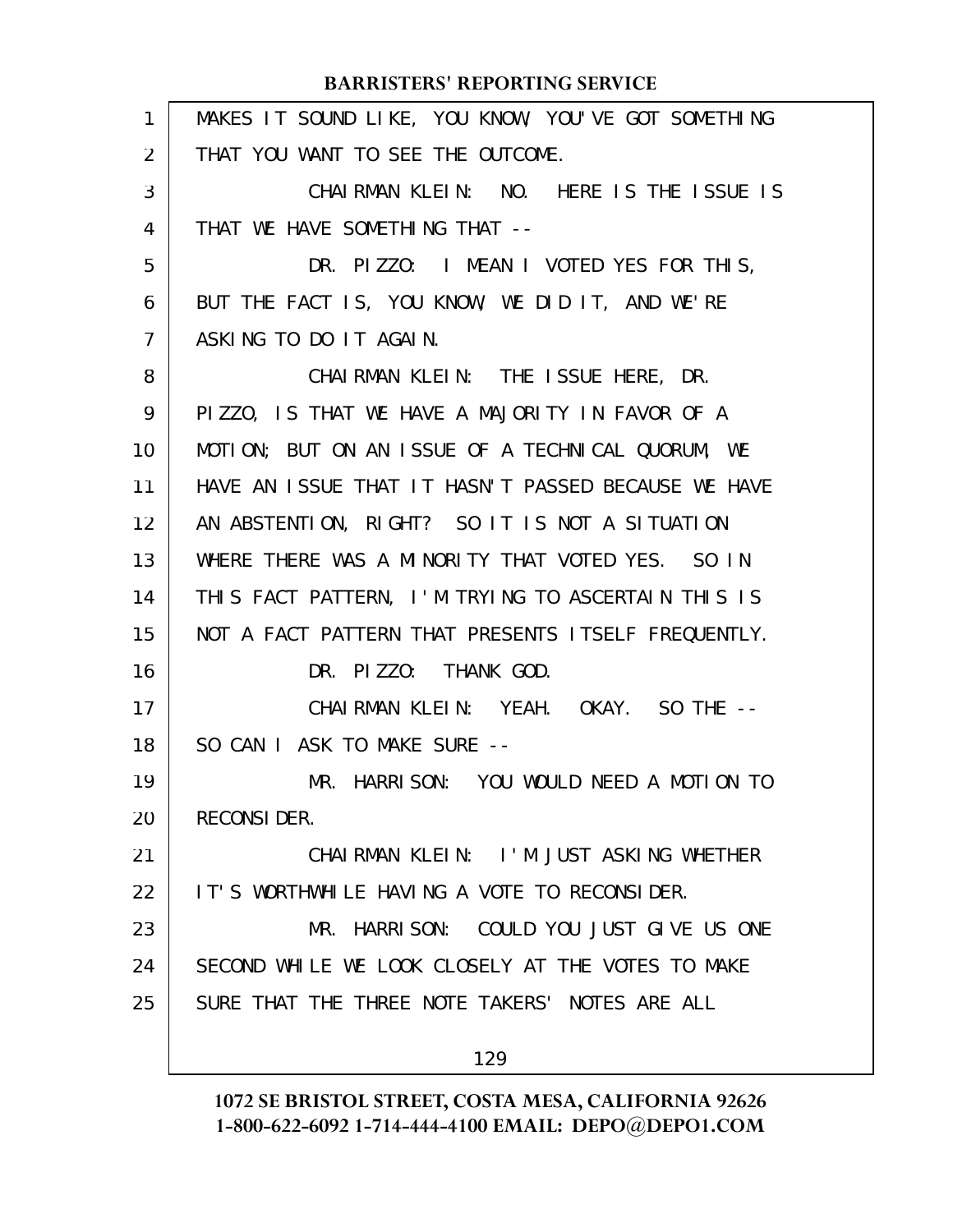| $\mathbf{1}$   | MAKES IT SOUND LIKE, YOU KNOW, YOU'VE GOT SOMETHING |
|----------------|-----------------------------------------------------|
| 2              | THAT YOU WANT TO SEE THE OUTCOME.                   |
| 3              | CHAIRMAN KLEIN: NO. HERE IS THE ISSUE IS            |
| 4              | THAT WE HAVE SOMETHING THAT --                      |
| 5              | DR. PIZZO: I MEAN I VOTED YES FOR THIS,             |
| 6              | BUT THE FACT IS, YOU KNOW, WE DID IT, AND WE'RE     |
| $\overline{7}$ | ASKING TO DO IT AGAIN.                              |
| 8              | CHAIRMAN KLEIN: THE ISSUE HERE, DR.                 |
| 9              | PIZZO, IS THAT WE HAVE A MAJORITY IN FAVOR OF A     |
| 10             | MOTION; BUT ON AN ISSUE OF A TECHNICAL QUORUM, WE   |
| 11             | HAVE AN ISSUE THAT IT HASN'T PASSED BECAUSE WE HAVE |
| 12             | AN ABSTENTION, RIGHT? SO IT IS NOT A SITUATION      |
| 13             | WHERE THERE WAS A MINORITY THAT VOTED YES. SO IN    |
| 14             | THIS FACT PATTERN, I'M TRYING TO ASCERTAIN THIS IS  |
| 15             | NOT A FACT PATTERN THAT PRESENTS ITSELF FREQUENTLY. |
| 16             | DR. PIZZO: THANK GOD.                               |
| 17             | CHAIRMAN KLEIN: YEAH. OKAY. SO THE --               |
| 18             | SO CAN I ASK TO MAKE SURE --                        |
| 19             | MR. HARRISON: YOU WOULD NEED A MOTION TO            |
| 20             | <b>RECONSIDER.</b>                                  |
| 21             | CHAIRMAN KLEIN: I'M JUST ASKING WHETHER             |
| 22             | IT'S WORTHWHILE HAVING A VOTE TO RECONSIDER.        |
| 23             | MR. HARRISON: COULD YOU JUST GIVE US ONE            |
| 24             | SECOND WHILE WE LOOK CLOSELY AT THE VOTES TO MAKE   |
| 25             | SURE THAT THE THREE NOTE TAKERS' NOTES ARE ALL      |
|                | 129                                                 |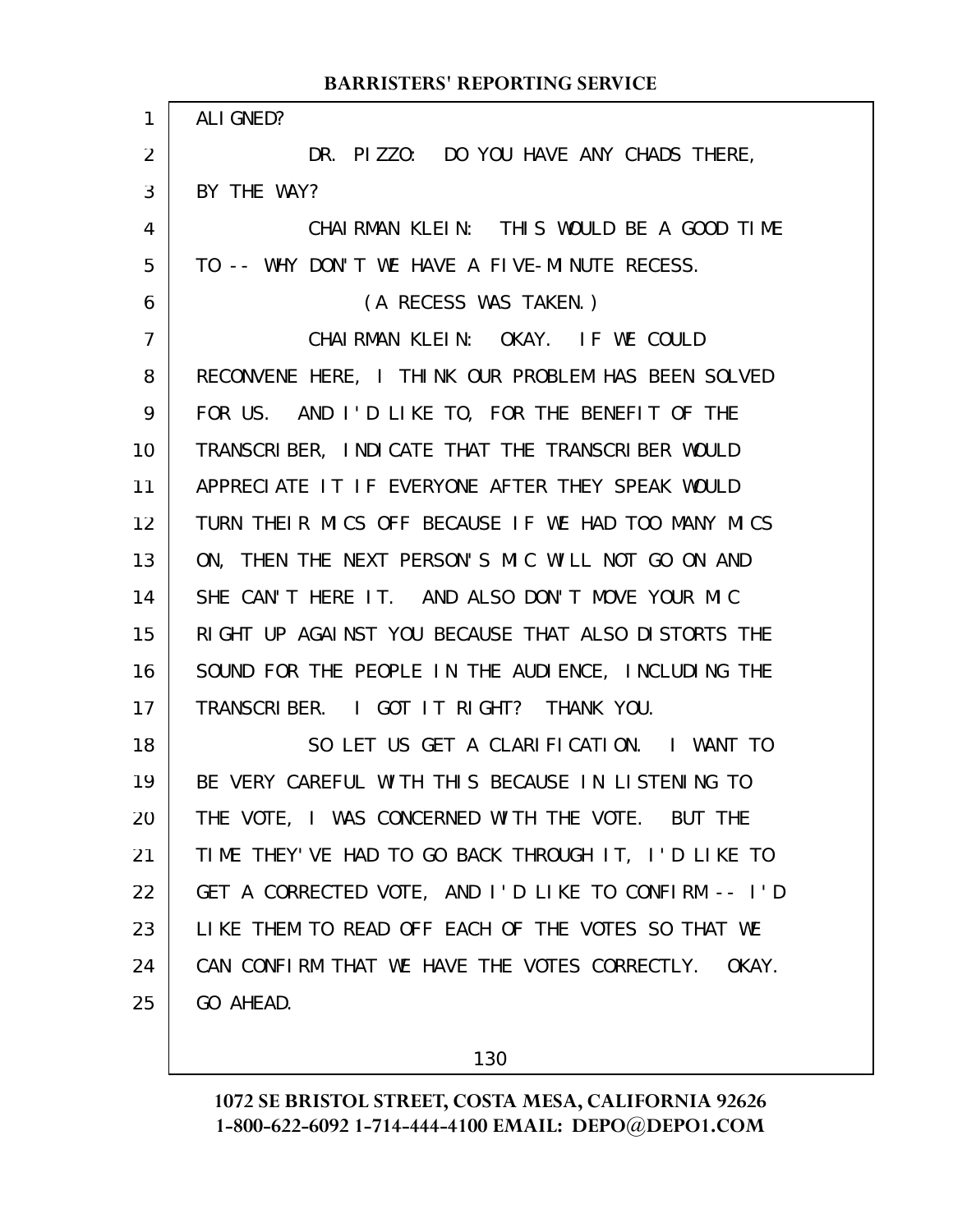|                | <b>BARRISTERS' REPORTING SERVICE</b>                 |
|----------------|------------------------------------------------------|
| 1              | ALI GNED?                                            |
| $\overline{2}$ | DR. PIZZO: DO YOU HAVE ANY CHADS THERE,              |
| 3              | BY THE WAY?                                          |
| 4              | CHAIRMAN KLEIN: THIS WOULD BE A GOOD TIME            |
| 5              | TO -- WHY DON'T WE HAVE A FIVE-MINUTE RECESS.        |
| 6              | (A RECESS WAS TAKEN.)                                |
| $\overline{7}$ | CHAIRMAN KLEIN: OKAY. IF WE COULD                    |
| 8              | RECONVENE HERE, I THINK OUR PROBLEM HAS BEEN SOLVED  |
| 9              | FOR US. AND I'D LIKE TO, FOR THE BENEFIT OF THE      |
| 10             | TRANSCRIBER, INDICATE THAT THE TRANSCRIBER WOULD     |
| 11             | APPRECIATE IT IF EVERYONE AFTER THEY SPEAK WOULD     |
| 12             | TURN THEIR MICS OFF BECAUSE IF WE HAD TOO MANY MICS  |
| 13             | ON, THEN THE NEXT PERSON'S MIC WILL NOT GO ON AND    |
| 14             | SHE CAN'T HERE IT. AND ALSO DON'T MOVE YOUR MIC      |
| 15             | RIGHT UP AGAINST YOU BECAUSE THAT ALSO DISTORTS THE  |
| 16             | SOUND FOR THE PEOPLE IN THE AUDIENCE, INCLUDING THE  |
| 17             | TRANSCRIBER. I GOT IT RIGHT? THANK YOU.              |
| 18             | SO LET US GET A CLARIFICATION. I WANT TO             |
| 19             | BE VERY CAREFUL WITH THIS BECAUSE IN LISTENING TO    |
| 20             | THE VOTE, I WAS CONCERNED WITH THE VOTE. BUT THE     |
| 21             | TIME THEY'VE HAD TO GO BACK THROUGH IT, I'D LIKE TO  |
| 22             | GET A CORRECTED VOTE, AND I'D LIKE TO CONFIRM -- I'D |
| 23             | LIKE THEM TO READ OFF EACH OF THE VOTES SO THAT WE   |
| 24             | CAN CONFIRM THAT WE HAVE THE VOTES CORRECTLY. OKAY.  |
| 25             | GO AHEAD.                                            |
|                |                                                      |

130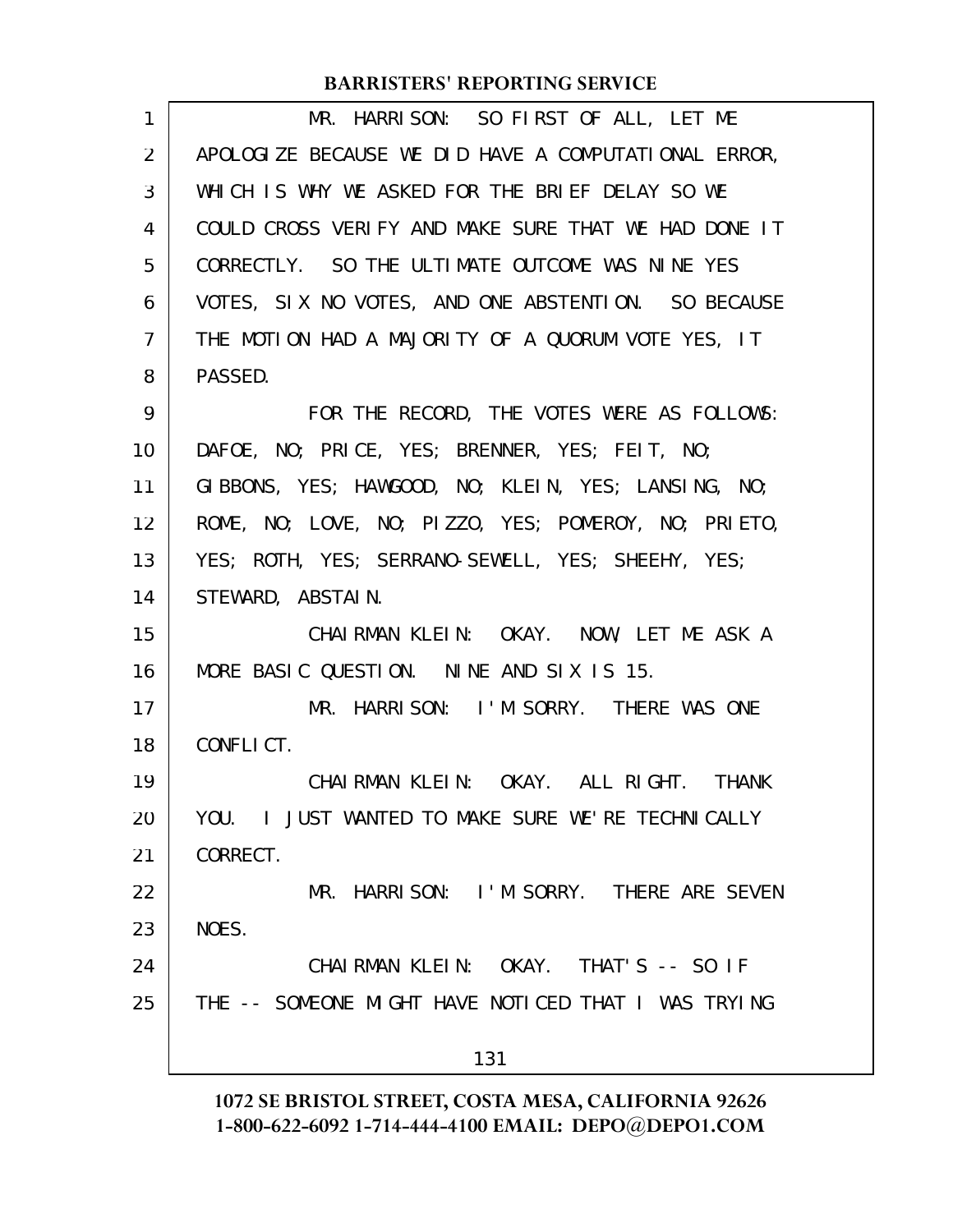| 1              | MR. HARRISON: SO FIRST OF ALL, LET ME                |
|----------------|------------------------------------------------------|
| 2              | APOLOGIZE BECAUSE WE DID HAVE A COMPUTATIONAL ERROR, |
| 3              | WHICH IS WHY WE ASKED FOR THE BRIEF DELAY SO WE      |
| 4              | COULD CROSS VERIFY AND MAKE SURE THAT WE HAD DONE IT |
| 5              | CORRECTLY. SO THE ULTIMATE OUTCOME WAS NINE YES      |
| 6              | VOTES, SIX NO VOTES, AND ONE ABSTENTION. SO BECAUSE  |
| $\overline{7}$ | THE MOTION HAD A MAJORITY OF A QUORUM VOTE YES, IT   |
| 8              | PASSED.                                              |
| 9              | FOR THE RECORD, THE VOTES WERE AS FOLLOWS:           |
| 10             | DAFOE, NO; PRICE, YES; BRENNER, YES; FEIT, NO;       |
| 11             | GIBBONS, YES; HAWGOOD, NO; KLEIN, YES; LANSING, NO;  |
| 12             | ROME, NO; LOVE, NO; PIZZO, YES; POMEROY, NO; PRIETO, |
| 13             | YES; ROTH, YES; SERRANO-SEWELL, YES; SHEEHY, YES;    |
| 14             | STEWARD, ABSTAIN.                                    |
| 15             | CHAIRMAN KLEIN: OKAY. NOW, LET ME ASK A              |
| 16             | MORE BASIC QUESTION. NINE AND SIX IS 15.             |
| 17             | MR. HARRISON: I'M SORRY. THERE WAS ONE               |
| 18             | CONFLICT.                                            |
| 19             | CHAIRMAN KLEIN: OKAY. ALL RIGHT. THANK               |
| 20             | YOU. I JUST WANTED TO MAKE SURE WE'RE TECHNICALLY    |
| 21             | CORRECT.                                             |
| 22             | MR. HARRISON: I'M SORRY. THERE ARE SEVEN             |
| 23             | NOES.                                                |
| 24             | CHAIRMAN KLEIN: OKAY. THAT'S -- SO IF                |
| 25             | THE -- SOMEONE MIGHT HAVE NOTICED THAT I WAS TRYING  |
|                | 131                                                  |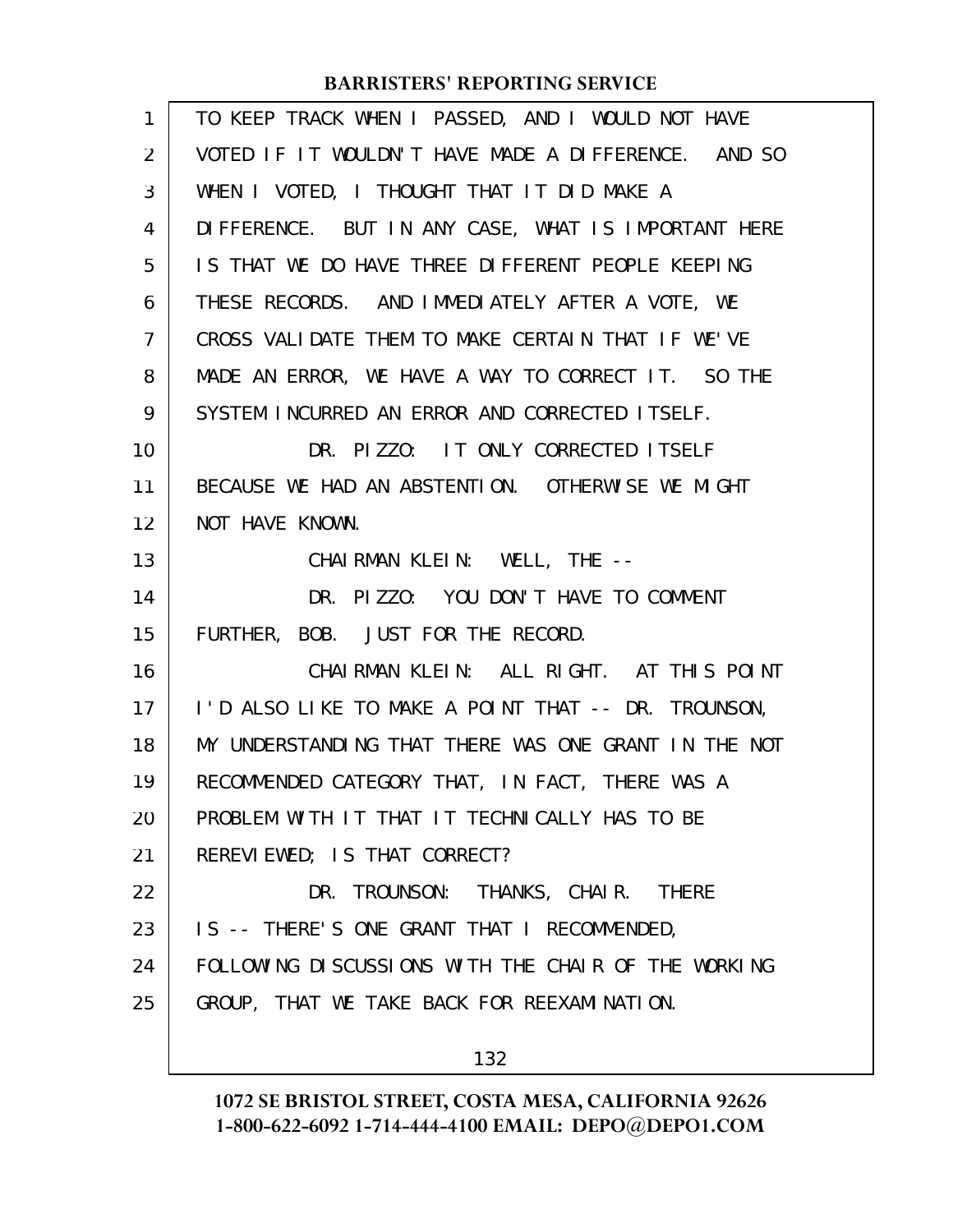| 1              | TO KEEP TRACK WHEN I PASSED, AND I WOULD NOT HAVE    |
|----------------|------------------------------------------------------|
| 2              | VOTED IF IT WOULDN'T HAVE MADE A DIFFERENCE. AND SO  |
| 3              | WHEN I VOTED, I THOUGHT THAT IT DID MAKE A           |
| 4              | DIFFERENCE. BUT IN ANY CASE, WHAT IS IMPORTANT HERE  |
| 5              | IS THAT WE DO HAVE THREE DIFFERENT PEOPLE KEEPING    |
| 6              | THESE RECORDS. AND IMMEDIATELY AFTER A VOTE, WE      |
| $\overline{7}$ | CROSS VALIDATE THEM TO MAKE CERTAIN THAT IF WE'VE    |
| 8              | MADE AN ERROR, WE HAVE A WAY TO CORRECT IT. SO THE   |
| 9              | SYSTEM INCURRED AN ERROR AND CORRECTED ITSELF.       |
| 10             | DR. PIZZO: IT ONLY CORRECTED ITSELF                  |
| 11             | BECAUSE WE HAD AN ABSTENTION. OTHERWISE WE MIGHT     |
| 12             | NOT HAVE KNOWN.                                      |
| 13             | CHAIRMAN KLEIN: WELL, THE --                         |
| 14             | DR. PIZZO: YOU DON'T HAVE TO COMMENT                 |
| 15             | FURTHER, BOB. JUST FOR THE RECORD.                   |
| 16             | CHAIRMAN KLEIN: ALL RIGHT. AT THIS POINT             |
| 17             | I'D ALSO LIKE TO MAKE A POINT THAT -- DR. TROUNSON,  |
| 18             | MY UNDERSTANDING THAT THERE WAS ONE GRANT IN THE NOT |
| 19             | RECOMMENDED CATEGORY THAT, IN FACT, THERE WAS A      |
| 20             | PROBLEM WITH IT THAT IT TECHNICALLY HAS TO BE        |
| 21             | REREVIEWED; IS THAT CORRECT?                         |
| 22             | DR. TROUNSON: THANKS, CHAIR. THERE                   |
| 23             | IS -- THERE'S ONE GRANT THAT I RECOMMENDED,          |
| 24             | FOLLOWING DISCUSSIONS WITH THE CHAIR OF THE WORKING  |
| 25             | GROUP, THAT WE TAKE BACK FOR REEXAMINATION.          |
|                | 132                                                  |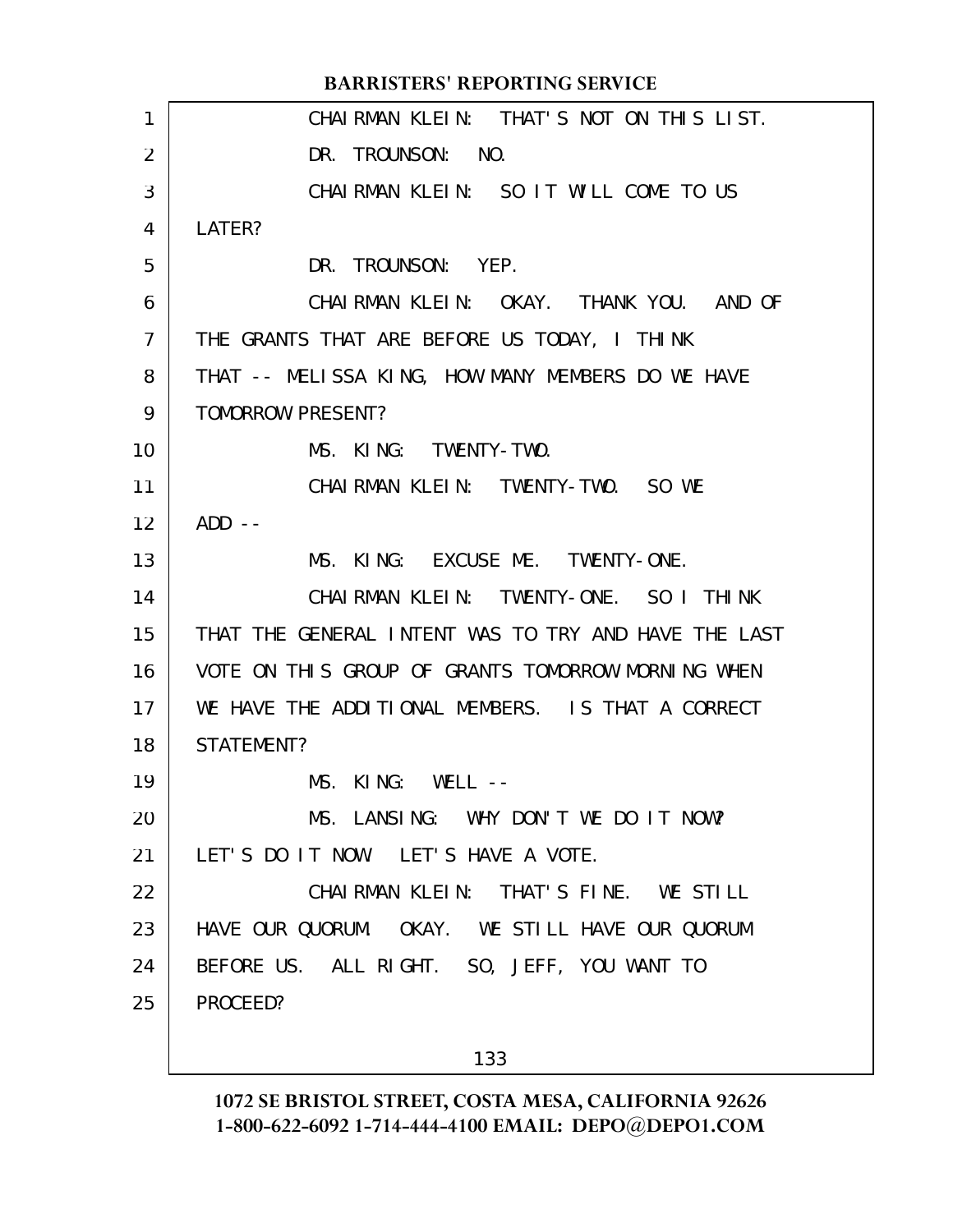CHAIRMAN KLEIN: THAT'S NOT ON THIS LIST. DR. TROUNSON: NO. CHAIRMAN KLEIN: SO IT WILL COME TO US LATER? DR. TROUNSON: YEP. CHAIRMAN KLEIN: OKAY. THANK YOU. AND OF THE GRANTS THAT ARE BEFORE US TODAY, I THINK THAT -- MELISSA KING, HOW MANY MEMBERS DO WE HAVE TOMORROW PRESENT? MS. KING: TWENTY-TWO. CHAIRMAN KLEIN: TWENTY-TWO. SO WE  $ADD$   $--$ MS. KING: EXCUSE ME. TWENTY-ONE. CHAIRMAN KLEIN: TWENTY-ONE. SO I THINK THAT THE GENERAL INTENT WAS TO TRY AND HAVE THE LAST VOTE ON THIS GROUP OF GRANTS TOMORROW MORNING WHEN WE HAVE THE ADDITIONAL MEMBERS. IS THAT A CORRECT STATEMENT? MS. KING: WELL -- MS. LANSING: WHY DON'T WE DO IT NOW? LET'S DO IT NOW. LET'S HAVE A VOTE. CHAIRMAN KLEIN: THAT'S FINE. WE STILL HAVE OUR QUORUM. OKAY. WE STILL HAVE OUR QUORUM BEFORE US. ALL RIGHT. SO, JEFF, YOU WANT TO PROCEED? **BARRISTERS' REPORTING SERVICE** 1 2 3 4 5 6 7 8 9 10 11 12 13 14 15 16 17 18 19 20 21 22 23 24 25

133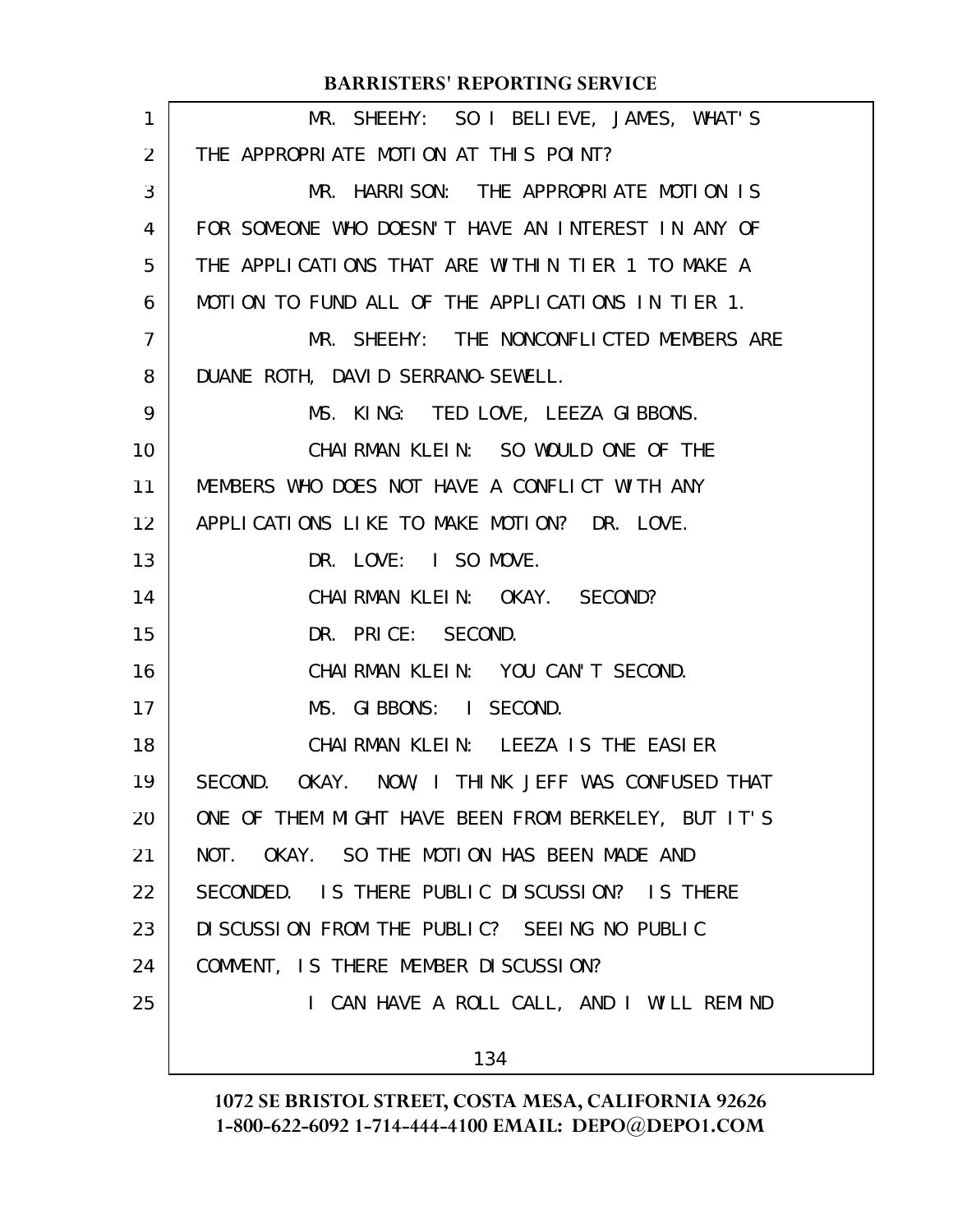| $\mathbf{1}$      | MR. SHEEHY: SO I BELIEVE, JAMES, WHAT'S             |
|-------------------|-----------------------------------------------------|
| $\overline{2}$    | THE APPROPRIATE MOTION AT THIS POINT?               |
| 3                 | MR. HARRISON: THE APPROPRIATE MOTION IS             |
| 4                 | FOR SOMEONE WHO DOESN'T HAVE AN INTEREST IN ANY OF  |
| 5                 | THE APPLICATIONS THAT ARE WITHIN TIER 1 TO MAKE A   |
| 6                 | MOTION TO FUND ALL OF THE APPLICATIONS IN TIER 1.   |
| 7                 | MR. SHEEHY: THE NONCONFLICTED MEMBERS ARE           |
| 8                 | DUANE ROTH, DAVID SERRANO-SEWELL.                   |
| 9                 | MS. KING: TED LOVE, LEEZA GIBBONS.                  |
| 10                | CHAIRMAN KLEIN: SO WOULD ONE OF THE                 |
| 11                | MEMBERS WHO DOES NOT HAVE A CONFLICT WITH ANY       |
| $12 \overline{ }$ | APPLICATIONS LIKE TO MAKE MOTION? DR. LOVE.         |
| 13                | DR. LOVE: I SO MOVE.                                |
| 14                | CHAIRMAN KLEIN: OKAY. SECOND?                       |
| 15                | DR. PRICE: SECOND.                                  |
| 16                | CHAIRMAN KLEIN: YOU CAN'T SECOND.                   |
| 17                | MS. GIBBONS: I SECOND.                              |
| 18                | CHAIRMAN KLEIN: LEEZA IS THE EASIER                 |
| 19                | SECOND. OKAY. NOW, I THINK JEFF WAS CONFUSED THAT   |
| 20                | ONE OF THEM MIGHT HAVE BEEN FROM BERKELEY, BUT IT'S |
| 21                | NOT. OKAY. SO THE MOTION HAS BEEN MADE AND          |
| 22                | SECONDED. IS THERE PUBLIC DISCUSSION? IS THERE      |
| 23                | DISCUSSION FROM THE PUBLIC? SEEING NO PUBLIC        |
| 24                | COMMENT, IS THERE MEMBER DISCUSSION?                |
| 25                | I CAN HAVE A ROLL CALL, AND I WILL REMIND           |
|                   | 134                                                 |
|                   |                                                     |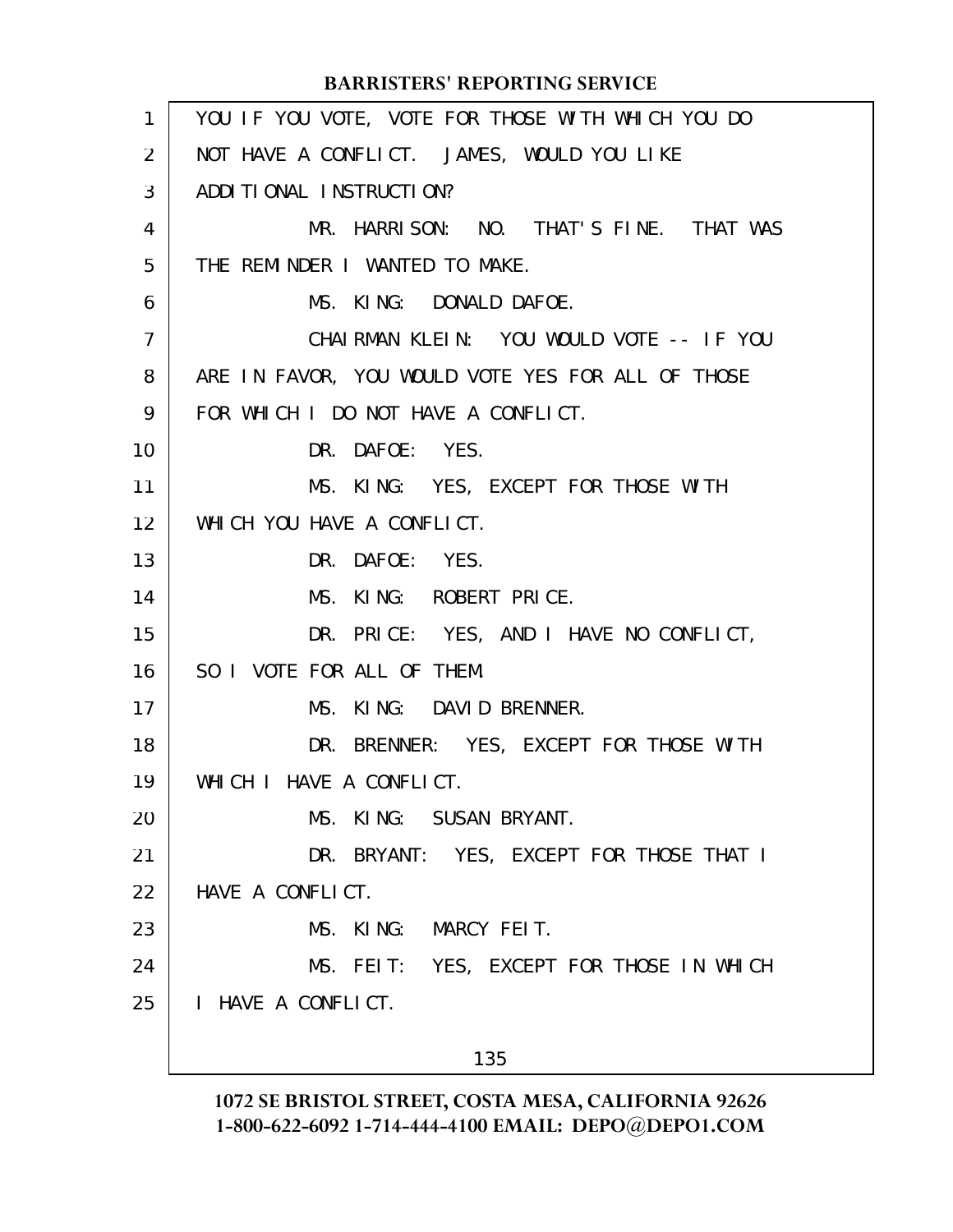|              | <b>BARRISTERS' REPORTING SERVICE</b>              |
|--------------|---------------------------------------------------|
| $\mathbf{1}$ | YOU IF YOU VOTE, VOTE FOR THOSE WITH WHICH YOU DO |
| 2            | NOT HAVE A CONFLICT. JAMES, WOULD YOU LIKE        |
| 3            | ADDITIONAL INSTRUCTION?                           |
| 4            | MR. HARRISON: NO. THAT'S FINE. THAT WAS           |
| 5            | THE REMINDER I WANTED TO MAKE.                    |
| 6            | MS. KING: DONALD DAFOE.                           |
| 7            | CHAIRMAN KLEIN: YOU WOULD VOTE -- IF YOU          |
| 8            | ARE IN FAVOR, YOU WOULD VOTE YES FOR ALL OF THOSE |
| 9            | FOR WHICH I DO NOT HAVE A CONFLICT.               |
| 10           | DR. DAFOE: YES.                                   |
| 11           | MS. KING: YES, EXCEPT FOR THOSE WITH              |
| 12           | WHICH YOU HAVE A CONFLICT.                        |
| 13           | DR. DAFOE: YES.                                   |
| 14           | MS. KING: ROBERT PRICE.                           |
| 15           | DR. PRICE: YES, AND I HAVE NO CONFLICT,           |
| 16           | SO I VOTE FOR ALL OF THEM.                        |
| 17           | MS. KING: DAVID BRENNER.                          |
| 18           | DR. BRENNER: YES, EXCEPT FOR THOSE WITH           |
| 19           | WHICH I HAVE A CONFLICT.                          |
| 20           | MS. KING: SUSAN BRYANT.                           |
| 21           | DR. BRYANT: YES, EXCEPT FOR THOSE THAT I          |
| 22           | HAVE A CONFLICT.                                  |
| 23           | MS. KING: MARCY FEIT.                             |
| 24           | MS. FEIT: YES, EXCEPT FOR THOSE IN WHICH          |
| 25           | I HAVE A CONFLICT.                                |
|              |                                                   |

135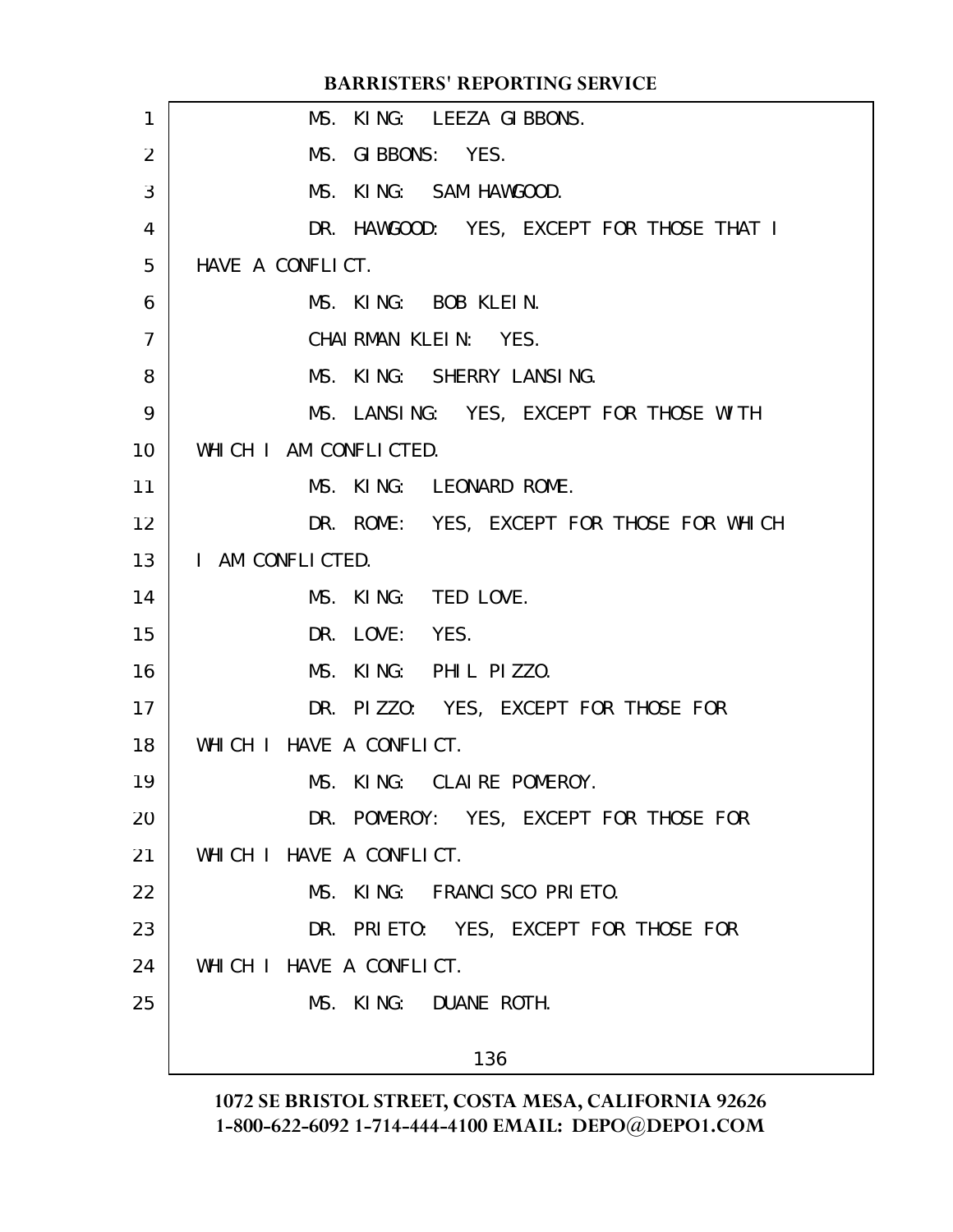| 1              | MS. KING: LEEZA GIBBONS.                  |
|----------------|-------------------------------------------|
| $\overline{2}$ | MS. GIBBONS: YES.                         |
| 3              | MS. KING: SAM HAWGOOD.                    |
| 4              | DR. HAWGOOD: YES, EXCEPT FOR THOSE THAT I |
| 5              | HAVE A CONFLICT.                          |
| 6              | MS. KING: BOB KLEIN.                      |
| 7              | CHAIRMAN KLEIN: YES.                      |
| 8              | MS. KING: SHERRY LANSING.                 |
| 9              | MS. LANSING: YES, EXCEPT FOR THOSE WITH   |
| 10             | WHICH I AM CONFLICTED.                    |
| 11             | MS. KING: LEONARD ROME.                   |
| 12             | DR. ROME: YES, EXCEPT FOR THOSE FOR WHICH |
| 13             | I AM CONFLICTED.                          |
| 14             | MS. KING: TED LOVE.                       |
| 15             | DR. LOVE: YES.                            |
| 16             | MS. KING: PHIL PIZZO.                     |
| 17             | DR. PIZZO: YES, EXCEPT FOR THOSE FOR      |
| 18             | WHICH I HAVE A CONFLICT.                  |
| 19             | MS. KING: CLAIRE POMEROY.                 |
| 20             | DR. POMEROY: YES, EXCEPT FOR THOSE FOR    |
| 21             | WHICH I HAVE A CONFLICT.                  |
| 22             | MS. KING: FRANCISCO PRIETO.               |
| 23             | DR. PRIETO: YES, EXCEPT FOR THOSE FOR     |
| 24             | WHICH I HAVE A CONFLICT.                  |
| 25             | MS. KING: DUANE ROTH.                     |
|                | 136                                       |
|                |                                           |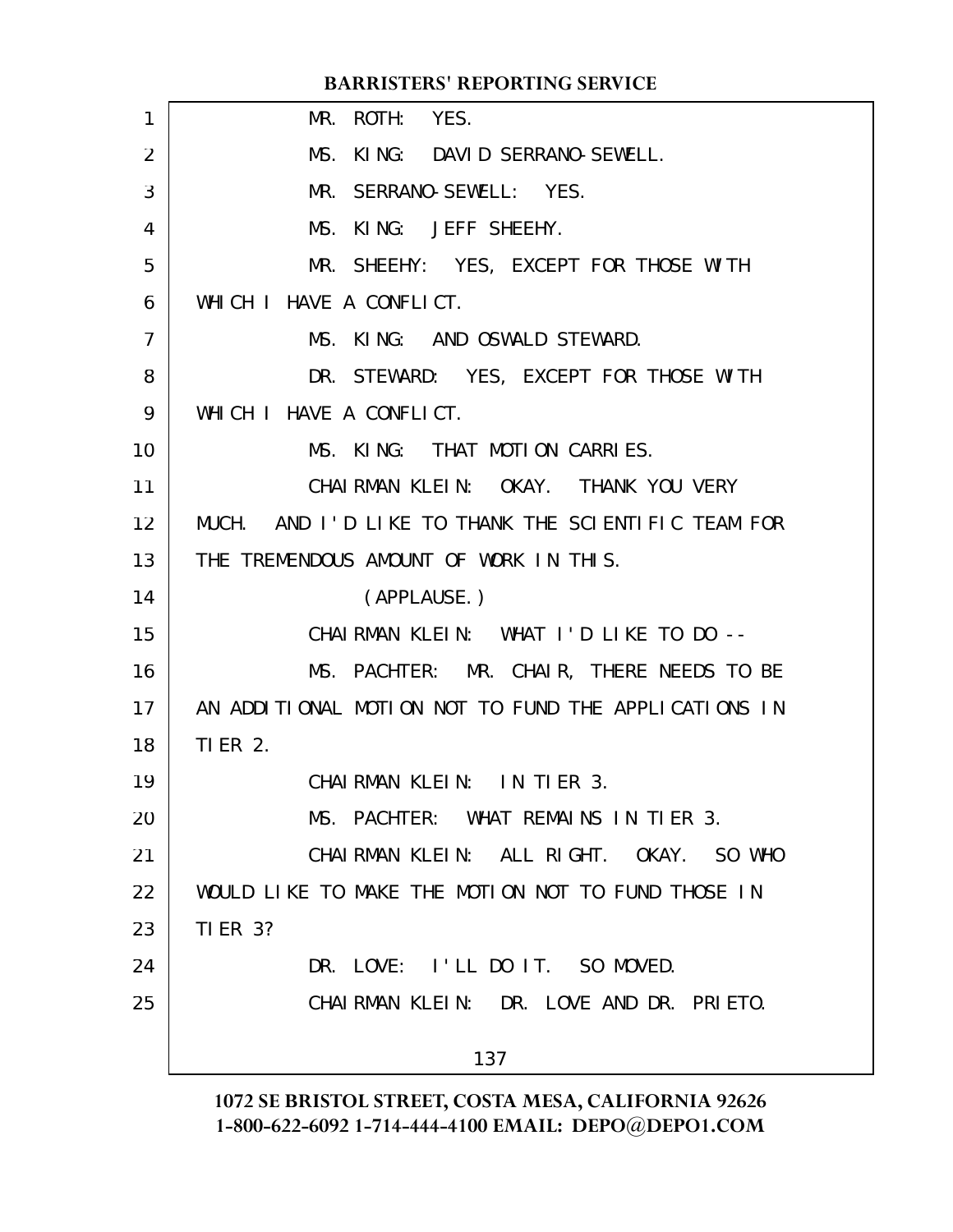|                | <b>BARRISTERS' REPORTING SERVICE</b>                 |
|----------------|------------------------------------------------------|
| 1              | MR. ROTH: YES.                                       |
| 2              | MS. KING: DAVID SERRANO-SEWELL.                      |
| 3              | MR. SERRANO-SEWELL: YES.                             |
| 4              | MS. KING: JEFF SHEEHY.                               |
| 5              | MR. SHEEHY: YES, EXCEPT FOR THOSE WITH               |
| 6              | WHICH I HAVE A CONFLICT.                             |
| $\overline{7}$ | MS. KING: AND OSWALD STEWARD.                        |
| 8              | DR. STEWARD: YES, EXCEPT FOR THOSE WITH              |
| 9              | WHICH I HAVE A CONFLICT.                             |
| 10             | MS. KING: THAT MOTION CARRIES.                       |
| 11             | CHAIRMAN KLEIN: OKAY. THANK YOU VERY                 |
| 12             | MUCH. AND I'D LIKE TO THANK THE SCIENTIFIC TEAM FOR  |
| 13             | THE TREMENDOUS AMOUNT OF WORK IN THIS.               |
| 14             | (APPLAUSE.)                                          |
| 15             | CHAIRMAN KLEIN: WHAT I'D LIKE TO DO --               |
| 16             | MS. PACHTER: MR. CHAIR, THERE NEEDS TO BE            |
| 17             | AN ADDITIONAL MOTION NOT TO FUND THE APPLICATIONS IN |
| 18             | <b>TIER 2.</b>                                       |
| 19             | CHAIRMAN KLEIN: IN TIER 3.                           |
| 20             | MS. PACHTER: WHAT REMAINS IN TIER 3.                 |
| 21             | CHAIRMAN KLEIN: ALL RIGHT. OKAY. SO WHO              |
| 22             | WOULD LIKE TO MAKE THE MOTION NOT TO FUND THOSE IN   |
| 23             | <b>TI ER 3?</b>                                      |
| 24             | DR. LOVE: I'LL DO IT. SO MOVED.                      |
| 25             | CHAIRMAN KLEIN: DR. LOVE AND DR. PRIETO.             |
|                | 137                                                  |
|                |                                                      |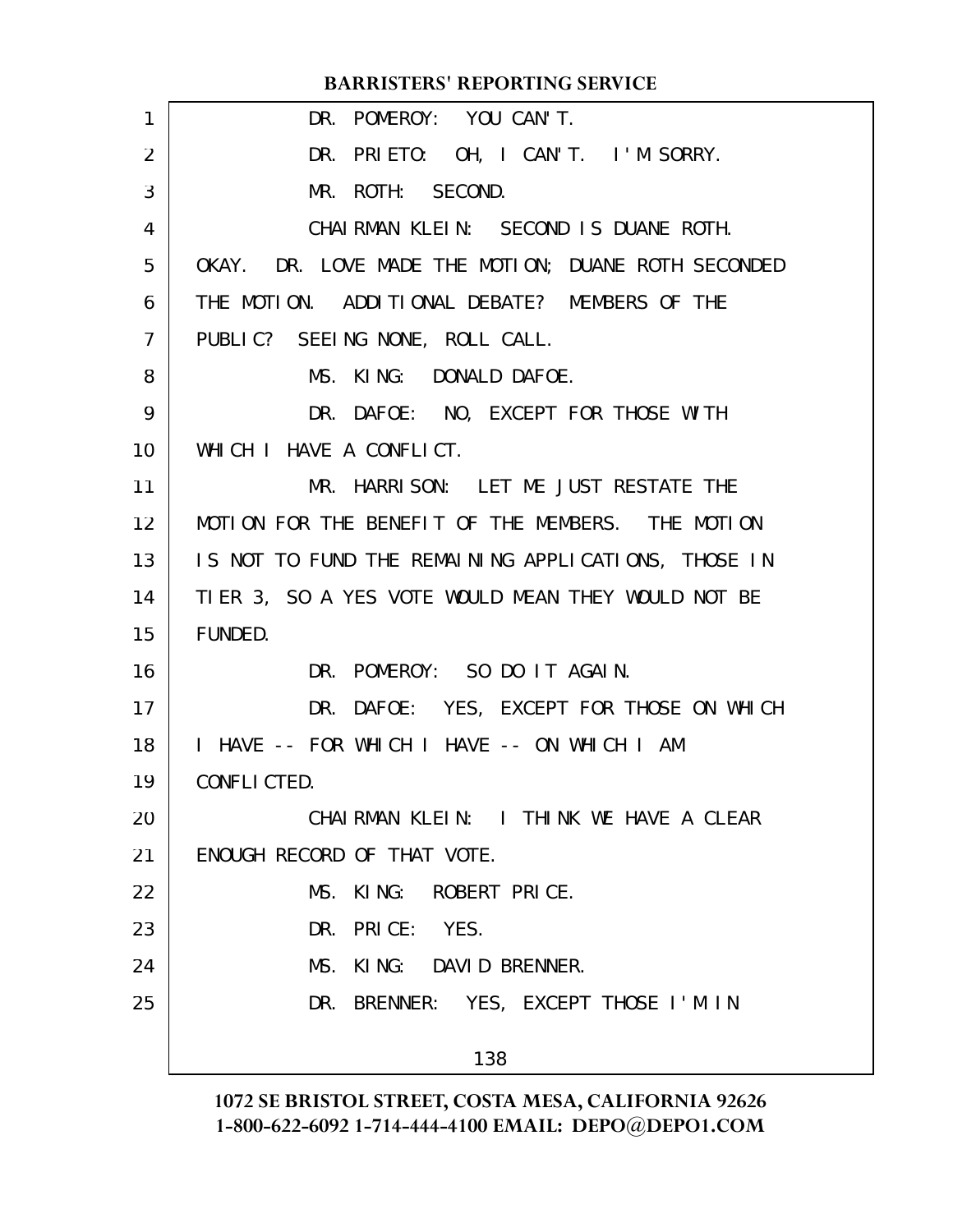| DR. POMEROY: YOU CAN'T.                             |
|-----------------------------------------------------|
|                                                     |
| DR. PRIETO: OH, I CAN'T. I'M SORRY.                 |
| MR. ROTH: SECOND.                                   |
| CHAIRMAN KLEIN: SECOND IS DUANE ROTH.               |
| OKAY. DR. LOVE MADE THE MOTION; DUANE ROTH SECONDED |
| THE MOTION. ADDITIONAL DEBATE? MEMBERS OF THE       |
| PUBLIC? SEEING NONE, ROLL CALL.                     |
| MS. KING: DONALD DAFOE.                             |
| DR. DAFOE: NO, EXCEPT FOR THOSE WITH                |
| WHICH I HAVE A CONFLICT.                            |
| MR. HARRISON: LET ME JUST RESTATE THE               |
| MOTION FOR THE BENEFIT OF THE MEMBERS. THE MOTION   |
| IS NOT TO FUND THE REMAINING APPLICATIONS, THOSE IN |
| TIER 3, SO A YES VOTE WOULD MEAN THEY WOULD NOT BE  |
| FUNDED.                                             |
| DR. POMEROY: SO DO IT AGAIN.                        |
| DR. DAFOE: YES, EXCEPT FOR THOSE ON WHICH           |
| I HAVE -- FOR WHICH I HAVE -- ON WHICH I AM         |
| CONFLICTED.                                         |
| CHAIRMAN KLEIN: I THINK WE HAVE A CLEAR             |
| ENOUGH RECORD OF THAT VOTE.                         |
| MS. KING: ROBERT PRICE.                             |
| DR. PRICE: YES.                                     |
| MS. KING: DAVID BRENNER.                            |
| DR. BRENNER: YES, EXCEPT THOSE I'M IN               |
| 138                                                 |
|                                                     |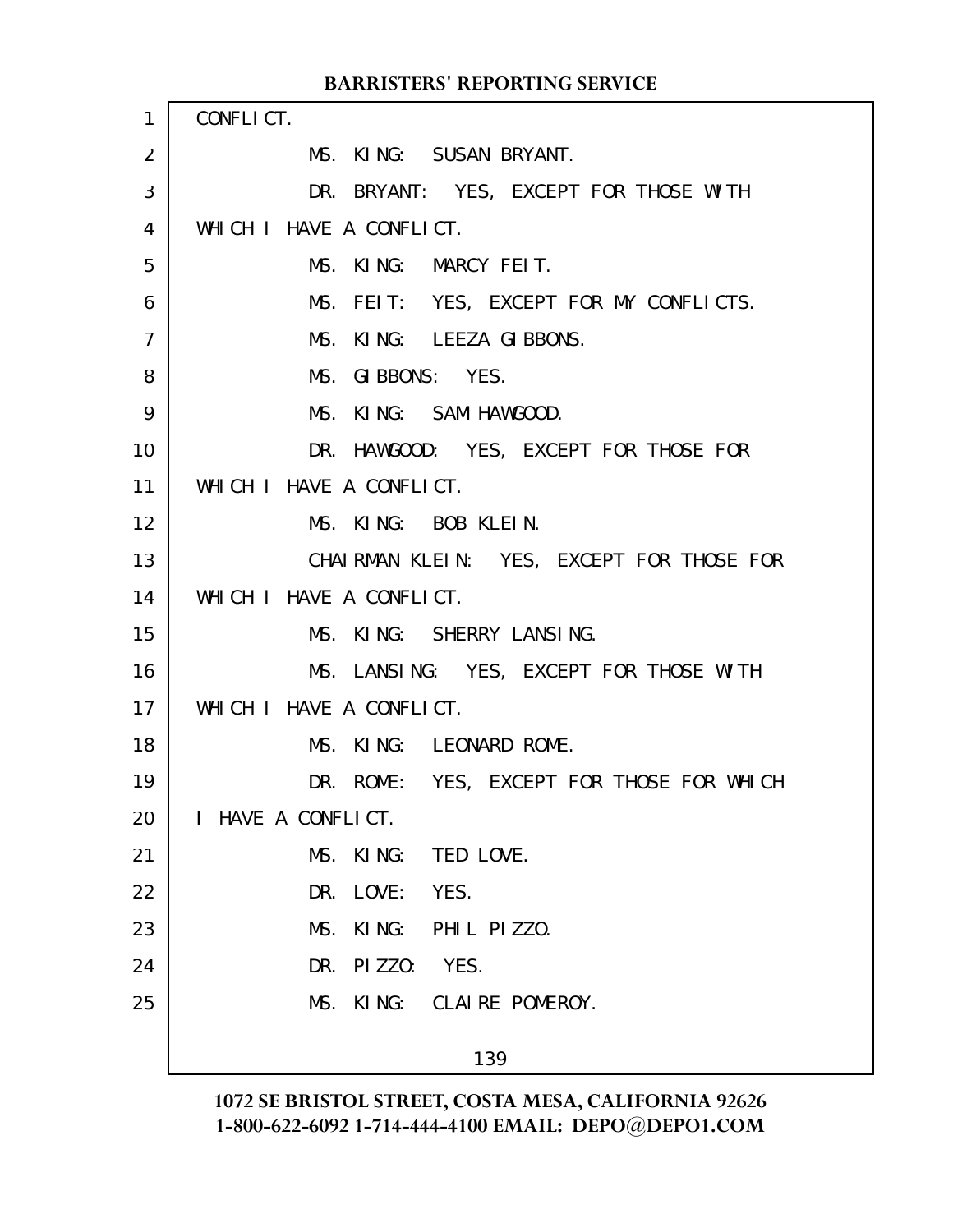|              | <b>BARRISTERS' REPORTING SERVICE</b>      |
|--------------|-------------------------------------------|
| $\mathbf{1}$ | CONFLICT.                                 |
| 2            | MS. KING: SUSAN BRYANT.                   |
| 3            | DR. BRYANT: YES, EXCEPT FOR THOSE WITH    |
| 4            | WHICH I HAVE A CONFLICT.                  |
| 5            | MS. KING: MARCY FEIT.                     |
| 6            | MS. FEIT: YES, EXCEPT FOR MY CONFLICTS.   |
| 7            | MS. KING: LEEZA GIBBONS.                  |
| 8            | MS. GIBBONS: YES.                         |
| 9            | MS. KING: SAM HAWGOOD.                    |
| 10           | DR. HAWGOOD: YES, EXCEPT FOR THOSE FOR    |
| 11           | WHICH I HAVE A CONFLICT.                  |
| 12           | MS. KING: BOB KLEIN.                      |
| 13           | CHAIRMAN KLEIN: YES, EXCEPT FOR THOSE FOR |
| 14           | WHICH I HAVE A CONFLICT.                  |
| 15           | MS. KING: SHERRY LANSING.                 |
| 16           | MS. LANSING: YES, EXCEPT FOR THOSE WITH   |
| 17           | WHICH I HAVE A CONFLICT.                  |
| 18           | MS. KING: LEONARD ROME.                   |
| 19           | DR. ROME: YES, EXCEPT FOR THOSE FOR WHICH |
| 20           | I HAVE A CONFLICT.                        |
| 21           | MS.<br>KI NG:<br>TED LOVE.                |
| 22           | LOVE:<br>YES.<br>DR.                      |
| 23           | MS.<br>KING: PHIL PIZZO.                  |
| 24           | PIZZO: YES.<br>DR.                        |
| 25           | MS. KING: CLAIRE POMEROY.                 |
|              | 139                                       |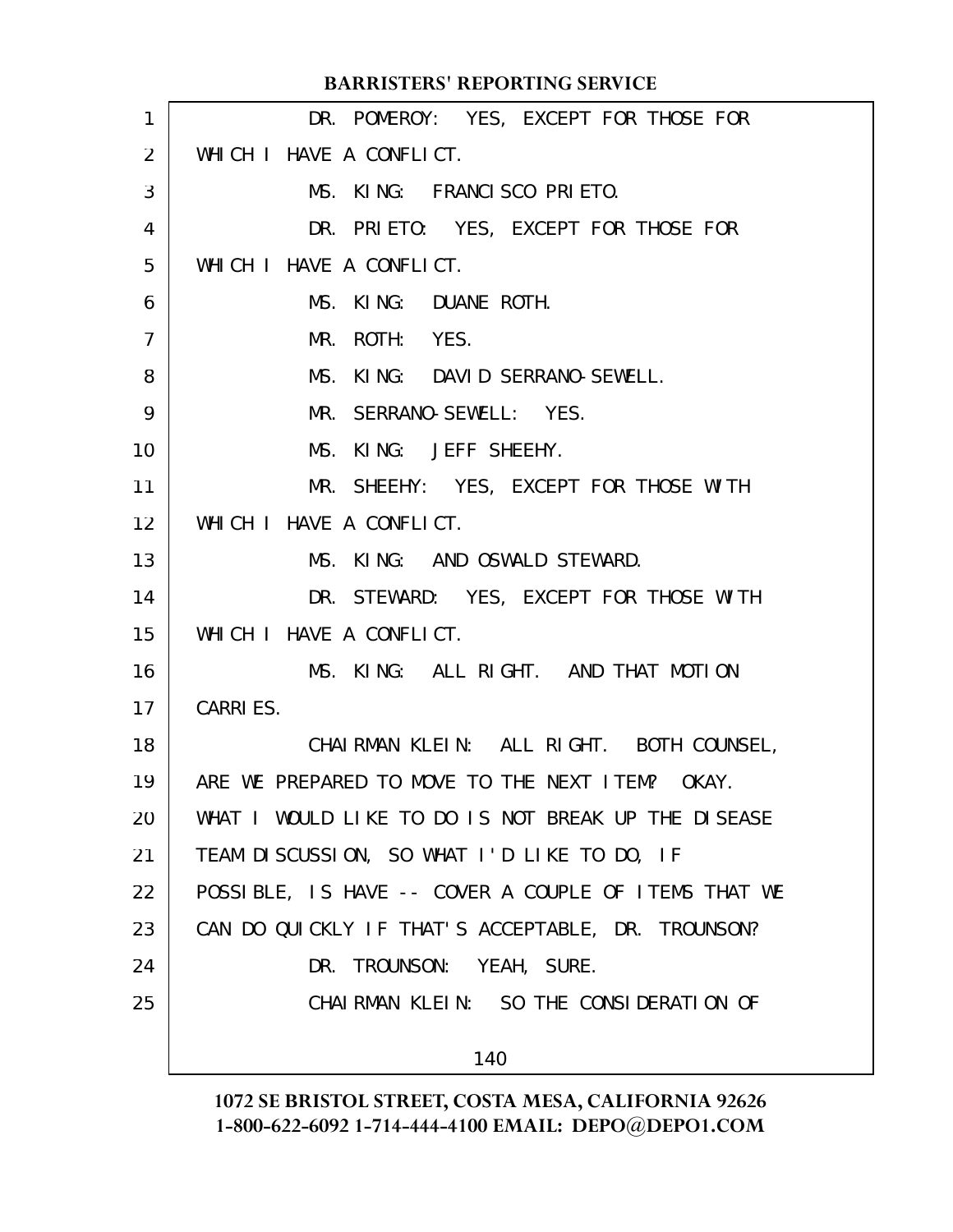|                   | <b>BARRISTERS' REPORTING SERVICE</b>                 |
|-------------------|------------------------------------------------------|
| 1                 | DR. POMEROY: YES, EXCEPT FOR THOSE FOR               |
| 2                 | WHICH I HAVE A CONFLICT.                             |
| 3                 | MS. KING: FRANCISCO PRIETO.                          |
| 4                 | DR. PRIETO: YES, EXCEPT FOR THOSE FOR                |
| 5                 | WHICH I HAVE A CONFLICT.                             |
| 6                 | MS. KING: DUANE ROTH.                                |
| $\overline{7}$    | MR. ROTH: YES.                                       |
| 8                 | MS. KING: DAVID SERRANO-SEWELL.                      |
| 9                 | MR. SERRANO-SEWELL: YES.                             |
| 10                | MS. KING: JEFF SHEEHY.                               |
| 11                | MR. SHEEHY: YES, EXCEPT FOR THOSE WITH               |
| $12 \overline{ }$ | WHICH I HAVE A CONFLICT.                             |
| 13                | MS. KING: AND OSWALD STEWARD.                        |
| 14                | DR. STEWARD: YES, EXCEPT FOR THOSE WITH              |
| 15                | WHICH I HAVE A CONFLICT.                             |
| 16                | MS. KING: ALL RIGHT. AND THAT MOTION                 |
| 17                | <b>CARRIES.</b>                                      |
| 18                | CHAIRMAN KLEIN: ALL RIGHT. BOTH COUNSEL,             |
| 19                | ARE WE PREPARED TO MOVE TO THE NEXT ITEM? OKAY.      |
| 20                | WHAT I WOULD LIKE TO DO IS NOT BREAK UP THE DISEASE  |
| 21                | TEAM DISCUSSION, SO WHAT I'D LIKE TO DO, IF          |
| 22                | POSSIBLE, IS HAVE -- COVER A COUPLE OF ITEMS THAT WE |
| 23                | CAN DO QUICKLY IF THAT'S ACCEPTABLE, DR. TROUNSON?   |
| 24                | DR. TROUNSON: YEAH, SURE.                            |
| 25                | CHAIRMAN KLEIN: SO THE CONSIDERATION OF              |
|                   | 140                                                  |
|                   |                                                      |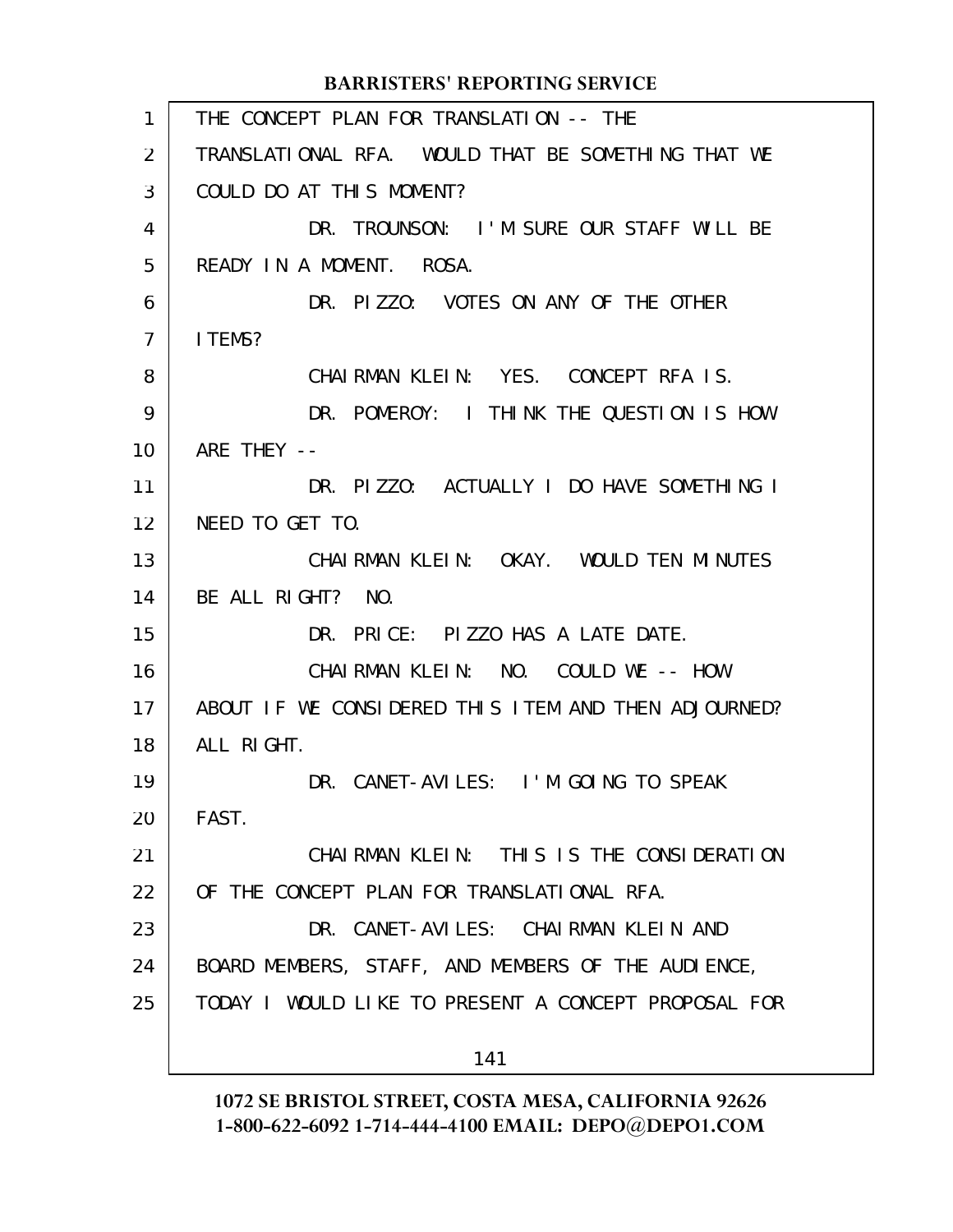THE CONCEPT PLAN FOR TRANSLATION -- THE TRANSLATIONAL RFA. WOULD THAT BE SOMETHING THAT WE COULD DO AT THIS MOMENT? DR. TROUNSON: I'M SURE OUR STAFF WILL BE READY IN A MOMENT. ROSA. DR. PIZZO: VOTES ON ANY OF THE OTHER I TEMS? CHAIRMAN KLEIN: YES. CONCEPT RFA IS. DR. POMEROY: I THINK THE QUESTION IS HOW ARF THEY  $--$ DR. PIZZO: ACTUALLY I DO HAVE SOMETHING I NEED TO GET TO. CHAIRMAN KLEIN: OKAY. WOULD TEN MINUTES BE ALL RIGHT? NO. DR. PRICE: PIZZO HAS A LATE DATE. CHAIRMAN KLEIN: NO. COULD WE -- HOW ABOUT IF WE CONSIDERED THIS ITEM AND THEN ADJOURNED? ALL RIGHT. DR. CANET-AVILES: I'M GOING TO SPEAK FAST. CHAIRMAN KLEIN: THIS IS THE CONSIDERATION OF THE CONCEPT PLAN FOR TRANSLATIONAL RFA. DR. CANET-AVILES: CHAIRMAN KLEIN AND BOARD MEMBERS, STAFF, AND MEMBERS OF THE AUDIENCE, TODAY I WOULD LIKE TO PRESENT A CONCEPT PROPOSAL FOR 141 **BARRISTERS' REPORTING SERVICE** 1 2 3 4 5 6 7 8 9 10 11 12 13 14 15 16 17 18 19 20 21 22 23 24 25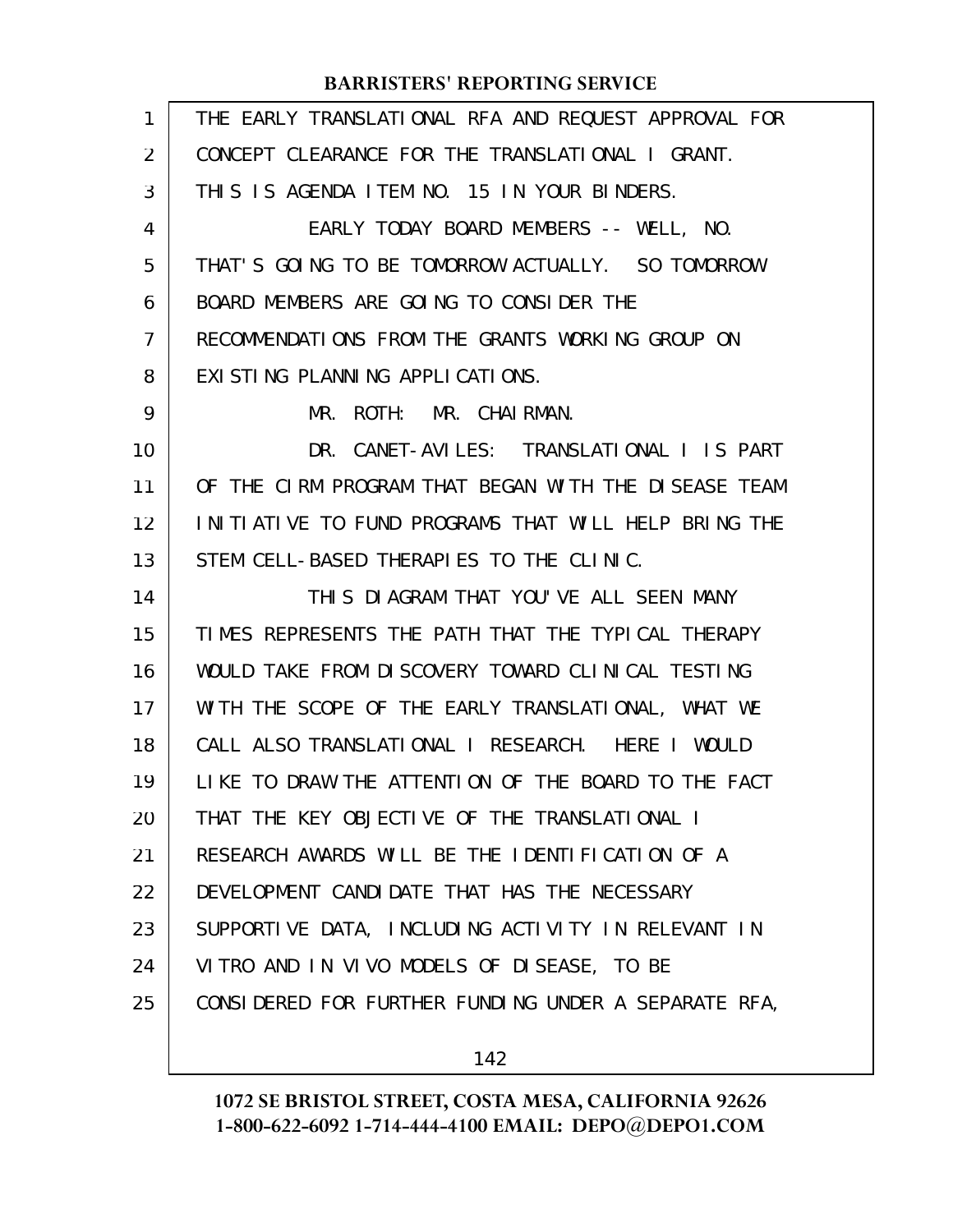| 1  | THE EARLY TRANSLATIONAL RFA AND REQUEST APPROVAL FOR |
|----|------------------------------------------------------|
| 2  | CONCEPT CLEARANCE FOR THE TRANSLATIONAL I GRANT.     |
| 3  | THIS IS AGENDA ITEM NO. 15 IN YOUR BINDERS.          |
| 4  | EARLY TODAY BOARD MEMBERS -- WELL, NO.               |
| 5  | THAT'S GOING TO BE TOMORROW ACTUALLY. SO TOMORROW    |
| 6  | BOARD MEMBERS ARE GOING TO CONSIDER THE              |
| 7  | RECOMMENDATIONS FROM THE GRANTS WORKING GROUP ON     |
| 8  | EXISTING PLANNING APPLICATIONS.                      |
| 9  | ROTH: MR. CHAIRMAN.<br>MR.                           |
| 10 | DR. CANET-AVILES: TRANSLATIONAL I IS PART            |
| 11 | OF THE CIRM PROGRAM THAT BEGAN WITH THE DISEASE TEAM |
| 12 | INITIATIVE TO FUND PROGRAMS THAT WILL HELP BRING THE |
| 13 | STEM CELL-BASED THERAPIES TO THE CLINIC.             |
| 14 | THIS DIAGRAM THAT YOU'VE ALL SEEN MANY               |
| 15 | TIMES REPRESENTS THE PATH THAT THE TYPICAL THERAPY   |
| 16 | WOULD TAKE FROM DISCOVERY TOWARD CLINICAL TESTING    |
| 17 | WITH THE SCOPE OF THE EARLY TRANSLATIONAL, WHAT WE   |
| 18 | CALL ALSO TRANSLATIONAL I RESEARCH. HERE I WOULD     |
| 19 | LIKE TO DRAW THE ATTENTION OF THE BOARD TO THE FACT  |
| 20 | THAT THE KEY OBJECTIVE OF THE TRANSLATIONAL I        |
| 21 | RESEARCH AWARDS WILL BE THE IDENTIFICATION OF A      |
| 22 | DEVELOPMENT CANDIDATE THAT HAS THE NECESSARY         |
| 23 | SUPPORTIVE DATA, INCLUDING ACTIVITY IN RELEVANT IN   |
| 24 | VITRO AND IN VIVO MODELS OF DISEASE, TO BE           |
| 25 | CONSIDERED FOR FURTHER FUNDING UNDER A SEPARATE RFA, |
|    |                                                      |

142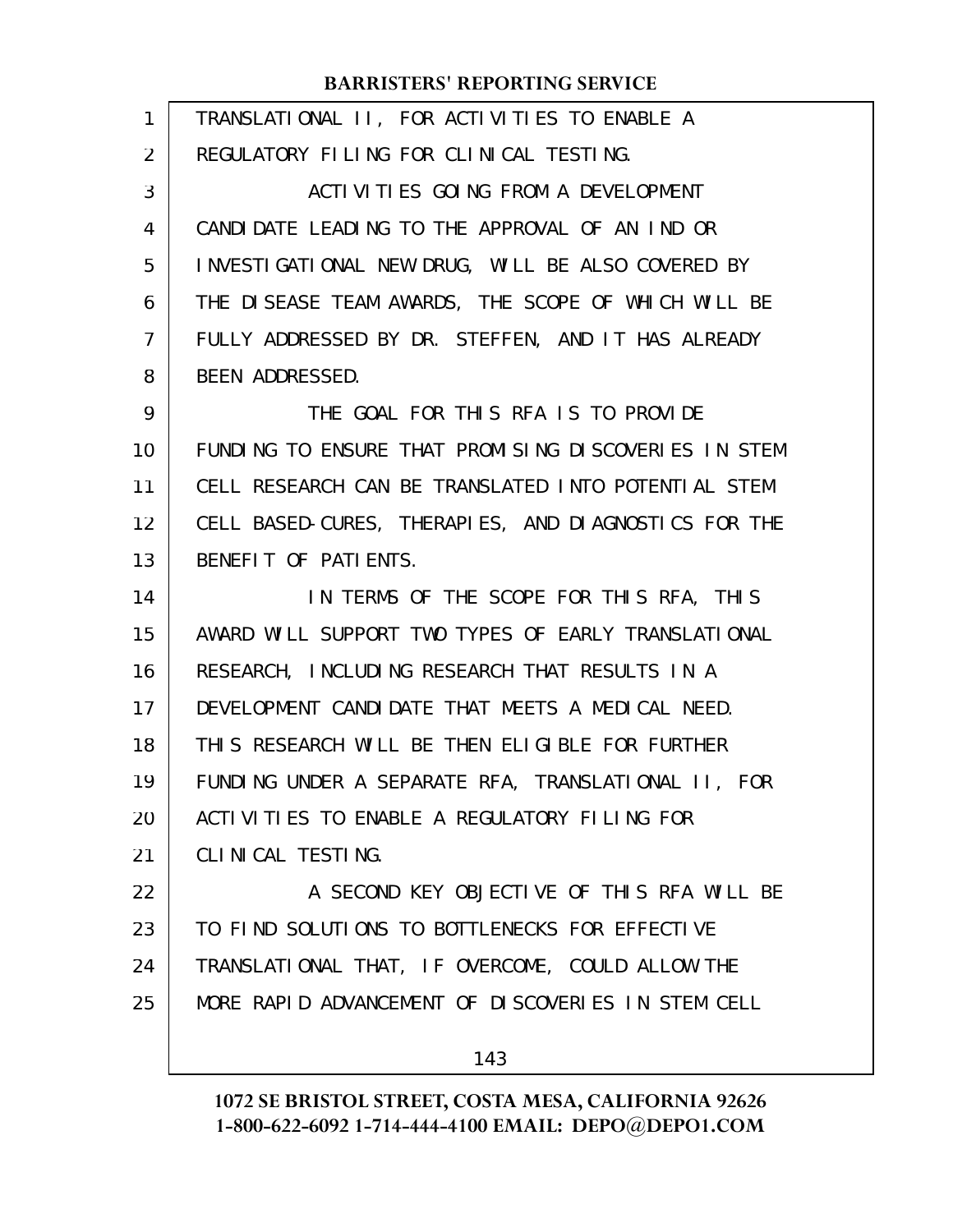| 1              | TRANSLATIONAL II, FOR ACTIVITIES TO ENABLE A         |
|----------------|------------------------------------------------------|
| $\overline{2}$ | REGULATORY FILING FOR CLINICAL TESTING.              |
| 3              | ACTIVITIES GOING FROM A DEVELOPMENT                  |
| 4              | CANDIDATE LEADING TO THE APPROVAL OF AN IND OR       |
| 5              | INVESTIGATIONAL NEW DRUG, WILL BE ALSO COVERED BY    |
| 6              | THE DISEASE TEAM AWARDS, THE SCOPE OF WHICH WILL BE  |
| 7              | FULLY ADDRESSED BY DR. STEFFEN, AND IT HAS ALREADY   |
| 8              | BEEN ADDRESSED.                                      |
| 9              | THE GOAL FOR THIS RFA IS TO PROVIDE                  |
| 10             | FUNDING TO ENSURE THAT PROMISING DISCOVERIES IN STEM |
| 11             | CELL RESEARCH CAN BE TRANSLATED INTO POTENTIAL STEM  |
| 12             | CELL BASED-CURES, THERAPIES, AND DIAGNOSTICS FOR THE |
| 13             | BENEFIT OF PATIENTS.                                 |
| 14             | IN TERMS OF THE SCOPE FOR THIS RFA, THIS             |
| 15             | AWARD WILL SUPPORT TWO TYPES OF EARLY TRANSLATIONAL  |
| 16             | RESEARCH, INCLUDING RESEARCH THAT RESULTS IN A       |
| 17             | DEVELOPMENT CANDIDATE THAT MEETS A MEDICAL NEED.     |
| 18             | THIS RESEARCH WILL BE THEN ELIGIBLE FOR FURTHER      |
| 19             | FUNDING UNDER A SEPARATE RFA, TRANSLATIONAL II, FOR  |
| 20             | ACTIVITIES TO ENABLE A REGULATORY FILING FOR         |
| 21             | CLINICAL TESTING.                                    |
| 22             | A SECOND KEY OBJECTIVE OF THIS RFA WILL BE           |
| 23             | TO FIND SOLUTIONS TO BOTTLENECKS FOR EFFECTIVE       |
| 24             | TRANSLATIONAL THAT, IF OVERCOME, COULD ALLOW THE     |
| 25             | MORE RAPID ADVANCEMENT OF DISCOVERIES IN STEM CELL   |
|                | 143                                                  |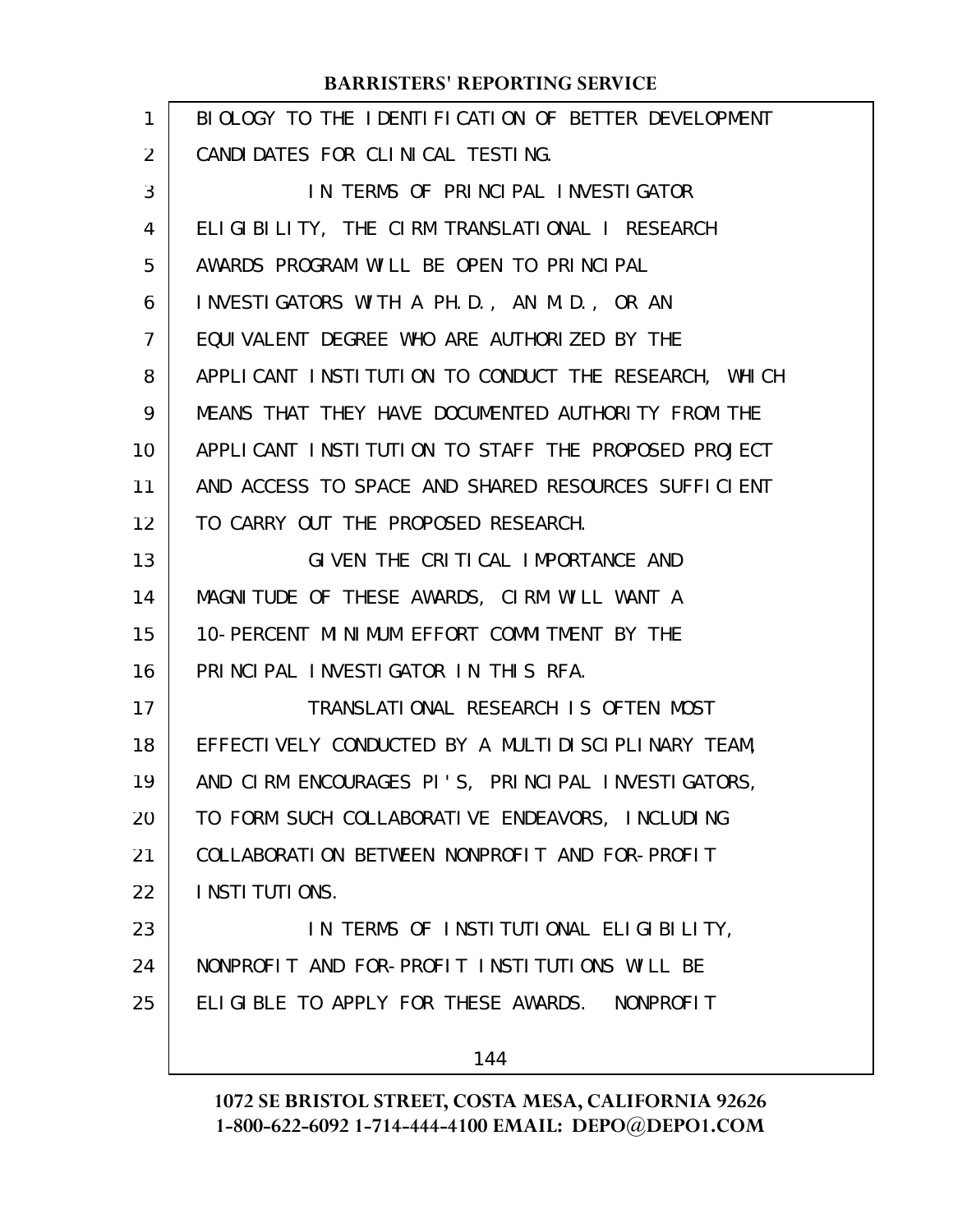| 1  | BIOLOGY TO THE IDENTIFICATION OF BETTER DEVELOPMENT  |
|----|------------------------------------------------------|
| 2  | CANDIDATES FOR CLINICAL TESTING.                     |
| 3  | IN TERMS OF PRINCIPAL INVESTIGATOR                   |
| 4  | ELIGIBILITY, THE CIRM TRANSLATIONAL I RESEARCH       |
| 5  | AWARDS PROGRAM WILL BE OPEN TO PRINCIPAL             |
| 6  | INVESTIGATORS WITH A PH.D., AN M.D., OR AN           |
| 7  | EQUIVALENT DEGREE WHO ARE AUTHORIZED BY THE          |
| 8  | APPLICANT INSTITUTION TO CONDUCT THE RESEARCH, WHICH |
| 9  | MEANS THAT THEY HAVE DOCUMENTED AUTHORITY FROM THE   |
| 10 | APPLICANT INSTITUTION TO STAFF THE PROPOSED PROJECT  |
| 11 | AND ACCESS TO SPACE AND SHARED RESOURCES SUFFICIENT  |
| 12 | TO CARRY OUT THE PROPOSED RESEARCH.                  |
| 13 | GIVEN THE CRITICAL IMPORTANCE AND                    |
| 14 | MAGNITUDE OF THESE AWARDS, CIRM WILL WANT A          |
| 15 | 10-PERCENT MINIMUM EFFORT COMMITMENT BY THE          |
| 16 | PRINCIPAL INVESTIGATOR IN THIS RFA.                  |
| 17 | TRANSLATIONAL RESEARCH IS OFTEN MOST                 |
| 18 | EFFECTIVELY CONDUCTED BY A MULTIDISCIPLINARY TEAM,   |
| 19 | AND CIRM ENCOURAGES PI'S, PRINCIPAL INVESTIGATORS,   |
| 20 | TO FORM SUCH COLLABORATIVE ENDEAVORS, INCLUDING      |
| 21 | COLLABORATION BETWEEN NONPROFIT AND FOR-PROFIT       |
| 22 | I NSTI TUTI ONS.                                     |
| 23 | IN TERMS OF INSTITUTIONAL ELIGIBILITY,               |
| 24 | NONPROFIT AND FOR-PROFIT INSTITUTIONS WILL BE        |
| 25 | ELIGIBLE TO APPLY FOR THESE AWARDS. NONPROFIT        |
|    | 144                                                  |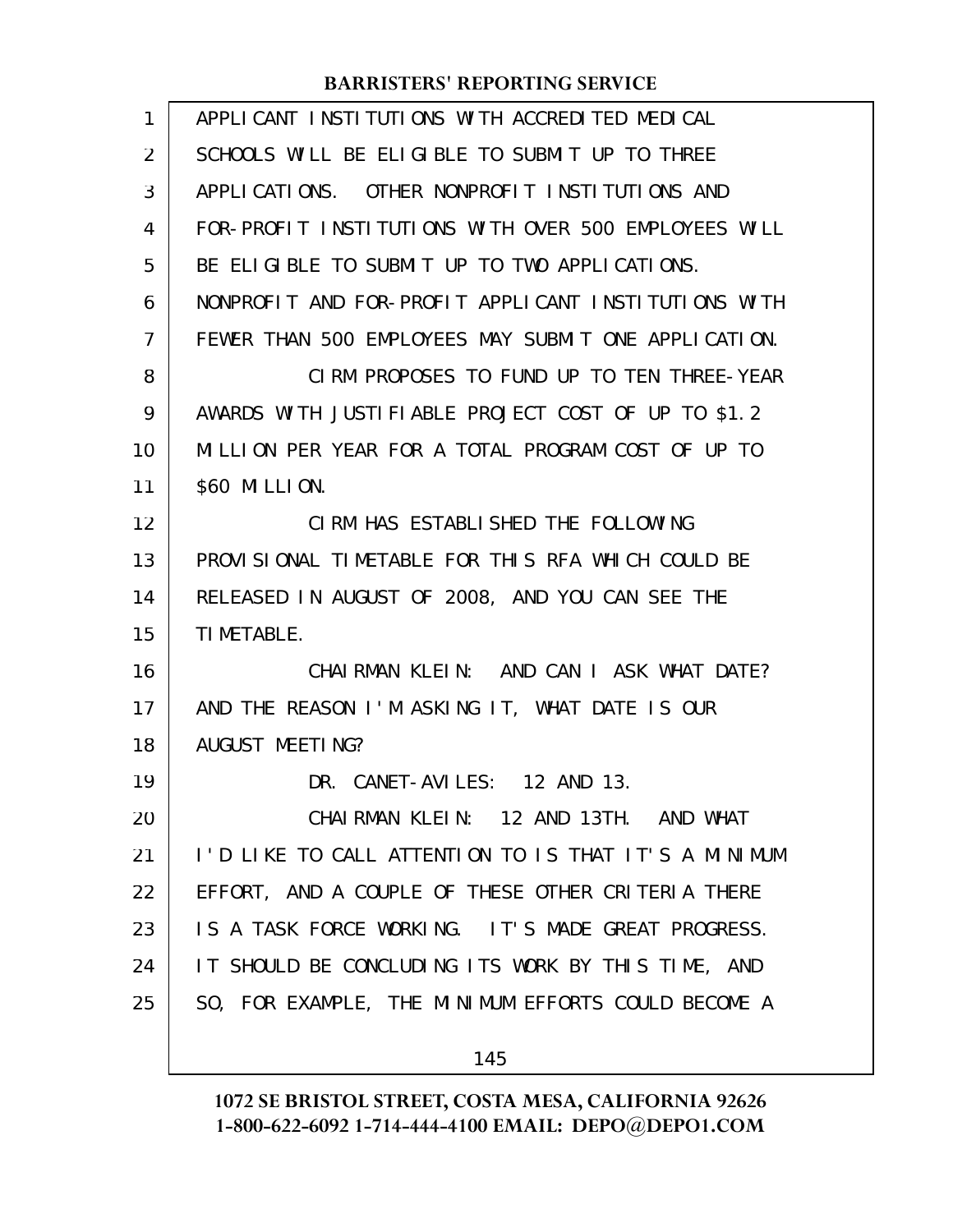| 1  | APPLICANT INSTITUTIONS WITH ACCREDITED MEDICAL       |
|----|------------------------------------------------------|
| 2  | SCHOOLS WILL BE ELIGIBLE TO SUBMIT UP TO THREE       |
| 3  | APPLICATIONS. OTHER NONPROFIT INSTITUTIONS AND       |
| 4  | FOR-PROFIT INSTITUTIONS WITH OVER 500 EMPLOYEES WILL |
| 5  | BE ELIGIBLE TO SUBMIT UP TO TWO APPLICATIONS.        |
| 6  | NONPROFIT AND FOR-PROFIT APPLICANT INSTITUTIONS WITH |
| 7  | FEWER THAN 500 EMPLOYEES MAY SUBMIT ONE APPLICATION. |
| 8  | CIRM PROPOSES TO FUND UP TO TEN THREE-YEAR           |
| 9  | AWARDS WITH JUSTIFIABLE PROJECT COST OF UP TO \$1.2  |
| 10 | MILLION PER YEAR FOR A TOTAL PROGRAM COST OF UP TO   |
| 11 | \$60 MILLION.                                        |
| 12 | CIRM HAS ESTABLISHED THE FOLLOWING                   |
| 13 | PROVISIONAL TIMETABLE FOR THIS RFA WHICH COULD BE    |
| 14 | RELEASED IN AUGUST OF 2008, AND YOU CAN SEE THE      |
| 15 | TI METABLE.                                          |
| 16 | CHAIRMAN KLEIN: AND CAN I ASK WHAT DATE?             |
| 17 | AND THE REASON I'M ASKING IT, WHAT DATE IS OUR       |
| 18 | AUGUST MEETING?                                      |
| 19 | DR. CANET-AVILES: 12 AND 13.                         |
| 20 | CHAIRMAN KLEIN: 12 AND 13TH. AND WHAT                |
| 21 | I'D LIKE TO CALL ATTENTION TO IS THAT IT'S A MINIMUM |
| 22 | EFFORT, AND A COUPLE OF THESE OTHER CRITERIA THERE   |
| 23 | IS A TASK FORCE WORKING. IT'S MADE GREAT PROGRESS.   |
| 24 | IT SHOULD BE CONCLUDING ITS WORK BY THIS TIME, AND   |
| 25 | SO, FOR EXAMPLE, THE MINIMUM EFFORTS COULD BECOME A  |
|    | 145                                                  |

**1072 SE BRISTOL STREET, COSTA MESA, CALIFORNIA 92626**

**1-800-622-6092 1-714-444-4100 EMAIL: DEPO@DEPO1.COM**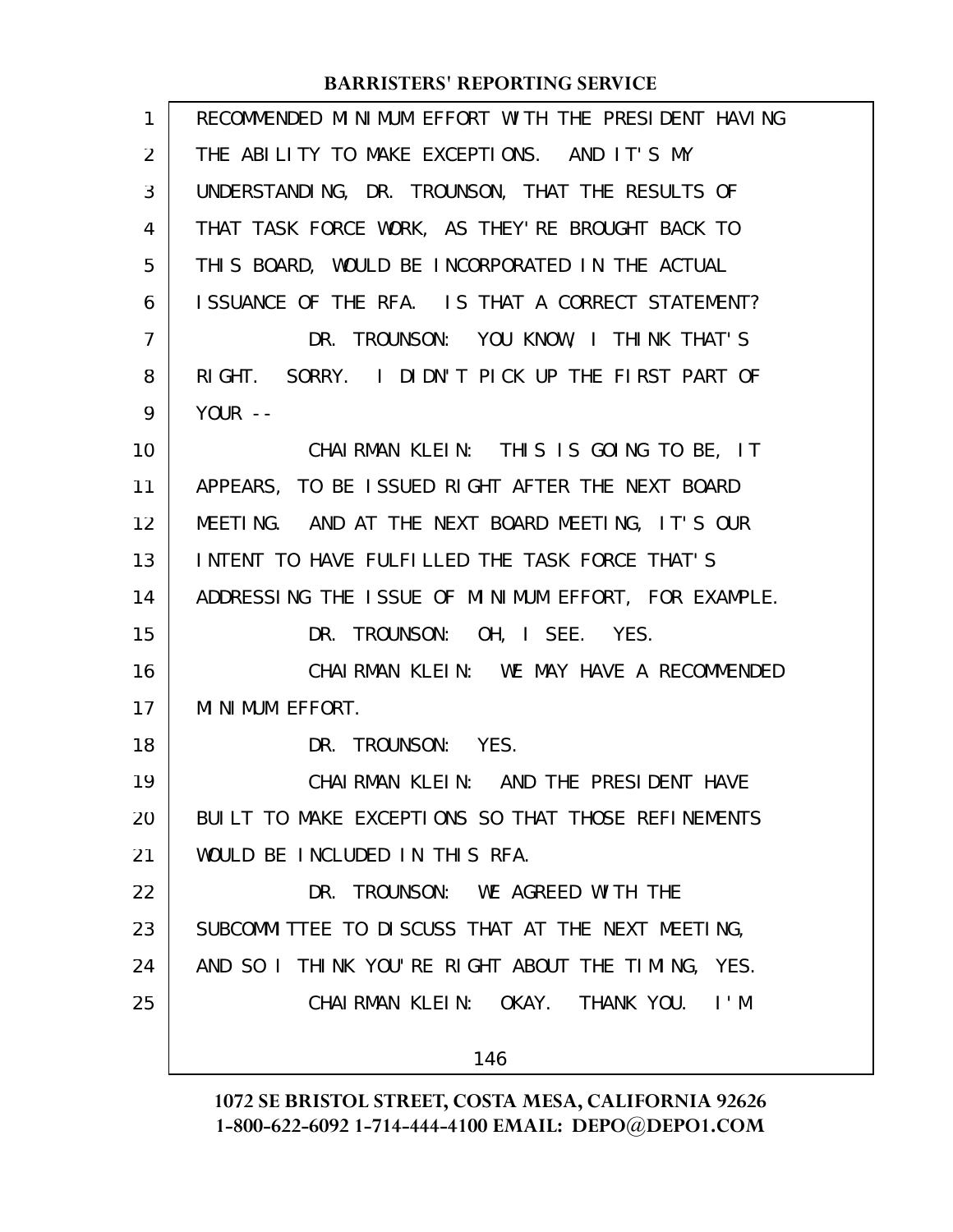| 1              | RECOMMENDED MINIMUM EFFORT WITH THE PRESIDENT HAVING |
|----------------|------------------------------------------------------|
| 2              | THE ABILITY TO MAKE EXCEPTIONS. AND IT'S MY          |
| 3              | UNDERSTANDING, DR. TROUNSON, THAT THE RESULTS OF     |
| 4              | THAT TASK FORCE WORK, AS THEY'RE BROUGHT BACK TO     |
| 5              | THIS BOARD, WOULD BE INCORPORATED IN THE ACTUAL      |
| 6              | ISSUANCE OF THE RFA. IS THAT A CORRECT STATEMENT?    |
| $\overline{7}$ | DR. TROUNSON: YOU KNOW, I THINK THAT'S               |
| 8              | RIGHT. SORRY. I DIDN'T PICK UP THE FIRST PART OF     |
| 9              | YOUR $-$                                             |
| 10             | CHAIRMAN KLEIN: THIS IS GOING TO BE, IT              |
| 11             | APPEARS, TO BE ISSUED RIGHT AFTER THE NEXT BOARD     |
| 12             | MEETING. AND AT THE NEXT BOARD MEETING, IT'S OUR     |
| 13             | INTENT TO HAVE FULFILLED THE TASK FORCE THAT'S       |
| 14             | ADDRESSING THE ISSUE OF MINIMUM EFFORT, FOR EXAMPLE. |
| 15             | DR. TROUNSON: OH, I SEE. YES.                        |
| 16             | CHAIRMAN KLEIN: WE MAY HAVE A RECOMMENDED            |
| 17             | MINIMUM EFFORT.                                      |
| 18             | DR. TROUNSON: YES.                                   |
| 19             | CHAI RMAN KLEIN: AND THE PRESIDENT HAVE              |
| 20             | BUILT TO MAKE EXCEPTIONS SO THAT THOSE REFINEMENTS   |
| 21             | WOULD BE INCLUDED IN THIS RFA.                       |
| 22             | DR. TROUNSON: WE AGREED WITH THE                     |
| 23             | SUBCOMMITTEE TO DISCUSS THAT AT THE NEXT MEETING,    |
| 24             | AND SO I THINK YOU'RE RIGHT ABOUT THE TIMING, YES.   |
| 25             | CHAIRMAN KLEIN: OKAY. THANK YOU.<br>$\mathsf{I}$ . M |
|                | 146                                                  |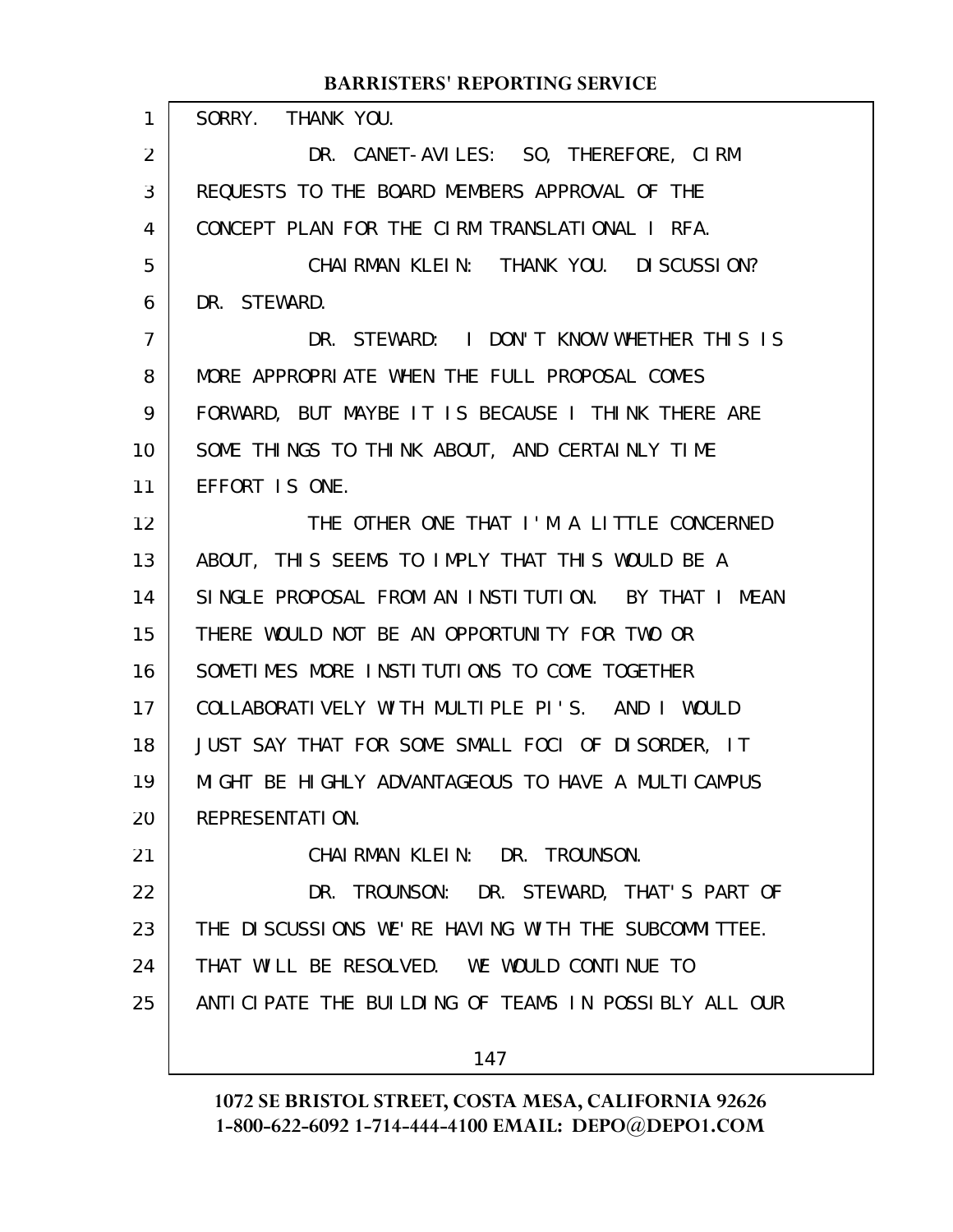SORRY. THANK YOU. DR. CANET-AVILES: SO, THEREFORE, CIRM REQUESTS TO THE BOARD MEMBERS APPROVAL OF THE CONCEPT PLAN FOR THE CIRM TRANSLATIONAL I RFA. CHAIRMAN KLEIN: THANK YOU. DISCUSSION? DR. STEWARD. DR. STEWARD: I DON'T KNOW WHETHER THIS IS MORE APPROPRIATE WHEN THE FULL PROPOSAL COMES FORWARD, BUT MAYBE IT IS BECAUSE I THINK THERE ARE SOME THINGS TO THINK ABOUT, AND CERTAINLY TIME EFFORT IS ONE. THE OTHER ONE THAT I'M A LITTLE CONCERNED ABOUT, THIS SEEMS TO IMPLY THAT THIS WOULD BE A SINGLE PROPOSAL FROM AN INSTITUTION. BY THAT I MEAN THERE WOULD NOT BE AN OPPORTUNITY FOR TWO OR SOMETIMES MORE INSTITUTIONS TO COME TOGETHER COLLABORATIVELY WITH MULTIPLE PI'S. AND I WOULD JUST SAY THAT FOR SOME SMALL FOCI OF DISORDER, IT MIGHT BE HIGHLY ADVANTAGEOUS TO HAVE A MULTICAMPUS REPRESENTATION. CHAIRMAN KLEIN: DR. TROUNSON. DR. TROUNSON: DR. STEWARD, THAT'S PART OF THE DISCUSSIONS WE'RE HAVING WITH THE SUBCOMMITTEE. THAT WILL BE RESOLVED. WE WOULD CONTINUE TO ANTICIPATE THE BUILDING OF TEAMS IN POSSIBLY ALL OUR 147 1 2 3 4 5 6 7 8 9 10 11 12 13 14 15 16 17 18 19 20 21 22 23 24 25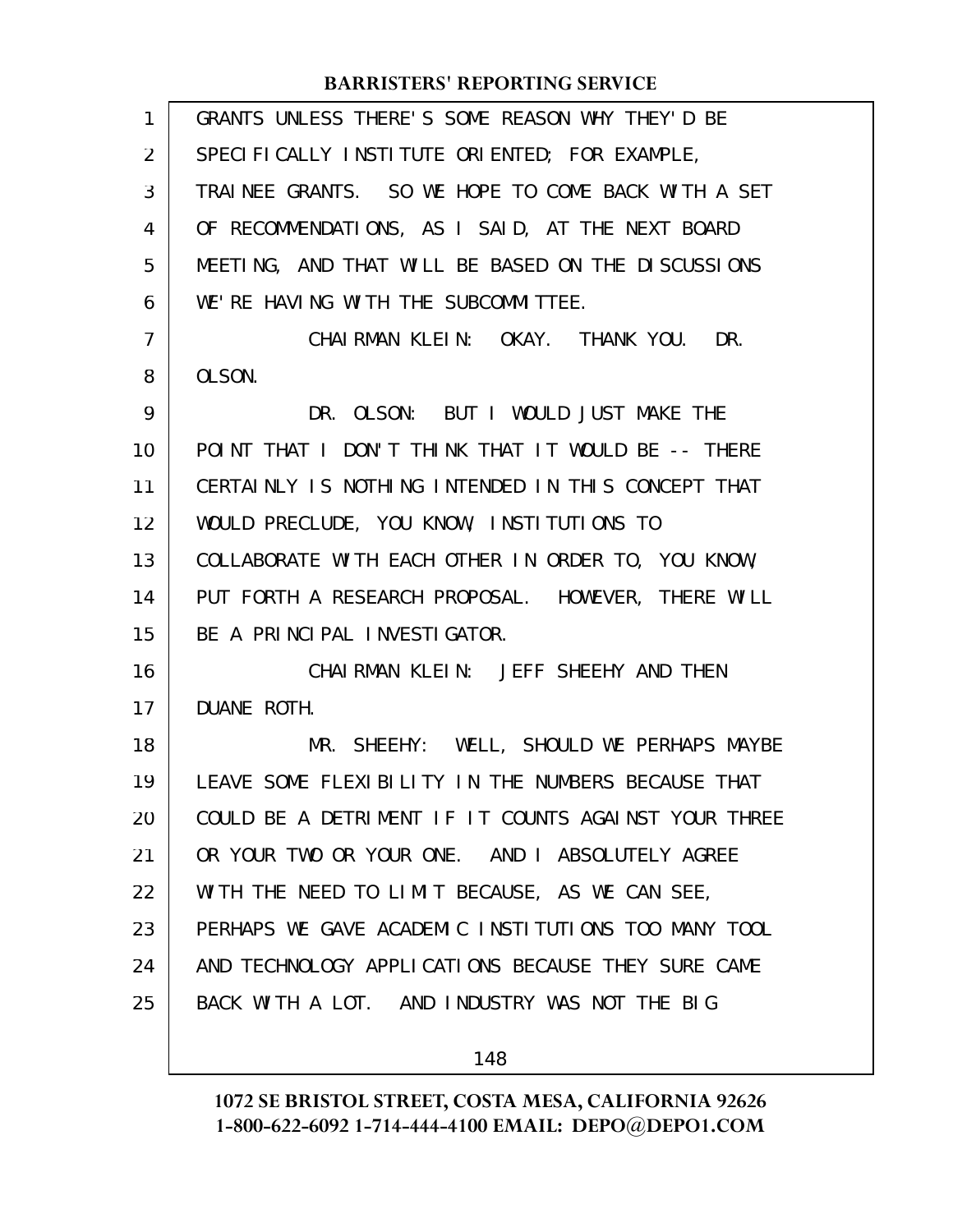| $\mathbf{1}$ | GRANTS UNLESS THERE'S SOME REASON WHY THEY'D BE      |
|--------------|------------------------------------------------------|
| 2            | SPECIFICALLY INSTITUTE ORIENTED; FOR EXAMPLE,        |
| 3            | TRAINEE GRANTS. SO WE HOPE TO COME BACK WITH A SET   |
| 4            | OF RECOMMENDATIONS, AS I SAID, AT THE NEXT BOARD     |
| 5            | MEETING, AND THAT WILL BE BASED ON THE DISCUSSIONS   |
| 6            | WE'RE HAVING WITH THE SUBCOMMITTEE.                  |
| 7            | CHAIRMAN KLEIN: OKAY. THANK YOU. DR.                 |
| 8            | OLSON.                                               |
| 9            | DR. OLSON: BUT I WOULD JUST MAKE THE                 |
| 10           | POINT THAT I DON'T THINK THAT IT WOULD BE -- THERE   |
| 11           | CERTAINLY IS NOTHING INTENDED IN THIS CONCEPT THAT   |
| 12           | WOULD PRECLUDE, YOU KNOW, INSTITUTIONS TO            |
| 13           | COLLABORATE WITH EACH OTHER IN ORDER TO, YOU KNOW,   |
| 14           | PUT FORTH A RESEARCH PROPOSAL. HOWEVER, THERE WILL   |
| 15           | BE A PRINCIPAL INVESTIGATOR.                         |
| 16           | CHAIRMAN KLEIN: JEFF SHEEHY AND THEN                 |
| 17           | DUANE ROTH.                                          |
| 18           | MR. SHEEHY: WELL, SHOULD WE PERHAPS MAYBE            |
| 19           | LEAVE SOME FLEXIBILITY IN THE NUMBERS BECAUSE THAT   |
| 20           | COULD BE A DETRIMENT IF IT COUNTS AGAINST YOUR THREE |
| 21           | OR YOUR TWO OR YOUR ONE. AND I ABSOLUTELY AGREE      |
| 22           | WITH THE NEED TO LIMIT BECAUSE, AS WE CAN SEE,       |
| 23           | PERHAPS WE GAVE ACADEMIC INSTITUTIONS TOO MANY TOOL  |
| 24           | AND TECHNOLOGY APPLICATIONS BECAUSE THEY SURE CAME   |
| 25           | BACK WITH A LOT. AND INDUSTRY WAS NOT THE BIG        |
|              |                                                      |

148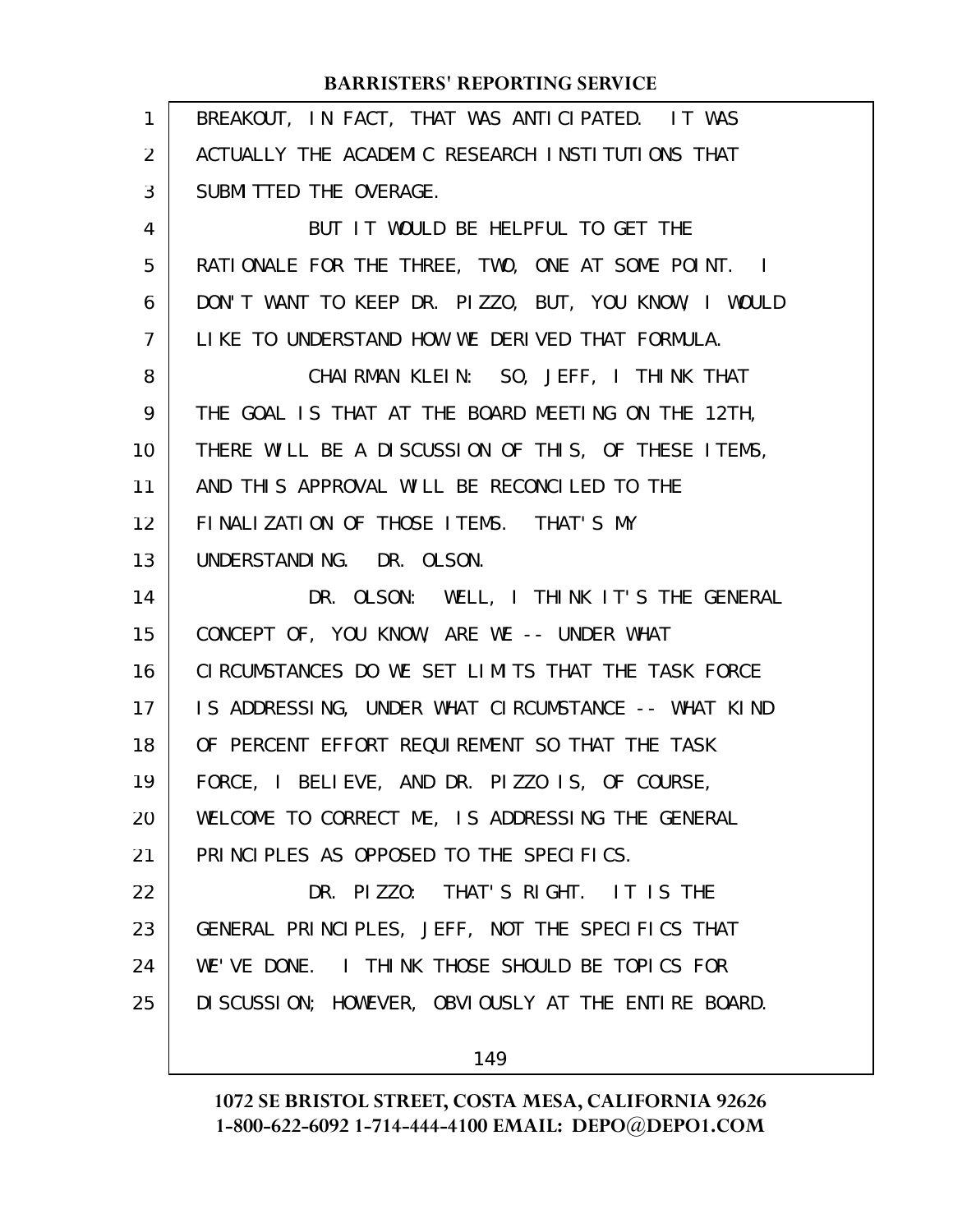| $\mathbf{1}$   | BREAKOUT, IN FACT, THAT WAS ANTICIPATED. IT WAS      |
|----------------|------------------------------------------------------|
| 2              | ACTUALLY THE ACADEMIC RESEARCH INSTITUTIONS THAT     |
| 3              | SUBMITTED THE OVERAGE.                               |
| 4              | BUT IT WOULD BE HELPFUL TO GET THE                   |
| 5              | RATIONALE FOR THE THREE, TWO, ONE AT SOME POINT. I   |
| 6              | DON'T WANT TO KEEP DR. PIZZO, BUT, YOU KNOW, I WOULD |
| $\overline{7}$ | LIKE TO UNDERSTAND HOW WE DERIVED THAT FORMULA.      |
| 8              | CHAIRMAN KLEIN: SO, JEFF, I THINK THAT               |
| 9              | THE GOAL IS THAT AT THE BOARD MEETING ON THE 12TH,   |
| 10             | THERE WILL BE A DISCUSSION OF THIS, OF THESE ITEMS,  |
| 11             | AND THIS APPROVAL WILL BE RECONCILED TO THE          |
| 12             | FINALIZATION OF THOSE ITEMS. THAT'S MY               |
| 13             | UNDERSTANDING. DR. OLSON.                            |
| 14             | DR. OLSON: WELL, I THINK IT'S THE GENERAL            |
| 15             | CONCEPT OF, YOU KNOW, ARE WE -- UNDER WHAT           |
| 16             | CIRCUMSTANCES DO WE SET LIMITS THAT THE TASK FORCE   |
| 17             | IS ADDRESSING, UNDER WHAT CIRCUMSTANCE -- WHAT KIND  |
| 18             | OF PERCENT EFFORT REQUIREMENT SO THAT THE TASK       |
| 19             | FORCE, I BELIEVE, AND DR. PIZZO IS, OF COURSE,       |
| 20             | WELCOME TO CORRECT ME, IS ADDRESSING THE GENERAL     |
| 21             |                                                      |
|                | PRINCIPLES AS OPPOSED TO THE SPECIFICS.              |
| 22             | DR. PIZZO: THAT'S RIGHT. IT IS THE                   |
| 23             | GENERAL PRINCIPLES, JEFF, NOT THE SPECIFICS THAT     |
| 24             | WE'VE DONE. I THINK THOSE SHOULD BE TOPICS FOR       |
| 25             | DI SCUSSION; HOWEVER, OBVIOUSLY AT THE ENTIRE BOARD. |

149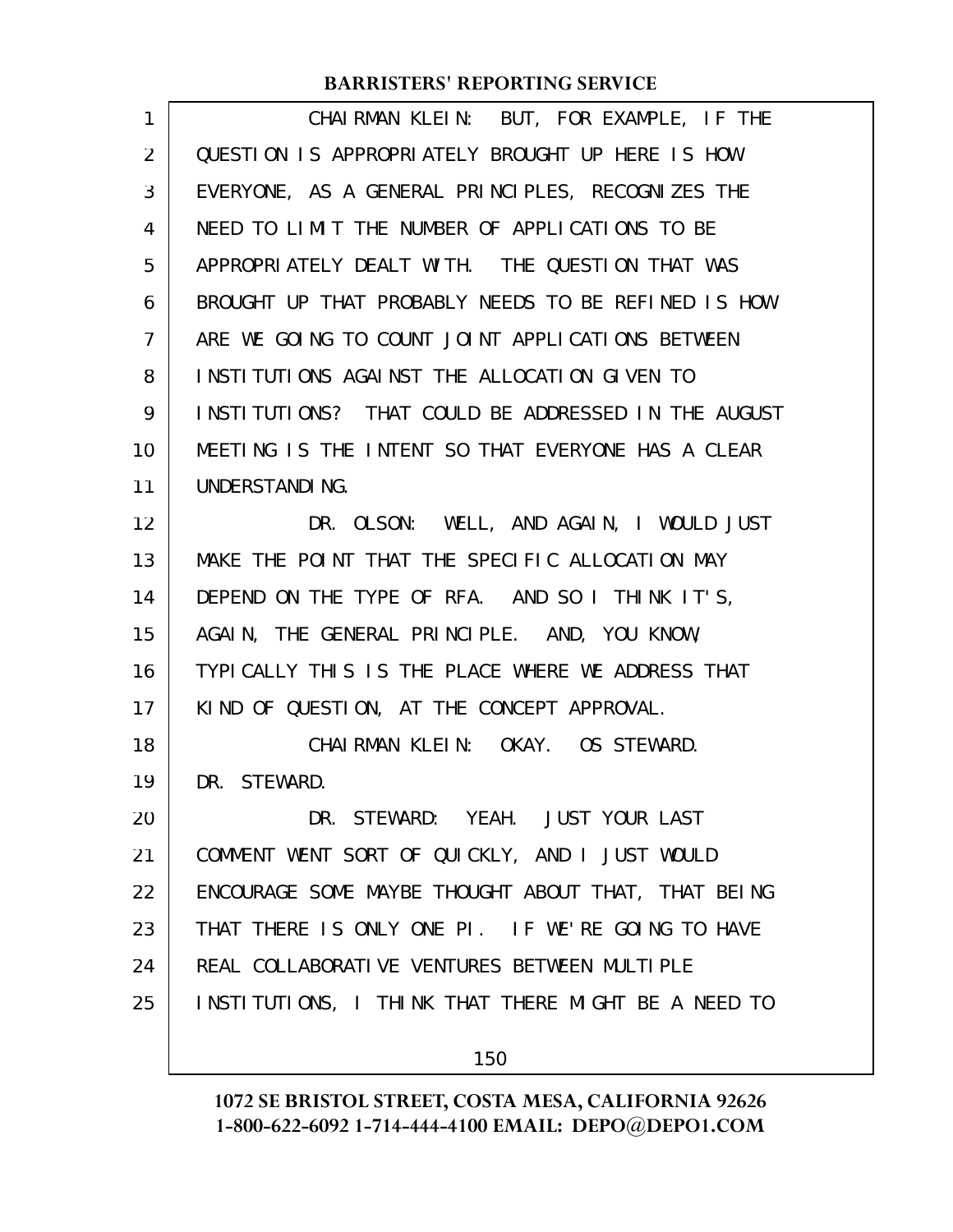| $\mathbf{1}$   | CHAIRMAN KLEIN: BUT, FOR EXAMPLE, IF THE            |
|----------------|-----------------------------------------------------|
| 2              | QUESTION IS APPROPRIATELY BROUGHT UP HERE IS HOW    |
| 3              | EVERYONE, AS A GENERAL PRINCIPLES, RECOGNIZES THE   |
| 4              | NEED TO LIMIT THE NUMBER OF APPLICATIONS TO BE      |
| 5              | APPROPRIATELY DEALT WITH. THE QUESTION THAT WAS     |
| 6              | BROUGHT UP THAT PROBABLY NEEDS TO BE REFINED IS HOW |
| $\overline{7}$ | ARE WE GOING TO COUNT JOINT APPLICATIONS BETWEEN    |
| 8              | INSTITUTIONS AGAINST THE ALLOCATION GIVEN TO        |
| 9              | INSTITUTIONS? THAT COULD BE ADDRESSED IN THE AUGUST |
| 10             | MEETING IS THE INTENT SO THAT EVERYONE HAS A CLEAR  |
| 11             | UNDERSTANDING.                                      |
| 12             | DR. OLSON: WELL, AND AGAIN, I WOULD JUST            |
| 13             | MAKE THE POINT THAT THE SPECIFIC ALLOCATION MAY     |
| 14             | DEPEND ON THE TYPE OF RFA. AND SO I THINK IT'S,     |
| 15             | AGAIN, THE GENERAL PRINCIPLE. AND, YOU KNOW,        |
| 16             | TYPICALLY THIS IS THE PLACE WHERE WE ADDRESS THAT   |
| 17             | KIND OF QUESTION, AT THE CONCEPT APPROVAL.          |
| 18             | CHAIRMAN KLEIN: OKAY. OS STEWARD.                   |
| 19             | DR. STEWARD.                                        |
| 20             | DR. STEWARD: YEAH. JUST YOUR LAST                   |
| 21             | COMMENT WENT SORT OF QUICKLY, AND I JUST WOULD      |
| 22             | ENCOURAGE SOME MAYBE THOUGHT ABOUT THAT, THAT BEING |
| 23             | THAT THERE IS ONLY ONE PI. IF WE'RE GOING TO HAVE   |
| 24             | REAL COLLABORATIVE VENTURES BETWEEN MULTIPLE        |
| 25             | INSTITUTIONS, I THINK THAT THERE MIGHT BE A NEED TO |
|                |                                                     |

150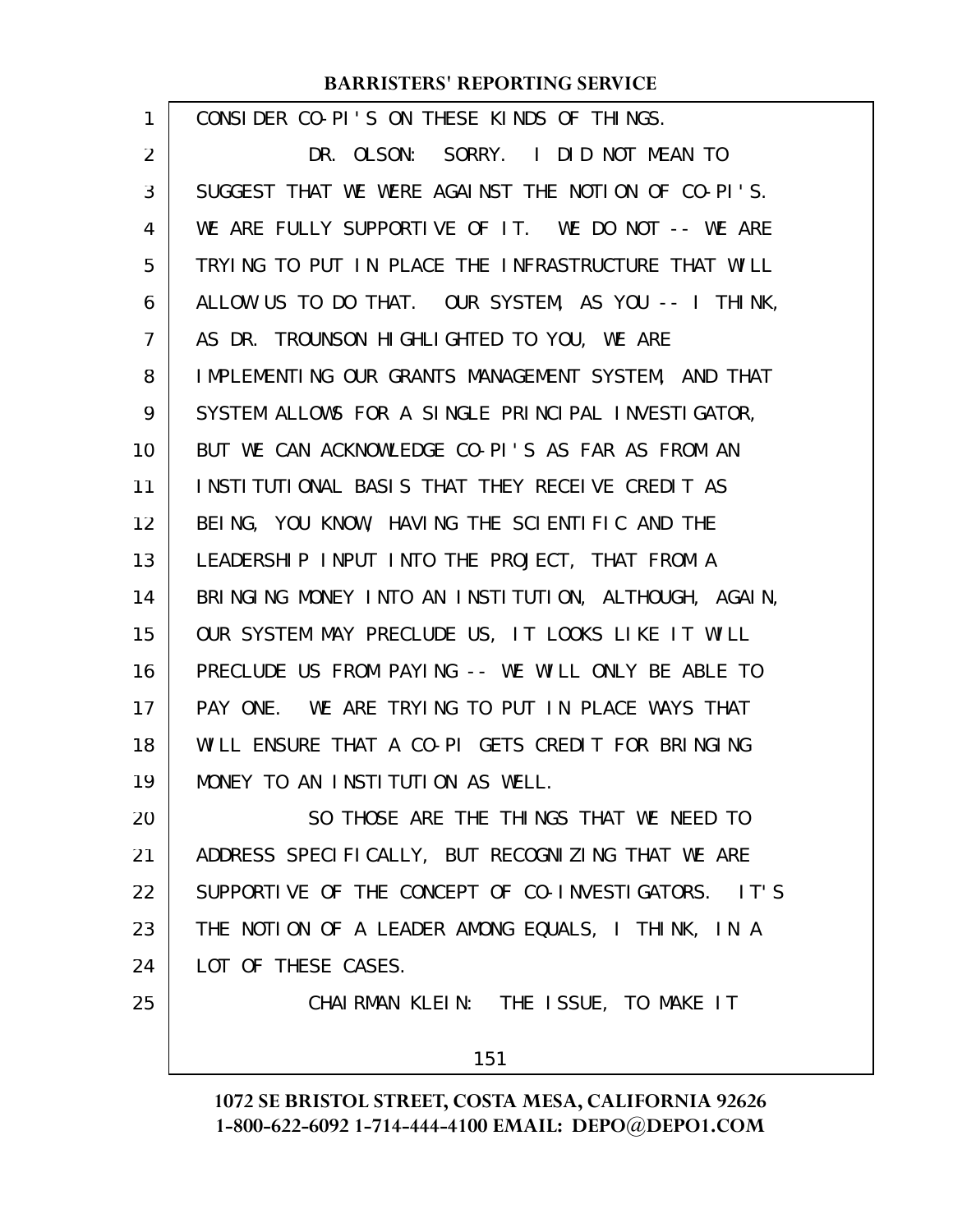| 1  | CONSIDER CO-PI'S ON THESE KINDS OF THINGS.             |
|----|--------------------------------------------------------|
| 2  | DR. OLSON: SORRY. I DID NOT MEAN TO                    |
| 3  | SUGGEST THAT WE WERE AGAINST THE NOTION OF CO-PI'S.    |
| 4  | WE ARE FULLY SUPPORTIVE OF IT. WE DO NOT -- WE ARE     |
| 5  | TRYING TO PUT IN PLACE THE INFRASTRUCTURE THAT WILL    |
| 6  | ALLOW US TO DO THAT. OUR SYSTEM, AS YOU -- I THINK,    |
| 7  | AS DR. TROUNSON HIGHLIGHTED TO YOU, WE ARE             |
| 8  | IMPLEMENTING OUR GRANTS MANAGEMENT SYSTEM, AND THAT    |
| 9  | SYSTEM ALLOWS FOR A SINGLE PRINCIPAL INVESTIGATOR,     |
| 10 | BUT WE CAN ACKNOWLEDGE CO-PI'S AS FAR AS FROM AN       |
| 11 | <b>INSTITUTIONAL BASIS THAT THEY RECEIVE CREDIT AS</b> |
| 12 | BEING, YOU KNOW, HAVING THE SCIENTIFIC AND THE         |
| 13 | LEADERSHIP INPUT INTO THE PROJECT, THAT FROM A         |
| 14 | BRINGING MONEY INTO AN INSTITUTION, ALTHOUGH, AGAIN,   |
| 15 | OUR SYSTEM MAY PRECLUDE US, IT LOOKS LIKE IT WILL      |
| 16 | PRECLUDE US FROM PAYING -- WE WILL ONLY BE ABLE TO     |
| 17 | PAY ONE. WE ARE TRYING TO PUT IN PLACE WAYS THAT       |
| 18 | WILL ENSURE THAT A CO-PI GETS CREDIT FOR BRINGING      |
| 19 | MONEY TO AN INSTITUTION AS WELL.                       |
| 20 | SO THOSE ARE THE THINGS THAT WE NEED TO                |
| 21 | ADDRESS SPECIFICALLY, BUT RECOGNIZING THAT WE ARE      |
| 22 | SUPPORTIVE OF THE CONCEPT OF CO-INVESTIGATORS. IT'S    |
| 23 | THE NOTION OF A LEADER AMONG EQUALS, I THINK, IN A     |
| 24 | LOT OF THESE CASES.                                    |
| 25 | CHAIRMAN KLEIN: THE ISSUE, TO MAKE IT                  |
|    | 151                                                    |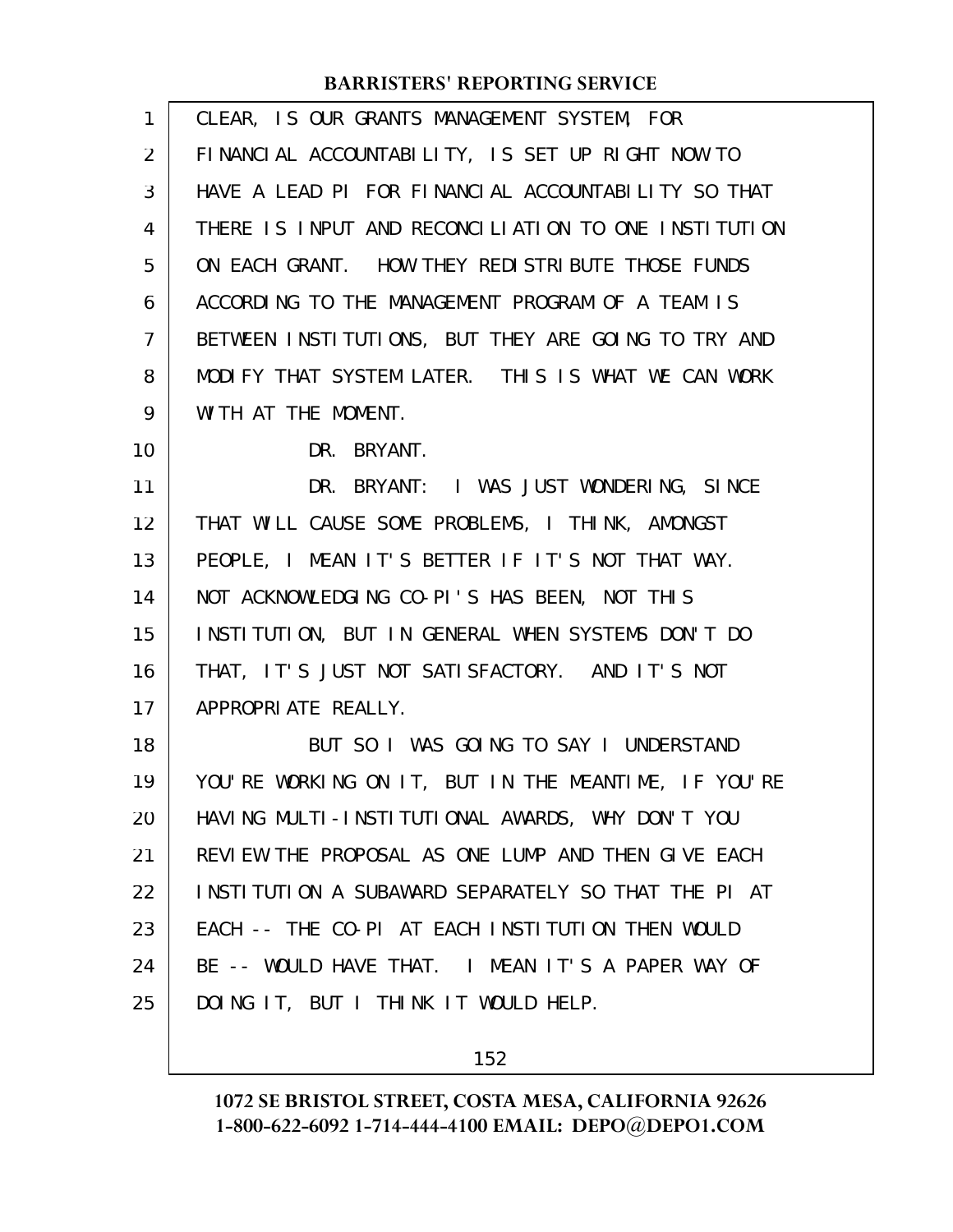| 1              | CLEAR, IS OUR GRANTS MANAGEMENT SYSTEM, FOR          |
|----------------|------------------------------------------------------|
| $\overline{2}$ | FINANCIAL ACCOUNTABILITY, IS SET UP RIGHT NOW TO     |
| 3              | HAVE A LEAD PI FOR FINANCIAL ACCOUNTABILITY SO THAT  |
| 4              | THERE IS INPUT AND RECONCILIATION TO ONE INSTITUTION |
| 5              | ON EACH GRANT. HOW THEY REDISTRIBUTE THOSE FUNDS     |
| 6              | ACCORDING TO THE MANAGEMENT PROGRAM OF A TEAM IS     |
| $\overline{7}$ | BETWEEN INSTITUTIONS, BUT THEY ARE GOING TO TRY AND  |
| 8              | MODIFY THAT SYSTEM LATER. THIS IS WHAT WE CAN WORK   |
| 9              | WITH AT THE MOMENT.                                  |
| 10             | DR. BRYANT.                                          |
| 11             | DR. BRYANT: I WAS JUST WONDERING, SINCE              |
| 12             | THAT WILL CAUSE SOME PROBLEMS, I THINK, AMONGST      |
| 13             | PEOPLE, I MEAN IT'S BETTER IF IT'S NOT THAT WAY.     |
| 14             | NOT ACKNOWLEDGING CO-PI'S HAS BEEN, NOT THIS         |
| 15             | INSTITUTION, BUT IN GENERAL WHEN SYSTEMS DON'T DO    |
| 16             | THAT, IT'S JUST NOT SATISFACTORY. AND IT'S NOT       |
| 17             | APPROPRIATE REALLY.                                  |
| 18             | BUT SO I WAS GOING TO SAY I UNDERSTAND               |
| 19             | YOU'RE WORKING ON IT, BUT IN THE MEANTIME, IF YOU'RE |
| 20             | HAVING MULTI-INSTITUTIONAL AWARDS, WHY DON'T YOU     |
| 21             | REVIEW THE PROPOSAL AS ONE LUMP AND THEN GIVE EACH   |
| 22             | INSTITUTION A SUBAWARD SEPARATELY SO THAT THE PI AT  |
| 23             | EACH -- THE CO-PI AT EACH INSTITUTION THEN WOULD     |
| 24             | BE -- WOULD HAVE THAT. I MEAN IT'S A PAPER WAY OF    |
| 25             | DOING IT, BUT I THINK IT WOULD HELP.                 |
|                |                                                      |

152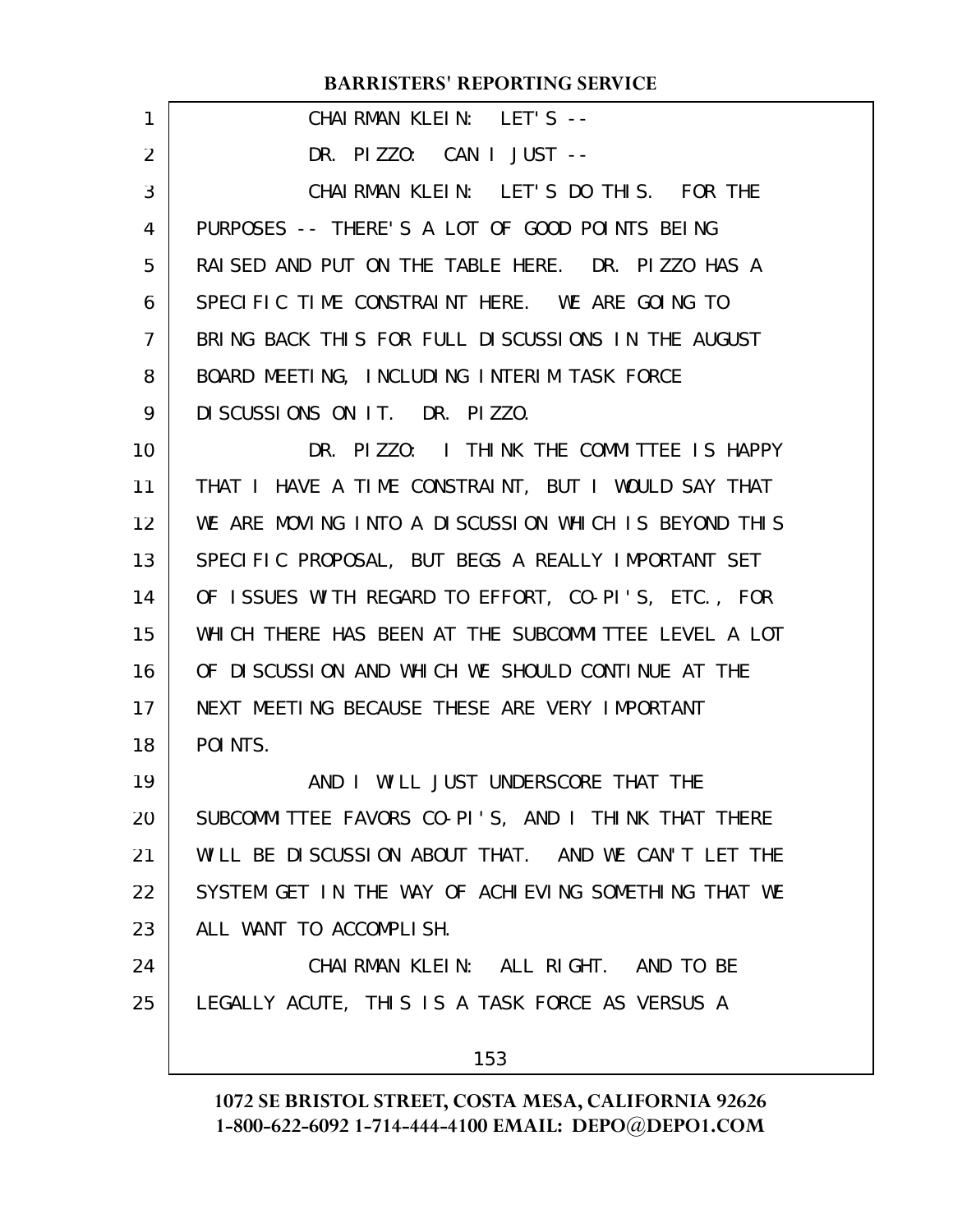| 1  | CHAIRMAN KLEIN: LET'S --                             |
|----|------------------------------------------------------|
| 2  | DR. PIZZO: CAN I JUST --                             |
| 3  | CHAIRMAN KLEIN: LET'S DO THIS. FOR THE               |
| 4  | PURPOSES -- THERE'S A LOT OF GOOD POINTS BEING       |
| 5  | RAISED AND PUT ON THE TABLE HERE. DR. PIZZO HAS A    |
| 6  | SPECIFIC TIME CONSTRAINT HERE. WE ARE GOING TO       |
| 7  | BRING BACK THIS FOR FULL DISCUSSIONS IN THE AUGUST   |
| 8  | BOARD MEETING, INCLUDING INTERIM TASK FORCE          |
| 9  | DISCUSSIONS ON IT. DR. PIZZO.                        |
| 10 | DR. PIZZO: I THINK THE COMMITTEE IS HAPPY            |
| 11 | THAT I HAVE A TIME CONSTRAINT, BUT I WOULD SAY THAT  |
| 12 | WE ARE MOVING INTO A DISCUSSION WHICH IS BEYOND THIS |
| 13 | SPECIFIC PROPOSAL, BUT BEGS A REALLY IMPORTANT SET   |
| 14 | OF ISSUES WITH REGARD TO EFFORT, CO-PI'S, ETC., FOR  |
| 15 | WHICH THERE HAS BEEN AT THE SUBCOMMITTEE LEVEL A LOT |
| 16 | OF DISCUSSION AND WHICH WE SHOULD CONTINUE AT THE    |
| 17 | NEXT MEETING BECAUSE THESE ARE VERY IMPORTANT        |
| 18 | POI NTS.                                             |
| 19 | AND I WILL JUST UNDERSCORE THAT THE                  |
| 20 | SUBCOMMITTEE FAVORS CO-PI'S, AND I THINK THAT THERE  |
| 21 | WILL BE DISCUSSION ABOUT THAT. AND WE CAN'T LET THE  |
| 22 | SYSTEM GET IN THE WAY OF ACHIEVING SOMETHING THAT WE |
| 23 | ALL WANT TO ACCOMPLISH.                              |
| 24 | CHAIRMAN KLEIN: ALL RIGHT. AND TO BE                 |
| 25 | LEGALLY ACUTE, THIS IS A TASK FORCE AS VERSUS A      |
|    | 153                                                  |
|    |                                                      |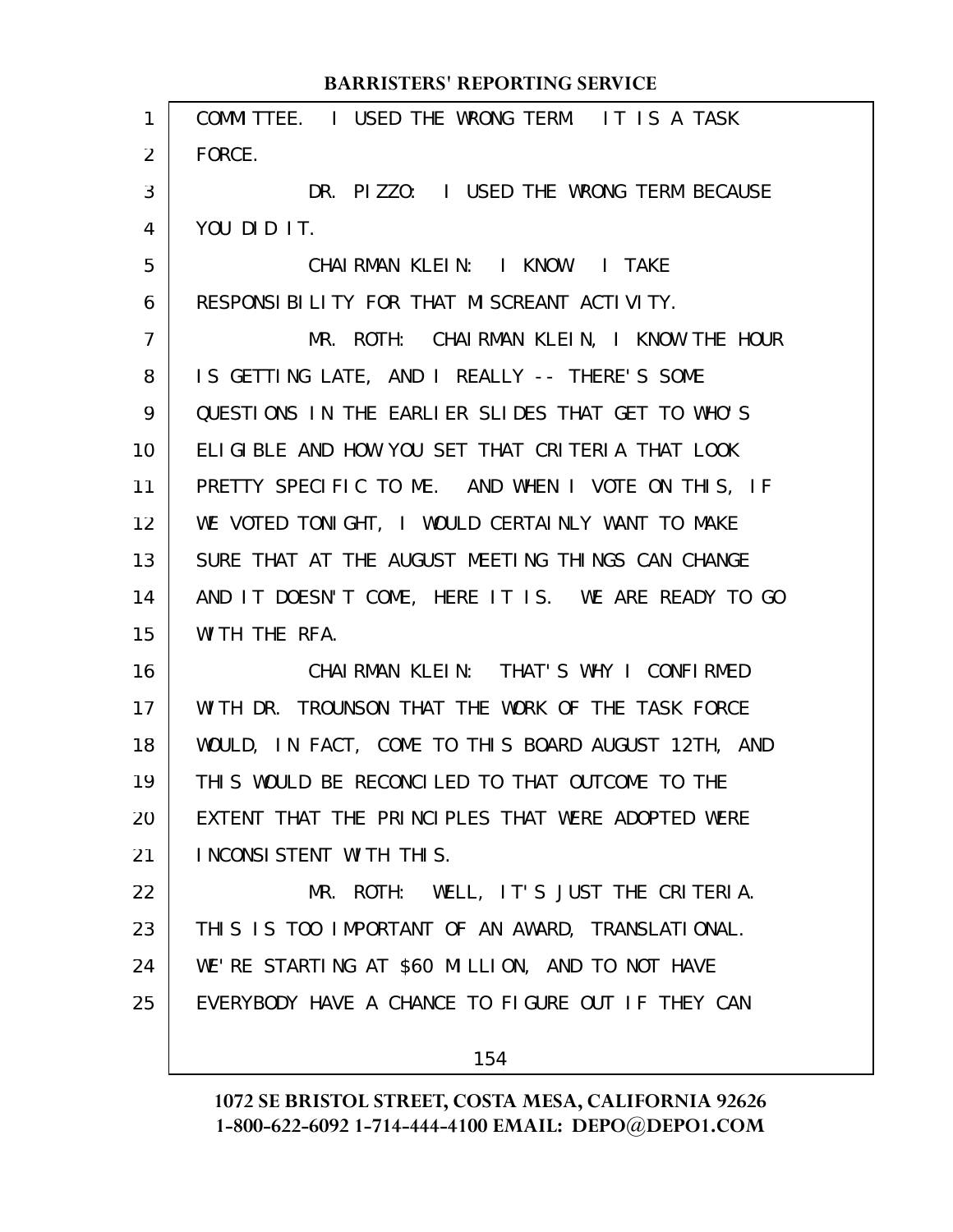# COMMITTEE. I USED THE WRONG TERM. IT IS A TASK FORCE. DR. PIZZO: I USED THE WRONG TERM BECAUSE YOU DID IT. CHAIRMAN KLEIN: I KNOW. I TAKE RESPONSIBILITY FOR THAT MISCREANT ACTIVITY. MR. ROTH: CHAIRMAN KLEIN, I KNOW THE HOUR IS GETTING LATE, AND I REALLY -- THERE'S SOME QUESTIONS IN THE EARLIER SLIDES THAT GET TO WHO'S ELIGIBLE AND HOW YOU SET THAT CRITERIA THAT LOOK PRETTY SPECIFIC TO ME. AND WHEN I VOTE ON THIS, IF WE VOTED TONIGHT, I WOULD CERTAINLY WANT TO MAKE SURE THAT AT THE AUGUST MEETING THINGS CAN CHANGE AND IT DOESN'T COME, HERE IT IS. WE ARE READY TO GO WITH THE RFA. CHAIRMAN KLEIN: THAT'S WHY I CONFIRMED WITH DR. TROUNSON THAT THE WORK OF THE TASK FORCE WOULD, IN FACT, COME TO THIS BOARD AUGUST 12TH, AND THIS WOULD BE RECONCILED TO THAT OUTCOME TO THE **BARRISTERS' REPORTING SERVICE**

1

2

3

4

5

6

7

8

9

10

11

12

13

14

15

16

17

18

19

EXTENT THAT THE PRINCIPLES THAT WERE ADOPTED WERE INCONSISTENT WITH THIS. 20 21

MR. ROTH: WELL, IT'S JUST THE CRITERIA. THIS IS TOO IMPORTANT OF AN AWARD, TRANSLATIONAL. WE'RE STARTING AT \$60 MILLION, AND TO NOT HAVE EVERYBODY HAVE A CHANCE TO FIGURE OUT IF THEY CAN 22 23 24 25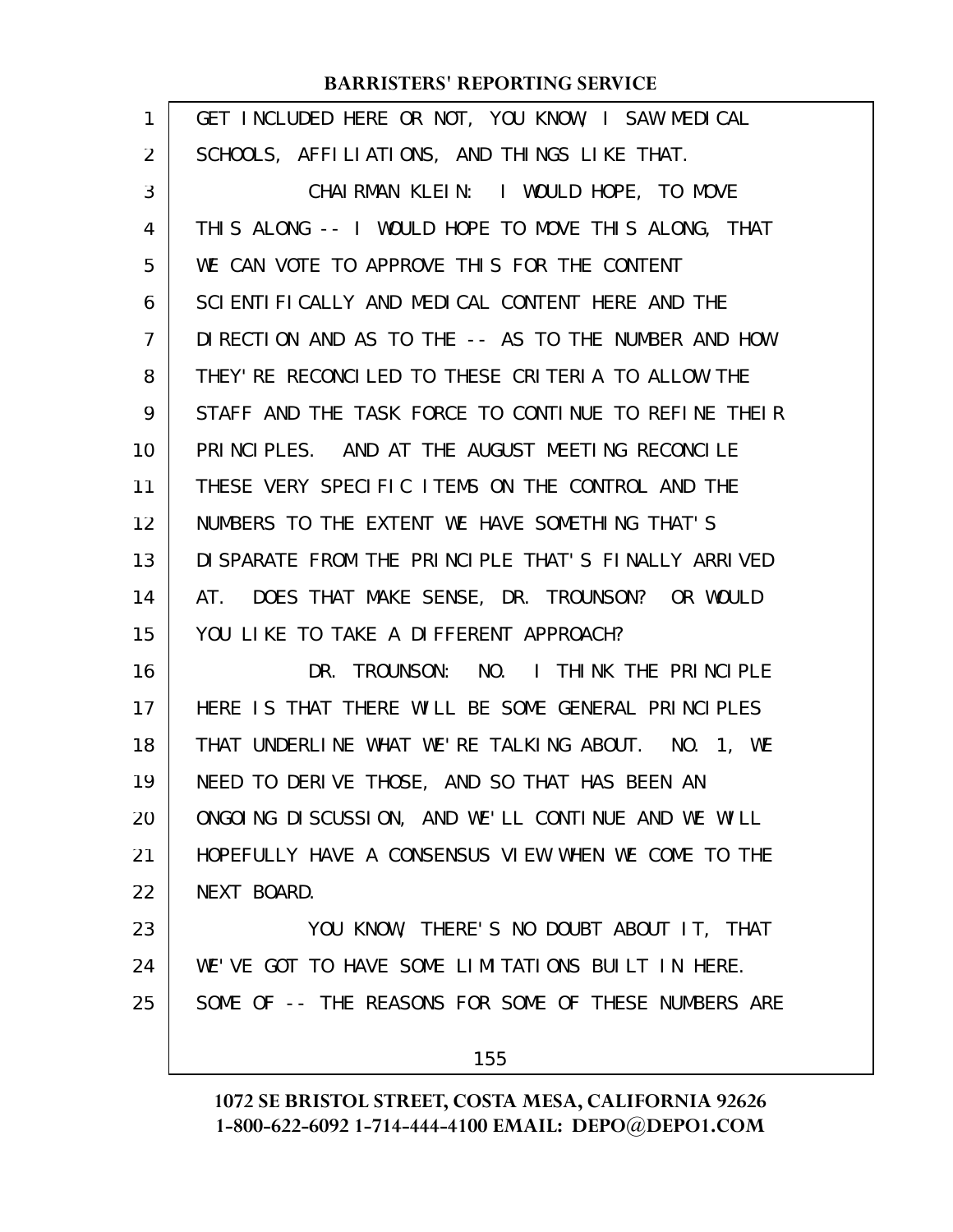| 1  | GET INCLUDED HERE OR NOT, YOU KNOW, I SAW MEDICAL    |
|----|------------------------------------------------------|
| 2  | SCHOOLS, AFFILIATIONS, AND THINGS LIKE THAT.         |
| 3  | CHAIRMAN KLEIN: I WOULD HOPE, TO MOVE                |
| 4  | THIS ALONG -- I WOULD HOPE TO MOVE THIS ALONG, THAT  |
| 5  | WE CAN VOTE TO APPROVE THIS FOR THE CONTENT          |
| 6  | SCIENTI FICALLY AND MEDICAL CONTENT HERE AND THE     |
| 7  | DIRECTION AND AS TO THE -- AS TO THE NUMBER AND HOW  |
| 8  | THEY' RE RECONCLLED TO THESE CRITERIA TO ALLOW THE   |
| 9  | STAFF AND THE TASK FORCE TO CONTINUE TO REFINE THEIR |
| 10 | PRINCIPLES. AND AT THE AUGUST MEETING RECONCILE      |
| 11 | THESE VERY SPECIFIC ITEMS ON THE CONTROL AND THE     |
| 12 | NUMBERS TO THE EXTENT WE HAVE SOMETHING THAT'S       |
| 13 | DI SPARATE FROM THE PRINCIPLE THAT'S FINALLY ARRIVED |
| 14 | AT. DOES THAT MAKE SENSE, DR. TROUNSON? OR WOULD     |
| 15 | YOU LIKE TO TAKE A DIFFERENT APPROACH?               |
| 16 | DR. TROUNSON: NO. I THINK THE PRINCIPLE              |
| 17 | HERE IS THAT THERE WILL BE SOME GENERAL PRINCIPLES   |
| 18 | THAT UNDERLINE WHAT WE'RE TALKING ABOUT. NO. 1, WE   |
| 19 | NEED TO DERIVE THOSE, AND SO THAT HAS BEEN AN        |
| 20 | ONGOING DISCUSSION, AND WE'LL CONTINUE AND WE WILL   |
| 21 | HOPEFULLY HAVE A CONSENSUS VIEW WHEN WE COME TO THE  |
| 22 | NEXT BOARD.                                          |
| 23 | YOU KNOW, THERE'S NO DOUBT ABOUT IT, THAT            |
| 24 | WE'VE GOT TO HAVE SOME LIMITATIONS BUILT IN HERE.    |
| 25 | SOME OF -- THE REASONS FOR SOME OF THESE NUMBERS ARE |
|    | 155                                                  |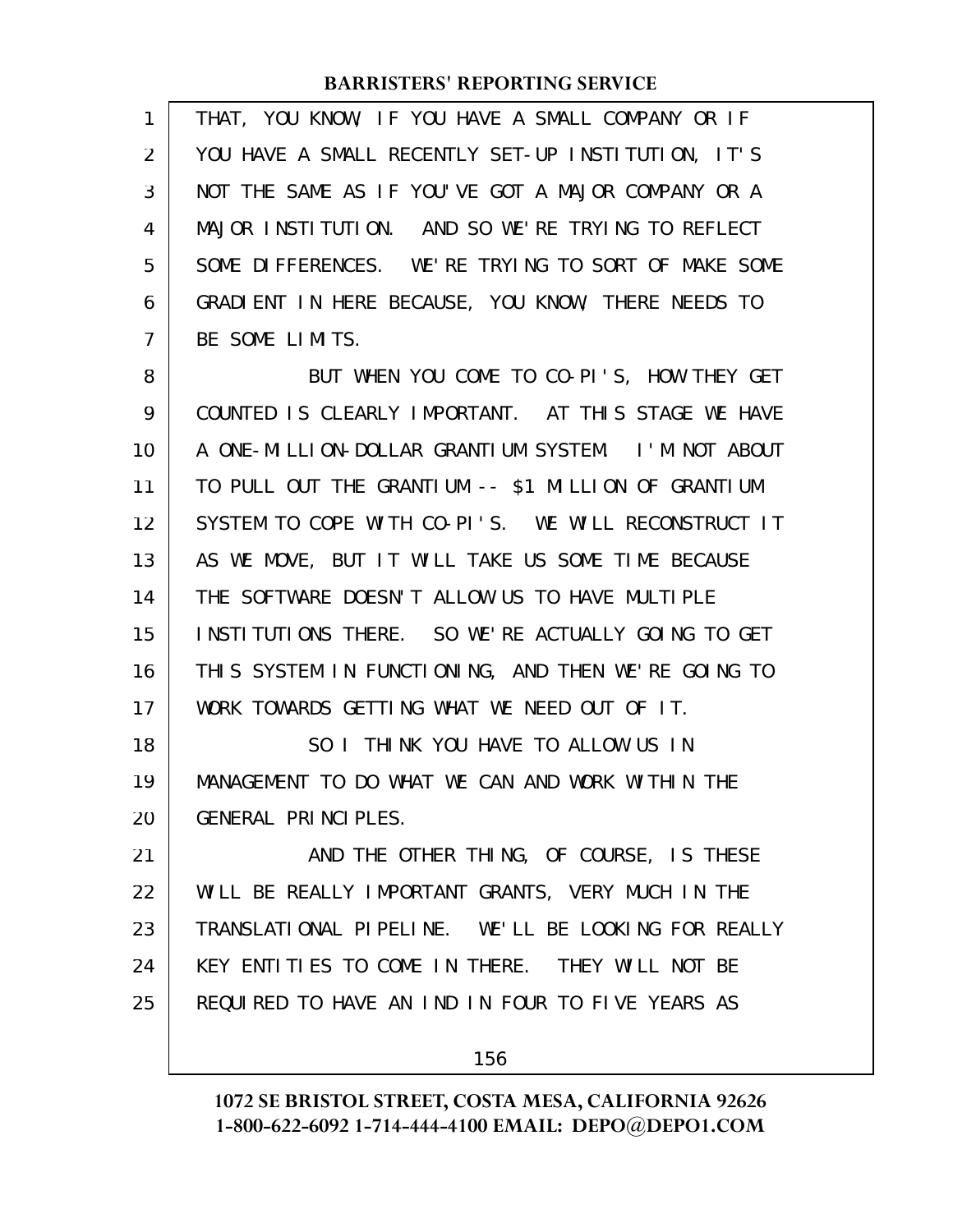| 1  | THAT, YOU KNOW, IF YOU HAVE A SMALL COMPANY OR IF   |
|----|-----------------------------------------------------|
| 2  | YOU HAVE A SMALL RECENTLY SET-UP INSTITUTION, IT'S  |
| 3  | NOT THE SAME AS IF YOU'VE GOT A MAJOR COMPANY OR A  |
| 4  | MAJOR INSTITUTION. AND SO WE'RE TRYING TO REFLECT   |
| 5  | SOME DIFFERENCES. WE'RE TRYING TO SORT OF MAKE SOME |
| 6  | GRADIENT IN HERE BECAUSE, YOU KNOW, THERE NEEDS TO  |
| 7  | BE SOME LIMITS.                                     |
| 8  | BUT WHEN YOU COME TO CO-PI'S, HOW THEY GET          |
| 9  | COUNTED IS CLEARLY IMPORTANT. AT THIS STAGE WE HAVE |
| 10 | A ONE-MILLION-DOLLAR GRANTIUM SYSTEM. I'M NOT ABOUT |
| 11 | TO PULL OUT THE GRANTIUM -- \$1 MILLION OF GRANTIUM |
| 12 | SYSTEM TO COPE WITH CO-PI'S. WE WILL RECONSTRUCT IT |
| 13 | AS WE MOVE, BUT IT WILL TAKE US SOME TIME BECAUSE   |
| 14 | THE SOFTWARE DOESN'T ALLOW US TO HAVE MULTIPLE      |
| 15 | INSTITUTIONS THERE. SO WE'RE ACTUALLY GOING TO GET  |
| 16 | THIS SYSTEM IN FUNCTIONING, AND THEN WE'RE GOING TO |
| 17 | WORK TOWARDS GETTING WHAT WE NEED OUT OF IT.        |
| 18 | SO I THINK YOU HAVE TO ALLOW US IN                  |
| 19 | MANAGEMENT TO DO WHAT WE CAN AND WORK WITHIN THE    |
| 20 | GENERAL PRINCIPLES.                                 |
| 21 | AND THE OTHER THING, OF COURSE, IS THESE            |
| 22 | WILL BE REALLY IMPORTANT GRANTS, VERY MUCH IN THE   |
| 23 | TRANSLATIONAL PIPELINE. WE'LL BE LOOKING FOR REALLY |
| 24 | KEY ENTITIES TO COME IN THERE. THEY WILL NOT BE     |
| 25 | REQUIRED TO HAVE AN IND IN FOUR TO FIVE YEARS AS    |
|    | 156                                                 |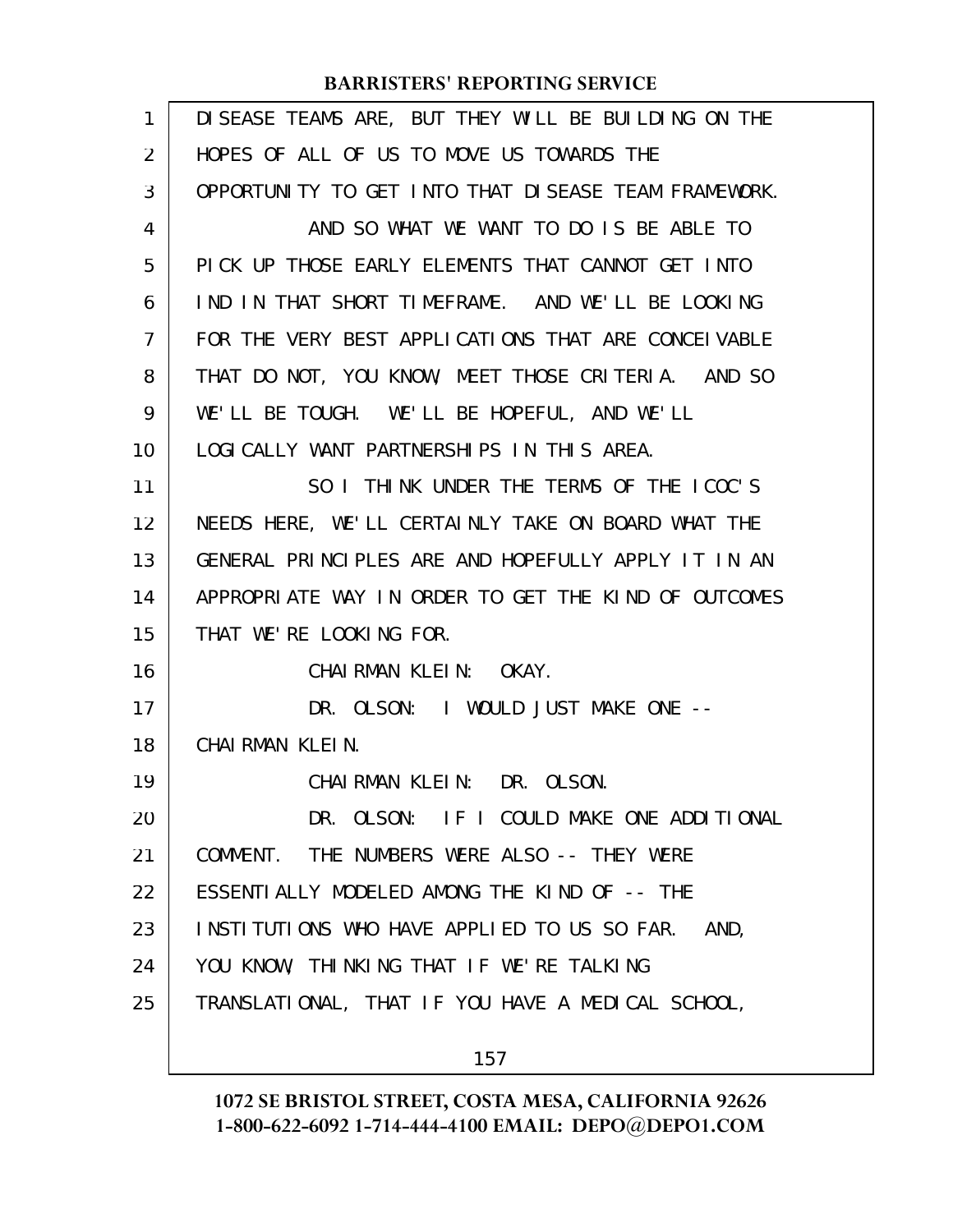| $\mathbf{1}$ | DI SEASE TEAMS ARE, BUT THEY WILL BE BUILDING ON THE |
|--------------|------------------------------------------------------|
| 2            | HOPES OF ALL OF US TO MOVE US TOWARDS THE            |
| 3            | OPPORTUNITY TO GET INTO THAT DISEASE TEAM FRAMEWORK. |
| 4            | AND SO WHAT WE WANT TO DO IS BE ABLE TO              |
| 5            | PICK UP THOSE EARLY ELEMENTS THAT CANNOT GET INTO    |
| 6            | IND IN THAT SHORT TIMEFRAME. AND WE'LL BE LOOKING    |
| 7            | FOR THE VERY BEST APPLICATIONS THAT ARE CONCELVABLE  |
| 8            | THAT DO NOT, YOU KNOW, MEET THOSE CRITERIA. AND SO   |
| 9            | WE'LL BE TOUGH. WE'LL BE HOPEFUL, AND WE'LL          |
| 10           | LOGICALLY WANT PARTNERSHIPS IN THIS AREA.            |
| 11           | SO I THINK UNDER THE TERMS OF THE ICOC'S             |
| 12           | NEEDS HERE, WE'LL CERTAINLY TAKE ON BOARD WHAT THE   |
| 13           | GENERAL PRINCIPLES ARE AND HOPEFULLY APPLY IT IN AN  |
| 14           | APPROPRIATE WAY IN ORDER TO GET THE KIND OF OUTCOMES |
| 15           | THAT WE'RE LOOKING FOR.                              |
| 16           | CHAIRMAN KLEIN: OKAY.                                |
| 17           | DR. OLSON: I WOULD JUST MAKE ONE --                  |
| 18           | CHAIRMAN KLEIN.                                      |
| 19           | CHAIRMAN KLEIN: DR. OLSON.                           |
| 20           | DR. OLSON: IF I COULD MAKE ONE ADDITIONAL            |
| 21           | COMMENT. THE NUMBERS WERE ALSO -- THEY WERE          |
| 22           | ESSENTIALLY MODELED AMONG THE KIND OF -- THE         |
| 23           | INSTITUTIONS WHO HAVE APPLIED TO US SO FAR. AND,     |
| 24           | YOU KNOW, THINKING THAT IF WE'RE TALKING             |
| 25           | TRANSLATIONAL, THAT IF YOU HAVE A MEDICAL SCHOOL,    |
|              |                                                      |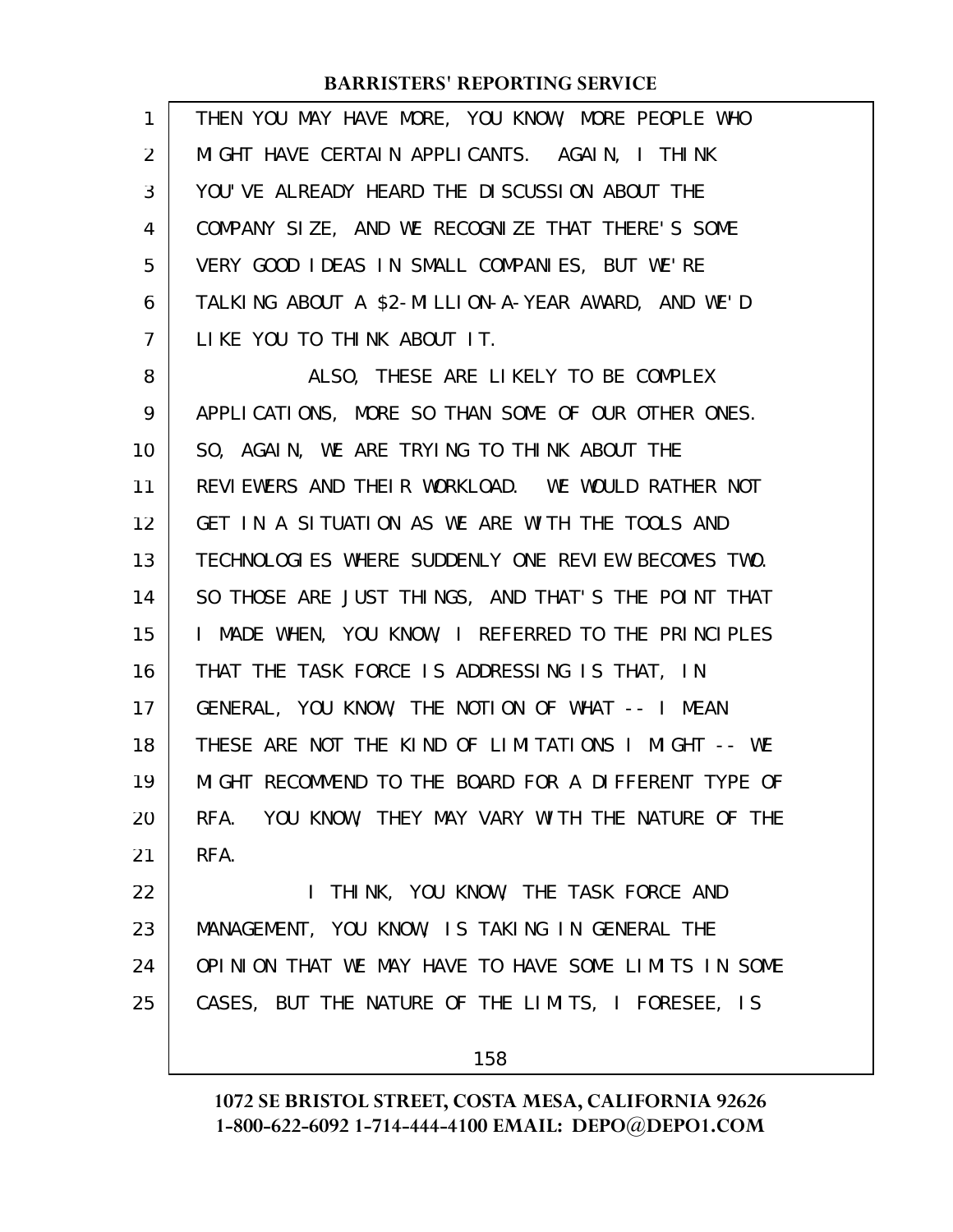| $\mathbf{1}$ | THEN YOU MAY HAVE MORE, YOU KNOW, MORE PEOPLE WHO    |
|--------------|------------------------------------------------------|
| 2            | MIGHT HAVE CERTAIN APPLICANTS. AGAIN, I THINK        |
| 3            | YOU' VE ALREADY HEARD THE DISCUSSION ABOUT THE       |
| 4            | COMPANY SIZE, AND WE RECOGNIZE THAT THERE'S SOME     |
| 5            | VERY GOOD IDEAS IN SMALL COMPANIES, BUT WE'RE        |
| 6            | TALKING ABOUT A \$2-MILLION-A-YEAR AWARD, AND WE'D   |
| 7            | LIKE YOU TO THINK ABOUT IT.                          |
| 8            | ALSO, THESE ARE LIKELY TO BE COMPLEX                 |
| 9            | APPLICATIONS, MORE SO THAN SOME OF OUR OTHER ONES.   |
| 10           | SO, AGAIN, WE ARE TRYING TO THINK ABOUT THE          |
| 11           | REVIEWERS AND THEIR WORKLOAD. WE WOULD RATHER NOT    |
| 12           | GET IN A SITUATION AS WE ARE WITH THE TOOLS AND      |
| 13           | TECHNOLOGIES WHERE SUDDENLY ONE REVIEW BECOMES TWO.  |
| 14           | SO THOSE ARE JUST THINGS, AND THAT'S THE POINT THAT  |
| 15           | I MADE WHEN, YOU KNOW, I REFERRED TO THE PRINCIPLES  |
| 16           | THAT THE TASK FORCE IS ADDRESSING IS THAT, IN        |
| 17           | GENERAL, YOU KNOW, THE NOTION OF WHAT -- I MEAN      |
| 18           | THESE ARE NOT THE KIND OF LIMITATIONS I MIGHT -- WE  |
| 19           | MIGHT RECOMMEND TO THE BOARD FOR A DIFFERENT TYPE OF |
| 20           | RFA. YOU KNOW, THEY MAY VARY WITH THE NATURE OF THE  |
| 21           | RFA.                                                 |
| 22           | I THINK, YOU KNOW, THE TASK FORCE AND                |
| 23           | MANAGEMENT, YOU KNOW, IS TAKING IN GENERAL THE       |
| 24           | OPINION THAT WE MAY HAVE TO HAVE SOME LIMITS IN SOME |
| 25           | CASES, BUT THE NATURE OF THE LIMITS, I FORESEE, IS   |
|              | 158                                                  |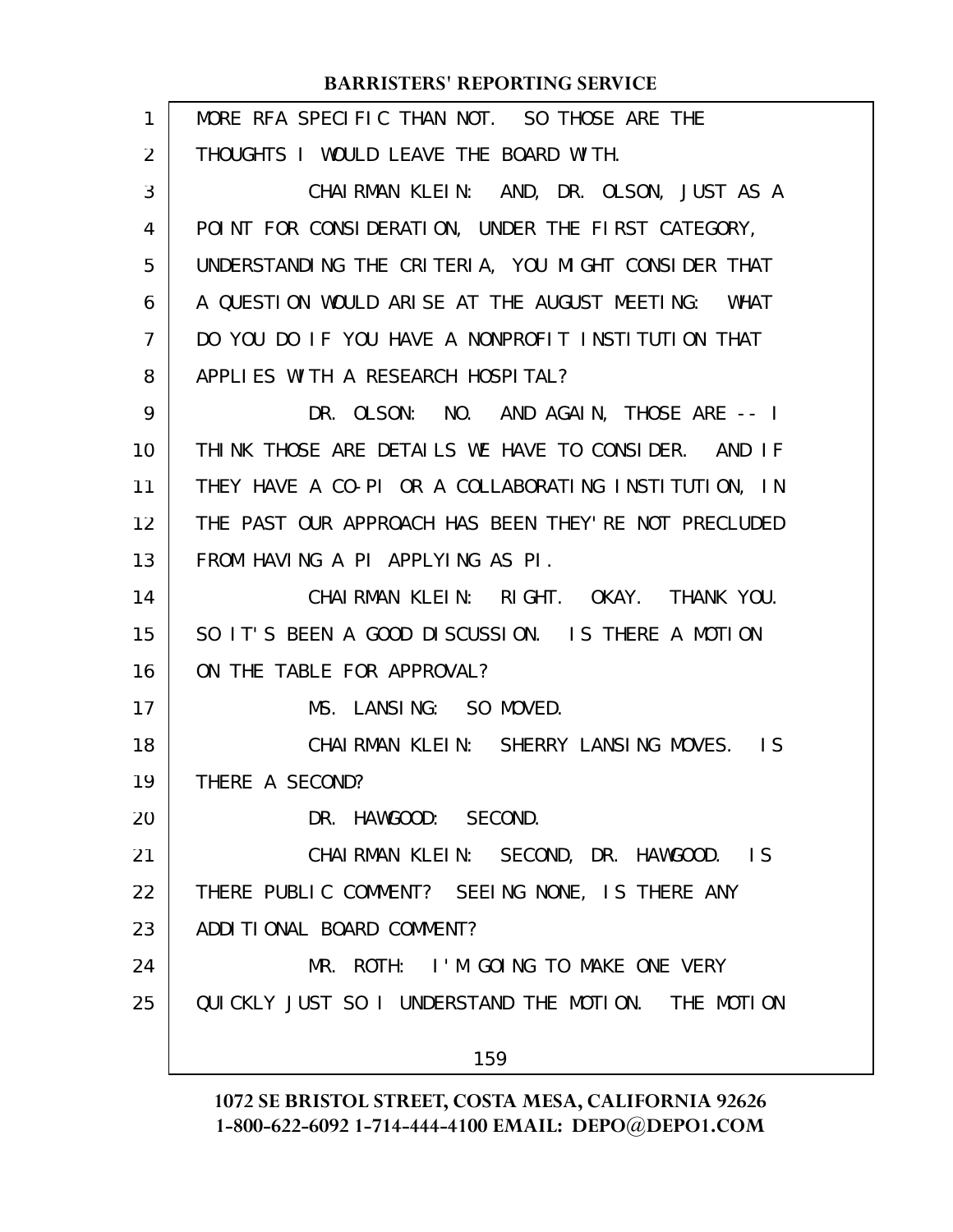| 1              | MORE RFA SPECIFIC THAN NOT. SO THOSE ARE THE          |
|----------------|-------------------------------------------------------|
| 2              | THOUGHTS I WOULD LEAVE THE BOARD WITH.                |
| 3              | CHAIRMAN KLEIN: AND, DR. OLSON, JUST AS A             |
| 4              | POINT FOR CONSIDERATION, UNDER THE FIRST CATEGORY,    |
| 5              | UNDERSTANDING THE CRITERIA, YOU MIGHT CONSIDER THAT   |
| 6              | A QUESTION WOULD ARISE AT THE AUGUST MEETING: WHAT    |
| $\overline{7}$ | DO YOU DO IF YOU HAVE A NONPROFIT INSTITUTION THAT    |
| 8              | APPLIES WITH A RESEARCH HOSPITAL?                     |
| 9              | DR. OLSON: NO. AND AGAIN, THOSE ARE -- I              |
| 10             | THINK THOSE ARE DETAILS WE HAVE TO CONSIDER. AND IF   |
| 11             | THEY HAVE A CO-PI OR A COLLABORATING INSTITUTION, IN  |
| 12             | THE PAST OUR APPROACH HAS BEEN THEY' RE NOT PRECLUDED |
| 13             | FROM HAVING A PI APPLYING AS PI.                      |
| 14             | CHAIRMAN KLEIN: RIGHT. OKAY. THANK YOU.               |
| 15             | SO IT'S BEEN A GOOD DISCUSSION. IS THERE A MOTION     |
| 16             | ON THE TABLE FOR APPROVAL?                            |
| 17             | MS. LANSING: SO MOVED.                                |
| 18             | CHAIRMAN KLEIN: SHERRY LANSING MOVES. IS              |
| 19             | THERE A SECOND?                                       |
| 20             | DR. HAWGOOD: SECOND.                                  |
| 21             | CHAIRMAN KLEIN: SECOND, DR. HAWGOOD. IS               |
| 22             | THERE PUBLIC COMMENT? SEEING NONE, IS THERE ANY       |
| 23             | ADDITIONAL BOARD COMMENT?                             |
| 24             | MR. ROTH: I'M GOING TO MAKE ONE VERY                  |
| 25             | QUICKLY JUST SO I UNDERSTAND THE MOTION. THE MOTION   |
|                | 159                                                   |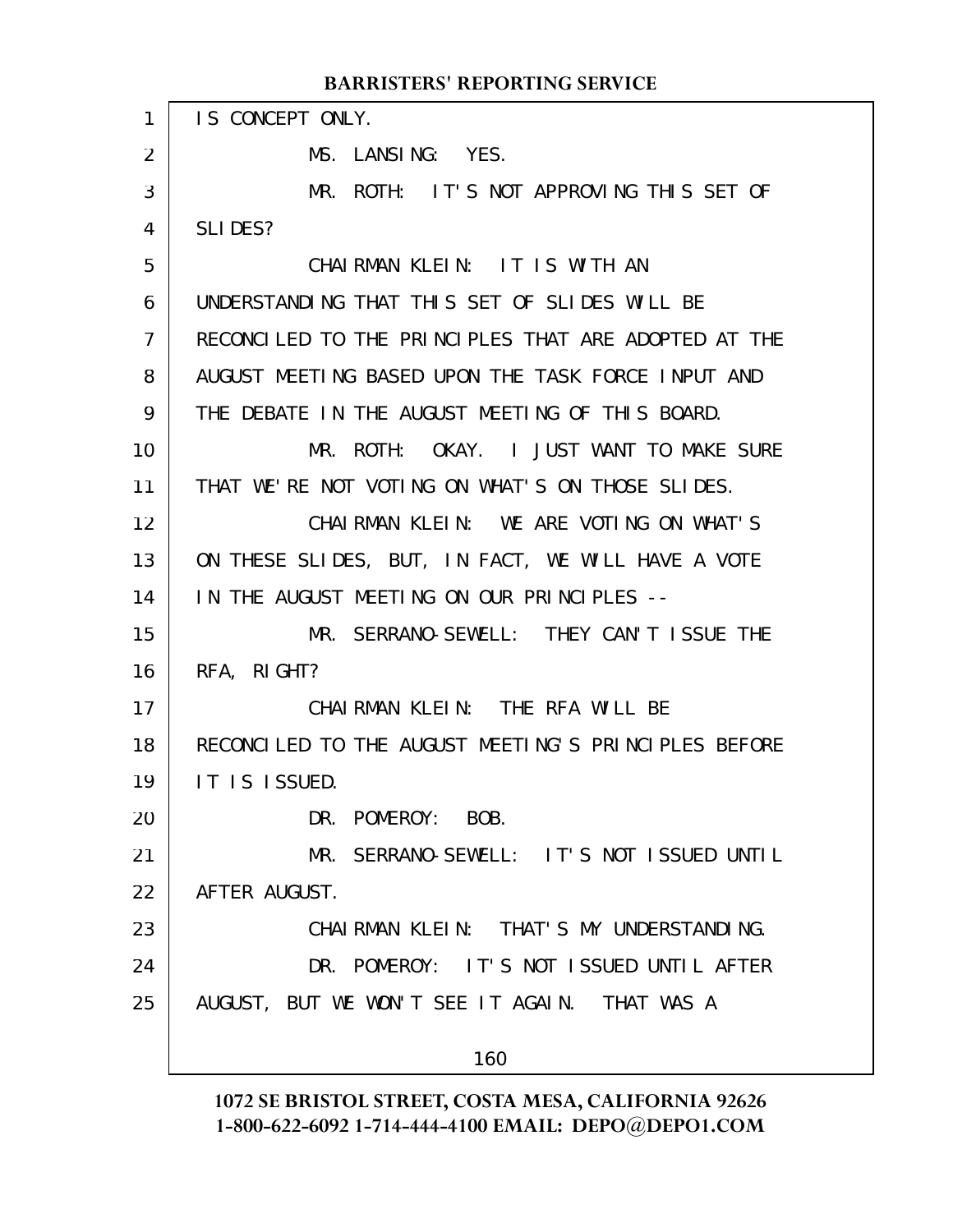#### IS CONCEPT ONLY. MS. LANSING: YES. MR. ROTH: IT'S NOT APPROVING THIS SET OF SLIDES? CHAIRMAN KLEIN: IT IS WITH AN UNDERSTANDING THAT THIS SET OF SLIDES WILL BE RECONCILED TO THE PRINCIPLES THAT ARE ADOPTED AT THE AUGUST MEETING BASED UPON THE TASK FORCE INPUT AND THE DEBATE IN THE AUGUST MEETING OF THIS BOARD. MR. ROTH: OKAY. I JUST WANT TO MAKE SURE THAT WE'RE NOT VOTING ON WHAT'S ON THOSE SLIDES. CHAIRMAN KLEIN: WE ARE VOTING ON WHAT'S ON THESE SLIDES, BUT, IN FACT, WE WILL HAVE A VOTE IN THE AUGUST MEETING ON OUR PRINCIPLES -- MR. SERRANO-SEWELL: THEY CAN'T ISSUE THE RFA, RIGHT? CHAIRMAN KLEIN: THE RFA WILL BE RECONCILED TO THE AUGUST MEETING'S PRINCIPLES BEFORE IT IS ISSUED. DR. POMEROY: BOB. MR. SERRANO-SEWELL: IT'S NOT ISSUED UNTIL AFTER AUGUST. CHAIRMAN KLEIN: THAT'S MY UNDERSTANDING. DR. POMEROY: IT'S NOT ISSUED UNTIL AFTER AUGUST, BUT WE WON'T SEE IT AGAIN. THAT WAS A 160 **BARRISTERS' REPORTING SERVICE** 1 2 3 4 5 6 7 8 9 10 11 12 13 14 15 16 17 18 19 20 21 22 23 24 25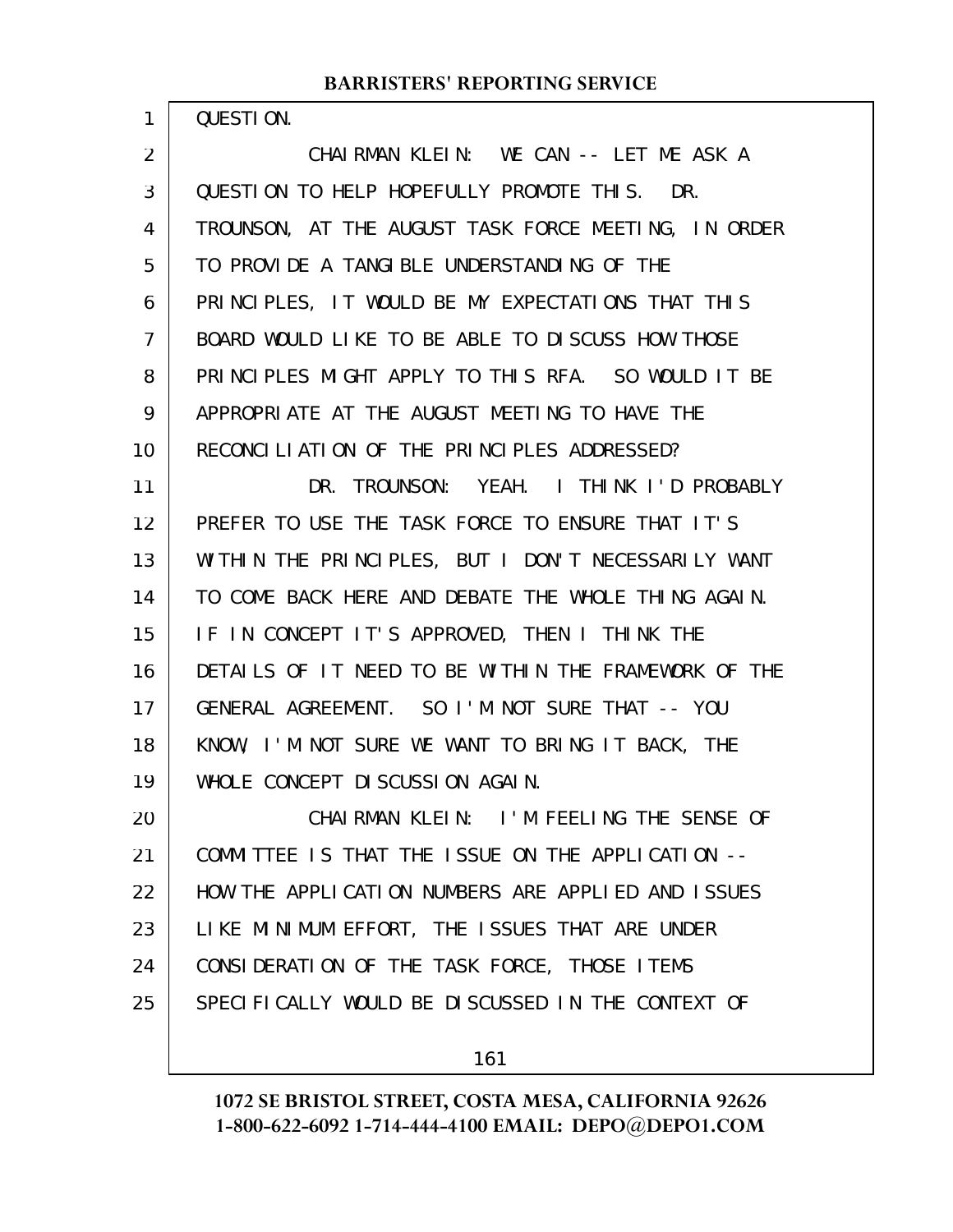QUESTION.

1

CHAIRMAN KLEIN: WE CAN -- LET ME ASK A QUESTION TO HELP HOPEFULLY PROMOTE THIS. DR. TROUNSON, AT THE AUGUST TASK FORCE MEETING, IN ORDER TO PROVIDE A TANGIBLE UNDERSTANDING OF THE PRINCIPLES, IT WOULD BE MY EXPECTATIONS THAT THIS BOARD WOULD LIKE TO BE ABLE TO DISCUSS HOW THOSE PRINCIPLES MIGHT APPLY TO THIS RFA. SO WOULD IT BE APPROPRIATE AT THE AUGUST MEETING TO HAVE THE RECONCILIATION OF THE PRINCIPLES ADDRESSED? DR. TROUNSON: YEAH. I THINK I'D PROBABLY PREFER TO USE THE TASK FORCE TO ENSURE THAT IT'S WITHIN THE PRINCIPLES, BUT I DON'T NECESSARILY WANT TO COME BACK HERE AND DEBATE THE WHOLE THING AGAIN. IF IN CONCEPT IT'S APPROVED, THEN I THINK THE DETAILS OF IT NEED TO BE WITHIN THE FRAMEWORK OF THE GENERAL AGREEMENT. SO I'M NOT SURE THAT -- YOU KNOW, I'M NOT SURE WE WANT TO BRING IT BACK, THE WHOLE CONCEPT DISCUSSION AGAIN. CHAIRMAN KLEIN: I'M FEELING THE SENSE OF COMMITTEE IS THAT THE ISSUE ON THE APPLICATION -- HOW THE APPLICATION NUMBERS ARE APPLIED AND ISSUES LIKE MINIMUM EFFORT, THE ISSUES THAT ARE UNDER CONSIDERATION OF THE TASK FORCE, THOSE ITEMS SPECIFICALLY WOULD BE DISCUSSED IN THE CONTEXT OF 2 3 4 5 6 7 8 9 10 11 12 13 14 15 16 17 18 19 20 21 22 23 24 25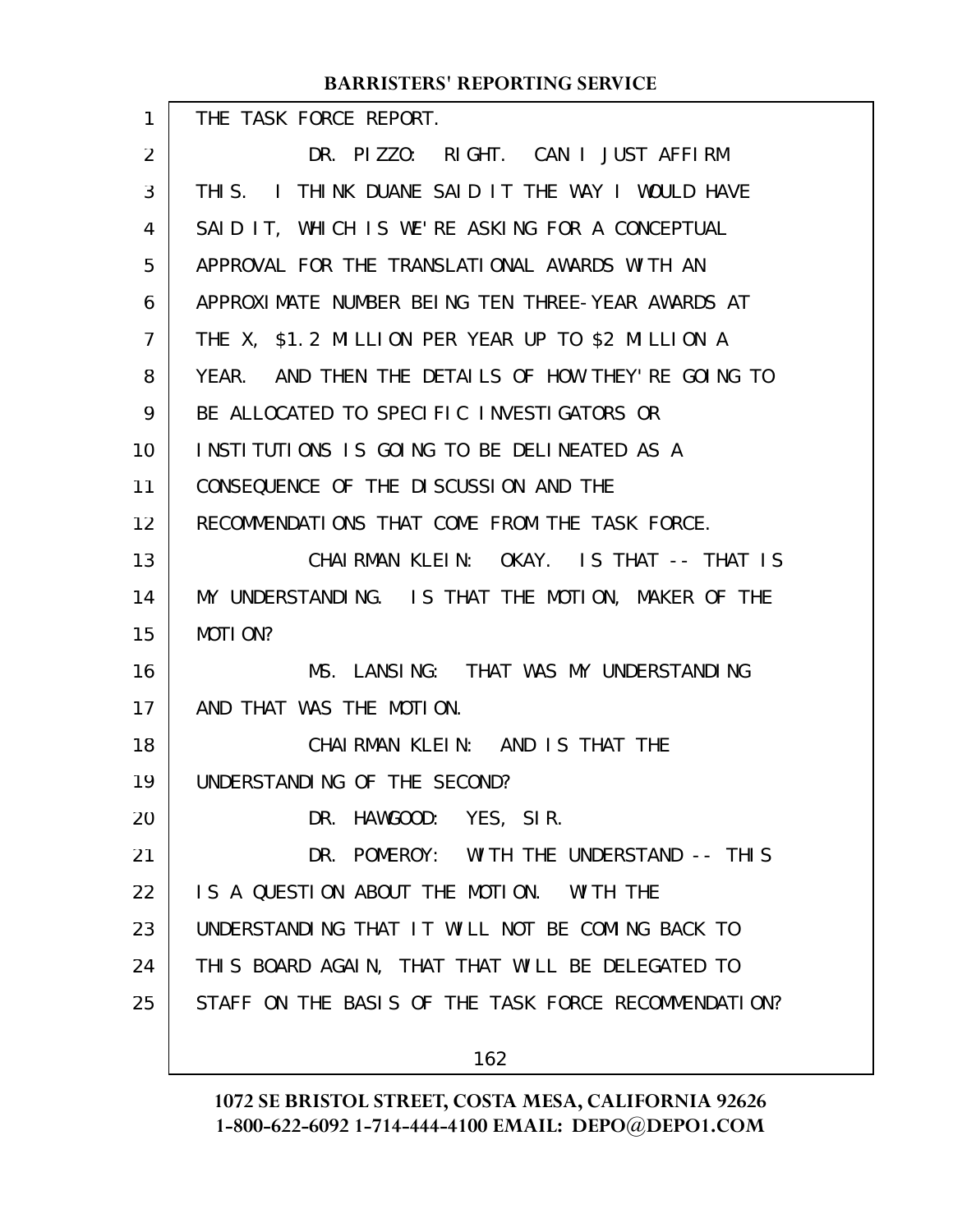#### THE TASK FORCE REPORT. DR. PIZZO: RIGHT. CAN I JUST AFFIRM THIS. I THINK DUANE SAID IT THE WAY I WOULD HAVE SAID IT, WHICH IS WE'RE ASKING FOR A CONCEPTUAL APPROVAL FOR THE TRANSLATIONAL AWARDS WITH AN APPROXIMATE NUMBER BEING TEN THREE-YEAR AWARDS AT THE X, \$1.2 MILLION PER YEAR UP TO \$2 MILLION A YEAR. AND THEN THE DETAILS OF HOW THEY'RE GOING TO BE ALLOCATED TO SPECIFIC INVESTIGATORS OR INSTITUTIONS IS GOING TO BE DELINEATED AS A CONSEQUENCE OF THE DISCUSSION AND THE RECOMMENDATIONS THAT COME FROM THE TASK FORCE. CHAIRMAN KLEIN: OKAY. IS THAT -- THAT IS MY UNDERSTANDING. IS THAT THE MOTION, MAKER OF THE MOTION? MS. LANSING: THAT WAS MY UNDERSTANDING AND THAT WAS THE MOTION. CHAIRMAN KLEIN: AND IS THAT THE UNDERSTANDING OF THE SECOND? DR. HAWGOOD: YES, SIR. DR. POMEROY: WITH THE UNDERSTAND -- THIS IS A QUESTION ABOUT THE MOTION. WITH THE UNDERSTANDING THAT IT WILL NOT BE COMING BACK TO THIS BOARD AGAIN, THAT THAT WILL BE DELEGATED TO STAFF ON THE BASIS OF THE TASK FORCE RECOMMENDATION? **BARRISTERS' REPORTING SERVICE** 1 2 3 4 5 6 7 8 9 10 11 12 13 14 15 16 17 18 19 20 21 22 23 24 25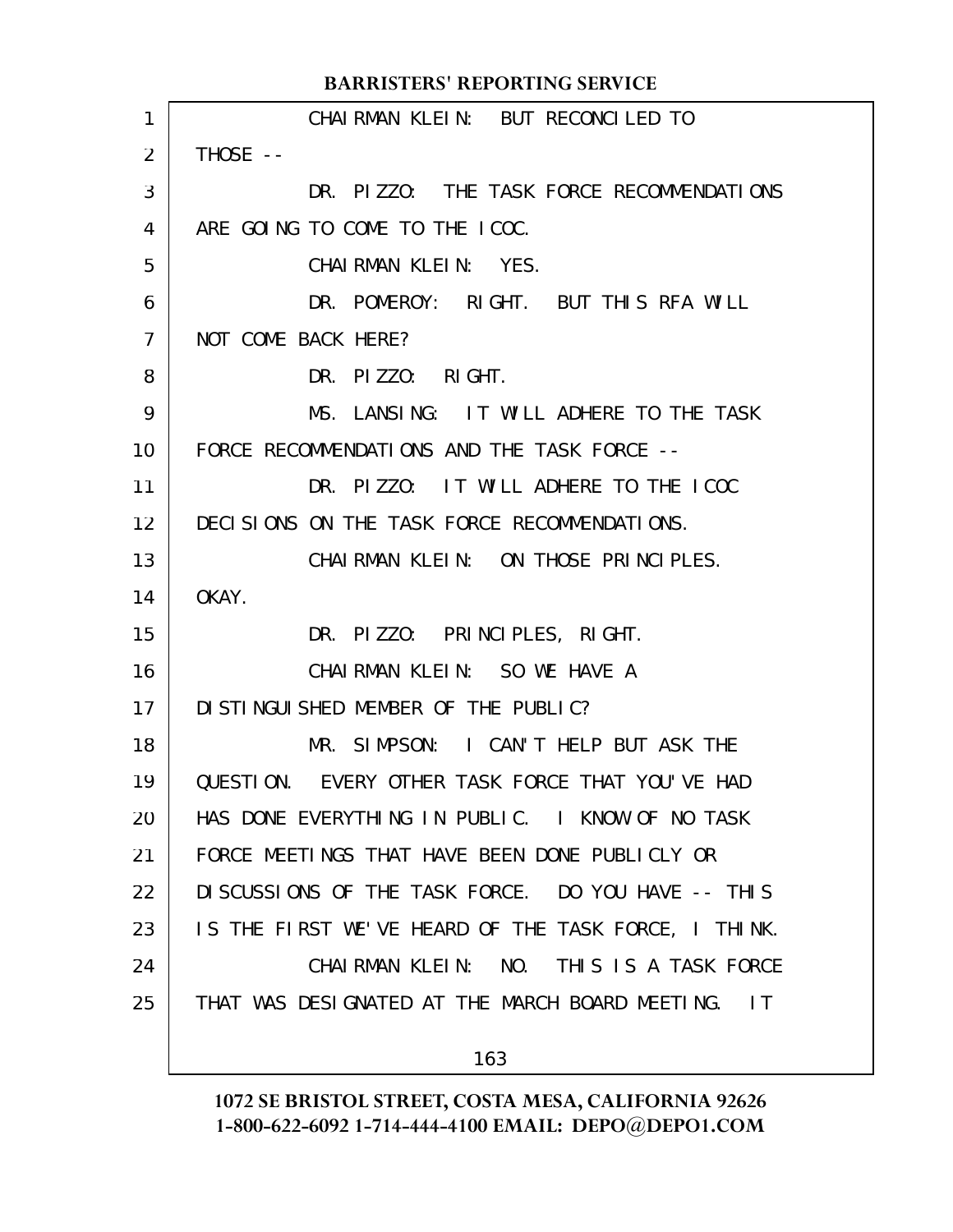|                | <b>BARRISTERS' REPORTING SERVICE</b>                 |
|----------------|------------------------------------------------------|
| 1              | CHAIRMAN KLEIN: BUT RECONCLLED TO                    |
| $\overline{2}$ | THOSE --                                             |
| 3              | DR. PIZZO: THE TASK FORCE RECOMMENDATIONS            |
| 4              | ARE GOING TO COME TO THE ICOC.                       |
| 5              | CHAIRMAN KLEIN: YES.                                 |
| 6              | DR. POMEROY: RIGHT. BUT THIS RFA WILL                |
| $\overline{7}$ | NOT COME BACK HERE?                                  |
| 8              | DR. PIZZO: RIGHT.                                    |
| 9              | MS. LANSING: IT WILL ADHERE TO THE TASK              |
| 10             | FORCE RECOMMENDATIONS AND THE TASK FORCE --          |
| 11             | DR. PIZZO: IT WILL ADHERE TO THE ICOC                |
| 12             | DECISIONS ON THE TASK FORCE RECOMMENDATIONS.         |
| 13             | CHAIRMAN KLEIN: ON THOSE PRINCIPLES.                 |
| 14             | OKAY.                                                |
| 15             | DR. PIZZO: PRINCIPLES, RIGHT.                        |
| 16             | CHAIRMAN KLEIN: SO WE HAVE A                         |
| 17             | DI STI NGUI SHED MEMBER OF THE PUBLIC?               |
| 18             | MR. SIMPSON: I CAN'T HELP BUT ASK THE                |
| 19             | QUESTION. EVERY OTHER TASK FORCE THAT YOU'VE HAD     |
| 20             | HAS DONE EVERYTHING IN PUBLIC. I KNOW OF NO TASK     |
| 21             | FORCE MEETINGS THAT HAVE BEEN DONE PUBLICLY OR       |
| 22             | DI SCUSSIONS OF THE TASK FORCE. DO YOU HAVE -- THIS  |
| 23             | IS THE FIRST WE'VE HEARD OF THE TASK FORCE, I THINK. |
| 24             | CHAIRMAN KLEIN: NO. THIS IS A TASK FORCE             |
| 25             | THAT WAS DESIGNATED AT THE MARCH BOARD MEETING. IT   |
|                | 163                                                  |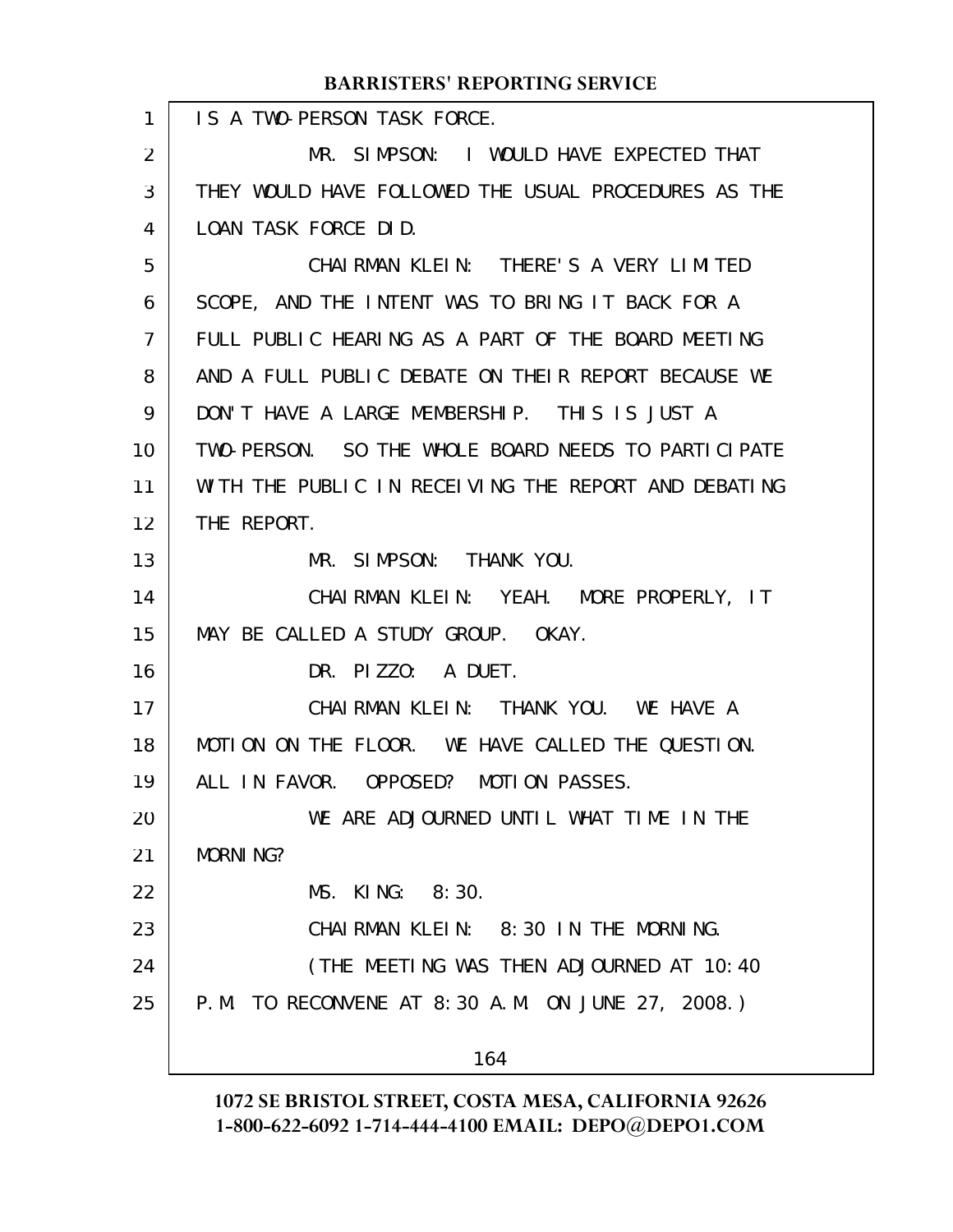| <b>BARRISTERS' REPORTING SERVICE</b> |                                                      |  |
|--------------------------------------|------------------------------------------------------|--|
| $\mathbf{1}$                         | IS A TWO-PERSON TASK FORCE.                          |  |
| 2                                    | MR. SIMPSON: I WOULD HAVE EXPECTED THAT              |  |
| 3                                    | THEY WOULD HAVE FOLLOWED THE USUAL PROCEDURES AS THE |  |
| 4                                    | LOAN TASK FORCE DID.                                 |  |
| 5                                    | CHAIRMAN KLEIN: THERE'S A VERY LIMITED               |  |
| 6                                    | SCOPE, AND THE INTENT WAS TO BRING IT BACK FOR A     |  |
| $\overline{7}$                       | FULL PUBLIC HEARING AS A PART OF THE BOARD MEETING   |  |
| 8                                    | AND A FULL PUBLIC DEBATE ON THEIR REPORT BECAUSE WE  |  |
| 9                                    | DON'T HAVE A LARGE MEMBERSHIP. THIS IS JUST A        |  |
| 10                                   | TWO-PERSON. SO THE WHOLE BOARD NEEDS TO PARTICLPATE  |  |
| 11                                   | WITH THE PUBLIC IN RECEIVING THE REPORT AND DEBATING |  |
| 12                                   | THE REPORT.                                          |  |
| 13                                   | MR. SIMPSON: THANK YOU.                              |  |
| 14                                   | CHAIRMAN KLEIN: YEAH. MORE PROPERLY, IT              |  |
| 15                                   | MAY BE CALLED A STUDY GROUP. OKAY.                   |  |
| 16                                   | DR. PIZZO: A DUET.                                   |  |
| 17                                   | CHAIRMAN KLEIN: THANK YOU. WE HAVE A                 |  |
| 18                                   | MOTION ON THE FLOOR. WE HAVE CALLED THE QUESTION.    |  |
| 19                                   | ALL IN FAVOR. OPPOSED? MOTION PASSES.                |  |
| 20                                   | WE ARE ADJOURNED UNTIL WHAT TIME IN THE              |  |
| 21                                   | <b>MORNING?</b>                                      |  |
| 22                                   | MS. KING: 8:30.                                      |  |
| 23                                   | CHAIRMAN KLEIN: 8:30 IN THE MORNING.                 |  |
| 24                                   | (THE MEETING WAS THEN ADJOURNED AT 10:40             |  |
| 25                                   | P.M. TO RECONVENE AT 8:30 A.M. ON JUNE 27, 2008.)    |  |
|                                      |                                                      |  |
|                                      | 164                                                  |  |